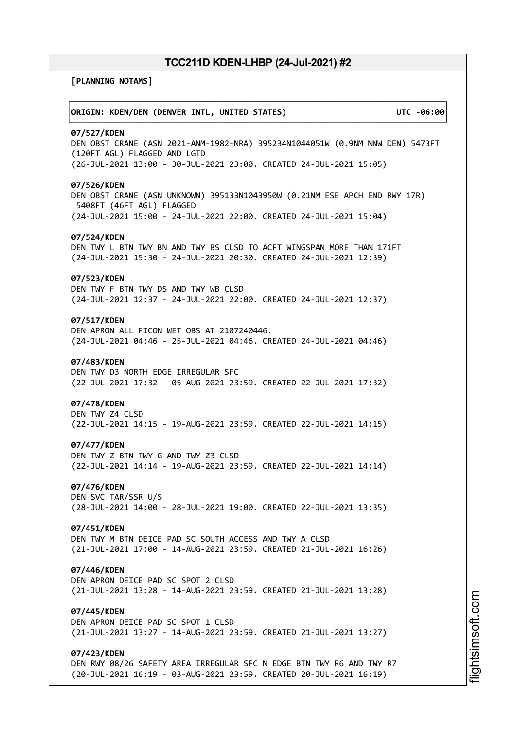┌──────────────────────────────────────────────────────────────────────────────┐

└──────────────────────────────────────────────────────────────────────────────┘

**[PLANNING NOTAMS]**

# │**ORIGIN: KDEN/DEN (DENVER INTL, UNITED STATES) UTC -06:00**│

#### **07/527/KDEN**

DEN OBST CRANE (ASN 2021-ANM-1982-NRA) 395234N1044051W (0.9NM NNW DEN) 5473FT (120FT AGL) FLAGGED AND LGTD (26-JUL-2021 13:00 - 30-JUL-2021 23:00. CREATED 24-JUL-2021 15:05)

# **07/526/KDEN**

DEN OBST CRANE (ASN UNKNOWN) 395133N1043950W (0.21NM ESE APCH END RWY 17R) 5408FT (46FT AGL) FLAGGED (24-JUL-2021 15:00 - 24-JUL-2021 22:00. CREATED 24-JUL-2021 15:04)

#### **07/524/KDEN**

DEN TWY L BTN TWY BN AND TWY BS CLSD TO ACFT WINGSPAN MORE THAN 171FT (24-JUL-2021 15:30 - 24-JUL-2021 20:30. CREATED 24-JUL-2021 12:39)

# **07/523/KDEN**

DEN TWY F BTN TWY DS AND TWY WB CLSD (24-JUL-2021 12:37 - 24-JUL-2021 22:00. CREATED 24-JUL-2021 12:37)

# **07/517/KDEN**

DEN APRON ALL FICON WET OBS AT 2107240446. (24-JUL-2021 04:46 - 25-JUL-2021 04:46. CREATED 24-JUL-2021 04:46)

#### **07/483/KDEN**

DEN TWY D3 NORTH EDGE IRREGULAR SFC (22-JUL-2021 17:32 - 05-AUG-2021 23:59. CREATED 22-JUL-2021 17:32)

#### **07/478/KDEN**

DEN TWY Z4 CLSD (22-JUL-2021 14:15 - 19-AUG-2021 23:59. CREATED 22-JUL-2021 14:15)

#### **07/477/KDEN**

DEN TWY Z BTN TWY G AND TWY Z3 CLSD (22-JUL-2021 14:14 - 19-AUG-2021 23:59. CREATED 22-JUL-2021 14:14)

# **07/476/KDEN**

DEN SVC TAR/SSR U/S (28-JUL-2021 14:00 - 28-JUL-2021 19:00. CREATED 22-JUL-2021 13:35)

# **07/451/KDEN**

DEN TWY M BTN DEICE PAD SC SOUTH ACCESS AND TWY A CLSD (21-JUL-2021 17:00 - 14-AUG-2021 23:59. CREATED 21-JUL-2021 16:26)

#### **07/446/KDEN**

DEN APRON DEICE PAD SC SPOT 2 CLSD (21-JUL-2021 13:28 - 14-AUG-2021 23:59. CREATED 21-JUL-2021 13:28)

# **07/445/KDEN**

DEN APRON DEICE PAD SC SPOT 1 CLSD (21-JUL-2021 13:27 - 14-AUG-2021 23:59. CREATED 21-JUL-2021 13:27)

## **07/423/KDEN**

DEN RWY 08/26 SAFETY AREA IRREGULAR SFC N EDGE BTN TWY R6 AND TWY R7 (20-JUL-2021 16:19 - 03-AUG-2021 23:59. CREATED 20-JUL-2021 16:19)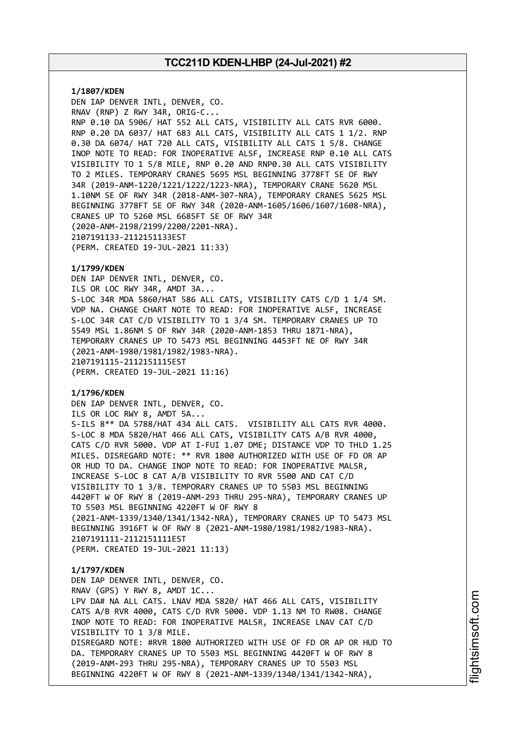**1/1807/KDEN** DEN IAP DENVER INTL, DENVER, CO. RNAV (RNP) Z RWY 34R, ORIG-C... RNP 0.10 DA 5906/ HAT 552 ALL CATS, VISIBILITY ALL CATS RVR 6000. RNP 0.20 DA 6037/ HAT 683 ALL CATS, VISIBILITY ALL CATS 1 1/2. RNP 0.30 DA 6074/ HAT 720 ALL CATS, VISIBILITY ALL CATS 1 5/8. CHANGE INOP NOTE TO READ: FOR INOPERATIVE ALSF, INCREASE RNP 0.10 ALL CATS VISIBILITY TO 1 5/8 MILE, RNP 0.20 AND RNP0.30 ALL CATS VISIBILITY TO 2 MILES. TEMPORARY CRANES 5695 MSL BEGINNING 3778FT SE OF RWY 34R (2019-ANM-1220/1221/1222/1223-NRA), TEMPORARY CRANE 5620 MSL 1.10NM SE OF RWY 34R (2018-ANM-307-NRA), TEMPORARY CRANES 5625 MSL BEGINNING 3778FT SE OF RWY 34R (2020-ANM-1605/1606/1607/1608-NRA), CRANES UP TO 5260 MSL 6685FT SE OF RWY 34R (2020-ANM-2198/2199/2200/2201-NRA). 2107191133-2112151133EST (PERM. CREATED 19-JUL-2021 11:33)

## **1/1799/KDEN**

DEN IAP DENVER INTL, DENVER, CO. ILS OR LOC RWY 34R, AMDT 3A... S-LOC 34R MDA 5860/HAT 586 ALL CATS, VISIBILITY CATS C/D 1 1/4 SM. VDP NA. CHANGE CHART NOTE TO READ: FOR INOPERATIVE ALSF, INCREASE S-LOC 34R CAT C/D VISIBILITY TO 1 3/4 SM. TEMPORARY CRANES UP TO 5549 MSL 1.86NM S OF RWY 34R (2020-ANM-1853 THRU 1871-NRA), TEMPORARY CRANES UP TO 5473 MSL BEGINNING 4453FT NE OF RWY 34R (2021-ANM-1980/1981/1982/1983-NRA). 2107191115-2112151115EST (PERM. CREATED 19-JUL-2021 11:16)

# **1/1796/KDEN**

DEN IAP DENVER INTL, DENVER, CO. ILS OR LOC RWY 8, AMDT 5A... S-ILS 8\*\* DA 5788/HAT 434 ALL CATS. VISIBILITY ALL CATS RVR 4000. S-LOC 8 MDA 5820/HAT 466 ALL CATS, VISIBILITY CATS A/B RVR 4000, CATS C/D RVR 5000. VDP AT I-FUI 1.07 DME; DISTANCE VDP TO THLD 1.25 MILES. DISREGARD NOTE: \*\* RVR 1800 AUTHORIZED WITH USE OF FD OR AP OR HUD TO DA. CHANGE INOP NOTE TO READ: FOR INOPERATIVE MALSR, INCREASE S-LOC 8 CAT A/B VISIBILITY TO RVR 5500 AND CAT C/D VISIBILITY TO 1 3/8. TEMPORARY CRANES UP TO 5503 MSL BEGINNING 4420FT W OF RWY 8 (2019-ANM-293 THRU 295-NRA), TEMPORARY CRANES UP TO 5503 MSL BEGINNING 4220FT W OF RWY 8 (2021-ANM-1339/1340/1341/1342-NRA), TEMPORARY CRANES UP TO 5473 MSL BEGINNING 3916FT W OF RWY 8 (2021-ANM-1980/1981/1982/1983-NRA). 2107191111-2112151111EST (PERM. CREATED 19-JUL-2021 11:13)

#### **1/1797/KDEN**

DEN IAP DENVER INTL, DENVER, CO. RNAV (GPS) Y RWY 8, AMDT 1C... LPV DA# NA ALL CATS. LNAV MDA 5820/ HAT 466 ALL CATS, VISIBILITY CATS A/B RVR 4000, CATS C/D RVR 5000. VDP 1.13 NM TO RW08. CHANGE INOP NOTE TO READ: FOR INOPERATIVE MALSR, INCREASE LNAV CAT C/D VISIBILITY TO 1 3/8 MILE. DISREGARD NOTE: #RVR 1800 AUTHORIZED WITH USE OF FD OR AP OR HUD TO DA. TEMPORARY CRANES UP TO 5503 MSL BEGINNING 4420FT W OF RWY 8 (2019-ANM-293 THRU 295-NRA), TEMPORARY CRANES UP TO 5503 MSL BEGINNING 4220FT W OF RWY 8 (2021-ANM-1339/1340/1341/1342-NRA),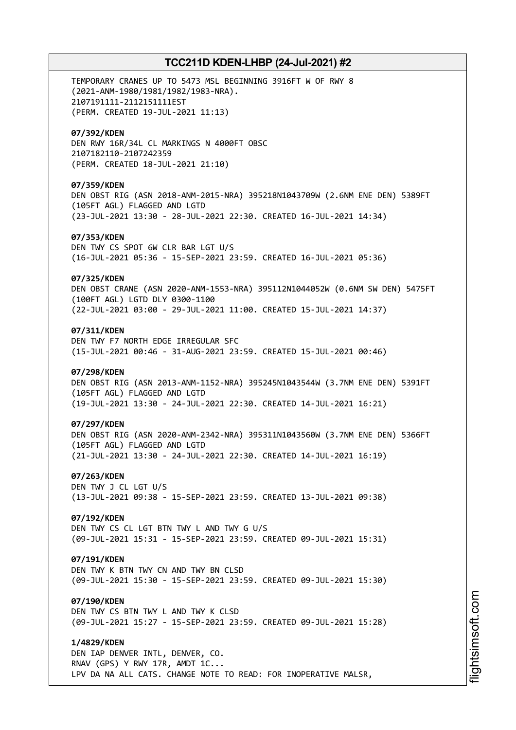TEMPORARY CRANES UP TO 5473 MSL BEGINNING 3916FT W OF RWY 8 (2021-ANM-1980/1981/1982/1983-NRA). 2107191111-2112151111EST (PERM. CREATED 19-JUL-2021 11:13) **07/392/KDEN** DEN RWY 16R/34L CL MARKINGS N 4000FT OBSC 2107182110-2107242359 (PERM. CREATED 18-JUL-2021 21:10) **07/359/KDEN** DEN OBST RIG (ASN 2018-ANM-2015-NRA) 395218N1043709W (2.6NM ENE DEN) 5389FT (105FT AGL) FLAGGED AND LGTD (23-JUL-2021 13:30 - 28-JUL-2021 22:30. CREATED 16-JUL-2021 14:34) **07/353/KDEN** DEN TWY CS SPOT 6W CLR BAR LGT U/S (16-JUL-2021 05:36 - 15-SEP-2021 23:59. CREATED 16-JUL-2021 05:36) **07/325/KDEN** DEN OBST CRANE (ASN 2020-ANM-1553-NRA) 395112N1044052W (0.6NM SW DEN) 5475FT (100FT AGL) LGTD DLY 0300-1100 (22-JUL-2021 03:00 - 29-JUL-2021 11:00. CREATED 15-JUL-2021 14:37) **07/311/KDEN** DEN TWY F7 NORTH EDGE IRREGULAR SFC (15-JUL-2021 00:46 - 31-AUG-2021 23:59. CREATED 15-JUL-2021 00:46) **07/298/KDEN** DEN OBST RIG (ASN 2013-ANM-1152-NRA) 395245N1043544W (3.7NM ENE DEN) 5391FT (105FT AGL) FLAGGED AND LGTD (19-JUL-2021 13:30 - 24-JUL-2021 22:30. CREATED 14-JUL-2021 16:21) **07/297/KDEN** DEN OBST RIG (ASN 2020-ANM-2342-NRA) 395311N1043560W (3.7NM ENE DEN) 5366FT (105FT AGL) FLAGGED AND LGTD (21-JUL-2021 13:30 - 24-JUL-2021 22:30. CREATED 14-JUL-2021 16:19) **07/263/KDEN** DEN TWY J CL LGT U/S (13-JUL-2021 09:38 - 15-SEP-2021 23:59. CREATED 13-JUL-2021 09:38) **07/192/KDEN** DEN TWY CS CL LGT BTN TWY L AND TWY G U/S (09-JUL-2021 15:31 - 15-SEP-2021 23:59. CREATED 09-JUL-2021 15:31) **07/191/KDEN** DEN TWY K BTN TWY CN AND TWY BN CLSD (09-JUL-2021 15:30 - 15-SEP-2021 23:59. CREATED 09-JUL-2021 15:30) **07/190/KDEN** DEN TWY CS BTN TWY L AND TWY K CLSD (09-JUL-2021 15:27 - 15-SEP-2021 23:59. CREATED 09-JUL-2021 15:28) **1/4829/KDEN** DEN IAP DENVER INTL, DENVER, CO. RNAV (GPS) Y RWY 17R, AMDT 1C... LPV DA NA ALL CATS. CHANGE NOTE TO READ: FOR INOPERATIVE MALSR,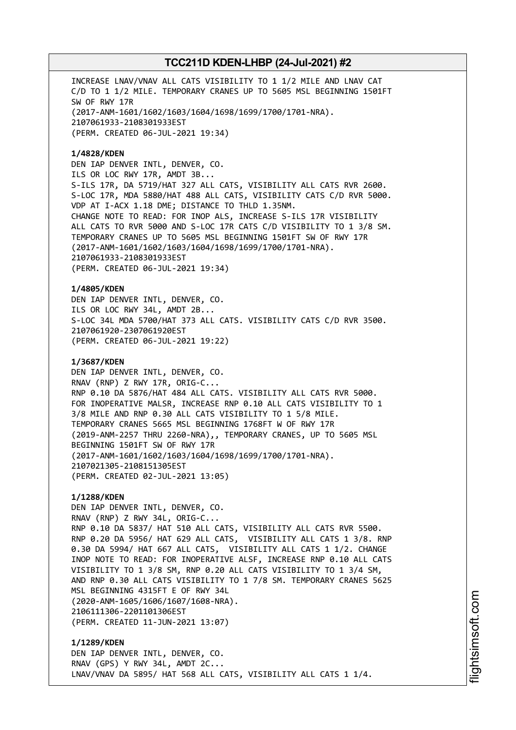INCREASE LNAV/VNAV ALL CATS VISIBILITY TO 1 1/2 MILE AND LNAV CAT C/D TO 1 1/2 MILE. TEMPORARY CRANES UP TO 5605 MSL BEGINNING 1501FT SW OF RWY 17R (2017-ANM-1601/1602/1603/1604/1698/1699/1700/1701-NRA). 2107061933-2108301933EST (PERM. CREATED 06-JUL-2021 19:34)

# **1/4828/KDEN**

DEN IAP DENVER INTL, DENVER, CO. ILS OR LOC RWY 17R, AMDT 3B... S-ILS 17R, DA 5719/HAT 327 ALL CATS, VISIBILITY ALL CATS RVR 2600. S-LOC 17R, MDA 5880/HAT 488 ALL CATS, VISIBILITY CATS C/D RVR 5000. VDP AT I-ACX 1.18 DME; DISTANCE TO THLD 1.35NM. CHANGE NOTE TO READ: FOR INOP ALS, INCREASE S-ILS 17R VISIBILITY ALL CATS TO RVR 5000 AND S-LOC 17R CATS C/D VISIBILITY TO 1 3/8 SM. TEMPORARY CRANES UP TO 5605 MSL BEGINNING 1501FT SW OF RWY 17R (2017-ANM-1601/1602/1603/1604/1698/1699/1700/1701-NRA). 2107061933-2108301933EST (PERM. CREATED 06-JUL-2021 19:34)

**1/4805/KDEN** DEN IAP DENVER INTL, DENVER, CO. ILS OR LOC RWY 34L, AMDT 2B... S-LOC 34L MDA 5700/HAT 373 ALL CATS. VISIBILITY CATS C/D RVR 3500. 2107061920-2307061920EST (PERM. CREATED 06-JUL-2021 19:22)

## **1/3687/KDEN**

DEN IAP DENVER INTL, DENVER, CO. RNAV (RNP) Z RWY 17R, ORIG-C... RNP 0.10 DA 5876/HAT 484 ALL CATS. VISIBILITY ALL CATS RVR 5000. FOR INOPERATIVE MALSR, INCREASE RNP 0.10 ALL CATS VISIBILITY TO 1 3/8 MILE AND RNP 0.30 ALL CATS VISIBILITY TO 1 5/8 MILE. TEMPORARY CRANES 5665 MSL BEGINNING 1768FT W OF RWY 17R (2019-ANM-2257 THRU 2260-NRA),, TEMPORARY CRANES, UP TO 5605 MSL BEGINNING 1501FT SW OF RWY 17R (2017-ANM-1601/1602/1603/1604/1698/1699/1700/1701-NRA). 2107021305-2108151305EST (PERM. CREATED 02-JUL-2021 13:05)

# **1/1288/KDEN**

DEN IAP DENVER INTL, DENVER, CO. RNAV (RNP) Z RWY 34L, ORIG-C... RNP 0.10 DA 5837/ HAT 510 ALL CATS, VISIBILITY ALL CATS RVR 5500. RNP 0.20 DA 5956/ HAT 629 ALL CATS, VISIBILITY ALL CATS 1 3/8. RNP 0.30 DA 5994/ HAT 667 ALL CATS, VISIBILITY ALL CATS 1 1/2. CHANGE INOP NOTE TO READ: FOR INOPERATIVE ALSF, INCREASE RNP 0.10 ALL CATS VISIBILITY TO 1 3/8 SM, RNP 0.20 ALL CATS VISIBILITY TO 1 3/4 SM, AND RNP 0.30 ALL CATS VISIBILITY TO 1 7/8 SM. TEMPORARY CRANES 5625 MSL BEGINNING 4315FT E OF RWY 34L (2020-ANM-1605/1606/1607/1608-NRA). 2106111306-2201101306EST (PERM. CREATED 11-JUN-2021 13:07)

**1/1289/KDEN** DEN IAP DENVER INTL, DENVER, CO. RNAV (GPS) Y RWY 34L, AMDT 2C... LNAV/VNAV DA 5895/ HAT 568 ALL CATS, VISIBILITY ALL CATS 1 1/4.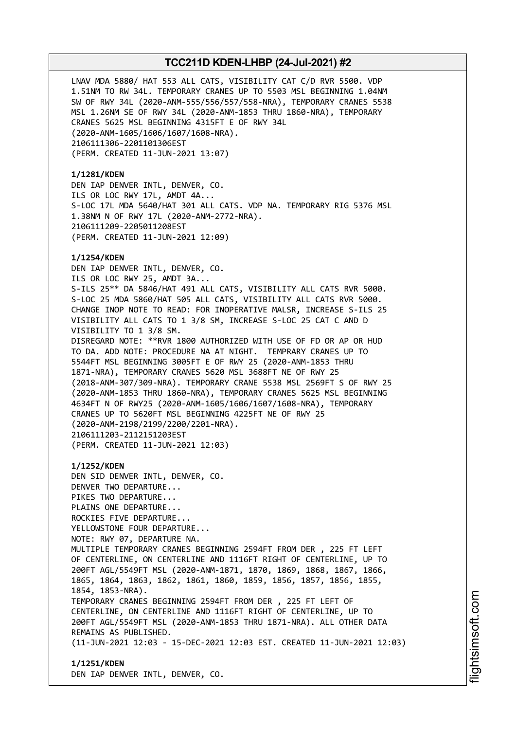LNAV MDA 5880/ HAT 553 ALL CATS, VISIBILITY CAT C/D RVR 5500. VDP 1.51NM TO RW 34L. TEMPORARY CRANES UP TO 5503 MSL BEGINNING 1.04NM SW OF RWY 34L (2020-ANM-555/556/557/558-NRA), TEMPORARY CRANES 5538 MSL 1.26NM SE OF RWY 34L (2020-ANM-1853 THRU 1860-NRA), TEMPORARY CRANES 5625 MSL BEGINNING 4315FT E OF RWY 34L (2020-ANM-1605/1606/1607/1608-NRA). 2106111306-2201101306EST (PERM. CREATED 11-JUN-2021 13:07)

# **1/1281/KDEN**

DEN IAP DENVER INTL, DENVER, CO. ILS OR LOC RWY 17L, AMDT 4A... S-LOC 17L MDA 5640/HAT 301 ALL CATS. VDP NA. TEMPORARY RIG 5376 MSL 1.38NM N OF RWY 17L (2020-ANM-2772-NRA). 2106111209-2205011208EST (PERM. CREATED 11-JUN-2021 12:09)

# **1/1254/KDEN**

DEN IAP DENVER INTL, DENVER, CO. ILS OR LOC RWY 25, AMDT 3A... S-ILS 25\*\* DA 5846/HAT 491 ALL CATS, VISIBILITY ALL CATS RVR 5000. S-LOC 25 MDA 5860/HAT 505 ALL CATS, VISIBILITY ALL CATS RVR 5000. CHANGE INOP NOTE TO READ: FOR INOPERATIVE MALSR, INCREASE S-ILS 25 VISIBILITY ALL CATS TO 1 3/8 SM, INCREASE S-LOC 25 CAT C AND D VISIBILITY TO 1 3/8 SM. DISREGARD NOTE: \*\*RVR 1800 AUTHORIZED WITH USE OF FD OR AP OR HUD TO DA. ADD NOTE: PROCEDURE NA AT NIGHT. TEMPRARY CRANES UP TO 5544FT MSL BEGINNING 3005FT E OF RWY 25 (2020-ANM-1853 THRU 1871-NRA), TEMPORARY CRANES 5620 MSL 3688FT NE OF RWY 25 (2018-ANM-307/309-NRA). TEMPORARY CRANE 5538 MSL 2569FT S OF RWY 25 (2020-ANM-1853 THRU 1860-NRA), TEMPORARY CRANES 5625 MSL BEGINNING 4634FT N OF RWY25 (2020-ANM-1605/1606/1607/1608-NRA), TEMPORARY CRANES UP TO 5620FT MSL BEGINNING 4225FT NE OF RWY 25 (2020-ANM-2198/2199/2200/2201-NRA). 2106111203-2112151203EST (PERM. CREATED 11-JUN-2021 12:03)

**1/1252/KDEN** DEN SID DENVER INTL, DENVER, CO. DENVER TWO DEPARTURE... PIKES TWO DEPARTURE... PLAINS ONE DEPARTURE... ROCKIES FIVE DEPARTURE... YELLOWSTONE FOUR DEPARTURE... NOTE: RWY 07, DEPARTURE NA. MULTIPLE TEMPORARY CRANES BEGINNING 2594FT FROM DER , 225 FT LEFT OF CENTERLINE, ON CENTERLINE AND 1116FT RIGHT OF CENTERLINE, UP TO 200FT AGL/5549FT MSL (2020-ANM-1871, 1870, 1869, 1868, 1867, 1866, 1865, 1864, 1863, 1862, 1861, 1860, 1859, 1856, 1857, 1856, 1855, 1854, 1853-NRA). TEMPORARY CRANES BEGINNING 2594FT FROM DER , 225 FT LEFT OF CENTERLINE, ON CENTERLINE AND 1116FT RIGHT OF CENTERLINE, UP TO 200FT AGL/5549FT MSL (2020-ANM-1853 THRU 1871-NRA). ALL OTHER DATA REMAINS AS PUBLISHED. (11-JUN-2021 12:03 - 15-DEC-2021 12:03 EST. CREATED 11-JUN-2021 12:03)

**1/1251/KDEN** DEN IAP DENVER INTL, DENVER, CO.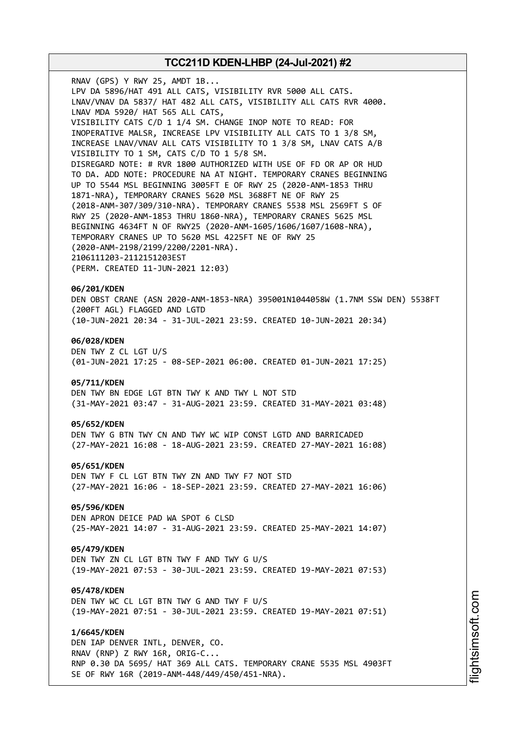RNAV (GPS) Y RWY 25, AMDT 1B... LPV DA 5896/HAT 491 ALL CATS, VISIBILITY RVR 5000 ALL CATS. LNAV/VNAV DA 5837/ HAT 482 ALL CATS, VISIBILITY ALL CATS RVR 4000. LNAV MDA 5920/ HAT 565 ALL CATS, VISIBILITY CATS C/D 1 1/4 SM. CHANGE INOP NOTE TO READ: FOR INOPERATIVE MALSR, INCREASE LPV VISIBILITY ALL CATS TO 1 3/8 SM, INCREASE LNAV/VNAV ALL CATS VISIBILITY TO 1 3/8 SM, LNAV CATS A/B VISIBILITY TO 1 SM, CATS C/D TO 1 5/8 SM. DISREGARD NOTE: # RVR 1800 AUTHORIZED WITH USE OF FD OR AP OR HUD TO DA. ADD NOTE: PROCEDURE NA AT NIGHT. TEMPORARY CRANES BEGINNING UP TO 5544 MSL BEGINNING 3005FT E OF RWY 25 (2020-ANM-1853 THRU 1871-NRA), TEMPORARY CRANES 5620 MSL 3688FT NE OF RWY 25 (2018-ANM-307/309/310-NRA). TEMPORARY CRANES 5538 MSL 2569FT S OF RWY 25 (2020-ANM-1853 THRU 1860-NRA), TEMPORARY CRANES 5625 MSL BEGINNING 4634FT N OF RWY25 (2020-ANM-1605/1606/1607/1608-NRA), TEMPORARY CRANES UP TO 5620 MSL 4225FT NE OF RWY 25 (2020-ANM-2198/2199/2200/2201-NRA). 2106111203-2112151203EST (PERM. CREATED 11-JUN-2021 12:03) **06/201/KDEN**

DEN OBST CRANE (ASN 2020-ANM-1853-NRA) 395001N1044058W (1.7NM SSW DEN) 5538FT (200FT AGL) FLAGGED AND LGTD (10-JUN-2021 20:34 - 31-JUL-2021 23:59. CREATED 10-JUN-2021 20:34)

## **06/028/KDEN**

DEN TWY Z CL LGT U/S (01-JUN-2021 17:25 - 08-SEP-2021 06:00. CREATED 01-JUN-2021 17:25)

#### **05/711/KDEN**

DEN TWY BN EDGE LGT BTN TWY K AND TWY L NOT STD (31-MAY-2021 03:47 - 31-AUG-2021 23:59. CREATED 31-MAY-2021 03:48)

## **05/652/KDEN**

DEN TWY G BTN TWY CN AND TWY WC WIP CONST LGTD AND BARRICADED (27-MAY-2021 16:08 - 18-AUG-2021 23:59. CREATED 27-MAY-2021 16:08)

#### **05/651/KDEN**

DEN TWY F CL LGT BTN TWY ZN AND TWY F7 NOT STD (27-MAY-2021 16:06 - 18-SEP-2021 23:59. CREATED 27-MAY-2021 16:06)

# **05/596/KDEN**

DEN APRON DEICE PAD WA SPOT 6 CLSD (25-MAY-2021 14:07 - 31-AUG-2021 23:59. CREATED 25-MAY-2021 14:07)

## **05/479/KDEN**

DEN TWY ZN CL LGT BTN TWY F AND TWY G U/S (19-MAY-2021 07:53 - 30-JUL-2021 23:59. CREATED 19-MAY-2021 07:53)

#### **05/478/KDEN**

DEN TWY WC CL LGT BTN TWY G AND TWY F U/S (19-MAY-2021 07:51 - 30-JUL-2021 23:59. CREATED 19-MAY-2021 07:51)

## **1/6645/KDEN**

DEN IAP DENVER INTL, DENVER, CO. RNAV (RNP) Z RWY 16R, ORIG-C... RNP 0.30 DA 5695/ HAT 369 ALL CATS. TEMPORARY CRANE 5535 MSL 4903FT SE OF RWY 16R (2019-ANM-448/449/450/451-NRA).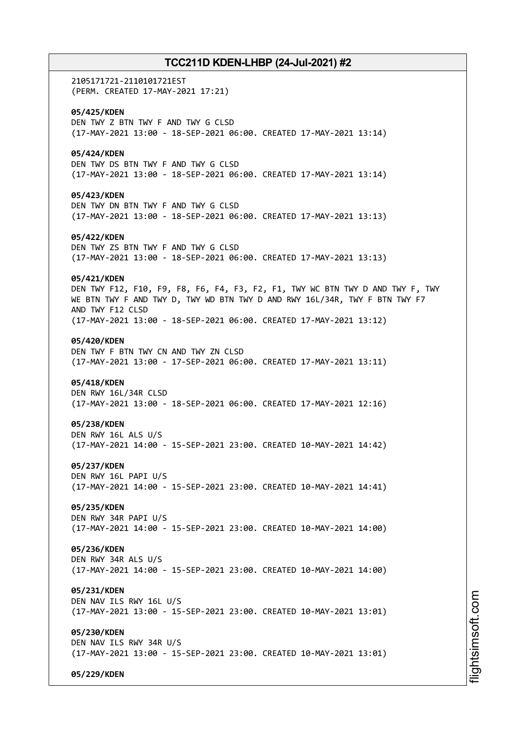2105171721-2110101721EST (PERM. CREATED 17-MAY-2021 17:21) **05/425/KDEN** DEN TWY Z BTN TWY F AND TWY G CLSD (17-MAY-2021 13:00 - 18-SEP-2021 06:00. CREATED 17-MAY-2021 13:14) **05/424/KDEN** DEN TWY DS BTN TWY F AND TWY G CLSD (17-MAY-2021 13:00 - 18-SEP-2021 06:00. CREATED 17-MAY-2021 13:14) **05/423/KDEN** DEN TWY DN BTN TWY F AND TWY G CLSD (17-MAY-2021 13:00 - 18-SEP-2021 06:00. CREATED 17-MAY-2021 13:13) **05/422/KDEN** DEN TWY ZS BTN TWY F AND TWY G CLSD (17-MAY-2021 13:00 - 18-SEP-2021 06:00. CREATED 17-MAY-2021 13:13) **05/421/KDEN** DEN TWY F12, F10, F9, F8, F6, F4, F3, F2, F1, TWY WC BTN TWY D AND TWY F, TWY WE BTN TWY F AND TWY D, TWY WD BTN TWY D AND RWY 16L/34R, TWY F BTN TWY F7 AND TWY F12 CLSD (17-MAY-2021 13:00 - 18-SEP-2021 06:00. CREATED 17-MAY-2021 13:12) **05/420/KDEN** DEN TWY F BTN TWY CN AND TWY ZN CLSD (17-MAY-2021 13:00 - 17-SEP-2021 06:00. CREATED 17-MAY-2021 13:11) **05/418/KDEN** DEN RWY 16L/34R CLSD (17-MAY-2021 13:00 - 18-SEP-2021 06:00. CREATED 17-MAY-2021 12:16) **05/238/KDEN** DEN RWY 16L ALS U/S (17-MAY-2021 14:00 - 15-SEP-2021 23:00. CREATED 10-MAY-2021 14:42) **05/237/KDEN** DEN RWY 16L PAPI U/S (17-MAY-2021 14:00 - 15-SEP-2021 23:00. CREATED 10-MAY-2021 14:41) **05/235/KDEN** DEN RWY 34R PAPI U/S (17-MAY-2021 14:00 - 15-SEP-2021 23:00. CREATED 10-MAY-2021 14:00) **05/236/KDEN** DEN RWY 34R ALS U/S (17-MAY-2021 14:00 - 15-SEP-2021 23:00. CREATED 10-MAY-2021 14:00) **05/231/KDEN** DEN NAV ILS RWY 16L U/S (17-MAY-2021 13:00 - 15-SEP-2021 23:00. CREATED 10-MAY-2021 13:01) **05/230/KDEN** DEN NAV ILS RWY 34R U/S (17-MAY-2021 13:00 - 15-SEP-2021 23:00. CREATED 10-MAY-2021 13:01) **05/229/KDEN**

m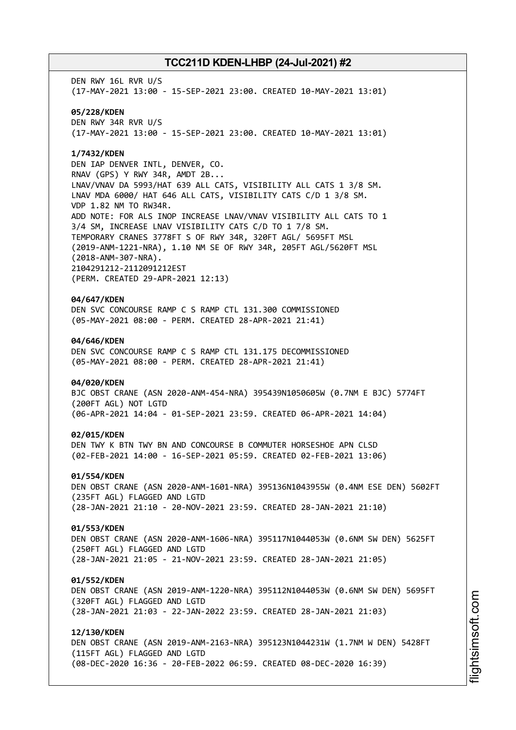DEN RWY 16L RVR U/S (17-MAY-2021 13:00 - 15-SEP-2021 23:00. CREATED 10-MAY-2021 13:01) **05/228/KDEN** DEN RWY 34R RVR U/S (17-MAY-2021 13:00 - 15-SEP-2021 23:00. CREATED 10-MAY-2021 13:01) **1/7432/KDEN**

DEN IAP DENVER INTL, DENVER, CO. RNAV (GPS) Y RWY 34R, AMDT 2B... LNAV/VNAV DA 5993/HAT 639 ALL CATS, VISIBILITY ALL CATS 1 3/8 SM. LNAV MDA 6000/ HAT 646 ALL CATS, VISIBILITY CATS C/D 1 3/8 SM. VDP 1.82 NM TO RW34R. ADD NOTE: FOR ALS INOP INCREASE LNAV/VNAV VISIBILITY ALL CATS TO 1 3/4 SM, INCREASE LNAV VISIBILITY CATS C/D TO 1 7/8 SM. TEMPORARY CRANES 3778FT S OF RWY 34R, 320FT AGL/ 5695FT MSL (2019-ANM-1221-NRA), 1.10 NM SE OF RWY 34R, 205FT AGL/5620FT MSL (2018-ANM-307-NRA). 2104291212-2112091212EST (PERM. CREATED 29-APR-2021 12:13)

# **04/647/KDEN**

DEN SVC CONCOURSE RAMP C S RAMP CTL 131.300 COMMISSIONED (05-MAY-2021 08:00 - PERM. CREATED 28-APR-2021 21:41)

#### **04/646/KDEN**

DEN SVC CONCOURSE RAMP C S RAMP CTL 131.175 DECOMMISSIONED (05-MAY-2021 08:00 - PERM. CREATED 28-APR-2021 21:41)

## **04/020/KDEN**

BJC OBST CRANE (ASN 2020-ANM-454-NRA) 395439N1050605W (0.7NM E BJC) 5774FT (200FT AGL) NOT LGTD (06-APR-2021 14:04 - 01-SEP-2021 23:59. CREATED 06-APR-2021 14:04)

#### **02/015/KDEN**

DEN TWY K BTN TWY BN AND CONCOURSE B COMMUTER HORSESHOE APN CLSD (02-FEB-2021 14:00 - 16-SEP-2021 05:59. CREATED 02-FEB-2021 13:06)

#### **01/554/KDEN**

DEN OBST CRANE (ASN 2020-ANM-1601-NRA) 395136N1043955W (0.4NM ESE DEN) 5602FT (235FT AGL) FLAGGED AND LGTD (28-JAN-2021 21:10 - 20-NOV-2021 23:59. CREATED 28-JAN-2021 21:10)

# **01/553/KDEN**

DEN OBST CRANE (ASN 2020-ANM-1606-NRA) 395117N1044053W (0.6NM SW DEN) 5625FT (250FT AGL) FLAGGED AND LGTD (28-JAN-2021 21:05 - 21-NOV-2021 23:59. CREATED 28-JAN-2021 21:05)

#### **01/552/KDEN**

DEN OBST CRANE (ASN 2019-ANM-1220-NRA) 395112N1044053W (0.6NM SW DEN) 5695FT (320FT AGL) FLAGGED AND LGTD (28-JAN-2021 21:03 - 22-JAN-2022 23:59. CREATED 28-JAN-2021 21:03)

## **12/130/KDEN**

DEN OBST CRANE (ASN 2019-ANM-2163-NRA) 395123N1044231W (1.7NM W DEN) 5428FT (115FT AGL) FLAGGED AND LGTD (08-DEC-2020 16:36 - 20-FEB-2022 06:59. CREATED 08-DEC-2020 16:39)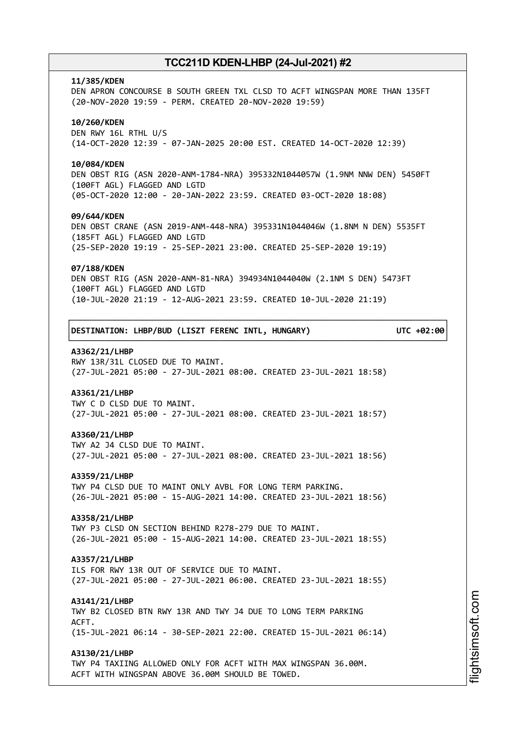#### **11/385/KDEN**

DEN APRON CONCOURSE B SOUTH GREEN TXL CLSD TO ACFT WINGSPAN MORE THAN 135FT (20-NOV-2020 19:59 - PERM. CREATED 20-NOV-2020 19:59)

# **10/260/KDEN**

DEN RWY 16L RTHL U/S (14-OCT-2020 12:39 - 07-JAN-2025 20:00 EST. CREATED 14-OCT-2020 12:39)

#### **10/084/KDEN**

DEN OBST RIG (ASN 2020-ANM-1784-NRA) 395332N1044057W (1.9NM NNW DEN) 5450FT (100FT AGL) FLAGGED AND LGTD (05-OCT-2020 12:00 - 20-JAN-2022 23:59. CREATED 03-OCT-2020 18:08)

## **09/644/KDEN**

DEN OBST CRANE (ASN 2019-ANM-448-NRA) 395331N1044046W (1.8NM N DEN) 5535FT (185FT AGL) FLAGGED AND LGTD (25-SEP-2020 19:19 - 25-SEP-2021 23:00. CREATED 25-SEP-2020 19:19)

#### **07/188/KDEN**

DEN OBST RIG (ASN 2020-ANM-81-NRA) 394934N1044040W (2.1NM S DEN) 5473FT (100FT AGL) FLAGGED AND LGTD (10-JUL-2020 21:19 - 12-AUG-2021 23:59. CREATED 10-JUL-2020 21:19)

┌──────────────────────────────────────────────────────────────────────────────┐

└──────────────────────────────────────────────────────────────────────────────┘

│**DESTINATION: LHBP/BUD (LISZT FERENC INTL, HUNGARY) UTC +02:00**│

## **A3362/21/LHBP**

RWY 13R/31L CLOSED DUE TO MAINT. (27-JUL-2021 05:00 - 27-JUL-2021 08:00. CREATED 23-JUL-2021 18:58)

# **A3361/21/LHBP**

TWY C D CLSD DUE TO MAINT. (27-JUL-2021 05:00 - 27-JUL-2021 08:00. CREATED 23-JUL-2021 18:57)

#### **A3360/21/LHBP**

TWY A2 J4 CLSD DUE TO MAINT. (27-JUL-2021 05:00 - 27-JUL-2021 08:00. CREATED 23-JUL-2021 18:56)

## **A3359/21/LHBP**

TWY P4 CLSD DUE TO MAINT ONLY AVBL FOR LONG TERM PARKING. (26-JUL-2021 05:00 - 15-AUG-2021 14:00. CREATED 23-JUL-2021 18:56)

#### **A3358/21/LHBP**

TWY P3 CLSD ON SECTION BEHIND R278-279 DUE TO MAINT. (26-JUL-2021 05:00 - 15-AUG-2021 14:00. CREATED 23-JUL-2021 18:55)

## **A3357/21/LHBP**

ILS FOR RWY 13R OUT OF SERVICE DUE TO MAINT. (27-JUL-2021 05:00 - 27-JUL-2021 06:00. CREATED 23-JUL-2021 18:55)

## **A3141/21/LHBP**

TWY B2 CLOSED BTN RWY 13R AND TWY J4 DUE TO LONG TERM PARKING ACFT. (15-JUL-2021 06:14 - 30-SEP-2021 22:00. CREATED 15-JUL-2021 06:14)

#### **A3130/21/LHBP**

TWY P4 TAXIING ALLOWED ONLY FOR ACFT WITH MAX WINGSPAN 36.00M. ACFT WITH WINGSPAN ABOVE 36.00M SHOULD BE TOWED.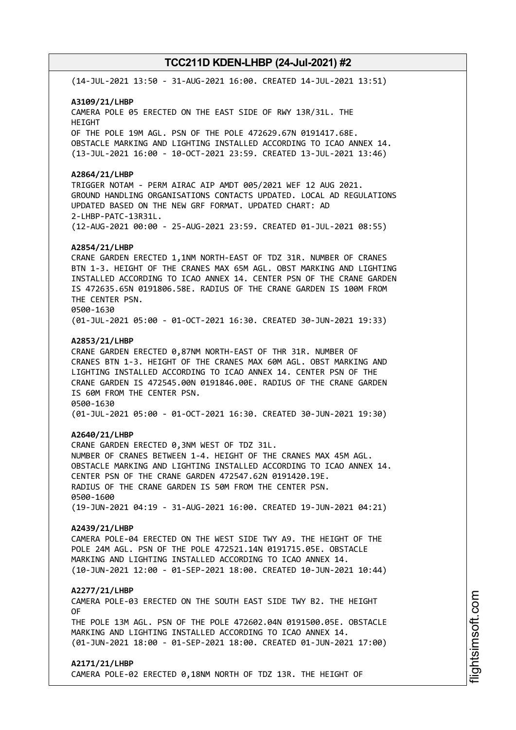(14-JUL-2021 13:50 - 31-AUG-2021 16:00. CREATED 14-JUL-2021 13:51)

## **A3109/21/LHBP**

CAMERA POLE 05 ERECTED ON THE EAST SIDE OF RWY 13R/31L. THE HEIGHT OF THE POLE 19M AGL. PSN OF THE POLE 472629.67N 0191417.68E. OBSTACLE MARKING AND LIGHTING INSTALLED ACCORDING TO ICAO ANNEX 14. (13-JUL-2021 16:00 - 10-OCT-2021 23:59. CREATED 13-JUL-2021 13:46)

# **A2864/21/LHBP**

TRIGGER NOTAM - PERM AIRAC AIP AMDT 005/2021 WEF 12 AUG 2021. GROUND HANDLING ORGANISATIONS CONTACTS UPDATED. LOCAL AD REGULATIONS UPDATED BASED ON THE NEW GRF FORMAT. UPDATED CHART: AD 2-LHBP-PATC-13R31L. (12-AUG-2021 00:00 - 25-AUG-2021 23:59. CREATED 01-JUL-2021 08:55)

## **A2854/21/LHBP**

CRANE GARDEN ERECTED 1,1NM NORTH-EAST OF TDZ 31R. NUMBER OF CRANES BTN 1-3. HEIGHT OF THE CRANES MAX 65M AGL. OBST MARKING AND LIGHTING INSTALLED ACCORDING TO ICAO ANNEX 14. CENTER PSN OF THE CRANE GARDEN IS 472635.65N 0191806.58E. RADIUS OF THE CRANE GARDEN IS 100M FROM THE CENTER PSN. 0500-1630

# (01-JUL-2021 05:00 - 01-OCT-2021 16:30. CREATED 30-JUN-2021 19:33)

## **A2853/21/LHBP**

CRANE GARDEN ERECTED 0,87NM NORTH-EAST OF THR 31R. NUMBER OF CRANES BTN 1-3. HEIGHT OF THE CRANES MAX 60M AGL. OBST MARKING AND LIGHTING INSTALLED ACCORDING TO ICAO ANNEX 14. CENTER PSN OF THE CRANE GARDEN IS 472545.00N 0191846.00E. RADIUS OF THE CRANE GARDEN IS 60M FROM THE CENTER PSN. 0500-1630 (01-JUL-2021 05:00 - 01-OCT-2021 16:30. CREATED 30-JUN-2021 19:30)

#### **A2640/21/LHBP**

CRANE GARDEN ERECTED 0,3NM WEST OF TDZ 31L. NUMBER OF CRANES BETWEEN 1-4. HEIGHT OF THE CRANES MAX 45M AGL. OBSTACLE MARKING AND LIGHTING INSTALLED ACCORDING TO ICAO ANNEX 14. CENTER PSN OF THE CRANE GARDEN 472547.62N 0191420.19E. RADIUS OF THE CRANE GARDEN IS 50M FROM THE CENTER PSN. 0500-1600 (19-JUN-2021 04:19 - 31-AUG-2021 16:00. CREATED 19-JUN-2021 04:21)

# **A2439/21/LHBP**

CAMERA POLE-04 ERECTED ON THE WEST SIDE TWY A9. THE HEIGHT OF THE POLE 24M AGL. PSN OF THE POLE 472521.14N 0191715.05E. OBSTACLE MARKING AND LIGHTING INSTALLED ACCORDING TO ICAO ANNEX 14. (10-JUN-2021 12:00 - 01-SEP-2021 18:00. CREATED 10-JUN-2021 10:44)

#### **A2277/21/LHBP**

CAMERA POLE-03 ERECTED ON THE SOUTH EAST SIDE TWY B2. THE HEIGHT OF

THE POLE 13M AGL. PSN OF THE POLE 472602.04N 0191500.05E. OBSTACLE MARKING AND LIGHTING INSTALLED ACCORDING TO ICAO ANNEX 14. (01-JUN-2021 18:00 - 01-SEP-2021 18:00. CREATED 01-JUN-2021 17:00)

# **A2171/21/LHBP**

CAMERA POLE-02 ERECTED 0,18NM NORTH OF TDZ 13R. THE HEIGHT OF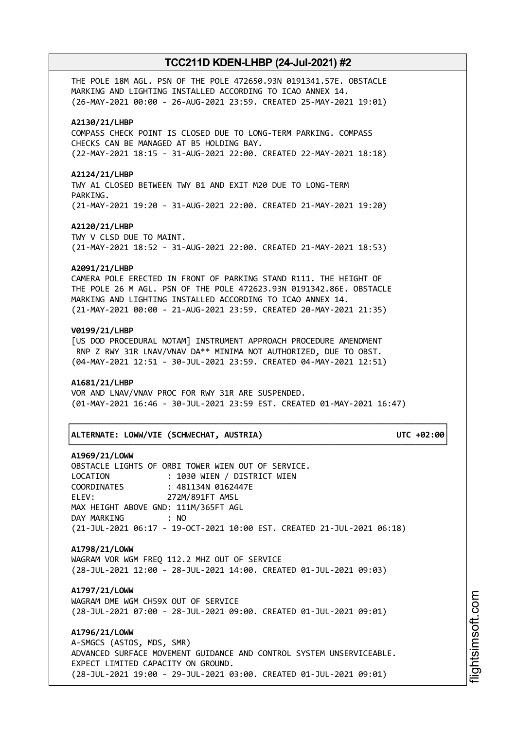THE POLE 18M AGL. PSN OF THE POLE 472650.93N 0191341.57E. OBSTACLE MARKING AND LIGHTING INSTALLED ACCORDING TO ICAO ANNEX 14. (26-MAY-2021 00:00 - 26-AUG-2021 23:59. CREATED 25-MAY-2021 19:01)

## **A2130/21/LHBP**

COMPASS CHECK POINT IS CLOSED DUE TO LONG-TERM PARKING. COMPASS CHECKS CAN BE MANAGED AT B5 HOLDING BAY. (22-MAY-2021 18:15 - 31-AUG-2021 22:00. CREATED 22-MAY-2021 18:18)

#### **A2124/21/LHBP**

TWY A1 CLOSED BETWEEN TWY B1 AND EXIT M20 DUE TO LONG-TERM PARKING. (21-MAY-2021 19:20 - 31-AUG-2021 22:00. CREATED 21-MAY-2021 19:20)

#### **A2120/21/LHBP**

TWY V CLSD DUE TO MAINT. (21-MAY-2021 18:52 - 31-AUG-2021 22:00. CREATED 21-MAY-2021 18:53)

#### **A2091/21/LHBP**

CAMERA POLE ERECTED IN FRONT OF PARKING STAND R111. THE HEIGHT OF THE POLE 26 M AGL. PSN OF THE POLE 472623.93N 0191342.86E. OBSTACLE MARKING AND LIGHTING INSTALLED ACCORDING TO ICAO ANNEX 14. (21-MAY-2021 00:00 - 21-AUG-2021 23:59. CREATED 20-MAY-2021 21:35)

## **V0199/21/LHBP**

[US DOD PROCEDURAL NOTAM] INSTRUMENT APPROACH PROCEDURE AMENDMENT RNP Z RWY 31R LNAV/VNAV DA\*\* MINIMA NOT AUTHORIZED, DUE TO OBST. (04-MAY-2021 12:51 - 30-JUL-2021 23:59. CREATED 04-MAY-2021 12:51)

## **A1681/21/LHBP**

VOR AND LNAV/VNAV PROC FOR RWY 31R ARE SUSPENDED. (01-MAY-2021 16:46 - 30-JUL-2021 23:59 EST. CREATED 01-MAY-2021 16:47)

└──────────────────────────────────────────────────────────────────────────────┘

#### │**ALTERNATE: LOWW/VIE (SCHWECHAT, AUSTRIA) UTC +02:00**│

┌──────────────────────────────────────────────────────────────────────────────┐

# **A1969/21/LOWW**

OBSTACLE LIGHTS OF ORBI TOWER WIEN OUT OF SERVICE. LOCATION : 1030 WIEN / DISTRICT WIEN COORDINATES : 481134N 0162447E ELEV: 272M/891FT AMSL MAX HEIGHT ABOVE GND: 111M/365FT AGL DAY MARKING : NO (21-JUL-2021 06:17 - 19-OCT-2021 10:00 EST. CREATED 21-JUL-2021 06:18)

# **A1798/21/LOWW**

WAGRAM VOR WGM FREQ 112.2 MHZ OUT OF SERVICE (28-JUL-2021 12:00 - 28-JUL-2021 14:00. CREATED 01-JUL-2021 09:03)

# **A1797/21/LOWW**

WAGRAM DME WGM CH59X OUT OF SERVICE (28-JUL-2021 07:00 - 28-JUL-2021 09:00. CREATED 01-JUL-2021 09:01)

# **A1796/21/LOWW**

A-SMGCS (ASTOS, MDS, SMR) ADVANCED SURFACE MOVEMENT GUIDANCE AND CONTROL SYSTEM UNSERVICEABLE. EXPECT LIMITED CAPACITY ON GROUND. (28-JUL-2021 19:00 - 29-JUL-2021 03:00. CREATED 01-JUL-2021 09:01)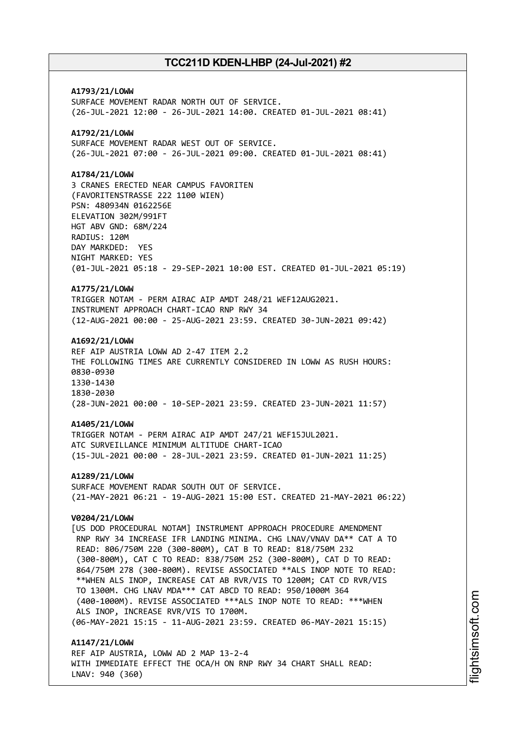**A1793/21/LOWW** SURFACE MOVEMENT RADAR NORTH OUT OF SERVICE. (26-JUL-2021 12:00 - 26-JUL-2021 14:00. CREATED 01-JUL-2021 08:41) **A1792/21/LOWW** SURFACE MOVEMENT RADAR WEST OUT OF SERVICE. (26-JUL-2021 07:00 - 26-JUL-2021 09:00. CREATED 01-JUL-2021 08:41) **A1784/21/LOWW** 3 CRANES ERECTED NEAR CAMPUS FAVORITEN (FAVORITENSTRASSE 222 1100 WIEN) PSN: 480934N 0162256E ELEVATION 302M/991FT HGT ABV GND: 68M/224 RADIUS: 120M DAY MARKDED: YES NIGHT MARKED: YES (01-JUL-2021 05:18 - 29-SEP-2021 10:00 EST. CREATED 01-JUL-2021 05:19) **A1775/21/LOWW** TRIGGER NOTAM - PERM AIRAC AIP AMDT 248/21 WEF12AUG2021. INSTRUMENT APPROACH CHART-ICAO RNP RWY 34 (12-AUG-2021 00:00 - 25-AUG-2021 23:59. CREATED 30-JUN-2021 09:42) **A1692/21/LOWW** REF AIP AUSTRIA LOWW AD 2-47 ITEM 2.2 THE FOLLOWING TIMES ARE CURRENTLY CONSIDERED IN LOWW AS RUSH HOURS: 0830-0930 1330-1430 1830-2030 (28-JUN-2021 00:00 - 10-SEP-2021 23:59. CREATED 23-JUN-2021 11:57) **A1405/21/LOWW** TRIGGER NOTAM - PERM AIRAC AIP AMDT 247/21 WEF15JUL2021. ATC SURVEILLANCE MINIMUM ALTITUDE CHART-ICAO (15-JUL-2021 00:00 - 28-JUL-2021 23:59. CREATED 01-JUN-2021 11:25) **A1289/21/LOWW** SURFACE MOVEMENT RADAR SOUTH OUT OF SERVICE. (21-MAY-2021 06:21 - 19-AUG-2021 15:00 EST. CREATED 21-MAY-2021 06:22) **V0204/21/LOWW** [US DOD PROCEDURAL NOTAM] INSTRUMENT APPROACH PROCEDURE AMENDMENT RNP RWY 34 INCREASE IFR LANDING MINIMA. CHG LNAV/VNAV DA\*\* CAT A TO READ: 806/750M 220 (300-800M), CAT B TO READ: 818/750M 232 (300-800M), CAT C TO READ: 838/750M 252 (300-800M), CAT D TO READ: 864/750M 278 (300-800M). REVISE ASSOCIATED \*\*ALS INOP NOTE TO READ: \*\*WHEN ALS INOP, INCREASE CAT AB RVR/VIS TO 1200M; CAT CD RVR/VIS TO 1300M. CHG LNAV MDA\*\*\* CAT ABCD TO READ: 950/1000M 364 (400-1000M). REVISE ASSOCIATED \*\*\*ALS INOP NOTE TO READ: \*\*\*WHEN ALS INOP, INCREASE RVR/VIS TO 1700M. (06-MAY-2021 15:15 - 11-AUG-2021 23:59. CREATED 06-MAY-2021 15:15) **A1147/21/LOWW** REF AIP AUSTRIA, LOWW AD 2 MAP 13-2-4

WITH IMMEDIATE EFFECT THE OCA/H ON RNP RWY 34 CHART SHALL READ: LNAV: 940 (360)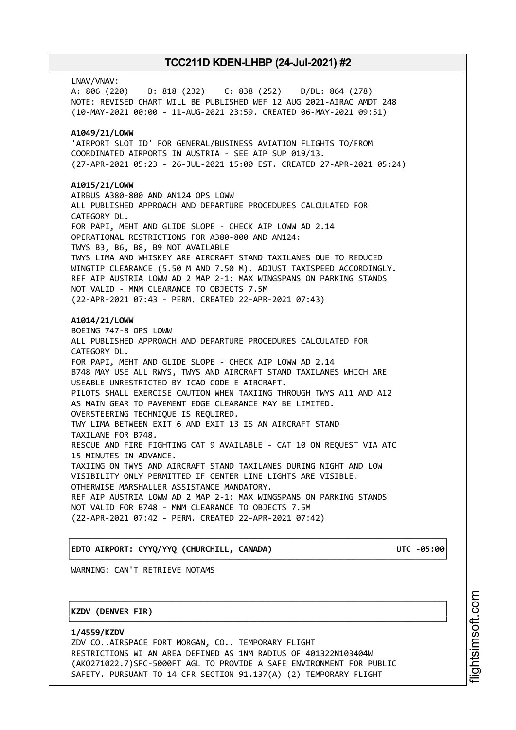LNAV/VNAV: A: 806 (220) B: 818 (232) C: 838 (252) D/DL: 864 (278) NOTE: REVISED CHART WILL BE PUBLISHED WEF 12 AUG 2021-AIRAC AMDT 248 (10-MAY-2021 00:00 - 11-AUG-2021 23:59. CREATED 06-MAY-2021 09:51) **A1049/21/LOWW** 'AIRPORT SLOT ID' FOR GENERAL/BUSINESS AVIATION FLIGHTS TO/FROM COORDINATED AIRPORTS IN AUSTRIA - SEE AIP SUP 019/13. (27-APR-2021 05:23 - 26-JUL-2021 15:00 EST. CREATED 27-APR-2021 05:24) **A1015/21/LOWW** AIRBUS A380-800 AND AN124 OPS LOWW ALL PUBLISHED APPROACH AND DEPARTURE PROCEDURES CALCULATED FOR CATEGORY DL. FOR PAPI, MEHT AND GLIDE SLOPE - CHECK AIP LOWW AD 2.14 OPERATIONAL RESTRICTIONS FOR A380-800 AND AN124: TWYS B3, B6, B8, B9 NOT AVAILABLE TWYS LIMA AND WHISKEY ARE AIRCRAFT STAND TAXILANES DUE TO REDUCED WINGTIP CLEARANCE (5.50 M AND 7.50 M). ADJUST TAXISPEED ACCORDINGLY. REF AIP AUSTRIA LOWW AD 2 MAP 2-1: MAX WINGSPANS ON PARKING STANDS NOT VALID - MNM CLEARANCE TO OBJECTS 7.5M (22-APR-2021 07:43 - PERM. CREATED 22-APR-2021 07:43) **A1014/21/LOWW** BOEING 747-8 OPS LOWW ALL PUBLISHED APPROACH AND DEPARTURE PROCEDURES CALCULATED FOR CATEGORY DL. FOR PAPI, MEHT AND GLIDE SLOPE - CHECK AIP LOWW AD 2.14 B748 MAY USE ALL RWYS, TWYS AND AIRCRAFT STAND TAXILANES WHICH ARE USEABLE UNRESTRICTED BY ICAO CODE E AIRCRAFT. PILOTS SHALL EXERCISE CAUTION WHEN TAXIING THROUGH TWYS A11 AND A12 AS MAIN GEAR TO PAVEMENT EDGE CLEARANCE MAY BE LIMITED. OVERSTEERING TECHNIQUE IS REQUIRED. TWY LIMA BETWEEN EXIT 6 AND EXIT 13 IS AN AIRCRAFT STAND TAXILANE FOR B748. RESCUE AND FIRE FIGHTING CAT 9 AVAILABLE - CAT 10 ON REQUEST VIA ATC 15 MINUTES IN ADVANCE. TAXIING ON TWYS AND AIRCRAFT STAND TAXILANES DURING NIGHT AND LOW VISIBILITY ONLY PERMITTED IF CENTER LINE LIGHTS ARE VISIBLE. OTHERWISE MARSHALLER ASSISTANCE MANDATORY. REF AIP AUSTRIA LOWW AD 2 MAP 2-1: MAX WINGSPANS ON PARKING STANDS NOT VALID FOR B748 - MNM CLEARANCE TO OBJECTS 7.5M (22-APR-2021 07:42 - PERM. CREATED 22-APR-2021 07:42)

# │**EDTO AIRPORT: CYYQ/YYQ (CHURCHILL, CANADA) UTC -05:00**│

┌──────────────────────────────────────────────────────────────────────────────┐

└──────────────────────────────────────────────────────────────────────────────┘ WARNING: CAN'T RETRIEVE NOTAMS

# │**KZDV (DENVER FIR)** │

**1/4559/KZDV** ZDV CO..AIRSPACE FORT MORGAN, CO.. TEMPORARY FLIGHT RESTRICTIONS WI AN AREA DEFINED AS 1NM RADIUS OF 401322N103404W (AKO271022.7)SFC-5000FT AGL TO PROVIDE A SAFE ENVIRONMENT FOR PUBLIC SAFETY. PURSUANT TO 14 CFR SECTION 91.137(A) (2) TEMPORARY FLIGHT

┌──────────────────────────────────────────────────────────────────────────────┐

└──────────────────────────────────────────────────────────────────────────────┘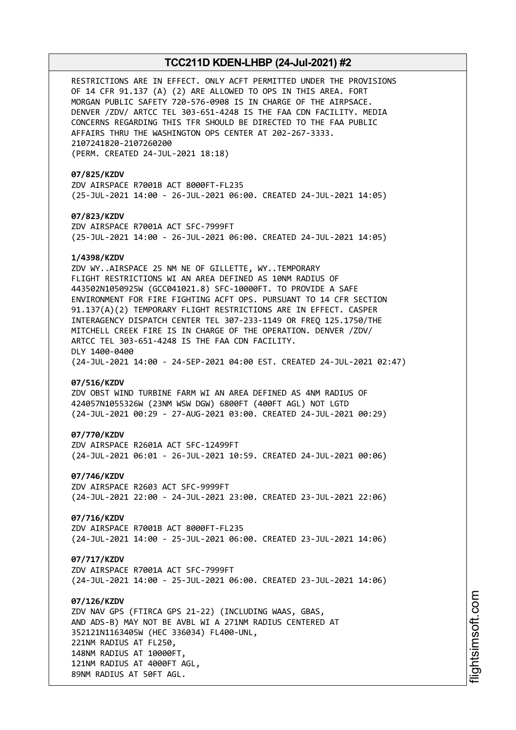RESTRICTIONS ARE IN EFFECT. ONLY ACFT PERMITTED UNDER THE PROVISIONS OF 14 CFR 91.137 (A) (2) ARE ALLOWED TO OPS IN THIS AREA. FORT MORGAN PUBLIC SAFETY 720-576-0908 IS IN CHARGE OF THE AIRPSACE. DENVER /ZDV/ ARTCC TEL 303-651-4248 IS THE FAA CDN FACILITY. MEDIA CONCERNS REGARDING THIS TFR SHOULD BE DIRECTED TO THE FAA PUBLIC AFFAIRS THRU THE WASHINGTON OPS CENTER AT 202-267-3333. 2107241820-2107260200 (PERM. CREATED 24-JUL-2021 18:18)

**07/825/KZDV** ZDV AIRSPACE R7001B ACT 8000FT-FL235 (25-JUL-2021 14:00 - 26-JUL-2021 06:00. CREATED 24-JUL-2021 14:05)

**07/823/KZDV** ZDV AIRSPACE R7001A ACT SFC-7999FT (25-JUL-2021 14:00 - 26-JUL-2021 06:00. CREATED 24-JUL-2021 14:05)

## **1/4398/KZDV**

ZDV WY..AIRSPACE 25 NM NE OF GILLETTE, WY..TEMPORARY FLIGHT RESTRICTIONS WI AN AREA DEFINED AS 10NM RADIUS OF 443502N1050925W (GCC041021.8) SFC-10000FT. TO PROVIDE A SAFE ENVIRONMENT FOR FIRE FIGHTING ACFT OPS. PURSUANT TO 14 CFR SECTION 91.137(A)(2) TEMPORARY FLIGHT RESTRICTIONS ARE IN EFFECT. CASPER INTERAGENCY DISPATCH CENTER TEL 307-233-1149 OR FREQ 125.1750/THE MITCHELL CREEK FIRE IS IN CHARGE OF THE OPERATION. DENVER /ZDV/ ARTCC TEL 303-651-4248 IS THE FAA CDN FACILITY. DLY 1400-0400 (24-JUL-2021 14:00 - 24-SEP-2021 04:00 EST. CREATED 24-JUL-2021 02:47)

# **07/516/KZDV**

ZDV OBST WIND TURBINE FARM WI AN AREA DEFINED AS 4NM RADIUS OF 424057N1055326W (23NM WSW DGW) 6800FT (400FT AGL) NOT LGTD (24-JUL-2021 00:29 - 27-AUG-2021 03:00. CREATED 24-JUL-2021 00:29)

#### **07/770/KZDV**

ZDV AIRSPACE R2601A ACT SFC-12499FT (24-JUL-2021 06:01 - 26-JUL-2021 10:59. CREATED 24-JUL-2021 00:06)

## **07/746/KZDV**

ZDV AIRSPACE R2603 ACT SFC-9999FT (24-JUL-2021 22:00 - 24-JUL-2021 23:00. CREATED 23-JUL-2021 22:06)

# **07/716/KZDV**

ZDV AIRSPACE R7001B ACT 8000FT-FL235 (24-JUL-2021 14:00 - 25-JUL-2021 06:00. CREATED 23-JUL-2021 14:06)

## **07/717/KZDV**

ZDV AIRSPACE R7001A ACT SFC-7999FT (24-JUL-2021 14:00 - 25-JUL-2021 06:00. CREATED 23-JUL-2021 14:06)

# **07/126/KZDV**

ZDV NAV GPS (FTIRCA GPS 21-22) (INCLUDING WAAS, GBAS, AND ADS-B) MAY NOT BE AVBL WI A 271NM RADIUS CENTERED AT 352121N1163405W (HEC 336034) FL400-UNL, 221NM RADIUS AT FL250, 148NM RADIUS AT 10000FT, 121NM RADIUS AT 4000FT AGL, 89NM RADIUS AT 50FT AGL.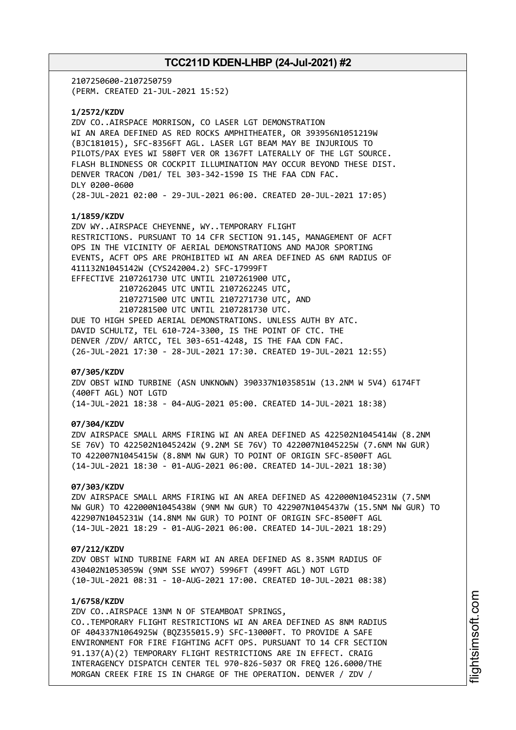2107250600-2107250759 (PERM. CREATED 21-JUL-2021 15:52)

**1/2572/KZDV**

ZDV CO..AIRSPACE MORRISON, CO LASER LGT DEMONSTRATION WI AN AREA DEFINED AS RED ROCKS AMPHITHEATER, OR 393956N1051219W (BJC181015), SFC-8356FT AGL. LASER LGT BEAM MAY BE INJURIOUS TO PILOTS/PAX EYES WI 580FT VER OR 1367FT LATERALLY OF THE LGT SOURCE. FLASH BLINDNESS OR COCKPIT ILLUMINATION MAY OCCUR BEYOND THESE DIST. DENVER TRACON /D01/ TEL 303-342-1590 IS THE FAA CDN FAC. DLY 0200-0600 (28-JUL-2021 02:00 - 29-JUL-2021 06:00. CREATED 20-JUL-2021 17:05)

## **1/1859/KZDV**

ZDV WY..AIRSPACE CHEYENNE, WY..TEMPORARY FLIGHT RESTRICTIONS. PURSUANT TO 14 CFR SECTION 91.145, MANAGEMENT OF ACFT OPS IN THE VICINITY OF AERIAL DEMONSTRATIONS AND MAJOR SPORTING EVENTS, ACFT OPS ARE PROHIBITED WI AN AREA DEFINED AS 6NM RADIUS OF 411132N1045142W (CYS242004.2) SFC-17999FT EFFECTIVE 2107261730 UTC UNTIL 2107261900 UTC, 2107262045 UTC UNTIL 2107262245 UTC, 2107271500 UTC UNTIL 2107271730 UTC, AND 2107281500 UTC UNTIL 2107281730 UTC. DUE TO HIGH SPEED AERIAL DEMONSTRATIONS. UNLESS AUTH BY ATC. DAVID SCHULTZ, TEL 610-724-3300, IS THE POINT OF CTC. THE DENVER /ZDV/ ARTCC, TEL 303-651-4248, IS THE FAA CDN FAC. (26-JUL-2021 17:30 - 28-JUL-2021 17:30. CREATED 19-JUL-2021 12:55)

#### **07/305/KZDV**

ZDV OBST WIND TURBINE (ASN UNKNOWN) 390337N1035851W (13.2NM W 5V4) 6174FT (400FT AGL) NOT LGTD (14-JUL-2021 18:38 - 04-AUG-2021 05:00. CREATED 14-JUL-2021 18:38)

# **07/304/KZDV**

ZDV AIRSPACE SMALL ARMS FIRING WI AN AREA DEFINED AS 422502N1045414W (8.2NM SE 76V) TO 422502N1045242W (9.2NM SE 76V) TO 422007N1045225W (7.6NM NW GUR) TO 422007N1045415W (8.8NM NW GUR) TO POINT OF ORIGIN SFC-8500FT AGL (14-JUL-2021 18:30 - 01-AUG-2021 06:00. CREATED 14-JUL-2021 18:30)

## **07/303/KZDV**

ZDV AIRSPACE SMALL ARMS FIRING WI AN AREA DEFINED AS 422000N1045231W (7.5NM NW GUR) TO 422000N1045438W (9NM NW GUR) TO 422907N1045437W (15.5NM NW GUR) TO 422907N1045231W (14.8NM NW GUR) TO POINT OF ORIGIN SFC-8500FT AGL (14-JUL-2021 18:29 - 01-AUG-2021 06:00. CREATED 14-JUL-2021 18:29)

## **07/212/KZDV**

ZDV OBST WIND TURBINE FARM WI AN AREA DEFINED AS 8.35NM RADIUS OF 430402N1053059W (9NM SSE WYO7) 5996FT (499FT AGL) NOT LGTD (10-JUL-2021 08:31 - 10-AUG-2021 17:00. CREATED 10-JUL-2021 08:38)

# **1/6758/KZDV**

ZDV CO..AIRSPACE 13NM N OF STEAMBOAT SPRINGS, CO..TEMPORARY FLIGHT RESTRICTIONS WI AN AREA DEFINED AS 8NM RADIUS OF 404337N1064925W (BQZ355015.9) SFC-13000FT. TO PROVIDE A SAFE ENVIRONMENT FOR FIRE FIGHTING ACFT OPS. PURSUANT TO 14 CFR SECTION 91.137(A)(2) TEMPORARY FLIGHT RESTRICTIONS ARE IN EFFECT. CRAIG INTERAGENCY DISPATCH CENTER TEL 970-826-5037 OR FREQ 126.6000/THE MORGAN CREEK FIRE IS IN CHARGE OF THE OPERATION. DENVER / ZDV /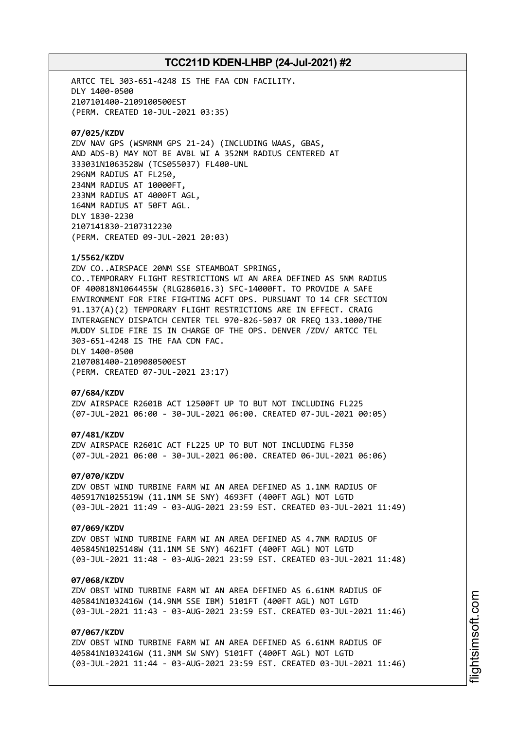ARTCC TEL 303-651-4248 IS THE FAA CDN FACILITY. DLY 1400-0500 2107101400-2109100500EST (PERM. CREATED 10-JUL-2021 03:35) **07/025/KZDV** ZDV NAV GPS (WSMRNM GPS 21-24) (INCLUDING WAAS, GBAS, AND ADS-B) MAY NOT BE AVBL WI A 352NM RADIUS CENTERED AT 333031N1063528W (TCS055037) FL400-UNL 296NM RADIUS AT FL250, 234NM RADIUS AT 10000FT, 233NM RADIUS AT 4000FT AGL, 164NM RADIUS AT 50FT AGL. DLY 1830-2230 2107141830-2107312230 (PERM. CREATED 09-JUL-2021 20:03) **1/5562/KZDV** ZDV CO..AIRSPACE 20NM SSE STEAMBOAT SPRINGS, CO..TEMPORARY FLIGHT RESTRICTIONS WI AN AREA DEFINED AS 5NM RADIUS OF 400818N1064455W (RLG286016.3) SFC-14000FT. TO PROVIDE A SAFE ENVIRONMENT FOR FIRE FIGHTING ACFT OPS. PURSUANT TO 14 CFR SECTION 91.137(A)(2) TEMPORARY FLIGHT RESTRICTIONS ARE IN EFFECT. CRAIG INTERAGENCY DISPATCH CENTER TEL 970-826-5037 OR FREQ 133.1000/THE MUDDY SLIDE FIRE IS IN CHARGE OF THE OPS. DENVER /ZDV/ ARTCC TEL 303-651-4248 IS THE FAA CDN FAC. DLY 1400-0500 2107081400-2109080500EST (PERM. CREATED 07-JUL-2021 23:17) **07/684/KZDV** ZDV AIRSPACE R2601B ACT 12500FT UP TO BUT NOT INCLUDING FL225 (07-JUL-2021 06:00 - 30-JUL-2021 06:00. CREATED 07-JUL-2021 00:05) **07/481/KZDV** ZDV AIRSPACE R2601C ACT FL225 UP TO BUT NOT INCLUDING FL350 (07-JUL-2021 06:00 - 30-JUL-2021 06:00. CREATED 06-JUL-2021 06:06) **07/070/KZDV** ZDV OBST WIND TURBINE FARM WI AN AREA DEFINED AS 1.1NM RADIUS OF 405917N1025519W (11.1NM SE SNY) 4693FT (400FT AGL) NOT LGTD (03-JUL-2021 11:49 - 03-AUG-2021 23:59 EST. CREATED 03-JUL-2021 11:49) **07/069/KZDV** ZDV OBST WIND TURBINE FARM WI AN AREA DEFINED AS 4.7NM RADIUS OF 405845N1025148W (11.1NM SE SNY) 4621FT (400FT AGL) NOT LGTD (03-JUL-2021 11:48 - 03-AUG-2021 23:59 EST. CREATED 03-JUL-2021 11:48) **07/068/KZDV** ZDV OBST WIND TURBINE FARM WI AN AREA DEFINED AS 6.61NM RADIUS OF

405841N1032416W (14.9NM SSE IBM) 5101FT (400FT AGL) NOT LGTD (03-JUL-2021 11:43 - 03-AUG-2021 23:59 EST. CREATED 03-JUL-2021 11:46)

# **07/067/KZDV**

ZDV OBST WIND TURBINE FARM WI AN AREA DEFINED AS 6.61NM RADIUS OF 405841N1032416W (11.3NM SW SNY) 5101FT (400FT AGL) NOT LGTD (03-JUL-2021 11:44 - 03-AUG-2021 23:59 EST. CREATED 03-JUL-2021 11:46)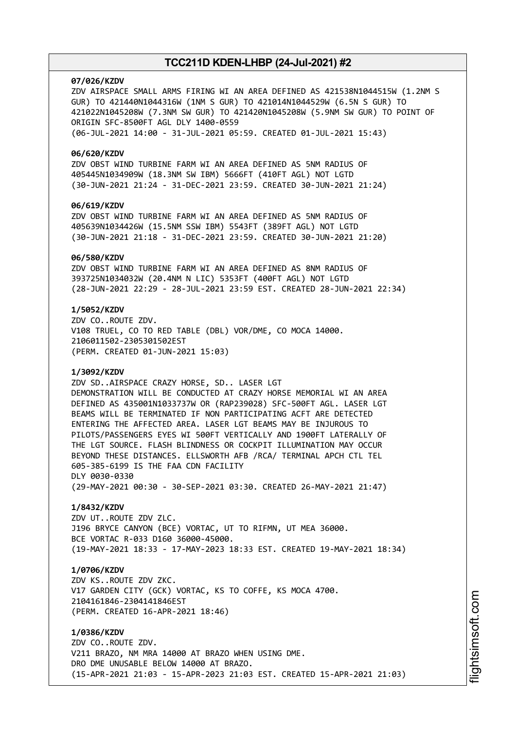## **07/026/KZDV**

ZDV AIRSPACE SMALL ARMS FIRING WI AN AREA DEFINED AS 421538N1044515W (1.2NM S GUR) TO 421440N1044316W (1NM S GUR) TO 421014N1044529W (6.5N S GUR) TO 421022N1045208W (7.3NM SW GUR) TO 421420N1045208W (5.9NM SW GUR) TO POINT OF ORIGIN SFC-8500FT AGL DLY 1400-0559 (06-JUL-2021 14:00 - 31-JUL-2021 05:59. CREATED 01-JUL-2021 15:43)

#### **06/620/KZDV**

ZDV OBST WIND TURBINE FARM WI AN AREA DEFINED AS 5NM RADIUS OF 405445N1034909W (18.3NM SW IBM) 5666FT (410FT AGL) NOT LGTD (30-JUN-2021 21:24 - 31-DEC-2021 23:59. CREATED 30-JUN-2021 21:24)

# **06/619/KZDV**

ZDV OBST WIND TURBINE FARM WI AN AREA DEFINED AS 5NM RADIUS OF 405639N1034426W (15.5NM SSW IBM) 5543FT (389FT AGL) NOT LGTD (30-JUN-2021 21:18 - 31-DEC-2021 23:59. CREATED 30-JUN-2021 21:20)

## **06/580/KZDV**

ZDV OBST WIND TURBINE FARM WI AN AREA DEFINED AS 8NM RADIUS OF 393725N1034032W (20.4NM N LIC) 5353FT (400FT AGL) NOT LGTD (28-JUN-2021 22:29 - 28-JUL-2021 23:59 EST. CREATED 28-JUN-2021 22:34)

# **1/5052/KZDV**

ZDV CO..ROUTE ZDV. V108 TRUEL, CO TO RED TABLE (DBL) VOR/DME, CO MOCA 14000. 2106011502-2305301502EST (PERM. CREATED 01-JUN-2021 15:03)

## **1/3092/KZDV**

ZDV SD..AIRSPACE CRAZY HORSE, SD.. LASER LGT DEMONSTRATION WILL BE CONDUCTED AT CRAZY HORSE MEMORIAL WI AN AREA DEFINED AS 435001N1033737W OR (RAP239028) SFC-500FT AGL. LASER LGT BEAMS WILL BE TERMINATED IF NON PARTICIPATING ACFT ARE DETECTED ENTERING THE AFFECTED AREA. LASER LGT BEAMS MAY BE INJUROUS TO PILOTS/PASSENGERS EYES WI 500FT VERTICALLY AND 1900FT LATERALLY OF THE LGT SOURCE. FLASH BLINDNESS OR COCKPIT ILLUMINATION MAY OCCUR BEYOND THESE DISTANCES. ELLSWORTH AFB /RCA/ TERMINAL APCH CTL TEL 605-385-6199 IS THE FAA CDN FACILITY DLY 0030-0330 (29-MAY-2021 00:30 - 30-SEP-2021 03:30. CREATED 26-MAY-2021 21:47)

#### **1/8432/KZDV**

ZDV UT..ROUTE ZDV ZLC. J196 BRYCE CANYON (BCE) VORTAC, UT TO RIFMN, UT MEA 36000. BCE VORTAC R-033 D160 36000-45000. (19-MAY-2021 18:33 - 17-MAY-2023 18:33 EST. CREATED 19-MAY-2021 18:34)

# **1/0706/KZDV**

ZDV KS..ROUTE ZDV ZKC. V17 GARDEN CITY (GCK) VORTAC, KS TO COFFE, KS MOCA 4700. 2104161846-2304141846EST (PERM. CREATED 16-APR-2021 18:46)

**1/0386/KZDV** ZDV CO..ROUTE ZDV. V211 BRAZO, NM MRA 14000 AT BRAZO WHEN USING DME. DRO DME UNUSABLE BELOW 14000 AT BRAZO. (15-APR-2021 21:03 - 15-APR-2023 21:03 EST. CREATED 15-APR-2021 21:03)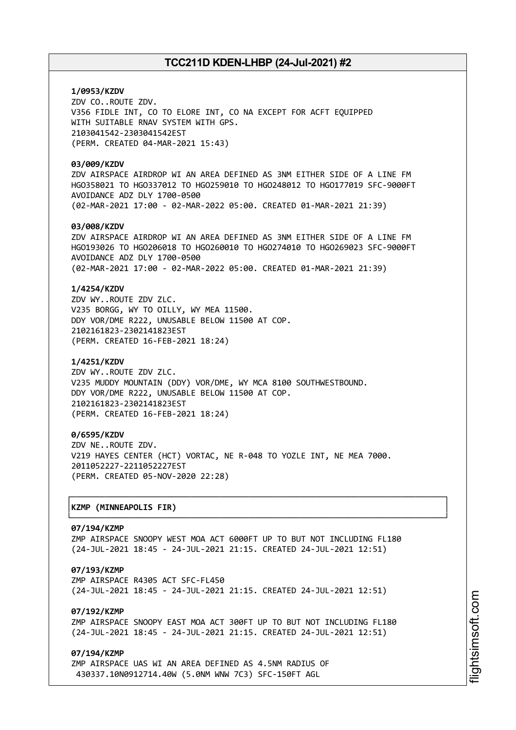# **1/0953/KZDV** ZDV CO..ROUTE ZDV. V356 FIDLE INT, CO TO ELORE INT, CO NA EXCEPT FOR ACFT EQUIPPED WITH SUITABLE RNAV SYSTEM WITH GPS. 2103041542-2303041542EST (PERM. CREATED 04-MAR-2021 15:43)

## **03/009/KZDV**

ZDV AIRSPACE AIRDROP WI AN AREA DEFINED AS 3NM EITHER SIDE OF A LINE FM HGO358021 TO HGO337012 TO HGO259010 TO HGO248012 TO HGO177019 SFC-9000FT AVOIDANCE ADZ DLY 1700-0500 (02-MAR-2021 17:00 - 02-MAR-2022 05:00. CREATED 01-MAR-2021 21:39)

# **03/008/KZDV**

ZDV AIRSPACE AIRDROP WI AN AREA DEFINED AS 3NM EITHER SIDE OF A LINE FM HGO193026 TO HGO206018 TO HGO260010 TO HGO274010 TO HGO269023 SFC-9000FT AVOIDANCE ADZ DLY 1700-0500 (02-MAR-2021 17:00 - 02-MAR-2022 05:00. CREATED 01-MAR-2021 21:39)

## **1/4254/KZDV**

ZDV WY..ROUTE ZDV ZLC. V235 BORGG, WY TO OILLY, WY MEA 11500. DDY VOR/DME R222, UNUSABLE BELOW 11500 AT COP. 2102161823-2302141823EST (PERM. CREATED 16-FEB-2021 18:24)

## **1/4251/KZDV**

ZDV WY..ROUTE ZDV ZLC. V235 MUDDY MOUNTAIN (DDY) VOR/DME, WY MCA 8100 SOUTHWESTBOUND. DDY VOR/DME R222, UNUSABLE BELOW 11500 AT COP. 2102161823-2302141823EST (PERM. CREATED 16-FEB-2021 18:24)

# **0/6595/KZDV**

ZDV NE..ROUTE ZDV. V219 HAYES CENTER (HCT) VORTAC, NE R-048 TO YOZLE INT, NE MEA 7000. 2011052227-2211052227EST (PERM. CREATED 05-NOV-2020 22:28)

# │**KZMP (MINNEAPOLIS FIR)** │

#### **07/194/KZMP**

ZMP AIRSPACE SNOOPY WEST MOA ACT 6000FT UP TO BUT NOT INCLUDING FL180 (24-JUL-2021 18:45 - 24-JUL-2021 21:15. CREATED 24-JUL-2021 12:51)

┌──────────────────────────────────────────────────────────────────────────────┐

└──────────────────────────────────────────────────────────────────────────────┘

# **07/193/KZMP**

ZMP AIRSPACE R4305 ACT SFC-FL450 (24-JUL-2021 18:45 - 24-JUL-2021 21:15. CREATED 24-JUL-2021 12:51)

# **07/192/KZMP**

ZMP AIRSPACE SNOOPY EAST MOA ACT 300FT UP TO BUT NOT INCLUDING FL180 (24-JUL-2021 18:45 - 24-JUL-2021 21:15. CREATED 24-JUL-2021 12:51)

## **07/194/KZMP**

ZMP AIRSPACE UAS WI AN AREA DEFINED AS 4.5NM RADIUS OF 430337.10N0912714.40W (5.0NM WNW 7C3) SFC-150FT AGL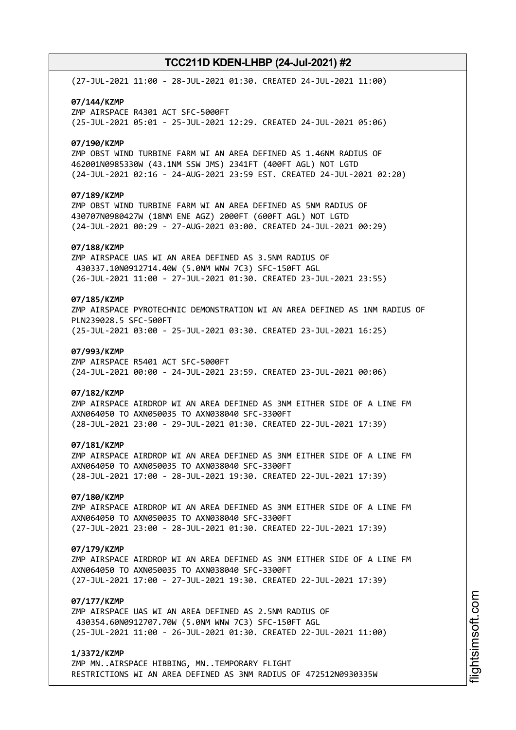(27-JUL-2021 11:00 - 28-JUL-2021 01:30. CREATED 24-JUL-2021 11:00) **07/144/KZMP** ZMP AIRSPACE R4301 ACT SFC-5000FT (25-JUL-2021 05:01 - 25-JUL-2021 12:29. CREATED 24-JUL-2021 05:06) **07/190/KZMP** ZMP OBST WIND TURBINE FARM WI AN AREA DEFINED AS 1.46NM RADIUS OF 462001N0985330W (43.1NM SSW JMS) 2341FT (400FT AGL) NOT LGTD (24-JUL-2021 02:16 - 24-AUG-2021 23:59 EST. CREATED 24-JUL-2021 02:20) **07/189/KZMP** ZMP OBST WIND TURBINE FARM WI AN AREA DEFINED AS 5NM RADIUS OF 430707N0980427W (18NM ENE AGZ) 2000FT (600FT AGL) NOT LGTD (24-JUL-2021 00:29 - 27-AUG-2021 03:00. CREATED 24-JUL-2021 00:29) **07/188/KZMP** ZMP AIRSPACE UAS WI AN AREA DEFINED AS 3.5NM RADIUS OF 430337.10N0912714.40W (5.0NM WNW 7C3) SFC-150FT AGL (26-JUL-2021 11:00 - 27-JUL-2021 01:30. CREATED 23-JUL-2021 23:55) **07/185/KZMP** ZMP AIRSPACE PYROTECHNIC DEMONSTRATION WI AN AREA DEFINED AS 1NM RADIUS OF PLN239028.5 SFC-500FT (25-JUL-2021 03:00 - 25-JUL-2021 03:30. CREATED 23-JUL-2021 16:25) **07/993/KZMP** ZMP AIRSPACE R5401 ACT SFC-5000FT (24-JUL-2021 00:00 - 24-JUL-2021 23:59. CREATED 23-JUL-2021 00:06) **07/182/KZMP** ZMP AIRSPACE AIRDROP WI AN AREA DEFINED AS 3NM EITHER SIDE OF A LINE FM AXN064050 TO AXN050035 TO AXN038040 SFC-3300FT (28-JUL-2021 23:00 - 29-JUL-2021 01:30. CREATED 22-JUL-2021 17:39) **07/181/KZMP** ZMP AIRSPACE AIRDROP WI AN AREA DEFINED AS 3NM EITHER SIDE OF A LINE FM AXN064050 TO AXN050035 TO AXN038040 SFC-3300FT (28-JUL-2021 17:00 - 28-JUL-2021 19:30. CREATED 22-JUL-2021 17:39) **07/180/KZMP** ZMP AIRSPACE AIRDROP WI AN AREA DEFINED AS 3NM EITHER SIDE OF A LINE FM AXN064050 TO AXN050035 TO AXN038040 SFC-3300FT (27-JUL-2021 23:00 - 28-JUL-2021 01:30. CREATED 22-JUL-2021 17:39) **07/179/KZMP** ZMP AIRSPACE AIRDROP WI AN AREA DEFINED AS 3NM EITHER SIDE OF A LINE FM AXN064050 TO AXN050035 TO AXN038040 SFC-3300FT (27-JUL-2021 17:00 - 27-JUL-2021 19:30. CREATED 22-JUL-2021 17:39) **07/177/KZMP** ZMP AIRSPACE UAS WI AN AREA DEFINED AS 2.5NM RADIUS OF 430354.60N0912707.70W (5.0NM WNW 7C3) SFC-150FT AGL (25-JUL-2021 11:00 - 26-JUL-2021 01:30. CREATED 22-JUL-2021 11:00) **1/3372/KZMP**

ZMP MN..AIRSPACE HIBBING, MN..TEMPORARY FLIGHT RESTRICTIONS WI AN AREA DEFINED AS 3NM RADIUS OF 472512N0930335W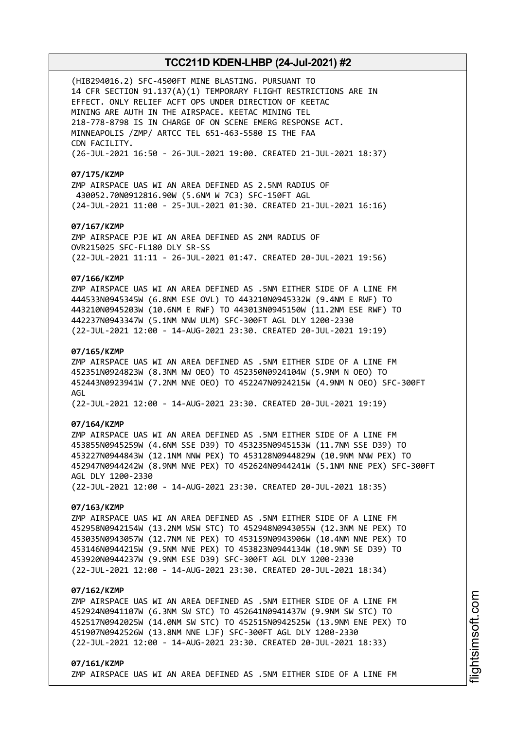(HIB294016.2) SFC-4500FT MINE BLASTING. PURSUANT TO 14 CFR SECTION 91.137(A)(1) TEMPORARY FLIGHT RESTRICTIONS ARE IN EFFECT. ONLY RELIEF ACFT OPS UNDER DIRECTION OF KEETAC MINING ARE AUTH IN THE AIRSPACE. KEETAC MINING TEL 218-778-8798 IS IN CHARGE OF ON SCENE EMERG RESPONSE ACT. MINNEAPOLIS /ZMP/ ARTCC TEL 651-463-5580 IS THE FAA CDN FACILITY. (26-JUL-2021 16:50 - 26-JUL-2021 19:00. CREATED 21-JUL-2021 18:37)

#### **07/175/KZMP**

ZMP AIRSPACE UAS WI AN AREA DEFINED AS 2.5NM RADIUS OF 430052.70N0912816.90W (5.6NM W 7C3) SFC-150FT AGL (24-JUL-2021 11:00 - 25-JUL-2021 01:30. CREATED 21-JUL-2021 16:16)

# **07/167/KZMP**

ZMP AIRSPACE PJE WI AN AREA DEFINED AS 2NM RADIUS OF OVR215025 SFC-FL180 DLY SR-SS (22-JUL-2021 11:11 - 26-JUL-2021 01:47. CREATED 20-JUL-2021 19:56)

# **07/166/KZMP**

ZMP AIRSPACE UAS WI AN AREA DEFINED AS .5NM EITHER SIDE OF A LINE FM 444533N0945345W (6.8NM ESE OVL) TO 443210N0945332W (9.4NM E RWF) TO 443210N0945203W (10.6NM E RWF) TO 443013N0945150W (11.2NM ESE RWF) TO 442237N0943347W (5.1NM NNW ULM) SFC-300FT AGL DLY 1200-2330 (22-JUL-2021 12:00 - 14-AUG-2021 23:30. CREATED 20-JUL-2021 19:19)

## **07/165/KZMP**

ZMP AIRSPACE UAS WI AN AREA DEFINED AS .5NM EITHER SIDE OF A LINE FM 452351N0924823W (8.3NM NW OEO) TO 452350N0924104W (5.9NM N OEO) TO 452443N0923941W (7.2NM NNE OEO) TO 452247N0924215W (4.9NM N OEO) SFC-300FT AGL

(22-JUL-2021 12:00 - 14-AUG-2021 23:30. CREATED 20-JUL-2021 19:19)

#### **07/164/KZMP**

ZMP AIRSPACE UAS WI AN AREA DEFINED AS .5NM EITHER SIDE OF A LINE FM 453855N0945259W (4.6NM SSE D39) TO 453235N0945153W (11.7NM SSE D39) TO 453227N0944843W (12.1NM NNW PEX) TO 453128N0944829W (10.9NM NNW PEX) TO 452947N0944242W (8.9NM NNE PEX) TO 452624N0944241W (5.1NM NNE PEX) SFC-300FT AGL DLY 1200-2330 (22-JUL-2021 12:00 - 14-AUG-2021 23:30. CREATED 20-JUL-2021 18:35)

## **07/163/KZMP**

ZMP AIRSPACE UAS WI AN AREA DEFINED AS .5NM EITHER SIDE OF A LINE FM 452958N0942154W (13.2NM WSW STC) TO 452948N0943055W (12.3NM NE PEX) TO 453035N0943057W (12.7NM NE PEX) TO 453159N0943906W (10.4NM NNE PEX) TO 453146N0944215W (9.5NM NNE PEX) TO 453823N0944134W (10.9NM SE D39) TO 453920N0944237W (9.9NM ESE D39) SFC-300FT AGL DLY 1200-2330 (22-JUL-2021 12:00 - 14-AUG-2021 23:30. CREATED 20-JUL-2021 18:34)

# **07/162/KZMP**

ZMP AIRSPACE UAS WI AN AREA DEFINED AS .5NM EITHER SIDE OF A LINE FM 452924N0941107W (6.3NM SW STC) TO 452641N0941437W (9.9NM SW STC) TO 452517N0942025W (14.0NM SW STC) TO 452515N0942525W (13.9NM ENE PEX) TO 451907N0942526W (13.8NM NNE LJF) SFC-300FT AGL DLY 1200-2330 (22-JUL-2021 12:00 - 14-AUG-2021 23:30. CREATED 20-JUL-2021 18:33)

#### **07/161/KZMP**

ZMP AIRSPACE UAS WI AN AREA DEFINED AS .5NM EITHER SIDE OF A LINE FM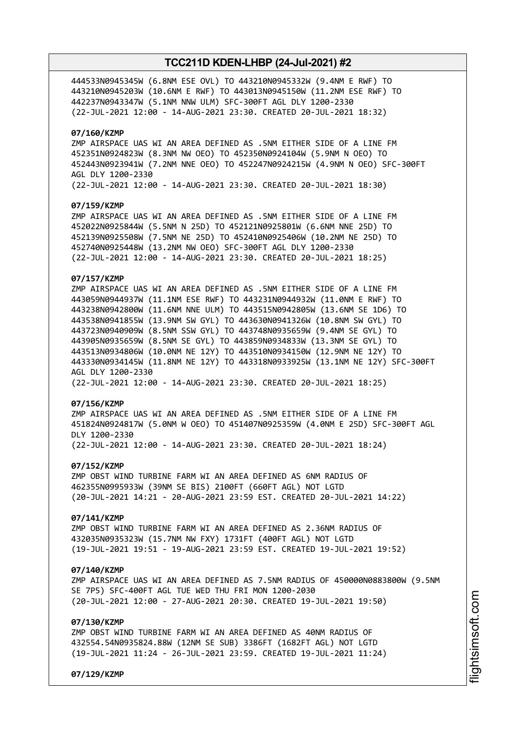444533N0945345W (6.8NM ESE OVL) TO 443210N0945332W (9.4NM E RWF) TO 443210N0945203W (10.6NM E RWF) TO 443013N0945150W (11.2NM ESE RWF) TO 442237N0943347W (5.1NM NNW ULM) SFC-300FT AGL DLY 1200-2330 (22-JUL-2021 12:00 - 14-AUG-2021 23:30. CREATED 20-JUL-2021 18:32)

## **07/160/KZMP**

ZMP AIRSPACE UAS WI AN AREA DEFINED AS .5NM EITHER SIDE OF A LINE FM 452351N0924823W (8.3NM NW OEO) TO 452350N0924104W (5.9NM N OEO) TO 452443N0923941W (7.2NM NNE OEO) TO 452247N0924215W (4.9NM N OEO) SFC-300FT AGL DLY 1200-2330 (22-JUL-2021 12:00 - 14-AUG-2021 23:30. CREATED 20-JUL-2021 18:30)

#### **07/159/KZMP**

ZMP AIRSPACE UAS WI AN AREA DEFINED AS .5NM EITHER SIDE OF A LINE FM 452022N0925844W (5.5NM N 25D) TO 452121N0925801W (6.6NM NNE 25D) TO 452139N0925508W (7.5NM NE 25D) TO 452410N0925406W (10.2NM NE 25D) TO 452740N0925448W (13.2NM NW OEO) SFC-300FT AGL DLY 1200-2330 (22-JUL-2021 12:00 - 14-AUG-2021 23:30. CREATED 20-JUL-2021 18:25)

# **07/157/KZMP**

ZMP AIRSPACE UAS WI AN AREA DEFINED AS .5NM EITHER SIDE OF A LINE FM 443059N0944937W (11.1NM ESE RWF) TO 443231N0944932W (11.0NM E RWF) TO 443238N0942800W (11.6NM NNE ULM) TO 443515N0942805W (13.6NM SE 1D6) TO 443538N0941855W (13.9NM SW GYL) TO 443630N0941326W (10.8NM SW GYL) TO 443723N0940909W (8.5NM SSW GYL) TO 443748N0935659W (9.4NM SE GYL) TO 443905N0935659W (8.5NM SE GYL) TO 443859N0934833W (13.3NM SE GYL) TO 443513N0934806W (10.0NM NE 12Y) TO 443510N0934150W (12.9NM NE 12Y) TO 443330N0934145W (11.8NM NE 12Y) TO 443318N0933925W (13.1NM NE 12Y) SFC-300FT AGL DLY 1200-2330 (22-JUL-2021 12:00 - 14-AUG-2021 23:30. CREATED 20-JUL-2021 18:25)

## **07/156/KZMP**

ZMP AIRSPACE UAS WI AN AREA DEFINED AS .5NM EITHER SIDE OF A LINE FM 451824N0924817W (5.0NM W OEO) TO 451407N0925359W (4.0NM E 25D) SFC-300FT AGL DLY 1200-2330 (22-JUL-2021 12:00 - 14-AUG-2021 23:30. CREATED 20-JUL-2021 18:24)

#### **07/152/KZMP**

ZMP OBST WIND TURBINE FARM WI AN AREA DEFINED AS 6NM RADIUS OF 462355N0995933W (39NM SE BIS) 2100FT (660FT AGL) NOT LGTD (20-JUL-2021 14:21 - 20-AUG-2021 23:59 EST. CREATED 20-JUL-2021 14:22)

#### **07/141/KZMP**

ZMP OBST WIND TURBINE FARM WI AN AREA DEFINED AS 2.36NM RADIUS OF 432035N0935323W (15.7NM NW FXY) 1731FT (400FT AGL) NOT LGTD (19-JUL-2021 19:51 - 19-AUG-2021 23:59 EST. CREATED 19-JUL-2021 19:52)

#### **07/140/KZMP**

ZMP AIRSPACE UAS WI AN AREA DEFINED AS 7.5NM RADIUS OF 450000N0883800W (9.5NM SE 7P5) SFC-400FT AGL TUE WED THU FRI MON 1200-2030 (20-JUL-2021 12:00 - 27-AUG-2021 20:30. CREATED 19-JUL-2021 19:50)

## **07/130/KZMP**

ZMP OBST WIND TURBINE FARM WI AN AREA DEFINED AS 40NM RADIUS OF 432554.54N0935824.88W (12NM SE SUB) 3386FT (1682FT AGL) NOT LGTD (19-JUL-2021 11:24 - 26-JUL-2021 23:59. CREATED 19-JUL-2021 11:24)

**07/129/KZMP**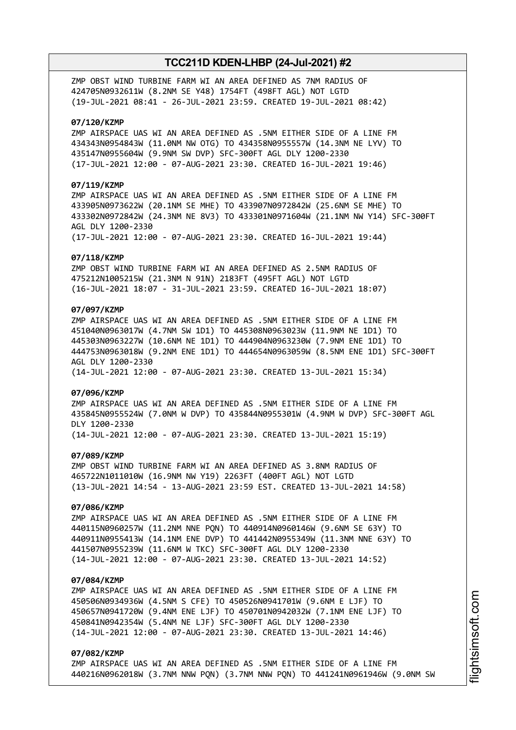ZMP OBST WIND TURBINE FARM WI AN AREA DEFINED AS 7NM RADIUS OF 424705N0932611W (8.2NM SE Y48) 1754FT (498FT AGL) NOT LGTD (19-JUL-2021 08:41 - 26-JUL-2021 23:59. CREATED 19-JUL-2021 08:42)

## **07/120/KZMP**

ZMP AIRSPACE UAS WI AN AREA DEFINED AS .5NM EITHER SIDE OF A LINE FM 434343N0954843W (11.0NM NW OTG) TO 434358N0955557W (14.3NM NE LYV) TO 435147N0955604W (9.9NM SW DVP) SFC-300FT AGL DLY 1200-2330 (17-JUL-2021 12:00 - 07-AUG-2021 23:30. CREATED 16-JUL-2021 19:46)

# **07/119/KZMP**

ZMP AIRSPACE UAS WI AN AREA DEFINED AS .5NM EITHER SIDE OF A LINE FM 433905N0973622W (20.1NM SE MHE) TO 433907N0972842W (25.6NM SE MHE) TO 433302N0972842W (24.3NM NE 8V3) TO 433301N0971604W (21.1NM NW Y14) SFC-300FT AGL DLY 1200-2330

(17-JUL-2021 12:00 - 07-AUG-2021 23:30. CREATED 16-JUL-2021 19:44)

## **07/118/KZMP**

ZMP OBST WIND TURBINE FARM WI AN AREA DEFINED AS 2.5NM RADIUS OF 475212N1005215W (21.3NM N 91N) 2183FT (495FT AGL) NOT LGTD (16-JUL-2021 18:07 - 31-JUL-2021 23:59. CREATED 16-JUL-2021 18:07)

# **07/097/KZMP**

ZMP AIRSPACE UAS WI AN AREA DEFINED AS .5NM EITHER SIDE OF A LINE FM 451040N0963017W (4.7NM SW 1D1) TO 445308N0963023W (11.9NM NE 1D1) TO 445303N0963227W (10.6NM NE 1D1) TO 444904N0963230W (7.9NM ENE 1D1) TO 444753N0963018W (9.2NM ENE 1D1) TO 444654N0963059W (8.5NM ENE 1D1) SFC-300FT AGL DLY 1200-2330 (14-JUL-2021 12:00 - 07-AUG-2021 23:30. CREATED 13-JUL-2021 15:34)

# **07/096/KZMP**

ZMP AIRSPACE UAS WI AN AREA DEFINED AS .5NM EITHER SIDE OF A LINE FM 435845N0955524W (7.0NM W DVP) TO 435844N0955301W (4.9NM W DVP) SFC-300FT AGL DLY 1200-2330

(14-JUL-2021 12:00 - 07-AUG-2021 23:30. CREATED 13-JUL-2021 15:19)

# **07/089/KZMP**

ZMP OBST WIND TURBINE FARM WI AN AREA DEFINED AS 3.8NM RADIUS OF 465722N1011010W (16.9NM NW Y19) 2263FT (400FT AGL) NOT LGTD (13-JUL-2021 14:54 - 13-AUG-2021 23:59 EST. CREATED 13-JUL-2021 14:58)

# **07/086/KZMP**

ZMP AIRSPACE UAS WI AN AREA DEFINED AS .5NM EITHER SIDE OF A LINE FM 440115N0960257W (11.2NM NNE PQN) TO 440914N0960146W (9.6NM SE 63Y) TO 440911N0955413W (14.1NM ENE DVP) TO 441442N0955349W (11.3NM NNE 63Y) TO 441507N0955239W (11.6NM W TKC) SFC-300FT AGL DLY 1200-2330 (14-JUL-2021 12:00 - 07-AUG-2021 23:30. CREATED 13-JUL-2021 14:52)

#### **07/084/KZMP**

ZMP AIRSPACE UAS WI AN AREA DEFINED AS .5NM EITHER SIDE OF A LINE FM 450506N0934936W (4.5NM S CFE) TO 450526N0941701W (9.6NM E LJF) TO 450657N0941720W (9.4NM ENE LJF) TO 450701N0942032W (7.1NM ENE LJF) TO 450841N0942354W (5.4NM NE LJF) SFC-300FT AGL DLY 1200-2330 (14-JUL-2021 12:00 - 07-AUG-2021 23:30. CREATED 13-JUL-2021 14:46)

#### **07/082/KZMP**

ZMP AIRSPACE UAS WI AN AREA DEFINED AS .5NM EITHER SIDE OF A LINE FM 440216N0962018W (3.7NM NNW PQN) (3.7NM NNW PQN) TO 441241N0961946W (9.0NM SW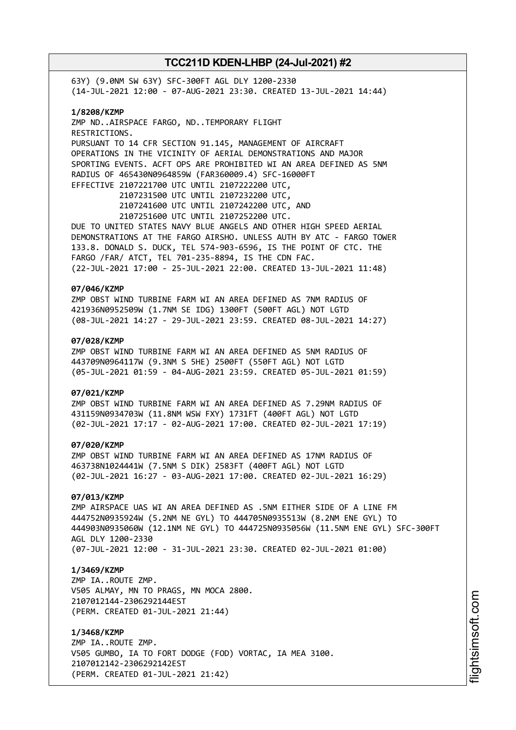63Y) (9.0NM SW 63Y) SFC-300FT AGL DLY 1200-2330 (14-JUL-2021 12:00 - 07-AUG-2021 23:30. CREATED 13-JUL-2021 14:44) **1/8208/KZMP** ZMP ND..AIRSPACE FARGO, ND..TEMPORARY FLIGHT RESTRICTIONS. PURSUANT TO 14 CFR SECTION 91.145, MANAGEMENT OF AIRCRAFT OPERATIONS IN THE VICINITY OF AERIAL DEMONSTRATIONS AND MAJOR SPORTING EVENTS. ACFT OPS ARE PROHIBITED WI AN AREA DEFINED AS 5NM RADIUS OF 465430N0964859W (FAR360009.4) SFC-16000FT EFFECTIVE 2107221700 UTC UNTIL 2107222200 UTC, 2107231500 UTC UNTIL 2107232200 UTC, 2107241600 UTC UNTIL 2107242200 UTC, AND 2107251600 UTC UNTIL 2107252200 UTC. DUE TO UNITED STATES NAVY BLUE ANGELS AND OTHER HIGH SPEED AERIAL DEMONSTRATIONS AT THE FARGO AIRSHO. UNLESS AUTH BY ATC - FARGO TOWER 133.8. DONALD S. DUCK, TEL 574-903-6596, IS THE POINT OF CTC. THE FARGO /FAR/ ATCT, TEL 701-235-8894, IS THE CDN FAC. (22-JUL-2021 17:00 - 25-JUL-2021 22:00. CREATED 13-JUL-2021 11:48) **07/046/KZMP** ZMP OBST WIND TURBINE FARM WI AN AREA DEFINED AS 7NM RADIUS OF 421936N0952509W (1.7NM SE IDG) 1300FT (500FT AGL) NOT LGTD (08-JUL-2021 14:27 - 29-JUL-2021 23:59. CREATED 08-JUL-2021 14:27) **07/028/KZMP** ZMP OBST WIND TURBINE FARM WI AN AREA DEFINED AS 5NM RADIUS OF 443709N0964117W (9.3NM S 5HE) 2500FT (550FT AGL) NOT LGTD (05-JUL-2021 01:59 - 04-AUG-2021 23:59. CREATED 05-JUL-2021 01:59) **07/021/KZMP** ZMP OBST WIND TURBINE FARM WI AN AREA DEFINED AS 7.29NM RADIUS OF 431159N0934703W (11.8NM WSW FXY) 1731FT (400FT AGL) NOT LGTD (02-JUL-2021 17:17 - 02-AUG-2021 17:00. CREATED 02-JUL-2021 17:19) **07/020/KZMP** ZMP OBST WIND TURBINE FARM WI AN AREA DEFINED AS 17NM RADIUS OF 463738N1024441W (7.5NM S DIK) 2583FT (400FT AGL) NOT LGTD (02-JUL-2021 16:27 - 03-AUG-2021 17:00. CREATED 02-JUL-2021 16:29) **07/013/KZMP** ZMP AIRSPACE UAS WI AN AREA DEFINED AS .5NM EITHER SIDE OF A LINE FM 444752N0935924W (5.2NM NE GYL) TO 444705N0935513W (8.2NM ENE GYL) TO 444903N0935060W (12.1NM NE GYL) TO 444725N0935056W (11.5NM ENE GYL) SFC-300FT AGL DLY 1200-2330 (07-JUL-2021 12:00 - 31-JUL-2021 23:30. CREATED 02-JUL-2021 01:00) **1/3469/KZMP** ZMP IA..ROUTE ZMP. V505 ALMAY, MN TO PRAGS, MN MOCA 2800. 2107012144-2306292144EST (PERM. CREATED 01-JUL-2021 21:44) **1/3468/KZMP** ZMP IA..ROUTE ZMP. V505 GUMBO, IA TO FORT DODGE (FOD) VORTAC, IA MEA 3100. 2107012142-2306292142EST

(PERM. CREATED 01-JUL-2021 21:42)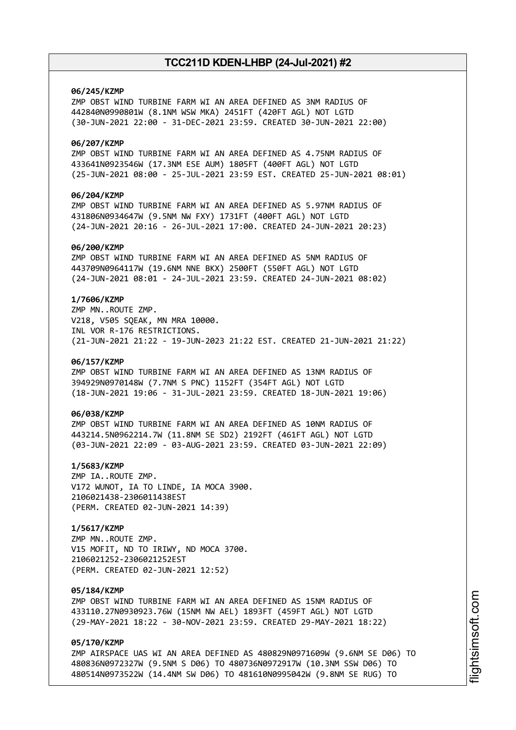## **06/245/KZMP**

ZMP OBST WIND TURBINE FARM WI AN AREA DEFINED AS 3NM RADIUS OF 442840N0990801W (8.1NM WSW MKA) 2451FT (420FT AGL) NOT LGTD (30-JUN-2021 22:00 - 31-DEC-2021 23:59. CREATED 30-JUN-2021 22:00)

# **06/207/KZMP**

ZMP OBST WIND TURBINE FARM WI AN AREA DEFINED AS 4.75NM RADIUS OF 433641N0923546W (17.3NM ESE AUM) 1805FT (400FT AGL) NOT LGTD (25-JUN-2021 08:00 - 25-JUL-2021 23:59 EST. CREATED 25-JUN-2021 08:01)

# **06/204/KZMP**

ZMP OBST WIND TURBINE FARM WI AN AREA DEFINED AS 5.97NM RADIUS OF 431806N0934647W (9.5NM NW FXY) 1731FT (400FT AGL) NOT LGTD (24-JUN-2021 20:16 - 26-JUL-2021 17:00. CREATED 24-JUN-2021 20:23)

## **06/200/KZMP**

ZMP OBST WIND TURBINE FARM WI AN AREA DEFINED AS 5NM RADIUS OF 443709N0964117W (19.6NM NNE BKX) 2500FT (550FT AGL) NOT LGTD (24-JUN-2021 08:01 - 24-JUL-2021 23:59. CREATED 24-JUN-2021 08:02)

# **1/7606/KZMP**

ZMP MN..ROUTE ZMP. V218, V505 SQEAK, MN MRA 10000. INL VOR R-176 RESTRICTIONS. (21-JUN-2021 21:22 - 19-JUN-2023 21:22 EST. CREATED 21-JUN-2021 21:22)

#### **06/157/KZMP**

ZMP OBST WIND TURBINE FARM WI AN AREA DEFINED AS 13NM RADIUS OF 394929N0970148W (7.7NM S PNC) 1152FT (354FT AGL) NOT LGTD (18-JUN-2021 19:06 - 31-JUL-2021 23:59. CREATED 18-JUN-2021 19:06)

# **06/038/KZMP**

ZMP OBST WIND TURBINE FARM WI AN AREA DEFINED AS 10NM RADIUS OF 443214.5N0962214.7W (11.8NM SE SD2) 2192FT (461FT AGL) NOT LGTD (03-JUN-2021 22:09 - 03-AUG-2021 23:59. CREATED 03-JUN-2021 22:09)

# **1/5683/KZMP**

ZMP IA..ROUTE ZMP. V172 WUNOT, IA TO LINDE, IA MOCA 3900. 2106021438-2306011438EST (PERM. CREATED 02-JUN-2021 14:39)

# **1/5617/KZMP**

ZMP MN..ROUTE ZMP. V15 MOFIT, ND TO IRIWY, ND MOCA 3700. 2106021252-2306021252EST (PERM. CREATED 02-JUN-2021 12:52)

#### **05/184/KZMP**

ZMP OBST WIND TURBINE FARM WI AN AREA DEFINED AS 15NM RADIUS OF 433110.27N0930923.76W (15NM NW AEL) 1893FT (459FT AGL) NOT LGTD (29-MAY-2021 18:22 - 30-NOV-2021 23:59. CREATED 29-MAY-2021 18:22)

# **05/170/KZMP**

ZMP AIRSPACE UAS WI AN AREA DEFINED AS 480829N0971609W (9.6NM SE D06) TO 480836N0972327W (9.5NM S D06) TO 480736N0972917W (10.3NM SSW D06) TO 480514N0973522W (14.4NM SW D06) TO 481610N0995042W (9.8NM SE RUG) TO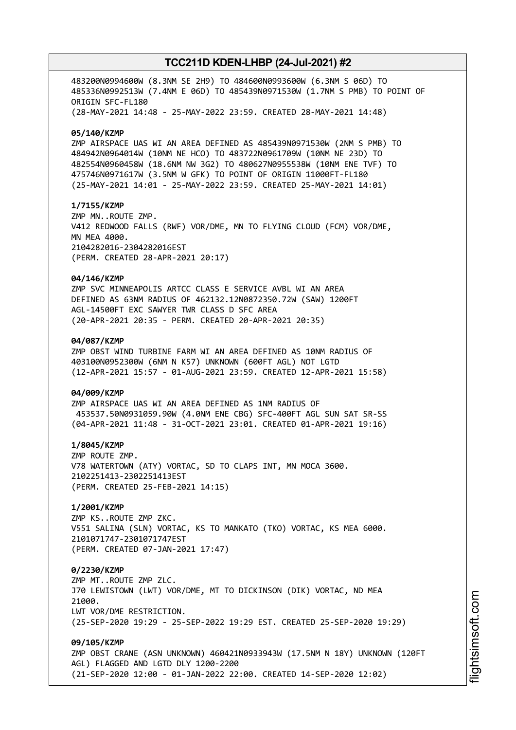483200N0994600W (8.3NM SE 2H9) TO 484600N0993600W (6.3NM S 06D) TO 485336N0992513W (7.4NM E 06D) TO 485439N0971530W (1.7NM S PMB) TO POINT OF ORIGIN SFC-FL180 (28-MAY-2021 14:48 - 25-MAY-2022 23:59. CREATED 28-MAY-2021 14:48) **05/140/KZMP** ZMP AIRSPACE UAS WI AN AREA DEFINED AS 485439N0971530W (2NM S PMB) TO 484942N0964014W (10NM NE HCO) TO 483722N0961709W (10NM NE 23D) TO 482554N0960458W (18.6NM NW 3G2) TO 480627N0955538W (10NM ENE TVF) TO 475746N0971617W (3.5NM W GFK) TO POINT OF ORIGIN 11000FT-FL180 (25-MAY-2021 14:01 - 25-MAY-2022 23:59. CREATED 25-MAY-2021 14:01) **1/7155/KZMP** ZMP MN..ROUTE ZMP. V412 REDWOOD FALLS (RWF) VOR/DME, MN TO FLYING CLOUD (FCM) VOR/DME, MN MEA 4000. 2104282016-2304282016EST (PERM. CREATED 28-APR-2021 20:17) **04/146/KZMP** ZMP SVC MINNEAPOLIS ARTCC CLASS E SERVICE AVBL WI AN AREA DEFINED AS 63NM RADIUS OF 462132.12N0872350.72W (SAW) 1200FT AGL-14500FT EXC SAWYER TWR CLASS D SFC AREA (20-APR-2021 20:35 - PERM. CREATED 20-APR-2021 20:35) **04/087/KZMP** ZMP OBST WIND TURBINE FARM WI AN AREA DEFINED AS 10NM RADIUS OF 403100N0952300W (6NM N K57) UNKNOWN (600FT AGL) NOT LGTD (12-APR-2021 15:57 - 01-AUG-2021 23:59. CREATED 12-APR-2021 15:58) **04/009/KZMP** ZMP AIRSPACE UAS WI AN AREA DEFINED AS 1NM RADIUS OF 453537.50N0931059.90W (4.0NM ENE CBG) SFC-400FT AGL SUN SAT SR-SS (04-APR-2021 11:48 - 31-OCT-2021 23:01. CREATED 01-APR-2021 19:16) **1/8045/KZMP** ZMP ROUTE ZMP. V78 WATERTOWN (ATY) VORTAC, SD TO CLAPS INT, MN MOCA 3600. 2102251413-2302251413EST (PERM. CREATED 25-FEB-2021 14:15) **1/2001/KZMP** ZMP KS..ROUTE ZMP ZKC. V551 SALINA (SLN) VORTAC, KS TO MANKATO (TKO) VORTAC, KS MEA 6000. 2101071747-2301071747EST (PERM. CREATED 07-JAN-2021 17:47) **0/2230/KZMP** ZMP MT..ROUTE ZMP ZLC. J70 LEWISTOWN (LWT) VOR/DME, MT TO DICKINSON (DIK) VORTAC, ND MEA 21000 LWT VOR/DME RESTRICTION. (25-SEP-2020 19:29 - 25-SEP-2022 19:29 EST. CREATED 25-SEP-2020 19:29) **09/105/KZMP** ZMP OBST CRANE (ASN UNKNOWN) 460421N0933943W (17.5NM N 18Y) UNKNOWN (120FT AGL) FLAGGED AND LGTD DLY 1200-2200 (21-SEP-2020 12:00 - 01-JAN-2022 22:00. CREATED 14-SEP-2020 12:02)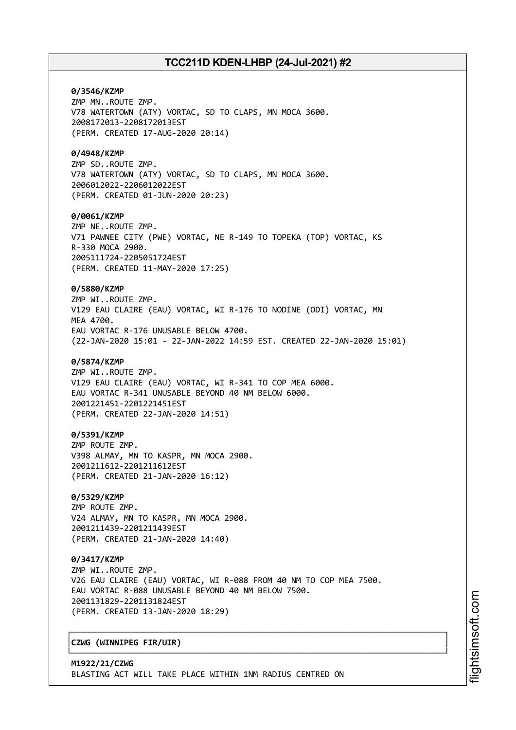**0/3546/KZMP** ZMP MN..ROUTE ZMP. V78 WATERTOWN (ATY) VORTAC, SD TO CLAPS, MN MOCA 3600. 2008172013-2208172013EST (PERM. CREATED 17-AUG-2020 20:14)

## **0/4948/KZMP**

ZMP SD..ROUTE ZMP. V78 WATERTOWN (ATY) VORTAC, SD TO CLAPS, MN MOCA 3600. 2006012022-2206012022EST (PERM. CREATED 01-JUN-2020 20:23)

#### **0/0061/KZMP**

ZMP NE..ROUTE ZMP. V71 PAWNEE CITY (PWE) VORTAC, NE R-149 TO TOPEKA (TOP) VORTAC, KS R-330 MOCA 2900. 2005111724-2205051724EST (PERM. CREATED 11-MAY-2020 17:25)

# **0/5880/KZMP**

ZMP WI..ROUTE ZMP. V129 EAU CLAIRE (EAU) VORTAC, WI R-176 TO NODINE (ODI) VORTAC, MN **MFA 4700.** EAU VORTAC R-176 UNUSABLE BELOW 4700. (22-JAN-2020 15:01 - 22-JAN-2022 14:59 EST. CREATED 22-JAN-2020 15:01)

## **0/5874/KZMP**

ZMP WI..ROUTE ZMP. V129 EAU CLAIRE (EAU) VORTAC, WI R-341 TO COP MEA 6000. EAU VORTAC R-341 UNUSABLE BEYOND 40 NM BELOW 6000. 2001221451-2201221451EST (PERM. CREATED 22-JAN-2020 14:51)

# **0/5391/KZMP**

ZMP ROUTE ZMP. V398 ALMAY, MN TO KASPR, MN MOCA 2900. 2001211612-2201211612EST (PERM. CREATED 21-JAN-2020 16:12)

# **0/5329/KZMP**

ZMP ROUTE ZMP. V24 ALMAY, MN TO KASPR, MN MOCA 2900. 2001211439-2201211439EST (PERM. CREATED 21-JAN-2020 14:40)

#### **0/3417/KZMP**

ZMP WI..ROUTE ZMP. V26 EAU CLAIRE (EAU) VORTAC, WI R-088 FROM 40 NM TO COP MEA 7500. EAU VORTAC R-088 UNUSABLE BEYOND 40 NM BELOW 7500. 2001131829-2201131824EST (PERM. CREATED 13-JAN-2020 18:29)

┌──────────────────────────────────────────────────────────────────────────────┐

└──────────────────────────────────────────────────────────────────────────────┘

# │**CZWG (WINNIPEG FIR/UIR)** │

**M1922/21/CZWG** BLASTING ACT WILL TAKE PLACE WITHIN 1NM RADIUS CENTRED ON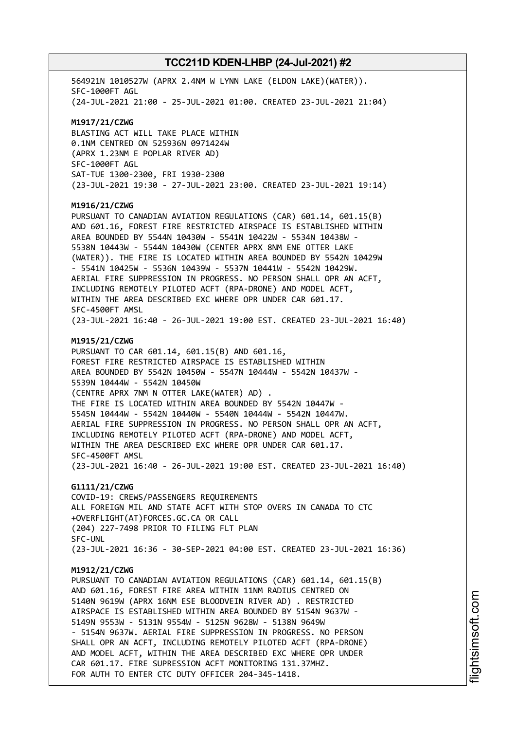564921N 1010527W (APRX 2.4NM W LYNN LAKE (ELDON LAKE)(WATER)). SFC-1000FT AGL (24-JUL-2021 21:00 - 25-JUL-2021 01:00. CREATED 23-JUL-2021 21:04) **M1917/21/CZWG** BLASTING ACT WILL TAKE PLACE WITHIN 0.1NM CENTRED ON 525936N 0971424W (APRX 1.23NM E POPLAR RIVER AD) SFC-1000FT AGL SAT-TUE 1300-2300, FRI 1930-2300 (23-JUL-2021 19:30 - 27-JUL-2021 23:00. CREATED 23-JUL-2021 19:14) **M1916/21/CZWG** PURSUANT TO CANADIAN AVIATION REGULATIONS (CAR) 601.14, 601.15(B) AND 601.16, FOREST FIRE RESTRICTED AIRSPACE IS ESTABLISHED WITHIN AREA BOUNDED BY 5544N 10430W - 5541N 10422W - 5534N 10438W - 5538N 10443W - 5544N 10430W (CENTER APRX 8NM ENE OTTER LAKE (WATER)). THE FIRE IS LOCATED WITHIN AREA BOUNDED BY 5542N 10429W - 5541N 10425W - 5536N 10439W - 5537N 10441W - 5542N 10429W. AERIAL FIRE SUPPRESSION IN PROGRESS. NO PERSON SHALL OPR AN ACFT, INCLUDING REMOTELY PILOTED ACFT (RPA-DRONE) AND MODEL ACFT, WITHIN THE AREA DESCRIBED EXC WHERE OPR UNDER CAR 601.17. SFC-4500FT AMSL (23-JUL-2021 16:40 - 26-JUL-2021 19:00 EST. CREATED 23-JUL-2021 16:40) **M1915/21/CZWG** PURSUANT TO CAR 601.14, 601.15(B) AND 601.16, FOREST FIRE RESTRICTED AIRSPACE IS ESTABLISHED WITHIN AREA BOUNDED BY 5542N 10450W - 5547N 10444W - 5542N 10437W - 5539N 10444W - 5542N 10450W (CENTRE APRX 7NM N OTTER LAKE(WATER) AD) . THE FIRE IS LOCATED WITHIN AREA BOUNDED BY 5542N 10447W - 5545N 10444W - 5542N 10440W - 5540N 10444W - 5542N 10447W. AERIAL FIRE SUPPRESSION IN PROGRESS. NO PERSON SHALL OPR AN ACFT, INCLUDING REMOTELY PILOTED ACFT (RPA-DRONE) AND MODEL ACFT, WITHIN THE AREA DESCRIBED EXC WHERE OPR UNDER CAR 601.17. SFC-4500FT AMSL (23-JUL-2021 16:40 - 26-JUL-2021 19:00 EST. CREATED 23-JUL-2021 16:40) **G1111/21/CZWG** COVID-19: CREWS/PASSENGERS REQUIREMENTS ALL FOREIGN MIL AND STATE ACFT WITH STOP OVERS IN CANADA TO CTC +OVERFLIGHT(AT)FORCES.GC.CA OR CALL (204) 227-7498 PRIOR TO FILING FLT PLAN SFC-UNL (23-JUL-2021 16:36 - 30-SEP-2021 04:00 EST. CREATED 23-JUL-2021 16:36) **M1912/21/CZWG** PURSUANT TO CANADIAN AVIATION REGULATIONS (CAR) 601.14, 601.15(B) AND 601.16, FOREST FIRE AREA WITHIN 11NM RADIUS CENTRED ON 5140N 9619W (APRX 16NM ESE BLOODVEIN RIVER AD) . RESTRICTED AIRSPACE IS ESTABLISHED WITHIN AREA BOUNDED BY 5154N 9637W - 5149N 9553W - 5131N 9554W - 5125N 9628W - 5138N 9649W - 5154N 9637W. AERIAL FIRE SUPPRESSION IN PROGRESS. NO PERSON SHALL OPR AN ACFT, INCLUDING REMOTELY PILOTED ACFT (RPA-DRONE) AND MODEL ACFT, WITHIN THE AREA DESCRIBED EXC WHERE OPR UNDER CAR 601.17. FIRE SUPRESSION ACFT MONITORING 131.37MHZ. FOR AUTH TO ENTER CTC DUTY OFFICER 204-345-1418.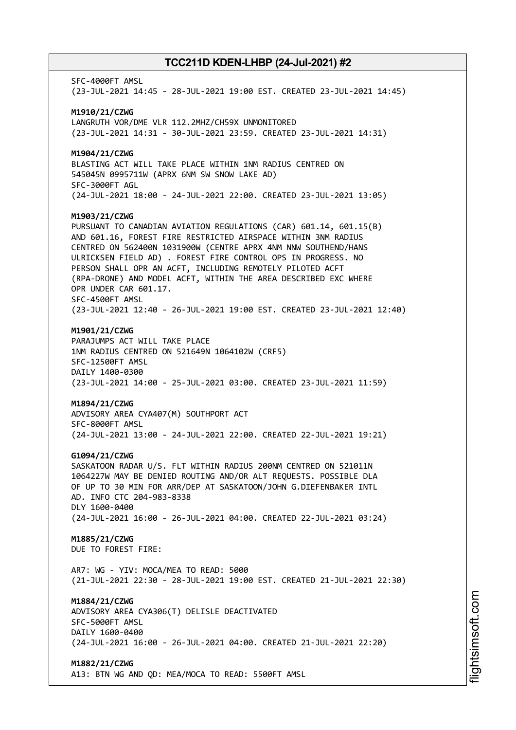SFC-4000FT AMSL (23-JUL-2021 14:45 - 28-JUL-2021 19:00 EST. CREATED 23-JUL-2021 14:45) **M1910/21/CZWG** LANGRUTH VOR/DME VLR 112.2MHZ/CH59X UNMONITORED (23-JUL-2021 14:31 - 30-JUL-2021 23:59. CREATED 23-JUL-2021 14:31) **M1904/21/CZWG** BLASTING ACT WILL TAKE PLACE WITHIN 1NM RADIUS CENTRED ON 545045N 0995711W (APRX 6NM SW SNOW LAKE AD) SFC-3000FT AGL (24-JUL-2021 18:00 - 24-JUL-2021 22:00. CREATED 23-JUL-2021 13:05) **M1903/21/CZWG** PURSUANT TO CANADIAN AVIATION REGULATIONS (CAR) 601.14, 601.15(B) AND 601.16, FOREST FIRE RESTRICTED AIRSPACE WITHIN 3NM RADIUS CENTRED ON 562400N 1031900W (CENTRE APRX 4NM NNW SOUTHEND/HANS ULRICKSEN FIELD AD) . FOREST FIRE CONTROL OPS IN PROGRESS. NO PERSON SHALL OPR AN ACFT, INCLUDING REMOTELY PILOTED ACFT (RPA-DRONE) AND MODEL ACFT, WITHIN THE AREA DESCRIBED EXC WHERE OPR UNDER CAR 601.17. SFC-4500FT AMSL (23-JUL-2021 12:40 - 26-JUL-2021 19:00 EST. CREATED 23-JUL-2021 12:40) **M1901/21/CZWG** PARAJUMPS ACT WILL TAKE PLACE 1NM RADIUS CENTRED ON 521649N 1064102W (CRF5) SFC-12500FT AMSL DAILY 1400-0300 (23-JUL-2021 14:00 - 25-JUL-2021 03:00. CREATED 23-JUL-2021 11:59) **M1894/21/CZWG** ADVISORY AREA CYA407(M) SOUTHPORT ACT SFC-8000FT AMSL (24-JUL-2021 13:00 - 24-JUL-2021 22:00. CREATED 22-JUL-2021 19:21) **G1094/21/CZWG** SASKATOON RADAR U/S. FLT WITHIN RADIUS 200NM CENTRED ON 521011N 1064227W MAY BE DENIED ROUTING AND/OR ALT REQUESTS. POSSIBLE DLA OF UP TO 30 MIN FOR ARR/DEP AT SASKATOON/JOHN G.DIEFENBAKER INTL AD. INFO CTC 204-983-8338 DLY 1600-0400 (24-JUL-2021 16:00 - 26-JUL-2021 04:00. CREATED 22-JUL-2021 03:24) **M1885/21/CZWG** DUE TO FOREST FIRE: AR7: WG - YIV: MOCA/MEA TO READ: 5000 (21-JUL-2021 22:30 - 28-JUL-2021 19:00 EST. CREATED 21-JUL-2021 22:30) **M1884/21/CZWG** ADVISORY AREA CYA306(T) DELISLE DEACTIVATED SFC-5000FT AMSL DAILY 1600-0400 (24-JUL-2021 16:00 - 26-JUL-2021 04:00. CREATED 21-JUL-2021 22:20) **M1882/21/CZWG** A13: BTN WG AND QD: MEA/MOCA TO READ: 5500FT AMSL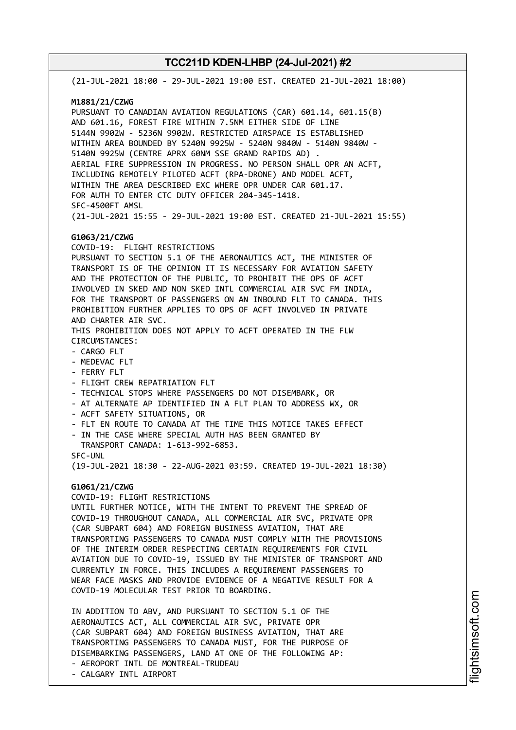(21-JUL-2021 18:00 - 29-JUL-2021 19:00 EST. CREATED 21-JUL-2021 18:00) **M1881/21/CZWG** PURSUANT TO CANADIAN AVIATION REGULATIONS (CAR) 601.14, 601.15(B) AND 601.16, FOREST FIRE WITHIN 7.5NM EITHER SIDE OF LINE 5144N 9902W - 5236N 9902W. RESTRICTED AIRSPACE IS ESTABLISHED WITHIN AREA BOUNDED BY 5240N 9925W - 5240N 9840W - 5140N 9840W - 5140N 9925W (CENTRE APRX 60NM SSE GRAND RAPIDS AD) . AERIAL FIRE SUPPRESSION IN PROGRESS. NO PERSON SHALL OPR AN ACFT, INCLUDING REMOTELY PILOTED ACFT (RPA-DRONE) AND MODEL ACFT, WITHIN THE AREA DESCRIBED EXC WHERE OPR UNDER CAR 601.17. FOR AUTH TO ENTER CTC DUTY OFFICER 204-345-1418. SFC-4500FT AMSL (21-JUL-2021 15:55 - 29-JUL-2021 19:00 EST. CREATED 21-JUL-2021 15:55) **G1063/21/CZWG** COVID-19: FLIGHT RESTRICTIONS PURSUANT TO SECTION 5.1 OF THE AERONAUTICS ACT, THE MINISTER OF TRANSPORT IS OF THE OPINION IT IS NECESSARY FOR AVIATION SAFETY AND THE PROTECTION OF THE PUBLIC, TO PROHIBIT THE OPS OF ACFT INVOLVED IN SKED AND NON SKED INTL COMMERCIAL AIR SVC FM INDIA, FOR THE TRANSPORT OF PASSENGERS ON AN INBOUND FLT TO CANADA. THIS PROHIBITION FURTHER APPLIES TO OPS OF ACFT INVOLVED IN PRIVATE AND CHARTER AIR SVC. THIS PROHIBITION DOES NOT APPLY TO ACFT OPERATED IN THE FLW CIRCUMSTANCES: - CARGO FLT - MEDEVAC FLT - FERRY FLT - FLIGHT CREW REPATRIATION FLT - TECHNICAL STOPS WHERE PASSENGERS DO NOT DISEMBARK, OR - AT ALTERNATE AP IDENTIFIED IN A FLT PLAN TO ADDRESS WX, OR - ACFT SAFETY SITUATIONS, OR - FLT EN ROUTE TO CANADA AT THE TIME THIS NOTICE TAKES EFFECT - IN THE CASE WHERE SPECIAL AUTH HAS BEEN GRANTED BY TRANSPORT CANADA: 1-613-992-6853. SFC-UNL (19-JUL-2021 18:30 - 22-AUG-2021 03:59. CREATED 19-JUL-2021 18:30) **G1061/21/CZWG** COVID-19: FLIGHT RESTRICTIONS UNTIL FURTHER NOTICE, WITH THE INTENT TO PREVENT THE SPREAD OF COVID-19 THROUGHOUT CANADA, ALL COMMERCIAL AIR SVC, PRIVATE OPR (CAR SUBPART 604) AND FOREIGN BUSINESS AVIATION, THAT ARE TRANSPORTING PASSENGERS TO CANADA MUST COMPLY WITH THE PROVISIONS OF THE INTERIM ORDER RESPECTING CERTAIN REQUIREMENTS FOR CIVIL AVIATION DUE TO COVID-19, ISSUED BY THE MINISTER OF TRANSPORT AND CURRENTLY IN FORCE. THIS INCLUDES A REQUIREMENT PASSENGERS TO WEAR FACE MASKS AND PROVIDE EVIDENCE OF A NEGATIVE RESULT FOR A COVID-19 MOLECULAR TEST PRIOR TO BOARDING. IN ADDITION TO ABV, AND PURSUANT TO SECTION 5.1 OF THE AERONAUTICS ACT, ALL COMMERCIAL AIR SVC, PRIVATE OPR (CAR SUBPART 604) AND FOREIGN BUSINESS AVIATION, THAT ARE

TRANSPORTING PASSENGERS TO CANADA MUST, FOR THE PURPOSE OF DISEMBARKING PASSENGERS, LAND AT ONE OF THE FOLLOWING AP: - AEROPORT INTL DE MONTREAL-TRUDEAU

- CALGARY INTL AIRPORT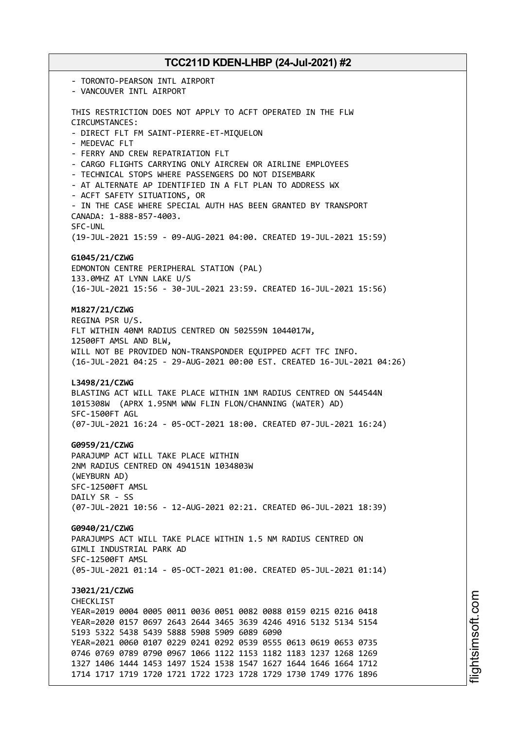- TORONTO-PEARSON INTL AIRPORT - VANCOUVER INTL AIRPORT THIS RESTRICTION DOES NOT APPLY TO ACFT OPERATED IN THE FLW CIRCUMSTANCES: - DIRECT FLT FM SAINT-PIERRE-ET-MIQUELON - MEDEVAC FLT - FERRY AND CREW REPATRIATION FLT - CARGO FLIGHTS CARRYING ONLY AIRCREW OR AIRLINE EMPLOYEES - TECHNICAL STOPS WHERE PASSENGERS DO NOT DISEMBARK - AT ALTERNATE AP IDENTIFIED IN A FLT PLAN TO ADDRESS WX - ACFT SAFETY SITUATIONS, OR - IN THE CASE WHERE SPECIAL AUTH HAS BEEN GRANTED BY TRANSPORT CANADA: 1-888-857-4003. SFC-UNL (19-JUL-2021 15:59 - 09-AUG-2021 04:00. CREATED 19-JUL-2021 15:59) **G1045/21/CZWG** EDMONTON CENTRE PERIPHERAL STATION (PAL) 133.0MHZ AT LYNN LAKE U/S (16-JUL-2021 15:56 - 30-JUL-2021 23:59. CREATED 16-JUL-2021 15:56) **M1827/21/CZWG** REGINA PSR U/S. FLT WITHIN 40NM RADIUS CENTRED ON 502559N 1044017W, 12500FT AMSL AND BLW, WILL NOT BE PROVIDED NON-TRANSPONDER EQUIPPED ACFT TFC INFO. (16-JUL-2021 04:25 - 29-AUG-2021 00:00 EST. CREATED 16-JUL-2021 04:26) **L3498/21/CZWG** BLASTING ACT WILL TAKE PLACE WITHIN 1NM RADIUS CENTRED ON 544544N 1015308W (APRX 1.95NM WNW FLIN FLON/CHANNING (WATER) AD) SFC-1500FT AGL (07-JUL-2021 16:24 - 05-OCT-2021 18:00. CREATED 07-JUL-2021 16:24) **G0959/21/CZWG** PARAJUMP ACT WILL TAKE PLACE WITHIN 2NM RADIUS CENTRED ON 494151N 1034803W (WEYBURN AD) SFC-12500FT AMSL DAILY SR - SS (07-JUL-2021 10:56 - 12-AUG-2021 02:21. CREATED 06-JUL-2021 18:39) **G0940/21/CZWG** PARAJUMPS ACT WILL TAKE PLACE WITHIN 1.5 NM RADIUS CENTRED ON GIMLI INDUSTRIAL PARK AD SFC-12500FT AMSL (05-JUL-2021 01:14 - 05-OCT-2021 01:00. CREATED 05-JUL-2021 01:14) **J3021/21/CZWG** CHECKL<sub>TST</sub> YEAR=2019 0004 0005 0011 0036 0051 0082 0088 0159 0215 0216 0418 YEAR=2020 0157 0697 2643 2644 3465 3639 4246 4916 5132 5134 5154 5193 5322 5438 5439 5888 5908 5909 6089 6090 YEAR=2021 0060 0107 0229 0241 0292 0539 0555 0613 0619 0653 0735 0746 0769 0789 0790 0967 1066 1122 1153 1182 1183 1237 1268 1269 1327 1406 1444 1453 1497 1524 1538 1547 1627 1644 1646 1664 1712 1714 1717 1719 1720 1721 1722 1723 1728 1729 1730 1749 1776 1896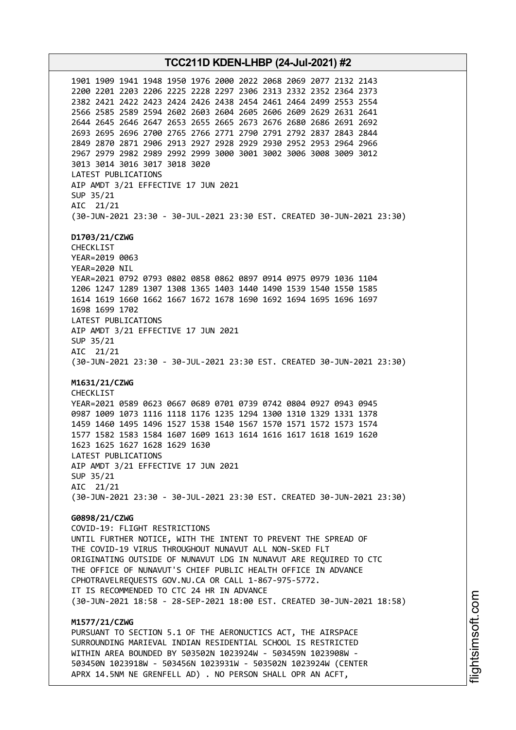**TCC211D KDEN-LHBP (24-Jul-2021) #2** 1901 1909 1941 1948 1950 1976 2000 2022 2068 2069 2077 2132 2143 2200 2201 2203 2206 2225 2228 2297 2306 2313 2332 2352 2364 2373 2382 2421 2422 2423 2424 2426 2438 2454 2461 2464 2499 2553 2554 2566 2585 2589 2594 2602 2603 2604 2605 2606 2609 2629 2631 2641 2644 2645 2646 2647 2653 2655 2665 2673 2676 2680 2686 2691 2692 2693 2695 2696 2700 2765 2766 2771 2790 2791 2792 2837 2843 2844 2849 2870 2871 2906 2913 2927 2928 2929 2930 2952 2953 2964 2966 2967 2979 2982 2989 2992 2999 3000 3001 3002 3006 3008 3009 3012 3013 3014 3016 3017 3018 3020 LATEST PUBLICATIONS AIP AMDT 3/21 EFFECTIVE 17 JUN 2021 SUP 35/21 AIC 21/21 (30-JUN-2021 23:30 - 30-JUL-2021 23:30 EST. CREATED 30-JUN-2021 23:30) **D1703/21/CZWG** CHECKLIST YEAR=2019 0063 YEAR=2020 NIL YEAR=2021 0792 0793 0802 0858 0862 0897 0914 0975 0979 1036 1104 1206 1247 1289 1307 1308 1365 1403 1440 1490 1539 1540 1550 1585 1614 1619 1660 1662 1667 1672 1678 1690 1692 1694 1695 1696 1697 1698 1699 1702 LATEST PUBLICATIONS AIP AMDT 3/21 EFFECTIVE 17 JUN 2021 SUP 35/21 AIC 21/21 (30-JUN-2021 23:30 - 30-JUL-2021 23:30 EST. CREATED 30-JUN-2021 23:30) **M1631/21/CZWG** CHECKLIST YEAR=2021 0589 0623 0667 0689 0701 0739 0742 0804 0927 0943 0945 0987 1009 1073 1116 1118 1176 1235 1294 1300 1310 1329 1331 1378 1459 1460 1495 1496 1527 1538 1540 1567 1570 1571 1572 1573 1574 1577 1582 1583 1584 1607 1609 1613 1614 1616 1617 1618 1619 1620 1623 1625 1627 1628 1629 1630 LATEST PUBLICATIONS AIP AMDT 3/21 EFFECTIVE 17 JUN 2021 SUP 35/21 AIC 21/21 (30-JUN-2021 23:30 - 30-JUL-2021 23:30 EST. CREATED 30-JUN-2021 23:30) **G0898/21/CZWG** COVID-19: FLIGHT RESTRICTIONS UNTIL FURTHER NOTICE, WITH THE INTENT TO PREVENT THE SPREAD OF THE COVID-19 VIRUS THROUGHOUT NUNAVUT ALL NON-SKED FLT ORIGINATING OUTSIDE OF NUNAVUT LDG IN NUNAVUT ARE REQUIRED TO CTC THE OFFICE OF NUNAVUT'S CHIEF PUBLIC HEALTH OFFICE IN ADVANCE CPHOTRAVELREQUESTS GOV.NU.CA OR CALL 1-867-975-5772. IT IS RECOMMENDED TO CTC 24 HR IN ADVANCE (30-JUN-2021 18:58 - 28-SEP-2021 18:00 EST. CREATED 30-JUN-2021 18:58) **M1577/21/CZWG** PURSUANT TO SECTION 5.1 OF THE AERONUCTICS ACT, THE AIRSPACE SURROUNDING MARIEVAL INDIAN RESIDENTIAL SCHOOL IS RESTRICTED WITHIN AREA BOUNDED BY 503502N 1023924W - 503459N 1023908W - 503450N 1023918W - 503456N 1023931W - 503502N 1023924W (CENTER

APRX 14.5NM NE GRENFELL AD) . NO PERSON SHALL OPR AN ACFT,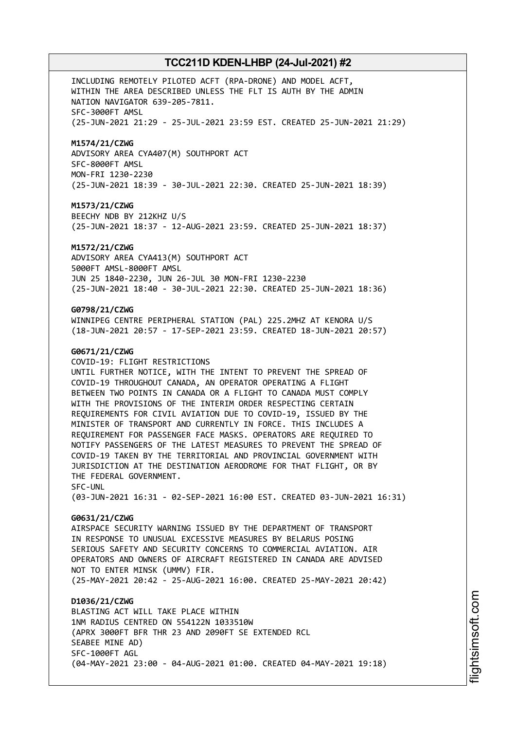INCLUDING REMOTELY PILOTED ACFT (RPA-DRONE) AND MODEL ACFT, WITHIN THE AREA DESCRIBED UNLESS THE FLT IS AUTH BY THE ADMIN NATION NAVIGATOR 639-205-7811. SFC-3000FT AMSL (25-JUN-2021 21:29 - 25-JUL-2021 23:59 EST. CREATED 25-JUN-2021 21:29)

# **M1574/21/CZWG**

ADVISORY AREA CYA407(M) SOUTHPORT ACT SFC-8000FT AMSL MON-FRI 1230-2230 (25-JUN-2021 18:39 - 30-JUL-2021 22:30. CREATED 25-JUN-2021 18:39)

## **M1573/21/CZWG**

BEECHY NDB BY 212KHZ U/S (25-JUN-2021 18:37 - 12-AUG-2021 23:59. CREATED 25-JUN-2021 18:37)

#### **M1572/21/CZWG**

ADVISORY AREA CYA413(M) SOUTHPORT ACT 5000FT AMSL-8000FT AMSL JUN 25 1840-2230, JUN 26-JUL 30 MON-FRI 1230-2230 (25-JUN-2021 18:40 - 30-JUL-2021 22:30. CREATED 25-JUN-2021 18:36)

# **G0798/21/CZWG**

WINNIPEG CENTRE PERIPHERAL STATION (PAL) 225.2MHZ AT KENORA U/S (18-JUN-2021 20:57 - 17-SEP-2021 23:59. CREATED 18-JUN-2021 20:57)

## **G0671/21/CZWG**

COVID-19: FLIGHT RESTRICTIONS UNTIL FURTHER NOTICE, WITH THE INTENT TO PREVENT THE SPREAD OF COVID-19 THROUGHOUT CANADA, AN OPERATOR OPERATING A FLIGHT BETWEEN TWO POINTS IN CANADA OR A FLIGHT TO CANADA MUST COMPLY WITH THE PROVISIONS OF THE INTERIM ORDER RESPECTING CERTAIN REQUIREMENTS FOR CIVIL AVIATION DUE TO COVID-19, ISSUED BY THE MINISTER OF TRANSPORT AND CURRENTLY IN FORCE. THIS INCLUDES A REQUIREMENT FOR PASSENGER FACE MASKS. OPERATORS ARE REQUIRED TO NOTIFY PASSENGERS OF THE LATEST MEASURES TO PREVENT THE SPREAD OF COVID-19 TAKEN BY THE TERRITORIAL AND PROVINCIAL GOVERNMENT WITH JURISDICTION AT THE DESTINATION AERODROME FOR THAT FLIGHT, OR BY THE FEDERAL GOVERNMENT. SFC-UNL

(03-JUN-2021 16:31 - 02-SEP-2021 16:00 EST. CREATED 03-JUN-2021 16:31)

## **G0631/21/CZWG**

AIRSPACE SECURITY WARNING ISSUED BY THE DEPARTMENT OF TRANSPORT IN RESPONSE TO UNUSUAL EXCESSIVE MEASURES BY BELARUS POSING SERIOUS SAFETY AND SECURITY CONCERNS TO COMMERCIAL AVIATION. AIR OPERATORS AND OWNERS OF AIRCRAFT REGISTERED IN CANADA ARE ADVISED NOT TO ENTER MINSK (UMMV) FIR. (25-MAY-2021 20:42 - 25-AUG-2021 16:00. CREATED 25-MAY-2021 20:42)

#### **D1036/21/CZWG**

BLASTING ACT WILL TAKE PLACE WITHIN 1NM RADIUS CENTRED ON 554122N 1033510W (APRX 3000FT BFR THR 23 AND 2090FT SE EXTENDED RCL SEABEE MINE AD) SFC-1000FT AGL (04-MAY-2021 23:00 - 04-AUG-2021 01:00. CREATED 04-MAY-2021 19:18)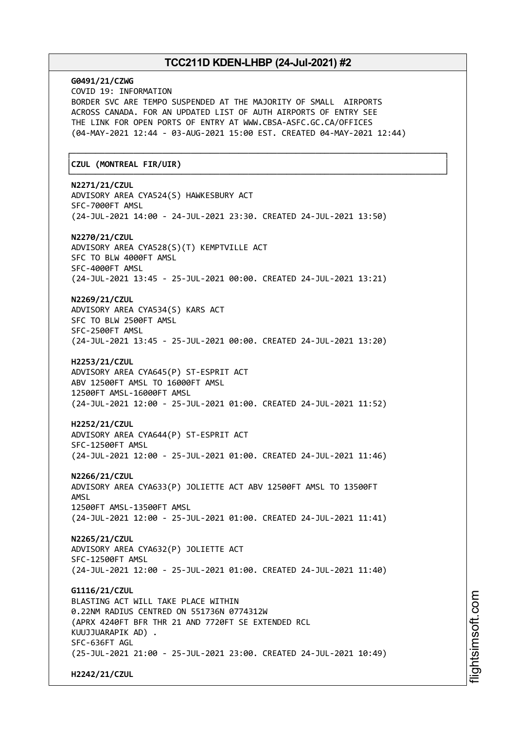# **G0491/21/CZWG** COVID 19: INFORMATION BORDER SVC ARE TEMPO SUSPENDED AT THE MAJORITY OF SMALL AIRPORTS ACROSS CANADA. FOR AN UPDATED LIST OF AUTH AIRPORTS OF ENTRY SEE THE LINK FOR OPEN PORTS OF ENTRY AT WWW.CBSA-ASFC.GC.CA/OFFICES (04-MAY-2021 12:44 - 03-AUG-2021 15:00 EST. CREATED 04-MAY-2021 12:44) ┌──────────────────────────────────────────────────────────────────────────────┐ │**CZUL (MONTREAL FIR/UIR)** │ └──────────────────────────────────────────────────────────────────────────────┘ **N2271/21/CZUL** ADVISORY AREA CYA524(S) HAWKESBURY ACT SFC-7000FT AMSL (24-JUL-2021 14:00 - 24-JUL-2021 23:30. CREATED 24-JUL-2021 13:50) **N2270/21/CZUL** ADVISORY AREA CYA528(S)(T) KEMPTVILLE ACT SFC TO BLW 4000FT AMSL SFC-4000FT AMSL (24-JUL-2021 13:45 - 25-JUL-2021 00:00. CREATED 24-JUL-2021 13:21) **N2269/21/CZUL** ADVISORY AREA CYA534(S) KARS ACT SFC TO BLW 2500FT AMSL SFC-2500FT AMSL (24-JUL-2021 13:45 - 25-JUL-2021 00:00. CREATED 24-JUL-2021 13:20) **H2253/21/CZUL** ADVISORY AREA CYA645(P) ST-ESPRIT ACT ABV 12500FT AMSL TO 16000FT AMSL 12500FT AMSL-16000FT AMSL (24-JUL-2021 12:00 - 25-JUL-2021 01:00. CREATED 24-JUL-2021 11:52) **H2252/21/CZUL** ADVISORY AREA CYA644(P) ST-ESPRIT ACT SFC-12500FT AMSL (24-JUL-2021 12:00 - 25-JUL-2021 01:00. CREATED 24-JUL-2021 11:46) **N2266/21/CZUL** ADVISORY AREA CYA633(P) JOLIETTE ACT ABV 12500FT AMSL TO 13500FT AMSL 12500FT AMSL-13500FT AMSL (24-JUL-2021 12:00 - 25-JUL-2021 01:00. CREATED 24-JUL-2021 11:41) **N2265/21/CZUL** ADVISORY AREA CYA632(P) JOLIETTE ACT SFC-12500FT AMSL (24-JUL-2021 12:00 - 25-JUL-2021 01:00. CREATED 24-JUL-2021 11:40) **G1116/21/CZUL** BLASTING ACT WILL TAKE PLACE WITHIN 0.22NM RADIUS CENTRED ON 551736N 0774312W (APRX 4240FT BFR THR 21 AND 7720FT SE EXTENDED RCL KUUJJUARAPIK AD) . SFC-636FT AGL (25-JUL-2021 21:00 - 25-JUL-2021 23:00. CREATED 24-JUL-2021 10:49) **H2242/21/CZUL**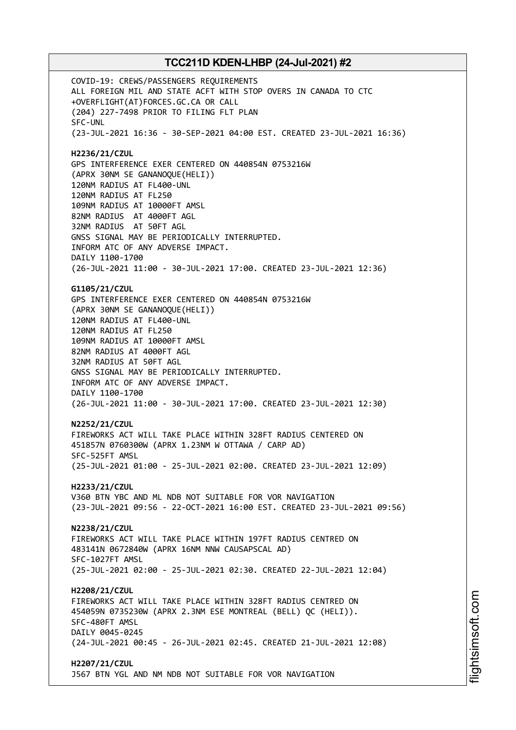COVID-19: CREWS/PASSENGERS REQUIREMENTS ALL FOREIGN MIL AND STATE ACFT WITH STOP OVERS IN CANADA TO CTC +OVERFLIGHT(AT)FORCES.GC.CA OR CALL (204) 227-7498 PRIOR TO FILING FLT PLAN SFC-UNL (23-JUL-2021 16:36 - 30-SEP-2021 04:00 EST. CREATED 23-JUL-2021 16:36) **H2236/21/CZUL** GPS INTERFERENCE EXER CENTERED ON 440854N 0753216W (APRX 30NM SE GANANOQUE(HELI)) 120NM RADIUS AT FL400-UNL 120NM RADIUS AT FL250 109NM RADIUS AT 10000FT AMSL 82NM RADIUS AT 4000FT AGL 32NM RADIUS AT 50FT AGL GNSS SIGNAL MAY BE PERIODICALLY INTERRUPTED. INFORM ATC OF ANY ADVERSE IMPACT. DAILY 1100-1700 (26-JUL-2021 11:00 - 30-JUL-2021 17:00. CREATED 23-JUL-2021 12:36) **G1105/21/CZUL** GPS INTERFERENCE EXER CENTERED ON 440854N 0753216W (APRX 30NM SE GANANOQUE(HELI)) 120NM RADIUS AT FL400-UNL 120NM RADIUS AT FL250 109NM RADIUS AT 10000FT AMSL 82NM RADIUS AT 4000FT AGL 32NM RADIUS AT 50FT AGL GNSS SIGNAL MAY BE PERIODICALLY INTERRUPTED. INFORM ATC OF ANY ADVERSE IMPACT. DAILY 1100-1700 (26-JUL-2021 11:00 - 30-JUL-2021 17:00. CREATED 23-JUL-2021 12:30) **N2252/21/CZUL** FIREWORKS ACT WILL TAKE PLACE WITHIN 328FT RADIUS CENTERED ON 451857N 0760300W (APRX 1.23NM W OTTAWA / CARP AD) SFC-525FT AMSL (25-JUL-2021 01:00 - 25-JUL-2021 02:00. CREATED 23-JUL-2021 12:09) **H2233/21/CZUL** V360 BTN YBC AND ML NDB NOT SUITABLE FOR VOR NAVIGATION (23-JUL-2021 09:56 - 22-OCT-2021 16:00 EST. CREATED 23-JUL-2021 09:56) **N2238/21/CZUL** FIREWORKS ACT WILL TAKE PLACE WITHIN 197FT RADIUS CENTRED ON 483141N 0672840W (APRX 16NM NNW CAUSAPSCAL AD) SFC-1027FT AMSL (25-JUL-2021 02:00 - 25-JUL-2021 02:30. CREATED 22-JUL-2021 12:04) **H2208/21/CZUL** FIREWORKS ACT WILL TAKE PLACE WITHIN 328FT RADIUS CENTRED ON 454059N 0735230W (APRX 2.3NM ESE MONTREAL (BELL) QC (HELI)). SFC-480FT AMSL DAILY 0045-0245 (24-JUL-2021 00:45 - 26-JUL-2021 02:45. CREATED 21-JUL-2021 12:08) **H2207/21/CZUL** J567 BTN YGL AND NM NDB NOT SUITABLE FOR VOR NAVIGATION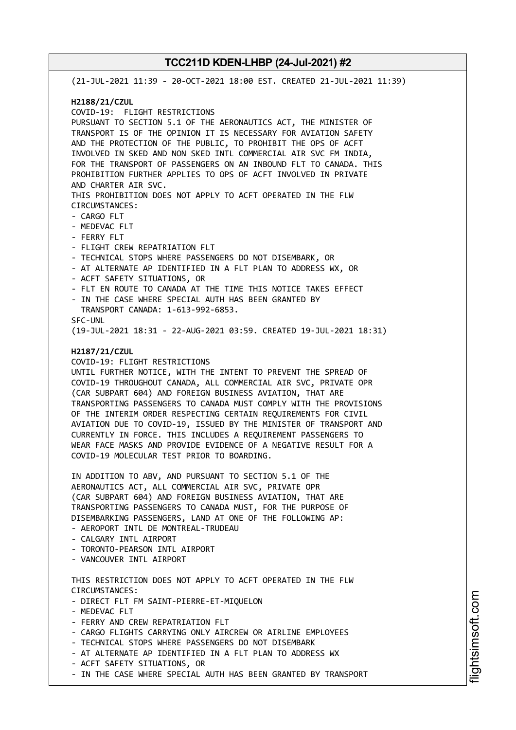(21-JUL-2021 11:39 - 20-OCT-2021 18:00 EST. CREATED 21-JUL-2021 11:39) **H2188/21/CZUL** COVID-19: FLIGHT RESTRICTIONS PURSUANT TO SECTION 5.1 OF THE AERONAUTICS ACT, THE MINISTER OF TRANSPORT IS OF THE OPINION IT IS NECESSARY FOR AVIATION SAFETY AND THE PROTECTION OF THE PUBLIC, TO PROHIBIT THE OPS OF ACFT INVOLVED IN SKED AND NON SKED INTL COMMERCIAL AIR SVC FM INDIA, FOR THE TRANSPORT OF PASSENGERS ON AN INBOUND FLT TO CANADA. THIS PROHIBITION FURTHER APPLIES TO OPS OF ACFT INVOLVED IN PRIVATE AND CHARTER AIR SVC. THIS PROHIBITION DOES NOT APPLY TO ACFT OPERATED IN THE FLW CIRCUMSTANCES: - CARGO FLT - MEDEVAC FLT - FERRY FLT - FLIGHT CREW REPATRIATION FLT - TECHNICAL STOPS WHERE PASSENGERS DO NOT DISEMBARK, OR - AT ALTERNATE AP IDENTIFIED IN A FLT PLAN TO ADDRESS WX, OR - ACFT SAFETY SITUATIONS, OR - FLT EN ROUTE TO CANADA AT THE TIME THIS NOTICE TAKES EFFECT - IN THE CASE WHERE SPECIAL AUTH HAS BEEN GRANTED BY TRANSPORT CANADA: 1-613-992-6853. SFC-UNL (19-JUL-2021 18:31 - 22-AUG-2021 03:59. CREATED 19-JUL-2021 18:31) **H2187/21/CZUL** COVID-19: FLIGHT RESTRICTIONS UNTIL FURTHER NOTICE, WITH THE INTENT TO PREVENT THE SPREAD OF COVID-19 THROUGHOUT CANADA, ALL COMMERCIAL AIR SVC, PRIVATE OPR (CAR SUBPART 604) AND FOREIGN BUSINESS AVIATION, THAT ARE TRANSPORTING PASSENGERS TO CANADA MUST COMPLY WITH THE PROVISIONS OF THE INTERIM ORDER RESPECTING CERTAIN REQUIREMENTS FOR CIVIL AVIATION DUE TO COVID-19, ISSUED BY THE MINISTER OF TRANSPORT AND CURRENTLY IN FORCE. THIS INCLUDES A REQUIREMENT PASSENGERS TO WEAR FACE MASKS AND PROVIDE EVIDENCE OF A NEGATIVE RESULT FOR A COVID-19 MOLECULAR TEST PRIOR TO BOARDING. IN ADDITION TO ABV, AND PURSUANT TO SECTION 5.1 OF THE AERONAUTICS ACT, ALL COMMERCIAL AIR SVC, PRIVATE OPR (CAR SUBPART 604) AND FOREIGN BUSINESS AVIATION, THAT ARE TRANSPORTING PASSENGERS TO CANADA MUST, FOR THE PURPOSE OF DISEMBARKING PASSENGERS, LAND AT ONE OF THE FOLLOWING AP: - AEROPORT INTL DE MONTREAL-TRUDEAU - CALGARY INTL AIRPORT - TORONTO-PEARSON INTL AIRPORT - VANCOUVER INTL AIRPORT THIS RESTRICTION DOES NOT APPLY TO ACFT OPERATED IN THE FLW CIRCUMSTANCES: - DIRECT FLT FM SAINT-PIERRE-ET-MIQUELON - MEDEVAC FLT - FERRY AND CREW REPATRIATION FLT - CARGO FLIGHTS CARRYING ONLY AIRCREW OR AIRLINE EMPLOYEES - TECHNICAL STOPS WHERE PASSENGERS DO NOT DISEMBARK - AT ALTERNATE AP IDENTIFIED IN A FLT PLAN TO ADDRESS WX - ACFT SAFETY SITUATIONS, OR

- IN THE CASE WHERE SPECIAL AUTH HAS BEEN GRANTED BY TRANSPORT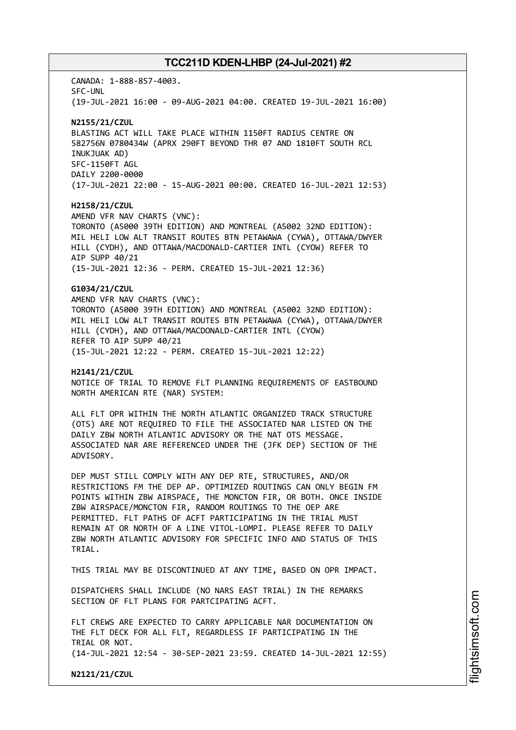CANADA: 1-888-857-4003. SFC-UNL (19-JUL-2021 16:00 - 09-AUG-2021 04:00. CREATED 19-JUL-2021 16:00)

# **N2155/21/CZUL**

BLASTING ACT WILL TAKE PLACE WITHIN 1150FT RADIUS CENTRE ON 582756N 0780434W (APRX 290FT BEYOND THR 07 AND 1810FT SOUTH RCL INUKJUAK AD) SFC-1150FT AGL DAILY 2200-0000 (17-JUL-2021 22:00 - 15-AUG-2021 00:00. CREATED 16-JUL-2021 12:53)

## **H2158/21/CZUL**

AMEND VFR NAV CHARTS (VNC): TORONTO (A5000 39TH EDITION) AND MONTREAL (A5002 32ND EDITION): MIL HELI LOW ALT TRANSIT ROUTES BTN PETAWAWA (CYWA), OTTAWA/DWYER HILL (CYDH), AND OTTAWA/MACDONALD-CARTIER INTL (CYOW) REFER TO AIP SUPP 40/21 (15-JUL-2021 12:36 - PERM. CREATED 15-JUL-2021 12:36)

# **G1034/21/CZUL**

AMEND VFR NAV CHARTS (VNC): TORONTO (A5000 39TH EDITION) AND MONTREAL (A5002 32ND EDITION): MIL HELI LOW ALT TRANSIT ROUTES BTN PETAWAWA (CYWA), OTTAWA/DWYER HILL (CYDH), AND OTTAWA/MACDONALD-CARTIER INTL (CYOW) REFER TO AIP SUPP 40/21 (15-JUL-2021 12:22 - PERM. CREATED 15-JUL-2021 12:22)

## **H2141/21/CZUL**

NOTICE OF TRIAL TO REMOVE FLT PLANNING REQUIREMENTS OF EASTBOUND NORTH AMERICAN RTE (NAR) SYSTEM:

ALL FLT OPR WITHIN THE NORTH ATLANTIC ORGANIZED TRACK STRUCTURE (OTS) ARE NOT REQUIRED TO FILE THE ASSOCIATED NAR LISTED ON THE DAILY ZBW NORTH ATLANTIC ADVISORY OR THE NAT OTS MESSAGE. ASSOCIATED NAR ARE REFERENCED UNDER THE (JFK DEP) SECTION OF THE ADVISORY.

DEP MUST STILL COMPLY WITH ANY DEP RTE, STRUCTURES, AND/OR RESTRICTIONS FM THE DEP AP. OPTIMIZED ROUTINGS CAN ONLY BEGIN FM POINTS WITHIN ZBW AIRSPACE, THE MONCTON FIR, OR BOTH. ONCE INSIDE ZBW AIRSPACE/MONCTON FIR, RANDOM ROUTINGS TO THE OEP ARE PERMITTED. FLT PATHS OF ACFT PARTICIPATING IN THE TRIAL MUST REMAIN AT OR NORTH OF A LINE VITOL-LOMPI. PLEASE REFER TO DAILY ZBW NORTH ATLANTIC ADVISORY FOR SPECIFIC INFO AND STATUS OF THIS TRIAL.

THIS TRIAL MAY BE DISCONTINUED AT ANY TIME, BASED ON OPR IMPACT.

DISPATCHERS SHALL INCLUDE (NO NARS EAST TRIAL) IN THE REMARKS SECTION OF FLT PLANS FOR PARTCIPATING ACFT.

FLT CREWS ARE EXPECTED TO CARRY APPLICABLE NAR DOCUMENTATION ON THE FLT DECK FOR ALL FLT, REGARDLESS IF PARTICIPATING IN THE TRIAL OR NOT. (14-JUL-2021 12:54 - 30-SEP-2021 23:59. CREATED 14-JUL-2021 12:55)

**N2121/21/CZUL**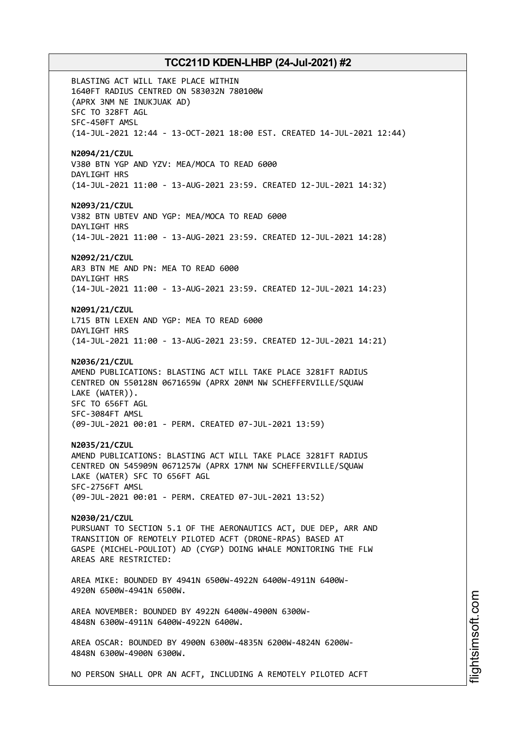BLASTING ACT WILL TAKE PLACE WITHIN 1640FT RADIUS CENTRED ON 583032N 780100W (APRX 3NM NE INUKJUAK AD) SFC TO 328FT AGL SFC-450FT AMSL (14-JUL-2021 12:44 - 13-OCT-2021 18:00 EST. CREATED 14-JUL-2021 12:44) **N2094/21/CZUL** V380 BTN YGP AND YZV: MEA/MOCA TO READ 6000 DAYLIGHT HRS (14-JUL-2021 11:00 - 13-AUG-2021 23:59. CREATED 12-JUL-2021 14:32) **N2093/21/CZUL** V382 BTN UBTEV AND YGP: MEA/MOCA TO READ 6000 DAYLIGHT HRS (14-JUL-2021 11:00 - 13-AUG-2021 23:59. CREATED 12-JUL-2021 14:28) **N2092/21/CZUL** AR3 BTN ME AND PN: MEA TO READ 6000 DAYLIGHT HRS (14-JUL-2021 11:00 - 13-AUG-2021 23:59. CREATED 12-JUL-2021 14:23) **N2091/21/CZUL** L715 BTN LEXEN AND YGP: MEA TO READ 6000 DAYLIGHT HRS (14-JUL-2021 11:00 - 13-AUG-2021 23:59. CREATED 12-JUL-2021 14:21) **N2036/21/CZUL** AMEND PUBLICATIONS: BLASTING ACT WILL TAKE PLACE 3281FT RADIUS CENTRED ON 550128N 0671659W (APRX 20NM NW SCHEFFERVILLE/SQUAW LAKE (WATER)). SFC TO 656FT AGL SFC-3084FT AMSL (09-JUL-2021 00:01 - PERM. CREATED 07-JUL-2021 13:59) **N2035/21/CZUL** AMEND PUBLICATIONS: BLASTING ACT WILL TAKE PLACE 3281FT RADIUS CENTRED ON 545909N 0671257W (APRX 17NM NW SCHEFFERVILLE/SQUAW LAKE (WATER) SFC TO 656FT AGL SFC-2756FT AMSL (09-JUL-2021 00:01 - PERM. CREATED 07-JUL-2021 13:52) **N2030/21/CZUL** PURSUANT TO SECTION 5.1 OF THE AERONAUTICS ACT, DUE DEP, ARR AND TRANSITION OF REMOTELY PILOTED ACFT (DRONE-RPAS) BASED AT GASPE (MICHEL-POULIOT) AD (CYGP) DOING WHALE MONITORING THE FLW AREAS ARE RESTRICTED: AREA MIKE: BOUNDED BY 4941N 6500W-4922N 6400W-4911N 6400W-4920N 6500W-4941N 6500W. AREA NOVEMBER: BOUNDED BY 4922N 6400W-4900N 6300W-4848N 6300W-4911N 6400W-4922N 6400W. AREA OSCAR: BOUNDED BY 4900N 6300W-4835N 6200W-4824N 6200W-4848N 6300W-4900N 6300W. NO PERSON SHALL OPR AN ACFT, INCLUDING A REMOTELY PILOTED ACFT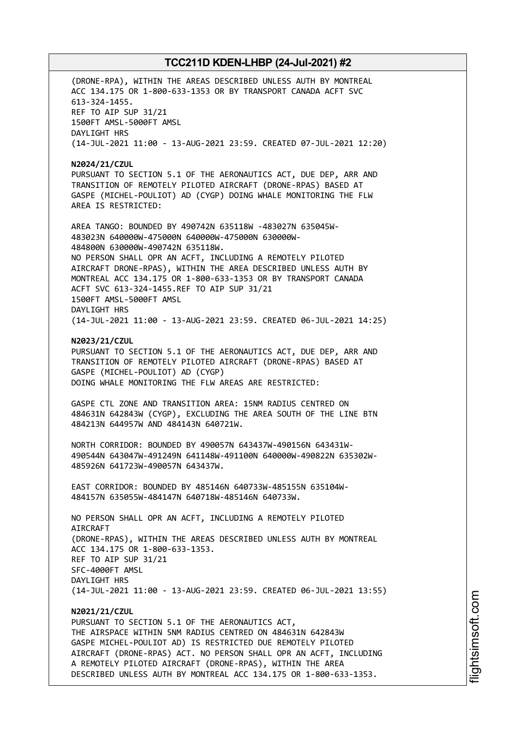(DRONE-RPA), WITHIN THE AREAS DESCRIBED UNLESS AUTH BY MONTREAL ACC 134.175 OR 1-800-633-1353 OR BY TRANSPORT CANADA ACFT SVC 613-324-1455. REF TO AIP SUP 31/21 1500FT AMSL-5000FT AMSL DAYLIGHT HRS (14-JUL-2021 11:00 - 13-AUG-2021 23:59. CREATED 07-JUL-2021 12:20)

**N2024/21/CZUL** PURSUANT TO SECTION 5.1 OF THE AERONAUTICS ACT, DUE DEP, ARR AND TRANSITION OF REMOTELY PILOTED AIRCRAFT (DRONE-RPAS) BASED AT GASPE (MICHEL-POULIOT) AD (CYGP) DOING WHALE MONITORING THE FLW AREA IS RESTRICTED:

AREA TANGO: BOUNDED BY 490742N 635118W -483027N 635045W-483023N 640000W-475000N 640000W-475000N 630000W-484800N 630000W-490742N 635118W. NO PERSON SHALL OPR AN ACFT, INCLUDING A REMOTELY PILOTED AIRCRAFT DRONE-RPAS), WITHIN THE AREA DESCRIBED UNLESS AUTH BY MONTREAL ACC 134.175 OR 1-800-633-1353 OR BY TRANSPORT CANADA ACFT SVC 613-324-1455.REF TO AIP SUP 31/21 1500FT AMSL-5000FT AMSL DAYLIGHT HRS (14-JUL-2021 11:00 - 13-AUG-2021 23:59. CREATED 06-JUL-2021 14:25)

**N2023/21/CZUL**

PURSUANT TO SECTION 5.1 OF THE AERONAUTICS ACT, DUE DEP, ARR AND TRANSITION OF REMOTELY PILOTED AIRCRAFT (DRONE-RPAS) BASED AT GASPE (MICHEL-POULIOT) AD (CYGP) DOING WHALE MONITORING THE FLW AREAS ARE RESTRICTED:

GASPE CTL ZONE AND TRANSITION AREA: 15NM RADIUS CENTRED ON 484631N 642843W (CYGP), EXCLUDING THE AREA SOUTH OF THE LINE BTN 484213N 644957W AND 484143N 640721W.

NORTH CORRIDOR: BOUNDED BY 490057N 643437W-490156N 643431W-490544N 643047W-491249N 641148W-491100N 640000W-490822N 635302W-485926N 641723W-490057N 643437W.

EAST CORRIDOR: BOUNDED BY 485146N 640733W-485155N 635104W-484157N 635055W-484147N 640718W-485146N 640733W.

NO PERSON SHALL OPR AN ACFT, INCLUDING A REMOTELY PILOTED **ATRCRAFT** (DRONE-RPAS), WITHIN THE AREAS DESCRIBED UNLESS AUTH BY MONTREAL ACC 134.175 OR 1-800-633-1353. REF TO AIP SUP 31/21 SFC-4000FT AMSL DAYLIGHT HRS (14-JUL-2021 11:00 - 13-AUG-2021 23:59. CREATED 06-JUL-2021 13:55)

# **N2021/21/CZUL**

PURSUANT TO SECTION 5.1 OF THE AERONAUTICS ACT, THE AIRSPACE WITHIN 5NM RADIUS CENTRED ON 484631N 642843W GASPE MICHEL-POULIOT AD) IS RESTRICTED DUE REMOTELY PILOTED AIRCRAFT (DRONE-RPAS) ACT. NO PERSON SHALL OPR AN ACFT, INCLUDING A REMOTELY PILOTED AIRCRAFT (DRONE-RPAS), WITHIN THE AREA DESCRIBED UNLESS AUTH BY MONTREAL ACC 134.175 OR 1-800-633-1353.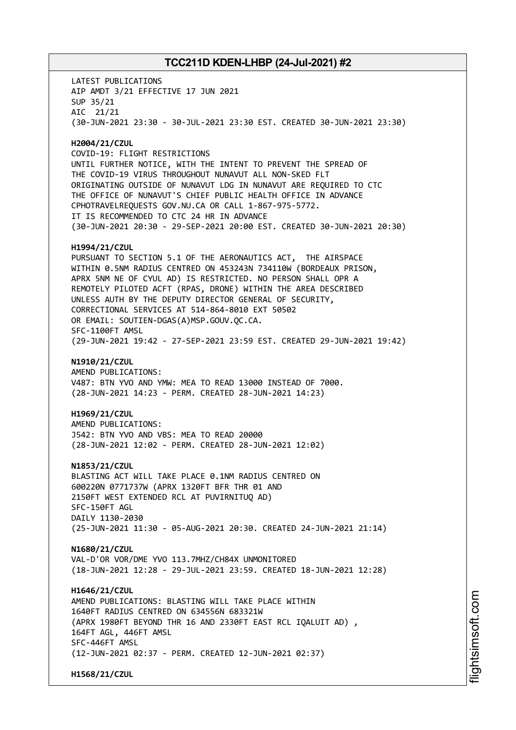LATEST PUBLICATIONS AIP AMDT 3/21 EFFECTIVE 17 JUN 2021 SUP 35/21 AIC 21/21 (30-JUN-2021 23:30 - 30-JUL-2021 23:30 EST. CREATED 30-JUN-2021 23:30) **H2004/21/CZUL** COVID-19: FLIGHT RESTRICTIONS UNTIL FURTHER NOTICE, WITH THE INTENT TO PREVENT THE SPREAD OF THE COVID-19 VIRUS THROUGHOUT NUNAVUT ALL NON-SKED FLT ORIGINATING OUTSIDE OF NUNAVUT LDG IN NUNAVUT ARE REQUIRED TO CTC THE OFFICE OF NUNAVUT'S CHIEF PUBLIC HEALTH OFFICE IN ADVANCE CPHOTRAVELREQUESTS GOV.NU.CA OR CALL 1-867-975-5772. IT IS RECOMMENDED TO CTC 24 HR IN ADVANCE (30-JUN-2021 20:30 - 29-SEP-2021 20:00 EST. CREATED 30-JUN-2021 20:30) **H1994/21/CZUL** PURSUANT TO SECTION 5.1 OF THE AERONAUTICS ACT, THE AIRSPACE WITHIN 0.5NM RADIUS CENTRED ON 453243N 734110W (BORDEAUX PRISON, APRX 5NM NE OF CYUL AD) IS RESTRICTED. NO PERSON SHALL OPR A REMOTELY PILOTED ACFT (RPAS, DRONE) WITHIN THE AREA DESCRIBED UNLESS AUTH BY THE DEPUTY DIRECTOR GENERAL OF SECURITY, CORRECTIONAL SERVICES AT 514-864-8010 EXT 50502 OR EMAIL: SOUTIEN-DGAS(A)MSP.GOUV.QC.CA. SFC-1100FT AMSL (29-JUN-2021 19:42 - 27-SEP-2021 23:59 EST. CREATED 29-JUN-2021 19:42) **N1910/21/CZUL** AMEND PUBLICATIONS: V487: BTN YVO AND YMW: MEA TO READ 13000 INSTEAD OF 7000. (28-JUN-2021 14:23 - PERM. CREATED 28-JUN-2021 14:23) **H1969/21/CZUL** AMEND PUBLICATIONS: J542: BTN YVO AND VBS: MEA TO READ 20000 (28-JUN-2021 12:02 - PERM. CREATED 28-JUN-2021 12:02) **N1853/21/CZUL** BLASTING ACT WILL TAKE PLACE 0.1NM RADIUS CENTRED ON 600220N 0771737W (APRX 1320FT BFR THR 01 AND 2150FT WEST EXTENDED RCL AT PUVIRNITUQ AD) SFC-150FT AGL DAILY 1130-2030 (25-JUN-2021 11:30 - 05-AUG-2021 20:30. CREATED 24-JUN-2021 21:14) **N1680/21/CZUL** VAL-D'OR VOR/DME YVO 113.7MHZ/CH84X UNMONITORED (18-JUN-2021 12:28 - 29-JUL-2021 23:59. CREATED 18-JUN-2021 12:28) **H1646/21/CZUL** AMEND PUBLICATIONS: BLASTING WILL TAKE PLACE WITHIN 1640FT RADIUS CENTRED ON 634556N 683321W (APRX 1980FT BEYOND THR 16 AND 2330FT EAST RCL IQALUIT AD) , 164FT AGL, 446FT AMSL SFC-446FT AMSL (12-JUN-2021 02:37 - PERM. CREATED 12-JUN-2021 02:37) **H1568/21/CZUL**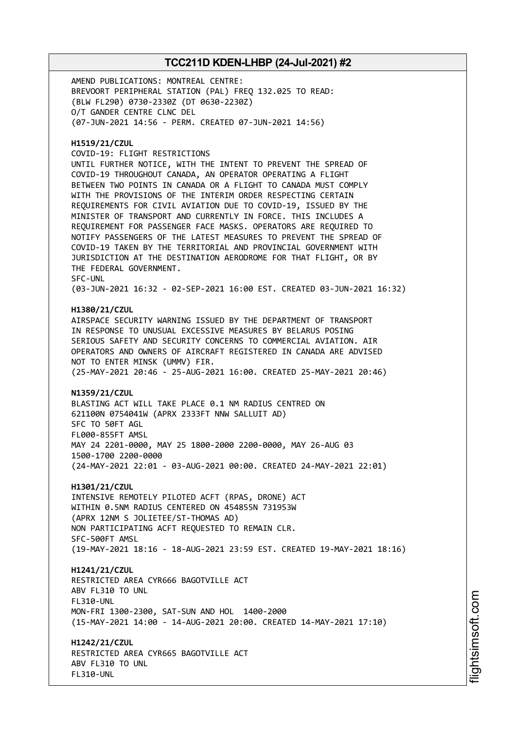AMEND PUBLICATIONS: MONTREAL CENTRE: BREVOORT PERIPHERAL STATION (PAL) FREQ 132.025 TO READ: (BLW FL290) 0730-2330Z (DT 0630-2230Z) O/T GANDER CENTRE CLNC DEL (07-JUN-2021 14:56 - PERM. CREATED 07-JUN-2021 14:56)

### **H1519/21/CZUL**

COVID-19: FLIGHT RESTRICTIONS

UNTIL FURTHER NOTICE, WITH THE INTENT TO PREVENT THE SPREAD OF COVID-19 THROUGHOUT CANADA, AN OPERATOR OPERATING A FLIGHT BETWEEN TWO POINTS IN CANADA OR A FLIGHT TO CANADA MUST COMPLY WITH THE PROVISIONS OF THE INTERIM ORDER RESPECTING CERTAIN REQUIREMENTS FOR CIVIL AVIATION DUE TO COVID-19, ISSUED BY THE MINISTER OF TRANSPORT AND CURRENTLY IN FORCE. THIS INCLUDES A REQUIREMENT FOR PASSENGER FACE MASKS. OPERATORS ARE REQUIRED TO NOTIFY PASSENGERS OF THE LATEST MEASURES TO PREVENT THE SPREAD OF COVID-19 TAKEN BY THE TERRITORIAL AND PROVINCIAL GOVERNMENT WITH JURISDICTION AT THE DESTINATION AERODROME FOR THAT FLIGHT, OR BY THE FEDERAL GOVERNMENT. SFC-UNL (03-JUN-2021 16:32 - 02-SEP-2021 16:00 EST. CREATED 03-JUN-2021 16:32)

#### **H1380/21/CZUL**

AIRSPACE SECURITY WARNING ISSUED BY THE DEPARTMENT OF TRANSPORT IN RESPONSE TO UNUSUAL EXCESSIVE MEASURES BY BELARUS POSING SERIOUS SAFETY AND SECURITY CONCERNS TO COMMERCIAL AVIATION. AIR OPERATORS AND OWNERS OF AIRCRAFT REGISTERED IN CANADA ARE ADVISED NOT TO ENTER MINSK (UMMV) FIR. (25-MAY-2021 20:46 - 25-AUG-2021 16:00. CREATED 25-MAY-2021 20:46)

#### **N1359/21/CZUL**

BLASTING ACT WILL TAKE PLACE 0.1 NM RADIUS CENTRED ON 621100N 0754041W (APRX 2333FT NNW SALLUIT AD) SFC TO 50FT AGL FL000-855FT AMSL MAY 24 2201-0000, MAY 25 1800-2000 2200-0000, MAY 26-AUG 03 1500-1700 2200-0000 (24-MAY-2021 22:01 - 03-AUG-2021 00:00. CREATED 24-MAY-2021 22:01)

#### **H1301/21/CZUL**

INTENSIVE REMOTELY PILOTED ACFT (RPAS, DRONE) ACT WITHIN 0.5NM RADIUS CENTERED ON 454855N 731953W (APRX 12NM S JOLIETEE/ST-THOMAS AD) NON PARTICIPATING ACFT REQUESTED TO REMAIN CLR. SFC-500FT AMSL (19-MAY-2021 18:16 - 18-AUG-2021 23:59 EST. CREATED 19-MAY-2021 18:16)

#### **H1241/21/CZUL**

RESTRICTED AREA CYR666 BAGOTVILLE ACT ABV FL310 TO UNL (15-MAY-2021 14:00 - 14-AUG-2021 20:00. CREATED 14-MAY-2021 17:10)

FL310-UNL MON-FRI 1300-2300, SAT-SUN AND HOL 1400-2000

# **H1242/21/CZUL** RESTRICTED AREA CYR665 BAGOTVILLE ACT

ABV FL310 TO UNL FL310-UNL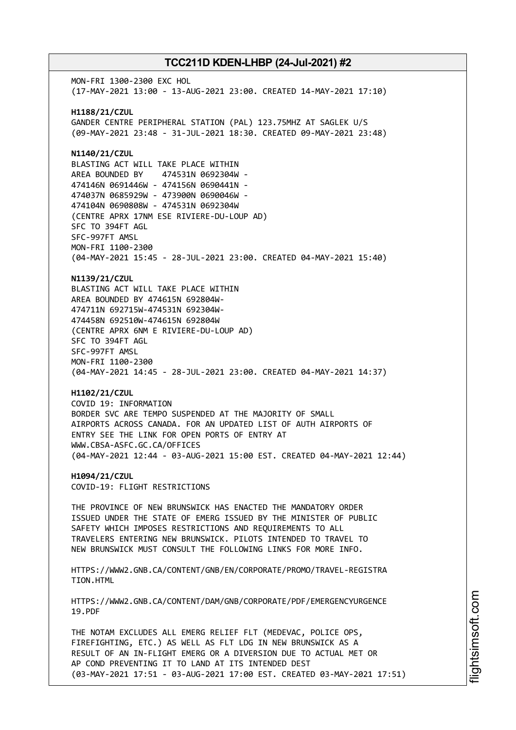MON-FRI 1300-2300 EXC HOL (17-MAY-2021 13:00 - 13-AUG-2021 23:00. CREATED 14-MAY-2021 17:10) **H1188/21/CZUL** GANDER CENTRE PERIPHERAL STATION (PAL) 123.75MHZ AT SAGLEK U/S (09-MAY-2021 23:48 - 31-JUL-2021 18:30. CREATED 09-MAY-2021 23:48) **N1140/21/CZUL** BLASTING ACT WILL TAKE PLACE WITHIN AREA BOUNDED BY 474531N 0692304W - 474146N 0691446W - 474156N 0690441N - 474037N 0685929W - 473900N 0690046W - 474104N 0690808W - 474531N 0692304W (CENTRE APRX 17NM ESE RIVIERE-DU-LOUP AD) SFC TO 394FT AGL SFC-997FT AMSL MON-FRI 1100-2300 (04-MAY-2021 15:45 - 28-JUL-2021 23:00. CREATED 04-MAY-2021 15:40) **N1139/21/CZUL** BLASTING ACT WILL TAKE PLACE WITHIN AREA BOUNDED BY 474615N 692804W-474711N 692715W-474531N 692304W-474458N 692510W-474615N 692804W (CENTRE APRX 6NM E RIVIERE-DU-LOUP AD) SFC TO 394FT AGL SFC-997FT AMSL MON-FRI 1100-2300 (04-MAY-2021 14:45 - 28-JUL-2021 23:00. CREATED 04-MAY-2021 14:37) **H1102/21/CZUL** COVID 19: INFORMATION BORDER SVC ARE TEMPO SUSPENDED AT THE MAJORITY OF SMALL AIRPORTS ACROSS CANADA. FOR AN UPDATED LIST OF AUTH AIRPORTS OF ENTRY SEE THE LINK FOR OPEN PORTS OF ENTRY AT WWW.CBSA-ASFC.GC.CA/OFFICES (04-MAY-2021 12:44 - 03-AUG-2021 15:00 EST. CREATED 04-MAY-2021 12:44) **H1094/21/CZUL** COVID-19: FLIGHT RESTRICTIONS THE PROVINCE OF NEW BRUNSWICK HAS ENACTED THE MANDATORY ORDER ISSUED UNDER THE STATE OF EMERG ISSUED BY THE MINISTER OF PUBLIC SAFETY WHICH IMPOSES RESTRICTIONS AND REQUIREMENTS TO ALL TRAVELERS ENTERING NEW BRUNSWICK. PILOTS INTENDED TO TRAVEL TO NEW BRUNSWICK MUST CONSULT THE FOLLOWING LINKS FOR MORE INFO. HTTPS://WWW2.GNB.CA/CONTENT/GNB/EN/CORPORATE/PROMO/TRAVEL-REGISTRA TION.HTML HTTPS://WWW2.GNB.CA/CONTENT/DAM/GNB/CORPORATE/PDF/EMERGENCYURGENCE 19.PDF THE NOTAM EXCLUDES ALL EMERG RELIEF FLT (MEDEVAC, POLICE OPS, FIREFIGHTING, ETC.) AS WELL AS FLT LDG IN NEW BRUNSWICK AS A RESULT OF AN IN-FLIGHT EMERG OR A DIVERSION DUE TO ACTUAL MET OR AP COND PREVENTING IT TO LAND AT ITS INTENDED DEST

(03-MAY-2021 17:51 - 03-AUG-2021 17:00 EST. CREATED 03-MAY-2021 17:51)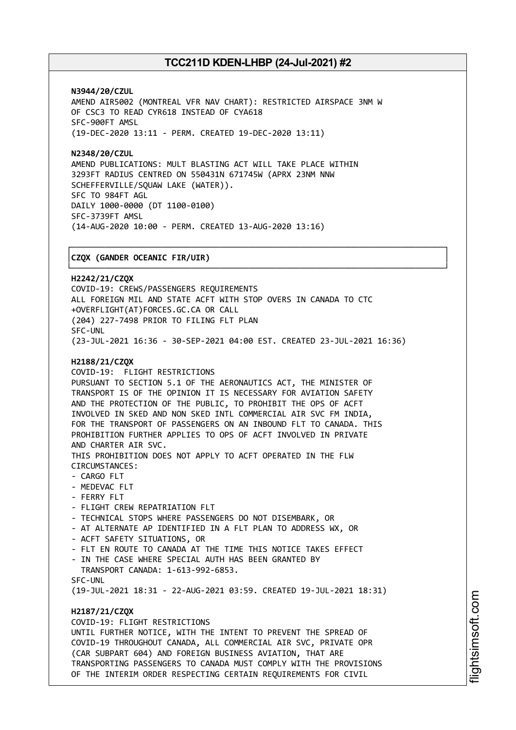┌──────────────────────────────────────────────────────────────────────────────┐

**N3944/20/CZUL** AMEND AIR5002 (MONTREAL VFR NAV CHART): RESTRICTED AIRSPACE 3NM W OF CSC3 TO READ CYR618 INSTEAD OF CYA618 SFC-900FT AMSL (19-DEC-2020 13:11 - PERM. CREATED 19-DEC-2020 13:11)

**N2348/20/CZUL** AMEND PUBLICATIONS: MULT BLASTING ACT WILL TAKE PLACE WITHIN 3293FT RADIUS CENTRED ON 550431N 671745W (APRX 23NM NNW SCHEFFERVILLE/SQUAW LAKE (WATER)). SFC TO 984FT AGL DAILY 1000-0000 (DT 1100-0100) SFC-3739FT AMSL (14-AUG-2020 10:00 - PERM. CREATED 13-AUG-2020 13:16)

#### │**CZQX (GANDER OCEANIC FIR/UIR)** │

└──────────────────────────────────────────────────────────────────────────────┘ **H2242/21/CZQX** COVID-19: CREWS/PASSENGERS REQUIREMENTS ALL FOREIGN MIL AND STATE ACFT WITH STOP OVERS IN CANADA TO CTC +OVERFLIGHT(AT)FORCES.GC.CA OR CALL (204) 227-7498 PRIOR TO FILING FLT PLAN SFC-UNL (23-JUL-2021 16:36 - 30-SEP-2021 04:00 EST. CREATED 23-JUL-2021 16:36) **H2188/21/CZQX** COVID-19: FLIGHT RESTRICTIONS PURSUANT TO SECTION 5.1 OF THE AERONAUTICS ACT, THE MINISTER OF TRANSPORT IS OF THE OPINION IT IS NECESSARY FOR AVIATION SAFETY AND THE PROTECTION OF THE PUBLIC, TO PROHIBIT THE OPS OF ACFT INVOLVED IN SKED AND NON SKED INTL COMMERCIAL AIR SVC FM INDIA, FOR THE TRANSPORT OF PASSENGERS ON AN INBOUND FLT TO CANADA. THIS PROHIBITION FURTHER APPLIES TO OPS OF ACFT INVOLVED IN PRIVATE AND CHARTER AIR SVC. THIS PROHIBITION DOES NOT APPLY TO ACFT OPERATED IN THE FLW CIRCUMSTANCES: - CARGO FLT - MEDEVAC FLT - FERRY FLT - FLIGHT CREW REPATRIATION FLT - TECHNICAL STOPS WHERE PASSENGERS DO NOT DISEMBARK, OR - AT ALTERNATE AP IDENTIFIED IN A FLT PLAN TO ADDRESS WX, OR - ACFT SAFETY SITUATIONS, OR - FLT EN ROUTE TO CANADA AT THE TIME THIS NOTICE TAKES EFFECT IN THE CASE WHERE SPECIAL AUTH HAS BEEN GRANTED BY TRANSPORT CANADA: 1-613-992-6853. SFC-UNL (19-JUL-2021 18:31 - 22-AUG-2021 03:59. CREATED 19-JUL-2021 18:31) **H2187/21/CZQX** COVID-19: FLIGHT RESTRICTIONS UNTIL FURTHER NOTICE, WITH THE INTENT TO PREVENT THE SPREAD OF COVID-19 THROUGHOUT CANADA, ALL COMMERCIAL AIR SVC, PRIVATE OPR (CAR SUBPART 604) AND FOREIGN BUSINESS AVIATION, THAT ARE TRANSPORTING PASSENGERS TO CANADA MUST COMPLY WITH THE PROVISIONS OF THE INTERIM ORDER RESPECTING CERTAIN REQUIREMENTS FOR CIVIL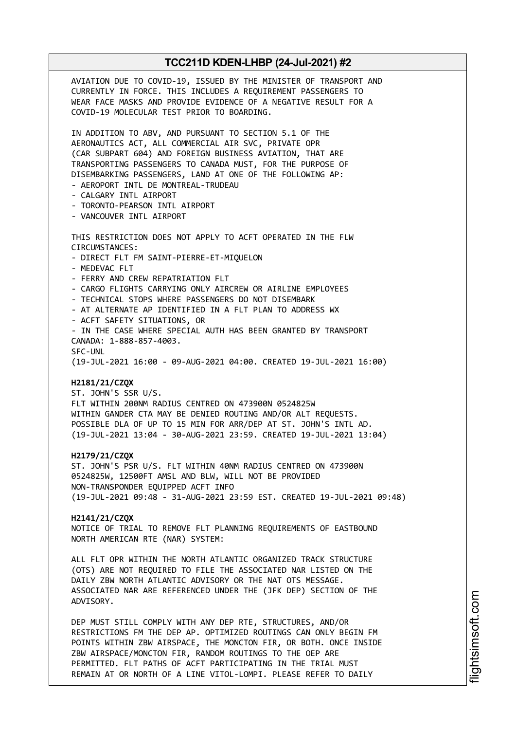AVIATION DUE TO COVID-19, ISSUED BY THE MINISTER OF TRANSPORT AND CURRENTLY IN FORCE. THIS INCLUDES A REQUIREMENT PASSENGERS TO WEAR FACE MASKS AND PROVIDE EVIDENCE OF A NEGATIVE RESULT FOR A COVID-19 MOLECULAR TEST PRIOR TO BOARDING. IN ADDITION TO ABV, AND PURSUANT TO SECTION 5.1 OF THE AERONAUTICS ACT, ALL COMMERCIAL AIR SVC, PRIVATE OPR (CAR SUBPART 604) AND FOREIGN BUSINESS AVIATION, THAT ARE TRANSPORTING PASSENGERS TO CANADA MUST, FOR THE PURPOSE OF DISEMBARKING PASSENGERS, LAND AT ONE OF THE FOLLOWING AP: - AEROPORT INTL DE MONTREAL-TRUDEAU - CALGARY INTL AIRPORT - TORONTO-PEARSON INTL AIRPORT - VANCOUVER INTL AIRPORT THIS RESTRICTION DOES NOT APPLY TO ACFT OPERATED IN THE FLW CIRCUMSTANCES: - DIRECT FLT FM SAINT-PIERRE-ET-MIQUELON - MEDEVAC FLT - FERRY AND CREW REPATRIATION FLT - CARGO FLIGHTS CARRYING ONLY AIRCREW OR AIRLINE EMPLOYEES - TECHNICAL STOPS WHERE PASSENGERS DO NOT DISEMBARK - AT ALTERNATE AP IDENTIFIED IN A FLT PLAN TO ADDRESS WX - ACFT SAFETY SITUATIONS, OR - IN THE CASE WHERE SPECIAL AUTH HAS BEEN GRANTED BY TRANSPORT CANADA: 1-888-857-4003. SFC-UNL (19-JUL-2021 16:00 - 09-AUG-2021 04:00. CREATED 19-JUL-2021 16:00) **H2181/21/CZQX** ST. JOHN'S SSR U/S. FLT WITHIN 200NM RADIUS CENTRED ON 473900N 0524825W WITHIN GANDER CTA MAY BE DENIED ROUTING AND/OR ALT REQUESTS. POSSIBLE DLA OF UP TO 15 MIN FOR ARR/DEP AT ST. JOHN'S INTL AD. (19-JUL-2021 13:04 - 30-AUG-2021 23:59. CREATED 19-JUL-2021 13:04) **H2179/21/CZQX** ST. JOHN'S PSR U/S. FLT WITHIN 40NM RADIUS CENTRED ON 473900N 0524825W, 12500FT AMSL AND BLW, WILL NOT BE PROVIDED NON-TRANSPONDER EQUIPPED ACFT INFO (19-JUL-2021 09:48 - 31-AUG-2021 23:59 EST. CREATED 19-JUL-2021 09:48) **H2141/21/CZQX** NOTICE OF TRIAL TO REMOVE FLT PLANNING REQUIREMENTS OF EASTBOUND NORTH AMERICAN RTE (NAR) SYSTEM: ALL FLT OPR WITHIN THE NORTH ATLANTIC ORGANIZED TRACK STRUCTURE (OTS) ARE NOT REQUIRED TO FILE THE ASSOCIATED NAR LISTED ON THE DAILY ZBW NORTH ATLANTIC ADVISORY OR THE NAT OTS MESSAGE. ASSOCIATED NAR ARE REFERENCED UNDER THE (JFK DEP) SECTION OF THE ADVISORY. DEP MUST STILL COMPLY WITH ANY DEP RTE, STRUCTURES, AND/OR RESTRICTIONS FM THE DEP AP. OPTIMIZED ROUTINGS CAN ONLY BEGIN FM POINTS WITHIN ZBW AIRSPACE, THE MONCTON FIR, OR BOTH. ONCE INSIDE ZBW AIRSPACE/MONCTON FIR, RANDOM ROUTINGS TO THE OEP ARE PERMITTED. FLT PATHS OF ACFT PARTICIPATING IN THE TRIAL MUST

REMAIN AT OR NORTH OF A LINE VITOL-LOMPI. PLEASE REFER TO DAILY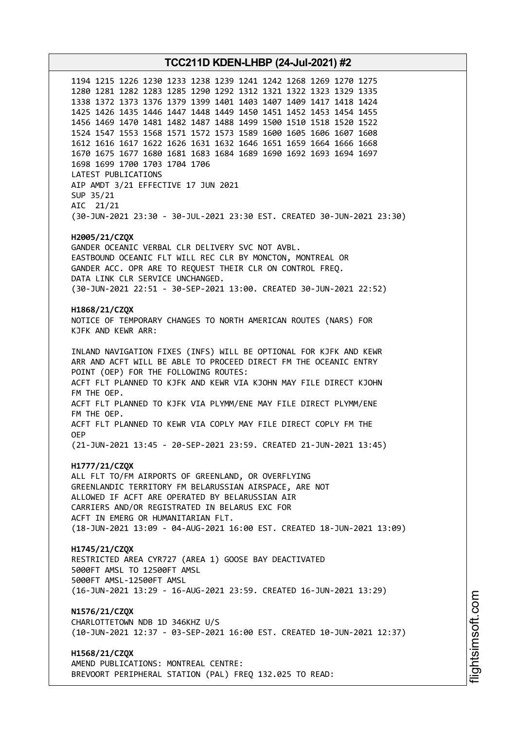1194 1215 1226 1230 1233 1238 1239 1241 1242 1268 1269 1270 1275 1280 1281 1282 1283 1285 1290 1292 1312 1321 1322 1323 1329 1335 1338 1372 1373 1376 1379 1399 1401 1403 1407 1409 1417 1418 1424 1425 1426 1435 1446 1447 1448 1449 1450 1451 1452 1453 1454 1455 1456 1469 1470 1481 1482 1487 1488 1499 1500 1510 1518 1520 1522 1524 1547 1553 1568 1571 1572 1573 1589 1600 1605 1606 1607 1608 1612 1616 1617 1622 1626 1631 1632 1646 1651 1659 1664 1666 1668 1670 1675 1677 1680 1681 1683 1684 1689 1690 1692 1693 1694 1697 1698 1699 1700 1703 1704 1706 LATEST PUBLICATIONS AIP AMDT 3/21 EFFECTIVE 17 JUN 2021 SUP 35/21 AIC 21/21 (30-JUN-2021 23:30 - 30-JUL-2021 23:30 EST. CREATED 30-JUN-2021 23:30) **H2005/21/CZQX** GANDER OCEANIC VERBAL CLR DELIVERY SVC NOT AVBL. EASTBOUND OCEANIC FLT WILL REC CLR BY MONCTON, MONTREAL OR GANDER ACC. OPR ARE TO REQUEST THEIR CLR ON CONTROL FREQ. DATA LINK CLR SERVICE UNCHANGED. (30-JUN-2021 22:51 - 30-SEP-2021 13:00. CREATED 30-JUN-2021 22:52) **H1868/21/CZQX** NOTICE OF TEMPORARY CHANGES TO NORTH AMERICAN ROUTES (NARS) FOR KJFK AND KEWR ARR: INLAND NAVIGATION FIXES (INFS) WILL BE OPTIONAL FOR KJFK AND KEWR ARR AND ACFT WILL BE ABLE TO PROCEED DIRECT FM THE OCEANIC ENTRY POINT (OEP) FOR THE FOLLOWING ROUTES: ACFT FLT PLANNED TO KJFK AND KEWR VIA KJOHN MAY FILE DIRECT KJOHN FM THE OEP. ACFT FLT PLANNED TO KJFK VIA PLYMM/ENE MAY FILE DIRECT PLYMM/ENE FM THE OEP. ACFT FLT PLANNED TO KEWR VIA COPLY MAY FILE DIRECT COPLY FM THE OEP (21-JUN-2021 13:45 - 20-SEP-2021 23:59. CREATED 21-JUN-2021 13:45) **H1777/21/CZQX** ALL FLT TO/FM AIRPORTS OF GREENLAND, OR OVERFLYING GREENLANDIC TERRITORY FM BELARUSSIAN AIRSPACE, ARE NOT ALLOWED IF ACFT ARE OPERATED BY BELARUSSIAN AIR CARRIERS AND/OR REGISTRATED IN BELARUS EXC FOR ACFT IN EMERG OR HUMANITARIAN FLT. (18-JUN-2021 13:09 - 04-AUG-2021 16:00 EST. CREATED 18-JUN-2021 13:09) **H1745/21/CZQX** RESTRICTED AREA CYR727 (AREA 1) GOOSE BAY DEACTIVATED 5000FT AMSL TO 12500FT AMSL 5000FT AMSL-12500FT AMSL (16-JUN-2021 13:29 - 16-AUG-2021 23:59. CREATED 16-JUN-2021 13:29) **N1576/21/CZQX** CHARLOTTETOWN NDB 1D 346KHZ U/S (10-JUN-2021 12:37 - 03-SEP-2021 16:00 EST. CREATED 10-JUN-2021 12:37) **H1568/21/CZQX** AMEND PUBLICATIONS: MONTREAL CENTRE: BREVOORT PERIPHERAL STATION (PAL) FREQ 132.025 TO READ: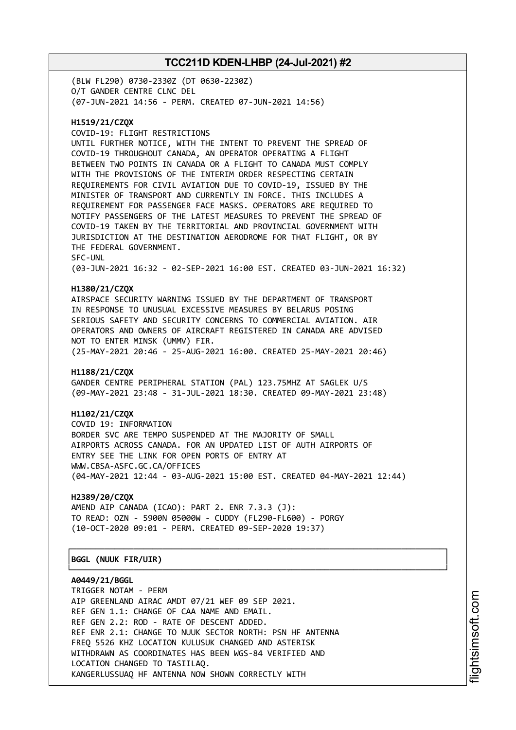(BLW FL290) 0730-2330Z (DT 0630-2230Z) O/T GANDER CENTRE CLNC DEL (07-JUN-2021 14:56 - PERM. CREATED 07-JUN-2021 14:56)

### **H1519/21/CZQX**

COVID-19: FLIGHT RESTRICTIONS UNTIL FURTHER NOTICE, WITH THE INTENT TO PREVENT THE SPREAD OF COVID-19 THROUGHOUT CANADA, AN OPERATOR OPERATING A FLIGHT BETWEEN TWO POINTS IN CANADA OR A FLIGHT TO CANADA MUST COMPLY WITH THE PROVISIONS OF THE INTERIM ORDER RESPECTING CERTAIN REQUIREMENTS FOR CIVIL AVIATION DUE TO COVID-19, ISSUED BY THE MINISTER OF TRANSPORT AND CURRENTLY IN FORCE. THIS INCLUDES A REQUIREMENT FOR PASSENGER FACE MASKS. OPERATORS ARE REQUIRED TO NOTIFY PASSENGERS OF THE LATEST MEASURES TO PREVENT THE SPREAD OF COVID-19 TAKEN BY THE TERRITORIAL AND PROVINCIAL GOVERNMENT WITH JURISDICTION AT THE DESTINATION AERODROME FOR THAT FLIGHT, OR BY THE FEDERAL GOVERNMENT. SFC-UNL (03-JUN-2021 16:32 - 02-SEP-2021 16:00 EST. CREATED 03-JUN-2021 16:32)

#### **H1380/21/CZQX**

AIRSPACE SECURITY WARNING ISSUED BY THE DEPARTMENT OF TRANSPORT IN RESPONSE TO UNUSUAL EXCESSIVE MEASURES BY BELARUS POSING SERIOUS SAFETY AND SECURITY CONCERNS TO COMMERCIAL AVIATION. AIR OPERATORS AND OWNERS OF AIRCRAFT REGISTERED IN CANADA ARE ADVISED NOT TO ENTER MINSK (UMMV) FIR. (25-MAY-2021 20:46 - 25-AUG-2021 16:00. CREATED 25-MAY-2021 20:46)

#### **H1188/21/CZQX**

GANDER CENTRE PERIPHERAL STATION (PAL) 123.75MHZ AT SAGLEK U/S (09-MAY-2021 23:48 - 31-JUL-2021 18:30. CREATED 09-MAY-2021 23:48)

#### **H1102/21/CZQX**

COVID 19: INFORMATION BORDER SVC ARE TEMPO SUSPENDED AT THE MAJORITY OF SMALL AIRPORTS ACROSS CANADA. FOR AN UPDATED LIST OF AUTH AIRPORTS OF ENTRY SEE THE LINK FOR OPEN PORTS OF ENTRY AT WWW.CBSA-ASFC.GC.CA/OFFICES (04-MAY-2021 12:44 - 03-AUG-2021 15:00 EST. CREATED 04-MAY-2021 12:44)

┌──────────────────────────────────────────────────────────────────────────────┐

└──────────────────────────────────────────────────────────────────────────────┘

### **H2389/20/CZQX**

AMEND AIP CANADA (ICAO): PART 2. ENR 7.3.3 (J): TO READ: OZN - 5900N 05000W - CUDDY (FL290-FL600) - PORGY (10-OCT-2020 09:01 - PERM. CREATED 09-SEP-2020 19:37)

#### │**BGGL (NUUK FIR/UIR)** │

**A0449/21/BGGL**

TRIGGER NOTAM - PERM AIP GREENLAND AIRAC AMDT 07/21 WEF 09 SEP 2021. REF GEN 1.1: CHANGE OF CAA NAME AND EMAIL. REF GEN 2.2: ROD - RATE OF DESCENT ADDED. REF ENR 2.1: CHANGE TO NUUK SECTOR NORTH: PSN HF ANTENNA FREQ 5526 KHZ LOCATION KULUSUK CHANGED AND ASTERISK WITHDRAWN AS COORDINATES HAS BEEN WGS-84 VERIFIED AND LOCATION CHANGED TO TASIILAQ. KANGERLUSSUAQ HF ANTENNA NOW SHOWN CORRECTLY WITH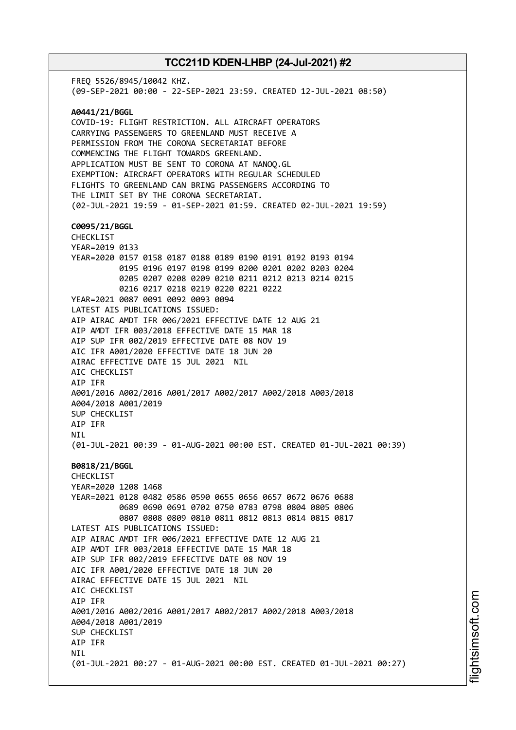FREQ 5526/8945/10042 KHZ. (09-SEP-2021 00:00 - 22-SEP-2021 23:59. CREATED 12-JUL-2021 08:50) **A0441/21/BGGL** COVID-19: FLIGHT RESTRICTION. ALL AIRCRAFT OPERATORS CARRYING PASSENGERS TO GREENLAND MUST RECEIVE A PERMISSION FROM THE CORONA SECRETARIAT BEFORE COMMENCING THE FLIGHT TOWARDS GREENLAND. APPLICATION MUST BE SENT TO CORONA AT NANOQ.GL EXEMPTION: AIRCRAFT OPERATORS WITH REGULAR SCHEDULED FLIGHTS TO GREENLAND CAN BRING PASSENGERS ACCORDING TO THE LIMIT SET BY THE CORONA SECRETARIAT. (02-JUL-2021 19:59 - 01-SEP-2021 01:59. CREATED 02-JUL-2021 19:59) **C0095/21/BGGL** CHECKLIST YEAR=2019 0133 YEAR=2020 0157 0158 0187 0188 0189 0190 0191 0192 0193 0194 0195 0196 0197 0198 0199 0200 0201 0202 0203 0204 0205 0207 0208 0209 0210 0211 0212 0213 0214 0215 0216 0217 0218 0219 0220 0221 0222 YEAR=2021 0087 0091 0092 0093 0094 LATEST AIS PUBLICATIONS ISSUED: AIP AIRAC AMDT IFR 006/2021 EFFECTIVE DATE 12 AUG 21 AIP AMDT IFR 003/2018 EFFECTIVE DATE 15 MAR 18 AIP SUP IFR 002/2019 EFFECTIVE DATE 08 NOV 19 AIC IFR A001/2020 EFFECTIVE DATE 18 JUN 20 AIRAC EFFECTIVE DATE 15 JUL 2021 NIL AIC CHECKLIST AIP IFR A001/2016 A002/2016 A001/2017 A002/2017 A002/2018 A003/2018 A004/2018 A001/2019 SUP CHECKLIST AIP IFR NIL (01-JUL-2021 00:39 - 01-AUG-2021 00:00 EST. CREATED 01-JUL-2021 00:39) **B0818/21/BGGL** CHECKLIST YEAR=2020 1208 1468 YEAR=2021 0128 0482 0586 0590 0655 0656 0657 0672 0676 0688 0689 0690 0691 0702 0750 0783 0798 0804 0805 0806 0807 0808 0809 0810 0811 0812 0813 0814 0815 0817 LATEST AIS PUBLICATIONS ISSUED: AIP AIRAC AMDT IFR 006/2021 EFFECTIVE DATE 12 AUG 21 AIP AMDT IFR 003/2018 EFFECTIVE DATE 15 MAR 18 AIP SUP IFR 002/2019 EFFECTIVE DATE 08 NOV 19 AIC IFR A001/2020 EFFECTIVE DATE 18 JUN 20 AIRAC EFFECTIVE DATE 15 JUL 2021 NIL AIC CHECKLIST AIP IFR A001/2016 A002/2016 A001/2017 A002/2017 A002/2018 A003/2018 A004/2018 A001/2019 SUP CHECKLIST AIP IFR **NTI** (01-JUL-2021 00:27 - 01-AUG-2021 00:00 EST. CREATED 01-JUL-2021 00:27)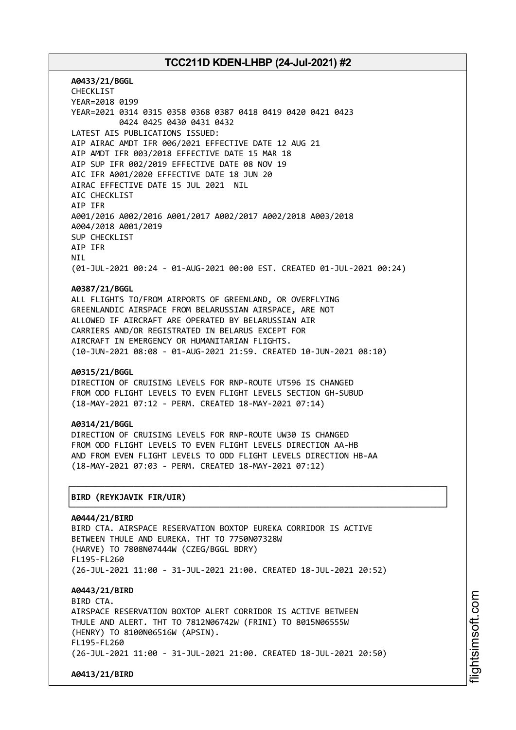**A0433/21/BGGL** CHECKLIST YEAR=2018 0199 YEAR=2021 0314 0315 0358 0368 0387 0418 0419 0420 0421 0423 0424 0425 0430 0431 0432 LATEST AIS PUBLICATIONS ISSUED: AIP AIRAC AMDT IFR 006/2021 EFFECTIVE DATE 12 AUG 21 AIP AMDT IFR 003/2018 EFFECTIVE DATE 15 MAR 18 AIP SUP IFR 002/2019 EFFECTIVE DATE 08 NOV 19 AIC IFR A001/2020 EFFECTIVE DATE 18 JUN 20 AIRAC EFFECTIVE DATE 15 JUL 2021 NIL AIC CHECKLIST AIP IFR A001/2016 A002/2016 A001/2017 A002/2017 A002/2018 A003/2018 A004/2018 A001/2019 SUP CHECKLIST AIP IFR NIL (01-JUL-2021 00:24 - 01-AUG-2021 00:00 EST. CREATED 01-JUL-2021 00:24)

#### **A0387/21/BGGL**

ALL FLIGHTS TO/FROM AIRPORTS OF GREENLAND, OR OVERFLYING GREENLANDIC AIRSPACE FROM BELARUSSIAN AIRSPACE, ARE NOT ALLOWED IF AIRCRAFT ARE OPERATED BY BELARUSSIAN AIR CARRIERS AND/OR REGISTRATED IN BELARUS EXCEPT FOR AIRCRAFT IN EMERGENCY OR HUMANITARIAN FLIGHTS. (10-JUN-2021 08:08 - 01-AUG-2021 21:59. CREATED 10-JUN-2021 08:10)

#### **A0315/21/BGGL**

DIRECTION OF CRUISING LEVELS FOR RNP-ROUTE UT596 IS CHANGED FROM ODD FLIGHT LEVELS TO EVEN FLIGHT LEVELS SECTION GH-SUBUD (18-MAY-2021 07:12 - PERM. CREATED 18-MAY-2021 07:14)

#### **A0314/21/BGGL**

DIRECTION OF CRUISING LEVELS FOR RNP-ROUTE UW30 IS CHANGED FROM ODD FLIGHT LEVELS TO EVEN FLIGHT LEVELS DIRECTION AA-HB AND FROM EVEN FLIGHT LEVELS TO ODD FLIGHT LEVELS DIRECTION HB-AA (18-MAY-2021 07:03 - PERM. CREATED 18-MAY-2021 07:12)

┌──────────────────────────────────────────────────────────────────────────────┐

└──────────────────────────────────────────────────────────────────────────────┘

# │**BIRD (REYKJAVIK FIR/UIR)** │

**A0444/21/BIRD** BIRD CTA. AIRSPACE RESERVATION BOXTOP EUREKA CORRIDOR IS ACTIVE BETWEEN THULE AND EUREKA. THT TO 7750N07328W (HARVE) TO 7808N07444W (CZEG/BGGL BDRY) FL195-FL260 (26-JUL-2021 11:00 - 31-JUL-2021 21:00. CREATED 18-JUL-2021 20:52) **A0443/21/BIRD** RTRD CTA AIRSPACE RESERVATION BOXTOP ALERT CORRIDOR IS ACTIVE BETWEEN THULE AND ALERT. THT TO 7812N06742W (FRINI) TO 8015N06555W (HENRY) TO 8100N06516W (APSIN). FL195-FL260 (26-JUL-2021 11:00 - 31-JUL-2021 21:00. CREATED 18-JUL-2021 20:50)

**A0413/21/BIRD**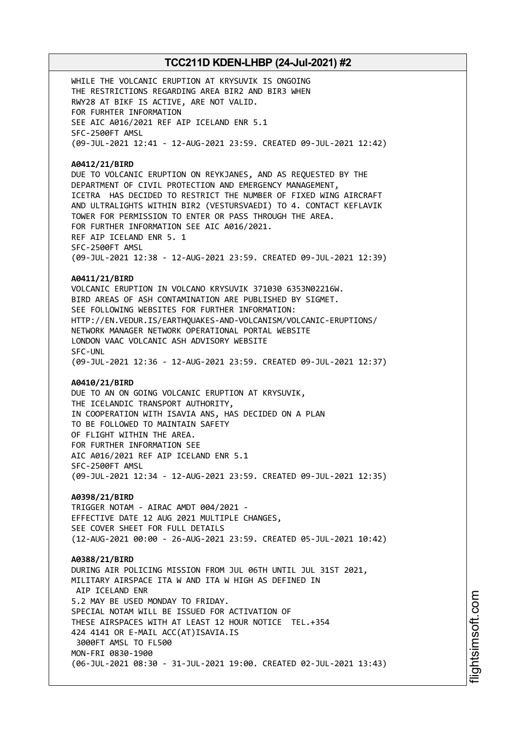WHILE THE VOLCANIC ERUPTION AT KRYSUVIK IS ONGOING THE RESTRICTIONS REGARDING AREA BIR2 AND BIR3 WHEN RWY28 AT BIKF IS ACTIVE, ARE NOT VALID. FOR FURHTER INFORMATION SEE AIC A016/2021 REF AIP ICELAND ENR 5.1 SFC-2500FT AMSL (09-JUL-2021 12:41 - 12-AUG-2021 23:59. CREATED 09-JUL-2021 12:42)

#### **A0412/21/BIRD**

DUE TO VOLCANIC ERUPTION ON REYKJANES, AND AS REQUESTED BY THE DEPARTMENT OF CIVIL PROTECTION AND EMERGENCY MANAGEMENT, ICETRA HAS DECIDED TO RESTRICT THE NUMBER OF FIXED WING AIRCRAFT AND ULTRALIGHTS WITHIN BIR2 (VESTURSVAEDI) TO 4. CONTACT KEFLAVIK TOWER FOR PERMISSION TO ENTER OR PASS THROUGH THE AREA. FOR FURTHER INFORMATION SEE AIC A016/2021. REF AIP ICELAND ENR 5. 1 SFC-2500FT AMSL (09-JUL-2021 12:38 - 12-AUG-2021 23:59. CREATED 09-JUL-2021 12:39)

### **A0411/21/BIRD**

VOLCANIC ERUPTION IN VOLCANO KRYSUVIK 371030 6353N02216W. BIRD AREAS OF ASH CONTAMINATION ARE PUBLISHED BY SIGMET. SEE FOLLOWING WEBSITES FOR FURTHER INFORMATION: HTTP://EN.VEDUR.IS/EARTHQUAKES-AND-VOLCANISM/VOLCANIC-ERUPTIONS/ NETWORK MANAGER NETWORK OPERATIONAL PORTAL WEBSITE LONDON VAAC VOLCANIC ASH ADVISORY WEBSITE SFC-UNL (09-JUL-2021 12:36 - 12-AUG-2021 23:59. CREATED 09-JUL-2021 12:37)

#### **A0410/21/BIRD**

DUE TO AN ON GOING VOLCANIC ERUPTION AT KRYSUVIK, THE ICELANDIC TRANSPORT AUTHORITY, IN COOPERATION WITH ISAVIA ANS, HAS DECIDED ON A PLAN TO BE FOLLOWED TO MAINTAIN SAFETY OF FLIGHT WITHIN THE AREA. FOR FURTHER INFORMATION SEE AIC A016/2021 REF AIP ICELAND ENR 5.1 SFC-2500FT AMSL (09-JUL-2021 12:34 - 12-AUG-2021 23:59. CREATED 09-JUL-2021 12:35)

**A0398/21/BIRD** TRIGGER NOTAM - AIRAC AMDT 004/2021 - EFFECTIVE DATE 12 AUG 2021 MULTIPLE CHANGES, SEE COVER SHEET FOR FULL DETAILS (12-AUG-2021 00:00 - 26-AUG-2021 23:59. CREATED 05-JUL-2021 10:42)

**A0388/21/BIRD** DURING AIR POLICING MISSION FROM JUL 06TH UNTIL JUL 31ST 2021, MILITARY AIRSPACE ITA W AND ITA W HIGH AS DEFINED IN AIP ICELAND ENR 5.2 MAY BE USED MONDAY TO FRIDAY. SPECIAL NOTAM WILL BE ISSUED FOR ACTIVATION OF THESE AIRSPACES WITH AT LEAST 12 HOUR NOTICE TEL.+354 424 4141 OR E-MAIL ACC(AT)ISAVIA.IS 3000FT AMSL TO FL500 MON-FRI 0830-1900 (06-JUL-2021 08:30 - 31-JUL-2021 19:00. CREATED 02-JUL-2021 13:43)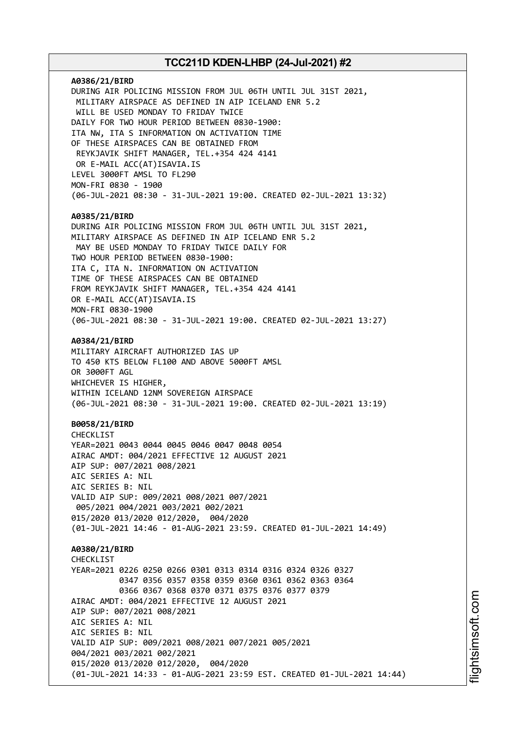**A0386/21/BIRD** DURING AIR POLICING MISSION FROM JUL 06TH UNTIL JUL 31ST 2021, MILITARY AIRSPACE AS DEFINED IN AIP ICELAND ENR 5.2 WILL BE USED MONDAY TO FRIDAY TWICE DAILY FOR TWO HOUR PERIOD BETWEEN 0830-1900: ITA NW, ITA S INFORMATION ON ACTIVATION TIME OF THESE AIRSPACES CAN BE OBTAINED FROM REYKJAVIK SHIFT MANAGER, TEL.+354 424 4141 OR E-MAIL ACC(AT)ISAVIA.IS LEVEL 3000FT AMSL TO FL290 MON-FRI 0830 - 1900 (06-JUL-2021 08:30 - 31-JUL-2021 19:00. CREATED 02-JUL-2021 13:32) **A0385/21/BIRD** DURING AIR POLICING MISSION FROM JUL 06TH UNTIL JUL 31ST 2021, MILITARY AIRSPACE AS DEFINED IN AIP ICELAND ENR 5.2 MAY BE USED MONDAY TO FRIDAY TWICE DAILY FOR TWO HOUR PERIOD BETWEEN 0830-1900: ITA C, ITA N. INFORMATION ON ACTIVATION TIME OF THESE AIRSPACES CAN BE OBTAINED FROM REYKJAVIK SHIFT MANAGER, TEL.+354 424 4141 OR E-MAIL ACC(AT)ISAVIA.IS MON-FRI 0830-1900 (06-JUL-2021 08:30 - 31-JUL-2021 19:00. CREATED 02-JUL-2021 13:27) **A0384/21/BIRD** MILITARY AIRCRAFT AUTHORIZED IAS UP TO 450 KTS BELOW FL100 AND ABOVE 5000FT AMSL OR 3000FT AGL WHICHEVER IS HIGHER, WITHIN ICELAND 12NM SOVEREIGN AIRSPACE (06-JUL-2021 08:30 - 31-JUL-2021 19:00. CREATED 02-JUL-2021 13:19) **B0058/21/BIRD** CHECKLIST YEAR=2021 0043 0044 0045 0046 0047 0048 0054 AIRAC AMDT: 004/2021 EFFECTIVE 12 AUGUST 2021 AIP SUP: 007/2021 008/2021 AIC SERIES A: NIL AIC SERIES B: NIL VALID AIP SUP: 009/2021 008/2021 007/2021 005/2021 004/2021 003/2021 002/2021 015/2020 013/2020 012/2020, 004/2020 (01-JUL-2021 14:46 - 01-AUG-2021 23:59. CREATED 01-JUL-2021 14:49) **A0380/21/BIRD CHECKLIST** YEAR=2021 0226 0250 0266 0301 0313 0314 0316 0324 0326 0327 0347 0356 0357 0358 0359 0360 0361 0362 0363 0364 0366 0367 0368 0370 0371 0375 0376 0377 0379 AIRAC AMDT: 004/2021 EFFECTIVE 12 AUGUST 2021 AIP SUP: 007/2021 008/2021 AIC SERIES A: NIL AIC SERIES B: NIL VALID AIP SUP: 009/2021 008/2021 007/2021 005/2021 004/2021 003/2021 002/2021 015/2020 013/2020 012/2020, 004/2020 (01-JUL-2021 14:33 - 01-AUG-2021 23:59 EST. CREATED 01-JUL-2021 14:44)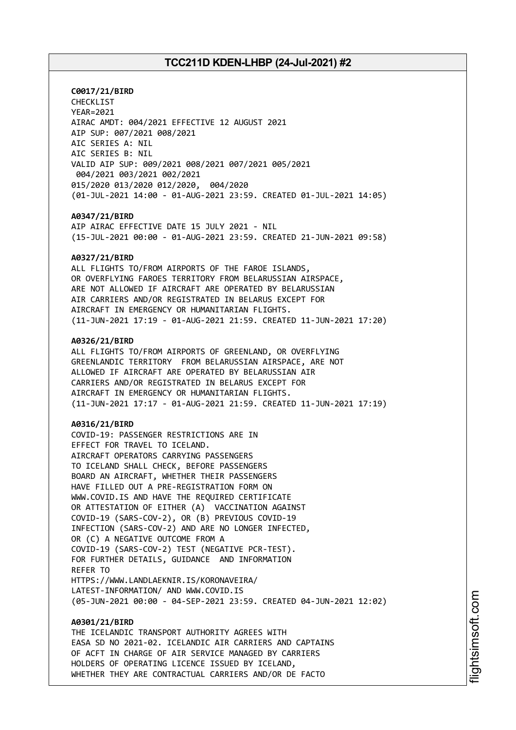**C0017/21/BIRD** CHECKLIST YEAR=2021 AIRAC AMDT: 004/2021 EFFECTIVE 12 AUGUST 2021 AIP SUP: 007/2021 008/2021 AIC SERIES A: NIL AIC SERIES B: NIL VALID AIP SUP: 009/2021 008/2021 007/2021 005/2021 004/2021 003/2021 002/2021 015/2020 013/2020 012/2020, 004/2020 (01-JUL-2021 14:00 - 01-AUG-2021 23:59. CREATED 01-JUL-2021 14:05)

#### **A0347/21/BIRD**

AIP AIRAC EFFECTIVE DATE 15 JULY 2021 - NIL (15-JUL-2021 00:00 - 01-AUG-2021 23:59. CREATED 21-JUN-2021 09:58)

#### **A0327/21/BIRD**

ALL FLIGHTS TO/FROM AIRPORTS OF THE FAROE ISLANDS, OR OVERFLYING FAROES TERRITORY FROM BELARUSSIAN AIRSPACE, ARE NOT ALLOWED IF AIRCRAFT ARE OPERATED BY BELARUSSIAN AIR CARRIERS AND/OR REGISTRATED IN BELARUS EXCEPT FOR AIRCRAFT IN EMERGENCY OR HUMANITARIAN FLIGHTS. (11-JUN-2021 17:19 - 01-AUG-2021 21:59. CREATED 11-JUN-2021 17:20)

#### **A0326/21/BIRD**

ALL FLIGHTS TO/FROM AIRPORTS OF GREENLAND, OR OVERFLYING GREENLANDIC TERRITORY FROM BELARUSSIAN AIRSPACE, ARE NOT ALLOWED IF AIRCRAFT ARE OPERATED BY BELARUSSIAN AIR CARRIERS AND/OR REGISTRATED IN BELARUS EXCEPT FOR AIRCRAFT IN EMERGENCY OR HUMANITARIAN FLIGHTS. (11-JUN-2021 17:17 - 01-AUG-2021 21:59. CREATED 11-JUN-2021 17:19)

#### **A0316/21/BIRD**

COVID-19: PASSENGER RESTRICTIONS ARE IN EFFECT FOR TRAVEL TO ICELAND. AIRCRAFT OPERATORS CARRYING PASSENGERS TO ICELAND SHALL CHECK, BEFORE PASSENGERS BOARD AN AIRCRAFT, WHETHER THEIR PASSENGERS HAVE FILLED OUT A PRE-REGISTRATION FORM ON WWW.COVID.IS AND HAVE THE REQUIRED CERTIFICATE OR ATTESTATION OF EITHER (A) VACCINATION AGAINST COVID-19 (SARS-COV-2), OR (B) PREVIOUS COVID-19 INFECTION (SARS-COV-2) AND ARE NO LONGER INFECTED, OR (C) A NEGATIVE OUTCOME FROM A COVID-19 (SARS-COV-2) TEST (NEGATIVE PCR-TEST). FOR FURTHER DETAILS, GUIDANCE AND INFORMATION REFER TO HTTPS://WWW.LANDLAEKNIR.IS/KORONAVEIRA/ LATEST-INFORMATION/ AND WWW.COVID.IS (05-JUN-2021 00:00 - 04-SEP-2021 23:59. CREATED 04-JUN-2021 12:02)

#### **A0301/21/BIRD**

THE ICELANDIC TRANSPORT AUTHORITY AGREES WITH EASA SD NO 2021-02. ICELANDIC AIR CARRIERS AND CAPTAINS OF ACFT IN CHARGE OF AIR SERVICE MANAGED BY CARRIERS HOLDERS OF OPERATING LICENCE ISSUED BY ICELAND, WHETHER THEY ARE CONTRACTUAL CARRIERS AND/OR DE FACTO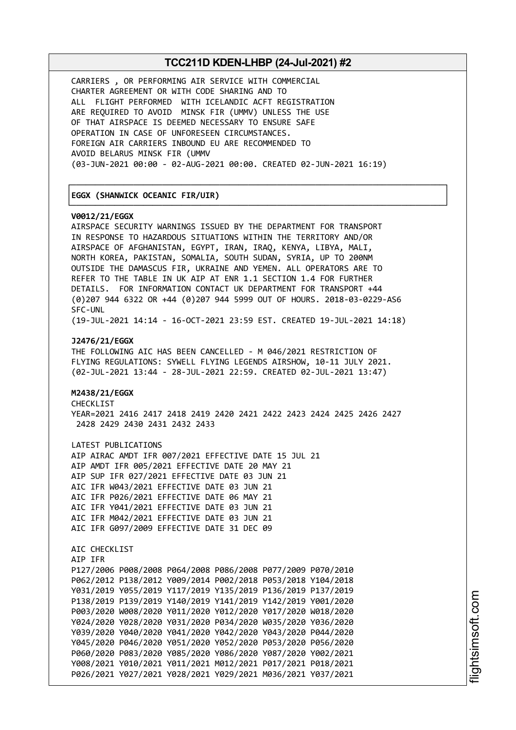┌──────────────────────────────────────────────────────────────────────────────┐

└──────────────────────────────────────────────────────────────────────────────┘

CARRIERS , OR PERFORMING AIR SERVICE WITH COMMERCIAL CHARTER AGREEMENT OR WITH CODE SHARING AND TO ALL FLIGHT PERFORMED WITH ICELANDIC ACFT REGISTRATION ARE REQUIRED TO AVOID MINSK FIR (UMMV) UNLESS THE USE OF THAT AIRSPACE IS DEEMED NECESSARY TO ENSURE SAFE OPERATION IN CASE OF UNFORESEEN CIRCUMSTANCES. FOREIGN AIR CARRIERS INBOUND EU ARE RECOMMENDED TO AVOID BELARUS MINSK FIR (UMMV (03-JUN-2021 00:00 - 02-AUG-2021 00:00. CREATED 02-JUN-2021 16:19)

### │**EGGX (SHANWICK OCEANIC FIR/UIR)** │

#### **V0012/21/EGGX**

AIRSPACE SECURITY WARNINGS ISSUED BY THE DEPARTMENT FOR TRANSPORT IN RESPONSE TO HAZARDOUS SITUATIONS WITHIN THE TERRITORY AND/OR AIRSPACE OF AFGHANISTAN, EGYPT, IRAN, IRAQ, KENYA, LIBYA, MALI, NORTH KOREA, PAKISTAN, SOMALIA, SOUTH SUDAN, SYRIA, UP TO 200NM OUTSIDE THE DAMASCUS FIR, UKRAINE AND YEMEN. ALL OPERATORS ARE TO REFER TO THE TABLE IN UK AIP AT ENR 1.1 SECTION 1.4 FOR FURTHER DETAILS. FOR INFORMATION CONTACT UK DEPARTMENT FOR TRANSPORT +44 (0)207 944 6322 OR +44 (0)207 944 5999 OUT OF HOURS. 2018-03-0229-AS6 SFC-UNL (19-JUL-2021 14:14 - 16-OCT-2021 23:59 EST. CREATED 19-JUL-2021 14:18) **J2476/21/EGGX** THE FOLLOWING AIC HAS BEEN CANCELLED - M 046/2021 RESTRICTION OF FLYING REGULATIONS: SYWELL FLYING LEGENDS AIRSHOW, 10-11 JULY 2021. (02-JUL-2021 13:44 - 28-JUL-2021 22:59. CREATED 02-JUL-2021 13:47) **M2438/21/EGGX** CHECKLIST YEAR=2021 2416 2417 2418 2419 2420 2421 2422 2423 2424 2425 2426 2427 2428 2429 2430 2431 2432 2433 LATEST PUBLICATIONS AIP AIRAC AMDT IFR 007/2021 EFFECTIVE DATE 15 JUL 21 AIP AMDT IFR 005/2021 EFFECTIVE DATE 20 MAY 21 AIP SUP IFR 027/2021 EFFECTIVE DATE 03 JUN 21 AIC IFR W043/2021 EFFECTIVE DATE 03 JUN 21 AIC IFR P026/2021 EFFECTIVE DATE 06 MAY 21 AIC IFR Y041/2021 EFFECTIVE DATE 03 JUN 21 AIC IFR M042/2021 EFFECTIVE DATE 03 JUN 21 AIC IFR G097/2009 EFFECTIVE DATE 31 DEC 09 AIC CHECKLIST AIP IFR P127/2006 P008/2008 P064/2008 P086/2008 P077/2009 P070/2010 P062/2012 P138/2012 Y009/2014 P002/2018 P053/2018 Y104/2018 Y031/2019 Y055/2019 Y117/2019 Y135/2019 P136/2019 P137/2019 P138/2019 P139/2019 Y140/2019 Y141/2019 Y142/2019 Y001/2020 P003/2020 W008/2020 Y011/2020 Y012/2020 Y017/2020 W018/2020

Y024/2020 Y028/2020 Y031/2020 P034/2020 W035/2020 Y036/2020 Y039/2020 Y040/2020 Y041/2020 Y042/2020 Y043/2020 P044/2020 Y045/2020 P046/2020 Y051/2020 Y052/2020 P053/2020 P056/2020 P060/2020 P083/2020 Y085/2020 Y086/2020 Y087/2020 Y002/2021 Y008/2021 Y010/2021 Y011/2021 M012/2021 P017/2021 P018/2021 P026/2021 Y027/2021 Y028/2021 Y029/2021 M036/2021 Y037/2021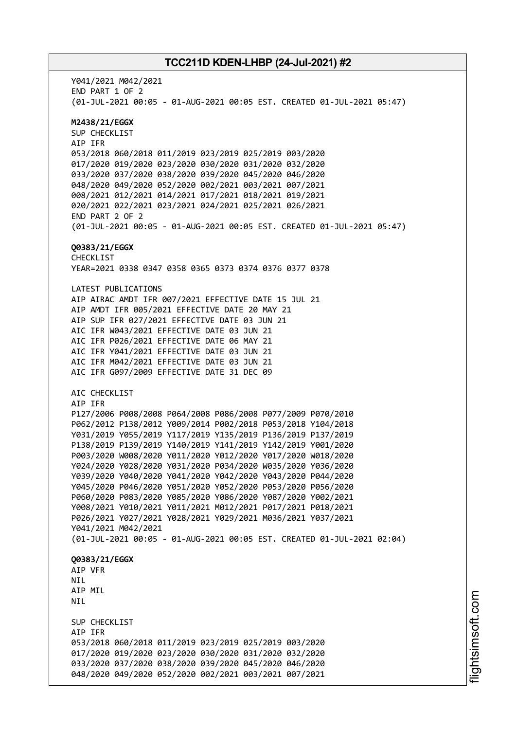Y041/2021 M042/2021 END PART 1 OF 2 (01-JUL-2021 00:05 - 01-AUG-2021 00:05 EST. CREATED 01-JUL-2021 05:47) **M2438/21/EGGX** SUP CHECKLIST AIP IFR 053/2018 060/2018 011/2019 023/2019 025/2019 003/2020 017/2020 019/2020 023/2020 030/2020 031/2020 032/2020 033/2020 037/2020 038/2020 039/2020 045/2020 046/2020 048/2020 049/2020 052/2020 002/2021 003/2021 007/2021 008/2021 012/2021 014/2021 017/2021 018/2021 019/2021 020/2021 022/2021 023/2021 024/2021 025/2021 026/2021 END PART 2 OF 2 (01-JUL-2021 00:05 - 01-AUG-2021 00:05 EST. CREATED 01-JUL-2021 05:47) **Q0383/21/EGGX** CHECKLIST YEAR=2021 0338 0347 0358 0365 0373 0374 0376 0377 0378 LATEST PUBLICATIONS AIP AIRAC AMDT IFR 007/2021 EFFECTIVE DATE 15 JUL 21 AIP AMDT IFR 005/2021 EFFECTIVE DATE 20 MAY 21 AIP SUP IFR 027/2021 EFFECTIVE DATE 03 JUN 21 AIC IFR W043/2021 EFFECTIVE DATE 03 JUN 21 AIC IFR P026/2021 EFFECTIVE DATE 06 MAY 21 AIC IFR Y041/2021 EFFECTIVE DATE 03 JUN 21 AIC IFR M042/2021 EFFECTIVE DATE 03 JUN 21 AIC IFR G097/2009 EFFECTIVE DATE 31 DEC 09 AIC CHECKLIST AIP IFR P127/2006 P008/2008 P064/2008 P086/2008 P077/2009 P070/2010 P062/2012 P138/2012 Y009/2014 P002/2018 P053/2018 Y104/2018 Y031/2019 Y055/2019 Y117/2019 Y135/2019 P136/2019 P137/2019 P138/2019 P139/2019 Y140/2019 Y141/2019 Y142/2019 Y001/2020 P003/2020 W008/2020 Y011/2020 Y012/2020 Y017/2020 W018/2020 Y024/2020 Y028/2020 Y031/2020 P034/2020 W035/2020 Y036/2020 Y039/2020 Y040/2020 Y041/2020 Y042/2020 Y043/2020 P044/2020 Y045/2020 P046/2020 Y051/2020 Y052/2020 P053/2020 P056/2020 P060/2020 P083/2020 Y085/2020 Y086/2020 Y087/2020 Y002/2021 Y008/2021 Y010/2021 Y011/2021 M012/2021 P017/2021 P018/2021 P026/2021 Y027/2021 Y028/2021 Y029/2021 M036/2021 Y037/2021 Y041/2021 M042/2021 (01-JUL-2021 00:05 - 01-AUG-2021 00:05 EST. CREATED 01-JUL-2021 02:04) **Q0383/21/EGGX** AIP VFR NIL AIP MIL NIL SUP CHECKLIST AIP IFR 053/2018 060/2018 011/2019 023/2019 025/2019 003/2020 017/2020 019/2020 023/2020 030/2020 031/2020 032/2020 033/2020 037/2020 038/2020 039/2020 045/2020 046/2020 048/2020 049/2020 052/2020 002/2021 003/2021 007/2021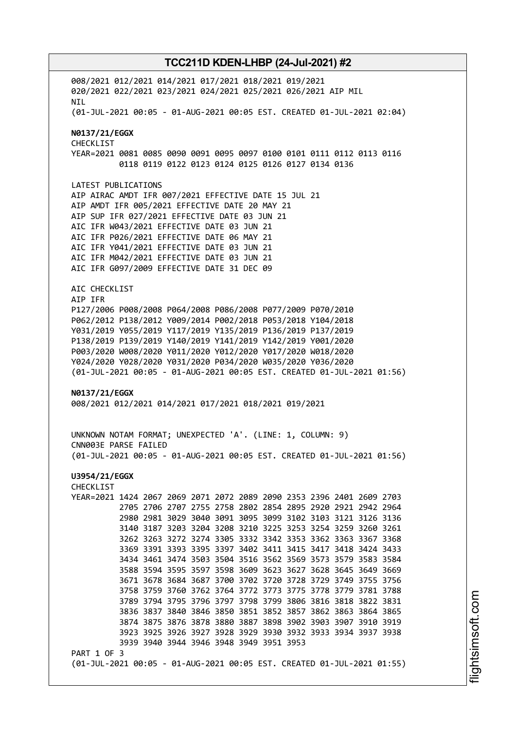008/2021 012/2021 014/2021 017/2021 018/2021 019/2021 020/2021 022/2021 023/2021 024/2021 025/2021 026/2021 AIP MIL NIL (01-JUL-2021 00:05 - 01-AUG-2021 00:05 EST. CREATED 01-JUL-2021 02:04) **N0137/21/EGGX** CHECKLIST YEAR=2021 0081 0085 0090 0091 0095 0097 0100 0101 0111 0112 0113 0116 0118 0119 0122 0123 0124 0125 0126 0127 0134 0136 LATEST PUBLICATIONS AIP AIRAC AMDT IFR 007/2021 EFFECTIVE DATE 15 JUL 21 AIP AMDT IFR 005/2021 EFFECTIVE DATE 20 MAY 21 AIP SUP IFR 027/2021 EFFECTIVE DATE 03 JUN 21 AIC IFR W043/2021 EFFECTIVE DATE 03 JUN 21 AIC IFR P026/2021 EFFECTIVE DATE 06 MAY 21 AIC IFR Y041/2021 EFFECTIVE DATE 03 JUN 21 AIC IFR M042/2021 EFFECTIVE DATE 03 JUN 21 AIC IFR G097/2009 EFFECTIVE DATE 31 DEC 09 AIC CHECKLIST AIP IFR P127/2006 P008/2008 P064/2008 P086/2008 P077/2009 P070/2010 P062/2012 P138/2012 Y009/2014 P002/2018 P053/2018 Y104/2018 Y031/2019 Y055/2019 Y117/2019 Y135/2019 P136/2019 P137/2019 P138/2019 P139/2019 Y140/2019 Y141/2019 Y142/2019 Y001/2020 P003/2020 W008/2020 Y011/2020 Y012/2020 Y017/2020 W018/2020 Y024/2020 Y028/2020 Y031/2020 P034/2020 W035/2020 Y036/2020 (01-JUL-2021 00:05 - 01-AUG-2021 00:05 EST. CREATED 01-JUL-2021 01:56) **N0137/21/EGGX** 008/2021 012/2021 014/2021 017/2021 018/2021 019/2021 UNKNOWN NOTAM FORMAT; UNEXPECTED 'A'. (LINE: 1, COLUMN: 9) CNN003E PARSE FAILED (01-JUL-2021 00:05 - 01-AUG-2021 00:05 EST. CREATED 01-JUL-2021 01:56) **U3954/21/EGGX** CHECKLIST YEAR=2021 1424 2067 2069 2071 2072 2089 2090 2353 2396 2401 2609 2703 2705 2706 2707 2755 2758 2802 2854 2895 2920 2921 2942 2964 2980 2981 3029 3040 3091 3095 3099 3102 3103 3121 3126 3136 3140 3187 3203 3204 3208 3210 3225 3253 3254 3259 3260 3261 3262 3263 3272 3274 3305 3332 3342 3353 3362 3363 3367 3368 3369 3391 3393 3395 3397 3402 3411 3415 3417 3418 3424 3433 3434 3461 3474 3503 3504 3516 3562 3569 3573 3579 3583 3584 3588 3594 3595 3597 3598 3609 3623 3627 3628 3645 3649 3669 3671 3678 3684 3687 3700 3702 3720 3728 3729 3749 3755 3756 3758 3759 3760 3762 3764 3772 3773 3775 3778 3779 3781 3788 3789 3794 3795 3796 3797 3798 3799 3806 3816 3818 3822 3831 3836 3837 3840 3846 3850 3851 3852 3857 3862 3863 3864 3865 3874 3875 3876 3878 3880 3887 3898 3902 3903 3907 3910 3919 3923 3925 3926 3927 3928 3929 3930 3932 3933 3934 3937 3938 3939 3940 3944 3946 3948 3949 3951 3953 PART 1 OF 3 (01-JUL-2021 00:05 - 01-AUG-2021 00:05 EST. CREATED 01-JUL-2021 01:55)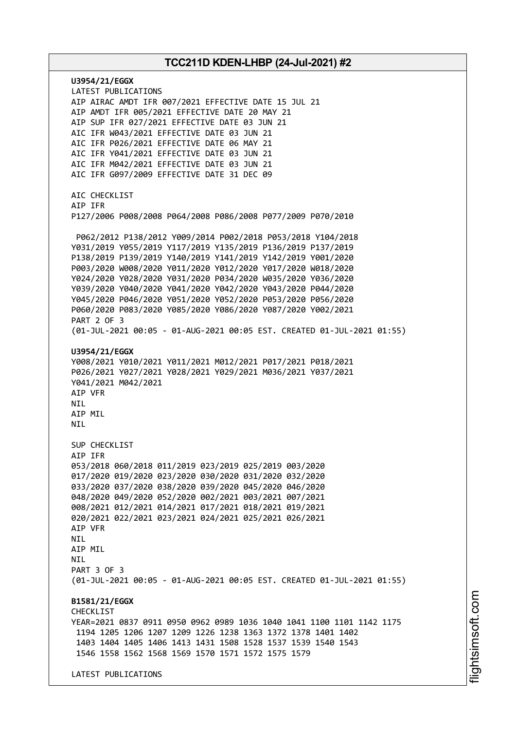**U3954/21/EGGX** LATEST PUBLICATIONS AIP AIRAC AMDT IFR 007/2021 EFFECTIVE DATE 15 JUL 21 AIP AMDT IFR 005/2021 EFFECTIVE DATE 20 MAY 21 AIP SUP IFR 027/2021 EFFECTIVE DATE 03 JUN 21 AIC IFR W043/2021 EFFECTIVE DATE 03 JUN 21 AIC IFR P026/2021 EFFECTIVE DATE 06 MAY 21 AIC IFR Y041/2021 EFFECTIVE DATE 03 JUN 21 AIC IFR M042/2021 EFFECTIVE DATE 03 JUN 21 AIC IFR G097/2009 EFFECTIVE DATE 31 DEC 09 AIC CHECKLIST AIP IFR P127/2006 P008/2008 P064/2008 P086/2008 P077/2009 P070/2010 P062/2012 P138/2012 Y009/2014 P002/2018 P053/2018 Y104/2018 Y031/2019 Y055/2019 Y117/2019 Y135/2019 P136/2019 P137/2019 P138/2019 P139/2019 Y140/2019 Y141/2019 Y142/2019 Y001/2020 P003/2020 W008/2020 Y011/2020 Y012/2020 Y017/2020 W018/2020 Y024/2020 Y028/2020 Y031/2020 P034/2020 W035/2020 Y036/2020 Y039/2020 Y040/2020 Y041/2020 Y042/2020 Y043/2020 P044/2020 Y045/2020 P046/2020 Y051/2020 Y052/2020 P053/2020 P056/2020 P060/2020 P083/2020 Y085/2020 Y086/2020 Y087/2020 Y002/2021 PART 2 OF 3 (01-JUL-2021 00:05 - 01-AUG-2021 00:05 EST. CREATED 01-JUL-2021 01:55) **U3954/21/EGGX** Y008/2021 Y010/2021 Y011/2021 M012/2021 P017/2021 P018/2021 P026/2021 Y027/2021 Y028/2021 Y029/2021 M036/2021 Y037/2021 Y041/2021 M042/2021 AIP VFR NIL AIP MIL **NTI** SUP CHECKLIST AIP IFR 053/2018 060/2018 011/2019 023/2019 025/2019 003/2020 017/2020 019/2020 023/2020 030/2020 031/2020 032/2020 033/2020 037/2020 038/2020 039/2020 045/2020 046/2020 048/2020 049/2020 052/2020 002/2021 003/2021 007/2021 008/2021 012/2021 014/2021 017/2021 018/2021 019/2021 020/2021 022/2021 023/2021 024/2021 025/2021 026/2021 AIP VFR **NTI** AIP MIL **NTI** PART 3 OF 3 (01-JUL-2021 00:05 - 01-AUG-2021 00:05 EST. CREATED 01-JUL-2021 01:55) **B1581/21/EGGX CHECKLIST** YEAR=2021 0837 0911 0950 0962 0989 1036 1040 1041 1100 1101 1142 1175 1194 1205 1206 1207 1209 1226 1238 1363 1372 1378 1401 1402 1403 1404 1405 1406 1413 1431 1508 1528 1537 1539 1540 1543 1546 1558 1562 1568 1569 1570 1571 1572 1575 1579 LATEST PUBLICATIONS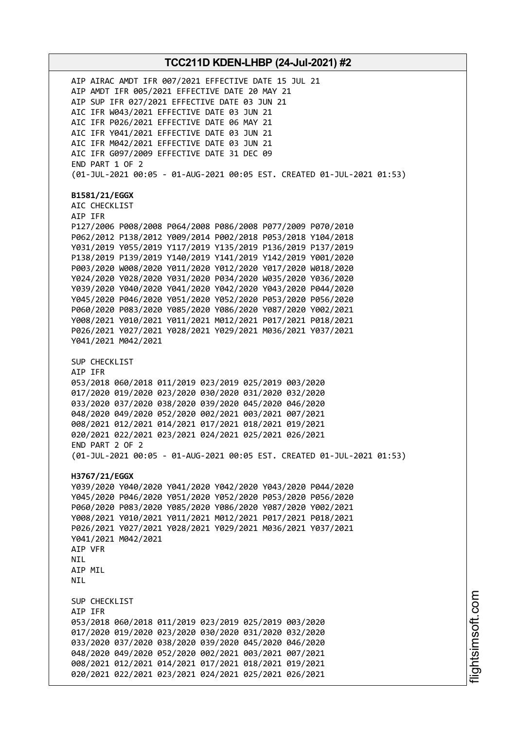AIP AIRAC AMDT IFR 007/2021 EFFECTIVE DATE 15 JUL 21 AIP AMDT IFR 005/2021 EFFECTIVE DATE 20 MAY 21 AIP SUP IFR 027/2021 EFFECTIVE DATE 03 JUN 21 AIC IFR W043/2021 EFFECTIVE DATE 03 JUN 21 AIC IFR P026/2021 EFFECTIVE DATE 06 MAY 21 AIC IFR Y041/2021 EFFECTIVE DATE 03 JUN 21 AIC IFR M042/2021 EFFECTIVE DATE 03 JUN 21 AIC IFR G097/2009 EFFECTIVE DATE 31 DEC 09 END PART 1 OF 2 (01-JUL-2021 00:05 - 01-AUG-2021 00:05 EST. CREATED 01-JUL-2021 01:53) **B1581/21/EGGX** AIC CHECKLIST AIP IFR P127/2006 P008/2008 P064/2008 P086/2008 P077/2009 P070/2010 P062/2012 P138/2012 Y009/2014 P002/2018 P053/2018 Y104/2018 Y031/2019 Y055/2019 Y117/2019 Y135/2019 P136/2019 P137/2019 P138/2019 P139/2019 Y140/2019 Y141/2019 Y142/2019 Y001/2020 P003/2020 W008/2020 Y011/2020 Y012/2020 Y017/2020 W018/2020 Y024/2020 Y028/2020 Y031/2020 P034/2020 W035/2020 Y036/2020 Y039/2020 Y040/2020 Y041/2020 Y042/2020 Y043/2020 P044/2020 Y045/2020 P046/2020 Y051/2020 Y052/2020 P053/2020 P056/2020 P060/2020 P083/2020 Y085/2020 Y086/2020 Y087/2020 Y002/2021 Y008/2021 Y010/2021 Y011/2021 M012/2021 P017/2021 P018/2021 P026/2021 Y027/2021 Y028/2021 Y029/2021 M036/2021 Y037/2021 Y041/2021 M042/2021 SUP CHECKLIST AIP IFR 053/2018 060/2018 011/2019 023/2019 025/2019 003/2020 017/2020 019/2020 023/2020 030/2020 031/2020 032/2020 033/2020 037/2020 038/2020 039/2020 045/2020 046/2020 048/2020 049/2020 052/2020 002/2021 003/2021 007/2021 008/2021 012/2021 014/2021 017/2021 018/2021 019/2021 020/2021 022/2021 023/2021 024/2021 025/2021 026/2021 END PART 2 OF 2 (01-JUL-2021 00:05 - 01-AUG-2021 00:05 EST. CREATED 01-JUL-2021 01:53) **H3767/21/EGGX** Y039/2020 Y040/2020 Y041/2020 Y042/2020 Y043/2020 P044/2020 Y045/2020 P046/2020 Y051/2020 Y052/2020 P053/2020 P056/2020 P060/2020 P083/2020 Y085/2020 Y086/2020 Y087/2020 Y002/2021 Y008/2021 Y010/2021 Y011/2021 M012/2021 P017/2021 P018/2021 P026/2021 Y027/2021 Y028/2021 Y029/2021 M036/2021 Y037/2021 Y041/2021 M042/2021 AIP VFR **NTL** AIP MIL **NTI** SUP CHECKLIST AIP IFR 053/2018 060/2018 011/2019 023/2019 025/2019 003/2020 017/2020 019/2020 023/2020 030/2020 031/2020 032/2020 033/2020 037/2020 038/2020 039/2020 045/2020 046/2020 048/2020 049/2020 052/2020 002/2021 003/2021 007/2021 008/2021 012/2021 014/2021 017/2021 018/2021 019/2021 020/2021 022/2021 023/2021 024/2021 025/2021 026/2021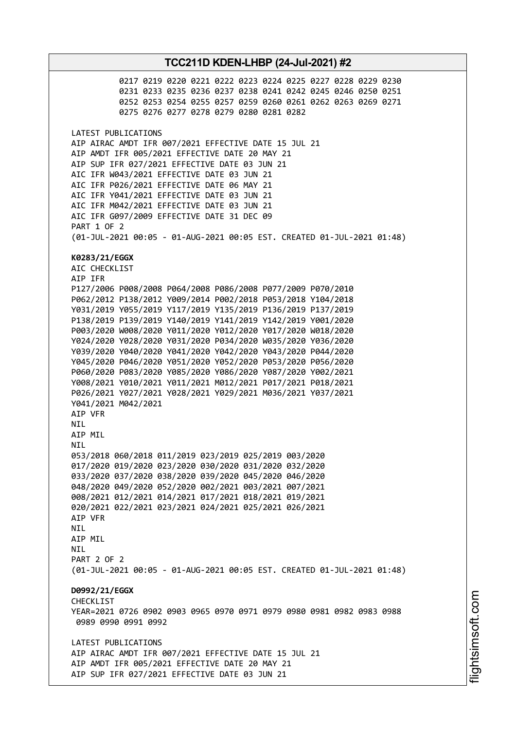0217 0219 0220 0221 0222 0223 0224 0225 0227 0228 0229 0230 0231 0233 0235 0236 0237 0238 0241 0242 0245 0246 0250 0251 0252 0253 0254 0255 0257 0259 0260 0261 0262 0263 0269 0271 0275 0276 0277 0278 0279 0280 0281 0282 LATEST PUBLICATIONS AIP AIRAC AMDT IFR 007/2021 EFFECTIVE DATE 15 JUL 21 AIP AMDT IFR 005/2021 EFFECTIVE DATE 20 MAY 21 AIP SUP IFR 027/2021 EFFECTIVE DATE 03 JUN 21 AIC IFR W043/2021 EFFECTIVE DATE 03 JUN 21 AIC IFR P026/2021 EFFECTIVE DATE 06 MAY 21 AIC IFR Y041/2021 EFFECTIVE DATE 03 JUN 21 AIC IFR M042/2021 EFFECTIVE DATE 03 JUN 21 AIC IFR G097/2009 EFFECTIVE DATE 31 DEC 09 PART 1 OF 2 (01-JUL-2021 00:05 - 01-AUG-2021 00:05 EST. CREATED 01-JUL-2021 01:48) **K0283/21/EGGX** AIC CHECKLIST AIP IFR P127/2006 P008/2008 P064/2008 P086/2008 P077/2009 P070/2010 P062/2012 P138/2012 Y009/2014 P002/2018 P053/2018 Y104/2018 Y031/2019 Y055/2019 Y117/2019 Y135/2019 P136/2019 P137/2019 P138/2019 P139/2019 Y140/2019 Y141/2019 Y142/2019 Y001/2020 P003/2020 W008/2020 Y011/2020 Y012/2020 Y017/2020 W018/2020 Y024/2020 Y028/2020 Y031/2020 P034/2020 W035/2020 Y036/2020 Y039/2020 Y040/2020 Y041/2020 Y042/2020 Y043/2020 P044/2020 Y045/2020 P046/2020 Y051/2020 Y052/2020 P053/2020 P056/2020 P060/2020 P083/2020 Y085/2020 Y086/2020 Y087/2020 Y002/2021 Y008/2021 Y010/2021 Y011/2021 M012/2021 P017/2021 P018/2021 P026/2021 Y027/2021 Y028/2021 Y029/2021 M036/2021 Y037/2021 Y041/2021 M042/2021 AIP VFR **NTI** AIP MIL **NTL** 053/2018 060/2018 011/2019 023/2019 025/2019 003/2020 017/2020 019/2020 023/2020 030/2020 031/2020 032/2020 033/2020 037/2020 038/2020 039/2020 045/2020 046/2020 048/2020 049/2020 052/2020 002/2021 003/2021 007/2021 008/2021 012/2021 014/2021 017/2021 018/2021 019/2021 020/2021 022/2021 023/2021 024/2021 025/2021 026/2021 AIP VFR NIL AIP MIL **NTI** PART 2 OF 2 (01-JUL-2021 00:05 - 01-AUG-2021 00:05 EST. CREATED 01-JUL-2021 01:48) **D0992/21/EGGX** CHECKL<sub>IST</sub> YEAR=2021 0726 0902 0903 0965 0970 0971 0979 0980 0981 0982 0983 0988 0989 0990 0991 0992 LATEST PUBLICATIONS AIP AIRAC AMDT IFR 007/2021 EFFECTIVE DATE 15 JUL 21 AIP AMDT IFR 005/2021 EFFECTIVE DATE 20 MAY 21 AIP SUP IFR 027/2021 EFFECTIVE DATE 03 JUN 21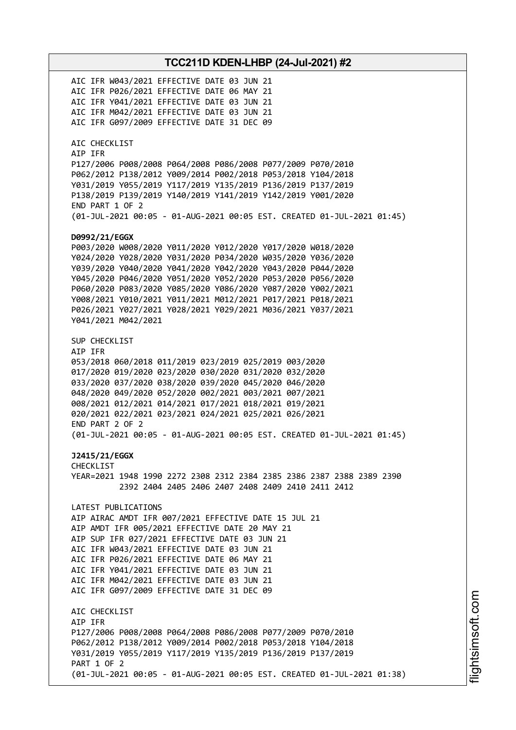AIC IFR W043/2021 EFFECTIVE DATE 03 JUN 21 AIC IFR P026/2021 EFFECTIVE DATE 06 MAY 21 AIC IFR Y041/2021 EFFECTIVE DATE 03 JUN 21 AIC IFR M042/2021 EFFECTIVE DATE 03 JUN 21 AIC IFR G097/2009 EFFECTIVE DATE 31 DEC 09 AIC CHECKLIST AIP IFR P127/2006 P008/2008 P064/2008 P086/2008 P077/2009 P070/2010 P062/2012 P138/2012 Y009/2014 P002/2018 P053/2018 Y104/2018 Y031/2019 Y055/2019 Y117/2019 Y135/2019 P136/2019 P137/2019 P138/2019 P139/2019 Y140/2019 Y141/2019 Y142/2019 Y001/2020 END PART 1 OF 2 (01-JUL-2021 00:05 - 01-AUG-2021 00:05 EST. CREATED 01-JUL-2021 01:45) **D0992/21/EGGX** P003/2020 W008/2020 Y011/2020 Y012/2020 Y017/2020 W018/2020 Y024/2020 Y028/2020 Y031/2020 P034/2020 W035/2020 Y036/2020 Y039/2020 Y040/2020 Y041/2020 Y042/2020 Y043/2020 P044/2020 Y045/2020 P046/2020 Y051/2020 Y052/2020 P053/2020 P056/2020 P060/2020 P083/2020 Y085/2020 Y086/2020 Y087/2020 Y002/2021 Y008/2021 Y010/2021 Y011/2021 M012/2021 P017/2021 P018/2021 P026/2021 Y027/2021 Y028/2021 Y029/2021 M036/2021 Y037/2021 Y041/2021 M042/2021 SUP CHECKLIST AIP IFR 053/2018 060/2018 011/2019 023/2019 025/2019 003/2020 017/2020 019/2020 023/2020 030/2020 031/2020 032/2020 033/2020 037/2020 038/2020 039/2020 045/2020 046/2020 048/2020 049/2020 052/2020 002/2021 003/2021 007/2021 008/2021 012/2021 014/2021 017/2021 018/2021 019/2021 020/2021 022/2021 023/2021 024/2021 025/2021 026/2021 END PART 2 OF 2 (01-JUL-2021 00:05 - 01-AUG-2021 00:05 EST. CREATED 01-JUL-2021 01:45) **J2415/21/EGGX** CHECKLIST YEAR=2021 1948 1990 2272 2308 2312 2384 2385 2386 2387 2388 2389 2390 2392 2404 2405 2406 2407 2408 2409 2410 2411 2412 LATEST PUBLICATIONS AIP AIRAC AMDT IFR 007/2021 EFFECTIVE DATE 15 JUL 21 AIP AMDT IFR 005/2021 EFFECTIVE DATE 20 MAY 21 AIP SUP IFR 027/2021 EFFECTIVE DATE 03 JUN 21 AIC IFR W043/2021 EFFECTIVE DATE 03 JUN 21 AIC IFR P026/2021 EFFECTIVE DATE 06 MAY 21 AIC IFR Y041/2021 EFFECTIVE DATE 03 JUN 21 AIC IFR M042/2021 EFFECTIVE DATE 03 JUN 21 AIC IFR G097/2009 EFFECTIVE DATE 31 DEC 09 AIC CHECKLIST AIP IFR P127/2006 P008/2008 P064/2008 P086/2008 P077/2009 P070/2010 P062/2012 P138/2012 Y009/2014 P002/2018 P053/2018 Y104/2018 Y031/2019 Y055/2019 Y117/2019 Y135/2019 P136/2019 P137/2019 PART 1 OF 2 (01-JUL-2021 00:05 - 01-AUG-2021 00:05 EST. CREATED 01-JUL-2021 01:38)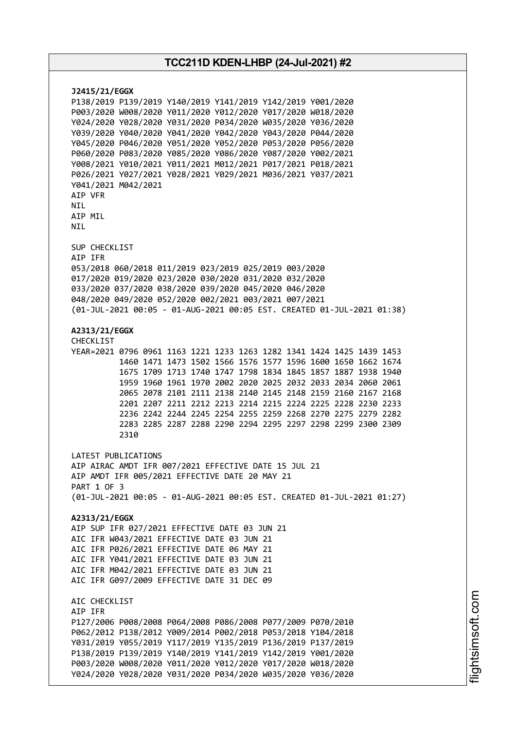**J2415/21/EGGX** P138/2019 P139/2019 Y140/2019 Y141/2019 Y142/2019 Y001/2020 P003/2020 W008/2020 Y011/2020 Y012/2020 Y017/2020 W018/2020 Y024/2020 Y028/2020 Y031/2020 P034/2020 W035/2020 Y036/2020 Y039/2020 Y040/2020 Y041/2020 Y042/2020 Y043/2020 P044/2020 Y045/2020 P046/2020 Y051/2020 Y052/2020 P053/2020 P056/2020 P060/2020 P083/2020 Y085/2020 Y086/2020 Y087/2020 Y002/2021 Y008/2021 Y010/2021 Y011/2021 M012/2021 P017/2021 P018/2021 P026/2021 Y027/2021 Y028/2021 Y029/2021 M036/2021 Y037/2021 Y041/2021 M042/2021 AIP VFR **NTI** AIP MIL NIL SUP CHECKLIST AIP IFR 053/2018 060/2018 011/2019 023/2019 025/2019 003/2020 017/2020 019/2020 023/2020 030/2020 031/2020 032/2020 033/2020 037/2020 038/2020 039/2020 045/2020 046/2020 048/2020 049/2020 052/2020 002/2021 003/2021 007/2021 (01-JUL-2021 00:05 - 01-AUG-2021 00:05 EST. CREATED 01-JUL-2021 01:38) **A2313/21/EGGX** CHECKLIST YEAR=2021 0796 0961 1163 1221 1233 1263 1282 1341 1424 1425 1439 1453 1460 1471 1473 1502 1566 1576 1577 1596 1600 1650 1662 1674 1675 1709 1713 1740 1747 1798 1834 1845 1857 1887 1938 1940 1959 1960 1961 1970 2002 2020 2025 2032 2033 2034 2060 2061 2065 2078 2101 2111 2138 2140 2145 2148 2159 2160 2167 2168 2201 2207 2211 2212 2213 2214 2215 2224 2225 2228 2230 2233 2236 2242 2244 2245 2254 2255 2259 2268 2270 2275 2279 2282 2283 2285 2287 2288 2290 2294 2295 2297 2298 2299 2300 2309 2310 LATEST PUBLICATIONS AIP AIRAC AMDT IFR 007/2021 EFFECTIVE DATE 15 JUL 21 AIP AMDT IFR 005/2021 EFFECTIVE DATE 20 MAY 21 PART 1 OF 3 (01-JUL-2021 00:05 - 01-AUG-2021 00:05 EST. CREATED 01-JUL-2021 01:27) **A2313/21/EGGX** AIP SUP IFR 027/2021 EFFECTIVE DATE 03 JUN 21 AIC IFR W043/2021 EFFECTIVE DATE 03 JUN 21 AIC IFR P026/2021 EFFECTIVE DATE 06 MAY 21 AIC IFR Y041/2021 EFFECTIVE DATE 03 JUN 21 AIC IFR M042/2021 EFFECTIVE DATE 03 JUN 21 AIC IFR G097/2009 EFFECTIVE DATE 31 DEC 09 AIC CHECKLIST AIP IFR P127/2006 P008/2008 P064/2008 P086/2008 P077/2009 P070/2010 P062/2012 P138/2012 Y009/2014 P002/2018 P053/2018 Y104/2018 Y031/2019 Y055/2019 Y117/2019 Y135/2019 P136/2019 P137/2019 P138/2019 P139/2019 Y140/2019 Y141/2019 Y142/2019 Y001/2020 P003/2020 W008/2020 Y011/2020 Y012/2020 Y017/2020 W018/2020 Y024/2020 Y028/2020 Y031/2020 P034/2020 W035/2020 Y036/2020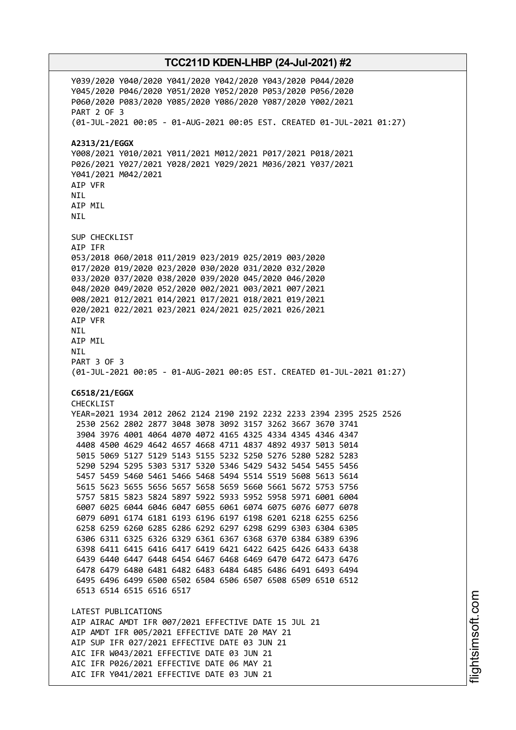Y039/2020 Y040/2020 Y041/2020 Y042/2020 Y043/2020 P044/2020 Y045/2020 P046/2020 Y051/2020 Y052/2020 P053/2020 P056/2020 P060/2020 P083/2020 Y085/2020 Y086/2020 Y087/2020 Y002/2021 PART 2 OF 3 (01-JUL-2021 00:05 - 01-AUG-2021 00:05 EST. CREATED 01-JUL-2021 01:27) **A2313/21/EGGX** Y008/2021 Y010/2021 Y011/2021 M012/2021 P017/2021 P018/2021 P026/2021 Y027/2021 Y028/2021 Y029/2021 M036/2021 Y037/2021 Y041/2021 M042/2021 AIP VFR **NTI** AIP MIL NIL SUP CHECKLIST AIP IFR 053/2018 060/2018 011/2019 023/2019 025/2019 003/2020 017/2020 019/2020 023/2020 030/2020 031/2020 032/2020 033/2020 037/2020 038/2020 039/2020 045/2020 046/2020 048/2020 049/2020 052/2020 002/2021 003/2021 007/2021 008/2021 012/2021 014/2021 017/2021 018/2021 019/2021 020/2021 022/2021 023/2021 024/2021 025/2021 026/2021 AIP VFR NIL AIP MIL NIL PART 3 OF 3 (01-JUL-2021 00:05 - 01-AUG-2021 00:05 EST. CREATED 01-JUL-2021 01:27) **C6518/21/EGGX** CHECKLIST YEAR=2021 1934 2012 2062 2124 2190 2192 2232 2233 2394 2395 2525 2526 2530 2562 2802 2877 3048 3078 3092 3157 3262 3667 3670 3741 3904 3976 4001 4064 4070 4072 4165 4325 4334 4345 4346 4347 4408 4500 4629 4642 4657 4668 4711 4837 4892 4937 5013 5014 5015 5069 5127 5129 5143 5155 5232 5250 5276 5280 5282 5283 5290 5294 5295 5303 5317 5320 5346 5429 5432 5454 5455 5456 5457 5459 5460 5461 5466 5468 5494 5514 5519 5608 5613 5614 5615 5623 5655 5656 5657 5658 5659 5660 5661 5672 5753 5756 5757 5815 5823 5824 5897 5922 5933 5952 5958 5971 6001 6004 6007 6025 6044 6046 6047 6055 6061 6074 6075 6076 6077 6078 6079 6091 6174 6181 6193 6196 6197 6198 6201 6218 6255 6256 6258 6259 6260 6285 6286 6292 6297 6298 6299 6303 6304 6305 6306 6311 6325 6326 6329 6361 6367 6368 6370 6384 6389 6396 6398 6411 6415 6416 6417 6419 6421 6422 6425 6426 6433 6438 6439 6440 6447 6448 6454 6467 6468 6469 6470 6472 6473 6476 6478 6479 6480 6481 6482 6483 6484 6485 6486 6491 6493 6494 6495 6496 6499 6500 6502 6504 6506 6507 6508 6509 6510 6512 6513 6514 6515 6516 6517 LATEST PUBLICATIONS AIP AIRAC AMDT IFR 007/2021 EFFECTIVE DATE 15 JUL 21 AIP AMDT IFR 005/2021 EFFECTIVE DATE 20 MAY 21 AIP SUP IFR 027/2021 EFFECTIVE DATE 03 JUN 21 AIC IFR W043/2021 EFFECTIVE DATE 03 JUN 21 AIC IFR P026/2021 EFFECTIVE DATE 06 MAY 21 AIC IFR Y041/2021 EFFECTIVE DATE 03 JUN 21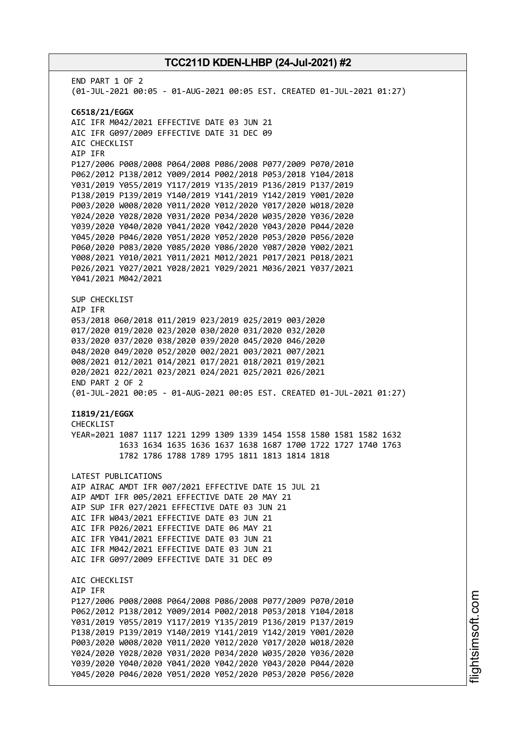END PART 1 OF 2 (01-JUL-2021 00:05 - 01-AUG-2021 00:05 EST. CREATED 01-JUL-2021 01:27) **C6518/21/EGGX** AIC IFR M042/2021 EFFECTIVE DATE 03 JUN 21 AIC IFR G097/2009 EFFECTIVE DATE 31 DEC 09 AIC CHECKLIST AIP IFR P127/2006 P008/2008 P064/2008 P086/2008 P077/2009 P070/2010 P062/2012 P138/2012 Y009/2014 P002/2018 P053/2018 Y104/2018 Y031/2019 Y055/2019 Y117/2019 Y135/2019 P136/2019 P137/2019 P138/2019 P139/2019 Y140/2019 Y141/2019 Y142/2019 Y001/2020 P003/2020 W008/2020 Y011/2020 Y012/2020 Y017/2020 W018/2020 Y024/2020 Y028/2020 Y031/2020 P034/2020 W035/2020 Y036/2020 Y039/2020 Y040/2020 Y041/2020 Y042/2020 Y043/2020 P044/2020 Y045/2020 P046/2020 Y051/2020 Y052/2020 P053/2020 P056/2020 P060/2020 P083/2020 Y085/2020 Y086/2020 Y087/2020 Y002/2021 Y008/2021 Y010/2021 Y011/2021 M012/2021 P017/2021 P018/2021 P026/2021 Y027/2021 Y028/2021 Y029/2021 M036/2021 Y037/2021 Y041/2021 M042/2021 SUP CHECKLIST AIP IFR 053/2018 060/2018 011/2019 023/2019 025/2019 003/2020 017/2020 019/2020 023/2020 030/2020 031/2020 032/2020 033/2020 037/2020 038/2020 039/2020 045/2020 046/2020 048/2020 049/2020 052/2020 002/2021 003/2021 007/2021 008/2021 012/2021 014/2021 017/2021 018/2021 019/2021 020/2021 022/2021 023/2021 024/2021 025/2021 026/2021 END PART 2 OF 2 (01-JUL-2021 00:05 - 01-AUG-2021 00:05 EST. CREATED 01-JUL-2021 01:27) **I1819/21/EGGX** CHECKL<sub>IST</sub> YEAR=2021 1087 1117 1221 1299 1309 1339 1454 1558 1580 1581 1582 1632 1633 1634 1635 1636 1637 1638 1687 1700 1722 1727 1740 1763 1782 1786 1788 1789 1795 1811 1813 1814 1818 LATEST PUBLICATIONS AIP AIRAC AMDT IFR 007/2021 EFFECTIVE DATE 15 JUL 21 AIP AMDT IFR 005/2021 EFFECTIVE DATE 20 MAY 21 AIP SUP IFR 027/2021 EFFECTIVE DATE 03 JUN 21 AIC IFR W043/2021 EFFECTIVE DATE 03 JUN 21 AIC IFR P026/2021 EFFECTIVE DATE 06 MAY 21 AIC IFR Y041/2021 EFFECTIVE DATE 03 JUN 21 AIC IFR M042/2021 EFFECTIVE DATE 03 JUN 21 AIC IFR G097/2009 EFFECTIVE DATE 31 DEC 09 AIC CHECKLIST AIP IFR P127/2006 P008/2008 P064/2008 P086/2008 P077/2009 P070/2010 P062/2012 P138/2012 Y009/2014 P002/2018 P053/2018 Y104/2018 Y031/2019 Y055/2019 Y117/2019 Y135/2019 P136/2019 P137/2019 P138/2019 P139/2019 Y140/2019 Y141/2019 Y142/2019 Y001/2020 P003/2020 W008/2020 Y011/2020 Y012/2020 Y017/2020 W018/2020 Y024/2020 Y028/2020 Y031/2020 P034/2020 W035/2020 Y036/2020 Y039/2020 Y040/2020 Y041/2020 Y042/2020 Y043/2020 P044/2020 Y045/2020 P046/2020 Y051/2020 Y052/2020 P053/2020 P056/2020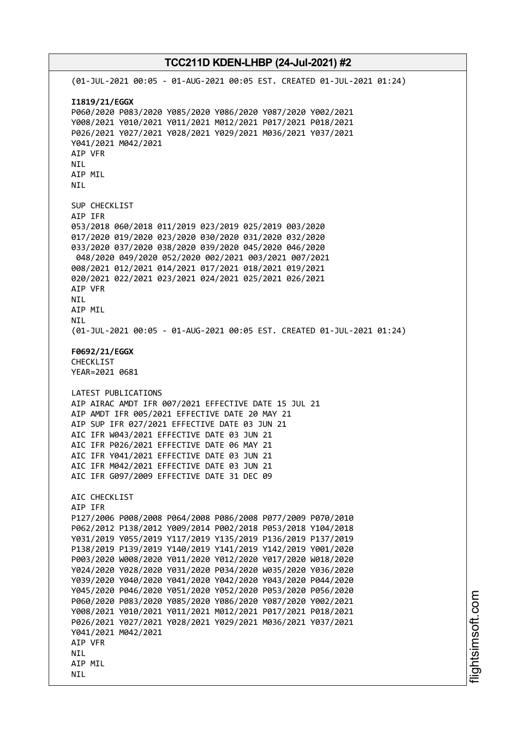# **TCC211D KDEN-LHBP (24-Jul-2021) #2** (01-JUL-2021 00:05 - 01-AUG-2021 00:05 EST. CREATED 01-JUL-2021 01:24) **I1819/21/EGGX** P060/2020 P083/2020 Y085/2020 Y086/2020 Y087/2020 Y002/2021 Y008/2021 Y010/2021 Y011/2021 M012/2021 P017/2021 P018/2021 P026/2021 Y027/2021 Y028/2021 Y029/2021 M036/2021 Y037/2021 Y041/2021 M042/2021 AIP VFR NIL AIP MIL NIL SUP CHECKLIST AIP IFR 053/2018 060/2018 011/2019 023/2019 025/2019 003/2020 017/2020 019/2020 023/2020 030/2020 031/2020 032/2020 033/2020 037/2020 038/2020 039/2020 045/2020 046/2020 048/2020 049/2020 052/2020 002/2021 003/2021 007/2021 008/2021 012/2021 014/2021 017/2021 018/2021 019/2021 020/2021 022/2021 023/2021 024/2021 025/2021 026/2021 AIP VFR NIL AIP MIL NIL (01-JUL-2021 00:05 - 01-AUG-2021 00:05 EST. CREATED 01-JUL-2021 01:24) **F0692/21/EGGX** CHECKLIST YEAR=2021 0681 LATEST PUBLICATIONS AIP AIRAC AMDT IFR 007/2021 EFFECTIVE DATE 15 JUL 21 AIP AMDT IFR 005/2021 EFFECTIVE DATE 20 MAY 21 AIP SUP IFR 027/2021 EFFECTIVE DATE 03 JUN 21 AIC IFR W043/2021 EFFECTIVE DATE 03 JUN 21 AIC IFR P026/2021 EFFECTIVE DATE 06 MAY 21 AIC IFR Y041/2021 EFFECTIVE DATE 03 JUN 21 AIC IFR M042/2021 EFFECTIVE DATE 03 JUN 21 AIC IFR G097/2009 EFFECTIVE DATE 31 DEC 09 AIC CHECKLIST AIP IFR P127/2006 P008/2008 P064/2008 P086/2008 P077/2009 P070/2010 P062/2012 P138/2012 Y009/2014 P002/2018 P053/2018 Y104/2018 Y031/2019 Y055/2019 Y117/2019 Y135/2019 P136/2019 P137/2019 P138/2019 P139/2019 Y140/2019 Y141/2019 Y142/2019 Y001/2020 P003/2020 W008/2020 Y011/2020 Y012/2020 Y017/2020 W018/2020 Y024/2020 Y028/2020 Y031/2020 P034/2020 W035/2020 Y036/2020 Y039/2020 Y040/2020 Y041/2020 Y042/2020 Y043/2020 P044/2020 Y045/2020 P046/2020 Y051/2020 Y052/2020 P053/2020 P056/2020 P060/2020 P083/2020 Y085/2020 Y086/2020 Y087/2020 Y002/2021 Y008/2021 Y010/2021 Y011/2021 M012/2021 P017/2021 P018/2021 P026/2021 Y027/2021 Y028/2021 Y029/2021 M036/2021 Y037/2021

Y041/2021 M042/2021

AIP VFR **NTL** AIP MIL NIL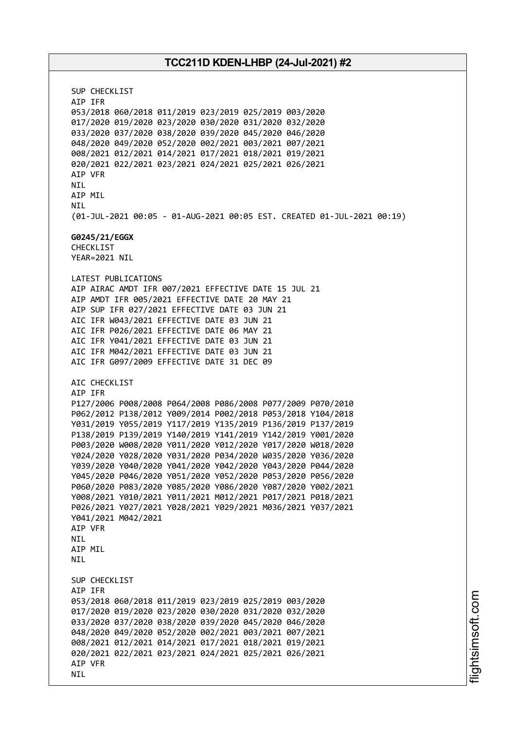SUP CHECKLIST AIP IFR 053/2018 060/2018 011/2019 023/2019 025/2019 003/2020 017/2020 019/2020 023/2020 030/2020 031/2020 032/2020 033/2020 037/2020 038/2020 039/2020 045/2020 046/2020 048/2020 049/2020 052/2020 002/2021 003/2021 007/2021 008/2021 012/2021 014/2021 017/2021 018/2021 019/2021 020/2021 022/2021 023/2021 024/2021 025/2021 026/2021 AIP VFR NIL AIP MIL NIL (01-JUL-2021 00:05 - 01-AUG-2021 00:05 EST. CREATED 01-JUL-2021 00:19) **G0245/21/EGGX** CHECKLIST YEAR=2021 NIL LATEST PUBLICATIONS AIP AIRAC AMDT IFR 007/2021 EFFECTIVE DATE 15 JUL 21 AIP AMDT IFR 005/2021 EFFECTIVE DATE 20 MAY 21 AIP SUP IFR 027/2021 EFFECTIVE DATE 03 JUN 21 AIC IFR W043/2021 EFFECTIVE DATE 03 JUN 21 AIC IFR P026/2021 EFFECTIVE DATE 06 MAY 21 AIC IFR Y041/2021 EFFECTIVE DATE 03 JUN 21 AIC IFR M042/2021 EFFECTIVE DATE 03 JUN 21 AIC IFR G097/2009 EFFECTIVE DATE 31 DEC 09 AIC CHECKLIST AIP IFR P127/2006 P008/2008 P064/2008 P086/2008 P077/2009 P070/2010 P062/2012 P138/2012 Y009/2014 P002/2018 P053/2018 Y104/2018 Y031/2019 Y055/2019 Y117/2019 Y135/2019 P136/2019 P137/2019 P138/2019 P139/2019 Y140/2019 Y141/2019 Y142/2019 Y001/2020 P003/2020 W008/2020 Y011/2020 Y012/2020 Y017/2020 W018/2020 Y024/2020 Y028/2020 Y031/2020 P034/2020 W035/2020 Y036/2020 Y039/2020 Y040/2020 Y041/2020 Y042/2020 Y043/2020 P044/2020 Y045/2020 P046/2020 Y051/2020 Y052/2020 P053/2020 P056/2020 P060/2020 P083/2020 Y085/2020 Y086/2020 Y087/2020 Y002/2021 Y008/2021 Y010/2021 Y011/2021 M012/2021 P017/2021 P018/2021 P026/2021 Y027/2021 Y028/2021 Y029/2021 M036/2021 Y037/2021 Y041/2021 M042/2021 AIP VFR **NTI** AIP MIL **NTI** SUP CHECKLIST AIP IFR 053/2018 060/2018 011/2019 023/2019 025/2019 003/2020 017/2020 019/2020 023/2020 030/2020 031/2020 032/2020 033/2020 037/2020 038/2020 039/2020 045/2020 046/2020 048/2020 049/2020 052/2020 002/2021 003/2021 007/2021 008/2021 012/2021 014/2021 017/2021 018/2021 019/2021 020/2021 022/2021 023/2021 024/2021 025/2021 026/2021 AIP VFR NIL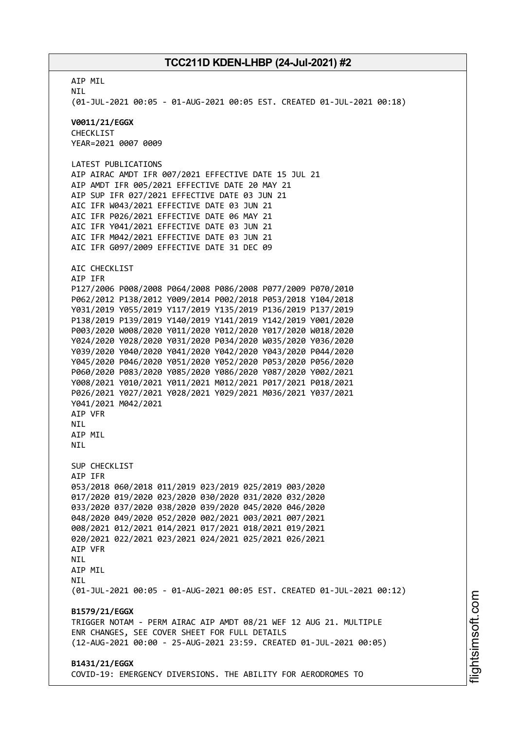AIP MIL NIL (01-JUL-2021 00:05 - 01-AUG-2021 00:05 EST. CREATED 01-JUL-2021 00:18) **V0011/21/EGGX** CHECKLIST YEAR=2021 0007 0009 LATEST PUBLICATIONS AIP AIRAC AMDT IFR 007/2021 EFFECTIVE DATE 15 JUL 21 AIP AMDT IFR 005/2021 EFFECTIVE DATE 20 MAY 21 AIP SUP IFR 027/2021 EFFECTIVE DATE 03 JUN 21 AIC IFR W043/2021 EFFECTIVE DATE 03 JUN 21 AIC IFR P026/2021 EFFECTIVE DATE 06 MAY 21 AIC IFR Y041/2021 EFFECTIVE DATE 03 JUN 21 AIC IFR M042/2021 EFFECTIVE DATE 03 JUN 21 AIC IFR G097/2009 EFFECTIVE DATE 31 DEC 09 AIC CHECKLIST AIP IFR P127/2006 P008/2008 P064/2008 P086/2008 P077/2009 P070/2010 P062/2012 P138/2012 Y009/2014 P002/2018 P053/2018 Y104/2018 Y031/2019 Y055/2019 Y117/2019 Y135/2019 P136/2019 P137/2019 P138/2019 P139/2019 Y140/2019 Y141/2019 Y142/2019 Y001/2020 P003/2020 W008/2020 Y011/2020 Y012/2020 Y017/2020 W018/2020 Y024/2020 Y028/2020 Y031/2020 P034/2020 W035/2020 Y036/2020 Y039/2020 Y040/2020 Y041/2020 Y042/2020 Y043/2020 P044/2020 Y045/2020 P046/2020 Y051/2020 Y052/2020 P053/2020 P056/2020 P060/2020 P083/2020 Y085/2020 Y086/2020 Y087/2020 Y002/2021 Y008/2021 Y010/2021 Y011/2021 M012/2021 P017/2021 P018/2021 P026/2021 Y027/2021 Y028/2021 Y029/2021 M036/2021 Y037/2021 Y041/2021 M042/2021 AIP VFR **NTI** AIP MIL **NTI** SUP CHECKLIST AIP IFR 053/2018 060/2018 011/2019 023/2019 025/2019 003/2020 017/2020 019/2020 023/2020 030/2020 031/2020 032/2020 033/2020 037/2020 038/2020 039/2020 045/2020 046/2020 048/2020 049/2020 052/2020 002/2021 003/2021 007/2021 008/2021 012/2021 014/2021 017/2021 018/2021 019/2021 020/2021 022/2021 023/2021 024/2021 025/2021 026/2021 AIP VFR **NTL** AIP MIL **NTI** (01-JUL-2021 00:05 - 01-AUG-2021 00:05 EST. CREATED 01-JUL-2021 00:12) **B1579/21/EGGX** TRIGGER NOTAM - PERM AIRAC AIP AMDT 08/21 WEF 12 AUG 21. MULTIPLE ENR CHANGES, SEE COVER SHEET FOR FULL DETAILS (12-AUG-2021 00:00 - 25-AUG-2021 23:59. CREATED 01-JUL-2021 00:05) **B1431/21/EGGX** COVID-19: EMERGENCY DIVERSIONS. THE ABILITY FOR AERODROMES TO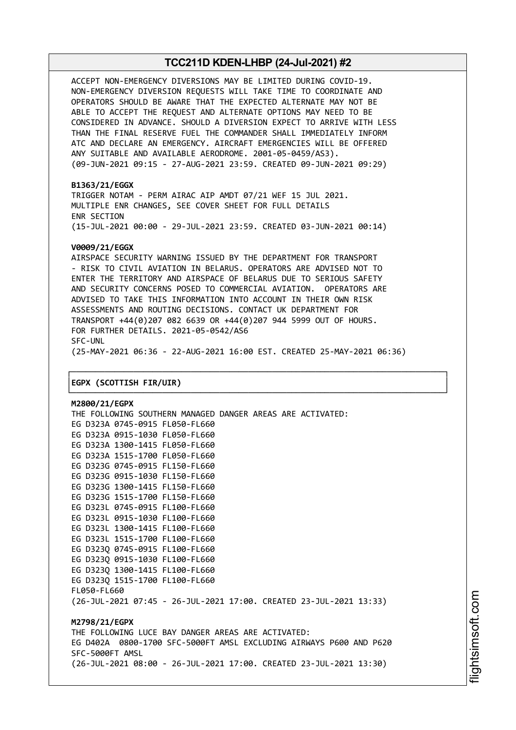ACCEPT NON-EMERGENCY DIVERSIONS MAY BE LIMITED DURING COVID-19. NON-EMERGENCY DIVERSION REQUESTS WILL TAKE TIME TO COORDINATE AND OPERATORS SHOULD BE AWARE THAT THE EXPECTED ALTERNATE MAY NOT BE ABLE TO ACCEPT THE REQUEST AND ALTERNATE OPTIONS MAY NEED TO BE CONSIDERED IN ADVANCE. SHOULD A DIVERSION EXPECT TO ARRIVE WITH LESS THAN THE FINAL RESERVE FUEL THE COMMANDER SHALL IMMEDIATELY INFORM ATC AND DECLARE AN EMERGENCY. AIRCRAFT EMERGENCIES WILL BE OFFERED ANY SUITABLE AND AVAILABLE AERODROME. 2001-05-0459/AS3). (09-JUN-2021 09:15 - 27-AUG-2021 23:59. CREATED 09-JUN-2021 09:29)

**B1363/21/EGGX**

TRIGGER NOTAM - PERM AIRAC AIP AMDT 07/21 WEF 15 JUL 2021. MULTIPLE ENR CHANGES, SEE COVER SHEET FOR FULL DETAILS ENR SECTION (15-JUL-2021 00:00 - 29-JUL-2021 23:59. CREATED 03-JUN-2021 00:14)

#### **V0009/21/EGGX**

AIRSPACE SECURITY WARNING ISSUED BY THE DEPARTMENT FOR TRANSPORT - RISK TO CIVIL AVIATION IN BELARUS. OPERATORS ARE ADVISED NOT TO ENTER THE TERRITORY AND AIRSPACE OF BELARUS DUE TO SERIOUS SAFETY AND SECURITY CONCERNS POSED TO COMMERCIAL AVIATION. OPERATORS ARE ADVISED TO TAKE THIS INFORMATION INTO ACCOUNT IN THEIR OWN RISK ASSESSMENTS AND ROUTING DECISIONS. CONTACT UK DEPARTMENT FOR TRANSPORT +44(0)207 082 6639 OR +44(0)207 944 5999 OUT OF HOURS. FOR FURTHER DETAILS. 2021-05-0542/AS6 SFC-UNL (25-MAY-2021 06:36 - 22-AUG-2021 16:00 EST. CREATED 25-MAY-2021 06:36)

└──────────────────────────────────────────────────────────────────────────────┘

#### ┌──────────────────────────────────────────────────────────────────────────────┐ │**EGPX (SCOTTISH FIR/UIR)** │

**M2800/21/EGPX** THE FOLLOWING SOUTHERN MANAGED DANGER AREAS ARE ACTIVATED: EG D323A 0745-0915 FL050-FL660 EG D323A 0915-1030 FL050-FL660 EG D323A 1300-1415 FL050-FL660 EG D323A 1515-1700 FL050-FL660 EG D323G 0745-0915 FL150-FL660 EG D323G 0915-1030 FL150-FL660 EG D323G 1300-1415 FL150-FL660 EG D323G 1515-1700 FL150-FL660 EG D323L 0745-0915 FL100-FL660 EG D323L 0915-1030 FL100-FL660 EG D323L 1300-1415 FL100-FL660 EG D323L 1515-1700 FL100-FL660 EG D323Q 0745-0915 FL100-FL660 EG D323Q 0915-1030 FL100-FL660 EG D323Q 1300-1415 FL100-FL660 EG D323Q 1515-1700 FL100-FL660 FL050-FL660 (26-JUL-2021 07:45 - 26-JUL-2021 17:00. CREATED 23-JUL-2021 13:33) **M2798/21/EGPX** THE FOLLOWING LUCE BAY DANGER AREAS ARE ACTIVATED: EG D402A 0800-1700 SFC-5000FT AMSL EXCLUDING AIRWAYS P600 AND P620 SFC-5000FT AMSL (26-JUL-2021 08:00 - 26-JUL-2021 17:00. CREATED 23-JUL-2021 13:30)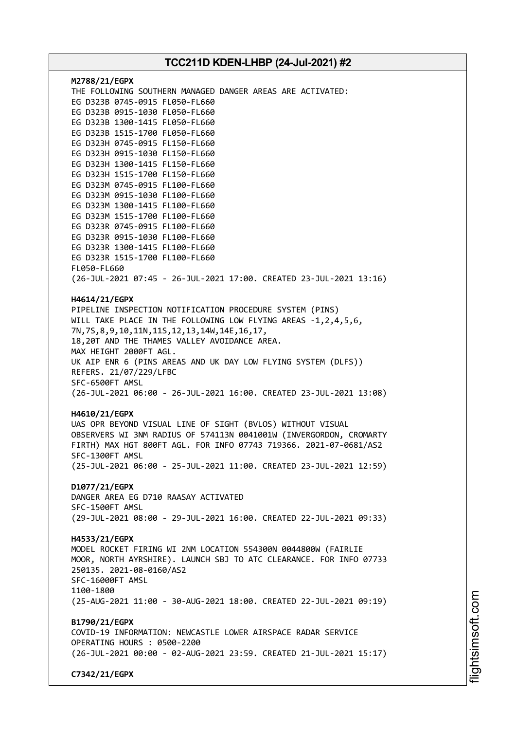| M2788/21/EGPX<br>FL050-FL660                   | THE FOLLOWING SOUTHERN MANAGED DANGER AREAS ARE ACTIVATED:<br>EG D323B 0745-0915 FL050-FL660<br>EG D323B 0915-1030 FL050-FL660<br>EG D323B 1300-1415 FL050-FL660<br>EG D323B 1515-1700 FL050-FL660<br>EG D323H 0745-0915 FL150-FL660<br>EG D323H 0915-1030 FL150-FL660<br>EG D323H 1300-1415 FL150-FL660<br>EG D323H 1515-1700 FL150-FL660<br>EG D323M 0745-0915 FL100-FL660<br>EG D323M 0915-1030 FL100-FL660<br>EG D323M 1300-1415 FL100-FL660<br>EG D323M 1515-1700 FL100-FL660<br>EG D323R 0745-0915 FL100-FL660<br>EG D323R 0915-1030 FL100-FL660<br>EG D323R 1300-1415 FL100-FL660<br>EG D323R 1515-1700 FL100-FL660<br>(26-JUL-2021 07:45 - 26-JUL-2021 17:00. CREATED 23-JUL-2021 13:16) |
|------------------------------------------------|--------------------------------------------------------------------------------------------------------------------------------------------------------------------------------------------------------------------------------------------------------------------------------------------------------------------------------------------------------------------------------------------------------------------------------------------------------------------------------------------------------------------------------------------------------------------------------------------------------------------------------------------------------------------------------------------------|
| H4614/21/EGPX<br>SFC-6500FT AMSL               | PIPELINE INSPECTION NOTIFICATION PROCEDURE SYSTEM (PINS)<br>WILL TAKE PLACE IN THE FOLLOWING LOW FLYING AREAS -1,2,4,5,6,<br>7N, 7S, 8, 9, 10, 11N, 11S, 12, 13, 14W, 14E, 16, 17,<br>18,20T AND THE THAMES VALLEY AVOIDANCE AREA.<br>MAX HEIGHT 2000FT AGL.<br>UK AIP ENR 6 (PINS AREAS AND UK DAY LOW FLYING SYSTEM (DLFS))<br>REFERS. 21/07/229/LFBC<br>(26-JUL-2021 06:00 - 26-JUL-2021 16:00. CREATED 23-JUL-2021 13:08)                                                                                                                                                                                                                                                                    |
| H4610/21/EGPX<br>SFC-1300FT AMSL               | UAS OPR BEYOND VISUAL LINE OF SIGHT (BVLOS) WITHOUT VISUAL<br>OBSERVERS WI 3NM RADIUS OF 574113N 0041001W (INVERGORDON, CROMARTY<br>FIRTH) MAX HGT 800FT AGL. FOR INFO 07743 719366. 2021-07-0681/AS2<br>(25-JUL-2021 06:00 - 25-JUL-2021 11:00. CREATED 23-JUL-2021 12:59)                                                                                                                                                                                                                                                                                                                                                                                                                      |
| D1077/21/EGPX<br>SFC-1500FT AMSL               | DANGER AREA EG D710 RAASAY ACTIVATED<br>(29-JUL-2021 08:00 - 29-JUL-2021 16:00. CREATED 22-JUL-2021 09:33)                                                                                                                                                                                                                                                                                                                                                                                                                                                                                                                                                                                       |
| H4533/21/EGPX<br>SFC-16000FT AMSL<br>1100-1800 | MODEL ROCKET FIRING WI 2NM LOCATION 554300N 0044800W (FAIRLIE<br>MOOR, NORTH AYRSHIRE). LAUNCH SBJ TO ATC CLEARANCE. FOR INFO 07733<br>250135. 2021-08-0160/AS2<br>(25-AUG-2021 11:00 - 30-AUG-2021 18:00. CREATED 22-JUL-2021 09:19)                                                                                                                                                                                                                                                                                                                                                                                                                                                            |
| B1790/21/EGPX                                  | COVID-19 INFORMATION: NEWCASTLE LOWER AIRSPACE RADAR SERVICE<br>OPERATING HOURS : 0500-2200<br>(26-JUL-2021 00:00 - 02-AUG-2021 23:59. CREATED 21-JUL-2021 15:17)                                                                                                                                                                                                                                                                                                                                                                                                                                                                                                                                |
| C7342/21/EGPX                                  |                                                                                                                                                                                                                                                                                                                                                                                                                                                                                                                                                                                                                                                                                                  |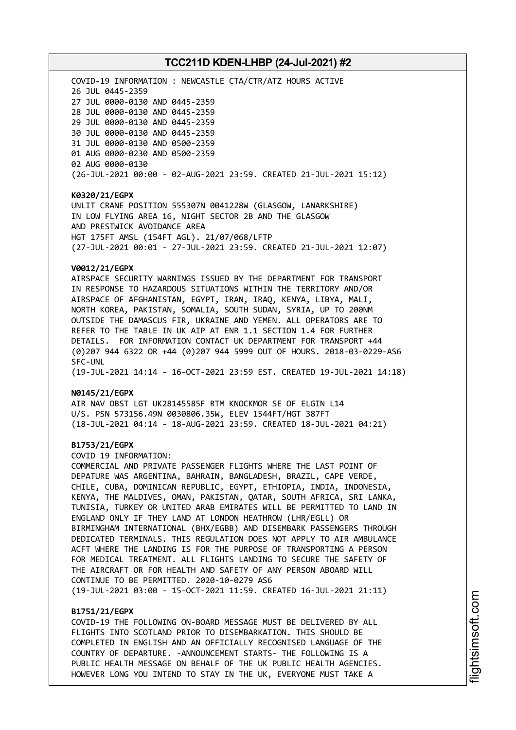COVID-19 INFORMATION : NEWCASTLE CTA/CTR/ATZ HOURS ACTIVE JUL 0445-2359 JUL 0000-0130 AND 0445-2359 JUL 0000-0130 AND 0445-2359 JUL 0000-0130 AND 0445-2359 JUL 0000-0130 AND 0445-2359 JUL 0000-0130 AND 0500-2359 AUG 0000-0230 AND 0500-2359 AUG 0000-0130 (26-JUL-2021 00:00 - 02-AUG-2021 23:59. CREATED 21-JUL-2021 15:12)

#### **K0320/21/EGPX**

UNLIT CRANE POSITION 555307N 0041228W (GLASGOW, LANARKSHIRE) IN LOW FLYING AREA 16, NIGHT SECTOR 2B AND THE GLASGOW AND PRESTWICK AVOIDANCE AREA HGT 175FT AMSL (154FT AGL). 21/07/068/LFTP (27-JUL-2021 00:01 - 27-JUL-2021 23:59. CREATED 21-JUL-2021 12:07)

#### **V0012/21/EGPX**

AIRSPACE SECURITY WARNINGS ISSUED BY THE DEPARTMENT FOR TRANSPORT IN RESPONSE TO HAZARDOUS SITUATIONS WITHIN THE TERRITORY AND/OR AIRSPACE OF AFGHANISTAN, EGYPT, IRAN, IRAQ, KENYA, LIBYA, MALI, NORTH KOREA, PAKISTAN, SOMALIA, SOUTH SUDAN, SYRIA, UP TO 200NM OUTSIDE THE DAMASCUS FIR, UKRAINE AND YEMEN. ALL OPERATORS ARE TO REFER TO THE TABLE IN UK AIP AT ENR 1.1 SECTION 1.4 FOR FURTHER DETAILS. FOR INFORMATION CONTACT UK DEPARTMENT FOR TRANSPORT +44 (0)207 944 6322 OR +44 (0)207 944 5999 OUT OF HOURS. 2018-03-0229-AS6 SFC-UNL

(19-JUL-2021 14:14 - 16-OCT-2021 23:59 EST. CREATED 19-JUL-2021 14:18)

#### **N0145/21/EGPX**

AIR NAV OBST LGT UK28145585F RTM KNOCKMOR SE OF ELGIN L14 U/S. PSN 573156.49N 0030806.35W, ELEV 1544FT/HGT 387FT (18-JUL-2021 04:14 - 18-AUG-2021 23:59. CREATED 18-JUL-2021 04:21)

#### **B1753/21/EGPX**

COVID 19 INFORMATION:

COMMERCIAL AND PRIVATE PASSENGER FLIGHTS WHERE THE LAST POINT OF DEPATURE WAS ARGENTINA, BAHRAIN, BANGLADESH, BRAZIL, CAPE VERDE, CHILE, CUBA, DOMINICAN REPUBLIC, EGYPT, ETHIOPIA, INDIA, INDONESIA, KENYA, THE MALDIVES, OMAN, PAKISTAN, QATAR, SOUTH AFRICA, SRI LANKA, TUNISIA, TURKEY OR UNITED ARAB EMIRATES WILL BE PERMITTED TO LAND IN ENGLAND ONLY IF THEY LAND AT LONDON HEATHROW (LHR/EGLL) OR BIRMINGHAM INTERNATIONAL (BHX/EGBB) AND DISEMBARK PASSENGERS THROUGH DEDICATED TERMINALS. THIS REGULATION DOES NOT APPLY TO AIR AMBULANCE ACFT WHERE THE LANDING IS FOR THE PURPOSE OF TRANSPORTING A PERSON FOR MEDICAL TREATMENT. ALL FLIGHTS LANDING TO SECURE THE SAFETY OF THE AIRCRAFT OR FOR HEALTH AND SAFETY OF ANY PERSON ABOARD WILL CONTINUE TO BE PERMITTED. 2020-10-0279 AS6 (19-JUL-2021 03:00 - 15-OCT-2021 11:59. CREATED 16-JUL-2021 21:11)

### **B1751/21/EGPX**

COVID-19 THE FOLLOWING ON-BOARD MESSAGE MUST BE DELIVERED BY ALL FLIGHTS INTO SCOTLAND PRIOR TO DISEMBARKATION. THIS SHOULD BE COMPLETED IN ENGLISH AND AN OFFICIALLY RECOGNISED LANGUAGE OF THE COUNTRY OF DEPARTURE. -ANNOUNCEMENT STARTS- THE FOLLOWING IS A PUBLIC HEALTH MESSAGE ON BEHALF OF THE UK PUBLIC HEALTH AGENCIES. HOWEVER LONG YOU INTEND TO STAY IN THE UK, EVERYONE MUST TAKE A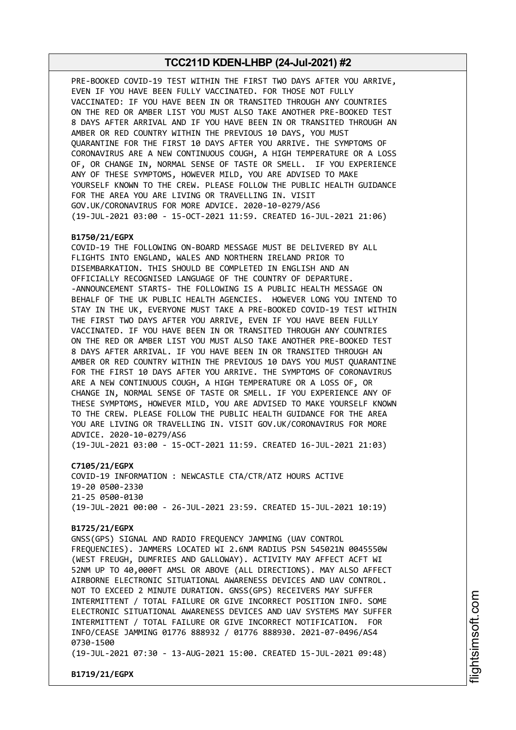PRE-BOOKED COVID-19 TEST WITHIN THE FIRST TWO DAYS AFTER YOU ARRIVE, EVEN IF YOU HAVE BEEN FULLY VACCINATED. FOR THOSE NOT FULLY VACCINATED: IF YOU HAVE BEEN IN OR TRANSITED THROUGH ANY COUNTRIES ON THE RED OR AMBER LIST YOU MUST ALSO TAKE ANOTHER PRE-BOOKED TEST 8 DAYS AFTER ARRIVAL AND IF YOU HAVE BEEN IN OR TRANSITED THROUGH AN AMBER OR RED COUNTRY WITHIN THE PREVIOUS 10 DAYS, YOU MUST QUARANTINE FOR THE FIRST 10 DAYS AFTER YOU ARRIVE. THE SYMPTOMS OF CORONAVIRUS ARE A NEW CONTINUOUS COUGH, A HIGH TEMPERATURE OR A LOSS OF, OR CHANGE IN, NORMAL SENSE OF TASTE OR SMELL. IF YOU EXPERIENCE ANY OF THESE SYMPTOMS, HOWEVER MILD, YOU ARE ADVISED TO MAKE YOURSELF KNOWN TO THE CREW. PLEASE FOLLOW THE PUBLIC HEALTH GUIDANCE FOR THE AREA YOU ARE LIVING OR TRAVELLING IN. VISIT GOV.UK/CORONAVIRUS FOR MORE ADVICE. 2020-10-0279/AS6 (19-JUL-2021 03:00 - 15-OCT-2021 11:59. CREATED 16-JUL-2021 21:06)

#### **B1750/21/EGPX**

COVID-19 THE FOLLOWING ON-BOARD MESSAGE MUST BE DELIVERED BY ALL FLIGHTS INTO ENGLAND, WALES AND NORTHERN IRELAND PRIOR TO DISEMBARKATION. THIS SHOULD BE COMPLETED IN ENGLISH AND AN OFFICIALLY RECOGNISED LANGUAGE OF THE COUNTRY OF DEPARTURE. -ANNOUNCEMENT STARTS- THE FOLLOWING IS A PUBLIC HEALTH MESSAGE ON BEHALF OF THE UK PUBLIC HEALTH AGENCIES. HOWEVER LONG YOU INTEND TO STAY IN THE UK, EVERYONE MUST TAKE A PRE-BOOKED COVID-19 TEST WITHIN THE FIRST TWO DAYS AFTER YOU ARRIVE, EVEN IF YOU HAVE BEEN FULLY VACCINATED. IF YOU HAVE BEEN IN OR TRANSITED THROUGH ANY COUNTRIES ON THE RED OR AMBER LIST YOU MUST ALSO TAKE ANOTHER PRE-BOOKED TEST 8 DAYS AFTER ARRIVAL. IF YOU HAVE BEEN IN OR TRANSITED THROUGH AN AMBER OR RED COUNTRY WITHIN THE PREVIOUS 10 DAYS YOU MUST QUARANTINE FOR THE FIRST 10 DAYS AFTER YOU ARRIVE. THE SYMPTOMS OF CORONAVIRUS ARE A NEW CONTINUOUS COUGH, A HIGH TEMPERATURE OR A LOSS OF, OR CHANGE IN, NORMAL SENSE OF TASTE OR SMELL. IF YOU EXPERIENCE ANY OF THESE SYMPTOMS, HOWEVER MILD, YOU ARE ADVISED TO MAKE YOURSELF KNOWN TO THE CREW. PLEASE FOLLOW THE PUBLIC HEALTH GUIDANCE FOR THE AREA YOU ARE LIVING OR TRAVELLING IN. VISIT GOV.UK/CORONAVIRUS FOR MORE ADVICE. 2020-10-0279/AS6

(19-JUL-2021 03:00 - 15-OCT-2021 11:59. CREATED 16-JUL-2021 21:03)

**C7105/21/EGPX**

COVID-19 INFORMATION : NEWCASTLE CTA/CTR/ATZ HOURS ACTIVE 19-20 0500-2330 21-25 0500-0130 (19-JUL-2021 00:00 - 26-JUL-2021 23:59. CREATED 15-JUL-2021 10:19)

#### **B1725/21/EGPX**

GNSS(GPS) SIGNAL AND RADIO FREQUENCY JAMMING (UAV CONTROL FREQUENCIES). JAMMERS LOCATED WI 2.6NM RADIUS PSN 545021N 0045550W (WEST FREUGH, DUMFRIES AND GALLOWAY). ACTIVITY MAY AFFECT ACFT WI 52NM UP TO 40,000FT AMSL OR ABOVE (ALL DIRECTIONS). MAY ALSO AFFECT AIRBORNE ELECTRONIC SITUATIONAL AWARENESS DEVICES AND UAV CONTROL. NOT TO EXCEED 2 MINUTE DURATION. GNSS(GPS) RECEIVERS MAY SUFFER INTERMITTENT / TOTAL FAILURE OR GIVE INCORRECT POSITION INFO. SOME ELECTRONIC SITUATIONAL AWARENESS DEVICES AND UAV SYSTEMS MAY SUFFER INTERMITTENT / TOTAL FAILURE OR GIVE INCORRECT NOTIFICATION. FOR INFO/CEASE JAMMING 01776 888932 / 01776 888930. 2021-07-0496/AS4 0730-1500

(19-JUL-2021 07:30 - 13-AUG-2021 15:00. CREATED 15-JUL-2021 09:48)

**B1719/21/EGPX**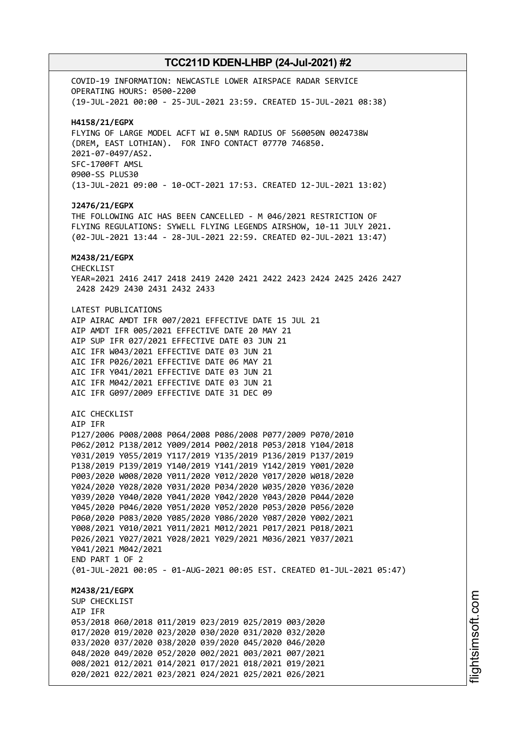COVID-19 INFORMATION: NEWCASTLE LOWER AIRSPACE RADAR SERVICE OPERATING HOURS: 0500-2200 (19-JUL-2021 00:00 - 25-JUL-2021 23:59. CREATED 15-JUL-2021 08:38) **H4158/21/EGPX** FLYING OF LARGE MODEL ACFT WI 0.5NM RADIUS OF 560050N 0024738W (DREM, EAST LOTHIAN). FOR INFO CONTACT 07770 746850. 2021-07-0497/AS2. SFC-1700FT AMSL 0900-SS PLUS30 (13-JUL-2021 09:00 - 10-OCT-2021 17:53. CREATED 12-JUL-2021 13:02) **J2476/21/EGPX** THE FOLLOWING AIC HAS BEEN CANCELLED - M 046/2021 RESTRICTION OF FLYING REGULATIONS: SYWELL FLYING LEGENDS AIRSHOW, 10-11 JULY 2021. (02-JUL-2021 13:44 - 28-JUL-2021 22:59. CREATED 02-JUL-2021 13:47) **M2438/21/EGPX** CHECKLIST YEAR=2021 2416 2417 2418 2419 2420 2421 2422 2423 2424 2425 2426 2427 2428 2429 2430 2431 2432 2433 LATEST PUBLICATIONS AIP AIRAC AMDT IFR 007/2021 EFFECTIVE DATE 15 JUL 21 AIP AMDT IFR 005/2021 EFFECTIVE DATE 20 MAY 21 AIP SUP IFR 027/2021 EFFECTIVE DATE 03 JUN 21 AIC IFR W043/2021 EFFECTIVE DATE 03 JUN 21 AIC IFR P026/2021 EFFECTIVE DATE 06 MAY 21 AIC IFR Y041/2021 EFFECTIVE DATE 03 JUN 21 AIC IFR M042/2021 EFFECTIVE DATE 03 JUN 21 AIC IFR G097/2009 EFFECTIVE DATE 31 DEC 09 AIC CHECKLIST AIP IFR P127/2006 P008/2008 P064/2008 P086/2008 P077/2009 P070/2010 P062/2012 P138/2012 Y009/2014 P002/2018 P053/2018 Y104/2018 Y031/2019 Y055/2019 Y117/2019 Y135/2019 P136/2019 P137/2019 P138/2019 P139/2019 Y140/2019 Y141/2019 Y142/2019 Y001/2020 P003/2020 W008/2020 Y011/2020 Y012/2020 Y017/2020 W018/2020 Y024/2020 Y028/2020 Y031/2020 P034/2020 W035/2020 Y036/2020 Y039/2020 Y040/2020 Y041/2020 Y042/2020 Y043/2020 P044/2020 Y045/2020 P046/2020 Y051/2020 Y052/2020 P053/2020 P056/2020 P060/2020 P083/2020 Y085/2020 Y086/2020 Y087/2020 Y002/2021 Y008/2021 Y010/2021 Y011/2021 M012/2021 P017/2021 P018/2021 P026/2021 Y027/2021 Y028/2021 Y029/2021 M036/2021 Y037/2021 Y041/2021 M042/2021 END PART 1 OF 2 (01-JUL-2021 00:05 - 01-AUG-2021 00:05 EST. CREATED 01-JUL-2021 05:47) **M2438/21/EGPX** SUP CHECKLIST AIP IFR 053/2018 060/2018 011/2019 023/2019 025/2019 003/2020 017/2020 019/2020 023/2020 030/2020 031/2020 032/2020 033/2020 037/2020 038/2020 039/2020 045/2020 046/2020 048/2020 049/2020 052/2020 002/2021 003/2021 007/2021 008/2021 012/2021 014/2021 017/2021 018/2021 019/2021 020/2021 022/2021 023/2021 024/2021 025/2021 026/2021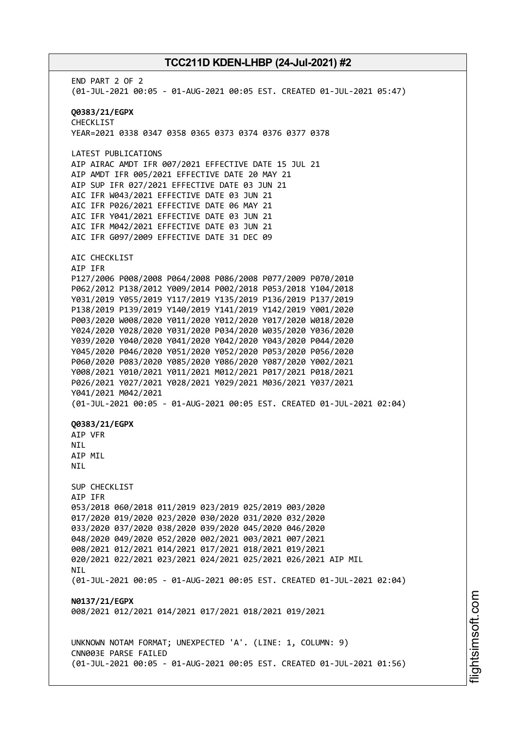END PART 2 OF 2 (01-JUL-2021 00:05 - 01-AUG-2021 00:05 EST. CREATED 01-JUL-2021 05:47) **Q0383/21/EGPX** CHECKLIST YEAR=2021 0338 0347 0358 0365 0373 0374 0376 0377 0378 LATEST PUBLICATIONS AIP AIRAC AMDT IFR 007/2021 EFFECTIVE DATE 15 JUL 21 AIP AMDT IFR 005/2021 EFFECTIVE DATE 20 MAY 21 AIP SUP IFR 027/2021 EFFECTIVE DATE 03 JUN 21 AIC IFR W043/2021 EFFECTIVE DATE 03 JUN 21 AIC IFR P026/2021 EFFECTIVE DATE 06 MAY 21 AIC IFR Y041/2021 EFFECTIVE DATE 03 JUN 21 AIC IFR M042/2021 EFFECTIVE DATE 03 JUN 21 AIC IFR G097/2009 EFFECTIVE DATE 31 DEC 09 AIC CHECKLIST AIP IFR P127/2006 P008/2008 P064/2008 P086/2008 P077/2009 P070/2010 P062/2012 P138/2012 Y009/2014 P002/2018 P053/2018 Y104/2018 Y031/2019 Y055/2019 Y117/2019 Y135/2019 P136/2019 P137/2019 P138/2019 P139/2019 Y140/2019 Y141/2019 Y142/2019 Y001/2020 P003/2020 W008/2020 Y011/2020 Y012/2020 Y017/2020 W018/2020 Y024/2020 Y028/2020 Y031/2020 P034/2020 W035/2020 Y036/2020 Y039/2020 Y040/2020 Y041/2020 Y042/2020 Y043/2020 P044/2020 Y045/2020 P046/2020 Y051/2020 Y052/2020 P053/2020 P056/2020 P060/2020 P083/2020 Y085/2020 Y086/2020 Y087/2020 Y002/2021 Y008/2021 Y010/2021 Y011/2021 M012/2021 P017/2021 P018/2021 P026/2021 Y027/2021 Y028/2021 Y029/2021 M036/2021 Y037/2021 Y041/2021 M042/2021 (01-JUL-2021 00:05 - 01-AUG-2021 00:05 EST. CREATED 01-JUL-2021 02:04) **Q0383/21/EGPX** AIP VFR **NTL** AIP MIL NIL SUP CHECKLIST AIP IFR 053/2018 060/2018 011/2019 023/2019 025/2019 003/2020 017/2020 019/2020 023/2020 030/2020 031/2020 032/2020 033/2020 037/2020 038/2020 039/2020 045/2020 046/2020 048/2020 049/2020 052/2020 002/2021 003/2021 007/2021 008/2021 012/2021 014/2021 017/2021 018/2021 019/2021 020/2021 022/2021 023/2021 024/2021 025/2021 026/2021 AIP MIL **NTI** (01-JUL-2021 00:05 - 01-AUG-2021 00:05 EST. CREATED 01-JUL-2021 02:04) **N0137/21/EGPX** 008/2021 012/2021 014/2021 017/2021 018/2021 019/2021 UNKNOWN NOTAM FORMAT; UNEXPECTED 'A'. (LINE: 1, COLUMN: 9) CNN003E PARSE FAILED (01-JUL-2021 00:05 - 01-AUG-2021 00:05 EST. CREATED 01-JUL-2021 01:56)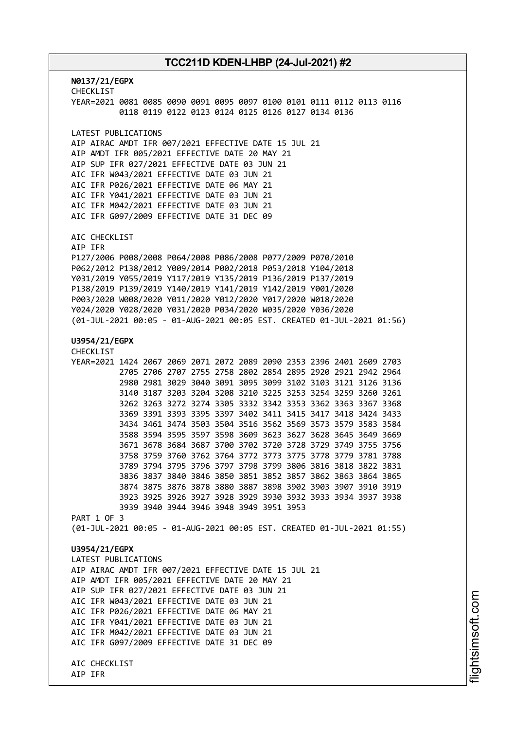**N0137/21/EGPX** CHECKLIST YEAR=2021 0081 0085 0090 0091 0095 0097 0100 0101 0111 0112 0113 0116 0118 0119 0122 0123 0124 0125 0126 0127 0134 0136 LATEST PUBLICATIONS AIP AIRAC AMDT IFR 007/2021 EFFECTIVE DATE 15 JUL 21 AIP AMDT IFR 005/2021 EFFECTIVE DATE 20 MAY 21 AIP SUP IFR 027/2021 EFFECTIVE DATE 03 JUN 21 AIC IFR W043/2021 EFFECTIVE DATE 03 JUN 21 AIC IFR P026/2021 EFFECTIVE DATE 06 MAY 21 AIC IFR Y041/2021 EFFECTIVE DATE 03 JUN 21 AIC IFR M042/2021 EFFECTIVE DATE 03 JUN 21 AIC IFR G097/2009 EFFECTIVE DATE 31 DEC 09 AIC CHECKLIST AIP IFR P127/2006 P008/2008 P064/2008 P086/2008 P077/2009 P070/2010 P062/2012 P138/2012 Y009/2014 P002/2018 P053/2018 Y104/2018 Y031/2019 Y055/2019 Y117/2019 Y135/2019 P136/2019 P137/2019 P138/2019 P139/2019 Y140/2019 Y141/2019 Y142/2019 Y001/2020 P003/2020 W008/2020 Y011/2020 Y012/2020 Y017/2020 W018/2020 Y024/2020 Y028/2020 Y031/2020 P034/2020 W035/2020 Y036/2020 (01-JUL-2021 00:05 - 01-AUG-2021 00:05 EST. CREATED 01-JUL-2021 01:56) **U3954/21/EGPX** CHECKLIST YEAR=2021 1424 2067 2069 2071 2072 2089 2090 2353 2396 2401 2609 2703 2705 2706 2707 2755 2758 2802 2854 2895 2920 2921 2942 2964 2980 2981 3029 3040 3091 3095 3099 3102 3103 3121 3126 3136 3140 3187 3203 3204 3208 3210 3225 3253 3254 3259 3260 3261 3262 3263 3272 3274 3305 3332 3342 3353 3362 3363 3367 3368 3369 3391 3393 3395 3397 3402 3411 3415 3417 3418 3424 3433 3434 3461 3474 3503 3504 3516 3562 3569 3573 3579 3583 3584 3588 3594 3595 3597 3598 3609 3623 3627 3628 3645 3649 3669 3671 3678 3684 3687 3700 3702 3720 3728 3729 3749 3755 3756 3758 3759 3760 3762 3764 3772 3773 3775 3778 3779 3781 3788 3789 3794 3795 3796 3797 3798 3799 3806 3816 3818 3822 3831 3836 3837 3840 3846 3850 3851 3852 3857 3862 3863 3864 3865 3874 3875 3876 3878 3880 3887 3898 3902 3903 3907 3910 3919 3923 3925 3926 3927 3928 3929 3930 3932 3933 3934 3937 3938 3939 3940 3944 3946 3948 3949 3951 3953 PART 1 OF 3 (01-JUL-2021 00:05 - 01-AUG-2021 00:05 EST. CREATED 01-JUL-2021 01:55) **U3954/21/EGPX** LATEST PUBLICATIONS AIP AIRAC AMDT IFR 007/2021 EFFECTIVE DATE 15 JUL 21 AIP AMDT IFR 005/2021 EFFECTIVE DATE 20 MAY 21 AIP SUP IFR 027/2021 EFFECTIVE DATE 03 JUN 21 AIC IFR W043/2021 EFFECTIVE DATE 03 JUN 21 AIC IFR P026/2021 EFFECTIVE DATE 06 MAY 21 AIC IFR Y041/2021 EFFECTIVE DATE 03 JUN 21 AIC IFR M042/2021 EFFECTIVE DATE 03 JUN 21 AIC IFR G097/2009 EFFECTIVE DATE 31 DEC 09 AIC CHECKLIST AIP IFR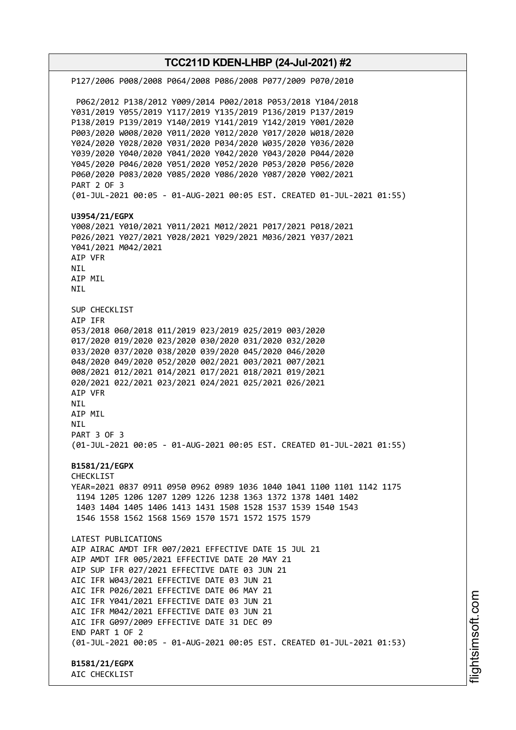**TCC211D KDEN-LHBP (24-Jul-2021) #2** P127/2006 P008/2008 P064/2008 P086/2008 P077/2009 P070/2010 P062/2012 P138/2012 Y009/2014 P002/2018 P053/2018 Y104/2018 Y031/2019 Y055/2019 Y117/2019 Y135/2019 P136/2019 P137/2019 P138/2019 P139/2019 Y140/2019 Y141/2019 Y142/2019 Y001/2020 P003/2020 W008/2020 Y011/2020 Y012/2020 Y017/2020 W018/2020 Y024/2020 Y028/2020 Y031/2020 P034/2020 W035/2020 Y036/2020 Y039/2020 Y040/2020 Y041/2020 Y042/2020 Y043/2020 P044/2020 Y045/2020 P046/2020 Y051/2020 Y052/2020 P053/2020 P056/2020 P060/2020 P083/2020 Y085/2020 Y086/2020 Y087/2020 Y002/2021 PART 2 OF 3 (01-JUL-2021 00:05 - 01-AUG-2021 00:05 EST. CREATED 01-JUL-2021 01:55) **U3954/21/EGPX** Y008/2021 Y010/2021 Y011/2021 M012/2021 P017/2021 P018/2021 P026/2021 Y027/2021 Y028/2021 Y029/2021 M036/2021 Y037/2021 Y041/2021 M042/2021 AIP VFR NIL AIP MIL NIL SUP CHECKLIST AIP IFR 053/2018 060/2018 011/2019 023/2019 025/2019 003/2020 017/2020 019/2020 023/2020 030/2020 031/2020 032/2020 033/2020 037/2020 038/2020 039/2020 045/2020 046/2020 048/2020 049/2020 052/2020 002/2021 003/2021 007/2021 008/2021 012/2021 014/2021 017/2021 018/2021 019/2021 020/2021 022/2021 023/2021 024/2021 025/2021 026/2021 AIP VFR NIL AIP MIL NIL PART 3 OF 3 (01-JUL-2021 00:05 - 01-AUG-2021 00:05 EST. CREATED 01-JUL-2021 01:55) **B1581/21/EGPX** CHECKLIST YEAR=2021 0837 0911 0950 0962 0989 1036 1040 1041 1100 1101 1142 1175 1194 1205 1206 1207 1209 1226 1238 1363 1372 1378 1401 1402 1403 1404 1405 1406 1413 1431 1508 1528 1537 1539 1540 1543 1546 1558 1562 1568 1569 1570 1571 1572 1575 1579 LATEST PUBLICATIONS AIP AIRAC AMDT IFR 007/2021 EFFECTIVE DATE 15 JUL 21 AIP AMDT IFR 005/2021 EFFECTIVE DATE 20 MAY 21 AIP SUP IFR 027/2021 EFFECTIVE DATE 03 JUN 21 AIC IFR W043/2021 EFFECTIVE DATE 03 JUN 21 AIC IFR P026/2021 EFFECTIVE DATE 06 MAY 21 AIC IFR Y041/2021 EFFECTIVE DATE 03 JUN 21 AIC IFR M042/2021 EFFECTIVE DATE 03 JUN 21 AIC IFR G097/2009 EFFECTIVE DATE 31 DEC 09 END PART 1 OF 2 (01-JUL-2021 00:05 - 01-AUG-2021 00:05 EST. CREATED 01-JUL-2021 01:53) **B1581/21/EGPX** AIC CHECKLIST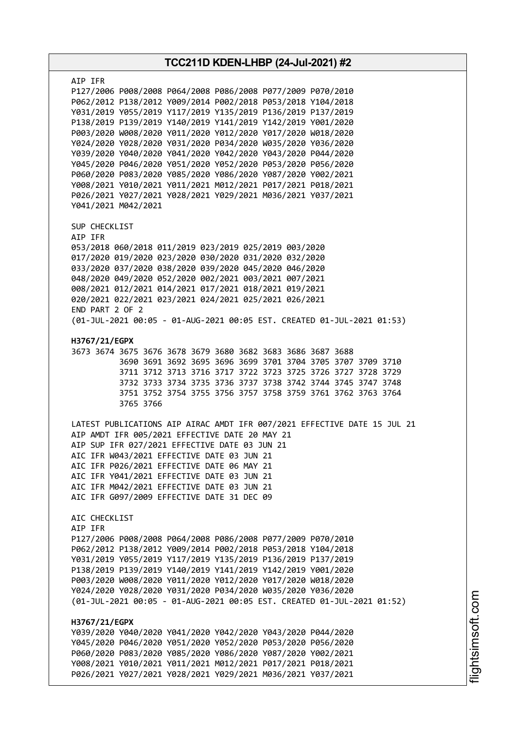| TCC211D KDEN-LHBP (24-Jul-2021) #2 |                                                                                                                                                                                                                                                                                                                                                                                                                                                                                                                                                                                                                                                                                                                                                     |  |  |
|------------------------------------|-----------------------------------------------------------------------------------------------------------------------------------------------------------------------------------------------------------------------------------------------------------------------------------------------------------------------------------------------------------------------------------------------------------------------------------------------------------------------------------------------------------------------------------------------------------------------------------------------------------------------------------------------------------------------------------------------------------------------------------------------------|--|--|
|                                    | AIP IFR<br>P127/2006 P008/2008 P064/2008 P086/2008 P077/2009 P070/2010<br>P062/2012 P138/2012 Y009/2014 P002/2018 P053/2018 Y104/2018<br>Y031/2019 Y055/2019 Y117/2019 Y135/2019 P136/2019 P137/2019<br>P138/2019 P139/2019 Y140/2019 Y141/2019 Y142/2019 Y001/2020<br>P003/2020 W008/2020 Y011/2020 Y012/2020 Y017/2020 W018/2020<br>Y024/2020 Y028/2020 Y031/2020 P034/2020 W035/2020 Y036/2020<br>Y039/2020 Y040/2020 Y041/2020 Y042/2020 Y043/2020 P044/2020<br>Y045/2020 P046/2020 Y051/2020 Y052/2020 P053/2020 P056/2020<br>P060/2020 P083/2020 Y085/2020 Y086/2020 Y087/2020 Y002/2021<br>Y008/2021 Y010/2021 Y011/2021 M012/2021 P017/2021 P018/2021<br>P026/2021 Y027/2021 Y028/2021 Y029/2021 M036/2021 Y037/2021<br>Y041/2021 M042/2021 |  |  |
|                                    | SUP CHECKLIST<br>AIP IFR<br>053/2018 060/2018 011/2019 023/2019 025/2019 003/2020<br>017/2020 019/2020 023/2020 030/2020 031/2020 032/2020<br>033/2020 037/2020 038/2020 039/2020 045/2020 046/2020<br>048/2020 049/2020 052/2020 002/2021 003/2021 007/2021<br>008/2021 012/2021 014/2021 017/2021 018/2021 019/2021<br>020/2021 022/2021 023/2021 024/2021 025/2021 026/2021<br>END PART 2 OF 2<br>(01-JUL-2021 00:05 - 01-AUG-2021 00:05 EST. CREATED 01-JUL-2021 01:53)                                                                                                                                                                                                                                                                         |  |  |
|                                    | H3767/21/EGPX<br>3673 3674 3675 3676 3678 3679 3680 3682 3683 3686 3687 3688<br>3690 3691 3692 3695 3696 3699 3701 3704 3705 3707 3709 3710<br>3711 3712 3713 3716 3717 3722 3723 3725 3726 3727 3728 3729<br>3732 3733 3734 3735 3736 3737 3738 3742 3744 3745 3747 3748<br>3751 3752 3754 3755 3756 3757 3758 3759 3761 3762 3763 3764<br>3765 3766                                                                                                                                                                                                                                                                                                                                                                                               |  |  |
|                                    | LATEST PUBLICATIONS AIP AIRAC AMDT IFR 007/2021 EFFECTIVE DATE 15 JUL 21<br>AIP AMDT IFR 005/2021 EFFECTIVE DATE 20 MAY 21<br>AIP SUP IFR 027/2021 EFFECTIVE DATE 03 JUN 21<br>AIC IFR W043/2021 EFFECTIVE DATE 03 JUN 21<br>AIC IFR P026/2021 EFFECTIVE DATE 06 MAY 21<br>AIC IFR Y041/2021 EFFECTIVE DATE 03 JUN 21<br>AIC IFR M042/2021 EFFECTIVE DATE 03 JUN 21<br>AIC IFR G097/2009 EFFECTIVE DATE 31 DEC 09                                                                                                                                                                                                                                                                                                                                   |  |  |
|                                    | AIC CHECKLIST<br>AIP IFR<br>P127/2006 P008/2008 P064/2008 P086/2008 P077/2009 P070/2010<br>P062/2012 P138/2012 Y009/2014 P002/2018 P053/2018 Y104/2018<br>Y031/2019 Y055/2019 Y117/2019 Y135/2019 P136/2019 P137/2019<br>P138/2019 P139/2019 Y140/2019 Y141/2019 Y142/2019 Y001/2020<br>P003/2020 W008/2020 Y011/2020 Y012/2020 Y017/2020 W018/2020<br>Y024/2020 Y028/2020 Y031/2020 P034/2020 W035/2020 Y036/2020<br>(01-JUL-2021 00:05 - 01-AUG-2021 00:05 EST. CREATED 01-JUL-2021 01:52)                                                                                                                                                                                                                                                        |  |  |
|                                    | H3767/21/EGPX<br>Y039/2020 Y040/2020 Y041/2020 Y042/2020 Y043/2020 P044/2020<br>Y045/2020 P046/2020 Y051/2020 Y052/2020 P053/2020 P056/2020<br>P060/2020 P083/2020 Y085/2020 Y086/2020 Y087/2020 Y002/2021<br>Y008/2021 Y010/2021 Y011/2021 M012/2021 P017/2021 P018/2021<br>P026/2021 Y027/2021 Y028/2021 Y029/2021 M036/2021 Y037/2021                                                                                                                                                                                                                                                                                                                                                                                                            |  |  |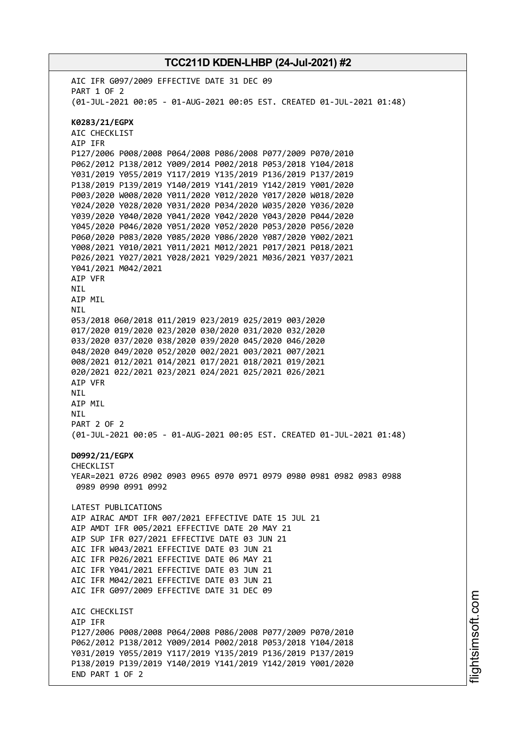AIC IFR G097/2009 EFFECTIVE DATE 31 DEC 09 PART 1 OF 2 (01-JUL-2021 00:05 - 01-AUG-2021 00:05 EST. CREATED 01-JUL-2021 01:48) **K0283/21/EGPX** AIC CHECKLIST AIP IFR P127/2006 P008/2008 P064/2008 P086/2008 P077/2009 P070/2010 P062/2012 P138/2012 Y009/2014 P002/2018 P053/2018 Y104/2018 Y031/2019 Y055/2019 Y117/2019 Y135/2019 P136/2019 P137/2019 P138/2019 P139/2019 Y140/2019 Y141/2019 Y142/2019 Y001/2020 P003/2020 W008/2020 Y011/2020 Y012/2020 Y017/2020 W018/2020 Y024/2020 Y028/2020 Y031/2020 P034/2020 W035/2020 Y036/2020 Y039/2020 Y040/2020 Y041/2020 Y042/2020 Y043/2020 P044/2020 Y045/2020 P046/2020 Y051/2020 Y052/2020 P053/2020 P056/2020 P060/2020 P083/2020 Y085/2020 Y086/2020 Y087/2020 Y002/2021 Y008/2021 Y010/2021 Y011/2021 M012/2021 P017/2021 P018/2021 P026/2021 Y027/2021 Y028/2021 Y029/2021 M036/2021 Y037/2021 Y041/2021 M042/2021 AIP VFR NIL AIP MIL **NTI** 053/2018 060/2018 011/2019 023/2019 025/2019 003/2020 017/2020 019/2020 023/2020 030/2020 031/2020 032/2020 033/2020 037/2020 038/2020 039/2020 045/2020 046/2020 048/2020 049/2020 052/2020 002/2021 003/2021 007/2021 008/2021 012/2021 014/2021 017/2021 018/2021 019/2021 020/2021 022/2021 023/2021 024/2021 025/2021 026/2021 AIP VFR NIL AIP MIL NIL PART 2 OF 2 (01-JUL-2021 00:05 - 01-AUG-2021 00:05 EST. CREATED 01-JUL-2021 01:48) **D0992/21/EGPX** CHECKL<sub>TST</sub> YEAR=2021 0726 0902 0903 0965 0970 0971 0979 0980 0981 0982 0983 0988 0989 0990 0991 0992 LATEST PUBLICATIONS AIP AIRAC AMDT IFR 007/2021 EFFECTIVE DATE 15 JUL 21 AIP AMDT IFR 005/2021 EFFECTIVE DATE 20 MAY 21 AIP SUP IFR 027/2021 EFFECTIVE DATE 03 JUN 21 AIC IFR W043/2021 EFFECTIVE DATE 03 JUN 21 AIC IFR P026/2021 EFFECTIVE DATE 06 MAY 21 AIC IFR Y041/2021 EFFECTIVE DATE 03 JUN 21 AIC IFR M042/2021 EFFECTIVE DATE 03 JUN 21 AIC IFR G097/2009 EFFECTIVE DATE 31 DEC 09 AIC CHECKLIST AIP IFR P127/2006 P008/2008 P064/2008 P086/2008 P077/2009 P070/2010 P062/2012 P138/2012 Y009/2014 P002/2018 P053/2018 Y104/2018 Y031/2019 Y055/2019 Y117/2019 Y135/2019 P136/2019 P137/2019 P138/2019 P139/2019 Y140/2019 Y141/2019 Y142/2019 Y001/2020 END PART 1 OF 2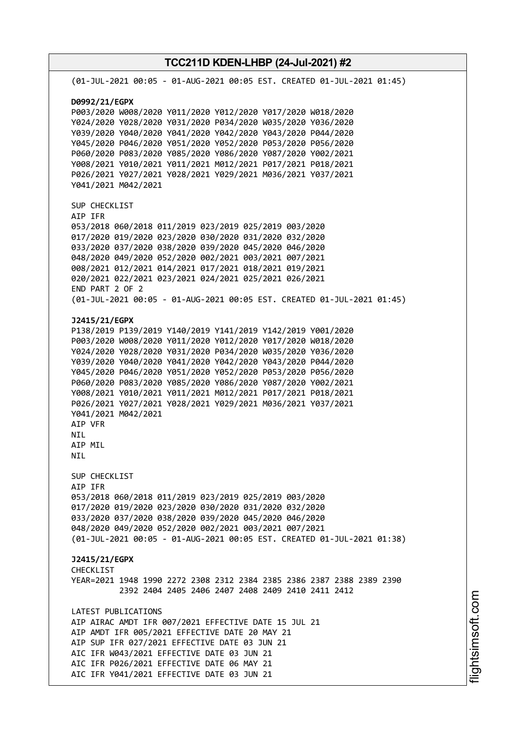**TCC211D KDEN-LHBP (24-Jul-2021) #2** (01-JUL-2021 00:05 - 01-AUG-2021 00:05 EST. CREATED 01-JUL-2021 01:45) **D0992/21/EGPX** P003/2020 W008/2020 Y011/2020 Y012/2020 Y017/2020 W018/2020 Y024/2020 Y028/2020 Y031/2020 P034/2020 W035/2020 Y036/2020 Y039/2020 Y040/2020 Y041/2020 Y042/2020 Y043/2020 P044/2020 Y045/2020 P046/2020 Y051/2020 Y052/2020 P053/2020 P056/2020 P060/2020 P083/2020 Y085/2020 Y086/2020 Y087/2020 Y002/2021 Y008/2021 Y010/2021 Y011/2021 M012/2021 P017/2021 P018/2021 P026/2021 Y027/2021 Y028/2021 Y029/2021 M036/2021 Y037/2021 Y041/2021 M042/2021 SUP CHECKLIST AIP IFR 053/2018 060/2018 011/2019 023/2019 025/2019 003/2020 017/2020 019/2020 023/2020 030/2020 031/2020 032/2020 033/2020 037/2020 038/2020 039/2020 045/2020 046/2020 048/2020 049/2020 052/2020 002/2021 003/2021 007/2021 008/2021 012/2021 014/2021 017/2021 018/2021 019/2021 020/2021 022/2021 023/2021 024/2021 025/2021 026/2021 END PART 2 OF 2 (01-JUL-2021 00:05 - 01-AUG-2021 00:05 EST. CREATED 01-JUL-2021 01:45) **J2415/21/EGPX** P138/2019 P139/2019 Y140/2019 Y141/2019 Y142/2019 Y001/2020 P003/2020 W008/2020 Y011/2020 Y012/2020 Y017/2020 W018/2020 Y024/2020 Y028/2020 Y031/2020 P034/2020 W035/2020 Y036/2020 Y039/2020 Y040/2020 Y041/2020 Y042/2020 Y043/2020 P044/2020 Y045/2020 P046/2020 Y051/2020 Y052/2020 P053/2020 P056/2020 P060/2020 P083/2020 Y085/2020 Y086/2020 Y087/2020 Y002/2021 Y008/2021 Y010/2021 Y011/2021 M012/2021 P017/2021 P018/2021 P026/2021 Y027/2021 Y028/2021 Y029/2021 M036/2021 Y037/2021 Y041/2021 M042/2021 AIP VFR NIL AIP MIL NIL SUP CHECKLIST AIP IFR 053/2018 060/2018 011/2019 023/2019 025/2019 003/2020 017/2020 019/2020 023/2020 030/2020 031/2020 032/2020 033/2020 037/2020 038/2020 039/2020 045/2020 046/2020 048/2020 049/2020 052/2020 002/2021 003/2021 007/2021 (01-JUL-2021 00:05 - 01-AUG-2021 00:05 EST. CREATED 01-JUL-2021 01:38) **J2415/21/EGPX CHECKLIST** YEAR=2021 1948 1990 2272 2308 2312 2384 2385 2386 2387 2388 2389 2390 2392 2404 2405 2406 2407 2408 2409 2410 2411 2412 LATEST PUBLICATIONS AIP AIRAC AMDT IFR 007/2021 EFFECTIVE DATE 15 JUL 21 AIP AMDT IFR 005/2021 EFFECTIVE DATE 20 MAY 21 AIP SUP IFR 027/2021 EFFECTIVE DATE 03 JUN 21 AIC IFR W043/2021 EFFECTIVE DATE 03 JUN 21 AIC IFR P026/2021 EFFECTIVE DATE 06 MAY 21 AIC IFR Y041/2021 EFFECTIVE DATE 03 JUN 21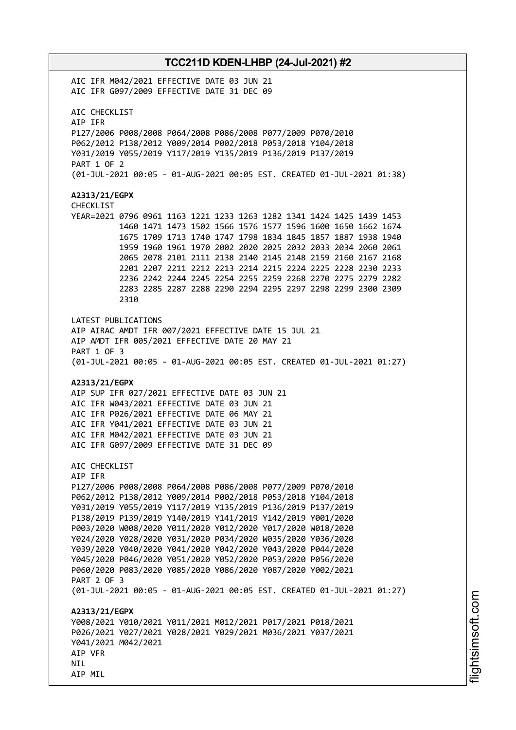AIC IFR M042/2021 EFFECTIVE DATE 03 JUN 21 AIC IFR G097/2009 EFFECTIVE DATE 31 DEC 09 AIC CHECKLIST AIP IFR P127/2006 P008/2008 P064/2008 P086/2008 P077/2009 P070/2010 P062/2012 P138/2012 Y009/2014 P002/2018 P053/2018 Y104/2018 Y031/2019 Y055/2019 Y117/2019 Y135/2019 P136/2019 P137/2019 PART 1 OF 2 (01-JUL-2021 00:05 - 01-AUG-2021 00:05 EST. CREATED 01-JUL-2021 01:38) **A2313/21/EGPX** CHECKLIST YEAR=2021 0796 0961 1163 1221 1233 1263 1282 1341 1424 1425 1439 1453 1460 1471 1473 1502 1566 1576 1577 1596 1600 1650 1662 1674 1675 1709 1713 1740 1747 1798 1834 1845 1857 1887 1938 1940 1959 1960 1961 1970 2002 2020 2025 2032 2033 2034 2060 2061 2065 2078 2101 2111 2138 2140 2145 2148 2159 2160 2167 2168 2201 2207 2211 2212 2213 2214 2215 2224 2225 2228 2230 2233 2236 2242 2244 2245 2254 2255 2259 2268 2270 2275 2279 2282 2283 2285 2287 2288 2290 2294 2295 2297 2298 2299 2300 2309 2310 LATEST PUBLICATIONS AIP AIRAC AMDT IFR 007/2021 EFFECTIVE DATE 15 JUL 21 AIP AMDT IFR 005/2021 EFFECTIVE DATE 20 MAY 21 PART 1 OF 3 (01-JUL-2021 00:05 - 01-AUG-2021 00:05 EST. CREATED 01-JUL-2021 01:27) **A2313/21/EGPX** AIP SUP IFR 027/2021 EFFECTIVE DATE 03 JUN 21 AIC IFR W043/2021 EFFECTIVE DATE 03 JUN 21 AIC IFR P026/2021 EFFECTIVE DATE 06 MAY 21 AIC IFR Y041/2021 EFFECTIVE DATE 03 JUN 21 AIC IFR M042/2021 EFFECTIVE DATE 03 JUN 21 AIC IFR G097/2009 EFFECTIVE DATE 31 DEC 09 AIC CHECKLIST AIP IFR P127/2006 P008/2008 P064/2008 P086/2008 P077/2009 P070/2010 P062/2012 P138/2012 Y009/2014 P002/2018 P053/2018 Y104/2018 Y031/2019 Y055/2019 Y117/2019 Y135/2019 P136/2019 P137/2019 P138/2019 P139/2019 Y140/2019 Y141/2019 Y142/2019 Y001/2020 P003/2020 W008/2020 Y011/2020 Y012/2020 Y017/2020 W018/2020 Y024/2020 Y028/2020 Y031/2020 P034/2020 W035/2020 Y036/2020 Y039/2020 Y040/2020 Y041/2020 Y042/2020 Y043/2020 P044/2020 Y045/2020 P046/2020 Y051/2020 Y052/2020 P053/2020 P056/2020 P060/2020 P083/2020 Y085/2020 Y086/2020 Y087/2020 Y002/2021 PART 2 OF 3 (01-JUL-2021 00:05 - 01-AUG-2021 00:05 EST. CREATED 01-JUL-2021 01:27) **A2313/21/EGPX** Y008/2021 Y010/2021 Y011/2021 M012/2021 P017/2021 P018/2021 P026/2021 Y027/2021 Y028/2021 Y029/2021 M036/2021 Y037/2021 Y041/2021 M042/2021 AIP VFR NIL AIP MIL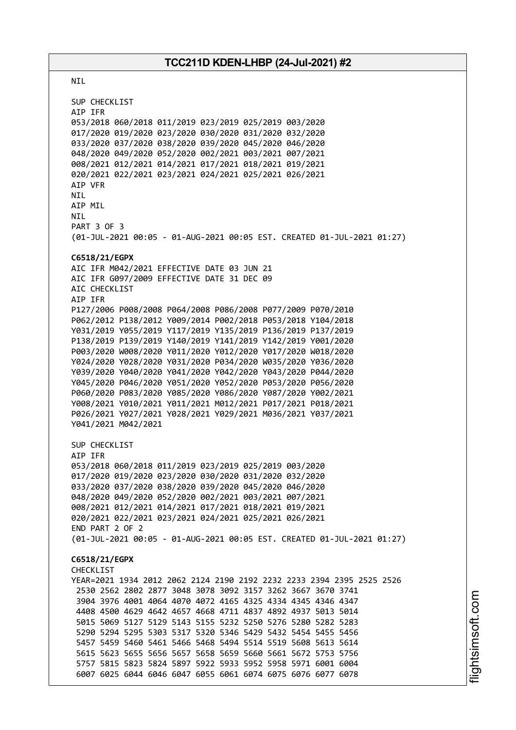NIL SUP CHECKLIST AIP IFR 053/2018 060/2018 011/2019 023/2019 025/2019 003/2020 017/2020 019/2020 023/2020 030/2020 031/2020 032/2020 033/2020 037/2020 038/2020 039/2020 045/2020 046/2020 048/2020 049/2020 052/2020 002/2021 003/2021 007/2021 008/2021 012/2021 014/2021 017/2021 018/2021 019/2021 020/2021 022/2021 023/2021 024/2021 025/2021 026/2021 AIP VFR NIL AIP MIL NIL PART 3 OF 3 (01-JUL-2021 00:05 - 01-AUG-2021 00:05 EST. CREATED 01-JUL-2021 01:27) **C6518/21/EGPX** AIC IFR M042/2021 EFFECTIVE DATE 03 JUN 21 AIC IFR G097/2009 EFFECTIVE DATE 31 DEC 09 AIC CHECKLIST AIP IFR P127/2006 P008/2008 P064/2008 P086/2008 P077/2009 P070/2010 P062/2012 P138/2012 Y009/2014 P002/2018 P053/2018 Y104/2018 Y031/2019 Y055/2019 Y117/2019 Y135/2019 P136/2019 P137/2019 P138/2019 P139/2019 Y140/2019 Y141/2019 Y142/2019 Y001/2020 P003/2020 W008/2020 Y011/2020 Y012/2020 Y017/2020 W018/2020 Y024/2020 Y028/2020 Y031/2020 P034/2020 W035/2020 Y036/2020 Y039/2020 Y040/2020 Y041/2020 Y042/2020 Y043/2020 P044/2020 Y045/2020 P046/2020 Y051/2020 Y052/2020 P053/2020 P056/2020 P060/2020 P083/2020 Y085/2020 Y086/2020 Y087/2020 Y002/2021 Y008/2021 Y010/2021 Y011/2021 M012/2021 P017/2021 P018/2021 P026/2021 Y027/2021 Y028/2021 Y029/2021 M036/2021 Y037/2021 Y041/2021 M042/2021 SUP CHECKLIST AIP IFR 053/2018 060/2018 011/2019 023/2019 025/2019 003/2020 017/2020 019/2020 023/2020 030/2020 031/2020 032/2020 033/2020 037/2020 038/2020 039/2020 045/2020 046/2020 048/2020 049/2020 052/2020 002/2021 003/2021 007/2021 008/2021 012/2021 014/2021 017/2021 018/2021 019/2021 020/2021 022/2021 023/2021 024/2021 025/2021 026/2021 END PART 2 OF 2 (01-JUL-2021 00:05 - 01-AUG-2021 00:05 EST. CREATED 01-JUL-2021 01:27) **C6518/21/EGPX** CHECKLIST YEAR=2021 1934 2012 2062 2124 2190 2192 2232 2233 2394 2395 2525 2526 2530 2562 2802 2877 3048 3078 3092 3157 3262 3667 3670 3741 3904 3976 4001 4064 4070 4072 4165 4325 4334 4345 4346 4347 4408 4500 4629 4642 4657 4668 4711 4837 4892 4937 5013 5014 5015 5069 5127 5129 5143 5155 5232 5250 5276 5280 5282 5283 5290 5294 5295 5303 5317 5320 5346 5429 5432 5454 5455 5456 5457 5459 5460 5461 5466 5468 5494 5514 5519 5608 5613 5614 5615 5623 5655 5656 5657 5658 5659 5660 5661 5672 5753 5756 5757 5815 5823 5824 5897 5922 5933 5952 5958 5971 6001 6004 6007 6025 6044 6046 6047 6055 6061 6074 6075 6076 6077 6078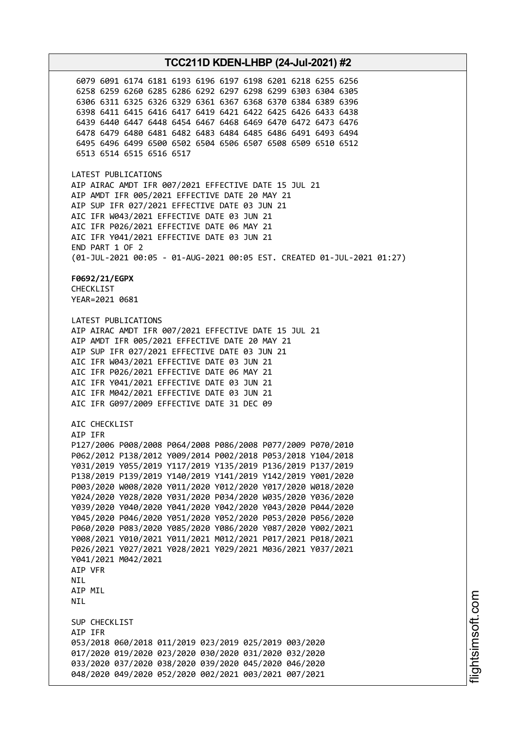6079 6091 6174 6181 6193 6196 6197 6198 6201 6218 6255 6256 6258 6259 6260 6285 6286 6292 6297 6298 6299 6303 6304 6305 6306 6311 6325 6326 6329 6361 6367 6368 6370 6384 6389 6396 6398 6411 6415 6416 6417 6419 6421 6422 6425 6426 6433 6438 6439 6440 6447 6448 6454 6467 6468 6469 6470 6472 6473 6476 6478 6479 6480 6481 6482 6483 6484 6485 6486 6491 6493 6494 6495 6496 6499 6500 6502 6504 6506 6507 6508 6509 6510 6512 6513 6514 6515 6516 6517 LATEST PUBLICATIONS AIP AIRAC AMDT IFR 007/2021 EFFECTIVE DATE 15 JUL 21 AIP AMDT IFR 005/2021 EFFECTIVE DATE 20 MAY 21 AIP SUP IFR 027/2021 EFFECTIVE DATE 03 JUN 21 AIC IFR W043/2021 EFFECTIVE DATE 03 JUN 21 AIC IFR P026/2021 EFFECTIVE DATE 06 MAY 21 AIC IFR Y041/2021 EFFECTIVE DATE 03 JUN 21 END PART 1 OF 2 (01-JUL-2021 00:05 - 01-AUG-2021 00:05 EST. CREATED 01-JUL-2021 01:27) **F0692/21/EGPX** CHECKLIST YEAR=2021 0681 LATEST PUBLICATIONS AIP AIRAC AMDT IFR 007/2021 EFFECTIVE DATE 15 JUL 21 AIP AMDT IFR 005/2021 EFFECTIVE DATE 20 MAY 21 AIP SUP IFR 027/2021 EFFECTIVE DATE 03 JUN 21 AIC IFR W043/2021 EFFECTIVE DATE 03 JUN 21 AIC IFR P026/2021 EFFECTIVE DATE 06 MAY 21 AIC IFR Y041/2021 EFFECTIVE DATE 03 JUN 21 AIC IFR M042/2021 EFFECTIVE DATE 03 JUN 21 AIC IFR G097/2009 EFFECTIVE DATE 31 DEC 09 AIC CHECKLIST AIP IFR P127/2006 P008/2008 P064/2008 P086/2008 P077/2009 P070/2010 P062/2012 P138/2012 Y009/2014 P002/2018 P053/2018 Y104/2018 Y031/2019 Y055/2019 Y117/2019 Y135/2019 P136/2019 P137/2019 P138/2019 P139/2019 Y140/2019 Y141/2019 Y142/2019 Y001/2020 P003/2020 W008/2020 Y011/2020 Y012/2020 Y017/2020 W018/2020 Y024/2020 Y028/2020 Y031/2020 P034/2020 W035/2020 Y036/2020 Y039/2020 Y040/2020 Y041/2020 Y042/2020 Y043/2020 P044/2020 Y045/2020 P046/2020 Y051/2020 Y052/2020 P053/2020 P056/2020 P060/2020 P083/2020 Y085/2020 Y086/2020 Y087/2020 Y002/2021 Y008/2021 Y010/2021 Y011/2021 M012/2021 P017/2021 P018/2021 P026/2021 Y027/2021 Y028/2021 Y029/2021 M036/2021 Y037/2021 Y041/2021 M042/2021 AIP VFR **NTI** AIP MIL NIL SUP CHECKLIST AIP IFR 053/2018 060/2018 011/2019 023/2019 025/2019 003/2020 017/2020 019/2020 023/2020 030/2020 031/2020 032/2020 033/2020 037/2020 038/2020 039/2020 045/2020 046/2020 048/2020 049/2020 052/2020 002/2021 003/2021 007/2021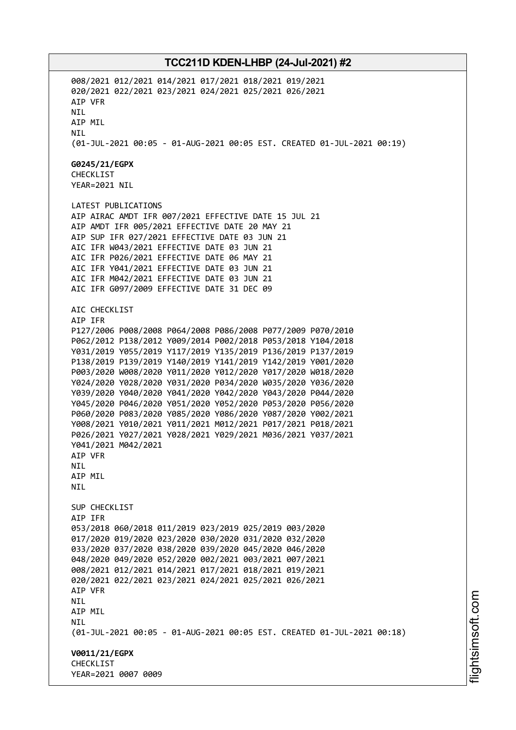008/2021 012/2021 014/2021 017/2021 018/2021 019/2021 020/2021 022/2021 023/2021 024/2021 025/2021 026/2021 AIP VFR NIL AIP MIL NIL (01-JUL-2021 00:05 - 01-AUG-2021 00:05 EST. CREATED 01-JUL-2021 00:19) **G0245/21/EGPX** CHECKLIST YEAR=2021 NIL LATEST PUBLICATIONS AIP AIRAC AMDT IFR 007/2021 EFFECTIVE DATE 15 JUL 21 AIP AMDT IFR 005/2021 EFFECTIVE DATE 20 MAY 21 AIP SUP IFR 027/2021 EFFECTIVE DATE 03 JUN 21 AIC IFR W043/2021 EFFECTIVE DATE 03 JUN 21 AIC IFR P026/2021 EFFECTIVE DATE 06 MAY 21 AIC IFR Y041/2021 EFFECTIVE DATE 03 JUN 21 AIC IFR M042/2021 EFFECTIVE DATE 03 JUN 21 AIC IFR G097/2009 EFFECTIVE DATE 31 DEC 09 AIC CHECKLIST AIP IFR P127/2006 P008/2008 P064/2008 P086/2008 P077/2009 P070/2010 P062/2012 P138/2012 Y009/2014 P002/2018 P053/2018 Y104/2018 Y031/2019 Y055/2019 Y117/2019 Y135/2019 P136/2019 P137/2019 P138/2019 P139/2019 Y140/2019 Y141/2019 Y142/2019 Y001/2020 P003/2020 W008/2020 Y011/2020 Y012/2020 Y017/2020 W018/2020 Y024/2020 Y028/2020 Y031/2020 P034/2020 W035/2020 Y036/2020 Y039/2020 Y040/2020 Y041/2020 Y042/2020 Y043/2020 P044/2020 Y045/2020 P046/2020 Y051/2020 Y052/2020 P053/2020 P056/2020 P060/2020 P083/2020 Y085/2020 Y086/2020 Y087/2020 Y002/2021 Y008/2021 Y010/2021 Y011/2021 M012/2021 P017/2021 P018/2021 P026/2021 Y027/2021 Y028/2021 Y029/2021 M036/2021 Y037/2021 Y041/2021 M042/2021 AIP VFR NIL AIP MIL NIL SUP CHECKLIST AIP IFR 053/2018 060/2018 011/2019 023/2019 025/2019 003/2020 017/2020 019/2020 023/2020 030/2020 031/2020 032/2020 033/2020 037/2020 038/2020 039/2020 045/2020 046/2020 048/2020 049/2020 052/2020 002/2021 003/2021 007/2021 008/2021 012/2021 014/2021 017/2021 018/2021 019/2021 020/2021 022/2021 023/2021 024/2021 025/2021 026/2021 AIP VFR NIL AIP MIL NIL (01-JUL-2021 00:05 - 01-AUG-2021 00:05 EST. CREATED 01-JUL-2021 00:18) **V0011/21/EGPX** CHECKLIST YEAR=2021 0007 0009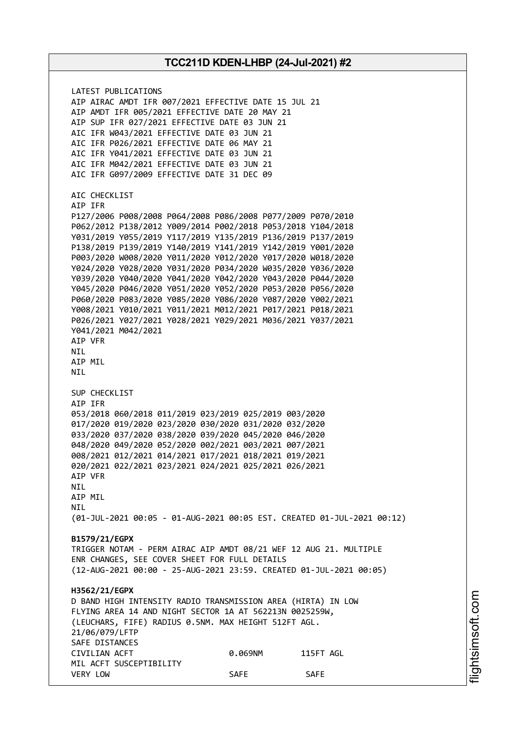LATEST PUBLICATIONS AIP AIRAC AMDT IFR 007/2021 EFFECTIVE DATE 15 JUL 21 AIP AMDT IFR 005/2021 EFFECTIVE DATE 20 MAY 21 AIP SUP IFR 027/2021 EFFECTIVE DATE 03 JUN 21 AIC IFR W043/2021 EFFECTIVE DATE 03 JUN 21 AIC IFR P026/2021 EFFECTIVE DATE 06 MAY 21 AIC IFR Y041/2021 EFFECTIVE DATE 03 JUN 21 AIC IFR M042/2021 EFFECTIVE DATE 03 JUN 21 AIC IFR G097/2009 EFFECTIVE DATE 31 DEC 09 AIC CHECKLIST AIP IFR P127/2006 P008/2008 P064/2008 P086/2008 P077/2009 P070/2010 P062/2012 P138/2012 Y009/2014 P002/2018 P053/2018 Y104/2018 Y031/2019 Y055/2019 Y117/2019 Y135/2019 P136/2019 P137/2019 P138/2019 P139/2019 Y140/2019 Y141/2019 Y142/2019 Y001/2020 P003/2020 W008/2020 Y011/2020 Y012/2020 Y017/2020 W018/2020 Y024/2020 Y028/2020 Y031/2020 P034/2020 W035/2020 Y036/2020 Y039/2020 Y040/2020 Y041/2020 Y042/2020 Y043/2020 P044/2020 Y045/2020 P046/2020 Y051/2020 Y052/2020 P053/2020 P056/2020 P060/2020 P083/2020 Y085/2020 Y086/2020 Y087/2020 Y002/2021 Y008/2021 Y010/2021 Y011/2021 M012/2021 P017/2021 P018/2021 P026/2021 Y027/2021 Y028/2021 Y029/2021 M036/2021 Y037/2021 Y041/2021 M042/2021 AIP VFR NIL AIP MIL NIL SUP CHECKLIST AIP IFR 053/2018 060/2018 011/2019 023/2019 025/2019 003/2020 017/2020 019/2020 023/2020 030/2020 031/2020 032/2020 033/2020 037/2020 038/2020 039/2020 045/2020 046/2020 048/2020 049/2020 052/2020 002/2021 003/2021 007/2021 008/2021 012/2021 014/2021 017/2021 018/2021 019/2021 020/2021 022/2021 023/2021 024/2021 025/2021 026/2021 AIP VFR NIL AIP MIL **NTI** (01-JUL-2021 00:05 - 01-AUG-2021 00:05 EST. CREATED 01-JUL-2021 00:12) **B1579/21/EGPX** TRIGGER NOTAM - PERM AIRAC AIP AMDT 08/21 WEF 12 AUG 21. MULTIPLE ENR CHANGES, SEE COVER SHEET FOR FULL DETAILS (12-AUG-2021 00:00 - 25-AUG-2021 23:59. CREATED 01-JUL-2021 00:05) **H3562/21/EGPX** D BAND HIGH INTENSITY RADIO TRANSMISSION AREA (HIRTA) IN LOW FLYING AREA 14 AND NIGHT SECTOR 1A AT 562213N 0025259W, (LEUCHARS, FIFE) RADIUS 0.5NM. MAX HEIGHT 512FT AGL. 21/06/079/LFTP SAFE DISTANCES CIVILIAN ACFT 0.069NM 115FT AGL MIL ACFT SUSCEPTIBILITY VERY LOW SAFE SAFE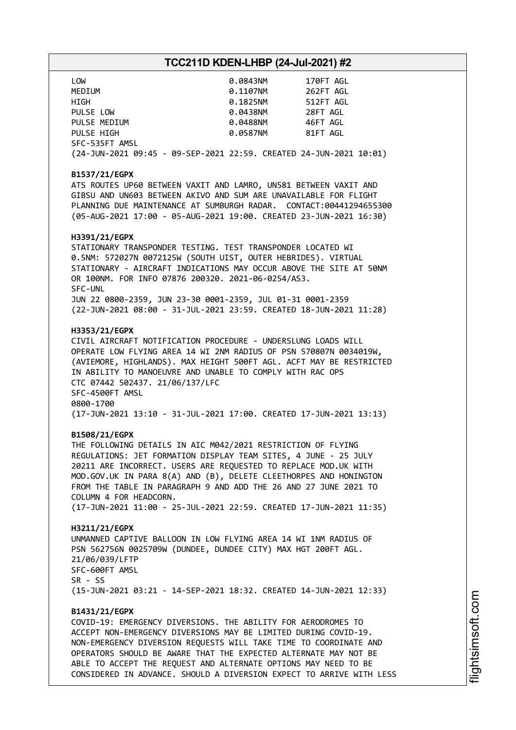| LOW                                                                | 0.0843NM | 170FT AGL |  |
|--------------------------------------------------------------------|----------|-----------|--|
| MEDIUM                                                             | 0.1107NM | 262FT AGL |  |
| HIGH                                                               | 0.1825NM | 512FT AGL |  |
| PULSE LOW                                                          | 0.0438NM | 28FT AGL  |  |
| PULSE MEDIUM                                                       | 0.0488NM | 46FT AGL  |  |
| PULSE HIGH                                                         | 0.0587NM | 81FT AGL  |  |
| SFC-535FT AMSL                                                     |          |           |  |
| (24-JUN-2021 09:45 - 09-SEP-2021 22:59. CREATED 24-JUN-2021 10:01) |          |           |  |

#### **B1537/21/EGPX**

ATS ROUTES UP60 BETWEEN VAXIT AND LAMRO, UN581 BETWEEN VAXIT AND GIBSU AND UN603 BETWEEN AKIVO AND SUM ARE UNAVAILABLE FOR FLIGHT PLANNING DUE MAINTENANCE AT SUMBURGH RADAR. CONTACT:00441294655300 (05-AUG-2021 17:00 - 05-AUG-2021 19:00. CREATED 23-JUN-2021 16:30)

#### **H3391/21/EGPX**

STATIONARY TRANSPONDER TESTING. TEST TRANSPONDER LOCATED WI 0.5NM: 572027N 0072125W (SOUTH UIST, OUTER HEBRIDES). VIRTUAL STATIONARY - AIRCRAFT INDICATIONS MAY OCCUR ABOVE THE SITE AT 50NM OR 100NM. FOR INFO 07876 200320. 2021-06-0254/AS3. SFC-UNL JUN 22 0800-2359, JUN 23-30 0001-2359, JUL 01-31 0001-2359 (22-JUN-2021 08:00 - 31-JUL-2021 23:59. CREATED 18-JUN-2021 11:28)

#### **H3353/21/EGPX**

CIVIL AIRCRAFT NOTIFICATION PROCEDURE - UNDERSLUNG LOADS WILL OPERATE LOW FLYING AREA 14 WI 2NM RADIUS OF PSN 570807N 0034019W, (AVIEMORE, HIGHLANDS). MAX HEIGHT 500FT AGL. ACFT MAY BE RESTRICTED IN ABILITY TO MANOEUVRE AND UNABLE TO COMPLY WITH RAC OPS CTC 07442 502437. 21/06/137/LFC SFC-4500FT AMSL 0800-1700 (17-JUN-2021 13:10 - 31-JUL-2021 17:00. CREATED 17-JUN-2021 13:13)

#### **B1508/21/EGPX**

THE FOLLOWING DETAILS IN AIC M042/2021 RESTRICTION OF FLYING REGULATIONS: JET FORMATION DISPLAY TEAM SITES, 4 JUNE - 25 JULY 20211 ARE INCORRECT. USERS ARE REQUESTED TO REPLACE MOD.UK WITH MOD.GOV.UK IN PARA 8(A) AND (B), DELETE CLEETHORPES AND HONINGTON FROM THE TABLE IN PARAGRAPH 9 AND ADD THE 26 AND 27 JUNE 2021 TO COLUMN 4 FOR HEADCORN.

(17-JUN-2021 11:00 - 25-JUL-2021 22:59. CREATED 17-JUN-2021 11:35)

#### **H3211/21/EGPX**

UNMANNED CAPTIVE BALLOON IN LOW FLYING AREA 14 WI 1NM RADIUS OF PSN 562756N 0025709W (DUNDEE, DUNDEE CITY) MAX HGT 200FT AGL. 21/06/039/LFTP SFC-600FT AMSL SR - SS (15-JUN-2021 03:21 - 14-SEP-2021 18:32. CREATED 14-JUN-2021 12:33)

#### **B1431/21/EGPX**

COVID-19: EMERGENCY DIVERSIONS. THE ABILITY FOR AERODROMES TO ACCEPT NON-EMERGENCY DIVERSIONS MAY BE LIMITED DURING COVID-19. NON-EMERGENCY DIVERSION REQUESTS WILL TAKE TIME TO COORDINATE AND OPERATORS SHOULD BE AWARE THAT THE EXPECTED ALTERNATE MAY NOT BE ABLE TO ACCEPT THE REQUEST AND ALTERNATE OPTIONS MAY NEED TO BE CONSIDERED IN ADVANCE. SHOULD A DIVERSION EXPECT TO ARRIVE WITH LESS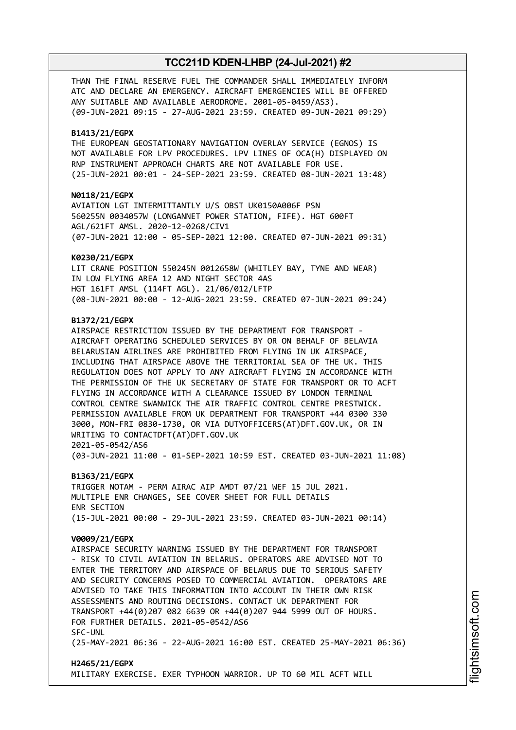THAN THE FINAL RESERVE FUEL THE COMMANDER SHALL IMMEDIATELY INFORM ATC AND DECLARE AN EMERGENCY. AIRCRAFT EMERGENCIES WILL BE OFFERED ANY SUITABLE AND AVAILABLE AERODROME. 2001-05-0459/AS3). (09-JUN-2021 09:15 - 27-AUG-2021 23:59. CREATED 09-JUN-2021 09:29)

#### **B1413/21/EGPX**

THE EUROPEAN GEOSTATIONARY NAVIGATION OVERLAY SERVICE (EGNOS) IS NOT AVAILABLE FOR LPV PROCEDURES. LPV LINES OF OCA(H) DISPLAYED ON RNP INSTRUMENT APPROACH CHARTS ARE NOT AVAILABLE FOR USE. (25-JUN-2021 00:01 - 24-SEP-2021 23:59. CREATED 08-JUN-2021 13:48)

#### **N0118/21/EGPX**

AVIATION LGT INTERMITTANTLY U/S OBST UK0150A006F PSN 560255N 0034057W (LONGANNET POWER STATION, FIFE). HGT 600FT AGL/621FT AMSL. 2020-12-0268/CIV1 (07-JUN-2021 12:00 - 05-SEP-2021 12:00. CREATED 07-JUN-2021 09:31)

#### **K0230/21/EGPX**

LIT CRANE POSITION 550245N 0012658W (WHITLEY BAY, TYNE AND WEAR) IN LOW FLYING AREA 12 AND NIGHT SECTOR 4AS HGT 161FT AMSL (114FT AGL). 21/06/012/LFTP (08-JUN-2021 00:00 - 12-AUG-2021 23:59. CREATED 07-JUN-2021 09:24)

#### **B1372/21/EGPX**

AIRSPACE RESTRICTION ISSUED BY THE DEPARTMENT FOR TRANSPORT - AIRCRAFT OPERATING SCHEDULED SERVICES BY OR ON BEHALF OF BELAVIA BELARUSIAN AIRLINES ARE PROHIBITED FROM FLYING IN UK AIRSPACE, INCLUDING THAT AIRSPACE ABOVE THE TERRITORIAL SEA OF THE UK. THIS REGULATION DOES NOT APPLY TO ANY AIRCRAFT FLYING IN ACCORDANCE WITH THE PERMISSION OF THE UK SECRETARY OF STATE FOR TRANSPORT OR TO ACFT FLYING IN ACCORDANCE WITH A CLEARANCE ISSUED BY LONDON TERMINAL CONTROL CENTRE SWANWICK THE AIR TRAFFIC CONTROL CENTRE PRESTWICK. PERMISSION AVAILABLE FROM UK DEPARTMENT FOR TRANSPORT +44 0300 330 3000, MON-FRI 0830-1730, OR VIA DUTYOFFICERS(AT)DFT.GOV.UK, OR IN WRITING TO CONTACTDFT(AT)DFT.GOV.UK 2021-05-0542/AS6 (03-JUN-2021 11:00 - 01-SEP-2021 10:59 EST. CREATED 03-JUN-2021 11:08)

**B1363/21/EGPX**

TRIGGER NOTAM - PERM AIRAC AIP AMDT 07/21 WEF 15 JUL 2021. MULTIPLE ENR CHANGES, SEE COVER SHEET FOR FULL DETAILS ENR SECTION (15-JUL-2021 00:00 - 29-JUL-2021 23:59. CREATED 03-JUN-2021 00:14)

#### **V0009/21/EGPX**

AIRSPACE SECURITY WARNING ISSUED BY THE DEPARTMENT FOR TRANSPORT - RISK TO CIVIL AVIATION IN BELARUS. OPERATORS ARE ADVISED NOT TO ENTER THE TERRITORY AND AIRSPACE OF BELARUS DUE TO SERIOUS SAFETY AND SECURITY CONCERNS POSED TO COMMERCIAL AVIATION. OPERATORS ARE ADVISED TO TAKE THIS INFORMATION INTO ACCOUNT IN THEIR OWN RISK ASSESSMENTS AND ROUTING DECISIONS. CONTACT UK DEPARTMENT FOR TRANSPORT +44(0)207 082 6639 OR +44(0)207 944 5999 OUT OF HOURS. FOR FURTHER DETAILS. 2021-05-0542/AS6 SFC-UNL (25-MAY-2021 06:36 - 22-AUG-2021 16:00 EST. CREATED 25-MAY-2021 06:36)

### **H2465/21/EGPX** MILITARY EXERCISE. EXER TYPHOON WARRIOR. UP TO 60 MIL ACFT WILL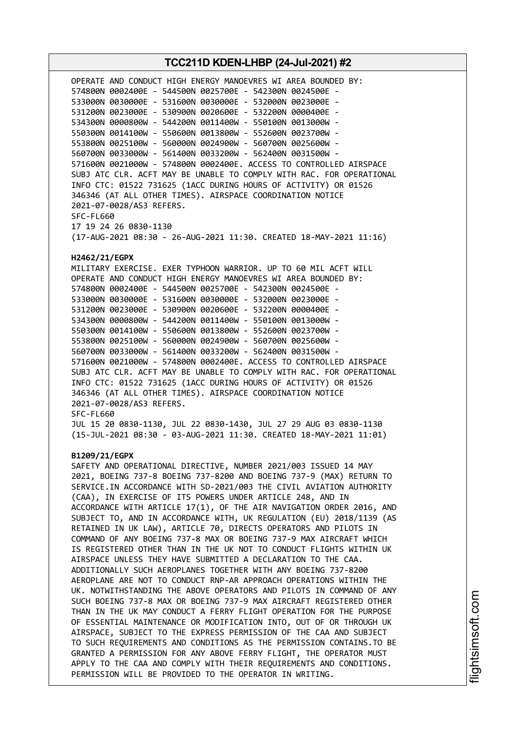# **TCC211D KDEN-LHBP (24-Jul-2021) #2** OPERATE AND CONDUCT HIGH ENERGY MANOEVRES WI AREA BOUNDED BY: 574800N 0002400E - 544500N 0025700E - 542300N 0024500E - 533000N 0030000E - 531600N 0030000E - 532000N 0023000E - 531200N 0023000E - 530900N 0020600E - 532200N 0000400E - 534300N 0000800W - 544200N 0011400W - 550100N 0013000W - 550300N 0014100W - 550600N 0013800W - 552600N 0023700W - 553800N 0025100W - 560000N 0024900W - 560700N 0025600W - 560700N 0033000W - 561400N 0033200W - 562400N 0031500W - 571600N 0021000W - 574800N 0002400E. ACCESS TO CONTROLLED AIRSPACE SUBJ ATC CLR. ACFT MAY BE UNABLE TO COMPLY WITH RAC. FOR OPERATIONAL INFO CTC: 01522 731625 (1ACC DURING HOURS OF ACTIVITY) OR 01526 346346 (AT ALL OTHER TIMES). AIRSPACE COORDINATION NOTICE 2021-07-0028/AS3 REFERS. SFC-FL660 17 19 24 26 0830-1130 (17-AUG-2021 08:30 - 26-AUG-2021 11:30. CREATED 18-MAY-2021 11:16) **H2462/21/EGPX** MILITARY EXERCISE. EXER TYPHOON WARRIOR. UP TO 60 MIL ACFT WILL OPERATE AND CONDUCT HIGH ENERGY MANOEVRES WI AREA BOUNDED BY: 574800N 0002400E - 544500N 0025700E - 542300N 0024500E - 533000N 0030000E - 531600N 0030000E - 532000N 0023000E - 531200N 0023000E - 530900N 0020600E - 532200N 0000400E - 534300N 0000800W - 544200N 0011400W - 550100N 0013000W - 550300N 0014100W - 550600N 0013800W - 552600N 0023700W - 553800N 0025100W - 560000N 0024900W - 560700N 0025600W - 560700N 0033000W - 561400N 0033200W - 562400N 0031500W - 571600N 0021000W - 574800N 0002400E. ACCESS TO CONTROLLED AIRSPACE SUBJ ATC CLR. ACFT MAY BE UNABLE TO COMPLY WITH RAC. FOR OPERATIONAL INFO CTC: 01522 731625 (1ACC DURING HOURS OF ACTIVITY) OR 01526 346346 (AT ALL OTHER TIMES). AIRSPACE COORDINATION NOTICE 2021-07-0028/AS3 REFERS. SFC-FL660 JUL 15 20 0830-1130, JUL 22 0830-1430, JUL 27 29 AUG 03 0830-1130 (15-JUL-2021 08:30 - 03-AUG-2021 11:30. CREATED 18-MAY-2021 11:01) **B1209/21/EGPX** SAFETY AND OPERATIONAL DIRECTIVE, NUMBER 2021/003 ISSUED 14 MAY 2021, BOEING 737-8 BOEING 737-8200 AND BOEING 737-9 (MAX) RETURN TO SERVICE.IN ACCORDANCE WITH SD-2021/003 THE CIVIL AVIATION AUTHORITY (CAA), IN EXERCISE OF ITS POWERS UNDER ARTICLE 248, AND IN ACCORDANCE WITH ARTICLE 17(1), OF THE AIR NAVIGATION ORDER 2016, AND SUBJECT TO, AND IN ACCORDANCE WITH, UK REGULATION (EU) 2018/1139 (AS RETAINED IN UK LAW), ARTICLE 70, DIRECTS OPERATORS AND PILOTS IN COMMAND OF ANY BOEING 737-8 MAX OR BOEING 737-9 MAX AIRCRAFT WHICH IS REGISTERED OTHER THAN IN THE UK NOT TO CONDUCT FLIGHTS WITHIN UK AIRSPACE UNLESS THEY HAVE SUBMITTED A DECLARATION TO THE CAA. ADDITIONALLY SUCH AEROPLANES TOGETHER WITH ANY BOEING 737-8200 AEROPLANE ARE NOT TO CONDUCT RNP-AR APPROACH OPERATIONS WITHIN THE UK. NOTWITHSTANDING THE ABOVE OPERATORS AND PILOTS IN COMMAND OF ANY SUCH BOEING 737-8 MAX OR BOEING 737-9 MAX AIRCRAFT REGISTERED OTHER THAN IN THE UK MAY CONDUCT A FERRY FLIGHT OPERATION FOR THE PURPOSE OF ESSENTIAL MAINTENANCE OR MODIFICATION INTO, OUT OF OR THROUGH UK AIRSPACE, SUBJECT TO THE EXPRESS PERMISSION OF THE CAA AND SUBJECT TO SUCH REQUIREMENTS AND CONDITIONS AS THE PERMISSION CONTAINS.TO BE GRANTED A PERMISSION FOR ANY ABOVE FERRY FLIGHT, THE OPERATOR MUST APPLY TO THE CAA AND COMPLY WITH THEIR REQUIREMENTS AND CONDITIONS. PERMISSION WILL BE PROVIDED TO THE OPERATOR IN WRITING.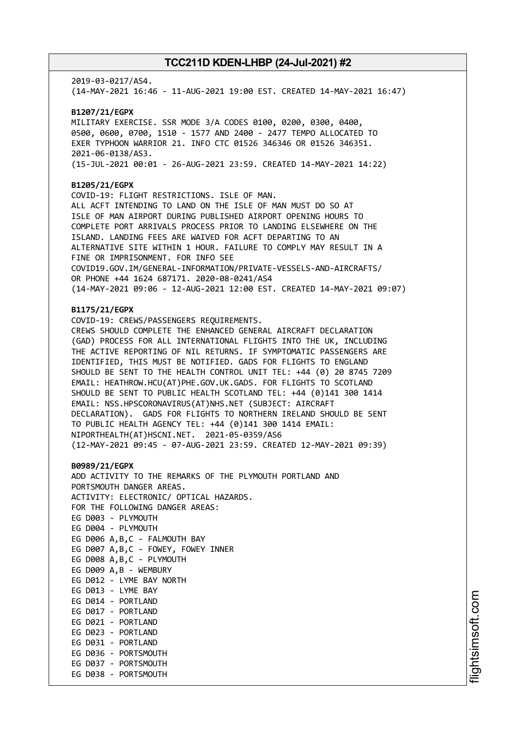2019-03-0217/AS4. (14-MAY-2021 16:46 - 11-AUG-2021 19:00 EST. CREATED 14-MAY-2021 16:47) **B1207/21/EGPX** MILITARY EXERCISE. SSR MODE 3/A CODES 0100, 0200, 0300, 0400, 0500, 0600, 0700, 1510 - 1577 AND 2400 - 2477 TEMPO ALLOCATED TO EXER TYPHOON WARRIOR 21. INFO CTC 01526 346346 OR 01526 346351. 2021-06-0138/AS3. (15-JUL-2021 00:01 - 26-AUG-2021 23:59. CREATED 14-MAY-2021 14:22) **B1205/21/EGPX** COVID-19: FLIGHT RESTRICTIONS. ISLE OF MAN. ALL ACFT INTENDING TO LAND ON THE ISLE OF MAN MUST DO SO AT ISLE OF MAN AIRPORT DURING PUBLISHED AIRPORT OPENING HOURS TO COMPLETE PORT ARRIVALS PROCESS PRIOR TO LANDING ELSEWHERE ON THE ISLAND. LANDING FEES ARE WAIVED FOR ACFT DEPARTING TO AN ALTERNATIVE SITE WITHIN 1 HOUR. FAILURE TO COMPLY MAY RESULT IN A FINE OR IMPRISONMENT. FOR INFO SEE COVID19.GOV.IM/GENERAL-INFORMATION/PRIVATE-VESSELS-AND-AIRCRAFTS/ OR PHONE +44 1624 687171. 2020-08-0241/AS4 (14-MAY-2021 09:06 - 12-AUG-2021 12:00 EST. CREATED 14-MAY-2021 09:07) **B1175/21/EGPX** COVID-19: CREWS/PASSENGERS REQUIREMENTS. CREWS SHOULD COMPLETE THE ENHANCED GENERAL AIRCRAFT DECLARATION (GAD) PROCESS FOR ALL INTERNATIONAL FLIGHTS INTO THE UK, INCLUDING THE ACTIVE REPORTING OF NIL RETURNS. IF SYMPTOMATIC PASSENGERS ARE IDENTIFIED, THIS MUST BE NOTIFIED. GADS FOR FLIGHTS TO ENGLAND SHOULD BE SENT TO THE HEALTH CONTROL UNIT TEL: +44 (0) 20 8745 7209 EMAIL: HEATHROW.HCU(AT)PHE.GOV.UK.GADS. FOR FLIGHTS TO SCOTLAND SHOULD BE SENT TO PUBLIC HEALTH SCOTLAND TEL: +44 (0)141 300 1414 EMAIL: NSS.HPSCORONAVIRUS(AT)NHS.NET (SUBJECT: AIRCRAFT DECLARATION). GADS FOR FLIGHTS TO NORTHERN IRELAND SHOULD BE SENT TO PUBLIC HEALTH AGENCY TEL: +44 (0)141 300 1414 EMAIL: NIPORTHEALTH(AT)HSCNI.NET. 2021-05-0359/AS6 (12-MAY-2021 09:45 - 07-AUG-2021 23:59. CREATED 12-MAY-2021 09:39) **B0989/21/EGPX** ADD ACTIVITY TO THE REMARKS OF THE PLYMOUTH PORTLAND AND PORTSMOUTH DANGER AREAS. ACTIVITY: ELECTRONIC/ OPTICAL HAZARDS. FOR THE FOLLOWING DANGER AREAS: EG D003 - PLYMOUTH EG D004 - PLYMOUTH EG D006 A,B,C - FALMOUTH BAY EG D007 A,B,C - FOWEY, FOWEY INNER EG D008 A,B,C - PLYMOUTH EG D009 A,B - WEMBURY EG D012 - LYME BAY NORTH EG D013 - LYME BAY EG D014 - PORTLAND EG D017 - PORTLAND EG D021 - PORTLAND EG D023 - PORTLAND EG D031 - PORTLAND EG D036 - PORTSMOUTH EG D037 - PORTSMOUTH EG D038 - PORTSMOUTH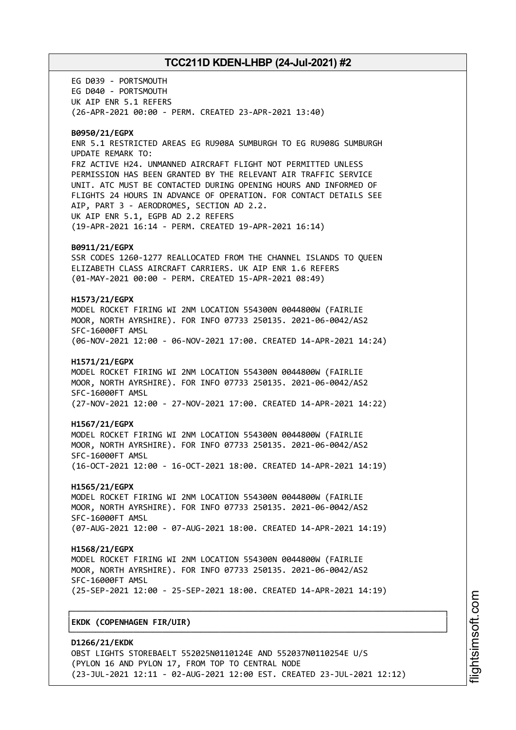EG D039 - PORTSMOUTH EG D040 - PORTSMOUTH UK AIP ENR 5.1 REFERS (26-APR-2021 00:00 - PERM. CREATED 23-APR-2021 13:40) **B0950/21/EGPX** ENR 5.1 RESTRICTED AREAS EG RU908A SUMBURGH TO EG RU908G SUMBURGH UPDATE REMARK TO: FRZ ACTIVE H24. UNMANNED AIRCRAFT FLIGHT NOT PERMITTED UNLESS PERMISSION HAS BEEN GRANTED BY THE RELEVANT AIR TRAFFIC SERVICE UNIT. ATC MUST BE CONTACTED DURING OPENING HOURS AND INFORMED OF FLIGHTS 24 HOURS IN ADVANCE OF OPERATION. FOR CONTACT DETAILS SEE AIP, PART 3 - AERODROMES, SECTION AD 2.2. UK AIP ENR 5.1, EGPB AD 2.2 REFERS (19-APR-2021 16:14 - PERM. CREATED 19-APR-2021 16:14) **B0911/21/EGPX** SSR CODES 1260-1277 REALLOCATED FROM THE CHANNEL ISLANDS TO QUEEN ELIZABETH CLASS AIRCRAFT CARRIERS. UK AIP ENR 1.6 REFERS (01-MAY-2021 00:00 - PERM. CREATED 15-APR-2021 08:49) **H1573/21/EGPX** MODEL ROCKET FIRING WI 2NM LOCATION 554300N 0044800W (FAIRLIE MOOR, NORTH AYRSHIRE). FOR INFO 07733 250135. 2021-06-0042/AS2 SFC-16000FT AMSL (06-NOV-2021 12:00 - 06-NOV-2021 17:00. CREATED 14-APR-2021 14:24) **H1571/21/EGPX** MODEL ROCKET FIRING WI 2NM LOCATION 554300N 0044800W (FAIRLIE MOOR, NORTH AYRSHIRE). FOR INFO 07733 250135. 2021-06-0042/AS2 SFC-16000FT AMSL (27-NOV-2021 12:00 - 27-NOV-2021 17:00. CREATED 14-APR-2021 14:22) **H1567/21/EGPX** MODEL ROCKET FIRING WI 2NM LOCATION 554300N 0044800W (FAIRLIE MOOR, NORTH AYRSHIRE). FOR INFO 07733 250135. 2021-06-0042/AS2 SFC-16000FT AMSL (16-OCT-2021 12:00 - 16-OCT-2021 18:00. CREATED 14-APR-2021 14:19) **H1565/21/EGPX** MODEL ROCKET FIRING WI 2NM LOCATION 554300N 0044800W (FAIRLIE MOOR, NORTH AYRSHIRE). FOR INFO 07733 250135. 2021-06-0042/AS2 SFC-16000FT AMSL (07-AUG-2021 12:00 - 07-AUG-2021 18:00. CREATED 14-APR-2021 14:19) **H1568/21/EGPX** MODEL ROCKET FIRING WI 2NM LOCATION 554300N 0044800W (FAIRLIE MOOR, NORTH AYRSHIRE). FOR INFO 07733 250135. 2021-06-0042/AS2 SFC-16000FT AMSL (25-SEP-2021 12:00 - 25-SEP-2021 18:00. CREATED 14-APR-2021 14:19) ┌──────────────────────────────────────────────────────────────────────────────┐ │**EKDK (COPENHAGEN FIR/UIR)** │ └──────────────────────────────────────────────────────────────────────────────┘

**D1266/21/EKDK** OBST LIGHTS STOREBAELT 552025N0110124E AND 552037N0110254E U/S (PYLON 16 AND PYLON 17, FROM TOP TO CENTRAL NODE (23-JUL-2021 12:11 - 02-AUG-2021 12:00 EST. CREATED 23-JUL-2021 12:12)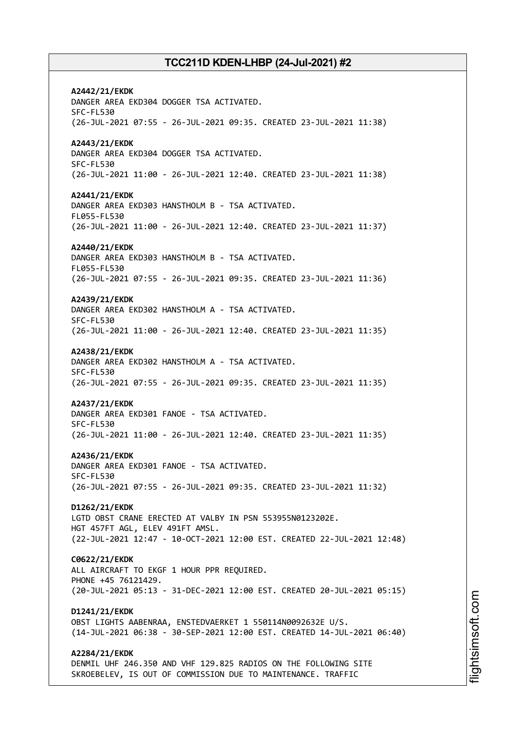**A2442/21/EKDK** DANGER AREA EKD304 DOGGER TSA ACTIVATED. SFC-FL530 (26-JUL-2021 07:55 - 26-JUL-2021 09:35. CREATED 23-JUL-2021 11:38) **A2443/21/EKDK** DANGER AREA EKD304 DOGGER TSA ACTIVATED. SFC-FL530 (26-JUL-2021 11:00 - 26-JUL-2021 12:40. CREATED 23-JUL-2021 11:38) **A2441/21/EKDK** DANGER AREA EKD303 HANSTHOLM B - TSA ACTIVATED. FL055-FL530 (26-JUL-2021 11:00 - 26-JUL-2021 12:40. CREATED 23-JUL-2021 11:37) **A2440/21/EKDK** DANGER AREA EKD303 HANSTHOLM B - TSA ACTIVATED. FL055-FL530 (26-JUL-2021 07:55 - 26-JUL-2021 09:35. CREATED 23-JUL-2021 11:36) **A2439/21/EKDK** DANGER AREA EKD302 HANSTHOLM A - TSA ACTIVATED. SFC-FL530 (26-JUL-2021 11:00 - 26-JUL-2021 12:40. CREATED 23-JUL-2021 11:35) **A2438/21/EKDK** DANGER AREA EKD302 HANSTHOLM A - TSA ACTIVATED. SFC-FL530 (26-JUL-2021 07:55 - 26-JUL-2021 09:35. CREATED 23-JUL-2021 11:35) **A2437/21/EKDK** DANGER AREA EKD301 FANOE - TSA ACTIVATED. SFC-FL530 (26-JUL-2021 11:00 - 26-JUL-2021 12:40. CREATED 23-JUL-2021 11:35) **A2436/21/EKDK** DANGER AREA EKD301 FANOE - TSA ACTIVATED. SFC-FL530 (26-JUL-2021 07:55 - 26-JUL-2021 09:35. CREATED 23-JUL-2021 11:32) **D1262/21/EKDK** LGTD OBST CRANE ERECTED AT VALBY IN PSN 553955N0123202E. HGT 457FT AGL, ELEV 491FT AMSL. (22-JUL-2021 12:47 - 10-OCT-2021 12:00 EST. CREATED 22-JUL-2021 12:48) **C0622/21/EKDK** ALL AIRCRAFT TO EKGF 1 HOUR PPR REQUIRED. PHONE +45 76121429. (20-JUL-2021 05:13 - 31-DEC-2021 12:00 EST. CREATED 20-JUL-2021 05:15) **D1241/21/EKDK** OBST LIGHTS AABENRAA, ENSTEDVAERKET 1 550114N0092632E U/S. (14-JUL-2021 06:38 - 30-SEP-2021 12:00 EST. CREATED 14-JUL-2021 06:40) **A2284/21/EKDK** DENMIL UHF 246.350 AND VHF 129.825 RADIOS ON THE FOLLOWING SITE SKROEBELEV, IS OUT OF COMMISSION DUE TO MAINTENANCE. TRAFFIC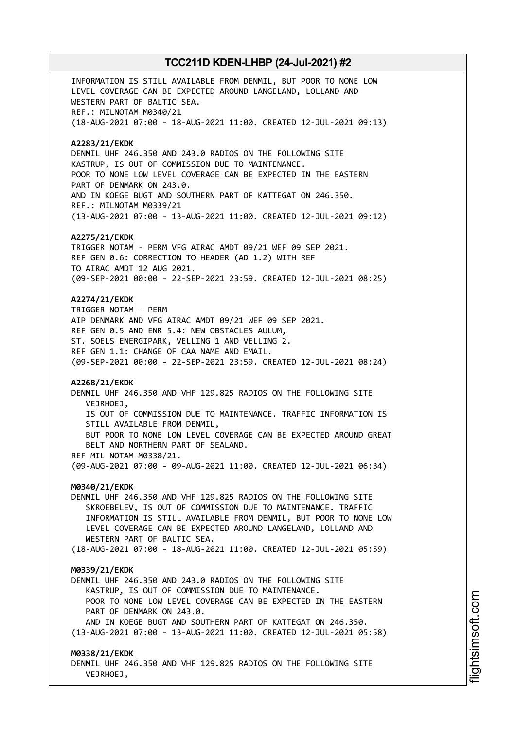INFORMATION IS STILL AVAILABLE FROM DENMIL, BUT POOR TO NONE LOW LEVEL COVERAGE CAN BE EXPECTED AROUND LANGELAND, LOLLAND AND WESTERN PART OF BALTIC SEA. REF.: MILNOTAM M0340/21 (18-AUG-2021 07:00 - 18-AUG-2021 11:00. CREATED 12-JUL-2021 09:13) **A2283/21/EKDK** DENMIL UHF 246.350 AND 243.0 RADIOS ON THE FOLLOWING SITE KASTRUP, IS OUT OF COMMISSION DUE TO MAINTENANCE. POOR TO NONE LOW LEVEL COVERAGE CAN BE EXPECTED IN THE EASTERN PART OF DENMARK ON 243.0. AND IN KOEGE BUGT AND SOUTHERN PART OF KATTEGAT ON 246.350. REF.: MILNOTAM M0339/21 (13-AUG-2021 07:00 - 13-AUG-2021 11:00. CREATED 12-JUL-2021 09:12) **A2275/21/EKDK** TRIGGER NOTAM - PERM VFG AIRAC AMDT 09/21 WEF 09 SEP 2021. REF GEN 0.6: CORRECTION TO HEADER (AD 1.2) WITH REF TO AIRAC AMDT 12 AUG 2021. (09-SEP-2021 00:00 - 22-SEP-2021 23:59. CREATED 12-JUL-2021 08:25) **A2274/21/EKDK** TRIGGER NOTAM - PERM AIP DENMARK AND VFG AIRAC AMDT 09/21 WEF 09 SEP 2021. REF GEN 0.5 AND ENR 5.4: NEW OBSTACLES AULUM, ST. SOELS ENERGIPARK, VELLING 1 AND VELLING 2. REF GEN 1.1: CHANGE OF CAA NAME AND EMAIL. (09-SEP-2021 00:00 - 22-SEP-2021 23:59. CREATED 12-JUL-2021 08:24) **A2268/21/EKDK** DENMIL UHF 246.350 AND VHF 129.825 RADIOS ON THE FOLLOWING SITE VEJRHOEJ, IS OUT OF COMMISSION DUE TO MAINTENANCE. TRAFFIC INFORMATION IS STILL AVAILABLE FROM DENMIL, BUT POOR TO NONE LOW LEVEL COVERAGE CAN BE EXPECTED AROUND GREAT BELT AND NORTHERN PART OF SEALAND. REF MIL NOTAM M0338/21. (09-AUG-2021 07:00 - 09-AUG-2021 11:00. CREATED 12-JUL-2021 06:34) **M0340/21/EKDK** DENMIL UHF 246.350 AND VHF 129.825 RADIOS ON THE FOLLOWING SITE SKROEBELEV, IS OUT OF COMMISSION DUE TO MAINTENANCE. TRAFFIC INFORMATION IS STILL AVAILABLE FROM DENMIL, BUT POOR TO NONE LOW LEVEL COVERAGE CAN BE EXPECTED AROUND LANGELAND, LOLLAND AND WESTERN PART OF BALTIC SEA. (18-AUG-2021 07:00 - 18-AUG-2021 11:00. CREATED 12-JUL-2021 05:59) **M0339/21/EKDK** DENMIL UHF 246.350 AND 243.0 RADIOS ON THE FOLLOWING SITE KASTRUP, IS OUT OF COMMISSION DUE TO MAINTENANCE. POOR TO NONE LOW LEVEL COVERAGE CAN BE EXPECTED IN THE EASTERN PART OF DENMARK ON 243.0. AND IN KOEGE BUGT AND SOUTHERN PART OF KATTEGAT ON 246.350. (13-AUG-2021 07:00 - 13-AUG-2021 11:00. CREATED 12-JUL-2021 05:58) **M0338/21/EKDK** DENMIL UHF 246.350 AND VHF 129.825 RADIOS ON THE FOLLOWING SITE VEJRHOEJ,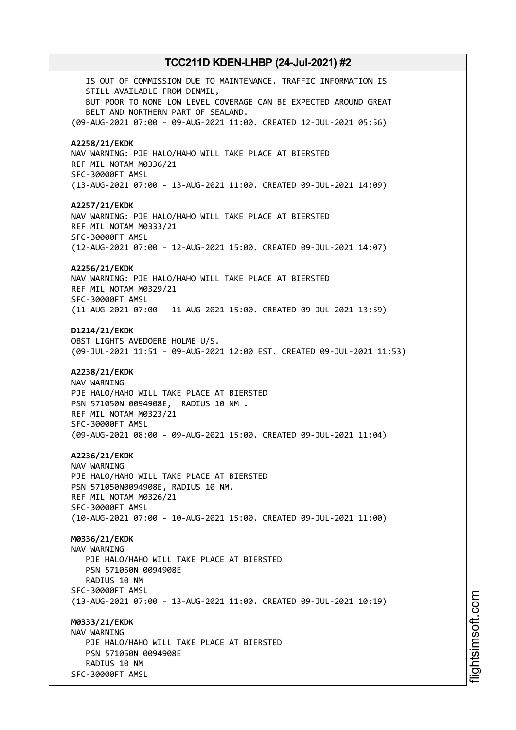IS OUT OF COMMISSION DUE TO MAINTENANCE. TRAFFIC INFORMATION IS STILL AVAILABLE FROM DENMIL, BUT POOR TO NONE LOW LEVEL COVERAGE CAN BE EXPECTED AROUND GREAT BELT AND NORTHERN PART OF SEALAND. (09-AUG-2021 07:00 - 09-AUG-2021 11:00. CREATED 12-JUL-2021 05:56) **A2258/21/EKDK** NAV WARNING: PJE HALO/HAHO WILL TAKE PLACE AT BIERSTED REF MIL NOTAM M0336/21 SFC-30000FT AMSL (13-AUG-2021 07:00 - 13-AUG-2021 11:00. CREATED 09-JUL-2021 14:09) **A2257/21/EKDK** NAV WARNING: PJE HALO/HAHO WILL TAKE PLACE AT BIERSTED REF MIL NOTAM M0333/21 SFC-30000FT AMSL (12-AUG-2021 07:00 - 12-AUG-2021 15:00. CREATED 09-JUL-2021 14:07) **A2256/21/EKDK** NAV WARNING: PJE HALO/HAHO WILL TAKE PLACE AT BIERSTED REF MIL NOTAM M0329/21 SFC-30000FT AMSL (11-AUG-2021 07:00 - 11-AUG-2021 15:00. CREATED 09-JUL-2021 13:59) **D1214/21/EKDK** OBST LIGHTS AVEDOERE HOLME U/S. (09-JUL-2021 11:51 - 09-AUG-2021 12:00 EST. CREATED 09-JUL-2021 11:53) **A2238/21/EKDK** NAV WARNING PJE HALO/HAHO WILL TAKE PLACE AT BIERSTED PSN 571050N 0094908E, RADIUS 10 NM . REF MIL NOTAM M0323/21 SFC-30000FT AMSL (09-AUG-2021 08:00 - 09-AUG-2021 15:00. CREATED 09-JUL-2021 11:04) **A2236/21/EKDK** NAV WARNING PJE HALO/HAHO WILL TAKE PLACE AT BIERSTED PSN 571050N0094908E, RADIUS 10 NM. REF MIL NOTAM M0326/21 SFC-30000FT AMSL (10-AUG-2021 07:00 - 10-AUG-2021 15:00. CREATED 09-JUL-2021 11:00) **M0336/21/EKDK** NAV WARNING PJE HALO/HAHO WILL TAKE PLACE AT BIERSTED PSN 571050N 0094908E RADIUS 10 NM SFC-30000FT AMSL (13-AUG-2021 07:00 - 13-AUG-2021 11:00. CREATED 09-JUL-2021 10:19) **M0333/21/EKDK** NAV WARNING PJE HALO/HAHO WILL TAKE PLACE AT BIERSTED PSN 571050N 0094908E RADIUS 10 NM SFC-30000FT AMSL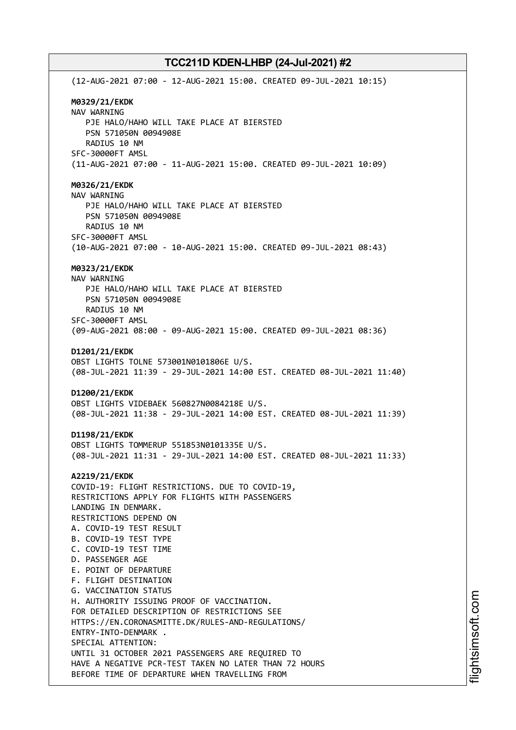(12-AUG-2021 07:00 - 12-AUG-2021 15:00. CREATED 09-JUL-2021 10:15) **M0329/21/EKDK** NAV WARNING PJE HALO/HAHO WILL TAKE PLACE AT BIERSTED PSN 571050N 0094908E RADIUS 10 NM SFC-30000FT AMSL (11-AUG-2021 07:00 - 11-AUG-2021 15:00. CREATED 09-JUL-2021 10:09) **M0326/21/EKDK** NAV WARNING PJE HALO/HAHO WILL TAKE PLACE AT BIERSTED PSN 571050N 0094908E RADIUS 10 NM SFC-30000FT AMSL (10-AUG-2021 07:00 - 10-AUG-2021 15:00. CREATED 09-JUL-2021 08:43) **M0323/21/EKDK** NAV WARNING PJE HALO/HAHO WILL TAKE PLACE AT BIERSTED PSN 571050N 0094908E RADIUS 10 NM SFC-30000FT AMSL (09-AUG-2021 08:00 - 09-AUG-2021 15:00. CREATED 09-JUL-2021 08:36) **D1201/21/EKDK** OBST LIGHTS TOLNE 573001N0101806E U/S. (08-JUL-2021 11:39 - 29-JUL-2021 14:00 EST. CREATED 08-JUL-2021 11:40) **D1200/21/EKDK** OBST LIGHTS VIDEBAEK 560827N0084218E U/S. (08-JUL-2021 11:38 - 29-JUL-2021 14:00 EST. CREATED 08-JUL-2021 11:39) **D1198/21/EKDK** OBST LIGHTS TOMMERUP 551853N0101335E U/S. (08-JUL-2021 11:31 - 29-JUL-2021 14:00 EST. CREATED 08-JUL-2021 11:33) **A2219/21/EKDK** COVID-19: FLIGHT RESTRICTIONS. DUE TO COVID-19, RESTRICTIONS APPLY FOR FLIGHTS WITH PASSENGERS LANDING IN DENMARK. RESTRICTIONS DEPEND ON A. COVID-19 TEST RESULT B. COVID-19 TEST TYPE C. COVID-19 TEST TIME D. PASSENGER AGE E. POINT OF DEPARTURE F. FLIGHT DESTINATION G. VACCINATION STATUS H. AUTHORITY ISSUING PROOF OF VACCINATION. FOR DETAILED DESCRIPTION OF RESTRICTIONS SEE HTTPS://EN.CORONASMITTE.DK/RULES-AND-REGULATIONS/ ENTRY-INTO-DENMARK . SPECIAL ATTENTION: UNTIL 31 OCTOBER 2021 PASSENGERS ARE REQUIRED TO HAVE A NEGATIVE PCR-TEST TAKEN NO LATER THAN 72 HOURS BEFORE TIME OF DEPARTURE WHEN TRAVELLING FROM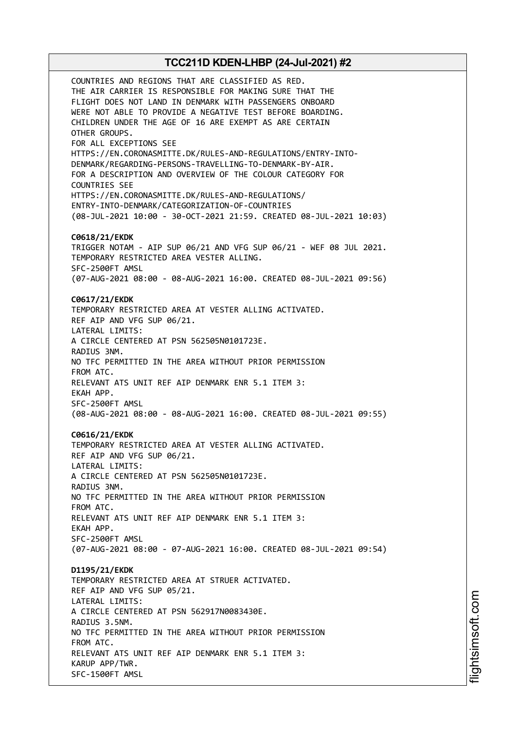COUNTRIES AND REGIONS THAT ARE CLASSIFIED AS RED. THE AIR CARRIER IS RESPONSIBLE FOR MAKING SURE THAT THE FLIGHT DOES NOT LAND IN DENMARK WITH PASSENGERS ONBOARD WERE NOT ABLE TO PROVIDE A NEGATIVE TEST BEFORE BOARDING. CHILDREN UNDER THE AGE OF 16 ARE EXEMPT AS ARE CERTAIN OTHER GROUPS. FOR ALL EXCEPTIONS SEE HTTPS://EN.CORONASMITTE.DK/RULES-AND-REGULATIONS/ENTRY-INTO-DENMARK/REGARDING-PERSONS-TRAVELLING-TO-DENMARK-BY-AIR. FOR A DESCRIPTION AND OVERVIEW OF THE COLOUR CATEGORY FOR COUNTRIES SEE HTTPS://EN.CORONASMITTE.DK/RULES-AND-REGULATIONS/ ENTRY-INTO-DENMARK/CATEGORIZATION-OF-COUNTRIES (08-JUL-2021 10:00 - 30-OCT-2021 21:59. CREATED 08-JUL-2021 10:03) **C0618/21/EKDK** TRIGGER NOTAM - AIP SUP 06/21 AND VFG SUP 06/21 - WEF 08 JUL 2021. TEMPORARY RESTRICTED AREA VESTER ALLING. SFC-2500FT AMSL (07-AUG-2021 08:00 - 08-AUG-2021 16:00. CREATED 08-JUL-2021 09:56) **C0617/21/EKDK** TEMPORARY RESTRICTED AREA AT VESTER ALLING ACTIVATED. REF AIP AND VFG SUP 06/21. LATERAL LIMITS: A CIRCLE CENTERED AT PSN 562505N0101723E. RADIUS 3NM. NO TFC PERMITTED IN THE AREA WITHOUT PRIOR PERMISSION FROM ATC. RELEVANT ATS UNIT REF AIP DENMARK ENR 5.1 ITEM 3: EKAH APP. SFC-2500FT AMSL (08-AUG-2021 08:00 - 08-AUG-2021 16:00. CREATED 08-JUL-2021 09:55) **C0616/21/EKDK** TEMPORARY RESTRICTED AREA AT VESTER ALLING ACTIVATED. REF AIP AND VFG SUP 06/21. LATERAL LIMITS: A CIRCLE CENTERED AT PSN 562505N0101723E. RADIUS 3NM. NO TFC PERMITTED IN THE AREA WITHOUT PRIOR PERMISSION FROM ATC. RELEVANT ATS UNIT REF AIP DENMARK ENR 5.1 ITEM 3: EKAH APP. SFC-2500FT AMSL (07-AUG-2021 08:00 - 07-AUG-2021 16:00. CREATED 08-JUL-2021 09:54) **D1195/21/EKDK** TEMPORARY RESTRICTED AREA AT STRUER ACTIVATED. REF AIP AND VFG SUP 05/21. LATERAL LIMITS: A CIRCLE CENTERED AT PSN 562917N0083430E. RADIUS 3.5NM. NO TFC PERMITTED IN THE AREA WITHOUT PRIOR PERMISSION FROM ATC. RELEVANT ATS UNIT REF AIP DENMARK ENR 5.1 ITEM 3: KARUP APP/TWR. SFC-1500FT AMSL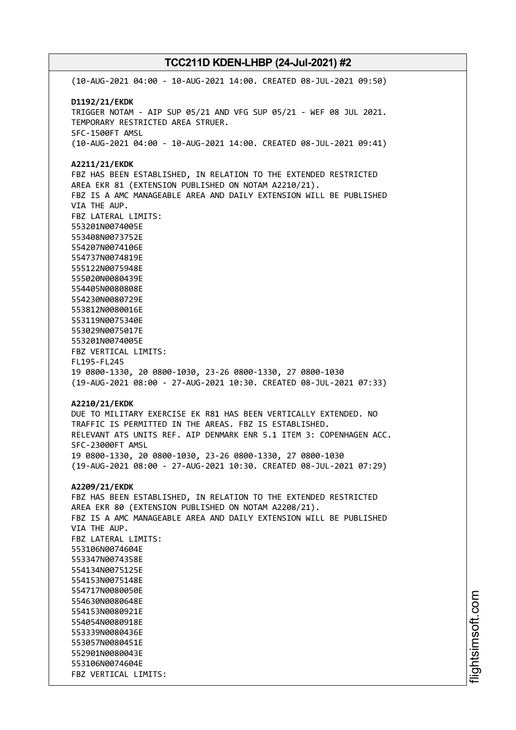(10-AUG-2021 04:00 - 10-AUG-2021 14:00. CREATED 08-JUL-2021 09:50) **D1192/21/EKDK** TRIGGER NOTAM - AIP SUP 05/21 AND VFG SUP 05/21 - WEF 08 JUL 2021. TEMPORARY RESTRICTED AREA STRUER. SFC-1500FT AMSL (10-AUG-2021 04:00 - 10-AUG-2021 14:00. CREATED 08-JUL-2021 09:41) **A2211/21/EKDK** FBZ HAS BEEN ESTABLISHED, IN RELATION TO THE EXTENDED RESTRICTED AREA EKR 81 (EXTENSION PUBLISHED ON NOTAM A2210/21). FBZ IS A AMC MANAGEABLE AREA AND DAILY EXTENSION WILL BE PUBLISHED VIA THE AUP. FBZ LATERAL LIMITS: 553201N0074005E 553408N0073752E 554207N0074106E 554737N0074819E 555122N0075948E 555020N0080439E 554405N0080808E 554230N0080729E 553812N0080016E 553119N0075340E 553029N0075017E 553201N0074005E FBZ VERTICAL LIMITS: FL195-FL245 19 0800-1330, 20 0800-1030, 23-26 0800-1330, 27 0800-1030 (19-AUG-2021 08:00 - 27-AUG-2021 10:30. CREATED 08-JUL-2021 07:33) **A2210/21/EKDK** DUE TO MILITARY EXERCISE EK R81 HAS BEEN VERTICALLY EXTENDED. NO TRAFFIC IS PERMITTED IN THE AREAS. FBZ IS ESTABLISHED. RELEVANT ATS UNITS REF. AIP DENMARK ENR 5.1 ITEM 3: COPENHAGEN ACC. SFC-23000FT AMSL 19 0800-1330, 20 0800-1030, 23-26 0800-1330, 27 0800-1030 (19-AUG-2021 08:00 - 27-AUG-2021 10:30. CREATED 08-JUL-2021 07:29) **A2209/21/EKDK** FBZ HAS BEEN ESTABLISHED, IN RELATION TO THE EXTENDED RESTRICTED AREA EKR 80 (EXTENSION PUBLISHED ON NOTAM A2208/21). FBZ IS A AMC MANAGEABLE AREA AND DAILY EXTENSION WILL BE PUBLISHED VIA THE AUP. FBZ LATERAL LIMITS: 553106N0074604E 553347N0074358E 554134N0075125E 554153N0075148E 554717N0080050E 554630N0080648E 554153N0080921E 554054N0080918E 553339N0080436E 553057N0080451E 552901N0080043E 553106N0074604E FBZ VERTICAL LIMITS: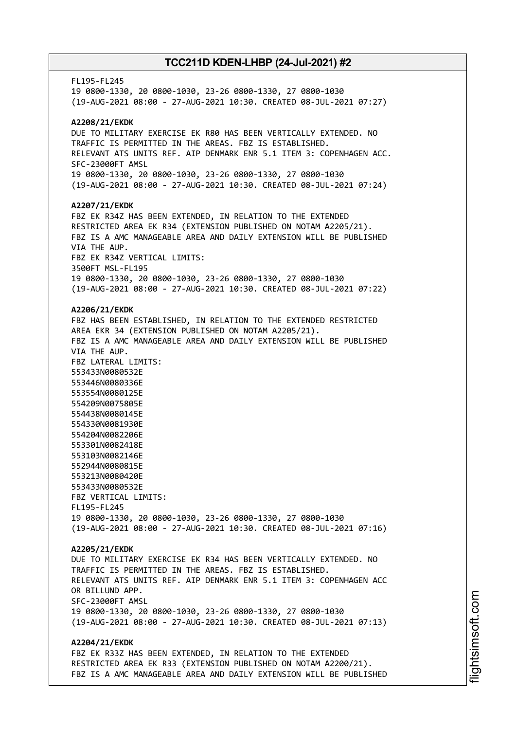FL195-FL245 19 0800-1330, 20 0800-1030, 23-26 0800-1330, 27 0800-1030 (19-AUG-2021 08:00 - 27-AUG-2021 10:30. CREATED 08-JUL-2021 07:27) **A2208/21/EKDK** DUE TO MILITARY EXERCISE EK R80 HAS BEEN VERTICALLY EXTENDED. NO TRAFFIC IS PERMITTED IN THE AREAS. FBZ IS ESTABLISHED. RELEVANT ATS UNITS REF. AIP DENMARK ENR 5.1 ITEM 3: COPENHAGEN ACC. SFC-23000FT AMSL 19 0800-1330, 20 0800-1030, 23-26 0800-1330, 27 0800-1030 (19-AUG-2021 08:00 - 27-AUG-2021 10:30. CREATED 08-JUL-2021 07:24) **A2207/21/EKDK** FBZ EK R34Z HAS BEEN EXTENDED, IN RELATION TO THE EXTENDED RESTRICTED AREA EK R34 (EXTENSION PUBLISHED ON NOTAM A2205/21). FBZ IS A AMC MANAGEABLE AREA AND DAILY EXTENSION WILL BE PUBLISHED VIA THE AUP. FBZ EK R34Z VERTICAL LIMITS: 3500FT MSL-FL195 19 0800-1330, 20 0800-1030, 23-26 0800-1330, 27 0800-1030 (19-AUG-2021 08:00 - 27-AUG-2021 10:30. CREATED 08-JUL-2021 07:22) **A2206/21/EKDK** FBZ HAS BEEN ESTABLISHED, IN RELATION TO THE EXTENDED RESTRICTED AREA EKR 34 (EXTENSION PUBLISHED ON NOTAM A2205/21). FBZ IS A AMC MANAGEABLE AREA AND DAILY EXTENSION WILL BE PUBLISHED VIA THE AUP. FBZ LATERAL LIMITS: 553433N0080532E 553446N0080336E 553554N0080125E 554209N0075805E 554438N0080145E 554330N0081930E 554204N0082206E 553301N0082418E 553103N0082146E 552944N0080815E 553213N0080420E 553433N0080532E FBZ VERTICAL LIMITS: FL195-FL245 19 0800-1330, 20 0800-1030, 23-26 0800-1330, 27 0800-1030 (19-AUG-2021 08:00 - 27-AUG-2021 10:30. CREATED 08-JUL-2021 07:16) **A2205/21/EKDK** DUE TO MILITARY EXERCISE EK R34 HAS BEEN VERTICALLY EXTENDED. NO TRAFFIC IS PERMITTED IN THE AREAS. FBZ IS ESTABLISHED. RELEVANT ATS UNITS REF. AIP DENMARK ENR 5.1 ITEM 3: COPENHAGEN ACC OR BILLUND APP. SFC-23000FT AMSL 19 0800-1330, 20 0800-1030, 23-26 0800-1330, 27 0800-1030 (19-AUG-2021 08:00 - 27-AUG-2021 10:30. CREATED 08-JUL-2021 07:13) **A2204/21/EKDK** FBZ EK R33Z HAS BEEN EXTENDED, IN RELATION TO THE EXTENDED RESTRICTED AREA EK R33 (EXTENSION PUBLISHED ON NOTAM A2200/21).

FBZ IS A AMC MANAGEABLE AREA AND DAILY EXTENSION WILL BE PUBLISHED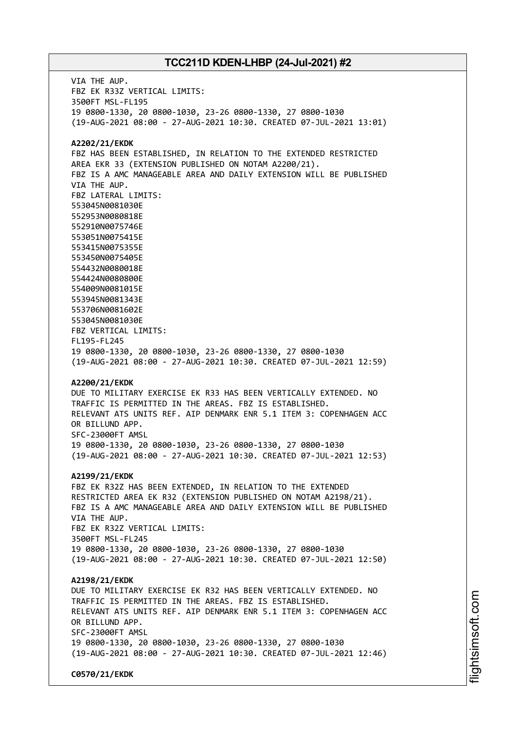VIA THE AUP. FBZ EK R33Z VERTICAL LIMITS: 3500FT MSL-FL195 19 0800-1330, 20 0800-1030, 23-26 0800-1330, 27 0800-1030 (19-AUG-2021 08:00 - 27-AUG-2021 10:30. CREATED 07-JUL-2021 13:01) **A2202/21/EKDK** FBZ HAS BEEN ESTABLISHED, IN RELATION TO THE EXTENDED RESTRICTED AREA EKR 33 (EXTENSION PUBLISHED ON NOTAM A2200/21). FBZ IS A AMC MANAGEABLE AREA AND DAILY EXTENSION WILL BE PUBLISHED VIA THE AUP. FBZ LATERAL LIMITS: 553045N0081030E 552953N0080818E 552910N0075746E 553051N0075415E 553415N0075355E 553450N0075405E 554432N0080018E 554424N0080800E 554009N0081015E 553945N0081343E 553706N0081602E 553045N0081030E FBZ VERTICAL LIMITS: FL195-FL245 19 0800-1330, 20 0800-1030, 23-26 0800-1330, 27 0800-1030 (19-AUG-2021 08:00 - 27-AUG-2021 10:30. CREATED 07-JUL-2021 12:59) **A2200/21/EKDK** DUE TO MILITARY EXERCISE EK R33 HAS BEEN VERTICALLY EXTENDED. NO TRAFFIC IS PERMITTED IN THE AREAS. FBZ IS ESTABLISHED. RELEVANT ATS UNITS REF. AIP DENMARK ENR 5.1 ITEM 3: COPENHAGEN ACC OR BILLUND APP. SFC-23000FT AMSL 19 0800-1330, 20 0800-1030, 23-26 0800-1330, 27 0800-1030 (19-AUG-2021 08:00 - 27-AUG-2021 10:30. CREATED 07-JUL-2021 12:53) **A2199/21/EKDK** FBZ EK R32Z HAS BEEN EXTENDED, IN RELATION TO THE EXTENDED RESTRICTED AREA EK R32 (EXTENSION PUBLISHED ON NOTAM A2198/21). FBZ IS A AMC MANAGEABLE AREA AND DAILY EXTENSION WILL BE PUBLISHED VIA THE AUP. FBZ EK R32Z VERTICAL LIMITS: 3500FT MSL-FL245 19 0800-1330, 20 0800-1030, 23-26 0800-1330, 27 0800-1030 (19-AUG-2021 08:00 - 27-AUG-2021 10:30. CREATED 07-JUL-2021 12:50) **A2198/21/EKDK** DUE TO MILITARY EXERCISE EK R32 HAS BEEN VERTICALLY EXTENDED. NO TRAFFIC IS PERMITTED IN THE AREAS. FBZ IS ESTABLISHED. RELEVANT ATS UNITS REF. AIP DENMARK ENR 5.1 ITEM 3: COPENHAGEN ACC OR BILLUND APP. SFC-23000FT AMSL 19 0800-1330, 20 0800-1030, 23-26 0800-1330, 27 0800-1030 (19-AUG-2021 08:00 - 27-AUG-2021 10:30. CREATED 07-JUL-2021 12:46) **C0570/21/EKDK**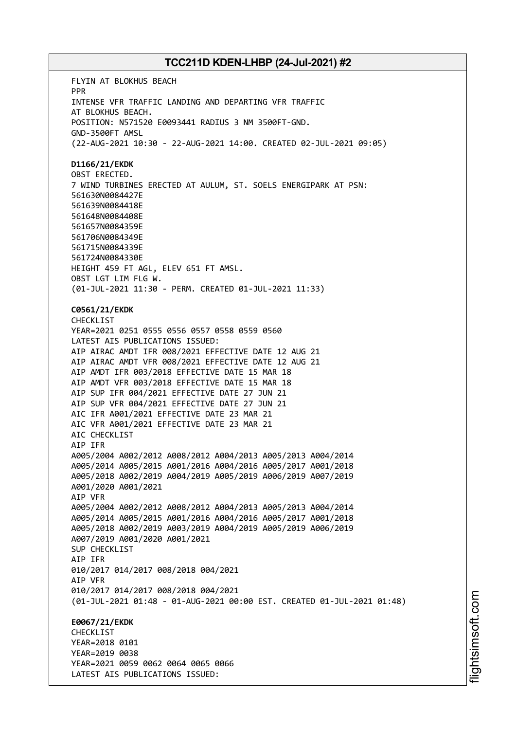FLYIN AT BLOKHUS BEACH PPR INTENSE VFR TRAFFIC LANDING AND DEPARTING VFR TRAFFIC AT BLOKHUS BEACH. POSITION: N571520 E0093441 RADIUS 3 NM 3500FT-GND. GND-3500FT AMSL (22-AUG-2021 10:30 - 22-AUG-2021 14:00. CREATED 02-JUL-2021 09:05) **D1166/21/EKDK** OBST ERECTED. 7 WIND TURBINES ERECTED AT AULUM, ST. SOELS ENERGIPARK AT PSN: 561630N0084427E 561639N0084418E 561648N0084408E 561657N0084359E 561706N0084349E 561715N0084339E 561724N0084330E HEIGHT 459 FT AGL, ELEV 651 FT AMSL. OBST LGT LIM FLG W. (01-JUL-2021 11:30 - PERM. CREATED 01-JUL-2021 11:33) **C0561/21/EKDK** CHECKLIST YEAR=2021 0251 0555 0556 0557 0558 0559 0560 LATEST AIS PUBLICATIONS ISSUED: AIP AIRAC AMDT IFR 008/2021 EFFECTIVE DATE 12 AUG 21 AIP AIRAC AMDT VFR 008/2021 EFFECTIVE DATE 12 AUG 21 AIP AMDT IFR 003/2018 EFFECTIVE DATE 15 MAR 18 AIP AMDT VFR 003/2018 EFFECTIVE DATE 15 MAR 18 AIP SUP IFR 004/2021 EFFECTIVE DATE 27 JUN 21 AIP SUP VFR 004/2021 EFFECTIVE DATE 27 JUN 21 AIC IFR A001/2021 EFFECTIVE DATE 23 MAR 21 AIC VFR A001/2021 EFFECTIVE DATE 23 MAR 21 AIC CHECKLIST AIP IFR A005/2004 A002/2012 A008/2012 A004/2013 A005/2013 A004/2014 A005/2014 A005/2015 A001/2016 A004/2016 A005/2017 A001/2018 A005/2018 A002/2019 A004/2019 A005/2019 A006/2019 A007/2019 A001/2020 A001/2021 AIP VFR A005/2004 A002/2012 A008/2012 A004/2013 A005/2013 A004/2014 A005/2014 A005/2015 A001/2016 A004/2016 A005/2017 A001/2018 A005/2018 A002/2019 A003/2019 A004/2019 A005/2019 A006/2019 A007/2019 A001/2020 A001/2021 SUP CHECKLIST AIP IFR 010/2017 014/2017 008/2018 004/2021 AIP VFR 010/2017 014/2017 008/2018 004/2021 (01-JUL-2021 01:48 - 01-AUG-2021 00:00 EST. CREATED 01-JUL-2021 01:48) **E0067/21/EKDK CHECKLIST** YEAR=2018 0101 YEAR=2019 0038 YEAR=2021 0059 0062 0064 0065 0066 LATEST AIS PUBLICATIONS ISSUED: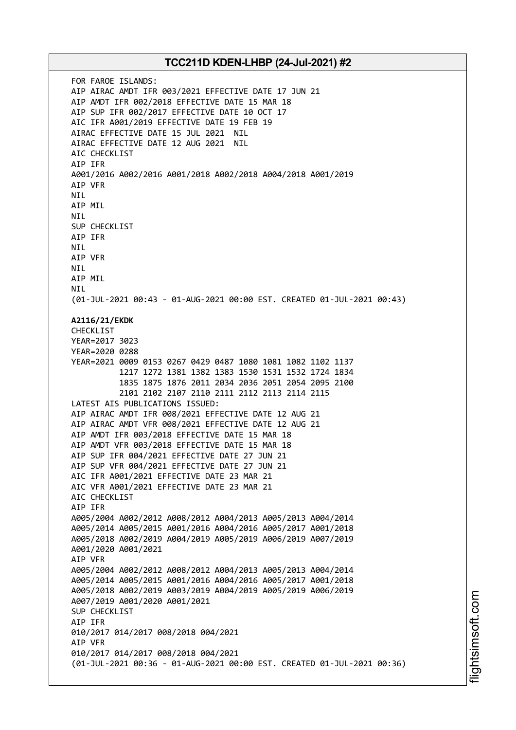FOR FAROE ISLANDS: AIP AIRAC AMDT IFR 003/2021 EFFECTIVE DATE 17 JUN 21 AIP AMDT IFR 002/2018 EFFECTIVE DATE 15 MAR 18 AIP SUP IFR 002/2017 EFFECTIVE DATE 10 OCT 17 AIC IFR A001/2019 EFFECTIVE DATE 19 FEB 19 AIRAC EFFECTIVE DATE 15 JUL 2021 NIL AIRAC EFFECTIVE DATE 12 AUG 2021 NIL AIC CHECKLIST AIP IFR A001/2016 A002/2016 A001/2018 A002/2018 A004/2018 A001/2019 AIP VFR **NTI** AIP MIL NIL SUP CHECKLIST AIP IFR NIL AIP VFR NIL AIP MIL NIL (01-JUL-2021 00:43 - 01-AUG-2021 00:00 EST. CREATED 01-JUL-2021 00:43) **A2116/21/EKDK** CHECKLIST YEAR=2017 3023 YEAR=2020 0288 YEAR=2021 0009 0153 0267 0429 0487 1080 1081 1082 1102 1137 1217 1272 1381 1382 1383 1530 1531 1532 1724 1834 1835 1875 1876 2011 2034 2036 2051 2054 2095 2100 2101 2102 2107 2110 2111 2112 2113 2114 2115 LATEST AIS PUBLICATIONS ISSUED: AIP AIRAC AMDT IFR 008/2021 EFFECTIVE DATE 12 AUG 21 AIP AIRAC AMDT VFR 008/2021 EFFECTIVE DATE 12 AUG 21 AIP AMDT IFR 003/2018 EFFECTIVE DATE 15 MAR 18 AIP AMDT VFR 003/2018 EFFECTIVE DATE 15 MAR 18 AIP SUP IFR 004/2021 EFFECTIVE DATE 27 JUN 21 AIP SUP VFR 004/2021 EFFECTIVE DATE 27 JUN 21 AIC IFR A001/2021 EFFECTIVE DATE 23 MAR 21 AIC VFR A001/2021 EFFECTIVE DATE 23 MAR 21 AIC CHECKLIST AIP IFR A005/2004 A002/2012 A008/2012 A004/2013 A005/2013 A004/2014 A005/2014 A005/2015 A001/2016 A004/2016 A005/2017 A001/2018 A005/2018 A002/2019 A004/2019 A005/2019 A006/2019 A007/2019 A001/2020 A001/2021 AIP VFR A005/2004 A002/2012 A008/2012 A004/2013 A005/2013 A004/2014 A005/2014 A005/2015 A001/2016 A004/2016 A005/2017 A001/2018 A005/2018 A002/2019 A003/2019 A004/2019 A005/2019 A006/2019 A007/2019 A001/2020 A001/2021 SUP CHECKLIST AIP IFR 010/2017 014/2017 008/2018 004/2021 AIP VFR 010/2017 014/2017 008/2018 004/2021 (01-JUL-2021 00:36 - 01-AUG-2021 00:00 EST. CREATED 01-JUL-2021 00:36)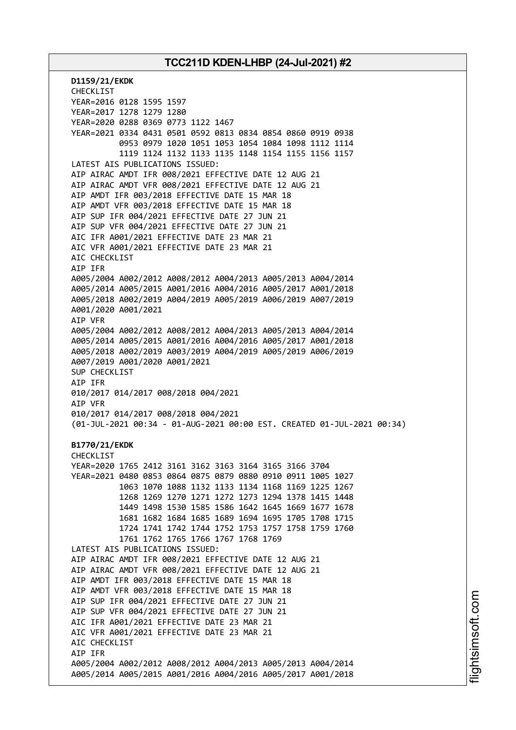**D1159/21/EKDK** CHECKLIST YEAR=2016 0128 1595 1597 YEAR=2017 1278 1279 1280 YEAR=2020 0288 0369 0773 1122 1467 YEAR=2021 0334 0431 0501 0592 0813 0834 0854 0860 0919 0938 0953 0979 1020 1051 1053 1054 1084 1098 1112 1114 1119 1124 1132 1133 1135 1148 1154 1155 1156 1157 LATEST AIS PUBLICATIONS ISSUED: AIP AIRAC AMDT IFR 008/2021 EFFECTIVE DATE 12 AUG 21 AIP AIRAC AMDT VFR 008/2021 EFFECTIVE DATE 12 AUG 21 AIP AMDT IFR 003/2018 EFFECTIVE DATE 15 MAR 18 AIP AMDT VFR 003/2018 EFFECTIVE DATE 15 MAR 18 AIP SUP IFR 004/2021 EFFECTIVE DATE 27 JUN 21 AIP SUP VFR 004/2021 EFFECTIVE DATE 27 JUN 21 AIC IFR A001/2021 EFFECTIVE DATE 23 MAR 21 AIC VFR A001/2021 EFFECTIVE DATE 23 MAR 21 AIC CHECKLIST AIP IFR A005/2004 A002/2012 A008/2012 A004/2013 A005/2013 A004/2014 A005/2014 A005/2015 A001/2016 A004/2016 A005/2017 A001/2018 A005/2018 A002/2019 A004/2019 A005/2019 A006/2019 A007/2019 A001/2020 A001/2021 AIP VFR A005/2004 A002/2012 A008/2012 A004/2013 A005/2013 A004/2014 A005/2014 A005/2015 A001/2016 A004/2016 A005/2017 A001/2018 A005/2018 A002/2019 A003/2019 A004/2019 A005/2019 A006/2019 A007/2019 A001/2020 A001/2021 SUP CHECKLIST AIP IFR 010/2017 014/2017 008/2018 004/2021 AIP VFR 010/2017 014/2017 008/2018 004/2021 (01-JUL-2021 00:34 - 01-AUG-2021 00:00 EST. CREATED 01-JUL-2021 00:34) **B1770/21/EKDK** CHECKLIST YEAR=2020 1765 2412 3161 3162 3163 3164 3165 3166 3704 YEAR=2021 0480 0853 0864 0875 0879 0880 0910 0911 1005 1027 1063 1070 1088 1132 1133 1134 1168 1169 1225 1267 1268 1269 1270 1271 1272 1273 1294 1378 1415 1448 1449 1498 1530 1585 1586 1642 1645 1669 1677 1678 1681 1682 1684 1685 1689 1694 1695 1705 1708 1715 1724 1741 1742 1744 1752 1753 1757 1758 1759 1760 1761 1762 1765 1766 1767 1768 1769 LATEST AIS PUBLICATIONS ISSUED: AIP AIRAC AMDT IFR 008/2021 EFFECTIVE DATE 12 AUG 21 AIP AIRAC AMDT VFR 008/2021 EFFECTIVE DATE 12 AUG 21 AIP AMDT IFR 003/2018 EFFECTIVE DATE 15 MAR 18 AIP AMDT VFR 003/2018 EFFECTIVE DATE 15 MAR 18 AIP SUP IFR 004/2021 EFFECTIVE DATE 27 JUN 21 AIP SUP VFR 004/2021 EFFECTIVE DATE 27 JUN 21 AIC IFR A001/2021 EFFECTIVE DATE 23 MAR 21 AIC VFR A001/2021 EFFECTIVE DATE 23 MAR 21 AIC CHECKLIST AIP IFR A005/2004 A002/2012 A008/2012 A004/2013 A005/2013 A004/2014 A005/2014 A005/2015 A001/2016 A004/2016 A005/2017 A001/2018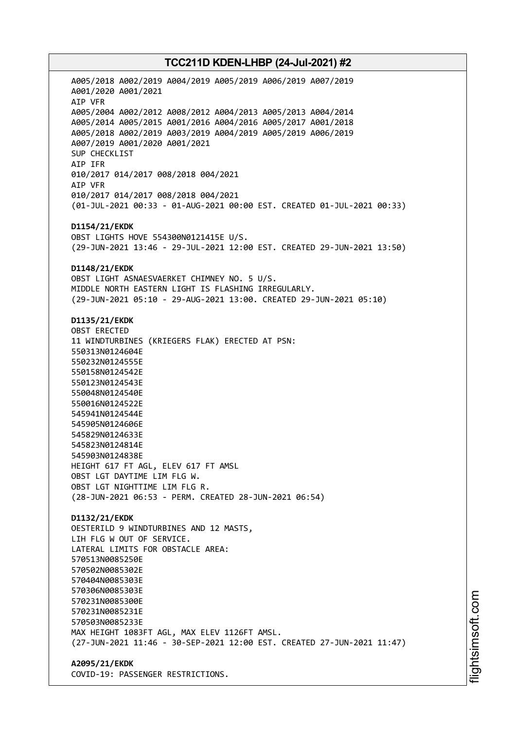A005/2018 A002/2019 A004/2019 A005/2019 A006/2019 A007/2019 A001/2020 A001/2021 AIP VFR A005/2004 A002/2012 A008/2012 A004/2013 A005/2013 A004/2014 A005/2014 A005/2015 A001/2016 A004/2016 A005/2017 A001/2018 A005/2018 A002/2019 A003/2019 A004/2019 A005/2019 A006/2019 A007/2019 A001/2020 A001/2021 SUP CHECKLIST AIP IFR 010/2017 014/2017 008/2018 004/2021 AIP VFR 010/2017 014/2017 008/2018 004/2021 (01-JUL-2021 00:33 - 01-AUG-2021 00:00 EST. CREATED 01-JUL-2021 00:33) **D1154/21/EKDK** OBST LIGHTS HOVE 554300N0121415E U/S. (29-JUN-2021 13:46 - 29-JUL-2021 12:00 EST. CREATED 29-JUN-2021 13:50) **D1148/21/EKDK** OBST LIGHT ASNAESVAERKET CHIMNEY NO. 5 U/S. MIDDLE NORTH EASTERN LIGHT IS FLASHING IRREGULARLY. (29-JUN-2021 05:10 - 29-AUG-2021 13:00. CREATED 29-JUN-2021 05:10) **D1135/21/EKDK** OBST ERECTED 11 WINDTURBINES (KRIEGERS FLAK) ERECTED AT PSN: 550313N0124604E 550232N0124555E 550158N0124542E 550123N0124543E 550048N0124540E 550016N0124522E 545941N0124544E 545905N0124606E 545829N0124633E 545823N0124814E 545903N0124838E HEIGHT 617 FT AGL, ELEV 617 FT AMSL OBST LGT DAYTIME LIM FLG W. OBST LGT NIGHTTIME LIM FLG R. (28-JUN-2021 06:53 - PERM. CREATED 28-JUN-2021 06:54) **D1132/21/EKDK** OESTERILD 9 WINDTURBINES AND 12 MASTS, LIH FLG W OUT OF SERVICE. LATERAL LIMITS FOR OBSTACLE AREA: 570513N0085250E 570502N0085302E 570404N0085303E 570306N0085303E 570231N0085300E 570231N0085231E 570503N0085233E MAX HEIGHT 1083FT AGL, MAX ELEV 1126FT AMSL. (27-JUN-2021 11:46 - 30-SEP-2021 12:00 EST. CREATED 27-JUN-2021 11:47)

**A2095/21/EKDK** COVID-19: PASSENGER RESTRICTIONS.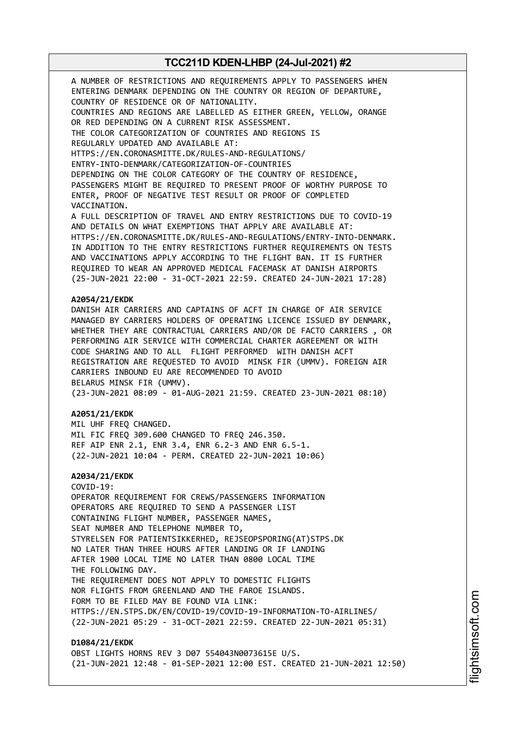A NUMBER OF RESTRICTIONS AND REQUIREMENTS APPLY TO PASSENGERS WHEN ENTERING DENMARK DEPENDING ON THE COUNTRY OR REGION OF DEPARTURE, COUNTRY OF RESIDENCE OR OF NATIONALITY. COUNTRIES AND REGIONS ARE LABELLED AS EITHER GREEN, YELLOW, ORANGE OR RED DEPENDING ON A CURRENT RISK ASSESSMENT. THE COLOR CATEGORIZATION OF COUNTRIES AND REGIONS IS REGULARLY UPDATED AND AVAILABLE AT: HTTPS://EN.CORONASMITTE.DK/RULES-AND-REGULATIONS/ ENTRY-INTO-DENMARK/CATEGORIZATION-OF-COUNTRIES DEPENDING ON THE COLOR CATEGORY OF THE COUNTRY OF RESIDENCE, PASSENGERS MIGHT BE REQUIRED TO PRESENT PROOF OF WORTHY PURPOSE TO ENTER, PROOF OF NEGATIVE TEST RESULT OR PROOF OF COMPLETED VACCINATION. A FULL DESCRIPTION OF TRAVEL AND ENTRY RESTRICTIONS DUE TO COVID-19 AND DETAILS ON WHAT EXEMPTIONS THAT APPLY ARE AVAILABLE AT: HTTPS://EN.CORONASMITTE.DK/RULES-AND-REGULATIONS/ENTRY-INTO-DENMARK. IN ADDITION TO THE ENTRY RESTRICTIONS FURTHER REQUIREMENTS ON TESTS AND VACCINATIONS APPLY ACCORDING TO THE FLIGHT BAN. IT IS FURTHER REQUIRED TO WEAR AN APPROVED MEDICAL FACEMASK AT DANISH AIRPORTS (25-JUN-2021 22:00 - 31-OCT-2021 22:59. CREATED 24-JUN-2021 17:28) **A2054/21/EKDK** DANISH AIR CARRIERS AND CAPTAINS OF ACFT IN CHARGE OF AIR SERVICE MANAGED BY CARRIERS HOLDERS OF OPERATING LICENCE ISSUED BY DENMARK, WHETHER THEY ARE CONTRACTUAL CARRIERS AND/OR DE FACTO CARRIERS , OR PERFORMING AIR SERVICE WITH COMMERCIAL CHARTER AGREEMENT OR WITH CODE SHARING AND TO ALL FLIGHT PERFORMED WITH DANISH ACFT REGISTRATION ARE REQUESTED TO AVOID MINSK FIR (UMMV). FOREIGN AIR CARRIERS INBOUND EU ARE RECOMMENDED TO AVOID BELARUS MINSK FIR (UMMV). (23-JUN-2021 08:09 - 01-AUG-2021 21:59. CREATED 23-JUN-2021 08:10) **A2051/21/EKDK** MIL UHF FREQ CHANGED. MIL FIC FREQ 309.600 CHANGED TO FREQ 246.350. REF AIP ENR 2.1, ENR 3.4, ENR 6.2-3 AND ENR 6.5-1. (22-JUN-2021 10:04 - PERM. CREATED 22-JUN-2021 10:06) **A2034/21/EKDK** COVID-19: OPERATOR REQUIREMENT FOR CREWS/PASSENGERS INFORMATION OPERATORS ARE REQUIRED TO SEND A PASSENGER LIST CONTAINING FLIGHT NUMBER, PASSENGER NAMES, SEAT NUMBER AND TELEPHONE NUMBER TO, STYRELSEN FOR PATIENTSIKKERHED, REJSEOPSPORING(AT)STPS.DK NO LATER THAN THREE HOURS AFTER LANDING OR IF LANDING AFTER 1900 LOCAL TIME NO LATER THAN 0800 LOCAL TIME THE FOLLOWING DAY. THE REQUIREMENT DOES NOT APPLY TO DOMESTIC FLIGHTS NOR FLIGHTS FROM GREENLAND AND THE FAROE ISLANDS. FORM TO BE FILED MAY BE FOUND VIA LINK: HTTPS://EN.STPS.DK/EN/COVID-19/COVID-19-INFORMATION-TO-AIRLINES/ (22-JUN-2021 05:29 - 31-OCT-2021 22:59. CREATED 22-JUN-2021 05:31) **D1084/21/EKDK**

OBST LIGHTS HORNS REV 3 D07 554043N0073615E U/S. (21-JUN-2021 12:48 - 01-SEP-2021 12:00 EST. CREATED 21-JUN-2021 12:50)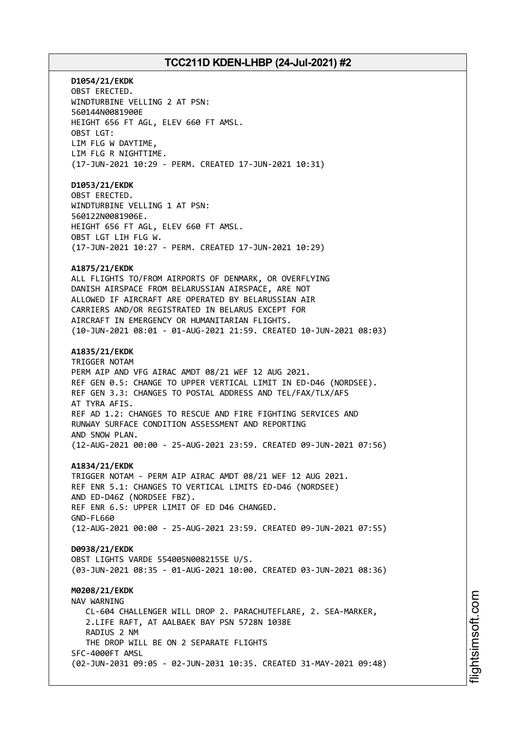**D1054/21/EKDK** OBST ERECTED. WINDTURBINE VELLING 2 AT PSN: 560144N0081900E HEIGHT 656 FT AGL, ELEV 660 FT AMSL. OBST LGT: LIM FLG W DAYTIME, LIM FLG R NIGHTTIME. (17-JUN-2021 10:29 - PERM. CREATED 17-JUN-2021 10:31) **D1053/21/EKDK** OBST ERECTED. WINDTURBINE VELLING 1 AT PSN: 560122N0081906E. HEIGHT 656 FT AGL, ELEV 660 FT AMSL. OBST LGT LIH FLG W. (17-JUN-2021 10:27 - PERM. CREATED 17-JUN-2021 10:29) **A1875/21/EKDK** ALL FLIGHTS TO/FROM AIRPORTS OF DENMARK, OR OVERFLYING DANISH AIRSPACE FROM BELARUSSIAN AIRSPACE, ARE NOT ALLOWED IF AIRCRAFT ARE OPERATED BY BELARUSSIAN AIR CARRIERS AND/OR REGISTRATED IN BELARUS EXCEPT FOR AIRCRAFT IN EMERGENCY OR HUMANITARIAN FLIGHTS. (10-JUN-2021 08:01 - 01-AUG-2021 21:59. CREATED 10-JUN-2021 08:03) **A1835/21/EKDK** TRIGGER NOTAM PERM AIP AND VFG AIRAC AMDT 08/21 WEF 12 AUG 2021. REF GEN 0.5: CHANGE TO UPPER VERTICAL LIMIT IN ED-D46 (NORDSEE). REF GEN 3.3: CHANGES TO POSTAL ADDRESS AND TEL/FAX/TLX/AFS AT TYRA AFIS. REF AD 1.2: CHANGES TO RESCUE AND FIRE FIGHTING SERVICES AND RUNWAY SURFACE CONDITION ASSESSMENT AND REPORTING AND SNOW PLAN. (12-AUG-2021 00:00 - 25-AUG-2021 23:59. CREATED 09-JUN-2021 07:56) **A1834/21/EKDK** TRIGGER NOTAM - PERM AIP AIRAC AMDT 08/21 WEF 12 AUG 2021. REF ENR 5.1: CHANGES TO VERTICAL LIMITS ED-D46 (NORDSEE) AND ED-D46Z (NORDSEE FBZ). REF ENR 6.5: UPPER LIMIT OF ED D46 CHANGED. GND-FL660 (12-AUG-2021 00:00 - 25-AUG-2021 23:59. CREATED 09-JUN-2021 07:55) **D0938/21/EKDK** OBST LIGHTS VARDE 554005N0082155E U/S. (03-JUN-2021 08:35 - 01-AUG-2021 10:00. CREATED 03-JUN-2021 08:36) **M0208/21/EKDK** NAV WARNING CL-604 CHALLENGER WILL DROP 2. PARACHUTEFLARE, 2. SEA-MARKER, 2.LIFE RAFT, AT AALBAEK BAY PSN 5728N 1038E RADIUS 2 NM THE DROP WILL BE ON 2 SEPARATE FLIGHTS SFC-4000FT AMSL (02-JUN-2031 09:05 - 02-JUN-2031 10:35. CREATED 31-MAY-2021 09:48)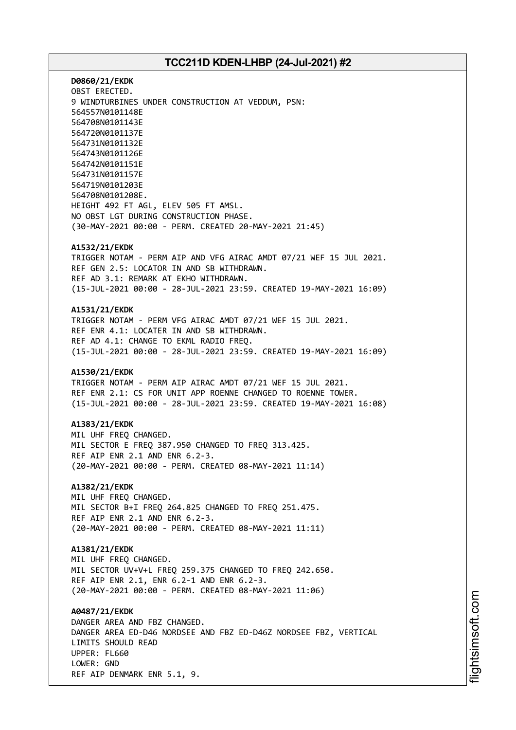**D0860/21/EKDK** OBST ERECTED. 9 WINDTURBINES UNDER CONSTRUCTION AT VEDDUM, PSN: 564557N0101148E 564708N0101143E 564720N0101137E 564731N0101132E 564743N0101126E 564742N0101151E 564731N0101157E 564719N0101203E 564708N0101208E. HEIGHT 492 FT AGL, ELEV 505 FT AMSL. NO OBST LGT DURING CONSTRUCTION PHASE. (30-MAY-2021 00:00 - PERM. CREATED 20-MAY-2021 21:45)

#### **A1532/21/EKDK**

TRIGGER NOTAM - PERM AIP AND VFG AIRAC AMDT 07/21 WEF 15 JUL 2021. REF GEN 2.5: LOCATOR IN AND SB WITHDRAWN. REF AD 3.1: REMARK AT EKHO WITHDRAWN. (15-JUL-2021 00:00 - 28-JUL-2021 23:59. CREATED 19-MAY-2021 16:09)

#### **A1531/21/EKDK**

TRIGGER NOTAM - PERM VFG AIRAC AMDT 07/21 WEF 15 JUL 2021. REF ENR 4.1: LOCATER IN AND SB WITHDRAWN. REF AD 4.1: CHANGE TO EKML RADIO FREQ. (15-JUL-2021 00:00 - 28-JUL-2021 23:59. CREATED 19-MAY-2021 16:09)

#### **A1530/21/EKDK**

TRIGGER NOTAM - PERM AIP AIRAC AMDT 07/21 WEF 15 JUL 2021. REF ENR 2.1: CS FOR UNIT APP ROENNE CHANGED TO ROENNE TOWER. (15-JUL-2021 00:00 - 28-JUL-2021 23:59. CREATED 19-MAY-2021 16:08)

#### **A1383/21/EKDK**

MIL UHF FREQ CHANGED. MIL SECTOR E FREO 387.950 CHANGED TO FREO 313.425. REF AIP ENR 2.1 AND ENR 6.2-3. (20-MAY-2021 00:00 - PERM. CREATED 08-MAY-2021 11:14)

### **A1382/21/EKDK**

MIL UHF FREQ CHANGED. MIL SECTOR B+I FREQ 264.825 CHANGED TO FREQ 251.475. REF AIP ENR 2.1 AND ENR 6.2-3. (20-MAY-2021 00:00 - PERM. CREATED 08-MAY-2021 11:11)

#### **A1381/21/EKDK**

MIL UHF FREQ CHANGED. MIL SECTOR UV+V+L FREQ 259.375 CHANGED TO FREQ 242.650. REF AIP ENR 2.1, ENR 6.2-1 AND ENR 6.2-3. (20-MAY-2021 00:00 - PERM. CREATED 08-MAY-2021 11:06)

**A0487/21/EKDK** DANGER AREA AND FBZ CHANGED. DANGER AREA ED-D46 NORDSEE AND FBZ ED-D46Z NORDSEE FBZ, VERTICAL LIMITS SHOULD READ UPPER: FL660 LOWER: GND REF AIP DENMARK ENR 5.1, 9.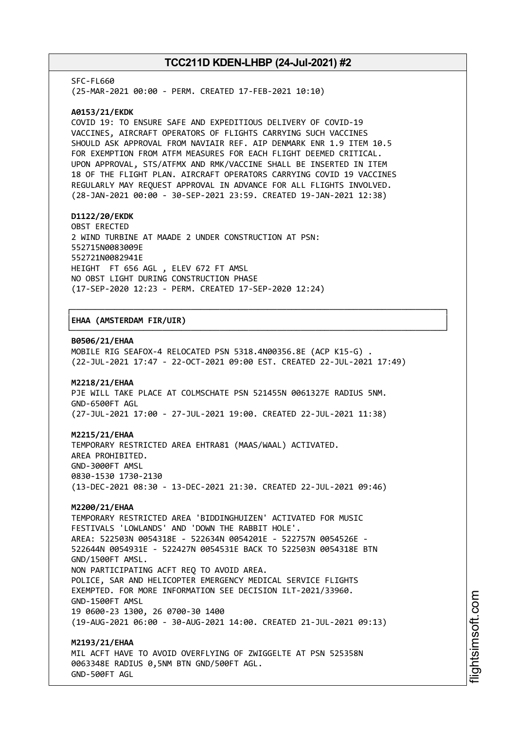SFC-FL660

(25-MAR-2021 00:00 - PERM. CREATED 17-FEB-2021 10:10)

#### **A0153/21/EKDK**

COVID 19: TO ENSURE SAFE AND EXPEDITIOUS DELIVERY OF COVID-19 VACCINES, AIRCRAFT OPERATORS OF FLIGHTS CARRYING SUCH VACCINES SHOULD ASK APPROVAL FROM NAVIAIR REF. AIP DENMARK ENR 1.9 ITEM 10.5 FOR EXEMPTION FROM ATFM MEASURES FOR EACH FLIGHT DEEMED CRITICAL. UPON APPROVAL, STS/ATFMX AND RMK/VACCINE SHALL BE INSERTED IN ITEM 18 OF THE FLIGHT PLAN. AIRCRAFT OPERATORS CARRYING COVID 19 VACCINES REGULARLY MAY REQUEST APPROVAL IN ADVANCE FOR ALL FLIGHTS INVOLVED. (28-JAN-2021 00:00 - 30-SEP-2021 23:59. CREATED 19-JAN-2021 12:38)

#### **D1122/20/EKDK**

OBST ERECTED 2 WIND TURBINE AT MAADE 2 UNDER CONSTRUCTION AT PSN: 552715N0083009E 552721N0082941E HEIGHT FT 656 AGL , ELEV 672 FT AMSL NO OBST LIGHT DURING CONSTRUCTION PHASE (17-SEP-2020 12:23 - PERM. CREATED 17-SEP-2020 12:24)

#### │**EHAA (AMSTERDAM FIR/UIR)** │

#### **B0506/21/EHAA**

MOBILE RIG SEAFOX-4 RELOCATED PSN 5318.4N00356.8E (ACP K15-G) . (22-JUL-2021 17:47 - 22-OCT-2021 09:00 EST. CREATED 22-JUL-2021 17:49)

┌──────────────────────────────────────────────────────────────────────────────┐

└──────────────────────────────────────────────────────────────────────────────┘

#### **M2218/21/EHAA**

PJE WILL TAKE PLACE AT COLMSCHATE PSN 521455N 0061327E RADIUS 5NM. GND-6500FT AGL (27-JUL-2021 17:00 - 27-JUL-2021 19:00. CREATED 22-JUL-2021 11:38)

#### **M2215/21/EHAA**

TEMPORARY RESTRICTED AREA EHTRA81 (MAAS/WAAL) ACTIVATED. AREA PROHIBITED. GND-3000FT AMSL 0830-1530 1730-2130 (13-DEC-2021 08:30 - 13-DEC-2021 21:30. CREATED 22-JUL-2021 09:46)

#### **M2200/21/EHAA**

TEMPORARY RESTRICTED AREA 'BIDDINGHUIZEN' ACTIVATED FOR MUSIC FESTIVALS 'LOWLANDS' AND 'DOWN THE RABBIT HOLE'. AREA: 522503N 0054318E - 522634N 0054201E - 522757N 0054526E - 522644N 0054931E - 522427N 0054531E BACK TO 522503N 0054318E BTN GND/1500FT AMSL. NON PARTICIPATING ACFT REQ TO AVOID AREA. POLICE, SAR AND HELICOPTER EMERGENCY MEDICAL SERVICE FLIGHTS EXEMPTED. FOR MORE INFORMATION SEE DECISION ILT-2021/33960. GND-1500FT AMSL 19 0600-23 1300, 26 0700-30 1400 (19-AUG-2021 06:00 - 30-AUG-2021 14:00. CREATED 21-JUL-2021 09:13) **M2193/21/EHAA**

MIL ACFT HAVE TO AVOID OVERFLYING OF ZWIGGELTE AT PSN 525358N 0063348E RADIUS 0,5NM BTN GND/500FT AGL. GND-500FT AGL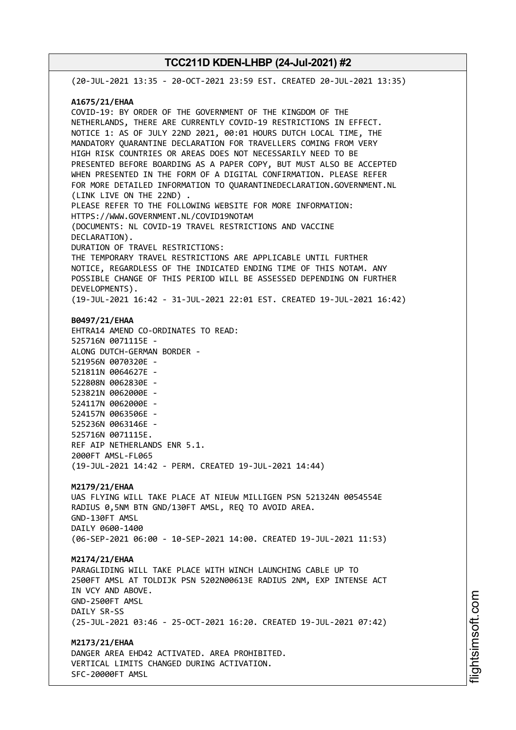(20-JUL-2021 13:35 - 20-OCT-2021 23:59 EST. CREATED 20-JUL-2021 13:35) **A1675/21/EHAA** COVID-19: BY ORDER OF THE GOVERNMENT OF THE KINGDOM OF THE NETHERLANDS, THERE ARE CURRENTLY COVID-19 RESTRICTIONS IN EFFECT. NOTICE 1: AS OF JULY 22ND 2021, 00:01 HOURS DUTCH LOCAL TIME, THE MANDATORY QUARANTINE DECLARATION FOR TRAVELLERS COMING FROM VERY HIGH RISK COUNTRIES OR AREAS DOES NOT NECESSARILY NEED TO BE PRESENTED BEFORE BOARDING AS A PAPER COPY, BUT MUST ALSO BE ACCEPTED WHEN PRESENTED IN THE FORM OF A DIGITAL CONFIRMATION. PLEASE REFER FOR MORE DETAILED INFORMATION TO QUARANTINEDECLARATION.GOVERNMENT.NL (LINK LIVE ON THE 22ND) . PLEASE REFER TO THE FOLLOWING WEBSITE FOR MORE INFORMATION: HTTPS://WWW.GOVERNMENT.NL/COVID19NOTAM (DOCUMENTS: NL COVID-19 TRAVEL RESTRICTIONS AND VACCINE DECLARATION). DURATION OF TRAVEL RESTRICTIONS: THE TEMPORARY TRAVEL RESTRICTIONS ARE APPLICABLE UNTIL FURTHER NOTICE, REGARDLESS OF THE INDICATED ENDING TIME OF THIS NOTAM. ANY POSSIBLE CHANGE OF THIS PERIOD WILL BE ASSESSED DEPENDING ON FURTHER DEVELOPMENTS). (19-JUL-2021 16:42 - 31-JUL-2021 22:01 EST. CREATED 19-JUL-2021 16:42) **B0497/21/EHAA** EHTRA14 AMEND CO-ORDINATES TO READ: 525716N 0071115E - ALONG DUTCH-GERMAN BORDER - 521956N 0070320E - 521811N 0064627E - 522808N 0062830E - 523821N 0062000E - 524117N 0062000E - 524157N 0063506E - 525236N 0063146E - 525716N 0071115E. REF AIP NETHERLANDS ENR 5.1. 2000FT AMSL-FL065 (19-JUL-2021 14:42 - PERM. CREATED 19-JUL-2021 14:44) **M2179/21/EHAA** UAS FLYING WILL TAKE PLACE AT NIEUW MILLIGEN PSN 521324N 0054554E RADIUS 0,5NM BTN GND/130FT AMSL, REQ TO AVOID AREA. GND-130FT AMSL DAILY 0600-1400 (06-SEP-2021 06:00 - 10-SEP-2021 14:00. CREATED 19-JUL-2021 11:53) **M2174/21/EHAA** PARAGLIDING WILL TAKE PLACE WITH WINCH LAUNCHING CABLE UP TO 2500FT AMSL AT TOLDIJK PSN 5202N00613E RADIUS 2NM, EXP INTENSE ACT IN VCY AND ABOVE. GND-2500FT AMSL DATLY SR-SS (25-JUL-2021 03:46 - 25-OCT-2021 16:20. CREATED 19-JUL-2021 07:42) **M2173/21/EHAA** DANGER AREA EHD42 ACTIVATED. AREA PROHIBITED. VERTICAL LIMITS CHANGED DURING ACTIVATION. SFC-20000FT AMSL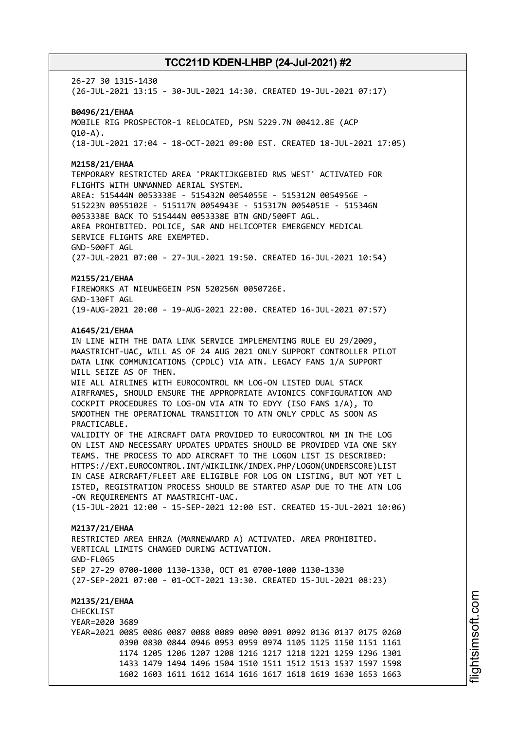26-27 30 1315-1430 (26-JUL-2021 13:15 - 30-JUL-2021 14:30. CREATED 19-JUL-2021 07:17)

**B0496/21/EHAA** MOBILE RIG PROSPECTOR-1 RELOCATED, PSN 5229.7N 00412.8E (ACP  $010 - A$ ). (18-JUL-2021 17:04 - 18-OCT-2021 09:00 EST. CREATED 18-JUL-2021 17:05)

**M2158/21/EHAA**

TEMPORARY RESTRICTED AREA 'PRAKTIJKGEBIED RWS WEST' ACTIVATED FOR FLIGHTS WITH UNMANNED AERIAL SYSTEM. AREA: 515444N 0053338E - 515432N 0054055E - 515312N 0054956E - 515223N 0055102E - 515117N 0054943E - 515317N 0054051E - 515346N 0053338E BACK TO 515444N 0053338E BTN GND/500FT AGL. AREA PROHIBITED. POLICE, SAR AND HELICOPTER EMERGENCY MEDICAL SERVICE FLIGHTS ARE EXEMPTED. GND-500FT AGL

(27-JUL-2021 07:00 - 27-JUL-2021 19:50. CREATED 16-JUL-2021 10:54)

#### **M2155/21/EHAA**

FIREWORKS AT NIEUWEGEIN PSN 520256N 0050726E. GND-130FT AGL (19-AUG-2021 20:00 - 19-AUG-2021 22:00. CREATED 16-JUL-2021 07:57)

#### **A1645/21/EHAA**

IN LINE WITH THE DATA LINK SERVICE IMPLEMENTING RULE EU 29/2009, MAASTRICHT-UAC, WILL AS OF 24 AUG 2021 ONLY SUPPORT CONTROLLER PILOT DATA LINK COMMUNICATIONS (CPDLC) VIA ATN. LEGACY FANS 1/A SUPPORT WILL SEIZE AS OF THEN.

WIE ALL AIRLINES WITH EUROCONTROL NM LOG-ON LISTED DUAL STACK AIRFRAMES, SHOULD ENSURE THE APPROPRIATE AVIONICS CONFIGURATION AND COCKPIT PROCEDURES TO LOG-ON VIA ATN TO EDYY (ISO FANS 1/A), TO SMOOTHEN THE OPERATIONAL TRANSITION TO ATN ONLY CPDLC AS SOON AS PRACTICABLE.

VALIDITY OF THE AIRCRAFT DATA PROVIDED TO EUROCONTROL NM IN THE LOG ON LIST AND NECESSARY UPDATES UPDATES SHOULD BE PROVIDED VIA ONE SKY TEAMS. THE PROCESS TO ADD AIRCRAFT TO THE LOGON LIST IS DESCRIBED: HTTPS://EXT.EUROCONTROL.INT/WIKILINK/INDEX.PHP/LOGON(UNDERSCORE)LIST IN CASE AIRCRAFT/FLEET ARE ELIGIBLE FOR LOG ON LISTING, BUT NOT YET L ISTED, REGISTRATION PROCESS SHOULD BE STARTED ASAP DUE TO THE ATN LOG -ON REQUIREMENTS AT MAASTRICHT-UAC.

(15-JUL-2021 12:00 - 15-SEP-2021 12:00 EST. CREATED 15-JUL-2021 10:06)

#### **M2137/21/EHAA**

RESTRICTED AREA EHR2A (MARNEWAARD A) ACTIVATED. AREA PROHIBITED. VERTICAL LIMITS CHANGED DURING ACTIVATION. GND-FL065 SEP 27-29 0700-1000 1130-1330, OCT 01 0700-1000 1130-1330 (27-SEP-2021 07:00 - 01-OCT-2021 13:30. CREATED 15-JUL-2021 08:23)

**M2135/21/EHAA CHECKLIST** YEAR=2020 3689 YEAR=2021 0085 0086 0087 0088 0089 0090 0091 0092 0136 0137 0175 0260 0390 0830 0844 0946 0953 0959 0974 1105 1125 1150 1151 1161 1174 1205 1206 1207 1208 1216 1217 1218 1221 1259 1296 1301 1433 1479 1494 1496 1504 1510 1511 1512 1513 1537 1597 1598 1602 1603 1611 1612 1614 1616 1617 1618 1619 1630 1653 1663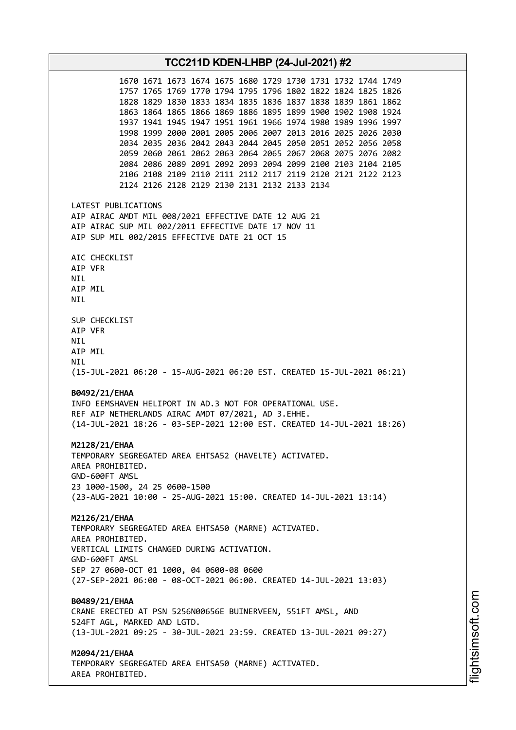**TCC211D KDEN-LHBP (24-Jul-2021) #2** 1670 1671 1673 1674 1675 1680 1729 1730 1731 1732 1744 1749 1757 1765 1769 1770 1794 1795 1796 1802 1822 1824 1825 1826 1828 1829 1830 1833 1834 1835 1836 1837 1838 1839 1861 1862 1863 1864 1865 1866 1869 1886 1895 1899 1900 1902 1908 1924 1937 1941 1945 1947 1951 1961 1966 1974 1980 1989 1996 1997 1998 1999 2000 2001 2005 2006 2007 2013 2016 2025 2026 2030 2034 2035 2036 2042 2043 2044 2045 2050 2051 2052 2056 2058 2059 2060 2061 2062 2063 2064 2065 2067 2068 2075 2076 2082 2084 2086 2089 2091 2092 2093 2094 2099 2100 2103 2104 2105 2106 2108 2109 2110 2111 2112 2117 2119 2120 2121 2122 2123 2124 2126 2128 2129 2130 2131 2132 2133 2134 LATEST PUBLICATIONS AIP AIRAC AMDT MIL 008/2021 EFFECTIVE DATE 12 AUG 21 AIP AIRAC SUP MIL 002/2011 EFFECTIVE DATE 17 NOV 11 AIP SUP MIL 002/2015 EFFECTIVE DATE 21 OCT 15 AIC CHECKLIST AIP VFR NIL AIP MIL NIL SUP CHECKLIST AIP VFR NIL AIP MIL NIL (15-JUL-2021 06:20 - 15-AUG-2021 06:20 EST. CREATED 15-JUL-2021 06:21) **B0492/21/EHAA** INFO EEMSHAVEN HELIPORT IN AD.3 NOT FOR OPERATIONAL USE. REF AIP NETHERLANDS AIRAC AMDT 07/2021, AD 3.EHHE. (14-JUL-2021 18:26 - 03-SEP-2021 12:00 EST. CREATED 14-JUL-2021 18:26) **M2128/21/EHAA** TEMPORARY SEGREGATED AREA EHTSA52 (HAVELTE) ACTIVATED. AREA PROHIBITED. GND-600FT AMSL 23 1000-1500, 24 25 0600-1500 (23-AUG-2021 10:00 - 25-AUG-2021 15:00. CREATED 14-JUL-2021 13:14) **M2126/21/EHAA** TEMPORARY SEGREGATED AREA EHTSA50 (MARNE) ACTIVATED. AREA PROHIBITED. VERTICAL LIMITS CHANGED DURING ACTIVATION. GND-600FT AMSL SEP 27 0600-OCT 01 1000, 04 0600-08 0600 (27-SEP-2021 06:00 - 08-OCT-2021 06:00. CREATED 14-JUL-2021 13:03) **B0489/21/EHAA** CRANE ERECTED AT PSN 5256N00656E BUINERVEEN, 551FT AMSL, AND 524FT AGL, MARKED AND LGTD. (13-JUL-2021 09:25 - 30-JUL-2021 23:59. CREATED 13-JUL-2021 09:27) **M2094/21/EHAA** TEMPORARY SEGREGATED AREA EHTSA50 (MARNE) ACTIVATED. AREA PROHIBITED.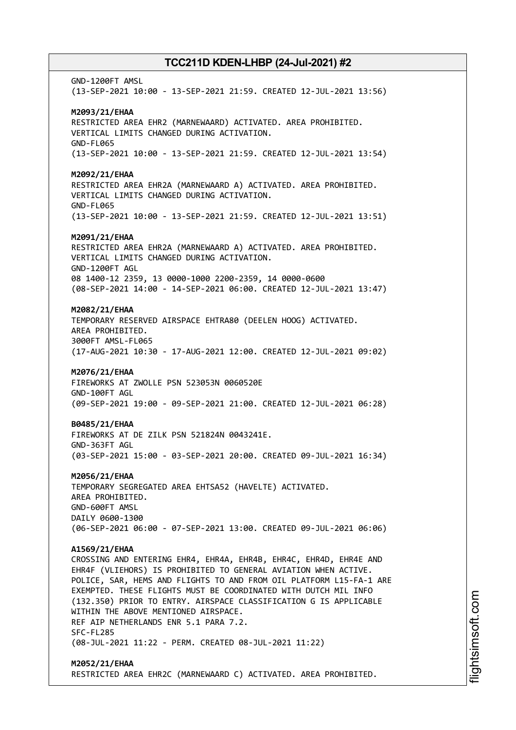GND-1200FT AMSL (13-SEP-2021 10:00 - 13-SEP-2021 21:59. CREATED 12-JUL-2021 13:56) **M2093/21/EHAA** RESTRICTED AREA EHR2 (MARNEWAARD) ACTIVATED. AREA PROHIBITED. VERTICAL LIMITS CHANGED DURING ACTIVATION. GND-FL065 (13-SEP-2021 10:00 - 13-SEP-2021 21:59. CREATED 12-JUL-2021 13:54) **M2092/21/EHAA** RESTRICTED AREA EHR2A (MARNEWAARD A) ACTIVATED. AREA PROHIBITED. VERTICAL LIMITS CHANGED DURING ACTIVATION. GND-FL065 (13-SEP-2021 10:00 - 13-SEP-2021 21:59. CREATED 12-JUL-2021 13:51) **M2091/21/EHAA** RESTRICTED AREA EHR2A (MARNEWAARD A) ACTIVATED. AREA PROHIBITED. VERTICAL LIMITS CHANGED DURING ACTIVATION. GND-1200FT AGL 08 1400-12 2359, 13 0000-1000 2200-2359, 14 0000-0600 (08-SEP-2021 14:00 - 14-SEP-2021 06:00. CREATED 12-JUL-2021 13:47) **M2082/21/EHAA** TEMPORARY RESERVED AIRSPACE EHTRA80 (DEELEN HOOG) ACTIVATED. AREA PROHIBITED. 3000FT AMSL-FL065 (17-AUG-2021 10:30 - 17-AUG-2021 12:00. CREATED 12-JUL-2021 09:02) **M2076/21/EHAA** FIREWORKS AT ZWOLLE PSN 523053N 0060520E GND-100FT AGL (09-SEP-2021 19:00 - 09-SEP-2021 21:00. CREATED 12-JUL-2021 06:28) **B0485/21/EHAA** FIREWORKS AT DE ZILK PSN 521824N 0043241E. GND-363FT AGL (03-SEP-2021 15:00 - 03-SEP-2021 20:00. CREATED 09-JUL-2021 16:34) **M2056/21/EHAA** TEMPORARY SEGREGATED AREA EHTSA52 (HAVELTE) ACTIVATED. AREA PROHIBITED. GND-600FT AMSL DAILY 0600-1300 (06-SEP-2021 06:00 - 07-SEP-2021 13:00. CREATED 09-JUL-2021 06:06) **A1569/21/EHAA** CROSSING AND ENTERING EHR4, EHR4A, EHR4B, EHR4C, EHR4D, EHR4E AND EHR4F (VLIEHORS) IS PROHIBITED TO GENERAL AVIATION WHEN ACTIVE. POLICE, SAR, HEMS AND FLIGHTS TO AND FROM OIL PLATFORM L15-FA-1 ARE EXEMPTED. THESE FLIGHTS MUST BE COORDINATED WITH DUTCH MIL INFO (132.350) PRIOR TO ENTRY. AIRSPACE CLASSIFICATION G IS APPLICABLE WITHIN THE ABOVE MENTIONED AIRSPACE. REF AIP NETHERLANDS ENR 5.1 PARA 7.2. SFC-FL285 (08-JUL-2021 11:22 - PERM. CREATED 08-JUL-2021 11:22) **M2052/21/EHAA** RESTRICTED AREA EHR2C (MARNEWAARD C) ACTIVATED. AREA PROHIBITED.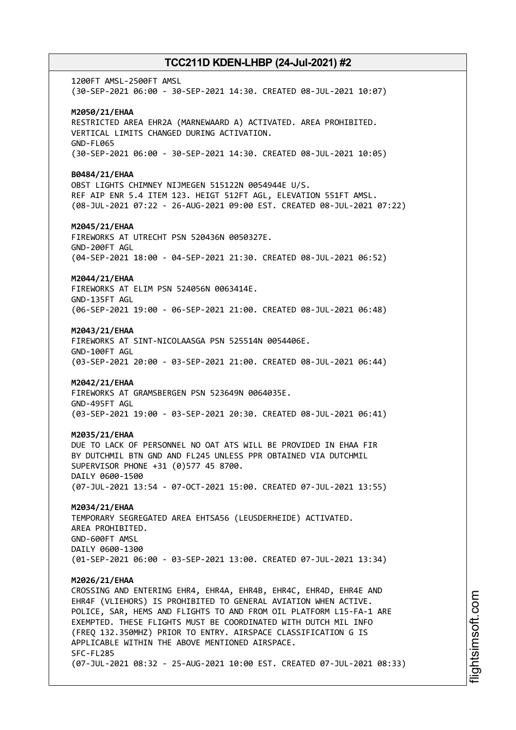1200FT AMSL-2500FT AMSL (30-SEP-2021 06:00 - 30-SEP-2021 14:30. CREATED 08-JUL-2021 10:07) **M2050/21/EHAA** RESTRICTED AREA EHR2A (MARNEWAARD A) ACTIVATED. AREA PROHIBITED. VERTICAL LIMITS CHANGED DURING ACTIVATION. GND-FL065 (30-SEP-2021 06:00 - 30-SEP-2021 14:30. CREATED 08-JUL-2021 10:05) **B0484/21/EHAA** OBST LIGHTS CHIMNEY NIJMEGEN 515122N 0054944E U/S. REF AIP ENR 5.4 ITEM 123. HEIGT 512FT AGL, ELEVATION 551FT AMSL. (08-JUL-2021 07:22 - 26-AUG-2021 09:00 EST. CREATED 08-JUL-2021 07:22) **M2045/21/EHAA** FIREWORKS AT UTRECHT PSN 520436N 0050327E. GND-200FT AGL (04-SEP-2021 18:00 - 04-SEP-2021 21:30. CREATED 08-JUL-2021 06:52) **M2044/21/EHAA** FIREWORKS AT ELIM PSN 524056N 0063414E. GND-135FT AGL (06-SEP-2021 19:00 - 06-SEP-2021 21:00. CREATED 08-JUL-2021 06:48) **M2043/21/EHAA** FIREWORKS AT SINT-NICOLAASGA PSN 525514N 0054406E. GND-100FT AGL (03-SEP-2021 20:00 - 03-SEP-2021 21:00. CREATED 08-JUL-2021 06:44) **M2042/21/EHAA** FIREWORKS AT GRAMSBERGEN PSN 523649N 0064035E. GND-495FT AGL (03-SEP-2021 19:00 - 03-SEP-2021 20:30. CREATED 08-JUL-2021 06:41) **M2035/21/EHAA** DUE TO LACK OF PERSONNEL NO OAT ATS WILL BE PROVIDED IN EHAA FIR BY DUTCHMIL BTN GND AND FL245 UNLESS PPR OBTAINED VIA DUTCHMIL SUPERVISOR PHONE +31 (0)577 45 8700. DAILY 0600-1500 (07-JUL-2021 13:54 - 07-OCT-2021 15:00. CREATED 07-JUL-2021 13:55) **M2034/21/EHAA** TEMPORARY SEGREGATED AREA EHTSA56 (LEUSDERHEIDE) ACTIVATED. AREA PROHIBITED. GND-600FT AMSL DAILY 0600-1300 (01-SEP-2021 06:00 - 03-SEP-2021 13:00. CREATED 07-JUL-2021 13:34) **M2026/21/EHAA** CROSSING AND ENTERING EHR4, EHR4A, EHR4B, EHR4C, EHR4D, EHR4E AND EHR4F (VLIEHORS) IS PROHIBITED TO GENERAL AVIATION WHEN ACTIVE. POLICE, SAR, HEMS AND FLIGHTS TO AND FROM OIL PLATFORM L15-FA-1 ARE EXEMPTED. THESE FLIGHTS MUST BE COORDINATED WITH DUTCH MIL INFO (FREQ 132.350MHZ) PRIOR TO ENTRY. AIRSPACE CLASSIFICATION G IS APPLICABLE WITHIN THE ABOVE MENTIONED AIRSPACE. SFC-FL285 (07-JUL-2021 08:32 - 25-AUG-2021 10:00 EST. CREATED 07-JUL-2021 08:33)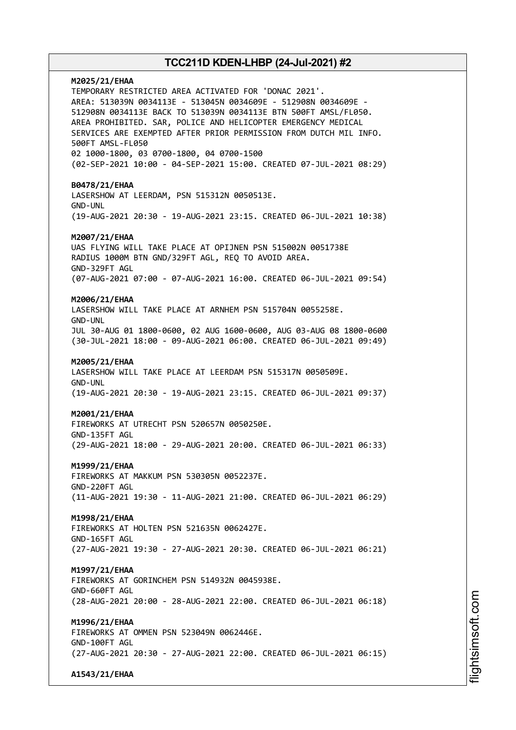# **M2025/21/EHAA** TEMPORARY RESTRICTED AREA ACTIVATED FOR 'DONAC 2021'. AREA: 513039N 0034113E - 513045N 0034609E - 512908N 0034609E - 512908N 0034113E BACK TO 513039N 0034113E BTN 500FT AMSL/FL050. AREA PROHIBITED. SAR, POLICE AND HELICOPTER EMERGENCY MEDICAL SERVICES ARE EXEMPTED AFTER PRIOR PERMISSION FROM DUTCH MIL INFO. 500FT AMSL-FL050 02 1000-1800, 03 0700-1800, 04 0700-1500 (02-SEP-2021 10:00 - 04-SEP-2021 15:00. CREATED 07-JUL-2021 08:29) **B0478/21/EHAA** LASERSHOW AT LEERDAM, PSN 515312N 0050513E. GND-UNL (19-AUG-2021 20:30 - 19-AUG-2021 23:15. CREATED 06-JUL-2021 10:38) **M2007/21/EHAA** UAS FLYING WILL TAKE PLACE AT OPIJNEN PSN 515002N 0051738E RADIUS 1000M BTN GND/329FT AGL, REQ TO AVOID AREA. GND-329FT AGL (07-AUG-2021 07:00 - 07-AUG-2021 16:00. CREATED 06-JUL-2021 09:54) **M2006/21/EHAA** LASERSHOW WILL TAKE PLACE AT ARNHEM PSN 515704N 0055258E. GND-UNL JUL 30-AUG 01 1800-0600, 02 AUG 1600-0600, AUG 03-AUG 08 1800-0600 (30-JUL-2021 18:00 - 09-AUG-2021 06:00. CREATED 06-JUL-2021 09:49) **M2005/21/EHAA** LASERSHOW WILL TAKE PLACE AT LEERDAM PSN 515317N 0050509E. GND-UNL (19-AUG-2021 20:30 - 19-AUG-2021 23:15. CREATED 06-JUL-2021 09:37) **M2001/21/EHAA** FIREWORKS AT UTRECHT PSN 520657N 0050250E. GND-135FT AGL (29-AUG-2021 18:00 - 29-AUG-2021 20:00. CREATED 06-JUL-2021 06:33) **M1999/21/EHAA** FIREWORKS AT MAKKUM PSN 530305N 0052237E. GND-220FT AGL (11-AUG-2021 19:30 - 11-AUG-2021 21:00. CREATED 06-JUL-2021 06:29) **M1998/21/EHAA** FIREWORKS AT HOLTEN PSN 521635N 0062427E. GND-165FT AGL (27-AUG-2021 19:30 - 27-AUG-2021 20:30. CREATED 06-JUL-2021 06:21) **M1997/21/EHAA** FIREWORKS AT GORINCHEM PSN 514932N 0045938E. GND-660FT AGL (28-AUG-2021 20:00 - 28-AUG-2021 22:00. CREATED 06-JUL-2021 06:18) **M1996/21/EHAA** FIREWORKS AT OMMEN PSN 523049N 0062446E. GND-100FT AGL (27-AUG-2021 20:30 - 27-AUG-2021 22:00. CREATED 06-JUL-2021 06:15)

**A1543/21/EHAA**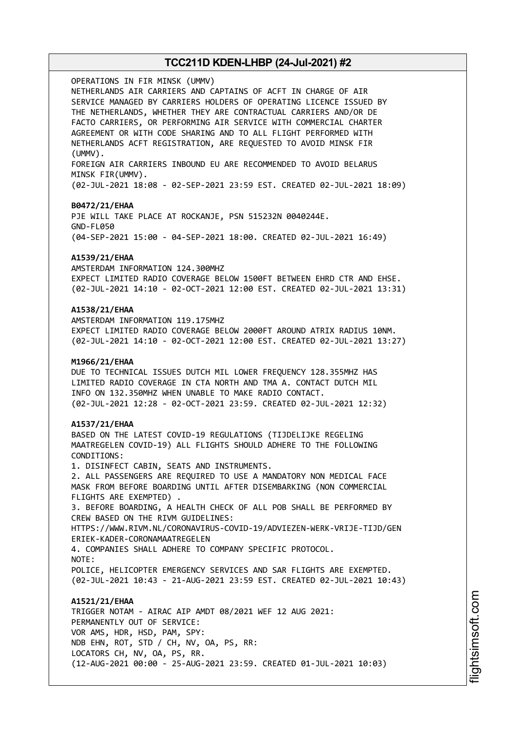OPERATIONS IN FIR MINSK (UMMV) NETHERLANDS AIR CARRIERS AND CAPTAINS OF ACFT IN CHARGE OF AIR SERVICE MANAGED BY CARRIERS HOLDERS OF OPERATING LICENCE ISSUED BY THE NETHERLANDS, WHETHER THEY ARE CONTRACTUAL CARRIERS AND/OR DE FACTO CARRIERS, OR PERFORMING AIR SERVICE WITH COMMERCIAL CHARTER AGREEMENT OR WITH CODE SHARING AND TO ALL FLIGHT PERFORMED WITH NETHERLANDS ACFT REGISTRATION, ARE REQUESTED TO AVOID MINSK FIR (UMMV). FOREIGN AIR CARRIERS INBOUND EU ARE RECOMMENDED TO AVOID BELARUS MINSK FIR(UMMV). (02-JUL-2021 18:08 - 02-SEP-2021 23:59 EST. CREATED 02-JUL-2021 18:09) **B0472/21/EHAA** PJE WILL TAKE PLACE AT ROCKANJE, PSN 515232N 0040244E. GND-FL050 (04-SEP-2021 15:00 - 04-SEP-2021 18:00. CREATED 02-JUL-2021 16:49) **A1539/21/EHAA** AMSTERDAM INFORMATION 124.300MHZ EXPECT LIMITED RADIO COVERAGE BELOW 1500FT BETWEEN EHRD CTR AND EHSE. (02-JUL-2021 14:10 - 02-OCT-2021 12:00 EST. CREATED 02-JUL-2021 13:31) **A1538/21/EHAA** AMSTERDAM INFORMATION 119.175MHZ EXPECT LIMITED RADIO COVERAGE BELOW 2000FT AROUND ATRIX RADIUS 10NM. (02-JUL-2021 14:10 - 02-OCT-2021 12:00 EST. CREATED 02-JUL-2021 13:27) **M1966/21/EHAA** DUE TO TECHNICAL ISSUES DUTCH MIL LOWER FREQUENCY 128.355MHZ HAS LIMITED RADIO COVERAGE IN CTA NORTH AND TMA A. CONTACT DUTCH MIL INFO ON 132.350MHZ WHEN UNABLE TO MAKE RADIO CONTACT. (02-JUL-2021 12:28 - 02-OCT-2021 23:59. CREATED 02-JUL-2021 12:32) **A1537/21/EHAA** BASED ON THE LATEST COVID-19 REGULATIONS (TIJDELIJKE REGELING MAATREGELEN COVID-19) ALL FLIGHTS SHOULD ADHERE TO THE FOLLOWING CONDITIONS: 1. DISINFECT CABIN, SEATS AND INSTRUMENTS. 2. ALL PASSENGERS ARE REQUIRED TO USE A MANDATORY NON MEDICAL FACE MASK FROM BEFORE BOARDING UNTIL AFTER DISEMBARKING (NON COMMERCIAL FLIGHTS ARE EXEMPTED) . 3. BEFORE BOARDING, A HEALTH CHECK OF ALL POB SHALL BE PERFORMED BY CREW BASED ON THE RIVM GUIDELINES: HTTPS://WWW.RIVM.NL/CORONAVIRUS-COVID-19/ADVIEZEN-WERK-VRIJE-TIJD/GEN ERIEK-KADER-CORONAMAATREGELEN 4. COMPANIES SHALL ADHERE TO COMPANY SPECIFIC PROTOCOL. NOTE: POLICE, HELICOPTER EMERGENCY SERVICES AND SAR FLIGHTS ARE EXEMPTED. (02-JUL-2021 10:43 - 21-AUG-2021 23:59 EST. CREATED 02-JUL-2021 10:43) **A1521/21/EHAA** TRIGGER NOTAM - AIRAC AIP AMDT 08/2021 WEF 12 AUG 2021: PERMANENTLY OUT OF SERVICE: VOR AMS, HDR, HSD, PAM, SPY: NDB EHN, ROT, STD / CH, NV, OA, PS, RR: LOCATORS CH, NV, OA, PS, RR. (12-AUG-2021 00:00 - 25-AUG-2021 23:59. CREATED 01-JUL-2021 10:03)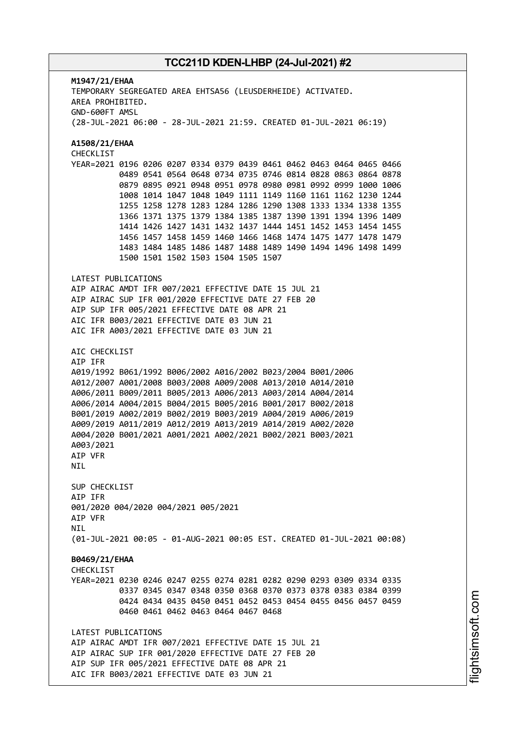**M1947/21/EHAA** TEMPORARY SEGREGATED AREA EHTSA56 (LEUSDERHEIDE) ACTIVATED. AREA PROHIBITED. GND-600FT AMSL (28-JUL-2021 06:00 - 28-JUL-2021 21:59. CREATED 01-JUL-2021 06:19) **A1508/21/EHAA** CHECKLIST YEAR=2021 0196 0206 0207 0334 0379 0439 0461 0462 0463 0464 0465 0466 0489 0541 0564 0648 0734 0735 0746 0814 0828 0863 0864 0878 0879 0895 0921 0948 0951 0978 0980 0981 0992 0999 1000 1006 1008 1014 1047 1048 1049 1111 1149 1160 1161 1162 1230 1244 1255 1258 1278 1283 1284 1286 1290 1308 1333 1334 1338 1355 1366 1371 1375 1379 1384 1385 1387 1390 1391 1394 1396 1409 1414 1426 1427 1431 1432 1437 1444 1451 1452 1453 1454 1455 1456 1457 1458 1459 1460 1466 1468 1474 1475 1477 1478 1479 1483 1484 1485 1486 1487 1488 1489 1490 1494 1496 1498 1499 1500 1501 1502 1503 1504 1505 1507 LATEST PUBLICATIONS AIP AIRAC AMDT IFR 007/2021 EFFECTIVE DATE 15 JUL 21 AIP AIRAC SUP IFR 001/2020 EFFECTIVE DATE 27 FEB 20 AIP SUP IFR 005/2021 EFFECTIVE DATE 08 APR 21 AIC IFR B003/2021 EFFECTIVE DATE 03 JUN 21 AIC IFR A003/2021 EFFECTIVE DATE 03 JUN 21 AIC CHECKLIST AIP IFR A019/1992 B061/1992 B006/2002 A016/2002 B023/2004 B001/2006 A012/2007 A001/2008 B003/2008 A009/2008 A013/2010 A014/2010 A006/2011 B009/2011 B005/2013 A006/2013 A003/2014 A004/2014 A006/2014 A004/2015 B004/2015 B005/2016 B001/2017 B002/2018 B001/2019 A002/2019 B002/2019 B003/2019 A004/2019 A006/2019 A009/2019 A011/2019 A012/2019 A013/2019 A014/2019 A002/2020 A004/2020 B001/2021 A001/2021 A002/2021 B002/2021 B003/2021 A003/2021 AIP VFR NIL SUP CHECKLIST AIP IFR 001/2020 004/2020 004/2021 005/2021 AIP VFR **NTI** (01-JUL-2021 00:05 - 01-AUG-2021 00:05 EST. CREATED 01-JUL-2021 00:08) **B0469/21/EHAA CHECKLIST** YEAR=2021 0230 0246 0247 0255 0274 0281 0282 0290 0293 0309 0334 0335 0337 0345 0347 0348 0350 0368 0370 0373 0378 0383 0384 0399 0424 0434 0435 0450 0451 0452 0453 0454 0455 0456 0457 0459 0460 0461 0462 0463 0464 0467 0468 LATEST PUBLICATIONS AIP AIRAC AMDT IFR 007/2021 EFFECTIVE DATE 15 JUL 21 AIP AIRAC SUP IFR 001/2020 EFFECTIVE DATE 27 FEB 20 AIP SUP IFR 005/2021 EFFECTIVE DATE 08 APR 21 AIC IFR B003/2021 EFFECTIVE DATE 03 JUN 21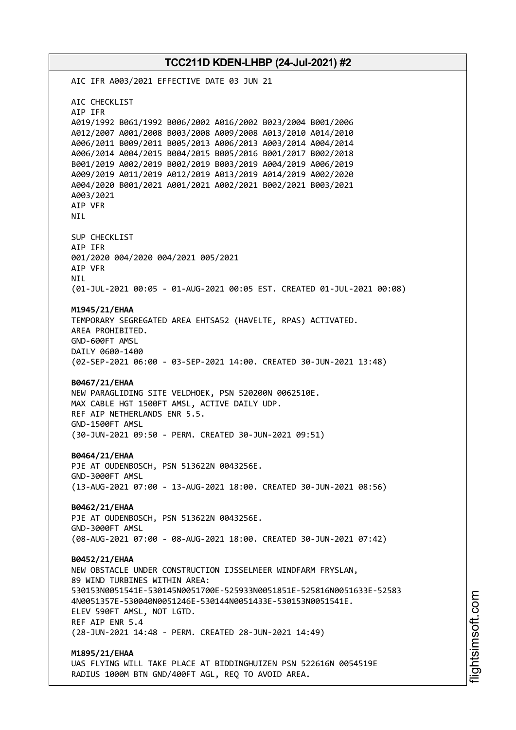AIC IFR A003/2021 EFFECTIVE DATE 03 JUN 21 AIC CHECKLIST AIP IFR A019/1992 B061/1992 B006/2002 A016/2002 B023/2004 B001/2006 A012/2007 A001/2008 B003/2008 A009/2008 A013/2010 A014/2010 A006/2011 B009/2011 B005/2013 A006/2013 A003/2014 A004/2014 A006/2014 A004/2015 B004/2015 B005/2016 B001/2017 B002/2018 B001/2019 A002/2019 B002/2019 B003/2019 A004/2019 A006/2019 A009/2019 A011/2019 A012/2019 A013/2019 A014/2019 A002/2020 A004/2020 B001/2021 A001/2021 A002/2021 B002/2021 B003/2021 A003/2021 AIP VFR NIL SUP CHECKLIST AIP IFR 001/2020 004/2020 004/2021 005/2021 AIP VFR NIL (01-JUL-2021 00:05 - 01-AUG-2021 00:05 EST. CREATED 01-JUL-2021 00:08) **M1945/21/EHAA** TEMPORARY SEGREGATED AREA EHTSA52 (HAVELTE, RPAS) ACTIVATED. AREA PROHIBITED. GND-600FT AMSL DAILY 0600-1400 (02-SEP-2021 06:00 - 03-SEP-2021 14:00. CREATED 30-JUN-2021 13:48) **B0467/21/EHAA** NEW PARAGLIDING SITE VELDHOEK, PSN 520200N 0062510E. MAX CABLE HGT 1500FT AMSL, ACTIVE DAILY UDP. REF AIP NETHERLANDS ENR 5.5. GND-1500FT AMSL (30-JUN-2021 09:50 - PERM. CREATED 30-JUN-2021 09:51) **B0464/21/EHAA** PJE AT OUDENBOSCH, PSN 513622N 0043256E. GND-3000FT AMSL (13-AUG-2021 07:00 - 13-AUG-2021 18:00. CREATED 30-JUN-2021 08:56) **B0462/21/EHAA** PJE AT OUDENBOSCH, PSN 513622N 0043256E. GND-3000FT AMSL (08-AUG-2021 07:00 - 08-AUG-2021 18:00. CREATED 30-JUN-2021 07:42) **B0452/21/EHAA** NEW OBSTACLE UNDER CONSTRUCTION IJSSELMEER WINDFARM FRYSLAN, 89 WIND TURBINES WITHIN AREA: 530153N0051541E-530145N0051700E-525933N0051851E-525816N0051633E-52583 4N0051357E-530040N0051246E-530144N0051433E-530153N0051541E. ELEV 590FT AMSL, NOT LGTD. REF AIP ENR 5.4 (28-JUN-2021 14:48 - PERM. CREATED 28-JUN-2021 14:49) **M1895/21/EHAA** UAS FLYING WILL TAKE PLACE AT BIDDINGHUIZEN PSN 522616N 0054519E

RADIUS 1000M BTN GND/400FT AGL, REQ TO AVOID AREA.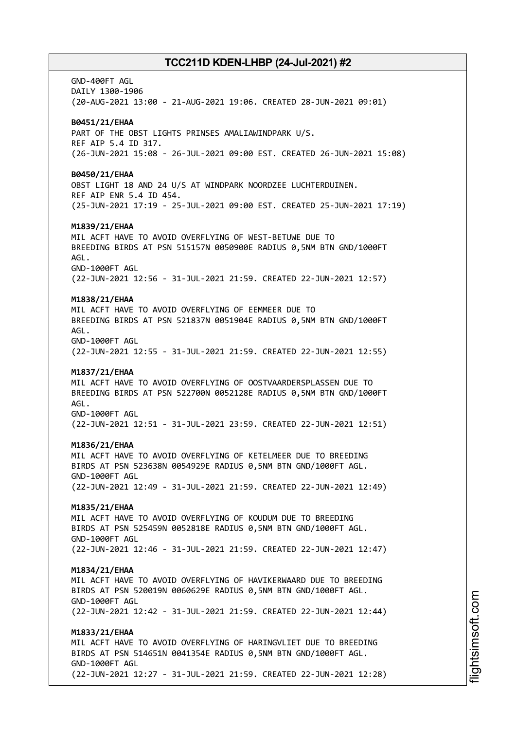GND-400FT AGL DAILY 1300-1906 (20-AUG-2021 13:00 - 21-AUG-2021 19:06. CREATED 28-JUN-2021 09:01) **B0451/21/EHAA** PART OF THE OBST LIGHTS PRINSES AMALIAWINDPARK U/S. REF AIP 5.4 ID 317. (26-JUN-2021 15:08 - 26-JUL-2021 09:00 EST. CREATED 26-JUN-2021 15:08) **B0450/21/EHAA** OBST LIGHT 18 AND 24 U/S AT WINDPARK NOORDZEE LUCHTERDUINEN. REF AIP ENR 5.4 ID 454. (25-JUN-2021 17:19 - 25-JUL-2021 09:00 EST. CREATED 25-JUN-2021 17:19) **M1839/21/EHAA** MIL ACFT HAVE TO AVOID OVERFLYING OF WEST-BETUWE DUE TO BREEDING BIRDS AT PSN 515157N 0050900E RADIUS 0,5NM BTN GND/1000FT AGL. GND-1000FT AGL (22-JUN-2021 12:56 - 31-JUL-2021 21:59. CREATED 22-JUN-2021 12:57) **M1838/21/EHAA** MIL ACFT HAVE TO AVOID OVERFLYING OF EEMMEER DUE TO BREEDING BIRDS AT PSN 521837N 0051904E RADIUS 0,5NM BTN GND/1000FT AGL. GND-1000FT AGL (22-JUN-2021 12:55 - 31-JUL-2021 21:59. CREATED 22-JUN-2021 12:55) **M1837/21/EHAA** MIL ACFT HAVE TO AVOID OVERFLYING OF OOSTVAARDERSPLASSEN DUE TO BREEDING BIRDS AT PSN 522700N 0052128E RADIUS 0,5NM BTN GND/1000FT AGL. GND-1000FT AGL (22-JUN-2021 12:51 - 31-JUL-2021 23:59. CREATED 22-JUN-2021 12:51) **M1836/21/EHAA** MIL ACFT HAVE TO AVOID OVERFLYING OF KETELMEER DUE TO BREEDING BIRDS AT PSN 523638N 0054929E RADIUS 0,5NM BTN GND/1000FT AGL. GND-1000FT AGL (22-JUN-2021 12:49 - 31-JUL-2021 21:59. CREATED 22-JUN-2021 12:49) **M1835/21/EHAA** MIL ACFT HAVE TO AVOID OVERFLYING OF KOUDUM DUE TO BREEDING BIRDS AT PSN 525459N 0052818E RADIUS 0,5NM BTN GND/1000FT AGL. GND-1000FT AGL (22-JUN-2021 12:46 - 31-JUL-2021 21:59. CREATED 22-JUN-2021 12:47) **M1834/21/EHAA** MIL ACFT HAVE TO AVOID OVERFLYING OF HAVIKERWAARD DUE TO BREEDING BIRDS AT PSN 520019N 0060629E RADIUS 0,5NM BTN GND/1000FT AGL. GND-1000FT AGL (22-JUN-2021 12:42 - 31-JUL-2021 21:59. CREATED 22-JUN-2021 12:44) **M1833/21/EHAA** MIL ACFT HAVE TO AVOID OVERFLYING OF HARINGVLIET DUE TO BREEDING BIRDS AT PSN 514651N 0041354E RADIUS 0,5NM BTN GND/1000FT AGL. GND-1000FT AGL (22-JUN-2021 12:27 - 31-JUL-2021 21:59. CREATED 22-JUN-2021 12:28)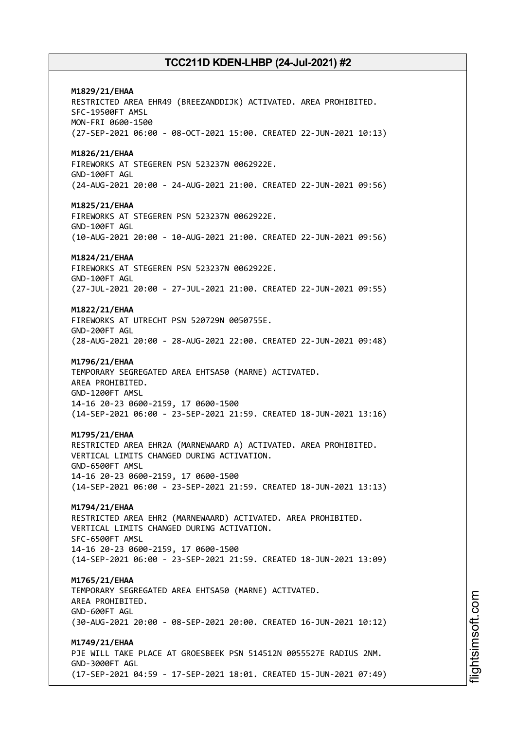**M1829/21/EHAA** RESTRICTED AREA EHR49 (BREEZANDDIJK) ACTIVATED. AREA PROHIBITED. SFC-19500FT AMSL MON-FRI 0600-1500 (27-SEP-2021 06:00 - 08-OCT-2021 15:00. CREATED 22-JUN-2021 10:13) **M1826/21/EHAA** FIREWORKS AT STEGEREN PSN 523237N 0062922E. GND-100FT AGL (24-AUG-2021 20:00 - 24-AUG-2021 21:00. CREATED 22-JUN-2021 09:56) **M1825/21/EHAA** FIREWORKS AT STEGEREN PSN 523237N 0062922E. GND-100FT AGL (10-AUG-2021 20:00 - 10-AUG-2021 21:00. CREATED 22-JUN-2021 09:56) **M1824/21/EHAA** FIREWORKS AT STEGEREN PSN 523237N 0062922E. GND-100FT AGL (27-JUL-2021 20:00 - 27-JUL-2021 21:00. CREATED 22-JUN-2021 09:55) **M1822/21/EHAA** FIREWORKS AT UTRECHT PSN 520729N 0050755E. GND-200FT AGL (28-AUG-2021 20:00 - 28-AUG-2021 22:00. CREATED 22-JUN-2021 09:48) **M1796/21/EHAA** TEMPORARY SEGREGATED AREA EHTSA50 (MARNE) ACTIVATED. AREA PROHIBITED. GND-1200FT AMSL 14-16 20-23 0600-2159, 17 0600-1500 (14-SEP-2021 06:00 - 23-SEP-2021 21:59. CREATED 18-JUN-2021 13:16) **M1795/21/EHAA** RESTRICTED AREA EHR2A (MARNEWAARD A) ACTIVATED. AREA PROHIBITED. VERTICAL LIMITS CHANGED DURING ACTIVATION. GND-6500FT AMSL 14-16 20-23 0600-2159, 17 0600-1500 (14-SEP-2021 06:00 - 23-SEP-2021 21:59. CREATED 18-JUN-2021 13:13) **M1794/21/EHAA** RESTRICTED AREA EHR2 (MARNEWAARD) ACTIVATED. AREA PROHIBITED. VERTICAL LIMITS CHANGED DURING ACTIVATION. SFC-6500FT AMSL 14-16 20-23 0600-2159, 17 0600-1500 (14-SEP-2021 06:00 - 23-SEP-2021 21:59. CREATED 18-JUN-2021 13:09) **M1765/21/EHAA** TEMPORARY SEGREGATED AREA EHTSA50 (MARNE) ACTIVATED. AREA PROHIBITED. GND-600FT AGL (30-AUG-2021 20:00 - 08-SEP-2021 20:00. CREATED 16-JUN-2021 10:12) **M1749/21/EHAA** PJE WILL TAKE PLACE AT GROESBEEK PSN 514512N 0055527E RADIUS 2NM. GND-3000FT AGL (17-SEP-2021 04:59 - 17-SEP-2021 18:01. CREATED 15-JUN-2021 07:49)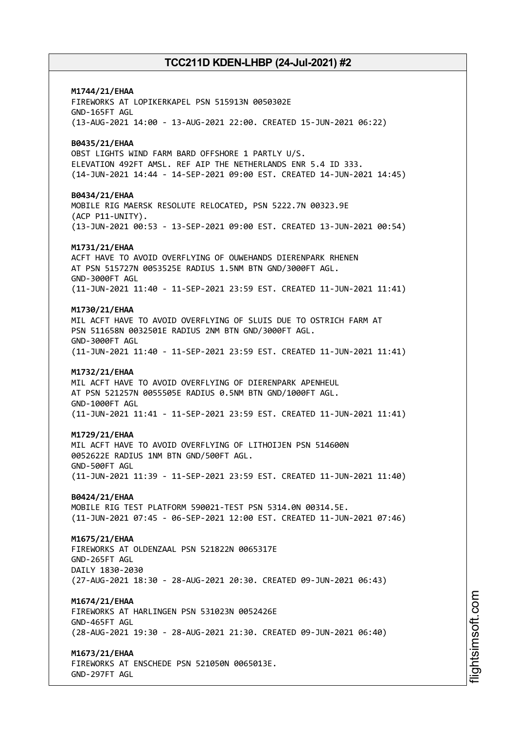# **M1744/21/EHAA**

FIREWORKS AT LOPIKERKAPEL PSN 515913N 0050302E GND-165FT AGL (13-AUG-2021 14:00 - 13-AUG-2021 22:00. CREATED 15-JUN-2021 06:22)

## **B0435/21/EHAA**

OBST LIGHTS WIND FARM BARD OFFSHORE 1 PARTLY U/S. ELEVATION 492FT AMSL. REF AIP THE NETHERLANDS ENR 5.4 ID 333. (14-JUN-2021 14:44 - 14-SEP-2021 09:00 EST. CREATED 14-JUN-2021 14:45)

### **B0434/21/EHAA**

MOBILE RIG MAERSK RESOLUTE RELOCATED, PSN 5222.7N 00323.9E (ACP P11-UNITY). (13-JUN-2021 00:53 - 13-SEP-2021 09:00 EST. CREATED 13-JUN-2021 00:54)

## **M1731/21/EHAA**

ACFT HAVE TO AVOID OVERFLYING OF OUWEHANDS DIERENPARK RHENEN AT PSN 515727N 0053525E RADIUS 1.5NM BTN GND/3000FT AGL. GND-3000FT AGL (11-JUN-2021 11:40 - 11-SEP-2021 23:59 EST. CREATED 11-JUN-2021 11:41)

### **M1730/21/EHAA**

MIL ACFT HAVE TO AVOID OVERFLYING OF SLUIS DUE TO OSTRICH FARM AT PSN 511658N 0032501E RADIUS 2NM BTN GND/3000FT AGL. GND-3000FT AGL (11-JUN-2021 11:40 - 11-SEP-2021 23:59 EST. CREATED 11-JUN-2021 11:41)

## **M1732/21/EHAA**

MIL ACFT HAVE TO AVOID OVERFLYING OF DIERENPARK APENHEUL AT PSN 521257N 0055505E RADIUS 0.5NM BTN GND/1000FT AGL. GND-1000FT AGL (11-JUN-2021 11:41 - 11-SEP-2021 23:59 EST. CREATED 11-JUN-2021 11:41)

## **M1729/21/EHAA**

MIL ACFT HAVE TO AVOID OVERFLYING OF LITHOIJEN PSN 514600N 0052622E RADIUS 1NM BTN GND/500FT AGL. GND-500FT AGL (11-JUN-2021 11:39 - 11-SEP-2021 23:59 EST. CREATED 11-JUN-2021 11:40)

## **B0424/21/EHAA**

MOBILE RIG TEST PLATFORM 590021-TEST PSN 5314.0N 00314.5E. (11-JUN-2021 07:45 - 06-SEP-2021 12:00 EST. CREATED 11-JUN-2021 07:46)

## **M1675/21/EHAA**

FIREWORKS AT OLDENZAAL PSN 521822N 0065317E GND-265FT AGL DAILY 1830-2030 (27-AUG-2021 18:30 - 28-AUG-2021 20:30. CREATED 09-JUN-2021 06:43)

## **M1674/21/EHAA**

FIREWORKS AT HARLINGEN PSN 531023N 0052426E GND-465FT AGL (28-AUG-2021 19:30 - 28-AUG-2021 21:30. CREATED 09-JUN-2021 06:40)

## **M1673/21/EHAA**

FIREWORKS AT ENSCHEDE PSN 521050N 0065013E. GND-297FT AGL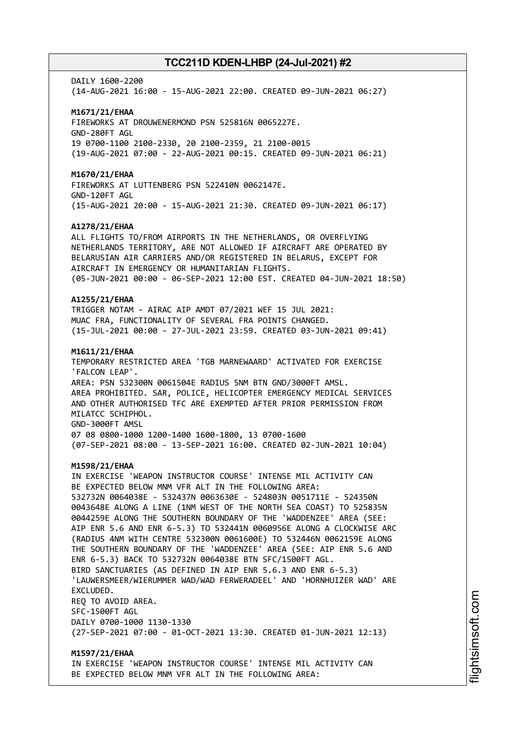#### DATIY 1600-2200

(14-AUG-2021 16:00 - 15-AUG-2021 22:00. CREATED 09-JUN-2021 06:27)

#### **M1671/21/EHAA**

FIREWORKS AT DROUWENERMOND PSN 525816N 0065227E. GND-280FT AGL 19 0700-1100 2100-2330, 20 2100-2359, 21 2100-0015 (19-AUG-2021 07:00 - 22-AUG-2021 00:15. CREATED 09-JUN-2021 06:21)

#### **M1670/21/EHAA**

FIREWORKS AT LUTTENBERG PSN 522410N 0062147E. GND-120FT AGL (15-AUG-2021 20:00 - 15-AUG-2021 21:30. CREATED 09-JUN-2021 06:17)

#### **A1278/21/EHAA**

ALL FLIGHTS TO/FROM AIRPORTS IN THE NETHERLANDS, OR OVERFLYING NETHERLANDS TERRITORY, ARE NOT ALLOWED IF AIRCRAFT ARE OPERATED BY BELARUSIAN AIR CARRIERS AND/OR REGISTERED IN BELARUS, EXCEPT FOR AIRCRAFT IN EMERGENCY OR HUMANITARIAN FLIGHTS. (05-JUN-2021 00:00 - 06-SEP-2021 12:00 EST. CREATED 04-JUN-2021 18:50)

## **A1255/21/EHAA**

TRIGGER NOTAM - AIRAC AIP AMDT 07/2021 WEF 15 JUL 2021: MUAC FRA, FUNCTIONALITY OF SEVERAL FRA POINTS CHANGED. (15-JUL-2021 00:00 - 27-JUL-2021 23:59. CREATED 03-JUN-2021 09:41)

#### **M1611/21/EHAA**

TEMPORARY RESTRICTED AREA 'TGB MARNEWAARD' ACTIVATED FOR EXERCISE 'FALCON LEAP'. AREA: PSN 532300N 0061504E RADIUS 5NM BTN GND/3000FT AMSL. AREA PROHIBITED. SAR, POLICE, HELICOPTER EMERGENCY MEDICAL SERVICES AND OTHER AUTHORISED TFC ARE EXEMPTED AFTER PRIOR PERMISSION FROM MILATCC SCHIPHOL. GND-3000FT AMSL 07 08 0800-1000 1200-1400 1600-1800, 13 0700-1600 (07-SEP-2021 08:00 - 13-SEP-2021 16:00. CREATED 02-JUN-2021 10:04)

#### **M1598/21/EHAA**

IN EXERCISE 'WEAPON INSTRUCTOR COURSE' INTENSE MIL ACTIVITY CAN BE EXPECTED BELOW MNM VFR ALT IN THE FOLLOWING AREA: 532732N 0064038E - 532437N 0063630E - 524803N 0051711E - 524350N 0043648E ALONG A LINE (1NM WEST OF THE NORTH SEA COAST) TO 525835N 0044259E ALONG THE SOUTHERN BOUNDARY OF THE 'WADDENZEE' AREA (SEE: AIP ENR 5.6 AND ENR 6-5.3) TO 532441N 0060956E ALONG A CLOCKWISE ARC (RADIUS 4NM WITH CENTRE 532300N 0061600E) TO 532446N 0062159E ALONG THE SOUTHERN BOUNDARY OF THE 'WADDENZEE' AREA (SEE: AIP ENR 5.6 AND ENR 6-5.3) BACK TO 532732N 0064038E BTN SFC/1500FT AGL. BIRD SANCTUARIES (AS DEFINED IN AIP ENR 5.6.3 AND ENR 6-5.3) 'LAUWERSMEER/WIERUMMER WAD/WAD FERWERADEEL' AND 'HORNHUIZER WAD' ARE EXCLUDED. REQ TO AVOID AREA. SFC-1500FT AGL DAILY 0700-1000 1130-1330 (27-SEP-2021 07:00 - 01-OCT-2021 13:30. CREATED 01-JUN-2021 12:13)

**M1597/21/EHAA** IN EXERCISE 'WEAPON INSTRUCTOR COURSE' INTENSE MIL ACTIVITY CAN BE EXPECTED BELOW MNM VFR ALT IN THE FOLLOWING AREA: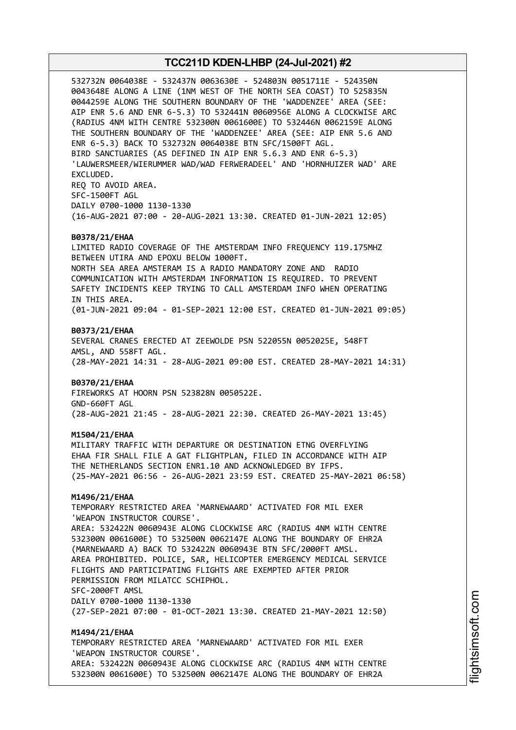532732N 0064038E - 532437N 0063630E - 524803N 0051711E - 524350N 0043648E ALONG A LINE (1NM WEST OF THE NORTH SEA COAST) TO 525835N 0044259E ALONG THE SOUTHERN BOUNDARY OF THE 'WADDENZEE' AREA (SEE: AIP ENR 5.6 AND ENR 6-5.3) TO 532441N 0060956E ALONG A CLOCKWISE ARC (RADIUS 4NM WITH CENTRE 532300N 0061600E) TO 532446N 0062159E ALONG THE SOUTHERN BOUNDARY OF THE 'WADDENZEE' AREA (SEE: AIP ENR 5.6 AND ENR 6-5.3) BACK TO 532732N 0064038E BTN SFC/1500FT AGL. BIRD SANCTUARIES (AS DEFINED IN AIP ENR 5.6.3 AND ENR 6-5.3) 'LAUWERSMEER/WIERUMMER WAD/WAD FERWERADEEL' AND 'HORNHUIZER WAD' ARE EXCLUDED. REQ TO AVOID AREA. SFC-1500FT AGL DAILY 0700-1000 1130-1330 (16-AUG-2021 07:00 - 20-AUG-2021 13:30. CREATED 01-JUN-2021 12:05) **B0378/21/EHAA** LIMITED RADIO COVERAGE OF THE AMSTERDAM INFO FREQUENCY 119.175MHZ BETWEEN UTIRA AND EPOXU BELOW 1000FT. NORTH SEA AREA AMSTERAM IS A RADIO MANDATORY ZONE AND RADIO COMMUNICATION WITH AMSTERDAM INFORMATION IS REQUIRED. TO PREVENT SAFETY INCIDENTS KEEP TRYING TO CALL AMSTERDAM INFO WHEN OPERATING IN THIS AREA. (01-JUN-2021 09:04 - 01-SEP-2021 12:00 EST. CREATED 01-JUN-2021 09:05) **B0373/21/EHAA** SEVERAL CRANES ERECTED AT ZEEWOLDE PSN 522055N 0052025E, 548FT AMSL, AND 558FT AGL. (28-MAY-2021 14:31 - 28-AUG-2021 09:00 EST. CREATED 28-MAY-2021 14:31) **B0370/21/EHAA** FIREWORKS AT HOORN PSN 523828N 0050522E. GND-660FT AGL (28-AUG-2021 21:45 - 28-AUG-2021 22:30. CREATED 26-MAY-2021 13:45) **M1504/21/EHAA** MILITARY TRAFFIC WITH DEPARTURE OR DESTINATION ETNG OVERFLYING EHAA FIR SHALL FILE A GAT FLIGHTPLAN, FILED IN ACCORDANCE WITH AIP THE NETHERLANDS SECTION ENR1.10 AND ACKNOWLEDGED BY IFPS. (25-MAY-2021 06:56 - 26-AUG-2021 23:59 EST. CREATED 25-MAY-2021 06:58) **M1496/21/EHAA** TEMPORARY RESTRICTED AREA 'MARNEWAARD' ACTIVATED FOR MIL EXER 'WEAPON INSTRUCTOR COURSE'. AREA: 532422N 0060943E ALONG CLOCKWISE ARC (RADIUS 4NM WITH CENTRE 532300N 0061600E) TO 532500N 0062147E ALONG THE BOUNDARY OF EHR2A (MARNEWAARD A) BACK TO 532422N 0060943E BTN SFC/2000FT AMSL. AREA PROHIBITED. POLICE, SAR, HELICOPTER EMERGENCY MEDICAL SERVICE FLIGHTS AND PARTICIPATING FLIGHTS ARE EXEMPTED AFTER PRIOR PERMISSION FROM MILATCC SCHIPHOL. SFC-2000FT AMSL DAILY 0700-1000 1130-1330 (27-SEP-2021 07:00 - 01-OCT-2021 13:30. CREATED 21-MAY-2021 12:50) **M1494/21/EHAA** TEMPORARY RESTRICTED AREA 'MARNEWAARD' ACTIVATED FOR MIL EXER 'WEAPON INSTRUCTOR COURSE'. AREA: 532422N 0060943E ALONG CLOCKWISE ARC (RADIUS 4NM WITH CENTRE 532300N 0061600E) TO 532500N 0062147E ALONG THE BOUNDARY OF EHR2A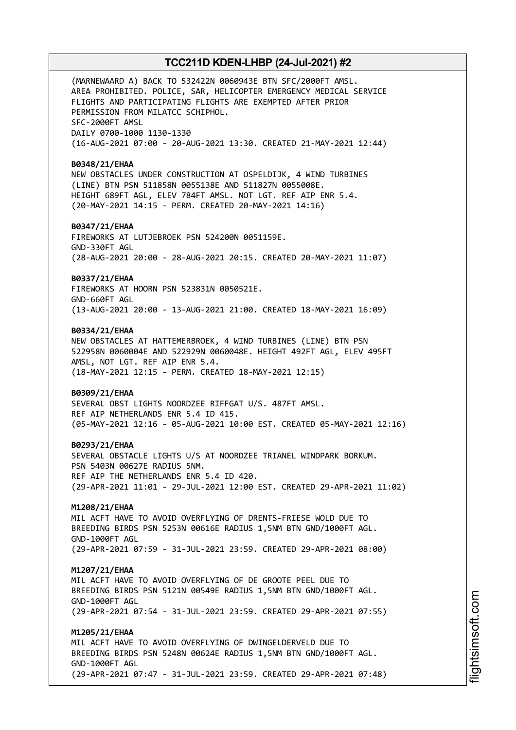(MARNEWAARD A) BACK TO 532422N 0060943E BTN SFC/2000FT AMSL. AREA PROHIBITED. POLICE, SAR, HELICOPTER EMERGENCY MEDICAL SERVICE FLIGHTS AND PARTICIPATING FLIGHTS ARE EXEMPTED AFTER PRIOR PERMISSION FROM MILATCC SCHIPHOL. SFC-2000FT AMSL DAILY 0700-1000 1130-1330 (16-AUG-2021 07:00 - 20-AUG-2021 13:30. CREATED 21-MAY-2021 12:44)

### **B0348/21/EHAA**

NEW OBSTACLES UNDER CONSTRUCTION AT OSPELDIJK, 4 WIND TURBINES (LINE) BTN PSN 511858N 0055138E AND 511827N 0055008E. HEIGHT 689FT AGL, ELEV 784FT AMSL. NOT LGT. REF AIP ENR 5.4. (20-MAY-2021 14:15 - PERM. CREATED 20-MAY-2021 14:16)

### **B0347/21/EHAA**

FIREWORKS AT LUTJEBROEK PSN 524200N 0051159E. GND-330FT AGL (28-AUG-2021 20:00 - 28-AUG-2021 20:15. CREATED 20-MAY-2021 11:07)

### **B0337/21/EHAA**

FIREWORKS AT HOORN PSN 523831N 0050521E. GND-660FT AGL (13-AUG-2021 20:00 - 13-AUG-2021 21:00. CREATED 18-MAY-2021 16:09)

### **B0334/21/EHAA**

NEW OBSTACLES AT HATTEMERBROEK, 4 WIND TURBINES (LINE) BTN PSN 522958N 0060004E AND 522929N 0060048E. HEIGHT 492FT AGL, ELEV 495FT AMSL, NOT LGT. REF AIP ENR 5.4. (18-MAY-2021 12:15 - PERM. CREATED 18-MAY-2021 12:15)

### **B0309/21/EHAA**

SEVERAL OBST LIGHTS NOORDZEE RIFFGAT U/S. 487FT AMSL. REF AIP NETHERLANDS ENR 5.4 ID 415. (05-MAY-2021 12:16 - 05-AUG-2021 10:00 EST. CREATED 05-MAY-2021 12:16)

#### **B0293/21/EHAA**

SEVERAL OBSTACLE LIGHTS U/S AT NOORDZEE TRIANEL WINDPARK BORKUM. PSN 5403N 00627E RADIUS 5NM. REF AIP THE NETHERLANDS ENR 5.4 ID 420. (29-APR-2021 11:01 - 29-JUL-2021 12:00 EST. CREATED 29-APR-2021 11:02)

### **M1208/21/EHAA**

MIL ACFT HAVE TO AVOID OVERFLYING OF DRENTS-FRIESE WOLD DUE TO BREEDING BIRDS PSN 5253N 00616E RADIUS 1,5NM BTN GND/1000FT AGL. GND-1000FT AGL (29-APR-2021 07:59 - 31-JUL-2021 23:59. CREATED 29-APR-2021 08:00)

### **M1207/21/EHAA**

MIL ACFT HAVE TO AVOID OVERFLYING OF DE GROOTE PEEL DUE TO BREEDING BIRDS PSN 5121N 00549E RADIUS 1,5NM BTN GND/1000FT AGL. GND-1000FT AGL (29-APR-2021 07:54 - 31-JUL-2021 23:59. CREATED 29-APR-2021 07:55)

#### **M1205/21/EHAA**

MIL ACFT HAVE TO AVOID OVERFLYING OF DWINGELDERVELD DUE TO BREEDING BIRDS PSN 5248N 00624E RADIUS 1,5NM BTN GND/1000FT AGL. GND-1000FT AGL (29-APR-2021 07:47 - 31-JUL-2021 23:59. CREATED 29-APR-2021 07:48)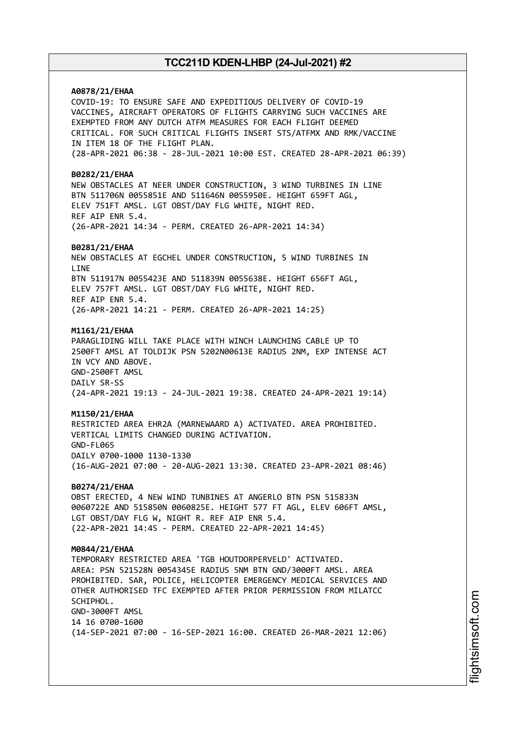## **A0878/21/EHAA**

COVID-19: TO ENSURE SAFE AND EXPEDITIOUS DELIVERY OF COVID-19 VACCINES, AIRCRAFT OPERATORS OF FLIGHTS CARRYING SUCH VACCINES ARE EXEMPTED FROM ANY DUTCH ATFM MEASURES FOR EACH FLIGHT DEEMED CRITICAL. FOR SUCH CRITICAL FLIGHTS INSERT STS/ATFMX AND RMK/VACCINE IN ITEM 18 OF THE FLIGHT PLAN. (28-APR-2021 06:38 - 28-JUL-2021 10:00 EST. CREATED 28-APR-2021 06:39)

#### **B0282/21/EHAA**

NEW OBSTACLES AT NEER UNDER CONSTRUCTION, 3 WIND TURBINES IN LINE BTN 511706N 0055851E AND 511646N 0055950E. HEIGHT 659FT AGL, ELEV 751FT AMSL. LGT OBST/DAY FLG WHITE, NIGHT RED. REF AIP ENR 5.4. (26-APR-2021 14:34 - PERM. CREATED 26-APR-2021 14:34)

#### **B0281/21/EHAA**

NEW OBSTACLES AT EGCHEL UNDER CONSTRUCTION, 5 WIND TURBINES IN **LTNF** BTN 511917N 0055423E AND 511839N 0055638E. HEIGHT 656FT AGL, ELEV 757FT AMSL. LGT OBST/DAY FLG WHITE, NIGHT RED. REF AIP ENR 5.4. (26-APR-2021 14:21 - PERM. CREATED 26-APR-2021 14:25)

#### **M1161/21/EHAA**

PARAGLIDING WILL TAKE PLACE WITH WINCH LAUNCHING CABLE UP TO 2500FT AMSL AT TOLDIJK PSN 5202N00613E RADIUS 2NM, EXP INTENSE ACT IN VCY AND ABOVE. GND-2500FT AMSL DAILY SR-SS (24-APR-2021 19:13 - 24-JUL-2021 19:38. CREATED 24-APR-2021 19:14)

### **M1150/21/EHAA**

RESTRICTED AREA EHR2A (MARNEWAARD A) ACTIVATED. AREA PROHIBITED. VERTICAL LIMITS CHANGED DURING ACTIVATION. GND-FL065 DAILY 0700-1000 1130-1330 (16-AUG-2021 07:00 - 20-AUG-2021 13:30. CREATED 23-APR-2021 08:46)

#### **B0274/21/EHAA**

OBST ERECTED, 4 NEW WIND TUNBINES AT ANGERLO BTN PSN 515833N 0060722E AND 515850N 0060825E. HEIGHT 577 FT AGL, ELEV 606FT AMSL, LGT OBST/DAY FLG W, NIGHT R. REF AIP ENR 5.4. (22-APR-2021 14:45 - PERM. CREATED 22-APR-2021 14:45)

#### **M0844/21/EHAA**

TEMPORARY RESTRICTED AREA 'TGB HOUTDORPERVELD' ACTIVATED. AREA: PSN 521528N 0054345E RADIUS 5NM BTN GND/3000FT AMSL. AREA PROHIBITED. SAR, POLICE, HELICOPTER EMERGENCY MEDICAL SERVICES AND OTHER AUTHORISED TFC EXEMPTED AFTER PRIOR PERMISSION FROM MILATCC SCHIPHOL. GND-3000FT AMSL 14 16 0700-1600 (14-SEP-2021 07:00 - 16-SEP-2021 16:00. CREATED 26-MAR-2021 12:06)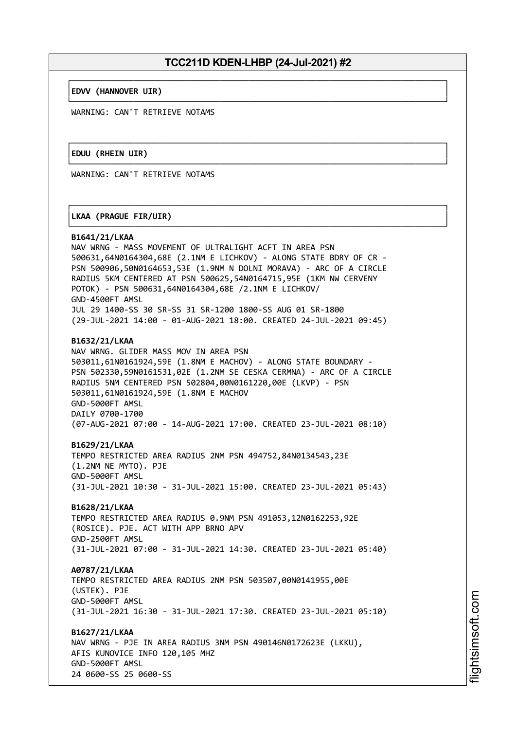└──────────────────────────────────────────────────────────────────────────────┘

└──────────────────────────────────────────────────────────────────────────────┘

### ┌──────────────────────────────────────────────────────────────────────────────┐ │**EDVV (HANNOVER UIR)** │

WARNING: CAN'T RETRIEVE NOTAMS

### ┌──────────────────────────────────────────────────────────────────────────────┐ │**EDUU (RHEIN UIR)** │

WARNING: CAN'T RETRIEVE NOTAMS

## ┌──────────────────────────────────────────────────────────────────────────────┐ │**LKAA (PRAGUE FIR/UIR)** │

### └──────────────────────────────────────────────────────────────────────────────┘ **B1641/21/LKAA**

NAV WRNG - MASS MOVEMENT OF ULTRALIGHT ACFT IN AREA PSN 500631,64N0164304,68E (2.1NM E LICHKOV) - ALONG STATE BDRY OF CR - PSN 500906,50N0164653,53E (1.9NM N DOLNI MORAVA) - ARC OF A CIRCLE RADIUS 5KM CENTERED AT PSN 500625,54N0164715,95E (1KM NW CERVENY POTOK) - PSN 500631,64N0164304,68E /2.1NM E LICHKOV/ GND-4500FT AMSL JUL 29 1400-SS 30 SR-SS 31 SR-1200 1800-SS AUG 01 SR-1800 (29-JUL-2021 14:00 - 01-AUG-2021 18:00. CREATED 24-JUL-2021 09:45)

## **B1632/21/LKAA**

NAV WRNG. GLIDER MASS MOV IN AREA PSN 503011,61N0161924,59E (1.8NM E MACHOV) - ALONG STATE BOUNDARY - PSN 502330,59N0161531,02E (1.2NM SE CESKA CERMNA) - ARC OF A CIRCLE RADIUS 5NM CENTERED PSN 502804,00N0161220,00E (LKVP) - PSN 503011,61N0161924,59E (1.8NM E MACHOV GND-5000FT AMSL DAILY 0700-1700 (07-AUG-2021 07:00 - 14-AUG-2021 17:00. CREATED 23-JUL-2021 08:10)

## **B1629/21/LKAA**

TEMPO RESTRICTED AREA RADIUS 2NM PSN 494752,84N0134543,23E (1.2NM NE MYTO). PJE GND-5000FT AMSL (31-JUL-2021 10:30 - 31-JUL-2021 15:00. CREATED 23-JUL-2021 05:43)

## **B1628/21/LKAA**

TEMPO RESTRICTED AREA RADIUS 0.9NM PSN 491053,12N0162253,92E (ROSICE). PJE. ACT WITH APP BRNO APV GND-2500FT AMSL (31-JUL-2021 07:00 - 31-JUL-2021 14:30. CREATED 23-JUL-2021 05:40)

## **A0787/21/LKAA**

TEMPO RESTRICTED AREA RADIUS 2NM PSN 503507,00N0141955,00E (USTEK). PJE GND-5000FT AMSL (31-JUL-2021 16:30 - 31-JUL-2021 17:30. CREATED 23-JUL-2021 05:10)

# **B1627/21/LKAA**

NAV WRNG - PJE IN AREA RADIUS 3NM PSN 490146N0172623E (LKKU), AFIS KUNOVICE INFO 120,105 MHZ GND-5000FT AMSL 24 0600-SS 25 0600-SS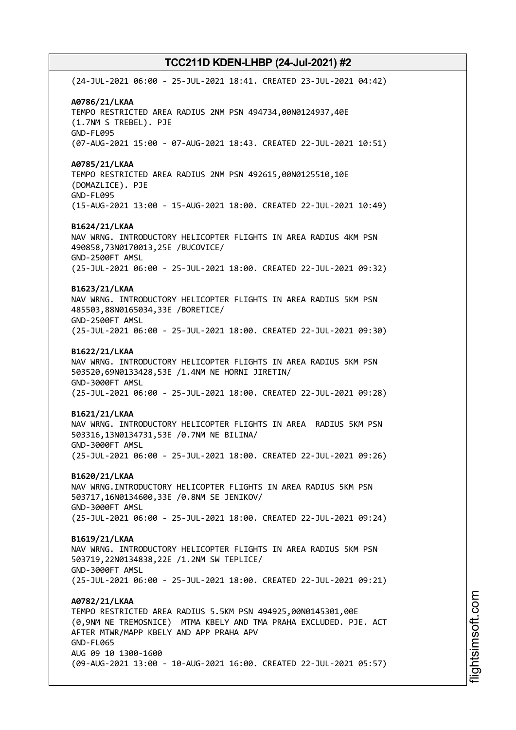(24-JUL-2021 06:00 - 25-JUL-2021 18:41. CREATED 23-JUL-2021 04:42) **A0786/21/LKAA** TEMPO RESTRICTED AREA RADIUS 2NM PSN 494734,00N0124937,40E (1.7NM S TREBEL). PJE GND-FL095 (07-AUG-2021 15:00 - 07-AUG-2021 18:43. CREATED 22-JUL-2021 10:51) **A0785/21/LKAA** TEMPO RESTRICTED AREA RADIUS 2NM PSN 492615,00N0125510,10E (DOMAZLICE). PJE GND-FL095 (15-AUG-2021 13:00 - 15-AUG-2021 18:00. CREATED 22-JUL-2021 10:49) **B1624/21/LKAA** NAV WRNG. INTRODUCTORY HELICOPTER FLIGHTS IN AREA RADIUS 4KM PSN 490858,73N0170013,25E /BUCOVICE/ GND-2500FT AMSL (25-JUL-2021 06:00 - 25-JUL-2021 18:00. CREATED 22-JUL-2021 09:32) **B1623/21/LKAA** NAV WRNG. INTRODUCTORY HELICOPTER FLIGHTS IN AREA RADIUS 5KM PSN 485503,88N0165034,33E /BORETICE/ GND-2500FT AMSL (25-JUL-2021 06:00 - 25-JUL-2021 18:00. CREATED 22-JUL-2021 09:30) **B1622/21/LKAA** NAV WRNG. INTRODUCTORY HELICOPTER FLIGHTS IN AREA RADIUS 5KM PSN 503520,69N0133428,53E /1.4NM NE HORNI JIRETIN/ GND-3000FT AMSL (25-JUL-2021 06:00 - 25-JUL-2021 18:00. CREATED 22-JUL-2021 09:28) **B1621/21/LKAA** NAV WRNG. INTRODUCTORY HELICOPTER FLIGHTS IN AREA RADIUS 5KM PSN 503316,13N0134731,53E /0.7NM NE BILINA/ GND-3000FT AMSL (25-JUL-2021 06:00 - 25-JUL-2021 18:00. CREATED 22-JUL-2021 09:26) **B1620/21/LKAA** NAV WRNG.INTRODUCTORY HELICOPTER FLIGHTS IN AREA RADIUS 5KM PSN 503717,16N0134600,33E /0.8NM SE JENIKOV/ GND-3000FT AMSL (25-JUL-2021 06:00 - 25-JUL-2021 18:00. CREATED 22-JUL-2021 09:24) **B1619/21/LKAA** NAV WRNG. INTRODUCTORY HELICOPTER FLIGHTS IN AREA RADIUS 5KM PSN 503719,22N0134838,22E /1.2NM SW TEPLICE/ GND-3000FT AMSL (25-JUL-2021 06:00 - 25-JUL-2021 18:00. CREATED 22-JUL-2021 09:21) **A0782/21/LKAA** TEMPO RESTRICTED AREA RADIUS 5.5KM PSN 494925,00N0145301,00E (0,9NM NE TREMOSNICE) MTMA KBELY AND TMA PRAHA EXCLUDED. PJE. ACT AFTER MTWR/MAPP KBELY AND APP PRAHA APV GND-FL065 AUG 09 10 1300-1600 (09-AUG-2021 13:00 - 10-AUG-2021 16:00. CREATED 22-JUL-2021 05:57)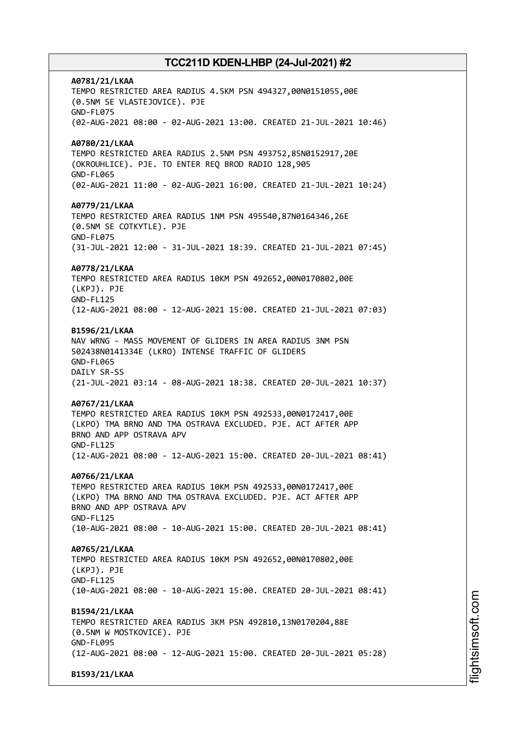**A0781/21/LKAA** TEMPO RESTRICTED AREA RADIUS 4.5KM PSN 494327,00N0151055,00E (0.5NM SE VLASTEJOVICE). PJE GND-FL075 (02-AUG-2021 08:00 - 02-AUG-2021 13:00. CREATED 21-JUL-2021 10:46) **A0780/21/LKAA** TEMPO RESTRICTED AREA RADIUS 2.5NM PSN 493752,85N0152917,20E (OKROUHLICE). PJE. TO ENTER REQ BROD RADIO 128,905 GND-FL065 (02-AUG-2021 11:00 - 02-AUG-2021 16:00. CREATED 21-JUL-2021 10:24) **A0779/21/LKAA** TEMPO RESTRICTED AREA RADIUS 1NM PSN 495540,87N0164346,26E (0.5NM SE COTKYTLE). PJE GND-FL075 (31-JUL-2021 12:00 - 31-JUL-2021 18:39. CREATED 21-JUL-2021 07:45) **A0778/21/LKAA** TEMPO RESTRICTED AREA RADIUS 10KM PSN 492652,00N0170802,00E (LKPJ). PJE GND-FL125 (12-AUG-2021 08:00 - 12-AUG-2021 15:00. CREATED 21-JUL-2021 07:03) **B1596/21/LKAA** NAV WRNG - MASS MOVEMENT OF GLIDERS IN AREA RADIUS 3NM PSN 502438N0141334E (LKRO) INTENSE TRAFFIC OF GLIDERS GND-FL065 DAILY SR-SS (21-JUL-2021 03:14 - 08-AUG-2021 18:38. CREATED 20-JUL-2021 10:37) **A0767/21/LKAA** TEMPO RESTRICTED AREA RADIUS 10KM PSN 492533,00N0172417,00E (LKPO) TMA BRNO AND TMA OSTRAVA EXCLUDED. PJE. ACT AFTER APP BRNO AND APP OSTRAVA APV GND-FL125 (12-AUG-2021 08:00 - 12-AUG-2021 15:00. CREATED 20-JUL-2021 08:41) **A0766/21/LKAA** TEMPO RESTRICTED AREA RADIUS 10KM PSN 492533,00N0172417,00E (LKPO) TMA BRNO AND TMA OSTRAVA EXCLUDED. PJE. ACT AFTER APP BRNO AND APP OSTRAVA APV GND-FL125 (10-AUG-2021 08:00 - 10-AUG-2021 15:00. CREATED 20-JUL-2021 08:41) **A0765/21/LKAA** TEMPO RESTRICTED AREA RADIUS 10KM PSN 492652,00N0170802,00E (LKPJ). PJE GND-FL125 (10-AUG-2021 08:00 - 10-AUG-2021 15:00. CREATED 20-JUL-2021 08:41) **B1594/21/LKAA** TEMPO RESTRICTED AREA RADIUS 3KM PSN 492810,13N0170204,88E (0.5NM W MOSTKOVICE). PJE GND-FL095 (12-AUG-2021 08:00 - 12-AUG-2021 15:00. CREATED 20-JUL-2021 05:28) **B1593/21/LKAA**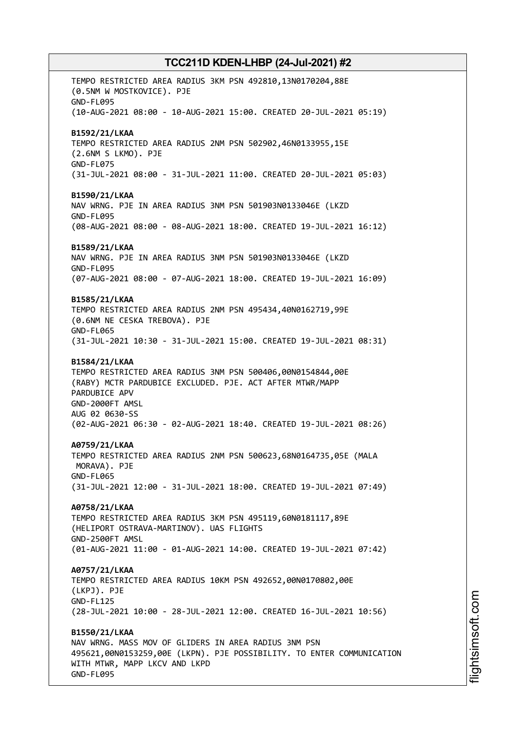TEMPO RESTRICTED AREA RADIUS 3KM PSN 492810,13N0170204,88E (0.5NM W MOSTKOVICE). PJE GND-FL095 (10-AUG-2021 08:00 - 10-AUG-2021 15:00. CREATED 20-JUL-2021 05:19) **B1592/21/LKAA** TEMPO RESTRICTED AREA RADIUS 2NM PSN 502902,46N0133955,15E (2.6NM S LKMO). PJE GND-FL075 (31-JUL-2021 08:00 - 31-JUL-2021 11:00. CREATED 20-JUL-2021 05:03) **B1590/21/LKAA** NAV WRNG. PJE IN AREA RADIUS 3NM PSN 501903N0133046E (LKZD GND-FL095 (08-AUG-2021 08:00 - 08-AUG-2021 18:00. CREATED 19-JUL-2021 16:12) **B1589/21/LKAA** NAV WRNG. PJE IN AREA RADIUS 3NM PSN 501903N0133046E (LKZD GND-FL095 (07-AUG-2021 08:00 - 07-AUG-2021 18:00. CREATED 19-JUL-2021 16:09) **B1585/21/LKAA** TEMPO RESTRICTED AREA RADIUS 2NM PSN 495434,40N0162719,99E (0.6NM NE CESKA TREBOVA). PJE GND-FL065 (31-JUL-2021 10:30 - 31-JUL-2021 15:00. CREATED 19-JUL-2021 08:31) **B1584/21/LKAA** TEMPO RESTRICTED AREA RADIUS 3NM PSN 500406,00N0154844,00E (RABY) MCTR PARDUBICE EXCLUDED. PJE. ACT AFTER MTWR/MAPP PARDUBICE APV GND-2000FT AMSL AUG 02 0630-SS (02-AUG-2021 06:30 - 02-AUG-2021 18:40. CREATED 19-JUL-2021 08:26) **A0759/21/LKAA** TEMPO RESTRICTED AREA RADIUS 2NM PSN 500623,68N0164735,05E (MALA MORAVA). PJE GND-FL065 (31-JUL-2021 12:00 - 31-JUL-2021 18:00. CREATED 19-JUL-2021 07:49) **A0758/21/LKAA** TEMPO RESTRICTED AREA RADIUS 3KM PSN 495119,60N0181117,89E (HELIPORT OSTRAVA-MARTINOV). UAS FLIGHTS GND-2500FT AMSL (01-AUG-2021 11:00 - 01-AUG-2021 14:00. CREATED 19-JUL-2021 07:42) **A0757/21/LKAA** TEMPO RESTRICTED AREA RADIUS 10KM PSN 492652,00N0170802,00E (LKPJ). PJE GND-FL125 (28-JUL-2021 10:00 - 28-JUL-2021 12:00. CREATED 16-JUL-2021 10:56) **B1550/21/LKAA** NAV WRNG. MASS MOV OF GLIDERS IN AREA RADIUS 3NM PSN 495621,00N0153259,00E (LKPN). PJE POSSIBILITY. TO ENTER COMMUNICATION WITH MTWR, MAPP LKCV AND LKPD

GND-FL095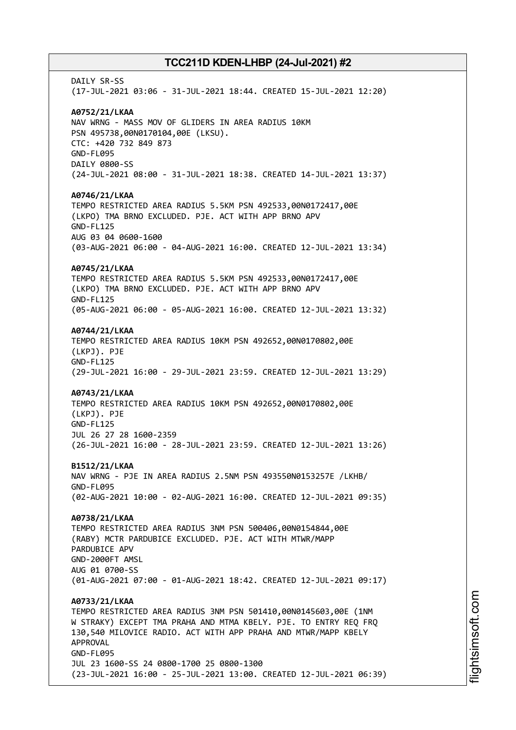DATIY SR-SS (17-JUL-2021 03:06 - 31-JUL-2021 18:44. CREATED 15-JUL-2021 12:20) **A0752/21/LKAA** NAV WRNG - MASS MOV OF GLIDERS IN AREA RADIUS 10KM PSN 495738,00N0170104,00E (LKSU). CTC: +420 732 849 873 GND-FL095 DAILY 0800-SS (24-JUL-2021 08:00 - 31-JUL-2021 18:38. CREATED 14-JUL-2021 13:37) **A0746/21/LKAA** TEMPO RESTRICTED AREA RADIUS 5.5KM PSN 492533,00N0172417,00E (LKPO) TMA BRNO EXCLUDED. PJE. ACT WITH APP BRNO APV GND-FL125 AUG 03 04 0600-1600 (03-AUG-2021 06:00 - 04-AUG-2021 16:00. CREATED 12-JUL-2021 13:34) **A0745/21/LKAA** TEMPO RESTRICTED AREA RADIUS 5.5KM PSN 492533,00N0172417,00E (LKPO) TMA BRNO EXCLUDED. PJE. ACT WITH APP BRNO APV GND-FL125 (05-AUG-2021 06:00 - 05-AUG-2021 16:00. CREATED 12-JUL-2021 13:32) **A0744/21/LKAA** TEMPO RESTRICTED AREA RADIUS 10KM PSN 492652,00N0170802,00E (LKPJ). PJE GND-FL125 (29-JUL-2021 16:00 - 29-JUL-2021 23:59. CREATED 12-JUL-2021 13:29) **A0743/21/LKAA** TEMPO RESTRICTED AREA RADIUS 10KM PSN 492652,00N0170802,00E (LKPJ). PJE GND-FL125 JUL 26 27 28 1600-2359 (26-JUL-2021 16:00 - 28-JUL-2021 23:59. CREATED 12-JUL-2021 13:26) **B1512/21/LKAA** NAV WRNG - PJE IN AREA RADIUS 2.5NM PSN 493550N0153257E /LKHB/ GND-FL095 (02-AUG-2021 10:00 - 02-AUG-2021 16:00. CREATED 12-JUL-2021 09:35) **A0738/21/LKAA** TEMPO RESTRICTED AREA RADIUS 3NM PSN 500406,00N0154844,00E (RABY) MCTR PARDUBICE EXCLUDED. PJE. ACT WITH MTWR/MAPP PARDUBICE APV GND-2000FT AMSL AUG 01 0700-SS (01-AUG-2021 07:00 - 01-AUG-2021 18:42. CREATED 12-JUL-2021 09:17) **A0733/21/LKAA** TEMPO RESTRICTED AREA RADIUS 3NM PSN 501410,00N0145603,00E (1NM W STRAKY) EXCEPT TMA PRAHA AND MTMA KBELY. PJE. TO ENTRY REQ FRQ 130,540 MILOVICE RADIO. ACT WITH APP PRAHA AND MTWR/MAPP KBELY APPROVAL GND-FL095 JUL 23 1600-SS 24 0800-1700 25 0800-1300 (23-JUL-2021 16:00 - 25-JUL-2021 13:00. CREATED 12-JUL-2021 06:39)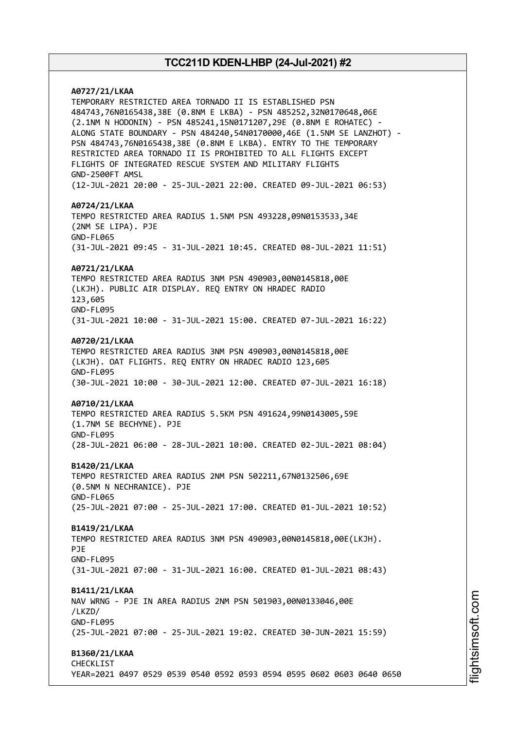# **A0727/21/LKAA** TEMPORARY RESTRICTED AREA TORNADO II IS ESTABLISHED PSN 484743,76N0165438,38E (0.8NM E LKBA) - PSN 485252,32N0170648,06E (2.1NM N HODONIN) - PSN 485241,15N0171207,29E (0.8NM E ROHATEC) - ALONG STATE BOUNDARY - PSN 484240,54N0170000,46E (1.5NM SE LANZHOT) - PSN 484743,76N0165438,38E (0.8NM E LKBA). ENTRY TO THE TEMPORARY RESTRICTED AREA TORNADO II IS PROHIBITED TO ALL FLIGHTS EXCEPT FLIGHTS OF INTEGRATED RESCUE SYSTEM AND MILITARY FLIGHTS GND-2500FT AMSL (12-JUL-2021 20:00 - 25-JUL-2021 22:00. CREATED 09-JUL-2021 06:53) **A0724/21/LKAA** TEMPO RESTRICTED AREA RADIUS 1.5NM PSN 493228,09N0153533,34E (2NM SE LIPA). PJE GND-FL065 (31-JUL-2021 09:45 - 31-JUL-2021 10:45. CREATED 08-JUL-2021 11:51) **A0721/21/LKAA** TEMPO RESTRICTED AREA RADIUS 3NM PSN 490903,00N0145818,00E (LKJH). PUBLIC AIR DISPLAY. REQ ENTRY ON HRADEC RADIO 123,605 GND-FL095 (31-JUL-2021 10:00 - 31-JUL-2021 15:00. CREATED 07-JUL-2021 16:22) **A0720/21/LKAA** TEMPO RESTRICTED AREA RADIUS 3NM PSN 490903,00N0145818,00E (LKJH). OAT FLIGHTS. REQ ENTRY ON HRADEC RADIO 123,605 GND-FL095 (30-JUL-2021 10:00 - 30-JUL-2021 12:00. CREATED 07-JUL-2021 16:18) **A0710/21/LKAA** TEMPO RESTRICTED AREA RADIUS 5.5KM PSN 491624,99N0143005,59E (1.7NM SE BECHYNE). PJE GND-FL095 (28-JUL-2021 06:00 - 28-JUL-2021 10:00. CREATED 02-JUL-2021 08:04) **B1420/21/LKAA** TEMPO RESTRICTED AREA RADIUS 2NM PSN 502211,67N0132506,69E (0.5NM N NECHRANICE). PJE GND-FL065 (25-JUL-2021 07:00 - 25-JUL-2021 17:00. CREATED 01-JUL-2021 10:52) **B1419/21/LKAA** TEMPO RESTRICTED AREA RADIUS 3NM PSN 490903,00N0145818,00E(LKJH). PJE GND-FL095 (31-JUL-2021 07:00 - 31-JUL-2021 16:00. CREATED 01-JUL-2021 08:43) **B1411/21/LKAA** NAV WRNG - PJE IN AREA RADIUS 2NM PSN 501903,00N0133046,00E /LKZD/ GND-FL095 (25-JUL-2021 07:00 - 25-JUL-2021 19:02. CREATED 30-JUN-2021 15:59) **B1360/21/LKAA** CHECKLIST YEAR=2021 0497 0529 0539 0540 0592 0593 0594 0595 0602 0603 0640 0650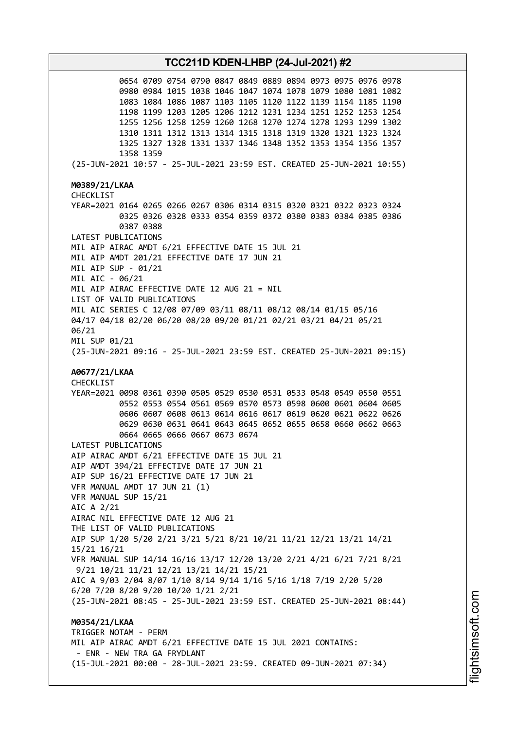0654 0709 0754 0790 0847 0849 0889 0894 0973 0975 0976 0978 0980 0984 1015 1038 1046 1047 1074 1078 1079 1080 1081 1082 1083 1084 1086 1087 1103 1105 1120 1122 1139 1154 1185 1190 1198 1199 1203 1205 1206 1212 1231 1234 1251 1252 1253 1254 1255 1256 1258 1259 1260 1268 1270 1274 1278 1293 1299 1302 1310 1311 1312 1313 1314 1315 1318 1319 1320 1321 1323 1324 1325 1327 1328 1331 1337 1346 1348 1352 1353 1354 1356 1357 1358 1359 (25-JUN-2021 10:57 - 25-JUL-2021 23:59 EST. CREATED 25-JUN-2021 10:55) **M0389/21/LKAA** CHECKLIST YEAR=2021 0164 0265 0266 0267 0306 0314 0315 0320 0321 0322 0323 0324 0325 0326 0328 0333 0354 0359 0372 0380 0383 0384 0385 0386 0387 0388 LATEST PUBLICATIONS MIL AIP AIRAC AMDT 6/21 EFFECTIVE DATE 15 JUL 21 MIL AIP AMDT 201/21 EFFECTIVE DATE 17 JUN 21 MIL AIP SUP - 01/21 MIL AIC - 06/21 MIL AIP AIRAC EFFECTIVE DATE 12 AUG 21 = NIL LIST OF VALID PUBLICATIONS MIL AIC SERIES C 12/08 07/09 03/11 08/11 08/12 08/14 01/15 05/16 04/17 04/18 02/20 06/20 08/20 09/20 01/21 02/21 03/21 04/21 05/21 06/21 MIL SUP 01/21 (25-JUN-2021 09:16 - 25-JUL-2021 23:59 EST. CREATED 25-JUN-2021 09:15) **A0677/21/LKAA** CHECKLIST YEAR=2021 0098 0361 0390 0505 0529 0530 0531 0533 0548 0549 0550 0551 0552 0553 0554 0561 0569 0570 0573 0598 0600 0601 0604 0605 0606 0607 0608 0613 0614 0616 0617 0619 0620 0621 0622 0626 0629 0630 0631 0641 0643 0645 0652 0655 0658 0660 0662 0663 0664 0665 0666 0667 0673 0674 LATEST PUBLICATIONS AIP AIRAC AMDT 6/21 EFFECTIVE DATE 15 JUL 21 AIP AMDT 394/21 EFFECTIVE DATE 17 JUN 21 AIP SUP 16/21 EFFECTIVE DATE 17 JUN 21 VFR MANUAL AMDT 17 JUN 21 (1) VFR MANUAL SUP 15/21 AIC A 2/21 AIRAC NIL EFFECTIVE DATE 12 AUG 21 THE LIST OF VALID PUBLICATIONS AIP SUP 1/20 5/20 2/21 3/21 5/21 8/21 10/21 11/21 12/21 13/21 14/21 15/21 16/21 VFR MANUAL SUP 14/14 16/16 13/17 12/20 13/20 2/21 4/21 6/21 7/21 8/21 9/21 10/21 11/21 12/21 13/21 14/21 15/21 AIC A 9/03 2/04 8/07 1/10 8/14 9/14 1/16 5/16 1/18 7/19 2/20 5/20 6/20 7/20 8/20 9/20 10/20 1/21 2/21 (25-JUN-2021 08:45 - 25-JUL-2021 23:59 EST. CREATED 25-JUN-2021 08:44) **M0354/21/LKAA** TRIGGER NOTAM - PERM MIL AIP AIRAC AMDT 6/21 EFFECTIVE DATE 15 JUL 2021 CONTAINS: - ENR - NEW TRA GA FRYDLANT (15-JUL-2021 00:00 - 28-JUL-2021 23:59. CREATED 09-JUN-2021 07:34)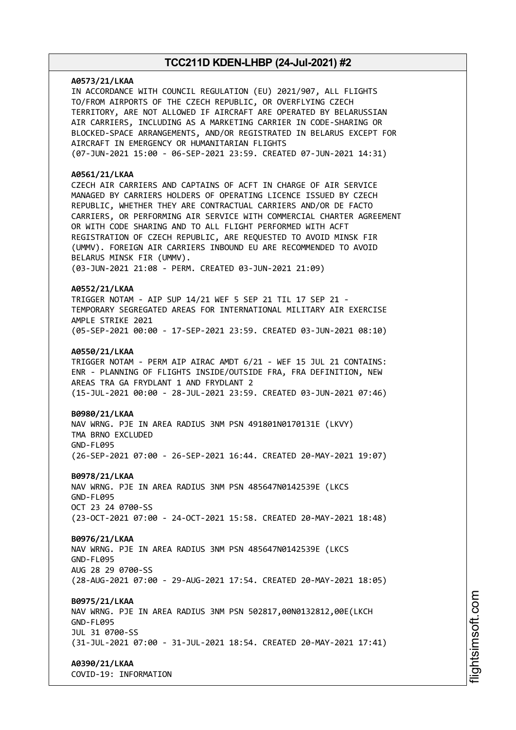# **A0573/21/LKAA** IN ACCORDANCE WITH COUNCIL REGULATION (EU) 2021/907, ALL FLIGHTS TO/FROM AIRPORTS OF THE CZECH REPUBLIC, OR OVERFLYING CZECH TERRITORY, ARE NOT ALLOWED IF AIRCRAFT ARE OPERATED BY BELARUSSIAN AIR CARRIERS, INCLUDING AS A MARKETING CARRIER IN CODE-SHARING OR BLOCKED-SPACE ARRANGEMENTS, AND/OR REGISTRATED IN BELARUS EXCEPT FOR AIRCRAFT IN EMERGENCY OR HUMANITARIAN FLIGHTS (07-JUN-2021 15:00 - 06-SEP-2021 23:59. CREATED 07-JUN-2021 14:31) **A0561/21/LKAA** CZECH AIR CARRIERS AND CAPTAINS OF ACFT IN CHARGE OF AIR SERVICE MANAGED BY CARRIERS HOLDERS OF OPERATING LICENCE ISSUED BY CZECH REPUBLIC, WHETHER THEY ARE CONTRACTUAL CARRIERS AND/OR DE FACTO CARRIERS, OR PERFORMING AIR SERVICE WITH COMMERCIAL CHARTER AGREEMENT OR WITH CODE SHARING AND TO ALL FLIGHT PERFORMED WITH ACFT REGISTRATION OF CZECH REPUBLIC, ARE REQUESTED TO AVOID MINSK FIR (UMMV). FOREIGN AIR CARRIERS INBOUND EU ARE RECOMMENDED TO AVOID BELARUS MINSK FIR (UMMV). (03-JUN-2021 21:08 - PERM. CREATED 03-JUN-2021 21:09) **A0552/21/LKAA** TRIGGER NOTAM - AIP SUP 14/21 WEF 5 SEP 21 TIL 17 SEP 21 - TEMPORARY SEGREGATED AREAS FOR INTERNATIONAL MILITARY AIR EXERCISE AMPLE STRIKE 2021 (05-SEP-2021 00:00 - 17-SEP-2021 23:59. CREATED 03-JUN-2021 08:10) **A0550/21/LKAA** TRIGGER NOTAM - PERM AIP AIRAC AMDT 6/21 - WEF 15 JUL 21 CONTAINS: ENR - PLANNING OF FLIGHTS INSIDE/OUTSIDE FRA, FRA DEFINITION, NEW AREAS TRA GA FRYDLANT 1 AND FRYDLANT 2 (15-JUL-2021 00:00 - 28-JUL-2021 23:59. CREATED 03-JUN-2021 07:46) **B0980/21/LKAA** NAV WRNG. PJE IN AREA RADIUS 3NM PSN 491801N0170131E (LKVY) TMA BRNO EXCLUDED GND-FL095 (26-SEP-2021 07:00 - 26-SEP-2021 16:44. CREATED 20-MAY-2021 19:07) **B0978/21/LKAA** NAV WRNG. PJE IN AREA RADIUS 3NM PSN 485647N0142539E (LKCS GND-FL095 OCT 23 24 0700-SS (23-OCT-2021 07:00 - 24-OCT-2021 15:58. CREATED 20-MAY-2021 18:48) **B0976/21/LKAA** NAV WRNG. PJE IN AREA RADIUS 3NM PSN 485647N0142539E (LKCS GND-FL095 AUG 28 29 0700-SS (28-AUG-2021 07:00 - 29-AUG-2021 17:54. CREATED 20-MAY-2021 18:05) **B0975/21/LKAA** NAV WRNG. PJE IN AREA RADIUS 3NM PSN 502817,00N0132812,00E(LKCH GND-FL095 JUL 31 0700-SS (31-JUL-2021 07:00 - 31-JUL-2021 18:54. CREATED 20-MAY-2021 17:41) **A0390/21/LKAA**

COVID-19: INFORMATION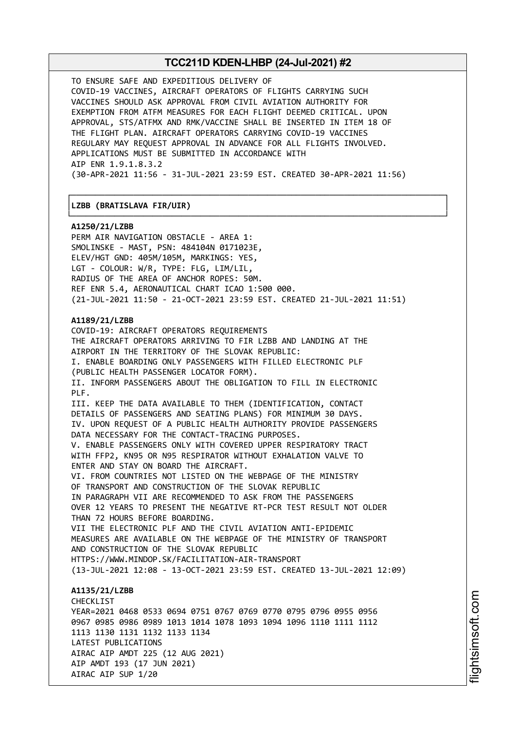┌──────────────────────────────────────────────────────────────────────────────┐

└──────────────────────────────────────────────────────────────────────────────┘

TO ENSURE SAFE AND EXPEDITIOUS DELIVERY OF COVID-19 VACCINES, AIRCRAFT OPERATORS OF FLIGHTS CARRYING SUCH VACCINES SHOULD ASK APPROVAL FROM CIVIL AVIATION AUTHORITY FOR EXEMPTION FROM ATFM MEASURES FOR EACH FLIGHT DEEMED CRITICAL. UPON APPROVAL, STS/ATFMX AND RMK/VACCINE SHALL BE INSERTED IN ITEM 18 OF THE FLIGHT PLAN. AIRCRAFT OPERATORS CARRYING COVID-19 VACCINES REGULARY MAY REQUEST APPROVAL IN ADVANCE FOR ALL FLIGHTS INVOLVED. APPLICATIONS MUST BE SUBMITTED IN ACCORDANCE WITH AIP ENR 1.9.1.8.3.2 (30-APR-2021 11:56 - 31-JUL-2021 23:59 EST. CREATED 30-APR-2021 11:56)

## │**LZBB (BRATISLAVA FIR/UIR)** │

**A1250/21/LZBB**

PERM AIR NAVIGATION OBSTACLE - AREA 1: SMOLINSKE - MAST, PSN: 484104N 0171023E, ELEV/HGT GND: 405M/105M, MARKINGS: YES, LGT - COLOUR: W/R, TYPE: FLG, LIM/LIL, RADIUS OF THE AREA OF ANCHOR ROPES: 50M. REF ENR 5.4, AERONAUTICAL CHART ICAO 1:500 000. (21-JUL-2021 11:50 - 21-OCT-2021 23:59 EST. CREATED 21-JUL-2021 11:51)

#### **A1189/21/LZBB**

LATEST PUBLICATIONS

AIRAC AIP SUP 1/20

AIRAC AIP AMDT 225 (12 AUG 2021)

AIP AMDT 193 (17 JUN 2021)

COVID-19: AIRCRAFT OPERATORS REQUIREMENTS THE AIRCRAFT OPERATORS ARRIVING TO FIR LZBB AND LANDING AT THE AIRPORT IN THE TERRITORY OF THE SLOVAK REPUBLIC: I. ENABLE BOARDING ONLY PASSENGERS WITH FILLED ELECTRONIC PLF (PUBLIC HEALTH PASSENGER LOCATOR FORM). II. INFORM PASSENGERS ABOUT THE OBLIGATION TO FILL IN ELECTRONIC PLF. III. KEEP THE DATA AVAILABLE TO THEM (IDENTIFICATION, CONTACT DETAILS OF PASSENGERS AND SEATING PLANS) FOR MINIMUM 30 DAYS. IV. UPON REQUEST OF A PUBLIC HEALTH AUTHORITY PROVIDE PASSENGERS DATA NECESSARY FOR THE CONTACT-TRACING PURPOSES. V. ENABLE PASSENGERS ONLY WITH COVERED UPPER RESPIRATORY TRACT WITH FFP2, KN95 OR N95 RESPIRATOR WITHOUT EXHALATION VALVE TO ENTER AND STAY ON BOARD THE AIRCRAFT. VI. FROM COUNTRIES NOT LISTED ON THE WEBPAGE OF THE MINISTRY OF TRANSPORT AND CONSTRUCTION OF THE SLOVAK REPUBLIC IN PARAGRAPH VII ARE RECOMMENDED TO ASK FROM THE PASSENGERS OVER 12 YEARS TO PRESENT THE NEGATIVE RT-PCR TEST RESULT NOT OLDER THAN 72 HOURS BEFORE BOARDING. VII THE ELECTRONIC PLF AND THE CIVIL AVIATION ANTI-EPIDEMIC MEASURES ARE AVAILABLE ON THE WEBPAGE OF THE MINISTRY OF TRANSPORT AND CONSTRUCTION OF THE SLOVAK REPUBLIC HTTPS://WWW.MINDOP.SK/FACILITATION-AIR-TRANSPORT (13-JUL-2021 12:08 - 13-OCT-2021 23:59 EST. CREATED 13-JUL-2021 12:09) **A1135/21/LZBB** CHECKL<sub>TST</sub> YEAR=2021 0468 0533 0694 0751 0767 0769 0770 0795 0796 0955 0956 0967 0985 0986 0989 1013 1014 1078 1093 1094 1096 1110 1111 1112 1113 1130 1131 1132 1133 1134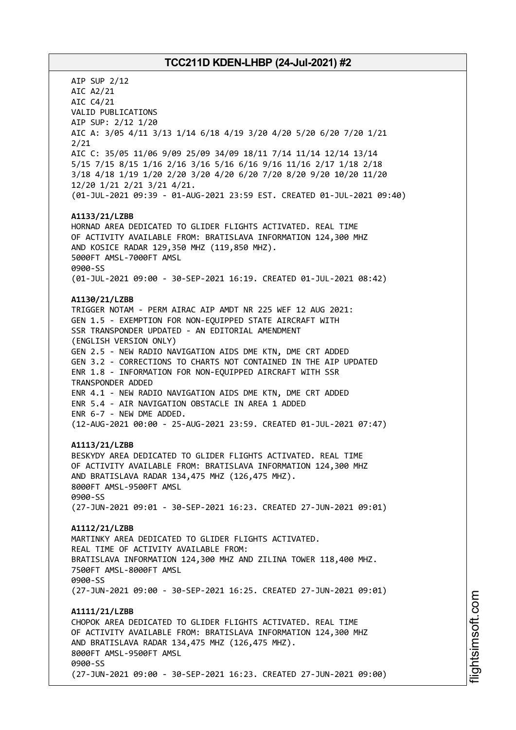AIP SUP 2/12 AIC A2/21 AIC C4/21 VALID PUBLICATIONS AIP SUP: 2/12 1/20 AIC A: 3/05 4/11 3/13 1/14 6/18 4/19 3/20 4/20 5/20 6/20 7/20 1/21 2/21 AIC C: 35/05 11/06 9/09 25/09 34/09 18/11 7/14 11/14 12/14 13/14 5/15 7/15 8/15 1/16 2/16 3/16 5/16 6/16 9/16 11/16 2/17 1/18 2/18 3/18 4/18 1/19 1/20 2/20 3/20 4/20 6/20 7/20 8/20 9/20 10/20 11/20 12/20 1/21 2/21 3/21 4/21. (01-JUL-2021 09:39 - 01-AUG-2021 23:59 EST. CREATED 01-JUL-2021 09:40) **A1133/21/LZBB** HORNAD AREA DEDICATED TO GLIDER FLIGHTS ACTIVATED. REAL TIME OF ACTIVITY AVAILABLE FROM: BRATISLAVA INFORMATION 124,300 MHZ AND KOSICE RADAR 129,350 MHZ (119,850 MHZ). 5000FT AMSL-7000FT AMSL 0900-SS (01-JUL-2021 09:00 - 30-SEP-2021 16:19. CREATED 01-JUL-2021 08:42) **A1130/21/LZBB** TRIGGER NOTAM - PERM AIRAC AIP AMDT NR 225 WEF 12 AUG 2021: GEN 1.5 - EXEMPTION FOR NON-EQUIPPED STATE AIRCRAFT WITH SSR TRANSPONDER UPDATED - AN EDITORIAL AMENDMENT (ENGLISH VERSION ONLY) GEN 2.5 - NEW RADIO NAVIGATION AIDS DME KTN, DME CRT ADDED GEN 3.2 - CORRECTIONS TO CHARTS NOT CONTAINED IN THE AIP UPDATED ENR 1.8 - INFORMATION FOR NON-EQUIPPED AIRCRAFT WITH SSR TRANSPONDER ADDED ENR 4.1 - NEW RADIO NAVIGATION AIDS DME KTN, DME CRT ADDED ENR 5.4 - AIR NAVIGATION OBSTACLE IN AREA 1 ADDED ENR 6-7 - NEW DME ADDED. (12-AUG-2021 00:00 - 25-AUG-2021 23:59. CREATED 01-JUL-2021 07:47) **A1113/21/LZBB** BESKYDY AREA DEDICATED TO GLIDER FLIGHTS ACTIVATED. REAL TIME OF ACTIVITY AVAILABLE FROM: BRATISLAVA INFORMATION 124,300 MHZ AND BRATISLAVA RADAR 134,475 MHZ (126,475 MHZ). 8000FT AMSL-9500FT AMSL 0900-SS (27-JUN-2021 09:01 - 30-SEP-2021 16:23. CREATED 27-JUN-2021 09:01) **A1112/21/LZBB** MARTINKY AREA DEDICATED TO GLIDER FLIGHTS ACTIVATED. REAL TIME OF ACTIVITY AVAILABLE FROM: BRATISLAVA INFORMATION 124,300 MHZ AND ZILINA TOWER 118,400 MHZ. 7500FT AMSL-8000FT AMSL 0900-SS (27-JUN-2021 09:00 - 30-SEP-2021 16:25. CREATED 27-JUN-2021 09:01) **A1111/21/LZBB** CHOPOK AREA DEDICATED TO GLIDER FLIGHTS ACTIVATED. REAL TIME OF ACTIVITY AVAILABLE FROM: BRATISLAVA INFORMATION 124,300 MHZ AND BRATISLAVA RADAR 134,475 MHZ (126,475 MHZ). 8000FT AMSL-9500FT AMSL 0900-SS (27-JUN-2021 09:00 - 30-SEP-2021 16:23. CREATED 27-JUN-2021 09:00)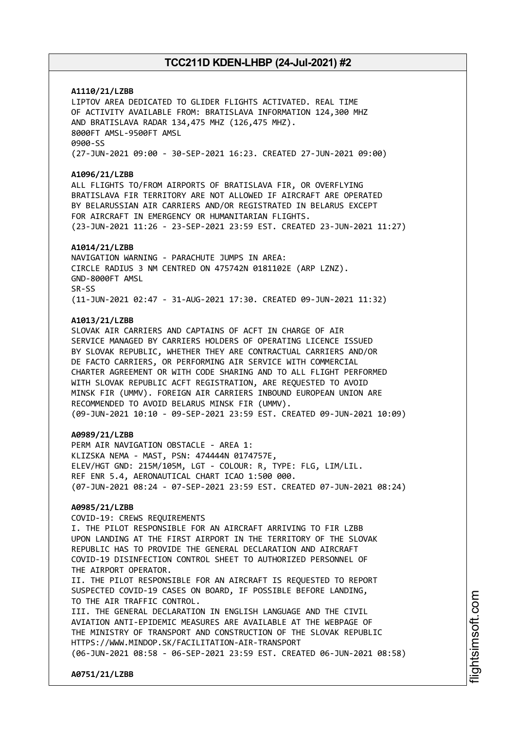# **A1110/21/LZBB**

LIPTOV AREA DEDICATED TO GLIDER FLIGHTS ACTIVATED. REAL TIME OF ACTIVITY AVAILABLE FROM: BRATISLAVA INFORMATION 124,300 MHZ AND BRATISLAVA RADAR 134,475 MHZ (126,475 MHZ). 8000FT AMSL-9500FT AMSL 0900-SS (27-JUN-2021 09:00 - 30-SEP-2021 16:23. CREATED 27-JUN-2021 09:00)

### **A1096/21/LZBB**

ALL FLIGHTS TO/FROM AIRPORTS OF BRATISLAVA FIR, OR OVERFLYING BRATISLAVA FIR TERRITORY ARE NOT ALLOWED IF AIRCRAFT ARE OPERATED BY BELARUSSIAN AIR CARRIERS AND/OR REGISTRATED IN BELARUS EXCEPT FOR AIRCRAFT IN EMERGENCY OR HUMANITARIAN FLIGHTS. (23-JUN-2021 11:26 - 23-SEP-2021 23:59 EST. CREATED 23-JUN-2021 11:27)

#### **A1014/21/LZBB**

NAVIGATION WARNING - PARACHUTE JUMPS IN AREA: CIRCLE RADIUS 3 NM CENTRED ON 475742N 0181102E (ARP LZNZ). GND-8000FT AMSL SR-SS (11-JUN-2021 02:47 - 31-AUG-2021 17:30. CREATED 09-JUN-2021 11:32)

### **A1013/21/LZBB**

SLOVAK AIR CARRIERS AND CAPTAINS OF ACFT IN CHARGE OF AIR SERVICE MANAGED BY CARRIERS HOLDERS OF OPERATING LICENCE ISSUED BY SLOVAK REPUBLIC, WHETHER THEY ARE CONTRACTUAL CARRIERS AND/OR DE FACTO CARRIERS, OR PERFORMING AIR SERVICE WITH COMMERCIAL CHARTER AGREEMENT OR WITH CODE SHARING AND TO ALL FLIGHT PERFORMED WITH SLOVAK REPUBLIC ACFT REGISTRATION, ARE REQUESTED TO AVOID MINSK FIR (UMMV). FOREIGN AIR CARRIERS INBOUND EUROPEAN UNION ARE RECOMMENDED TO AVOID BELARUS MINSK FIR (UMMV). (09-JUN-2021 10:10 - 09-SEP-2021 23:59 EST. CREATED 09-JUN-2021 10:09)

### **A0989/21/LZBB**

PERM AIR NAVIGATION OBSTACLE - AREA 1: KLIZSKA NEMA - MAST, PSN: 474444N 0174757E, ELEV/HGT GND: 215M/105M, LGT - COLOUR: R, TYPE: FLG, LIM/LIL. REF ENR 5.4, AERONAUTICAL CHART ICAO 1:500 000. (07-JUN-2021 08:24 - 07-SEP-2021 23:59 EST. CREATED 07-JUN-2021 08:24)

## **A0985/21/LZBB**

COVID-19: CREWS REQUIREMENTS I. THE PILOT RESPONSIBLE FOR AN AIRCRAFT ARRIVING TO FIR LZBB UPON LANDING AT THE FIRST AIRPORT IN THE TERRITORY OF THE SLOVAK REPUBLIC HAS TO PROVIDE THE GENERAL DECLARATION AND AIRCRAFT COVID-19 DISINFECTION CONTROL SHEET TO AUTHORIZED PERSONNEL OF THE AIRPORT OPERATOR. II. THE PILOT RESPONSIBLE FOR AN AIRCRAFT IS REQUESTED TO REPORT SUSPECTED COVID-19 CASES ON BOARD, IF POSSIBLE BEFORE LANDING, TO THE AIR TRAFFIC CONTROL. III. THE GENERAL DECLARATION IN ENGLISH LANGUAGE AND THE CIVIL AVIATION ANTI-EPIDEMIC MEASURES ARE AVAILABLE AT THE WEBPAGE OF THE MINISTRY OF TRANSPORT AND CONSTRUCTION OF THE SLOVAK REPUBLIC HTTPS://WWW.MINDOP.SK/FACILITATION-AIR-TRANSPORT (06-JUN-2021 08:58 - 06-SEP-2021 23:59 EST. CREATED 06-JUN-2021 08:58)

**A0751/21/LZBB**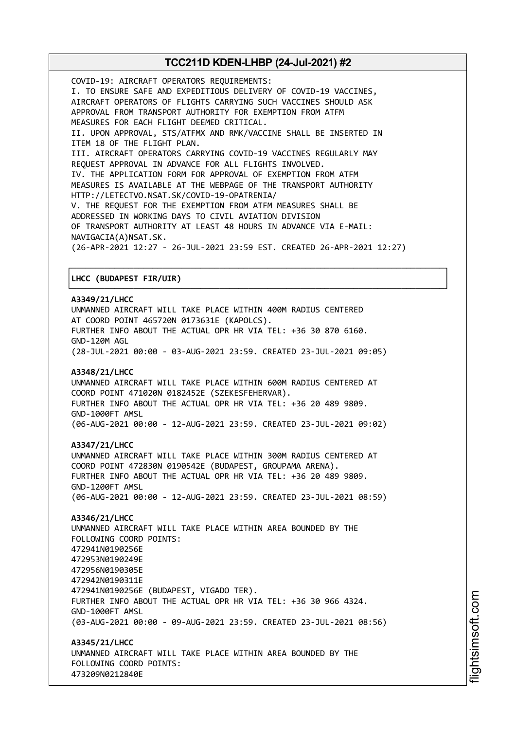COVID-19: AIRCRAFT OPERATORS REQUIREMENTS: I. TO ENSURE SAFE AND EXPEDITIOUS DELIVERY OF COVID-19 VACCINES, AIRCRAFT OPERATORS OF FLIGHTS CARRYING SUCH VACCINES SHOULD ASK APPROVAL FROM TRANSPORT AUTHORITY FOR EXEMPTION FROM ATFM MEASURES FOR EACH FLIGHT DEEMED CRITICAL. II. UPON APPROVAL, STS/ATFMX AND RMK/VACCINE SHALL BE INSERTED IN ITEM 18 OF THE FLIGHT PLAN. III. AIRCRAFT OPERATORS CARRYING COVID-19 VACCINES REGULARLY MAY REQUEST APPROVAL IN ADVANCE FOR ALL FLIGHTS INVOLVED. IV. THE APPLICATION FORM FOR APPROVAL OF EXEMPTION FROM ATFM MEASURES IS AVAILABLE AT THE WEBPAGE OF THE TRANSPORT AUTHORITY HTTP://LETECTVO.NSAT.SK/COVID-19-OPATRENIA/ V. THE REQUEST FOR THE EXEMPTION FROM ATFM MEASURES SHALL BE ADDRESSED IN WORKING DAYS TO CIVIL AVIATION DIVISION OF TRANSPORT AUTHORITY AT LEAST 48 HOURS IN ADVANCE VIA E-MAIL: NAVIGACIA(A)NSAT.SK. (26-APR-2021 12:27 - 26-JUL-2021 23:59 EST. CREATED 26-APR-2021 12:27)

## │**LHCC (BUDAPEST FIR/UIR)** │

### **A3349/21/LHCC**

UNMANNED AIRCRAFT WILL TAKE PLACE WITHIN 400M RADIUS CENTERED AT COORD POINT 465720N 0173631E (KAPOLCS). FURTHER INFO ABOUT THE ACTUAL OPR HR VIA TEL: +36 30 870 6160. GND-120M AGL (28-JUL-2021 00:00 - 03-AUG-2021 23:59. CREATED 23-JUL-2021 09:05)

┌──────────────────────────────────────────────────────────────────────────────┐

└──────────────────────────────────────────────────────────────────────────────┘

## **A3348/21/LHCC**

UNMANNED AIRCRAFT WILL TAKE PLACE WITHIN 600M RADIUS CENTERED AT COORD POINT 471020N 0182452E (SZEKESFEHERVAR). FURTHER INFO ABOUT THE ACTUAL OPR HR VIA TEL: +36 20 489 9809. GND-1000FT AMSL (06-AUG-2021 00:00 - 12-AUG-2021 23:59. CREATED 23-JUL-2021 09:02)

### **A3347/21/LHCC**

UNMANNED AIRCRAFT WILL TAKE PLACE WITHIN 300M RADIUS CENTERED AT COORD POINT 472830N 0190542E (BUDAPEST, GROUPAMA ARENA). FURTHER INFO ABOUT THE ACTUAL OPR HR VIA TEL: +36 20 489 9809. GND-1200FT AMSL (06-AUG-2021 00:00 - 12-AUG-2021 23:59. CREATED 23-JUL-2021 08:59)

### **A3346/21/LHCC**

UNMANNED AIRCRAFT WILL TAKE PLACE WITHIN AREA BOUNDED BY THE FOLLOWING COORD POINTS: 472941N0190256E 472953N0190249E 472956N0190305E 472942N0190311E 472941N0190256E (BUDAPEST, VIGADO TER). FURTHER INFO ABOUT THE ACTUAL OPR HR VIA TEL: +36 30 966 4324. GND-1000FT AMSL (03-AUG-2021 00:00 - 09-AUG-2021 23:59. CREATED 23-JUL-2021 08:56)

**A3345/21/LHCC** UNMANNED AIRCRAFT WILL TAKE PLACE WITHIN AREA BOUNDED BY THE FOLLOWING COORD POINTS: 473209N0212840E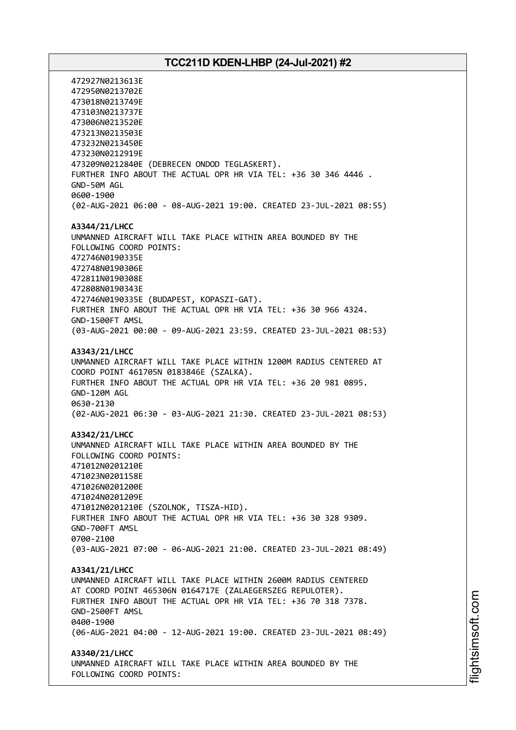472927N0213613E 472950N0213702E 473018N0213749E 473103N0213737E 473006N0213520E 473213N0213503E 473232N0213450E 473230N0212919E 473209N0212840E (DEBRECEN ONDOD TEGLASKERT). FURTHER INFO ABOUT THE ACTUAL OPR HR VIA TEL: +36 30 346 4446 . GND-50M AGL 0600-1900 (02-AUG-2021 06:00 - 08-AUG-2021 19:00. CREATED 23-JUL-2021 08:55) **A3344/21/LHCC** UNMANNED AIRCRAFT WILL TAKE PLACE WITHIN AREA BOUNDED BY THE FOLLOWING COORD POINTS: 472746N0190335E 472748N0190306E 472811N0190308E 472808N0190343E 472746N0190335E (BUDAPEST, KOPASZI-GAT). FURTHER INFO ABOUT THE ACTUAL OPR HR VIA TEL: +36 30 966 4324. GND-1500FT AMSL (03-AUG-2021 00:00 - 09-AUG-2021 23:59. CREATED 23-JUL-2021 08:53) **A3343/21/LHCC** UNMANNED AIRCRAFT WILL TAKE PLACE WITHIN 1200M RADIUS CENTERED AT COORD POINT 461705N 0183846E (SZALKA). FURTHER INFO ABOUT THE ACTUAL OPR HR VIA TEL: +36 20 981 0895. GND-120M AGL 0630-2130 (02-AUG-2021 06:30 - 03-AUG-2021 21:30. CREATED 23-JUL-2021 08:53) **A3342/21/LHCC** UNMANNED AIRCRAFT WILL TAKE PLACE WITHIN AREA BOUNDED BY THE FOLLOWING COORD POINTS: 471012N0201210E 471023N0201158E 471026N0201200E 471024N0201209E 471012N0201210E (SZOLNOK, TISZA-HID). FURTHER INFO ABOUT THE ACTUAL OPR HR VIA TEL: +36 30 328 9309. GND-700FT AMSL 0700-2100 (03-AUG-2021 07:00 - 06-AUG-2021 21:00. CREATED 23-JUL-2021 08:49) **A3341/21/LHCC** UNMANNED AIRCRAFT WILL TAKE PLACE WITHIN 2600M RADIUS CENTERED AT COORD POINT 465306N 0164717E (ZALAEGERSZEG REPULOTER). FURTHER INFO ABOUT THE ACTUAL OPR HR VIA TEL: +36 70 318 7378. GND-2500FT AMSL 0400-1900 (06-AUG-2021 04:00 - 12-AUG-2021 19:00. CREATED 23-JUL-2021 08:49) **A3340/21/LHCC** UNMANNED AIRCRAFT WILL TAKE PLACE WITHIN AREA BOUNDED BY THE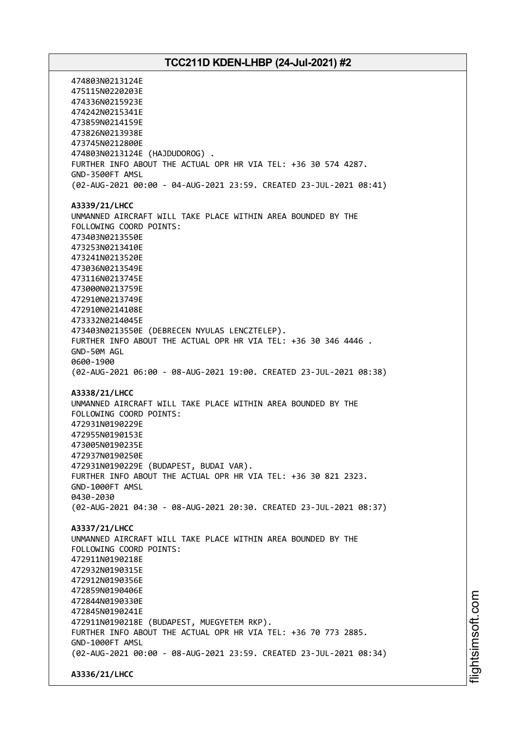474803N0213124E 475115N0220203E 474336N0215923E 474242N0215341E 473859N0214159E 473826N0213938E 473745N0212800E 474803N0213124E (HAJDUDOROG) . FURTHER INFO ABOUT THE ACTUAL OPR HR VIA TEL: +36 30 574 4287. GND-3500FT AMSL (02-AUG-2021 00:00 - 04-AUG-2021 23:59. CREATED 23-JUL-2021 08:41) **A3339/21/LHCC** UNMANNED AIRCRAFT WILL TAKE PLACE WITHIN AREA BOUNDED BY THE FOLLOWING COORD POINTS: 473403N0213550E 473253N0213410E 473241N0213520E 473036N0213549E 473116N0213745E 473000N0213759E 472910N0213749E 472910N0214108E 473332N0214045E 473403N0213550E (DEBRECEN NYULAS LENCZTELEP). FURTHER INFO ABOUT THE ACTUAL OPR HR VIA TEL: +36 30 346 4446 . GND-50M AGL 0600-1900 (02-AUG-2021 06:00 - 08-AUG-2021 19:00. CREATED 23-JUL-2021 08:38) **A3338/21/LHCC** UNMANNED AIRCRAFT WILL TAKE PLACE WITHIN AREA BOUNDED BY THE FOLLOWING COORD POINTS: 472931N0190229E 472955N0190153E 473005N0190235E 472937N0190250E 472931N0190229E (BUDAPEST, BUDAI VAR). FURTHER INFO ABOUT THE ACTUAL OPR HR VIA TEL: +36 30 821 2323. GND-1000FT AMSL 0430-2030 (02-AUG-2021 04:30 - 08-AUG-2021 20:30. CREATED 23-JUL-2021 08:37) **A3337/21/LHCC** UNMANNED AIRCRAFT WILL TAKE PLACE WITHIN AREA BOUNDED BY THE FOLLOWING COORD POINTS: 472911N0190218E 472932N0190315E 472912N0190356E 472859N0190406E 472844N0190330E 472845N0190241E 472911N0190218E (BUDAPEST, MUEGYETEM RKP). FURTHER INFO ABOUT THE ACTUAL OPR HR VIA TEL: +36 70 773 2885. GND-1000FT AMSL (02-AUG-2021 00:00 - 08-AUG-2021 23:59. CREATED 23-JUL-2021 08:34) **A3336/21/LHCC**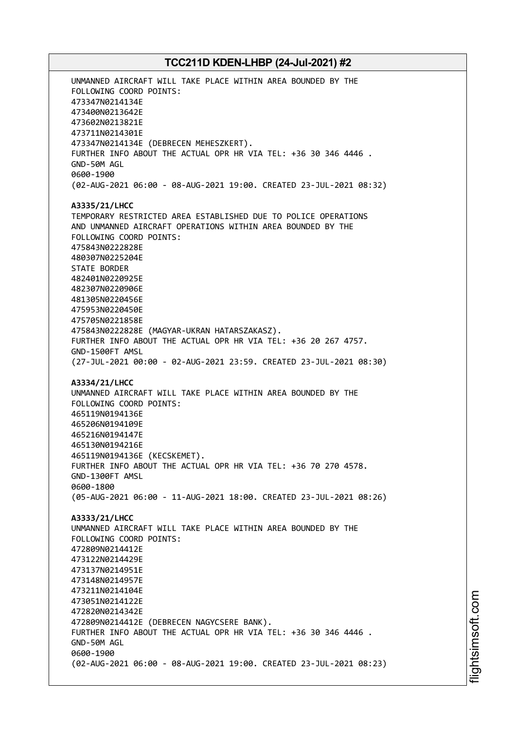UNMANNED AIRCRAFT WILL TAKE PLACE WITHIN AREA BOUNDED BY THE FOLLOWING COORD POINTS: 473347N0214134E 473400N0213642E 473602N0213821E 473711N0214301E 473347N0214134E (DEBRECEN MEHESZKERT). FURTHER INFO ABOUT THE ACTUAL OPR HR VIA TEL: +36 30 346 4446 . GND-50M AGL 0600-1900 (02-AUG-2021 06:00 - 08-AUG-2021 19:00. CREATED 23-JUL-2021 08:32) **A3335/21/LHCC** TEMPORARY RESTRICTED AREA ESTABLISHED DUE TO POLICE OPERATIONS AND UNMANNED AIRCRAFT OPERATIONS WITHIN AREA BOUNDED BY THE FOLLOWING COORD POINTS: 475843N0222828E 480307N0225204E STATE BORDER 482401N0220925E 482307N0220906E 481305N0220456E 475953N0220450E 475705N0221858E 475843N0222828E (MAGYAR-UKRAN HATARSZAKASZ). FURTHER INFO ABOUT THE ACTUAL OPR HR VIA TEL: +36 20 267 4757. GND-1500FT AMSL (27-JUL-2021 00:00 - 02-AUG-2021 23:59. CREATED 23-JUL-2021 08:30) **A3334/21/LHCC** UNMANNED AIRCRAFT WILL TAKE PLACE WITHIN AREA BOUNDED BY THE FOLLOWING COORD POINTS: 465119N0194136E 465206N0194109E 465216N0194147E 465130N0194216E 465119N0194136E (KECSKEMET). FURTHER INFO ABOUT THE ACTUAL OPR HR VIA TEL: +36 70 270 4578. GND-1300FT AMSL 0600-1800 (05-AUG-2021 06:00 - 11-AUG-2021 18:00. CREATED 23-JUL-2021 08:26) **A3333/21/LHCC** UNMANNED AIRCRAFT WILL TAKE PLACE WITHIN AREA BOUNDED BY THE FOLLOWING COORD POINTS: 472809N0214412E 473122N0214429E 473137N0214951E 473148N0214957E 473211N0214104E 473051N0214122E 472820N0214342E 472809N0214412E (DEBRECEN NAGYCSERE BANK). FURTHER INFO ABOUT THE ACTUAL OPR HR VIA TEL: +36 30 346 4446 . GND-50M AGL 0600-1900 (02-AUG-2021 06:00 - 08-AUG-2021 19:00. CREATED 23-JUL-2021 08:23)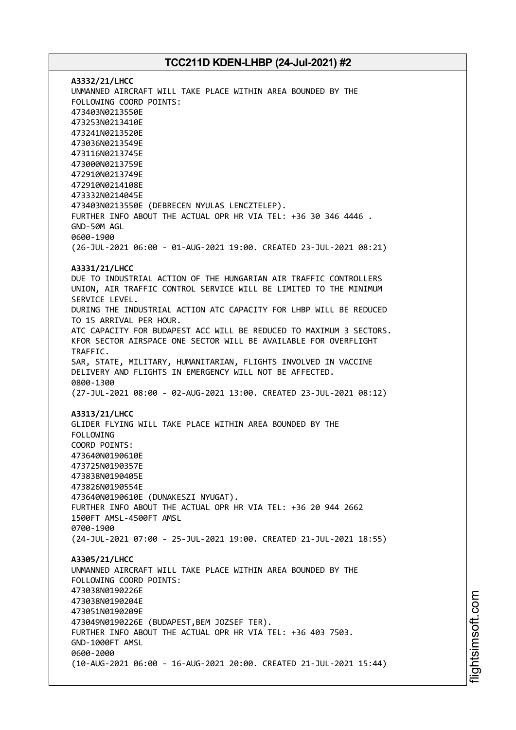**A3332/21/LHCC** UNMANNED AIRCRAFT WILL TAKE PLACE WITHIN AREA BOUNDED BY THE FOLLOWING COORD POINTS: 473403N0213550E 473253N0213410E 473241N0213520E 473036N0213549E 473116N0213745E 473000N0213759E 472910N0213749E 472910N0214108E 473332N0214045E 473403N0213550E (DEBRECEN NYULAS LENCZTELEP). FURTHER INFO ABOUT THE ACTUAL OPR HR VIA TEL: +36 30 346 4446 . GND-50M AGL 0600-1900 (26-JUL-2021 06:00 - 01-AUG-2021 19:00. CREATED 23-JUL-2021 08:21) **A3331/21/LHCC** DUE TO INDUSTRIAL ACTION OF THE HUNGARIAN AIR TRAFFIC CONTROLLERS UNION, AIR TRAFFIC CONTROL SERVICE WILL BE LIMITED TO THE MINIMUM SERVICE LEVEL. DURING THE INDUSTRIAL ACTION ATC CAPACITY FOR LHBP WILL BE REDUCED TO 15 ARRIVAL PER HOUR. ATC CAPACITY FOR BUDAPEST ACC WILL BE REDUCED TO MAXIMUM 3 SECTORS. KFOR SECTOR AIRSPACE ONE SECTOR WILL BE AVAILABLE FOR OVERFLIGHT TRAFFIC. SAR, STATE, MILITARY, HUMANITARIAN, FLIGHTS INVOLVED IN VACCINE DELIVERY AND FLIGHTS IN EMERGENCY WILL NOT BE AFFECTED. 0800-1300 (27-JUL-2021 08:00 - 02-AUG-2021 13:00. CREATED 23-JUL-2021 08:12) **A3313/21/LHCC** GLIDER FLYING WILL TAKE PLACE WITHIN AREA BOUNDED BY THE FOLLOWING COORD POINTS: 473640N0190610E 473725N0190357E 473838N0190405E 473826N0190554E 473640N0190610E (DUNAKESZI NYUGAT). FURTHER INFO ABOUT THE ACTUAL OPR HR VIA TEL: +36 20 944 2662 1500FT AMSL-4500FT AMSL 0700-1900 (24-JUL-2021 07:00 - 25-JUL-2021 19:00. CREATED 21-JUL-2021 18:55) **A3305/21/LHCC** UNMANNED AIRCRAFT WILL TAKE PLACE WITHIN AREA BOUNDED BY THE FOLLOWING COORD POINTS: 473038N0190226E 473038N0190204E 473051N0190209E 473049N0190226E (BUDAPEST,BEM JOZSEF TER). FURTHER INFO ABOUT THE ACTUAL OPR HR VIA TEL: +36 403 7503. GND-1000FT AMSL 0600-2000 (10-AUG-2021 06:00 - 16-AUG-2021 20:00. CREATED 21-JUL-2021 15:44)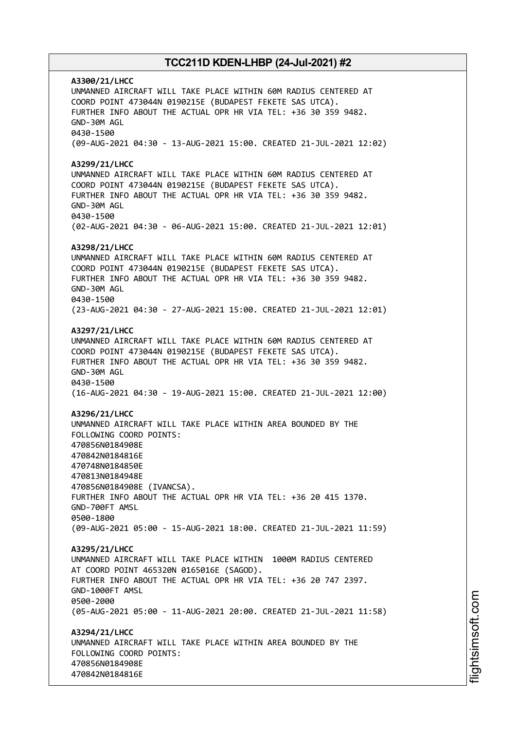**A3300/21/LHCC** UNMANNED AIRCRAFT WILL TAKE PLACE WITHIN 60M RADIUS CENTERED AT COORD POINT 473044N 0190215E (BUDAPEST FEKETE SAS UTCA). FURTHER INFO ABOUT THE ACTUAL OPR HR VIA TEL: +36 30 359 9482. GND-30M AGL 0430-1500 (09-AUG-2021 04:30 - 13-AUG-2021 15:00. CREATED 21-JUL-2021 12:02) **A3299/21/LHCC** UNMANNED AIRCRAFT WILL TAKE PLACE WITHIN 60M RADIUS CENTERED AT COORD POINT 473044N 0190215E (BUDAPEST FEKETE SAS UTCA). FURTHER INFO ABOUT THE ACTUAL OPR HR VIA TEL: +36 30 359 9482. GND-30M AGL 0430-1500 (02-AUG-2021 04:30 - 06-AUG-2021 15:00. CREATED 21-JUL-2021 12:01) **A3298/21/LHCC** UNMANNED AIRCRAFT WILL TAKE PLACE WITHIN 60M RADIUS CENTERED AT COORD POINT 473044N 0190215E (BUDAPEST FEKETE SAS UTCA). FURTHER INFO ABOUT THE ACTUAL OPR HR VIA TEL: +36 30 359 9482. GND-30M AGL 0430-1500 (23-AUG-2021 04:30 - 27-AUG-2021 15:00. CREATED 21-JUL-2021 12:01) **A3297/21/LHCC** UNMANNED AIRCRAFT WILL TAKE PLACE WITHIN 60M RADIUS CENTERED AT COORD POINT 473044N 0190215E (BUDAPEST FEKETE SAS UTCA). FURTHER INFO ABOUT THE ACTUAL OPR HR VIA TEL: +36 30 359 9482. GND-30M AGL 0430-1500 (16-AUG-2021 04:30 - 19-AUG-2021 15:00. CREATED 21-JUL-2021 12:00) **A3296/21/LHCC** UNMANNED AIRCRAFT WILL TAKE PLACE WITHIN AREA BOUNDED BY THE FOLLOWING COORD POINTS: 470856N0184908E 470842N0184816E 470748N0184850E 470813N0184948E 470856N0184908E (IVANCSA). FURTHER INFO ABOUT THE ACTUAL OPR HR VIA TEL: +36 20 415 1370. GND-700FT AMSL 0500-1800 (09-AUG-2021 05:00 - 15-AUG-2021 18:00. CREATED 21-JUL-2021 11:59) **A3295/21/LHCC** UNMANNED AIRCRAFT WILL TAKE PLACE WITHIN 1000M RADIUS CENTERED AT COORD POINT 465320N 0165016E (SAGOD). FURTHER INFO ABOUT THE ACTUAL OPR HR VIA TEL: +36 20 747 2397. GND-1000FT AMSL 0500-2000 (05-AUG-2021 05:00 - 11-AUG-2021 20:00. CREATED 21-JUL-2021 11:58) **A3294/21/LHCC** UNMANNED AIRCRAFT WILL TAKE PLACE WITHIN AREA BOUNDED BY THE FOLLOWING COORD POINTS: 470856N0184908E 470842N0184816E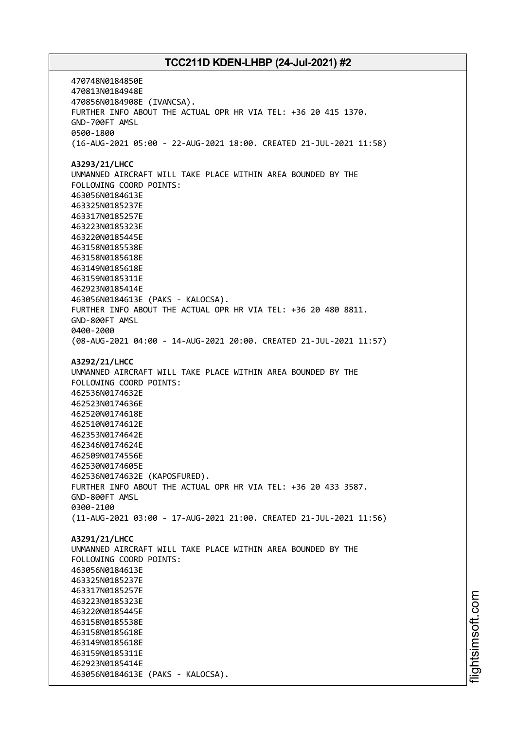470748N0184850E 470813N0184948E 470856N0184908E (IVANCSA). FURTHER INFO ABOUT THE ACTUAL OPR HR VIA TEL: +36 20 415 1370. GND-700FT AMSL 0500-1800 (16-AUG-2021 05:00 - 22-AUG-2021 18:00. CREATED 21-JUL-2021 11:58) **A3293/21/LHCC** UNMANNED AIRCRAFT WILL TAKE PLACE WITHIN AREA BOUNDED BY THE FOLLOWING COORD POINTS: 463056N0184613E 463325N0185237E 463317N0185257E 463223N0185323E 463220N0185445E 463158N0185538E 463158N0185618E 463149N0185618E 463159N0185311E 462923N0185414E 463056N0184613E (PAKS - KALOCSA). FURTHER INFO ABOUT THE ACTUAL OPR HR VIA TEL: +36 20 480 8811. GND-800FT AMSL 0400-2000 (08-AUG-2021 04:00 - 14-AUG-2021 20:00. CREATED 21-JUL-2021 11:57) **A3292/21/LHCC** UNMANNED AIRCRAFT WILL TAKE PLACE WITHIN AREA BOUNDED BY THE FOLLOWING COORD POINTS: 462536N0174632E 462523N0174636E 462520N0174618E 462510N0174612E 462353N0174642E 462346N0174624E 462509N0174556E 462530N0174605E 462536N0174632E (KAPOSFURED). FURTHER INFO ABOUT THE ACTUAL OPR HR VIA TEL: +36 20 433 3587. GND-800FT AMSL 0300-2100 (11-AUG-2021 03:00 - 17-AUG-2021 21:00. CREATED 21-JUL-2021 11:56) **A3291/21/LHCC** UNMANNED AIRCRAFT WILL TAKE PLACE WITHIN AREA BOUNDED BY THE FOLLOWING COORD POINTS: 463056N0184613E 463325N0185237E 463317N0185257E 463223N0185323E 463220N0185445E 463158N0185538E 463158N0185618E 463149N0185618E 463159N0185311E 462923N0185414E 463056N0184613E (PAKS - KALOCSA).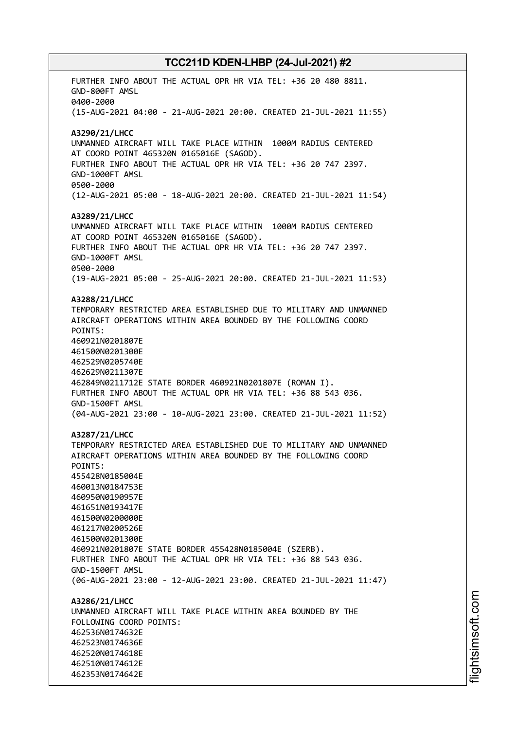FURTHER INFO ABOUT THE ACTUAL OPR HR VIA TEL: +36 20 480 8811. GND-800FT AMSL 0400-2000 (15-AUG-2021 04:00 - 21-AUG-2021 20:00. CREATED 21-JUL-2021 11:55) **A3290/21/LHCC** UNMANNED AIRCRAFT WILL TAKE PLACE WITHIN 1000M RADIUS CENTERED AT COORD POINT 465320N 0165016E (SAGOD). FURTHER INFO ABOUT THE ACTUAL OPR HR VIA TEL: +36 20 747 2397. GND-1000FT AMSL 0500-2000 (12-AUG-2021 05:00 - 18-AUG-2021 20:00. CREATED 21-JUL-2021 11:54) **A3289/21/LHCC** UNMANNED AIRCRAFT WILL TAKE PLACE WITHIN 1000M RADIUS CENTERED AT COORD POINT 465320N 0165016E (SAGOD). FURTHER INFO ABOUT THE ACTUAL OPR HR VIA TEL: +36 20 747 2397. GND-1000FT AMSL 0500-2000 (19-AUG-2021 05:00 - 25-AUG-2021 20:00. CREATED 21-JUL-2021 11:53) **A3288/21/LHCC** TEMPORARY RESTRICTED AREA ESTABLISHED DUE TO MILITARY AND UNMANNED AIRCRAFT OPERATIONS WITHIN AREA BOUNDED BY THE FOLLOWING COORD POINTS: 460921N0201807E 461500N0201300E 462529N0205740E 462629N0211307E 462849N0211712E STATE BORDER 460921N0201807E (ROMAN I). FURTHER INFO ABOUT THE ACTUAL OPR HR VIA TEL: +36 88 543 036. GND-1500FT AMSL (04-AUG-2021 23:00 - 10-AUG-2021 23:00. CREATED 21-JUL-2021 11:52) **A3287/21/LHCC** TEMPORARY RESTRICTED AREA ESTABLISHED DUE TO MILITARY AND UNMANNED AIRCRAFT OPERATIONS WITHIN AREA BOUNDED BY THE FOLLOWING COORD POINTS: 455428N0185004E 460013N0184753E 460950N0190957E 461651N0193417E 461500N0200000E 461217N0200526E 461500N0201300E 460921N0201807E STATE BORDER 455428N0185004E (SZERB). FURTHER INFO ABOUT THE ACTUAL OPR HR VIA TEL: +36 88 543 036. GND-1500FT AMSL (06-AUG-2021 23:00 - 12-AUG-2021 23:00. CREATED 21-JUL-2021 11:47) **A3286/21/LHCC** UNMANNED AIRCRAFT WILL TAKE PLACE WITHIN AREA BOUNDED BY THE FOLLOWING COORD POINTS: 462536N0174632E 462523N0174636E 462520N0174618E 462510N0174612E 462353N0174642E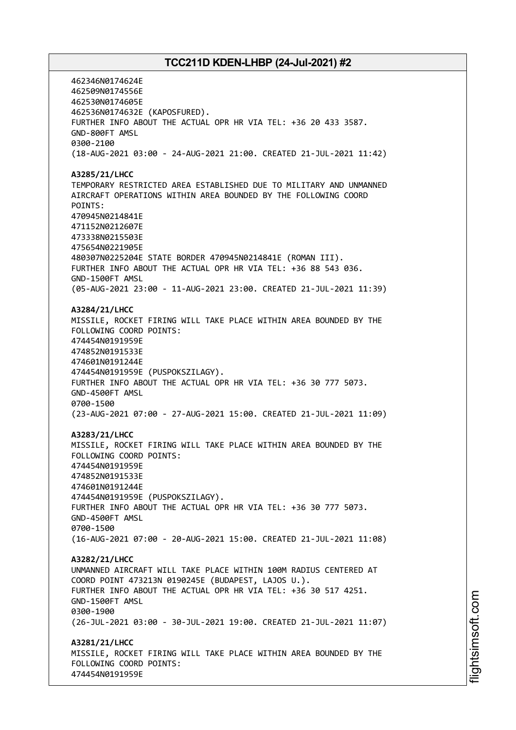462346N0174624E 462509N0174556E 462530N0174605E 462536N0174632E (KAPOSFURED). FURTHER INFO ABOUT THE ACTUAL OPR HR VIA TEL: +36 20 433 3587. GND-800FT AMSL 0300-2100 (18-AUG-2021 03:00 - 24-AUG-2021 21:00. CREATED 21-JUL-2021 11:42) **A3285/21/LHCC** TEMPORARY RESTRICTED AREA ESTABLISHED DUE TO MILITARY AND UNMANNED AIRCRAFT OPERATIONS WITHIN AREA BOUNDED BY THE FOLLOWING COORD POINTS: 470945N0214841E 471152N0212607E 473338N0215503E 475654N0221905E 480307N0225204E STATE BORDER 470945N0214841E (ROMAN III). FURTHER INFO ABOUT THE ACTUAL OPR HR VIA TEL: +36 88 543 036. GND-1500FT AMSL (05-AUG-2021 23:00 - 11-AUG-2021 23:00. CREATED 21-JUL-2021 11:39) **A3284/21/LHCC** MISSILE, ROCKET FIRING WILL TAKE PLACE WITHIN AREA BOUNDED BY THE FOLLOWING COORD POINTS: 474454N0191959E 474852N0191533E 474601N0191244E 474454N0191959E (PUSPOKSZILAGY). FURTHER INFO ABOUT THE ACTUAL OPR HR VIA TEL: +36 30 777 5073. GND-4500FT AMSL 0700-1500 (23-AUG-2021 07:00 - 27-AUG-2021 15:00. CREATED 21-JUL-2021 11:09) **A3283/21/LHCC** MISSILE, ROCKET FIRING WILL TAKE PLACE WITHIN AREA BOUNDED BY THE FOLLOWING COORD POINTS: 474454N0191959E 474852N0191533E 474601N0191244E 474454N0191959E (PUSPOKSZILAGY). FURTHER INFO ABOUT THE ACTUAL OPR HR VIA TEL: +36 30 777 5073. GND-4500FT AMSL 0700-1500 (16-AUG-2021 07:00 - 20-AUG-2021 15:00. CREATED 21-JUL-2021 11:08) **A3282/21/LHCC** UNMANNED AIRCRAFT WILL TAKE PLACE WITHIN 100M RADIUS CENTERED AT COORD POINT 473213N 0190245E (BUDAPEST, LAJOS U.). FURTHER INFO ABOUT THE ACTUAL OPR HR VIA TEL: +36 30 517 4251. GND-1500FT AMSL 0300-1900 (26-JUL-2021 03:00 - 30-JUL-2021 19:00. CREATED 21-JUL-2021 11:07) **A3281/21/LHCC** MISSILE, ROCKET FIRING WILL TAKE PLACE WITHIN AREA BOUNDED BY THE FOLLOWING COORD POINTS: 474454N0191959E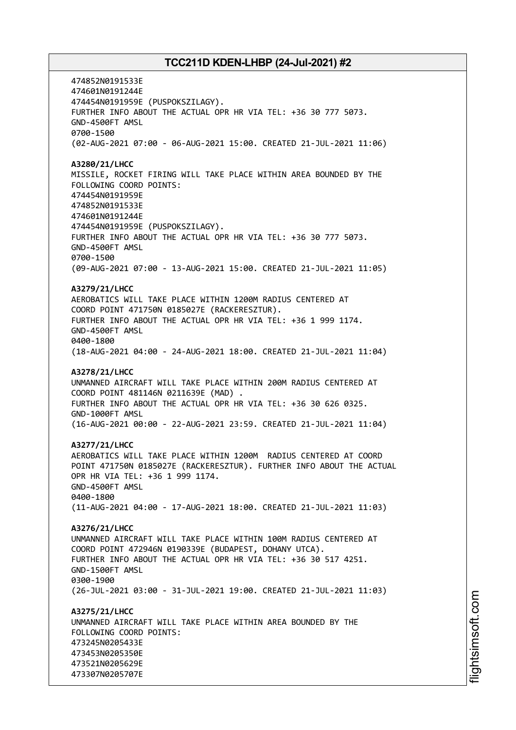474852N0191533E 474601N0191244E 474454N0191959E (PUSPOKSZILAGY). FURTHER INFO ABOUT THE ACTUAL OPR HR VIA TEL: +36 30 777 5073. GND-4500FT AMSL 0700-1500 (02-AUG-2021 07:00 - 06-AUG-2021 15:00. CREATED 21-JUL-2021 11:06) **A3280/21/LHCC** MISSILE, ROCKET FIRING WILL TAKE PLACE WITHIN AREA BOUNDED BY THE FOLLOWING COORD POINTS: 474454N0191959E 474852N0191533E 474601N0191244E 474454N0191959E (PUSPOKSZILAGY). FURTHER INFO ABOUT THE ACTUAL OPR HR VIA TEL: +36 30 777 5073. GND-4500FT AMSL 0700-1500 (09-AUG-2021 07:00 - 13-AUG-2021 15:00. CREATED 21-JUL-2021 11:05) **A3279/21/LHCC** AEROBATICS WILL TAKE PLACE WITHIN 1200M RADIUS CENTERED AT COORD POINT 471750N 0185027E (RACKERESZTUR). FURTHER INFO ABOUT THE ACTUAL OPR HR VIA TEL: +36 1 999 1174. GND-4500FT AMSL 0400-1800 (18-AUG-2021 04:00 - 24-AUG-2021 18:00. CREATED 21-JUL-2021 11:04) **A3278/21/LHCC** UNMANNED AIRCRAFT WILL TAKE PLACE WITHIN 200M RADIUS CENTERED AT COORD POINT 481146N 0211639E (MAD) . FURTHER INFO ABOUT THE ACTUAL OPR HR VIA TEL: +36 30 626 0325. GND-1000FT AMSL (16-AUG-2021 00:00 - 22-AUG-2021 23:59. CREATED 21-JUL-2021 11:04) **A3277/21/LHCC** AEROBATICS WILL TAKE PLACE WITHIN 1200M RADIUS CENTERED AT COORD POINT 471750N 0185027E (RACKERESZTUR). FURTHER INFO ABOUT THE ACTUAL OPR HR VIA TEL: +36 1 999 1174. GND-4500FT AMSL 0400-1800 (11-AUG-2021 04:00 - 17-AUG-2021 18:00. CREATED 21-JUL-2021 11:03) **A3276/21/LHCC** UNMANNED AIRCRAFT WILL TAKE PLACE WITHIN 100M RADIUS CENTERED AT COORD POINT 472946N 0190339E (BUDAPEST, DOHANY UTCA). FURTHER INFO ABOUT THE ACTUAL OPR HR VIA TEL: +36 30 517 4251. GND-1500FT AMSL 0300-1900 (26-JUL-2021 03:00 - 31-JUL-2021 19:00. CREATED 21-JUL-2021 11:03) **A3275/21/LHCC** UNMANNED AIRCRAFT WILL TAKE PLACE WITHIN AREA BOUNDED BY THE FOLLOWING COORD POINTS: 473245N0205433E 473453N0205350E 473521N0205629E 473307N0205707E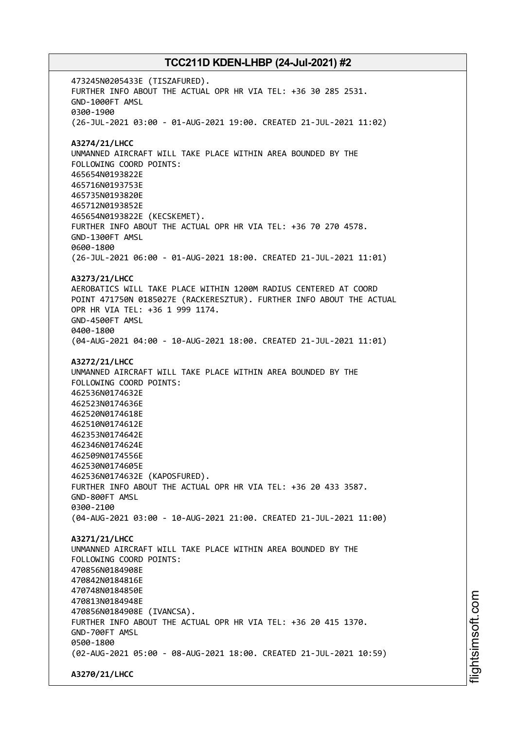473245N0205433E (TISZAFURED). FURTHER INFO ABOUT THE ACTUAL OPR HR VIA TEL: +36 30 285 2531. GND-1000FT AMSL 0300-1900 (26-JUL-2021 03:00 - 01-AUG-2021 19:00. CREATED 21-JUL-2021 11:02) **A3274/21/LHCC** UNMANNED AIRCRAFT WILL TAKE PLACE WITHIN AREA BOUNDED BY THE FOLLOWING COORD POINTS: 465654N0193822E 465716N0193753E 465735N0193820E 465712N0193852E 465654N0193822E (KECSKEMET). FURTHER INFO ABOUT THE ACTUAL OPR HR VIA TEL: +36 70 270 4578. GND-1300FT AMSL 0600-1800 (26-JUL-2021 06:00 - 01-AUG-2021 18:00. CREATED 21-JUL-2021 11:01) **A3273/21/LHCC** AEROBATICS WILL TAKE PLACE WITHIN 1200M RADIUS CENTERED AT COORD POINT 471750N 0185027E (RACKERESZTUR). FURTHER INFO ABOUT THE ACTUAL OPR HR VIA TEL: +36 1 999 1174. GND-4500FT AMSL 0400-1800 (04-AUG-2021 04:00 - 10-AUG-2021 18:00. CREATED 21-JUL-2021 11:01) **A3272/21/LHCC** UNMANNED AIRCRAFT WILL TAKE PLACE WITHIN AREA BOUNDED BY THE FOLLOWING COORD POINTS: 462536N0174632E 462523N0174636E 462520N0174618E 462510N0174612E 462353N0174642E 462346N0174624E 462509N0174556E 462530N0174605E 462536N0174632E (KAPOSFURED). FURTHER INFO ABOUT THE ACTUAL OPR HR VIA TEL: +36 20 433 3587. GND-800FT AMSL 0300-2100 (04-AUG-2021 03:00 - 10-AUG-2021 21:00. CREATED 21-JUL-2021 11:00) **A3271/21/LHCC** UNMANNED AIRCRAFT WILL TAKE PLACE WITHIN AREA BOUNDED BY THE FOLLOWING COORD POINTS: 470856N0184908E 470842N0184816E 470748N0184850E 470813N0184948E 470856N0184908E (IVANCSA). FURTHER INFO ABOUT THE ACTUAL OPR HR VIA TEL: +36 20 415 1370. GND-700FT AMSL 0500-1800 (02-AUG-2021 05:00 - 08-AUG-2021 18:00. CREATED 21-JUL-2021 10:59) **A3270/21/LHCC**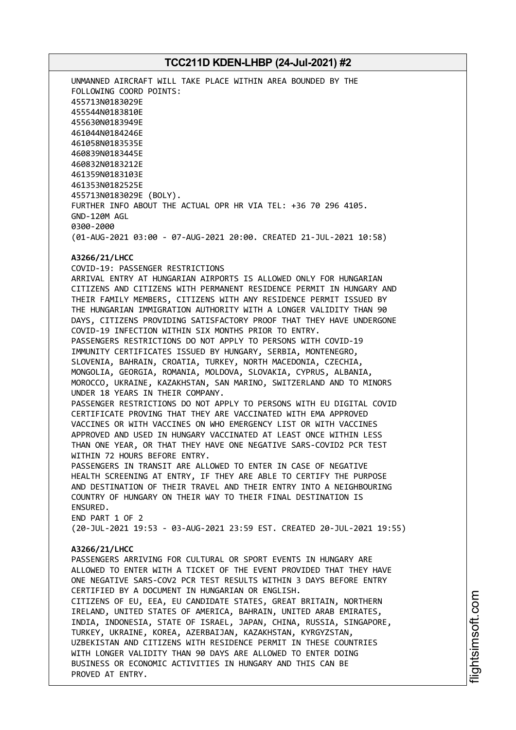UNMANNED AIRCRAFT WILL TAKE PLACE WITHIN AREA BOUNDED BY THE FOLLOWING COORD POINTS: 455713N0183029E 455544N0183810E 455630N0183949E 461044N0184246E 461058N0183535E 460839N0183445E 460832N0183212E 461359N0183103E 461353N0182525E 455713N0183029E (BOLY). FURTHER INFO ABOUT THE ACTUAL OPR HR VIA TEL: +36 70 296 4105. GND-120M AGL 0300-2000 (01-AUG-2021 03:00 - 07-AUG-2021 20:00. CREATED 21-JUL-2021 10:58)

### **A3266/21/LHCC** COVID-19: PASSENGER RESTRICTIONS

ARRIVAL ENTRY AT HUNGARIAN AIRPORTS IS ALLOWED ONLY FOR HUNGARIAN CITIZENS AND CITIZENS WITH PERMANENT RESIDENCE PERMIT IN HUNGARY AND THEIR FAMILY MEMBERS, CITIZENS WITH ANY RESIDENCE PERMIT ISSUED BY THE HUNGARIAN IMMIGRATION AUTHORITY WITH A LONGER VALIDITY THAN 90 DAYS, CITIZENS PROVIDING SATISFACTORY PROOF THAT THEY HAVE UNDERGONE COVID-19 INFECTION WITHIN SIX MONTHS PRIOR TO ENTRY. PASSENGERS RESTRICTIONS DO NOT APPLY TO PERSONS WITH COVID-19 IMMUNITY CERTIFICATES ISSUED BY HUNGARY, SERBIA, MONTENEGRO, SLOVENIA, BAHRAIN, CROATIA, TURKEY, NORTH MACEDONIA, CZECHIA, MONGOLIA, GEORGIA, ROMANIA, MOLDOVA, SLOVAKIA, CYPRUS, ALBANIA, MOROCCO, UKRAINE, KAZAKHSTAN, SAN MARINO, SWITZERLAND AND TO MINORS UNDER 18 YEARS IN THEIR COMPANY. PASSENGER RESTRICTIONS DO NOT APPLY TO PERSONS WITH EU DIGITAL COVID CERTIFICATE PROVING THAT THEY ARE VACCINATED WITH EMA APPROVED VACCINES OR WITH VACCINES ON WHO EMERGENCY LIST OR WITH VACCINES APPROVED AND USED IN HUNGARY VACCINATED AT LEAST ONCE WITHIN LESS THAN ONE YEAR, OR THAT THEY HAVE ONE NEGATIVE SARS-COVID2 PCR TEST WITHIN 72 HOURS BEFORE ENTRY.

PASSENGERS IN TRANSIT ARE ALLOWED TO ENTER IN CASE OF NEGATIVE HEALTH SCREENING AT ENTRY, IF THEY ARE ABLE TO CERTIFY THE PURPOSE AND DESTINATION OF THEIR TRAVEL AND THEIR ENTRY INTO A NEIGHBOURING COUNTRY OF HUNGARY ON THEIR WAY TO THEIR FINAL DESTINATION IS ENSURED.

END PART 1 OF 2 (20-JUL-2021 19:53 - 03-AUG-2021 23:59 EST. CREATED 20-JUL-2021 19:55)

## **A3266/21/LHCC**

PASSENGERS ARRIVING FOR CULTURAL OR SPORT EVENTS IN HUNGARY ARE ALLOWED TO ENTER WITH A TICKET OF THE EVENT PROVIDED THAT THEY HAVE ONE NEGATIVE SARS-COV2 PCR TEST RESULTS WITHIN 3 DAYS BEFORE ENTRY CERTIFIED BY A DOCUMENT IN HUNGARIAN OR ENGLISH. CITIZENS OF EU, EEA, EU CANDIDATE STATES, GREAT BRITAIN, NORTHERN IRELAND, UNITED STATES OF AMERICA, BAHRAIN, UNITED ARAB EMIRATES, INDIA, INDONESIA, STATE OF ISRAEL, JAPAN, CHINA, RUSSIA, SINGAPORE, TURKEY, UKRAINE, KOREA, AZERBAIJAN, KAZAKHSTAN, KYRGYZSTAN, UZBEKISTAN AND CITIZENS WITH RESIDENCE PERMIT IN THESE COUNTRIES WITH LONGER VALIDITY THAN 90 DAYS ARE ALLOWED TO ENTER DOING BUSINESS OR ECONOMIC ACTIVITIES IN HUNGARY AND THIS CAN BE PROVED AT ENTRY.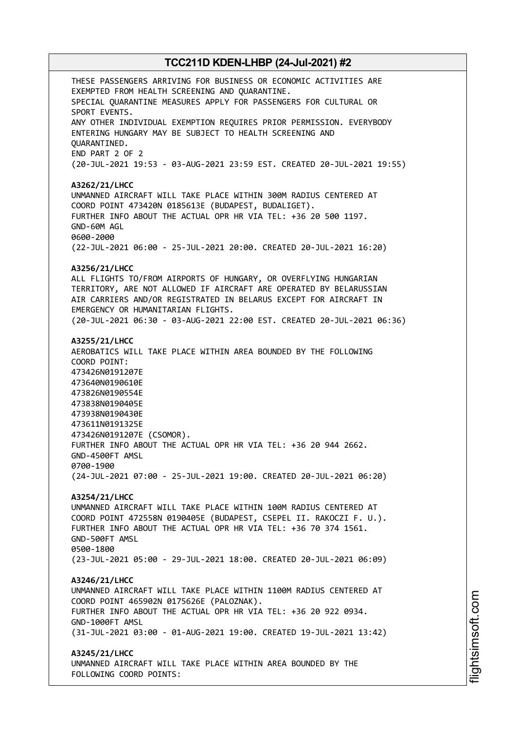THESE PASSENGERS ARRIVING FOR BUSINESS OR ECONOMIC ACTIVITIES ARE EXEMPTED FROM HEALTH SCREENING AND QUARANTINE. SPECIAL QUARANTINE MEASURES APPLY FOR PASSENGERS FOR CULTURAL OR SPORT EVENTS. ANY OTHER INDIVIDUAL EXEMPTION REQUIRES PRIOR PERMISSION. EVERYBODY ENTERING HUNGARY MAY BE SUBJECT TO HEALTH SCREENING AND QUARANTINED. END PART 2 OF 2 (20-JUL-2021 19:53 - 03-AUG-2021 23:59 EST. CREATED 20-JUL-2021 19:55) **A3262/21/LHCC** UNMANNED AIRCRAFT WILL TAKE PLACE WITHIN 300M RADIUS CENTERED AT COORD POINT 473420N 0185613E (BUDAPEST, BUDALIGET). FURTHER INFO ABOUT THE ACTUAL OPR HR VIA TEL: +36 20 500 1197. GND-60M AGL 0600-2000 (22-JUL-2021 06:00 - 25-JUL-2021 20:00. CREATED 20-JUL-2021 16:20) **A3256/21/LHCC** ALL FLIGHTS TO/FROM AIRPORTS OF HUNGARY, OR OVERFLYING HUNGARIAN TERRITORY, ARE NOT ALLOWED IF AIRCRAFT ARE OPERATED BY BELARUSSIAN AIR CARRIERS AND/OR REGISTRATED IN BELARUS EXCEPT FOR AIRCRAFT IN EMERGENCY OR HUMANITARIAN FLIGHTS. (20-JUL-2021 06:30 - 03-AUG-2021 22:00 EST. CREATED 20-JUL-2021 06:36) **A3255/21/LHCC** AEROBATICS WILL TAKE PLACE WITHIN AREA BOUNDED BY THE FOLLOWING COORD POINT: 473426N0191207E 473640N0190610E 473826N0190554E 473838N0190405E 473938N0190430E 473611N0191325E 473426N0191207E (CSOMOR). FURTHER INFO ABOUT THE ACTUAL OPR HR VIA TEL: +36 20 944 2662. GND-4500FT AMSL 0700-1900 (24-JUL-2021 07:00 - 25-JUL-2021 19:00. CREATED 20-JUL-2021 06:20) **A3254/21/LHCC** UNMANNED AIRCRAFT WILL TAKE PLACE WITHIN 100M RADIUS CENTERED AT COORD POINT 472558N 0190405E (BUDAPEST, CSEPEL II. RAKOCZI F. U.). FURTHER INFO ABOUT THE ACTUAL OPR HR VIA TEL: +36 70 374 1561. GND-500FT AMSL 0500-1800 (23-JUL-2021 05:00 - 29-JUL-2021 18:00. CREATED 20-JUL-2021 06:09) **A3246/21/LHCC** UNMANNED AIRCRAFT WILL TAKE PLACE WITHIN 1100M RADIUS CENTERED AT COORD POINT 465902N 0175626E (PALOZNAK). FURTHER INFO ABOUT THE ACTUAL OPR HR VIA TEL: +36 20 922 0934. GND-1000FT AMSL (31-JUL-2021 03:00 - 01-AUG-2021 19:00. CREATED 19-JUL-2021 13:42) **A3245/21/LHCC** UNMANNED AIRCRAFT WILL TAKE PLACE WITHIN AREA BOUNDED BY THE FOLLOWING COORD POINTS: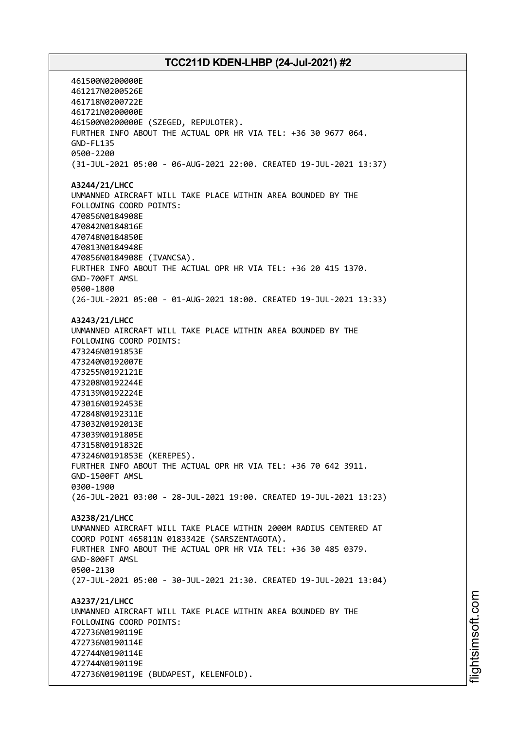461500N0200000E 461217N0200526E 461718N0200722E 461721N0200000E 461500N0200000E (SZEGED, REPULOTER). FURTHER INFO ABOUT THE ACTUAL OPR HR VIA TEL: +36 30 9677 064. GND-FL135 0500-2200 (31-JUL-2021 05:00 - 06-AUG-2021 22:00. CREATED 19-JUL-2021 13:37) **A3244/21/LHCC** UNMANNED AIRCRAFT WILL TAKE PLACE WITHIN AREA BOUNDED BY THE FOLLOWING COORD POINTS: 470856N0184908E 470842N0184816E 470748N0184850E 470813N0184948E 470856N0184908E (IVANCSA). FURTHER INFO ABOUT THE ACTUAL OPR HR VIA TEL: +36 20 415 1370. GND-700FT AMSL 0500-1800 (26-JUL-2021 05:00 - 01-AUG-2021 18:00. CREATED 19-JUL-2021 13:33) **A3243/21/LHCC** UNMANNED AIRCRAFT WILL TAKE PLACE WITHIN AREA BOUNDED BY THE FOLLOWING COORD POINTS: 473246N0191853E 473240N0192007E 473255N0192121E 473208N0192244E 473139N0192224E 473016N0192453E 472848N0192311E 473032N0192013E 473039N0191805E 473158N0191832E 473246N0191853E (KEREPES). FURTHER INFO ABOUT THE ACTUAL OPR HR VIA TEL: +36 70 642 3911. GND-1500FT AMSL 0300-1900 (26-JUL-2021 03:00 - 28-JUL-2021 19:00. CREATED 19-JUL-2021 13:23) **A3238/21/LHCC** UNMANNED AIRCRAFT WILL TAKE PLACE WITHIN 2000M RADIUS CENTERED AT COORD POINT 465811N 0183342E (SARSZENTAGOTA). FURTHER INFO ABOUT THE ACTUAL OPR HR VIA TEL: +36 30 485 0379. GND-800FT AMSL 0500-2130 (27-JUL-2021 05:00 - 30-JUL-2021 21:30. CREATED 19-JUL-2021 13:04) **A3237/21/LHCC** UNMANNED AIRCRAFT WILL TAKE PLACE WITHIN AREA BOUNDED BY THE FOLLOWING COORD POINTS: 472736N0190119E 472736N0190114E 472744N0190114E 472744N0190119E 472736N0190119E (BUDAPEST, KELENFOLD).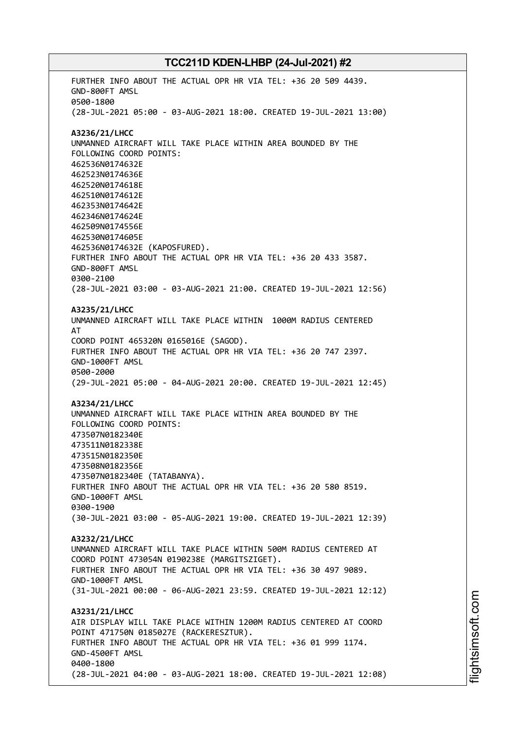FURTHER INFO ABOUT THE ACTUAL OPR HR VIA TEL: +36 20 509 4439. GND-800FT AMSL 0500-1800 (28-JUL-2021 05:00 - 03-AUG-2021 18:00. CREATED 19-JUL-2021 13:00) **A3236/21/LHCC** UNMANNED AIRCRAFT WILL TAKE PLACE WITHIN AREA BOUNDED BY THE FOLLOWING COORD POINTS: 462536N0174632E 462523N0174636E 462520N0174618E 462510N0174612E 462353N0174642E 462346N0174624E 462509N0174556E 462530N0174605E 462536N0174632E (KAPOSFURED). FURTHER INFO ABOUT THE ACTUAL OPR HR VIA TEL: +36 20 433 3587. GND-800FT AMSL 0300-2100 (28-JUL-2021 03:00 - 03-AUG-2021 21:00. CREATED 19-JUL-2021 12:56) **A3235/21/LHCC** UNMANNED AIRCRAFT WILL TAKE PLACE WITHIN 1000M RADIUS CENTERED AT COORD POINT 465320N 0165016E (SAGOD). FURTHER INFO ABOUT THE ACTUAL OPR HR VIA TEL: +36 20 747 2397. GND-1000FT AMSL 0500-2000 (29-JUL-2021 05:00 - 04-AUG-2021 20:00. CREATED 19-JUL-2021 12:45) **A3234/21/LHCC** UNMANNED AIRCRAFT WILL TAKE PLACE WITHIN AREA BOUNDED BY THE FOLLOWING COORD POINTS: 473507N0182340E 473511N0182338E 473515N0182350E 473508N0182356E 473507N0182340E (TATABANYA). FURTHER INFO ABOUT THE ACTUAL OPR HR VIA TEL: +36 20 580 8519. GND-1000FT AMSL 0300-1900 (30-JUL-2021 03:00 - 05-AUG-2021 19:00. CREATED 19-JUL-2021 12:39) **A3232/21/LHCC** UNMANNED AIRCRAFT WILL TAKE PLACE WITHIN 500M RADIUS CENTERED AT COORD POINT 473054N 0190238E (MARGITSZIGET). FURTHER INFO ABOUT THE ACTUAL OPR HR VIA TEL: +36 30 497 9089. GND-1000FT AMSL (31-JUL-2021 00:00 - 06-AUG-2021 23:59. CREATED 19-JUL-2021 12:12) **A3231/21/LHCC** AIR DISPLAY WILL TAKE PLACE WITHIN 1200M RADIUS CENTERED AT COORD POINT 471750N 0185027E (RACKERESZTUR). FURTHER INFO ABOUT THE ACTUAL OPR HR VIA TEL: +36 01 999 1174. GND-4500FT AMSL 0400-1800 (28-JUL-2021 04:00 - 03-AUG-2021 18:00. CREATED 19-JUL-2021 12:08)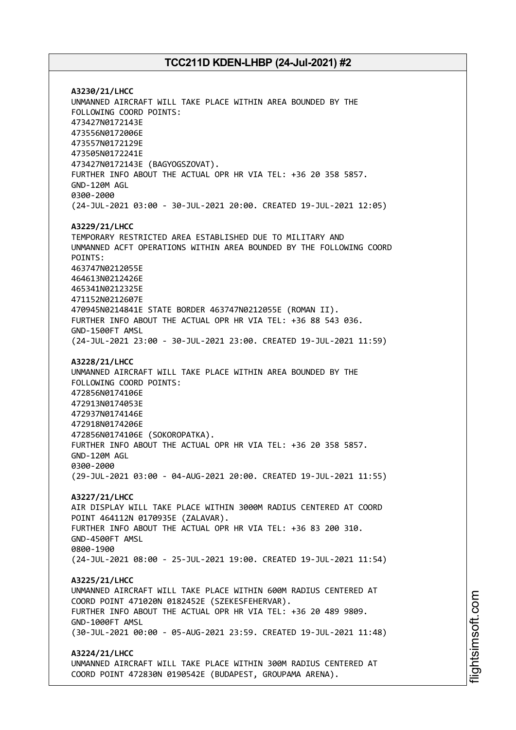**A3230/21/LHCC** UNMANNED AIRCRAFT WILL TAKE PLACE WITHIN AREA BOUNDED BY THE FOLLOWING COORD POINTS: 473427N0172143E 473556N0172006E 473557N0172129E 473505N0172241E 473427N0172143E (BAGYOGSZOVAT). FURTHER INFO ABOUT THE ACTUAL OPR HR VIA TEL: +36 20 358 5857. GND-120M AGL 0300-2000 (24-JUL-2021 03:00 - 30-JUL-2021 20:00. CREATED 19-JUL-2021 12:05) **A3229/21/LHCC** TEMPORARY RESTRICTED AREA ESTABLISHED DUE TO MILITARY AND UNMANNED ACFT OPERATIONS WITHIN AREA BOUNDED BY THE FOLLOWING COORD POINTS: 463747N0212055E 464613N0212426E 465341N0212325E 471152N0212607E 470945N0214841E STATE BORDER 463747N0212055E (ROMAN II). FURTHER INFO ABOUT THE ACTUAL OPR HR VIA TEL: +36 88 543 036. GND-1500FT AMSL (24-JUL-2021 23:00 - 30-JUL-2021 23:00. CREATED 19-JUL-2021 11:59) **A3228/21/LHCC** UNMANNED AIRCRAFT WILL TAKE PLACE WITHIN AREA BOUNDED BY THE FOLLOWING COORD POINTS: 472856N0174106E 472913N0174053E 472937N0174146E 472918N0174206E 472856N0174106E (SOKOROPATKA). FURTHER INFO ABOUT THE ACTUAL OPR HR VIA TEL: +36 20 358 5857. GND-120M AGL 0300-2000 (29-JUL-2021 03:00 - 04-AUG-2021 20:00. CREATED 19-JUL-2021 11:55) **A3227/21/LHCC** AIR DISPLAY WILL TAKE PLACE WITHIN 3000M RADIUS CENTERED AT COORD POINT 464112N 0170935E (ZALAVAR). FURTHER INFO ABOUT THE ACTUAL OPR HR VIA TEL: +36 83 200 310. GND-4500FT AMSL 0800-1900 (24-JUL-2021 08:00 - 25-JUL-2021 19:00. CREATED 19-JUL-2021 11:54) **A3225/21/LHCC** UNMANNED AIRCRAFT WILL TAKE PLACE WITHIN 600M RADIUS CENTERED AT COORD POINT 471020N 0182452E (SZEKESFEHERVAR). FURTHER INFO ABOUT THE ACTUAL OPR HR VIA TEL: +36 20 489 9809. GND-1000FT AMSL (30-JUL-2021 00:00 - 05-AUG-2021 23:59. CREATED 19-JUL-2021 11:48) **A3224/21/LHCC** UNMANNED AIRCRAFT WILL TAKE PLACE WITHIN 300M RADIUS CENTERED AT COORD POINT 472830N 0190542E (BUDAPEST, GROUPAMA ARENA).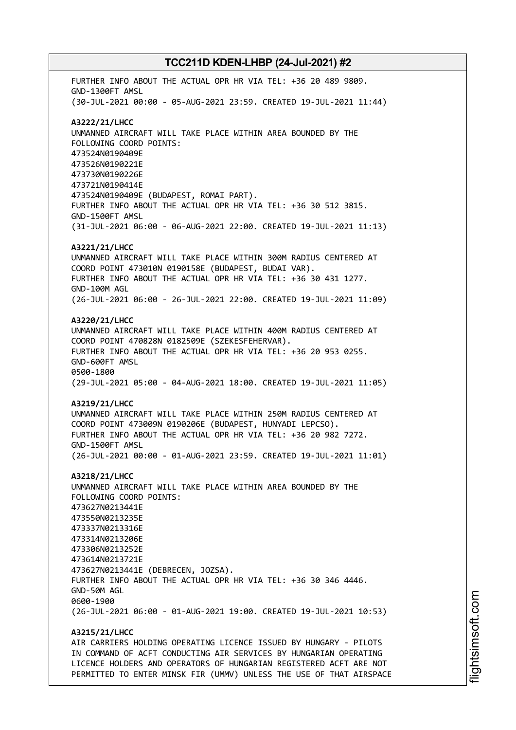FURTHER INFO ABOUT THE ACTUAL OPR HR VIA TEL: +36 20 489 9809. GND-1300FT AMSL (30-JUL-2021 00:00 - 05-AUG-2021 23:59. CREATED 19-JUL-2021 11:44) **A3222/21/LHCC** UNMANNED AIRCRAFT WILL TAKE PLACE WITHIN AREA BOUNDED BY THE FOLLOWING COORD POINTS: 473524N0190409E 473526N0190221E 473730N0190226E 473721N0190414E 473524N0190409E (BUDAPEST, ROMAI PART). FURTHER INFO ABOUT THE ACTUAL OPR HR VIA TEL: +36 30 512 3815. GND-1500FT AMSL (31-JUL-2021 06:00 - 06-AUG-2021 22:00. CREATED 19-JUL-2021 11:13) **A3221/21/LHCC** UNMANNED AIRCRAFT WILL TAKE PLACE WITHIN 300M RADIUS CENTERED AT COORD POINT 473010N 0190158E (BUDAPEST, BUDAI VAR). FURTHER INFO ABOUT THE ACTUAL OPR HR VIA TEL: +36 30 431 1277. GND-100M AGL (26-JUL-2021 06:00 - 26-JUL-2021 22:00. CREATED 19-JUL-2021 11:09) **A3220/21/LHCC** UNMANNED AIRCRAFT WILL TAKE PLACE WITHIN 400M RADIUS CENTERED AT COORD POINT 470828N 0182509E (SZEKESFEHERVAR). FURTHER INFO ABOUT THE ACTUAL OPR HR VIA TEL: +36 20 953 0255. GND-600FT AMSL 0500-1800 (29-JUL-2021 05:00 - 04-AUG-2021 18:00. CREATED 19-JUL-2021 11:05) **A3219/21/LHCC** UNMANNED AIRCRAFT WILL TAKE PLACE WITHIN 250M RADIUS CENTERED AT COORD POINT 473009N 0190206E (BUDAPEST, HUNYADI LEPCSO). FURTHER INFO ABOUT THE ACTUAL OPR HR VIA TEL: +36 20 982 7272. GND-1500FT AMSL (26-JUL-2021 00:00 - 01-AUG-2021 23:59. CREATED 19-JUL-2021 11:01) **A3218/21/LHCC** UNMANNED AIRCRAFT WILL TAKE PLACE WITHIN AREA BOUNDED BY THE FOLLOWING COORD POINTS: 473627N0213441E 473550N0213235E 473337N0213316E 473314N0213206E 473306N0213252E 473614N0213721E 473627N0213441E (DEBRECEN, JOZSA). FURTHER INFO ABOUT THE ACTUAL OPR HR VIA TEL: +36 30 346 4446. GND-50M AGL 0600-1900 (26-JUL-2021 06:00 - 01-AUG-2021 19:00. CREATED 19-JUL-2021 10:53) **A3215/21/LHCC**

AIR CARRIERS HOLDING OPERATING LICENCE ISSUED BY HUNGARY - PILOTS IN COMMAND OF ACFT CONDUCTING AIR SERVICES BY HUNGARIAN OPERATING LICENCE HOLDERS AND OPERATORS OF HUNGARIAN REGISTERED ACFT ARE NOT PERMITTED TO ENTER MINSK FIR (UMMV) UNLESS THE USE OF THAT AIRSPACE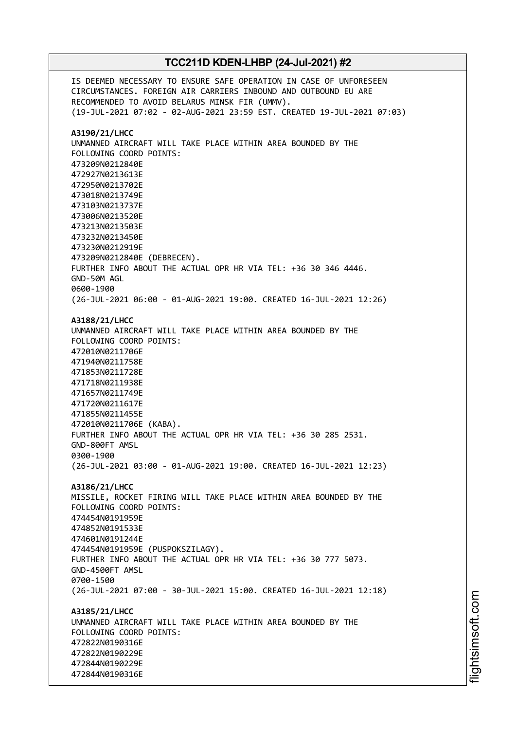IS DEEMED NECESSARY TO ENSURE SAFE OPERATION IN CASE OF UNFORESEEN CIRCUMSTANCES. FOREIGN AIR CARRIERS INBOUND AND OUTBOUND EU ARE RECOMMENDED TO AVOID BELARUS MINSK FIR (UMMV). (19-JUL-2021 07:02 - 02-AUG-2021 23:59 EST. CREATED 19-JUL-2021 07:03) **A3190/21/LHCC** UNMANNED AIRCRAFT WILL TAKE PLACE WITHIN AREA BOUNDED BY THE FOLLOWING COORD POINTS: 473209N0212840E 472927N0213613E 472950N0213702E 473018N0213749E 473103N0213737E 473006N0213520E 473213N0213503E 473232N0213450E 473230N0212919E 473209N0212840E (DEBRECEN). FURTHER INFO ABOUT THE ACTUAL OPR HR VIA TEL: +36 30 346 4446. GND-50M AGL 0600-1900 (26-JUL-2021 06:00 - 01-AUG-2021 19:00. CREATED 16-JUL-2021 12:26) **A3188/21/LHCC** UNMANNED AIRCRAFT WILL TAKE PLACE WITHIN AREA BOUNDED BY THE FOLLOWING COORD POINTS: 472010N0211706E 471940N0211758E 471853N0211728E 471718N0211938E 471657N0211749E 471720N0211617E 471855N0211455E 472010N0211706E (KABA). FURTHER INFO ABOUT THE ACTUAL OPR HR VIA TEL: +36 30 285 2531. GND-800FT AMSL 0300-1900 (26-JUL-2021 03:00 - 01-AUG-2021 19:00. CREATED 16-JUL-2021 12:23) **A3186/21/LHCC** MISSILE, ROCKET FIRING WILL TAKE PLACE WITHIN AREA BOUNDED BY THE FOLLOWING COORD POINTS: 474454N0191959E 474852N0191533E 474601N0191244E 474454N0191959E (PUSPOKSZILAGY). FURTHER INFO ABOUT THE ACTUAL OPR HR VIA TEL: +36 30 777 5073. GND-4500FT AMSL 0700-1500 (26-JUL-2021 07:00 - 30-JUL-2021 15:00. CREATED 16-JUL-2021 12:18) **A3185/21/LHCC** UNMANNED AIRCRAFT WILL TAKE PLACE WITHIN AREA BOUNDED BY THE FOLLOWING COORD POINTS: 472822N0190316E 472822N0190229E 472844N0190229E 472844N0190316E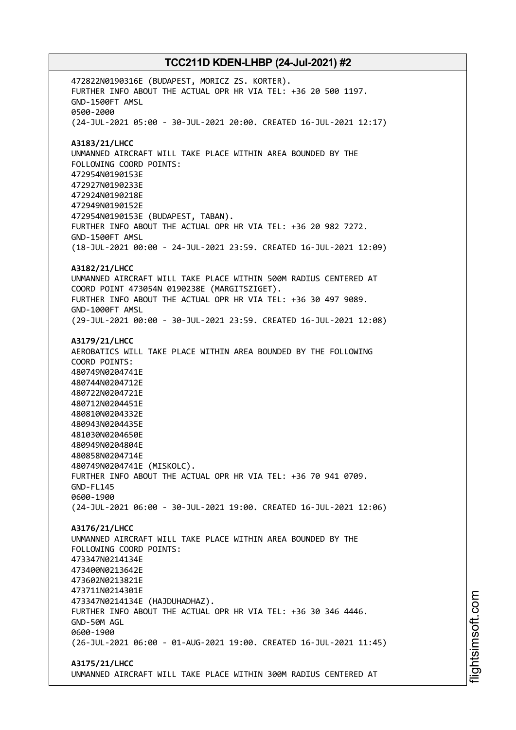472822N0190316E (BUDAPEST, MORICZ ZS. KORTER). FURTHER INFO ABOUT THE ACTUAL OPR HR VIA TEL: +36 20 500 1197. GND-1500FT AMSL 0500-2000 (24-JUL-2021 05:00 - 30-JUL-2021 20:00. CREATED 16-JUL-2021 12:17) **A3183/21/LHCC** UNMANNED AIRCRAFT WILL TAKE PLACE WITHIN AREA BOUNDED BY THE FOLLOWING COORD POINTS: 472954N0190153E 472927N0190233E 472924N0190218E 472949N0190152E 472954N0190153E (BUDAPEST, TABAN). FURTHER INFO ABOUT THE ACTUAL OPR HR VIA TEL: +36 20 982 7272. GND-1500FT AMSL (18-JUL-2021 00:00 - 24-JUL-2021 23:59. CREATED 16-JUL-2021 12:09) **A3182/21/LHCC** UNMANNED AIRCRAFT WILL TAKE PLACE WITHIN 500M RADIUS CENTERED AT COORD POINT 473054N 0190238E (MARGITSZIGET). FURTHER INFO ABOUT THE ACTUAL OPR HR VIA TEL: +36 30 497 9089. GND-1000FT AMSL (29-JUL-2021 00:00 - 30-JUL-2021 23:59. CREATED 16-JUL-2021 12:08) **A3179/21/LHCC** AEROBATICS WILL TAKE PLACE WITHIN AREA BOUNDED BY THE FOLLOWING COORD POINTS: 480749N0204741E 480744N0204712E 480722N0204721E 480712N0204451E 480810N0204332E 480943N0204435E 481030N0204650E 480949N0204804E 480858N0204714E 480749N0204741E (MISKOLC). FURTHER INFO ABOUT THE ACTUAL OPR HR VIA TEL: +36 70 941 0709. GND-FL145 0600-1900 (24-JUL-2021 06:00 - 30-JUL-2021 19:00. CREATED 16-JUL-2021 12:06) **A3176/21/LHCC** UNMANNED AIRCRAFT WILL TAKE PLACE WITHIN AREA BOUNDED BY THE FOLLOWING COORD POINTS: 473347N0214134E 473400N0213642E 473602N0213821E 473711N0214301E 473347N0214134E (HAJDUHADHAZ). FURTHER INFO ABOUT THE ACTUAL OPR HR VIA TEL: +36 30 346 4446. GND-50M AGL 0600-1900 (26-JUL-2021 06:00 - 01-AUG-2021 19:00. CREATED 16-JUL-2021 11:45) **A3175/21/LHCC**

UNMANNED AIRCRAFT WILL TAKE PLACE WITHIN 300M RADIUS CENTERED AT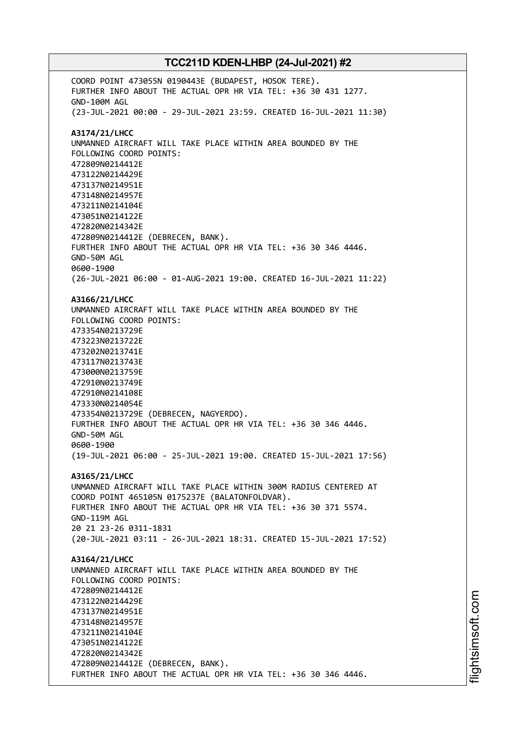COORD POINT 473055N 0190443E (BUDAPEST, HOSOK TERE). FURTHER INFO ABOUT THE ACTUAL OPR HR VIA TEL: +36 30 431 1277. GND-100M AGL (23-JUL-2021 00:00 - 29-JUL-2021 23:59. CREATED 16-JUL-2021 11:30) **A3174/21/LHCC** UNMANNED AIRCRAFT WILL TAKE PLACE WITHIN AREA BOUNDED BY THE FOLLOWING COORD POINTS: 472809N0214412E 473122N0214429E 473137N0214951E 473148N0214957E 473211N0214104E 473051N0214122E 472820N0214342E 472809N0214412E (DEBRECEN, BANK). FURTHER INFO ABOUT THE ACTUAL OPR HR VIA TEL: +36 30 346 4446. GND-50M AGL 0600-1900 (26-JUL-2021 06:00 - 01-AUG-2021 19:00. CREATED 16-JUL-2021 11:22) **A3166/21/LHCC** UNMANNED AIRCRAFT WILL TAKE PLACE WITHIN AREA BOUNDED BY THE FOLLOWING COORD POINTS: 473354N0213729E 473223N0213722E 473202N0213741E 473117N0213743E 473000N0213759E 472910N0213749E 472910N0214108E 473330N0214054E 473354N0213729E (DEBRECEN, NAGYERDO). FURTHER INFO ABOUT THE ACTUAL OPR HR VIA TEL: +36 30 346 4446. GND-50M AGL 0600-1900 (19-JUL-2021 06:00 - 25-JUL-2021 19:00. CREATED 15-JUL-2021 17:56) **A3165/21/LHCC** UNMANNED AIRCRAFT WILL TAKE PLACE WITHIN 300M RADIUS CENTERED AT COORD POINT 465105N 0175237E (BALATONFOLDVAR). FURTHER INFO ABOUT THE ACTUAL OPR HR VIA TEL: +36 30 371 5574. GND-119M AGL 20 21 23-26 0311-1831 (20-JUL-2021 03:11 - 26-JUL-2021 18:31. CREATED 15-JUL-2021 17:52) **A3164/21/LHCC** UNMANNED AIRCRAFT WILL TAKE PLACE WITHIN AREA BOUNDED BY THE FOLLOWING COORD POINTS: 472809N0214412E 473122N0214429E 473137N0214951E 473148N0214957E 473211N0214104E 473051N0214122E 472820N0214342E 472809N0214412E (DEBRECEN, BANK). FURTHER INFO ABOUT THE ACTUAL OPR HR VIA TEL: +36 30 346 4446.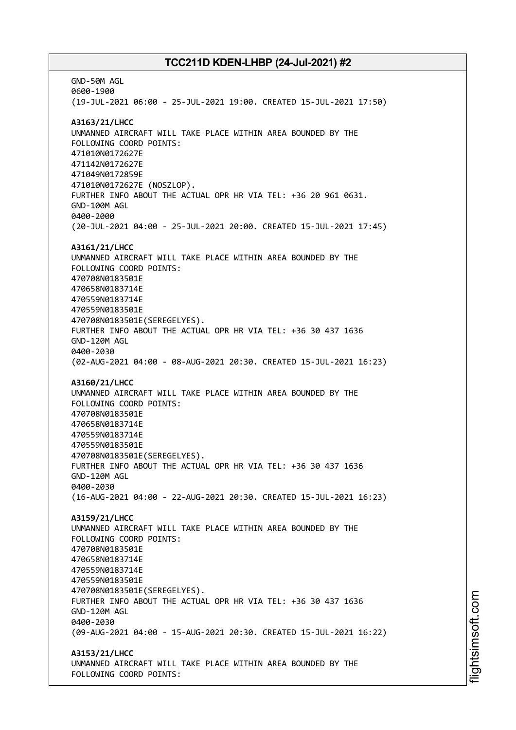GND-50M AGL 0600-1900 (19-JUL-2021 06:00 - 25-JUL-2021 19:00. CREATED 15-JUL-2021 17:50) **A3163/21/LHCC** UNMANNED AIRCRAFT WILL TAKE PLACE WITHIN AREA BOUNDED BY THE FOLLOWING COORD POINTS: 471010N0172627E 471142N0172627E 471049N0172859E 471010N0172627E (NOSZLOP). FURTHER INFO ABOUT THE ACTUAL OPR HR VIA TEL: +36 20 961 0631. GND-100M AGL 0400-2000 (20-JUL-2021 04:00 - 25-JUL-2021 20:00. CREATED 15-JUL-2021 17:45) **A3161/21/LHCC** UNMANNED AIRCRAFT WILL TAKE PLACE WITHIN AREA BOUNDED BY THE FOLLOWING COORD POINTS: 470708N0183501E 470658N0183714E 470559N0183714E 470559N0183501E 470708N0183501E(SEREGELYES). FURTHER INFO ABOUT THE ACTUAL OPR HR VIA TEL: +36 30 437 1636 GND-120M AGL 0400-2030 (02-AUG-2021 04:00 - 08-AUG-2021 20:30. CREATED 15-JUL-2021 16:23) **A3160/21/LHCC** UNMANNED AIRCRAFT WILL TAKE PLACE WITHIN AREA BOUNDED BY THE FOLLOWING COORD POINTS: 470708N0183501E 470658N0183714E 470559N0183714E 470559N0183501E 470708N0183501E(SEREGELYES). FURTHER INFO ABOUT THE ACTUAL OPR HR VIA TEL: +36 30 437 1636 GND-120M AGL 0400-2030 (16-AUG-2021 04:00 - 22-AUG-2021 20:30. CREATED 15-JUL-2021 16:23) **A3159/21/LHCC** UNMANNED AIRCRAFT WILL TAKE PLACE WITHIN AREA BOUNDED BY THE FOLLOWING COORD POINTS: 470708N0183501E 470658N0183714E 470559N0183714E 470559N0183501E 470708N0183501E(SEREGELYES). FURTHER INFO ABOUT THE ACTUAL OPR HR VIA TEL: +36 30 437 1636 GND-120M AGL 0400-2030 (09-AUG-2021 04:00 - 15-AUG-2021 20:30. CREATED 15-JUL-2021 16:22) **A3153/21/LHCC** UNMANNED AIRCRAFT WILL TAKE PLACE WITHIN AREA BOUNDED BY THE FOLLOWING COORD POINTS: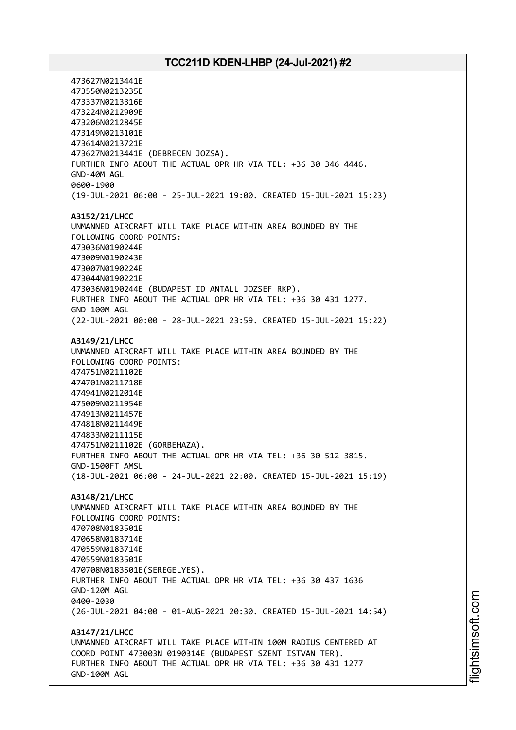473627N0213441E 473550N0213235E 473337N0213316E 473224N0212909E 473206N0212845E 473149N0213101E 473614N0213721E 473627N0213441E (DEBRECEN JOZSA). FURTHER INFO ABOUT THE ACTUAL OPR HR VIA TEL: +36 30 346 4446. GND-40M AGL 0600-1900 (19-JUL-2021 06:00 - 25-JUL-2021 19:00. CREATED 15-JUL-2021 15:23) **A3152/21/LHCC** UNMANNED AIRCRAFT WILL TAKE PLACE WITHIN AREA BOUNDED BY THE FOLLOWING COORD POINTS: 473036N0190244E 473009N0190243E 473007N0190224E 473044N0190221E 473036N0190244E (BUDAPEST ID ANTALL JOZSEF RKP). FURTHER INFO ABOUT THE ACTUAL OPR HR VIA TEL: +36 30 431 1277. GND-100M AGL (22-JUL-2021 00:00 - 28-JUL-2021 23:59. CREATED 15-JUL-2021 15:22) **A3149/21/LHCC** UNMANNED AIRCRAFT WILL TAKE PLACE WITHIN AREA BOUNDED BY THE FOLLOWING COORD POINTS: 474751N0211102E 474701N0211718E 474941N0212014E 475009N0211954E 474913N0211457E 474818N0211449E 474833N0211115E 474751N0211102E (GORBEHAZA). FURTHER INFO ABOUT THE ACTUAL OPR HR VIA TEL: +36 30 512 3815. GND-1500FT AMSL (18-JUL-2021 06:00 - 24-JUL-2021 22:00. CREATED 15-JUL-2021 15:19) **A3148/21/LHCC** UNMANNED AIRCRAFT WILL TAKE PLACE WITHIN AREA BOUNDED BY THE FOLLOWING COORD POINTS: 470708N0183501E 470658N0183714E 470559N0183714E 470559N0183501E 470708N0183501E(SEREGELYES). FURTHER INFO ABOUT THE ACTUAL OPR HR VIA TEL: +36 30 437 1636 GND-120M AGL 0400-2030 (26-JUL-2021 04:00 - 01-AUG-2021 20:30. CREATED 15-JUL-2021 14:54) **A3147/21/LHCC** UNMANNED AIRCRAFT WILL TAKE PLACE WITHIN 100M RADIUS CENTERED AT COORD POINT 473003N 0190314E (BUDAPEST SZENT ISTVAN TER). FURTHER INFO ABOUT THE ACTUAL OPR HR VIA TEL: +36 30 431 1277 GND-100M AGL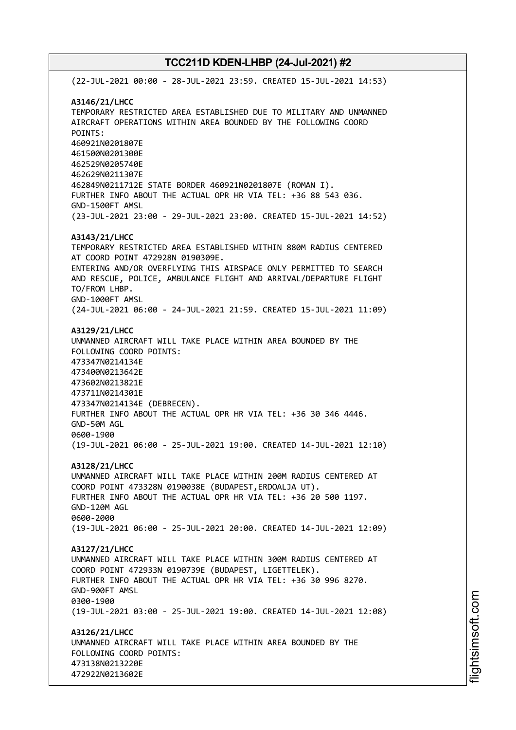(22-JUL-2021 00:00 - 28-JUL-2021 23:59. CREATED 15-JUL-2021 14:53) **A3146/21/LHCC** TEMPORARY RESTRICTED AREA ESTABLISHED DUE TO MILITARY AND UNMANNED AIRCRAFT OPERATIONS WITHIN AREA BOUNDED BY THE FOLLOWING COORD POINTS: 460921N0201807E 461500N0201300E 462529N0205740E 462629N0211307E 462849N0211712E STATE BORDER 460921N0201807E (ROMAN I). FURTHER INFO ABOUT THE ACTUAL OPR HR VIA TEL: +36 88 543 036. GND-1500FT AMSL (23-JUL-2021 23:00 - 29-JUL-2021 23:00. CREATED 15-JUL-2021 14:52) **A3143/21/LHCC** TEMPORARY RESTRICTED AREA ESTABLISHED WITHIN 880M RADIUS CENTERED AT COORD POINT 472928N 0190309E. ENTERING AND/OR OVERFLYING THIS AIRSPACE ONLY PERMITTED TO SEARCH AND RESCUE, POLICE, AMBULANCE FLIGHT AND ARRIVAL/DEPARTURE FLIGHT TO/FROM LHBP. GND-1000FT AMSL (24-JUL-2021 06:00 - 24-JUL-2021 21:59. CREATED 15-JUL-2021 11:09) **A3129/21/LHCC** UNMANNED AIRCRAFT WILL TAKE PLACE WITHIN AREA BOUNDED BY THE FOLLOWING COORD POINTS: 473347N0214134E 473400N0213642E 473602N0213821E 473711N0214301E 473347N0214134E (DEBRECEN). FURTHER INFO ABOUT THE ACTUAL OPR HR VIA TEL: +36 30 346 4446. GND-50M AGL 0600-1900 (19-JUL-2021 06:00 - 25-JUL-2021 19:00. CREATED 14-JUL-2021 12:10) **A3128/21/LHCC** UNMANNED AIRCRAFT WILL TAKE PLACE WITHIN 200M RADIUS CENTERED AT COORD POINT 473328N 0190038E (BUDAPEST,ERDOALJA UT). FURTHER INFO ABOUT THE ACTUAL OPR HR VIA TEL: +36 20 500 1197. GND-120M AGL 0600-2000 (19-JUL-2021 06:00 - 25-JUL-2021 20:00. CREATED 14-JUL-2021 12:09) **A3127/21/LHCC** UNMANNED AIRCRAFT WILL TAKE PLACE WITHIN 300M RADIUS CENTERED AT COORD POINT 472933N 0190739E (BUDAPEST, LIGETTELEK). FURTHER INFO ABOUT THE ACTUAL OPR HR VIA TEL: +36 30 996 8270. GND-900FT AMSL 0300-1900 (19-JUL-2021 03:00 - 25-JUL-2021 19:00. CREATED 14-JUL-2021 12:08) **A3126/21/LHCC** UNMANNED AIRCRAFT WILL TAKE PLACE WITHIN AREA BOUNDED BY THE FOLLOWING COORD POINTS: 473138N0213220E 472922N0213602E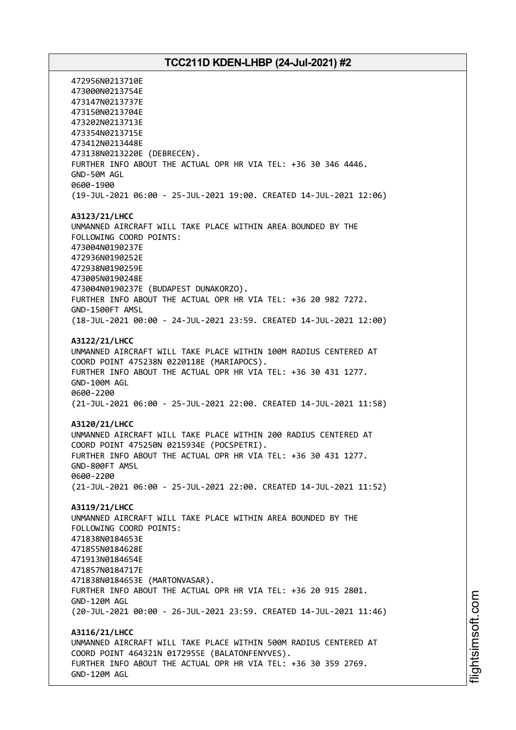472956N0213710E 473000N0213754E 473147N0213737E 473150N0213704E 473202N0213713E 473354N0213715E 473412N0213448E 473138N0213220E (DEBRECEN). FURTHER INFO ABOUT THE ACTUAL OPR HR VIA TEL: +36 30 346 4446. GND-50M AGL 0600-1900 (19-JUL-2021 06:00 - 25-JUL-2021 19:00. CREATED 14-JUL-2021 12:06) **A3123/21/LHCC** UNMANNED AIRCRAFT WILL TAKE PLACE WITHIN AREA BOUNDED BY THE FOLLOWING COORD POINTS: 473004N0190237E 472936N0190252E 472938N0190259E 473005N0190248E 473004N0190237E (BUDAPEST DUNAKORZO). FURTHER INFO ABOUT THE ACTUAL OPR HR VIA TEL: +36 20 982 7272. GND-1500FT AMSL (18-JUL-2021 00:00 - 24-JUL-2021 23:59. CREATED 14-JUL-2021 12:00) **A3122/21/LHCC** UNMANNED AIRCRAFT WILL TAKE PLACE WITHIN 100M RADIUS CENTERED AT COORD POINT 475238N 0220118E (MARIAPOCS). FURTHER INFO ABOUT THE ACTUAL OPR HR VIA TEL: +36 30 431 1277. GND-100M AGL 0600-2200 (21-JUL-2021 06:00 - 25-JUL-2021 22:00. CREATED 14-JUL-2021 11:58) **A3120/21/LHCC** UNMANNED AIRCRAFT WILL TAKE PLACE WITHIN 200 RADIUS CENTERED AT COORD POINT 475250N 0215934E (POCSPETRI). FURTHER INFO ABOUT THE ACTUAL OPR HR VIA TEL: +36 30 431 1277. GND-800FT AMSL 0600-2200 (21-JUL-2021 06:00 - 25-JUL-2021 22:00. CREATED 14-JUL-2021 11:52) **A3119/21/LHCC** UNMANNED AIRCRAFT WILL TAKE PLACE WITHIN AREA BOUNDED BY THE FOLLOWING COORD POINTS: 471838N0184653E 471855N0184628E 471913N0184654E 471857N0184717E 471838N0184653E (MARTONVASAR). FURTHER INFO ABOUT THE ACTUAL OPR HR VIA TEL: +36 20 915 2801. GND-120M AGL (20-JUL-2021 00:00 - 26-JUL-2021 23:59. CREATED 14-JUL-2021 11:46) **A3116/21/LHCC** UNMANNED AIRCRAFT WILL TAKE PLACE WITHIN 500M RADIUS CENTERED AT COORD POINT 464321N 0172955E (BALATONFENYVES). FURTHER INFO ABOUT THE ACTUAL OPR HR VIA TEL: +36 30 359 2769. GND-120M AGL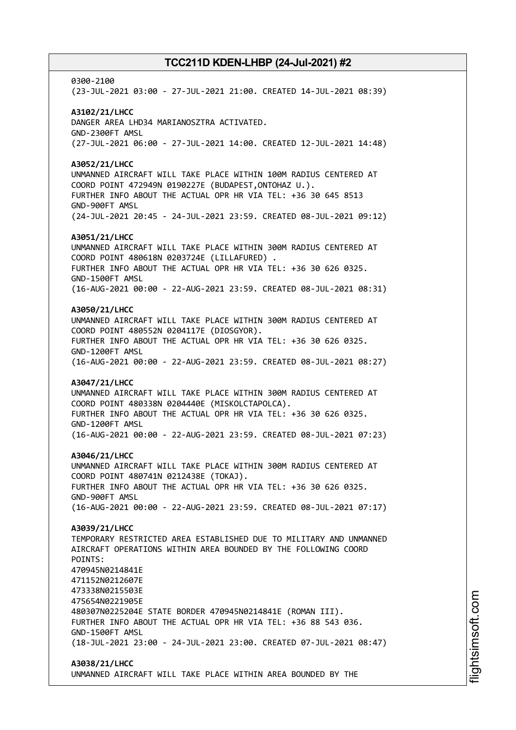0300-2100 (23-JUL-2021 03:00 - 27-JUL-2021 21:00. CREATED 14-JUL-2021 08:39) **A3102/21/LHCC** DANGER AREA LHD34 MARIANOSZTRA ACTIVATED. GND-2300FT AMSL (27-JUL-2021 06:00 - 27-JUL-2021 14:00. CREATED 12-JUL-2021 14:48) **A3052/21/LHCC** UNMANNED AIRCRAFT WILL TAKE PLACE WITHIN 100M RADIUS CENTERED AT COORD POINT 472949N 0190227E (BUDAPEST,ONTOHAZ U.). FURTHER INFO ABOUT THE ACTUAL OPR HR VIA TEL: +36 30 645 8513 GND-900FT AMSL (24-JUL-2021 20:45 - 24-JUL-2021 23:59. CREATED 08-JUL-2021 09:12) **A3051/21/LHCC** UNMANNED AIRCRAFT WILL TAKE PLACE WITHIN 300M RADIUS CENTERED AT COORD POINT 480618N 0203724E (LILLAFURED) . FURTHER INFO ABOUT THE ACTUAL OPR HR VIA TEL: +36 30 626 0325. GND-1500FT AMSL (16-AUG-2021 00:00 - 22-AUG-2021 23:59. CREATED 08-JUL-2021 08:31) **A3050/21/LHCC** UNMANNED AIRCRAFT WILL TAKE PLACE WITHIN 300M RADIUS CENTERED AT COORD POINT 480552N 0204117E (DIOSGYOR). FURTHER INFO ABOUT THE ACTUAL OPR HR VIA TEL: +36 30 626 0325. GND-1200FT AMSL (16-AUG-2021 00:00 - 22-AUG-2021 23:59. CREATED 08-JUL-2021 08:27) **A3047/21/LHCC** UNMANNED AIRCRAFT WILL TAKE PLACE WITHIN 300M RADIUS CENTERED AT COORD POINT 480338N 0204440E (MISKOLCTAPOLCA). FURTHER INFO ABOUT THE ACTUAL OPR HR VIA TEL: +36 30 626 0325. GND-1200FT AMSL (16-AUG-2021 00:00 - 22-AUG-2021 23:59. CREATED 08-JUL-2021 07:23) **A3046/21/LHCC** UNMANNED AIRCRAFT WILL TAKE PLACE WITHIN 300M RADIUS CENTERED AT COORD POINT 480741N 0212438E (TOKAJ). FURTHER INFO ABOUT THE ACTUAL OPR HR VIA TEL: +36 30 626 0325. GND-900FT AMSL (16-AUG-2021 00:00 - 22-AUG-2021 23:59. CREATED 08-JUL-2021 07:17) **A3039/21/LHCC** TEMPORARY RESTRICTED AREA ESTABLISHED DUE TO MILITARY AND UNMANNED AIRCRAFT OPERATIONS WITHIN AREA BOUNDED BY THE FOLLOWING COORD POINTS: 470945N0214841E 471152N0212607E 473338N0215503E 475654N0221905E 480307N0225204E STATE BORDER 470945N0214841E (ROMAN III). FURTHER INFO ABOUT THE ACTUAL OPR HR VIA TEL: +36 88 543 036. GND-1500FT AMSL (18-JUL-2021 23:00 - 24-JUL-2021 23:00. CREATED 07-JUL-2021 08:47) **A3038/21/LHCC**

UNMANNED AIRCRAFT WILL TAKE PLACE WITHIN AREA BOUNDED BY THE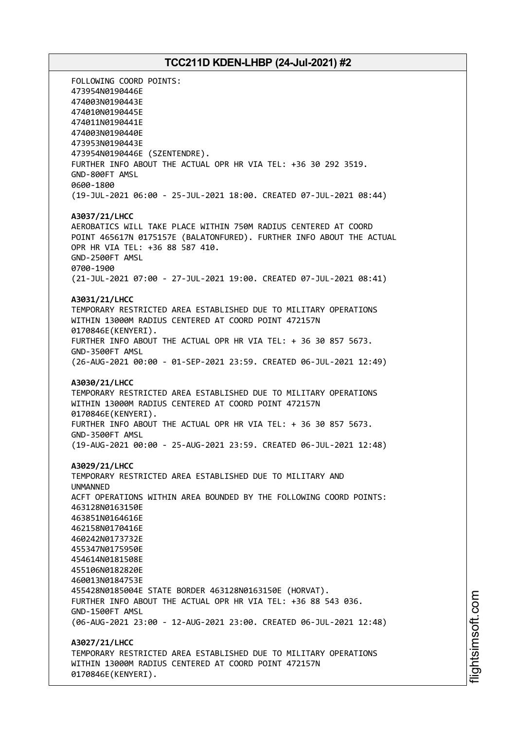FOLLOWING COORD POINTS: 473954N0190446E 474003N0190443E 474010N0190445E 474011N0190441E 474003N0190440E 473953N0190443E 473954N0190446E (SZENTENDRE). FURTHER INFO ABOUT THE ACTUAL OPR HR VIA TEL: +36 30 292 3519. GND-800FT AMSL 0600-1800 (19-JUL-2021 06:00 - 25-JUL-2021 18:00. CREATED 07-JUL-2021 08:44) **A3037/21/LHCC** AEROBATICS WILL TAKE PLACE WITHIN 750M RADIUS CENTERED AT COORD POINT 465617N 0175157E (BALATONFURED). FURTHER INFO ABOUT THE ACTUAL OPR HR VIA TEL: +36 88 587 410. GND-2500FT AMSL 0700-1900 (21-JUL-2021 07:00 - 27-JUL-2021 19:00. CREATED 07-JUL-2021 08:41) **A3031/21/LHCC** TEMPORARY RESTRICTED AREA ESTABLISHED DUE TO MILITARY OPERATIONS WITHIN 13000M RADIUS CENTERED AT COORD POINT 472157N 0170846E(KENYERI). FURTHER INFO ABOUT THE ACTUAL OPR HR VIA TEL: + 36 30 857 5673. GND-3500FT AMSL (26-AUG-2021 00:00 - 01-SEP-2021 23:59. CREATED 06-JUL-2021 12:49) **A3030/21/LHCC** TEMPORARY RESTRICTED AREA ESTABLISHED DUE TO MILITARY OPERATIONS WITHIN 13000M RADIUS CENTERED AT COORD POINT 472157N 0170846E(KENYERI). FURTHER INFO ABOUT THE ACTUAL OPR HR VIA TEL: + 36 30 857 5673. GND-3500FT AMSL (19-AUG-2021 00:00 - 25-AUG-2021 23:59. CREATED 06-JUL-2021 12:48) **A3029/21/LHCC** TEMPORARY RESTRICTED AREA ESTABLISHED DUE TO MILITARY AND UNMANNED ACFT OPERATIONS WITHIN AREA BOUNDED BY THE FOLLOWING COORD POINTS: 463128N0163150E 463851N0164616E 462158N0170416E 460242N0173732E 455347N0175950E 454614N0181508E 455106N0182820E 460013N0184753E 455428N0185004E STATE BORDER 463128N0163150E (HORVAT). FURTHER INFO ABOUT THE ACTUAL OPR HR VIA TEL: +36 88 543 036. GND-1500FT AMSL (06-AUG-2021 23:00 - 12-AUG-2021 23:00. CREATED 06-JUL-2021 12:48) **A3027/21/LHCC** TEMPORARY RESTRICTED AREA ESTABLISHED DUE TO MILITARY OPERATIONS WITHIN 13000M RADIUS CENTERED AT COORD POINT 472157N 0170846E(KENYERI).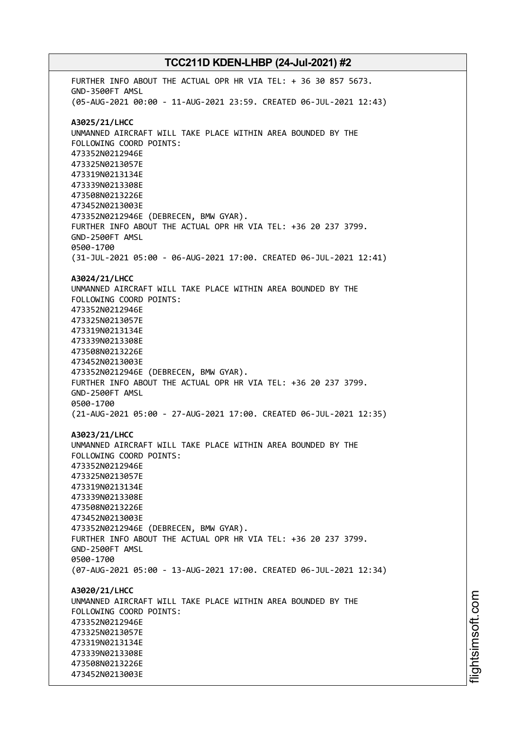FURTHER INFO ABOUT THE ACTUAL OPR HR VIA TEL: + 36 30 857 5673. GND-3500FT AMSL (05-AUG-2021 00:00 - 11-AUG-2021 23:59. CREATED 06-JUL-2021 12:43) **A3025/21/LHCC** UNMANNED AIRCRAFT WILL TAKE PLACE WITHIN AREA BOUNDED BY THE FOLLOWING COORD POINTS: 473352N0212946E 473325N0213057E 473319N0213134E 473339N0213308E 473508N0213226E 473452N0213003E 473352N0212946E (DEBRECEN, BMW GYAR). FURTHER INFO ABOUT THE ACTUAL OPR HR VIA TEL: +36 20 237 3799. GND-2500FT AMSL 0500-1700 (31-JUL-2021 05:00 - 06-AUG-2021 17:00. CREATED 06-JUL-2021 12:41) **A3024/21/LHCC** UNMANNED AIRCRAFT WILL TAKE PLACE WITHIN AREA BOUNDED BY THE FOLLOWING COORD POINTS: 473352N0212946E 473325N0213057E 473319N0213134E 473339N0213308E 473508N0213226E 473452N0213003E 473352N0212946E (DEBRECEN, BMW GYAR). FURTHER INFO ABOUT THE ACTUAL OPR HR VIA TEL: +36 20 237 3799. GND-2500FT AMSL 0500-1700 (21-AUG-2021 05:00 - 27-AUG-2021 17:00. CREATED 06-JUL-2021 12:35) **A3023/21/LHCC** UNMANNED AIRCRAFT WILL TAKE PLACE WITHIN AREA BOUNDED BY THE FOLLOWING COORD POINTS: 473352N0212946E 473325N0213057E 473319N0213134E 473339N0213308E 473508N0213226E 473452N0213003E 473352N0212946E (DEBRECEN, BMW GYAR). FURTHER INFO ABOUT THE ACTUAL OPR HR VIA TEL: +36 20 237 3799. GND-2500FT AMSL 0500-1700 (07-AUG-2021 05:00 - 13-AUG-2021 17:00. CREATED 06-JUL-2021 12:34) **A3020/21/LHCC** UNMANNED AIRCRAFT WILL TAKE PLACE WITHIN AREA BOUNDED BY THE FOLLOWING COORD POINTS: 473352N0212946E 473325N0213057E 473319N0213134E 473339N0213308E 473508N0213226E 473452N0213003E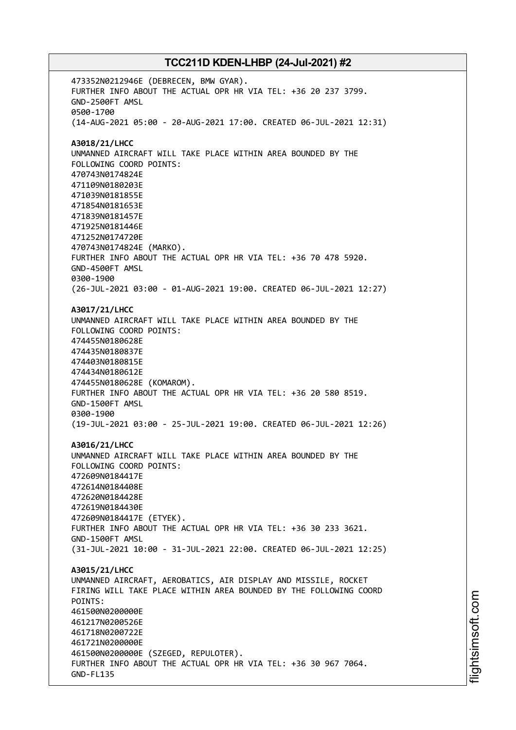473352N0212946E (DEBRECEN, BMW GYAR). FURTHER INFO ABOUT THE ACTUAL OPR HR VIA TEL: +36 20 237 3799. GND-2500FT AMSL 0500-1700 (14-AUG-2021 05:00 - 20-AUG-2021 17:00. CREATED 06-JUL-2021 12:31) **A3018/21/LHCC** UNMANNED AIRCRAFT WILL TAKE PLACE WITHIN AREA BOUNDED BY THE FOLLOWING COORD POINTS: 470743N0174824E 471109N0180203E 471039N0181855E 471854N0181653E 471839N0181457E 471925N0181446E 471252N0174720E 470743N0174824E (MARKO). FURTHER INFO ABOUT THE ACTUAL OPR HR VIA TEL: +36 70 478 5920. GND-4500FT AMSL 0300-1900 (26-JUL-2021 03:00 - 01-AUG-2021 19:00. CREATED 06-JUL-2021 12:27) **A3017/21/LHCC** UNMANNED AIRCRAFT WILL TAKE PLACE WITHIN AREA BOUNDED BY THE FOLLOWING COORD POINTS: 474455N0180628E 474435N0180837E 474403N0180815E 474434N0180612E 474455N0180628E (KOMAROM). FURTHER INFO ABOUT THE ACTUAL OPR HR VIA TEL: +36 20 580 8519. GND-1500FT AMSL 0300-1900 (19-JUL-2021 03:00 - 25-JUL-2021 19:00. CREATED 06-JUL-2021 12:26) **A3016/21/LHCC** UNMANNED AIRCRAFT WILL TAKE PLACE WITHIN AREA BOUNDED BY THE FOLLOWING COORD POINTS: 472609N0184417E 472614N0184408E 472620N0184428E 472619N0184430E 472609N0184417E (ETYEK). FURTHER INFO ABOUT THE ACTUAL OPR HR VIA TEL: +36 30 233 3621. GND-1500FT AMSL (31-JUL-2021 10:00 - 31-JUL-2021 22:00. CREATED 06-JUL-2021 12:25) **A3015/21/LHCC** UNMANNED AIRCRAFT, AEROBATICS, AIR DISPLAY AND MISSILE, ROCKET FIRING WILL TAKE PLACE WITHIN AREA BOUNDED BY THE FOLLOWING COORD POINTS: 461500N0200000E 461217N0200526E 461718N0200722E 461721N0200000E 461500N0200000E (SZEGED, REPULOTER). FURTHER INFO ABOUT THE ACTUAL OPR HR VIA TEL: +36 30 967 7064. GND-FL135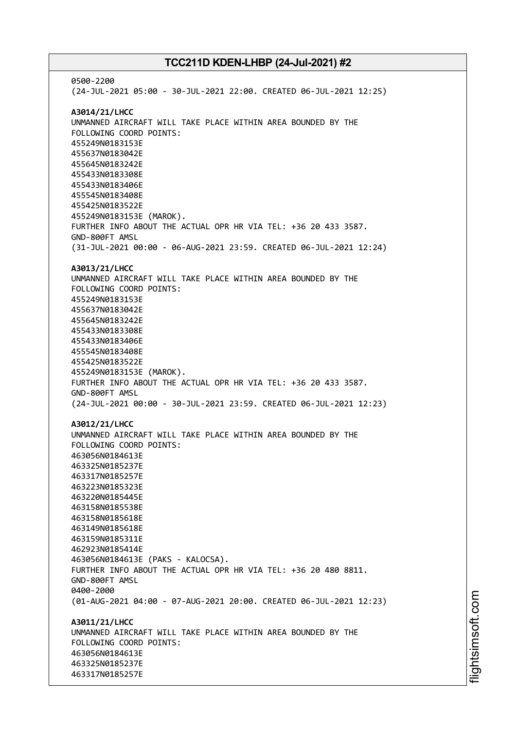0500-2200 (24-JUL-2021 05:00 - 30-JUL-2021 22:00. CREATED 06-JUL-2021 12:25) **A3014/21/LHCC** UNMANNED AIRCRAFT WILL TAKE PLACE WITHIN AREA BOUNDED BY THE FOLLOWING COORD POINTS: 455249N0183153E 455637N0183042E 455645N0183242E 455433N0183308E 455433N0183406E 455545N0183408E 455425N0183522E 455249N0183153E (MAROK). FURTHER INFO ABOUT THE ACTUAL OPR HR VIA TEL: +36 20 433 3587. GND-800FT AMSL (31-JUL-2021 00:00 - 06-AUG-2021 23:59. CREATED 06-JUL-2021 12:24) **A3013/21/LHCC** UNMANNED AIRCRAFT WILL TAKE PLACE WITHIN AREA BOUNDED BY THE FOLLOWING COORD POINTS: 455249N0183153E 455637N0183042E 455645N0183242E 455433N0183308E 455433N0183406E 455545N0183408E 455425N0183522E 455249N0183153E (MAROK). FURTHER INFO ABOUT THE ACTUAL OPR HR VIA TEL: +36 20 433 3587. GND-800FT AMSL (24-JUL-2021 00:00 - 30-JUL-2021 23:59. CREATED 06-JUL-2021 12:23) **A3012/21/LHCC** UNMANNED AIRCRAFT WILL TAKE PLACE WITHIN AREA BOUNDED BY THE FOLLOWING COORD POINTS: 463056N0184613E 463325N0185237E 463317N0185257E 463223N0185323E 463220N0185445E 463158N0185538E 463158N0185618E 463149N0185618E 463159N0185311E 462923N0185414E 463056N0184613E (PAKS - KALOCSA). FURTHER INFO ABOUT THE ACTUAL OPR HR VIA TEL: +36 20 480 8811. GND-800FT AMSL 0400-2000 (01-AUG-2021 04:00 - 07-AUG-2021 20:00. CREATED 06-JUL-2021 12:23) **A3011/21/LHCC** UNMANNED AIRCRAFT WILL TAKE PLACE WITHIN AREA BOUNDED BY THE FOLLOWING COORD POINTS: 463056N0184613E 463325N0185237E 463317N0185257E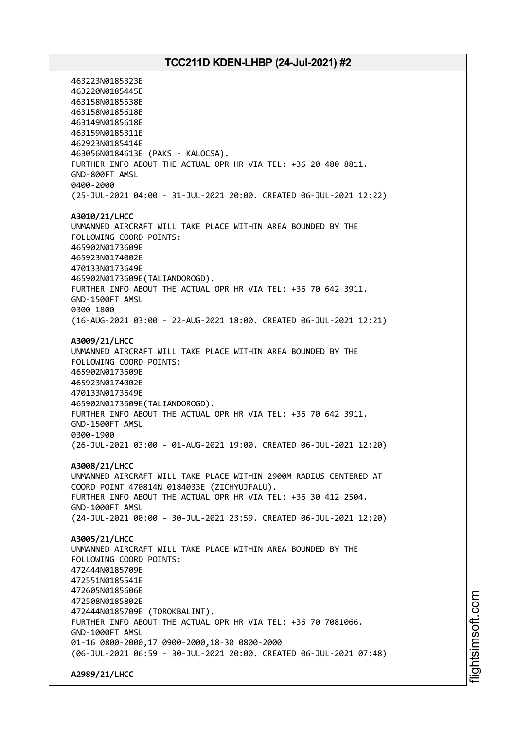463223N0185323E 463220N0185445E 463158N0185538E 463158N0185618E 463149N0185618E 463159N0185311E 462923N0185414E 463056N0184613E (PAKS - KALOCSA). FURTHER INFO ABOUT THE ACTUAL OPR HR VIA TEL: +36 20 480 8811. GND-800FT AMSL 0400-2000 (25-JUL-2021 04:00 - 31-JUL-2021 20:00. CREATED 06-JUL-2021 12:22) **A3010/21/LHCC** UNMANNED AIRCRAFT WILL TAKE PLACE WITHIN AREA BOUNDED BY THE FOLLOWING COORD POINTS: 465902N0173609E 465923N0174002E 470133N0173649E 465902N0173609E(TALIANDOROGD). FURTHER INFO ABOUT THE ACTUAL OPR HR VIA TEL: +36 70 642 3911. GND-1500FT AMSL 0300-1800 (16-AUG-2021 03:00 - 22-AUG-2021 18:00. CREATED 06-JUL-2021 12:21) **A3009/21/LHCC** UNMANNED AIRCRAFT WILL TAKE PLACE WITHIN AREA BOUNDED BY THE FOLLOWING COORD POINTS: 465902N0173609E 465923N0174002E 470133N0173649E 465902N0173609E(TALIANDOROGD). FURTHER INFO ABOUT THE ACTUAL OPR HR VIA TEL: +36 70 642 3911. GND-1500FT AMSL 0300-1900 (26-JUL-2021 03:00 - 01-AUG-2021 19:00. CREATED 06-JUL-2021 12:20) **A3008/21/LHCC** UNMANNED AIRCRAFT WILL TAKE PLACE WITHIN 2900M RADIUS CENTERED AT COORD POINT 470814N 0184033E (ZICHYUJFALU). FURTHER INFO ABOUT THE ACTUAL OPR HR VIA TEL: +36 30 412 2504. GND-1000FT AMSL (24-JUL-2021 00:00 - 30-JUL-2021 23:59. CREATED 06-JUL-2021 12:20) **A3005/21/LHCC** UNMANNED AIRCRAFT WILL TAKE PLACE WITHIN AREA BOUNDED BY THE FOLLOWING COORD POINTS: 472444N0185709E 472551N0185541E 472605N0185606E 472508N0185802E 472444N0185709E (TOROKBALINT). FURTHER INFO ABOUT THE ACTUAL OPR HR VIA TEL: +36 70 7081066. GND-1000FT AMSL 01-16 0800-2000,17 0900-2000,18-30 0800-2000 (06-JUL-2021 06:59 - 30-JUL-2021 20:00. CREATED 06-JUL-2021 07:48) **A2989/21/LHCC**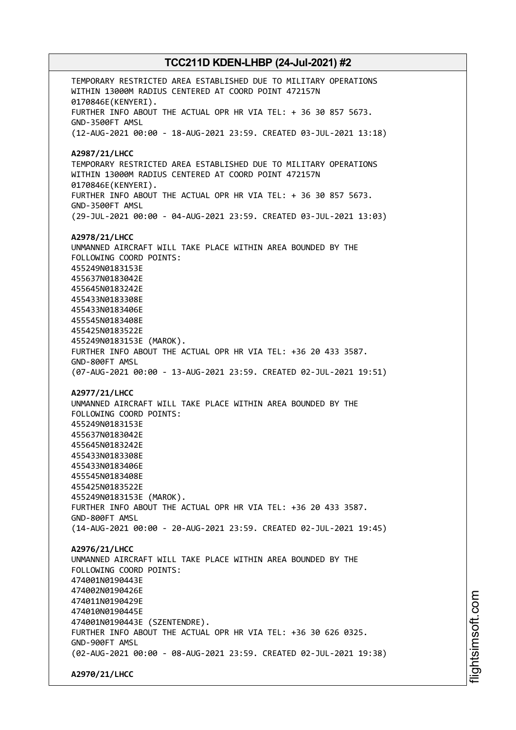TEMPORARY RESTRICTED AREA ESTABLISHED DUE TO MILITARY OPERATIONS WITHIN 13000M RADIUS CENTERED AT COORD POINT 472157N 0170846E(KENYERI). FURTHER INFO ABOUT THE ACTUAL OPR HR VIA TEL: + 36 30 857 5673. GND-3500FT AMSL (12-AUG-2021 00:00 - 18-AUG-2021 23:59. CREATED 03-JUL-2021 13:18) **A2987/21/LHCC** TEMPORARY RESTRICTED AREA ESTABLISHED DUE TO MILITARY OPERATIONS WITHIN 13000M RADIUS CENTERED AT COORD POINT 472157N 0170846E(KENYERI). FURTHER INFO ABOUT THE ACTUAL OPR HR VIA TEL: + 36 30 857 5673. GND-3500FT AMSL (29-JUL-2021 00:00 - 04-AUG-2021 23:59. CREATED 03-JUL-2021 13:03) **A2978/21/LHCC** UNMANNED AIRCRAFT WILL TAKE PLACE WITHIN AREA BOUNDED BY THE FOLLOWING COORD POINTS: 455249N0183153E 455637N0183042E 455645N0183242E 455433N0183308E 455433N0183406E 455545N0183408E 455425N0183522E 455249N0183153E (MAROK). FURTHER INFO ABOUT THE ACTUAL OPR HR VIA TEL: +36 20 433 3587. GND-800FT AMSL (07-AUG-2021 00:00 - 13-AUG-2021 23:59. CREATED 02-JUL-2021 19:51) **A2977/21/LHCC** UNMANNED AIRCRAFT WILL TAKE PLACE WITHIN AREA BOUNDED BY THE FOLLOWING COORD POINTS: 455249N0183153E 455637N0183042E 455645N0183242E 455433N0183308E 455433N0183406E 455545N0183408E 455425N0183522E 455249N0183153E (MAROK). FURTHER INFO ABOUT THE ACTUAL OPR HR VIA TEL: +36 20 433 3587. GND-800FT AMSL (14-AUG-2021 00:00 - 20-AUG-2021 23:59. CREATED 02-JUL-2021 19:45) **A2976/21/LHCC** UNMANNED AIRCRAFT WILL TAKE PLACE WITHIN AREA BOUNDED BY THE FOLLOWING COORD POINTS: 474001N0190443E 474002N0190426E 474011N0190429E 474010N0190445E 474001N0190443E (SZENTENDRE). FURTHER INFO ABOUT THE ACTUAL OPR HR VIA TEL: +36 30 626 0325. GND-900FT AMSL (02-AUG-2021 00:00 - 08-AUG-2021 23:59. CREATED 02-JUL-2021 19:38) **A2970/21/LHCC**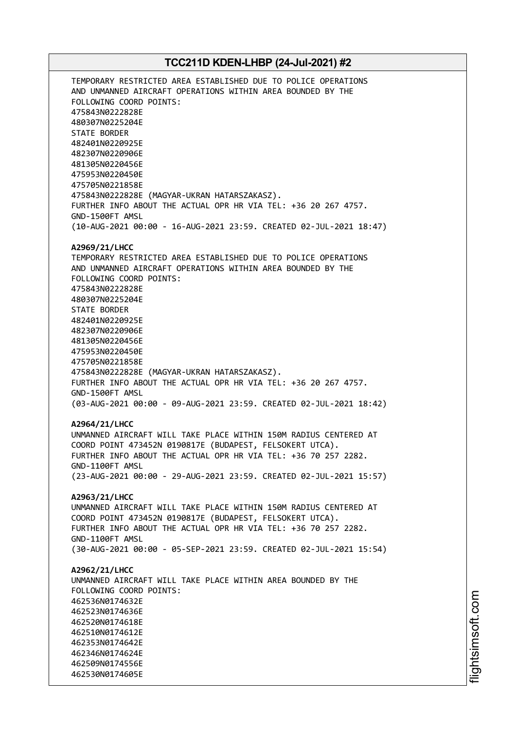TEMPORARY RESTRICTED AREA ESTABLISHED DUE TO POLICE OPERATIONS AND UNMANNED AIRCRAFT OPERATIONS WITHIN AREA BOUNDED BY THE FOLLOWING COORD POINTS: 475843N0222828E 480307N0225204E STATE BORDER 482401N0220925E 482307N0220906E 481305N0220456E 475953N0220450E 475705N0221858E 475843N0222828E (MAGYAR-UKRAN HATARSZAKASZ). FURTHER INFO ABOUT THE ACTUAL OPR HR VIA TEL: +36 20 267 4757. GND-1500FT AMSL (10-AUG-2021 00:00 - 16-AUG-2021 23:59. CREATED 02-JUL-2021 18:47) **A2969/21/LHCC** TEMPORARY RESTRICTED AREA ESTABLISHED DUE TO POLICE OPERATIONS AND UNMANNED AIRCRAFT OPERATIONS WITHIN AREA BOUNDED BY THE FOLLOWING COORD POINTS: 475843N0222828E 480307N0225204E STATE BORDER 482401N0220925E 482307N0220906E 481305N0220456E 475953N0220450E 475705N0221858E 475843N0222828E (MAGYAR-UKRAN HATARSZAKASZ). FURTHER INFO ABOUT THE ACTUAL OPR HR VIA TEL: +36 20 267 4757. GND-1500FT AMSL (03-AUG-2021 00:00 - 09-AUG-2021 23:59. CREATED 02-JUL-2021 18:42) **A2964/21/LHCC** UNMANNED AIRCRAFT WILL TAKE PLACE WITHIN 150M RADIUS CENTERED AT COORD POINT 473452N 0190817E (BUDAPEST, FELSOKERT UTCA). FURTHER INFO ABOUT THE ACTUAL OPR HR VIA TEL: +36 70 257 2282. GND-1100FT AMSL (23-AUG-2021 00:00 - 29-AUG-2021 23:59. CREATED 02-JUL-2021 15:57) **A2963/21/LHCC** UNMANNED AIRCRAFT WILL TAKE PLACE WITHIN 150M RADIUS CENTERED AT COORD POINT 473452N 0190817E (BUDAPEST, FELSOKERT UTCA). FURTHER INFO ABOUT THE ACTUAL OPR HR VIA TEL: +36 70 257 2282. GND-1100FT AMSL (30-AUG-2021 00:00 - 05-SEP-2021 23:59. CREATED 02-JUL-2021 15:54) **A2962/21/LHCC** UNMANNED AIRCRAFT WILL TAKE PLACE WITHIN AREA BOUNDED BY THE FOLLOWING COORD POINTS: 462536N0174632E 462523N0174636E 462520N0174618E 462510N0174612E 462353N0174642E 462346N0174624E 462509N0174556E 462530N0174605E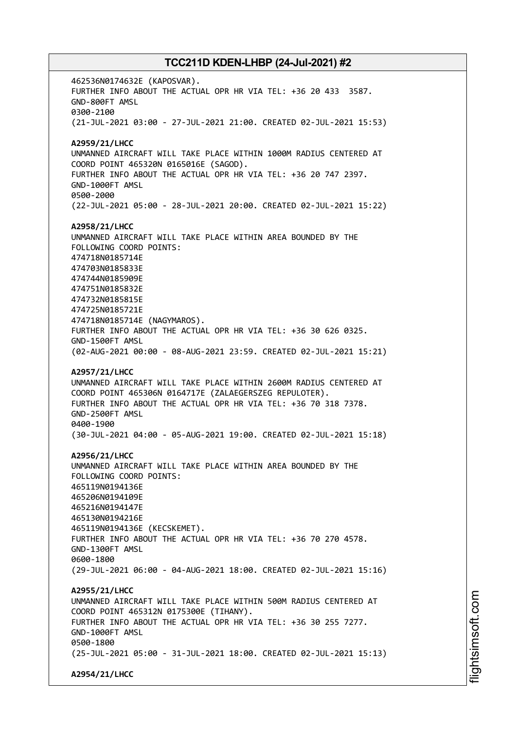462536N0174632E (KAPOSVAR). FURTHER INFO ABOUT THE ACTUAL OPR HR VIA TEL: +36 20 433 3587. GND-800FT AMSL 0300-2100 (21-JUL-2021 03:00 - 27-JUL-2021 21:00. CREATED 02-JUL-2021 15:53) **A2959/21/LHCC** UNMANNED AIRCRAFT WILL TAKE PLACE WITHIN 1000M RADIUS CENTERED AT COORD POINT 465320N 0165016E (SAGOD). FURTHER INFO ABOUT THE ACTUAL OPR HR VIA TEL: +36 20 747 2397. GND-1000FT AMSL 0500-2000 (22-JUL-2021 05:00 - 28-JUL-2021 20:00. CREATED 02-JUL-2021 15:22) **A2958/21/LHCC** UNMANNED AIRCRAFT WILL TAKE PLACE WITHIN AREA BOUNDED BY THE FOLLOWING COORD POINTS: 474718N0185714E 474703N0185833E 474744N0185909E 474751N0185832E 474732N0185815E 474725N0185721E 474718N0185714E (NAGYMAROS). FURTHER INFO ABOUT THE ACTUAL OPR HR VIA TEL: +36 30 626 0325. GND-1500FT AMSL (02-AUG-2021 00:00 - 08-AUG-2021 23:59. CREATED 02-JUL-2021 15:21) **A2957/21/LHCC** UNMANNED AIRCRAFT WILL TAKE PLACE WITHIN 2600M RADIUS CENTERED AT COORD POINT 465306N 0164717E (ZALAEGERSZEG REPULOTER). FURTHER INFO ABOUT THE ACTUAL OPR HR VIA TEL: +36 70 318 7378. GND-2500FT AMSL 0400-1900 (30-JUL-2021 04:00 - 05-AUG-2021 19:00. CREATED 02-JUL-2021 15:18) **A2956/21/LHCC** UNMANNED AIRCRAFT WILL TAKE PLACE WITHIN AREA BOUNDED BY THE FOLLOWING COORD POINTS: 465119N0194136E 465206N0194109E 465216N0194147E 465130N0194216E 465119N0194136E (KECSKEMET). FURTHER INFO ABOUT THE ACTUAL OPR HR VIA TEL: +36 70 270 4578. GND-1300FT AMSL 0600-1800 (29-JUL-2021 06:00 - 04-AUG-2021 18:00. CREATED 02-JUL-2021 15:16) **A2955/21/LHCC** UNMANNED AIRCRAFT WILL TAKE PLACE WITHIN 500M RADIUS CENTERED AT COORD POINT 465312N 0175300E (TIHANY). FURTHER INFO ABOUT THE ACTUAL OPR HR VIA TEL: +36 30 255 7277. GND-1000FT AMSL 0500-1800 (25-JUL-2021 05:00 - 31-JUL-2021 18:00. CREATED 02-JUL-2021 15:13) **A2954/21/LHCC**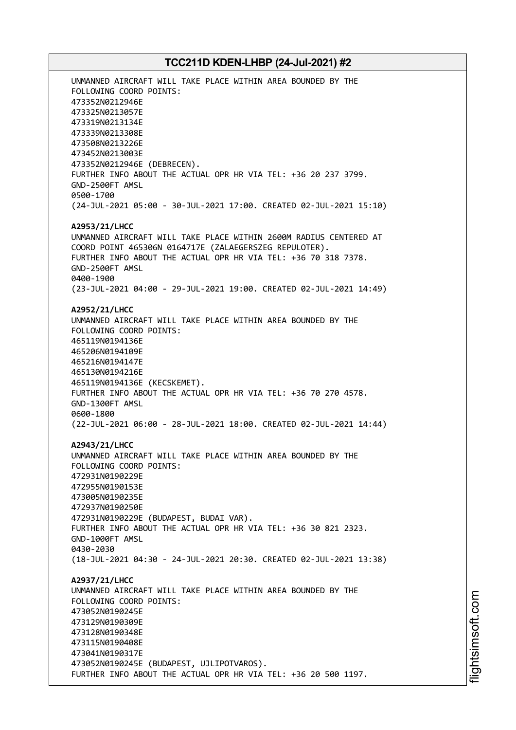UNMANNED AIRCRAFT WILL TAKE PLACE WITHIN AREA BOUNDED BY THE FOLLOWING COORD POINTS: 473352N0212946E 473325N0213057E 473319N0213134E 473339N0213308E 473508N0213226E 473452N0213003E 473352N0212946E (DEBRECEN). FURTHER INFO ABOUT THE ACTUAL OPR HR VIA TEL: +36 20 237 3799. GND-2500FT AMSL 0500-1700 (24-JUL-2021 05:00 - 30-JUL-2021 17:00. CREATED 02-JUL-2021 15:10) **A2953/21/LHCC** UNMANNED AIRCRAFT WILL TAKE PLACE WITHIN 2600M RADIUS CENTERED AT COORD POINT 465306N 0164717E (ZALAEGERSZEG REPULOTER). FURTHER INFO ABOUT THE ACTUAL OPR HR VIA TEL: +36 70 318 7378. GND-2500FT AMSL 0400-1900 (23-JUL-2021 04:00 - 29-JUL-2021 19:00. CREATED 02-JUL-2021 14:49) **A2952/21/LHCC** UNMANNED AIRCRAFT WILL TAKE PLACE WITHIN AREA BOUNDED BY THE FOLLOWING COORD POINTS: 465119N0194136E 465206N0194109E 465216N0194147E 465130N0194216E 465119N0194136E (KECSKEMET). FURTHER INFO ABOUT THE ACTUAL OPR HR VIA TEL: +36 70 270 4578. GND-1300FT AMSL 0600-1800 (22-JUL-2021 06:00 - 28-JUL-2021 18:00. CREATED 02-JUL-2021 14:44) **A2943/21/LHCC** UNMANNED AIRCRAFT WILL TAKE PLACE WITHIN AREA BOUNDED BY THE FOLLOWING COORD POINTS: 472931N0190229E 472955N0190153E 473005N0190235E 472937N0190250E 472931N0190229E (BUDAPEST, BUDAI VAR). FURTHER INFO ABOUT THE ACTUAL OPR HR VIA TEL: +36 30 821 2323. GND-1000FT AMSL 0430-2030 (18-JUL-2021 04:30 - 24-JUL-2021 20:30. CREATED 02-JUL-2021 13:38) **A2937/21/LHCC** UNMANNED AIRCRAFT WILL TAKE PLACE WITHIN AREA BOUNDED BY THE FOLLOWING COORD POINTS: 473052N0190245E 473129N0190309E 473128N0190348E 473115N0190408E 473041N0190317E 473052N0190245E (BUDAPEST, UJLIPOTVAROS). FURTHER INFO ABOUT THE ACTUAL OPR HR VIA TEL: +36 20 500 1197.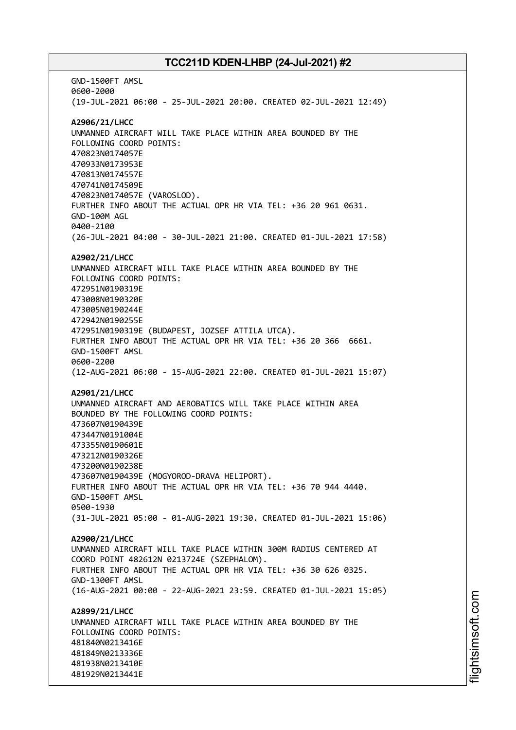GND-1500FT AMSL 0600-2000 (19-JUL-2021 06:00 - 25-JUL-2021 20:00. CREATED 02-JUL-2021 12:49) **A2906/21/LHCC** UNMANNED AIRCRAFT WILL TAKE PLACE WITHIN AREA BOUNDED BY THE FOLLOWING COORD POINTS: 470823N0174057E 470933N0173953E 470813N0174557E 470741N0174509E 470823N0174057E (VAROSLOD). FURTHER INFO ABOUT THE ACTUAL OPR HR VIA TEL: +36 20 961 0631. GND-100M AGL 0400-2100 (26-JUL-2021 04:00 - 30-JUL-2021 21:00. CREATED 01-JUL-2021 17:58) **A2902/21/LHCC** UNMANNED AIRCRAFT WILL TAKE PLACE WITHIN AREA BOUNDED BY THE FOLLOWING COORD POINTS: 472951N0190319E 473008N0190320E 473005N0190244E 472942N0190255E 472951N0190319E (BUDAPEST, JOZSEF ATTILA UTCA). FURTHER INFO ABOUT THE ACTUAL OPR HR VIA TEL: +36 20 366 6661. GND-1500FT AMSL 0600-2200 (12-AUG-2021 06:00 - 15-AUG-2021 22:00. CREATED 01-JUL-2021 15:07) **A2901/21/LHCC** UNMANNED AIRCRAFT AND AEROBATICS WILL TAKE PLACE WITHIN AREA BOUNDED BY THE FOLLOWING COORD POINTS: 473607N0190439E 473447N0191004E 473355N0190601E 473212N0190326E 473200N0190238E 473607N0190439E (MOGYOROD-DRAVA HELIPORT). FURTHER INFO ABOUT THE ACTUAL OPR HR VIA TEL: +36 70 944 4440. GND-1500FT AMSL 0500-1930 (31-JUL-2021 05:00 - 01-AUG-2021 19:30. CREATED 01-JUL-2021 15:06) **A2900/21/LHCC** UNMANNED AIRCRAFT WILL TAKE PLACE WITHIN 300M RADIUS CENTERED AT COORD POINT 482612N 0213724E (SZEPHALOM). FURTHER INFO ABOUT THE ACTUAL OPR HR VIA TEL: +36 30 626 0325. GND-1300FT AMSL (16-AUG-2021 00:00 - 22-AUG-2021 23:59. CREATED 01-JUL-2021 15:05) **A2899/21/LHCC** UNMANNED AIRCRAFT WILL TAKE PLACE WITHIN AREA BOUNDED BY THE FOLLOWING COORD POINTS: 481840N0213416E 481849N0213336E 481938N0213410E 481929N0213441E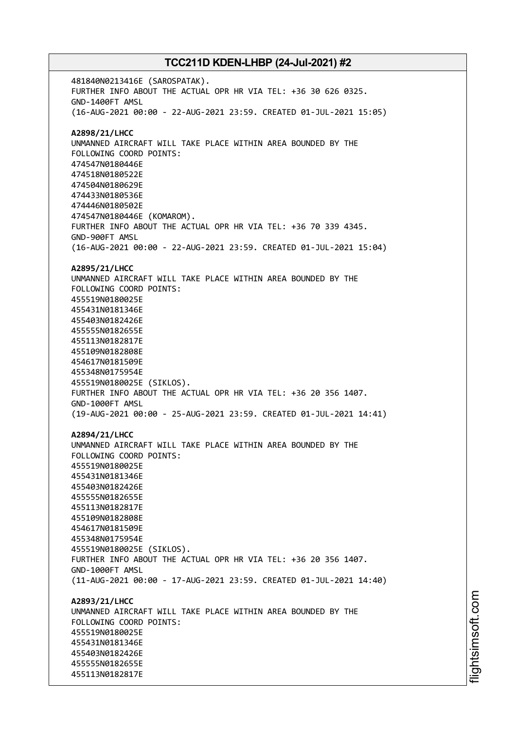481840N0213416E (SAROSPATAK). FURTHER INFO ABOUT THE ACTUAL OPR HR VIA TEL: +36 30 626 0325. GND-1400FT AMSL (16-AUG-2021 00:00 - 22-AUG-2021 23:59. CREATED 01-JUL-2021 15:05) **A2898/21/LHCC** UNMANNED AIRCRAFT WILL TAKE PLACE WITHIN AREA BOUNDED BY THE FOLLOWING COORD POINTS: 474547N0180446E 474518N0180522E 474504N0180629E 474433N0180536E 474446N0180502E 474547N0180446E (KOMAROM). FURTHER INFO ABOUT THE ACTUAL OPR HR VIA TEL: +36 70 339 4345. GND-900FT AMSL (16-AUG-2021 00:00 - 22-AUG-2021 23:59. CREATED 01-JUL-2021 15:04) **A2895/21/LHCC** UNMANNED AIRCRAFT WILL TAKE PLACE WITHIN AREA BOUNDED BY THE FOLLOWING COORD POINTS: 455519N0180025E 455431N0181346E 455403N0182426E 455555N0182655E 455113N0182817E 455109N0182808E 454617N0181509E 455348N0175954E 455519N0180025E (SIKLOS). FURTHER INFO ABOUT THE ACTUAL OPR HR VIA TEL: +36 20 356 1407. GND-1000FT AMSL (19-AUG-2021 00:00 - 25-AUG-2021 23:59. CREATED 01-JUL-2021 14:41) **A2894/21/LHCC** UNMANNED AIRCRAFT WILL TAKE PLACE WITHIN AREA BOUNDED BY THE FOLLOWING COORD POINTS: 455519N0180025E 455431N0181346E 455403N0182426E 455555N0182655E 455113N0182817E 455109N0182808E 454617N0181509E 455348N0175954E 455519N0180025E (SIKLOS). FURTHER INFO ABOUT THE ACTUAL OPR HR VIA TEL: +36 20 356 1407. GND-1000FT AMSL (11-AUG-2021 00:00 - 17-AUG-2021 23:59. CREATED 01-JUL-2021 14:40) **A2893/21/LHCC** UNMANNED AIRCRAFT WILL TAKE PLACE WITHIN AREA BOUNDED BY THE FOLLOWING COORD POINTS: 455519N0180025E 455431N0181346E 455403N0182426E 455555N0182655E 455113N0182817E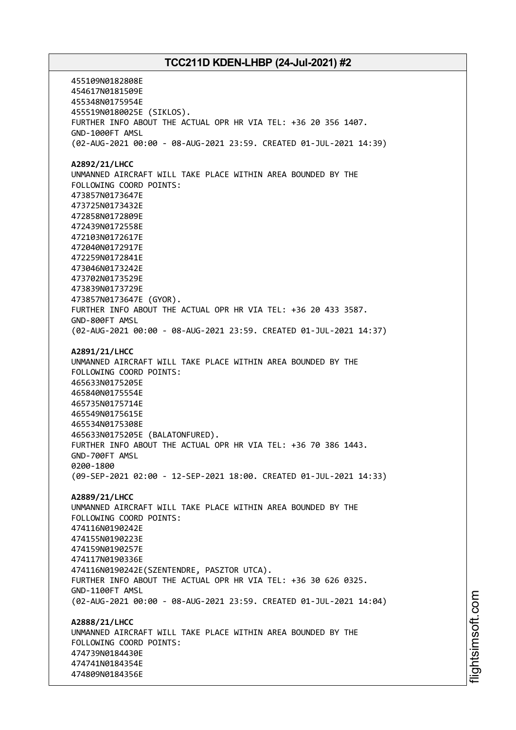455109N0182808E 454617N0181509E 455348N0175954E 455519N0180025E (SIKLOS). FURTHER INFO ABOUT THE ACTUAL OPR HR VIA TEL: +36 20 356 1407. GND-1000FT AMSL (02-AUG-2021 00:00 - 08-AUG-2021 23:59. CREATED 01-JUL-2021 14:39) **A2892/21/LHCC** UNMANNED AIRCRAFT WILL TAKE PLACE WITHIN AREA BOUNDED BY THE FOLLOWING COORD POINTS: 473857N0173647E 473725N0173432E 472858N0172809E 472439N0172558E 472103N0172617E 472040N0172917E 472259N0172841E 473046N0173242E 473702N0173529E 473839N0173729E 473857N0173647E (GYOR). FURTHER INFO ABOUT THE ACTUAL OPR HR VIA TEL: +36 20 433 3587. GND-800FT AMSL (02-AUG-2021 00:00 - 08-AUG-2021 23:59. CREATED 01-JUL-2021 14:37) **A2891/21/LHCC** UNMANNED AIRCRAFT WILL TAKE PLACE WITHIN AREA BOUNDED BY THE FOLLOWING COORD POINTS: 465633N0175205E 465840N0175554E 465735N0175714E 465549N0175615E 465534N0175308E 465633N0175205E (BALATONFURED). FURTHER INFO ABOUT THE ACTUAL OPR HR VIA TEL: +36 70 386 1443. GND-700FT AMSL 0200-1800 (09-SEP-2021 02:00 - 12-SEP-2021 18:00. CREATED 01-JUL-2021 14:33) **A2889/21/LHCC** UNMANNED AIRCRAFT WILL TAKE PLACE WITHIN AREA BOUNDED BY THE FOLLOWING COORD POINTS: 474116N0190242E 474155N0190223E 474159N0190257E 474117N0190336E 474116N0190242E(SZENTENDRE, PASZTOR UTCA). FURTHER INFO ABOUT THE ACTUAL OPR HR VIA TEL: +36 30 626 0325. GND-1100FT AMSL (02-AUG-2021 00:00 - 08-AUG-2021 23:59. CREATED 01-JUL-2021 14:04) **A2888/21/LHCC** UNMANNED AIRCRAFT WILL TAKE PLACE WITHIN AREA BOUNDED BY THE FOLLOWING COORD POINTS: 474739N0184430E 474741N0184354E 474809N0184356E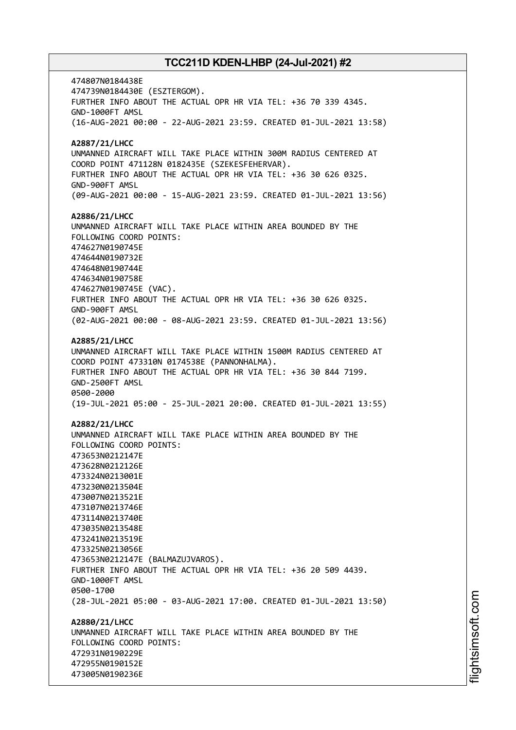474807N0184438E 474739N0184430E (ESZTERGOM). FURTHER INFO ABOUT THE ACTUAL OPR HR VIA TEL: +36 70 339 4345. GND-1000FT AMSL (16-AUG-2021 00:00 - 22-AUG-2021 23:59. CREATED 01-JUL-2021 13:58) **A2887/21/LHCC** UNMANNED AIRCRAFT WILL TAKE PLACE WITHIN 300M RADIUS CENTERED AT COORD POINT 471128N 0182435E (SZEKESFEHERVAR). FURTHER INFO ABOUT THE ACTUAL OPR HR VIA TEL: +36 30 626 0325. GND-900FT AMSL (09-AUG-2021 00:00 - 15-AUG-2021 23:59. CREATED 01-JUL-2021 13:56) **A2886/21/LHCC** UNMANNED AIRCRAFT WILL TAKE PLACE WITHIN AREA BOUNDED BY THE FOLLOWING COORD POINTS: 474627N0190745E 474644N0190732E 474648N0190744E 474634N0190758E 474627N0190745E (VAC). FURTHER INFO ABOUT THE ACTUAL OPR HR VIA TEL: +36 30 626 0325. GND-900FT AMSL (02-AUG-2021 00:00 - 08-AUG-2021 23:59. CREATED 01-JUL-2021 13:56) **A2885/21/LHCC** UNMANNED AIRCRAFT WILL TAKE PLACE WITHIN 1500M RADIUS CENTERED AT COORD POINT 473310N 0174538E (PANNONHALMA). FURTHER INFO ABOUT THE ACTUAL OPR HR VIA TEL: +36 30 844 7199. GND-2500FT AMSL 0500-2000 (19-JUL-2021 05:00 - 25-JUL-2021 20:00. CREATED 01-JUL-2021 13:55) **A2882/21/LHCC** UNMANNED AIRCRAFT WILL TAKE PLACE WITHIN AREA BOUNDED BY THE FOLLOWING COORD POINTS: 473653N0212147E 473628N0212126E 473324N0213001E 473230N0213504E 473007N0213521E 473107N0213746E 473114N0213740E 473035N0213548E 473241N0213519E 473325N0213056E 473653N0212147E (BALMAZUJVAROS). FURTHER INFO ABOUT THE ACTUAL OPR HR VIA TEL: +36 20 509 4439. GND-1000FT AMSL 0500-1700 (28-JUL-2021 05:00 - 03-AUG-2021 17:00. CREATED 01-JUL-2021 13:50) **A2880/21/LHCC** UNMANNED AIRCRAFT WILL TAKE PLACE WITHIN AREA BOUNDED BY THE FOLLOWING COORD POINTS: 472931N0190229E 472955N0190152E 473005N0190236E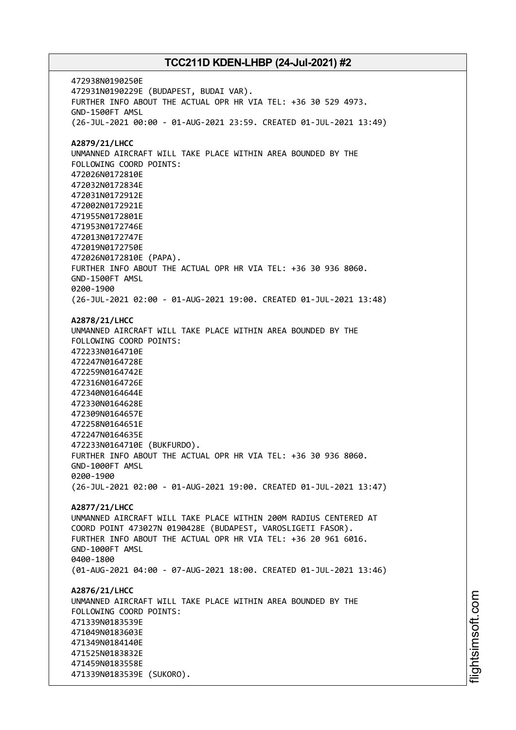472938N0190250E 472931N0190229E (BUDAPEST, BUDAI VAR). FURTHER INFO ABOUT THE ACTUAL OPR HR VIA TEL: +36 30 529 4973. GND-1500FT AMSL (26-JUL-2021 00:00 - 01-AUG-2021 23:59. CREATED 01-JUL-2021 13:49) **A2879/21/LHCC** UNMANNED AIRCRAFT WILL TAKE PLACE WITHIN AREA BOUNDED BY THE FOLLOWING COORD POINTS: 472026N0172810E 472032N0172834E 472031N0172912E 472002N0172921E 471955N0172801E 471953N0172746E 472013N0172747E 472019N0172750E 472026N0172810E (PAPA). FURTHER INFO ABOUT THE ACTUAL OPR HR VIA TEL: +36 30 936 8060. GND-1500FT AMSL 0200-1900 (26-JUL-2021 02:00 - 01-AUG-2021 19:00. CREATED 01-JUL-2021 13:48) **A2878/21/LHCC** UNMANNED AIRCRAFT WILL TAKE PLACE WITHIN AREA BOUNDED BY THE FOLLOWING COORD POINTS: 472233N0164710E 472247N0164728E 472259N0164742E 472316N0164726E 472340N0164644E 472330N0164628E 472309N0164657E 472258N0164651E 472247N0164635E 472233N0164710E (BUKFURDO). FURTHER INFO ABOUT THE ACTUAL OPR HR VIA TEL: +36 30 936 8060. GND-1000FT AMSL 0200-1900 (26-JUL-2021 02:00 - 01-AUG-2021 19:00. CREATED 01-JUL-2021 13:47) **A2877/21/LHCC** UNMANNED AIRCRAFT WILL TAKE PLACE WITHIN 200M RADIUS CENTERED AT COORD POINT 473027N 0190428E (BUDAPEST, VAROSLIGETI FASOR). FURTHER INFO ABOUT THE ACTUAL OPR HR VIA TEL: +36 20 961 6016. GND-1000FT AMSL 0400-1800 (01-AUG-2021 04:00 - 07-AUG-2021 18:00. CREATED 01-JUL-2021 13:46) **A2876/21/LHCC** UNMANNED AIRCRAFT WILL TAKE PLACE WITHIN AREA BOUNDED BY THE FOLLOWING COORD POINTS: 471339N0183539E 471049N0183603E 471349N0184140E 471525N0183832E 471459N0183558E 471339N0183539E (SUKORO).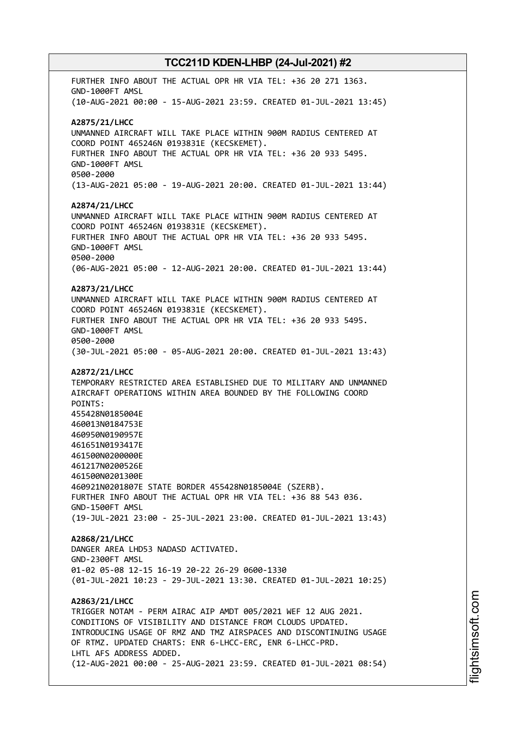FURTHER INFO ABOUT THE ACTUAL OPR HR VIA TEL: +36 20 271 1363. GND-1000FT AMSL (10-AUG-2021 00:00 - 15-AUG-2021 23:59. CREATED 01-JUL-2021 13:45) **A2875/21/LHCC** UNMANNED AIRCRAFT WILL TAKE PLACE WITHIN 900M RADIUS CENTERED AT COORD POINT 465246N 0193831E (KECSKEMET). FURTHER INFO ABOUT THE ACTUAL OPR HR VIA TEL: +36 20 933 5495. GND-1000FT AMSL 0500-2000 (13-AUG-2021 05:00 - 19-AUG-2021 20:00. CREATED 01-JUL-2021 13:44) **A2874/21/LHCC** UNMANNED AIRCRAFT WILL TAKE PLACE WITHIN 900M RADIUS CENTERED AT COORD POINT 465246N 0193831E (KECSKEMET). FURTHER INFO ABOUT THE ACTUAL OPR HR VIA TEL: +36 20 933 5495. GND-1000FT AMSL 0500-2000 (06-AUG-2021 05:00 - 12-AUG-2021 20:00. CREATED 01-JUL-2021 13:44) **A2873/21/LHCC** UNMANNED AIRCRAFT WILL TAKE PLACE WITHIN 900M RADIUS CENTERED AT COORD POINT 465246N 0193831E (KECSKEMET). FURTHER INFO ABOUT THE ACTUAL OPR HR VIA TEL: +36 20 933 5495. GND-1000FT AMSL 0500-2000 (30-JUL-2021 05:00 - 05-AUG-2021 20:00. CREATED 01-JUL-2021 13:43) **A2872/21/LHCC** TEMPORARY RESTRICTED AREA ESTABLISHED DUE TO MILITARY AND UNMANNED AIRCRAFT OPERATIONS WITHIN AREA BOUNDED BY THE FOLLOWING COORD POINTS: 455428N0185004E 460013N0184753E 460950N0190957E 461651N0193417E 461500N0200000E 461217N0200526E 461500N0201300E 460921N0201807E STATE BORDER 455428N0185004E (SZERB). FURTHER INFO ABOUT THE ACTUAL OPR HR VIA TEL: +36 88 543 036. GND-1500FT AMSL (19-JUL-2021 23:00 - 25-JUL-2021 23:00. CREATED 01-JUL-2021 13:43) **A2868/21/LHCC** DANGER AREA LHD53 NADASD ACTIVATED. GND-2300FT AMSL 01-02 05-08 12-15 16-19 20-22 26-29 0600-1330 (01-JUL-2021 10:23 - 29-JUL-2021 13:30. CREATED 01-JUL-2021 10:25) **A2863/21/LHCC** TRIGGER NOTAM - PERM AIRAC AIP AMDT 005/2021 WEF 12 AUG 2021. CONDITIONS OF VISIBILITY AND DISTANCE FROM CLOUDS UPDATED. INTRODUCING USAGE OF RMZ AND TMZ AIRSPACES AND DISCONTINUING USAGE OF RTMZ. UPDATED CHARTS: ENR 6-LHCC-ERC, ENR 6-LHCC-PRD. LHTL AFS ADDRESS ADDED. (12-AUG-2021 00:00 - 25-AUG-2021 23:59. CREATED 01-JUL-2021 08:54)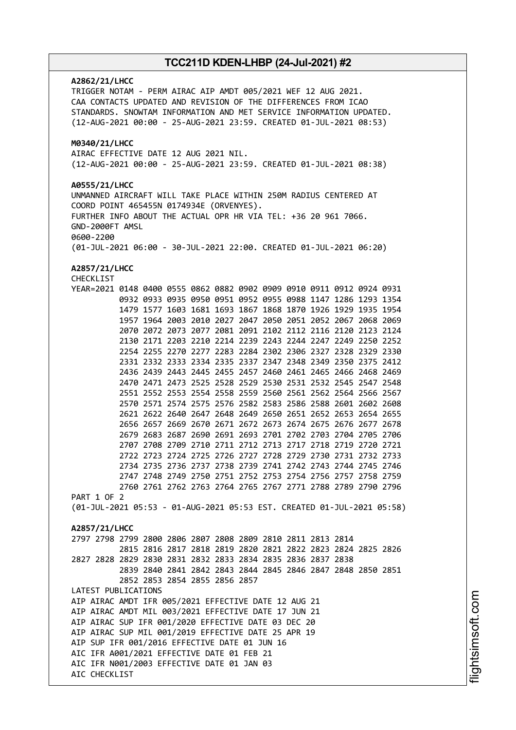## **A2862/21/LHCC** TRIGGER NOTAM - PERM AIRAC AIP AMDT 005/2021 WEF 12 AUG 2021. CAA CONTACTS UPDATED AND REVISION OF THE DIFFERENCES FROM ICAO STANDARDS. SNOWTAM INFORMATION AND MET SERVICE INFORMATION UPDATED. (12-AUG-2021 00:00 - 25-AUG-2021 23:59. CREATED 01-JUL-2021 08:53) **M0340/21/LHCC** AIRAC EFFECTIVE DATE 12 AUG 2021 NIL. (12-AUG-2021 00:00 - 25-AUG-2021 23:59. CREATED 01-JUL-2021 08:38) **A0555/21/LHCC** UNMANNED AIRCRAFT WILL TAKE PLACE WITHIN 250M RADIUS CENTERED AT COORD POINT 465455N 0174934E (ORVENYES). FURTHER INFO ABOUT THE ACTUAL OPR HR VIA TEL: +36 20 961 7066. GND-2000FT AMSL 0600-2200 (01-JUL-2021 06:00 - 30-JUL-2021 22:00. CREATED 01-JUL-2021 06:20) **A2857/21/LHCC** CHECKLIST YEAR=2021 0148 0400 0555 0862 0882 0902 0909 0910 0911 0912 0924 0931 0932 0933 0935 0950 0951 0952 0955 0988 1147 1286 1293 1354 1479 1577 1603 1681 1693 1867 1868 1870 1926 1929 1935 1954 1957 1964 2003 2010 2027 2047 2050 2051 2052 2067 2068 2069 2070 2072 2073 2077 2081 2091 2102 2112 2116 2120 2123 2124 2130 2171 2203 2210 2214 2239 2243 2244 2247 2249 2250 2252 2254 2255 2270 2277 2283 2284 2302 2306 2327 2328 2329 2330 2331 2332 2333 2334 2335 2337 2347 2348 2349 2350 2375 2412 2436 2439 2443 2445 2455 2457 2460 2461 2465 2466 2468 2469 2470 2471 2473 2525 2528 2529 2530 2531 2532 2545 2547 2548 2551 2552 2553 2554 2558 2559 2560 2561 2562 2564 2566 2567 2570 2571 2574 2575 2576 2582 2583 2586 2588 2601 2602 2608 2621 2622 2640 2647 2648 2649 2650 2651 2652 2653 2654 2655 2656 2657 2669 2670 2671 2672 2673 2674 2675 2676 2677 2678 2679 2683 2687 2690 2691 2693 2701 2702 2703 2704 2705 2706 2707 2708 2709 2710 2711 2712 2713 2717 2718 2719 2720 2721 2722 2723 2724 2725 2726 2727 2728 2729 2730 2731 2732 2733 2734 2735 2736 2737 2738 2739 2741 2742 2743 2744 2745 2746 2747 2748 2749 2750 2751 2752 2753 2754 2756 2757 2758 2759 2760 2761 2762 2763 2764 2765 2767 2771 2788 2789 2790 2796 PART 1 OF 2 (01-JUL-2021 05:53 - 01-AUG-2021 05:53 EST. CREATED 01-JUL-2021 05:58) **A2857/21/LHCC** 2797 2798 2799 2800 2806 2807 2808 2809 2810 2811 2813 2814 2815 2816 2817 2818 2819 2820 2821 2822 2823 2824 2825 2826 2827 2828 2829 2830 2831 2832 2833 2834 2835 2836 2837 2838 2839 2840 2841 2842 2843 2844 2845 2846 2847 2848 2850 2851 2852 2853 2854 2855 2856 2857 LATEST PUBLICATIONS AIP AIRAC AMDT IFR 005/2021 EFFECTIVE DATE 12 AUG 21 AIP AIRAC AMDT MIL 003/2021 EFFECTIVE DATE 17 JUN 21 AIP AIRAC SUP IFR 001/2020 EFFECTIVE DATE 03 DEC 20 AIP AIRAC SUP MIL 001/2019 EFFECTIVE DATE 25 APR 19 AIP SUP IFR 001/2016 EFFECTIVE DATE 01 JUN 16 AIC IFR A001/2021 EFFECTIVE DATE 01 FEB 21 AIC IFR N001/2003 EFFECTIVE DATE 01 JAN 03 AIC CHECKLIST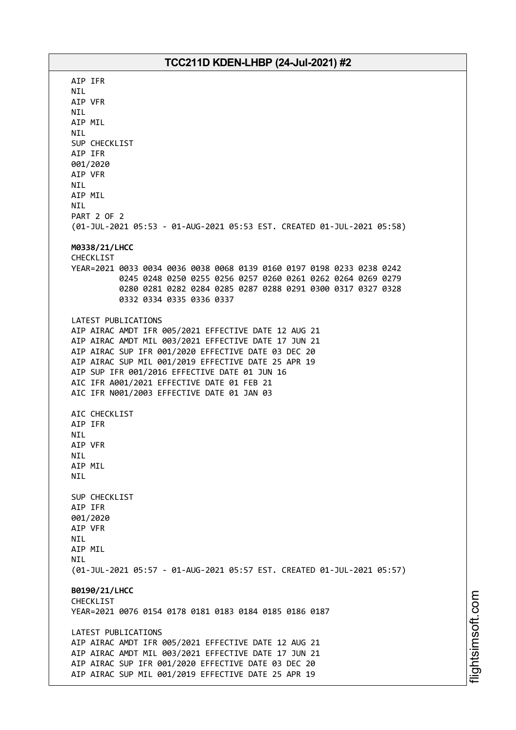AIP IFR NIL AIP VFR NIL AIP MIL NIL SUP CHECKLIST AIP IFR 001/2020 AIP VFR NIL AIP MIL NIL PART 2 OF 2 (01-JUL-2021 05:53 - 01-AUG-2021 05:53 EST. CREATED 01-JUL-2021 05:58) **M0338/21/LHCC** CHECKLIST YEAR=2021 0033 0034 0036 0038 0068 0139 0160 0197 0198 0233 0238 0242 0245 0248 0250 0255 0256 0257 0260 0261 0262 0264 0269 0279 0280 0281 0282 0284 0285 0287 0288 0291 0300 0317 0327 0328 0332 0334 0335 0336 0337 LATEST PUBLICATIONS AIP AIRAC AMDT IFR 005/2021 EFFECTIVE DATE 12 AUG 21 AIP AIRAC AMDT MIL 003/2021 EFFECTIVE DATE 17 JUN 21 AIP AIRAC SUP IFR 001/2020 EFFECTIVE DATE 03 DEC 20 AIP AIRAC SUP MIL 001/2019 EFFECTIVE DATE 25 APR 19 AIP SUP IFR 001/2016 EFFECTIVE DATE 01 JUN 16 AIC IFR A001/2021 EFFECTIVE DATE 01 FEB 21 AIC IFR N001/2003 EFFECTIVE DATE 01 JAN 03 AIC CHECKLIST AIP IFR NIL AIP VFR NIL AIP MIL NIL SUP CHECKLIST AIP IFR 001/2020 AIP VFR NIL AIP MIL **NTI** (01-JUL-2021 05:57 - 01-AUG-2021 05:57 EST. CREATED 01-JUL-2021 05:57) **B0190/21/LHCC** CHECKLIST YEAR=2021 0076 0154 0178 0181 0183 0184 0185 0186 0187 LATEST PUBLICATIONS AIP AIRAC AMDT IFR 005/2021 EFFECTIVE DATE 12 AUG 21 AIP AIRAC AMDT MIL 003/2021 EFFECTIVE DATE 17 JUN 21 AIP AIRAC SUP IFR 001/2020 EFFECTIVE DATE 03 DEC 20 AIP AIRAC SUP MIL 001/2019 EFFECTIVE DATE 25 APR 19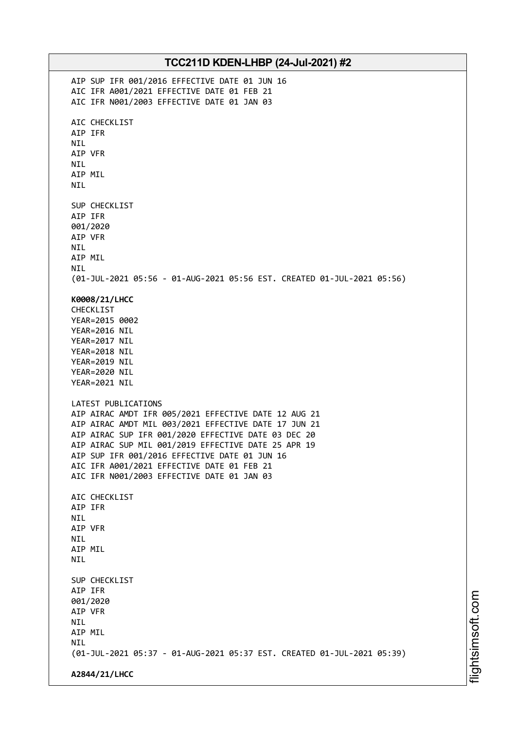| TCC211D KDEN-LHBP (24-Jul-2021) #2 |                                                                                                              |
|------------------------------------|--------------------------------------------------------------------------------------------------------------|
|                                    | AIP SUP IFR 001/2016 EFFECTIVE DATE 01 JUN 16                                                                |
|                                    | AIC IFR A001/2021 EFFECTIVE DATE 01 FEB 21<br>AIC IFR N001/2003 EFFECTIVE DATE 01 JAN 03                     |
|                                    |                                                                                                              |
|                                    | AIC CHECKLIST                                                                                                |
|                                    | AIP IFR<br><b>NIL</b>                                                                                        |
|                                    | AIP VFR                                                                                                      |
|                                    | <b>NIL</b>                                                                                                   |
|                                    | AIP MIL<br><b>NIL</b>                                                                                        |
|                                    |                                                                                                              |
|                                    | SUP CHECKLIST                                                                                                |
|                                    | AIP IFR<br>001/2020                                                                                          |
|                                    | AIP VFR                                                                                                      |
|                                    | <b>NIL</b>                                                                                                   |
|                                    | AIP MIL<br><b>NIL</b>                                                                                        |
|                                    | (01-JUL-2021 05:56 - 01-AUG-2021 05:56 EST. CREATED 01-JUL-2021 05:56)                                       |
|                                    |                                                                                                              |
|                                    | K0008/21/LHCC<br>CHECKLIST                                                                                   |
|                                    | YEAR=2015 0002                                                                                               |
|                                    | YEAR=2016 NIL                                                                                                |
|                                    | YEAR=2017 NIL<br>YEAR=2018 NIL                                                                               |
|                                    | YEAR=2019 NIL                                                                                                |
|                                    | YEAR=2020 NIL                                                                                                |
|                                    | YEAR=2021 NIL                                                                                                |
|                                    | LATEST PUBLICATIONS                                                                                          |
|                                    | AIP AIRAC AMDT IFR 005/2021 EFFECTIVE DATE 12 AUG 21<br>AIP AIRAC AMDT MIL 003/2021 EFFECTIVE DATE 17 JUN 21 |
|                                    | AIP AIRAC SUP IFR 001/2020 EFFECTIVE DATE 03 DEC 20                                                          |
|                                    | AIP AIRAC SUP MIL 001/2019 EFFECTIVE DATE 25 APR 19                                                          |
|                                    | AIP SUP IFR 001/2016 EFFECTIVE DATE 01 JUN 16<br>AIC IFR A001/2021 EFFECTIVE DATE 01 FEB 21                  |
|                                    | AIC IFR N001/2003 EFFECTIVE DATE 01 JAN 03                                                                   |
|                                    |                                                                                                              |
|                                    | AIC CHECKLIST<br>AIP IFR                                                                                     |
|                                    | <b>NIL</b>                                                                                                   |
|                                    | AIP VFR                                                                                                      |
|                                    | <b>NIL</b><br>AIP MIL                                                                                        |
|                                    | <b>NIL</b>                                                                                                   |
|                                    | SUP CHECKLIST                                                                                                |
|                                    | AIP IFR                                                                                                      |
|                                    | 001/2020                                                                                                     |
|                                    | AIP VFR<br>NIL.                                                                                              |
|                                    | AIP MIL                                                                                                      |
|                                    | <b>NIL</b>                                                                                                   |
|                                    | (01-JUL-2021 05:37 - 01-AUG-2021 05:37 EST. CREATED 01-JUL-2021 05:39)                                       |
|                                    | A2844/21/LHCC                                                                                                |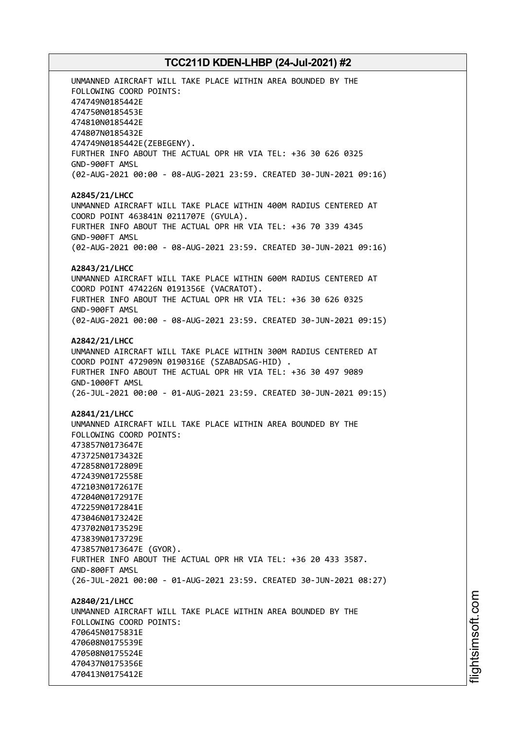UNMANNED AIRCRAFT WILL TAKE PLACE WITHIN AREA BOUNDED BY THE FOLLOWING COORD POINTS: 474749N0185442E 474750N0185453E 474810N0185442E 474807N0185432E 474749N0185442E(ZEBEGENY). FURTHER INFO ABOUT THE ACTUAL OPR HR VIA TEL: +36 30 626 0325 GND-900FT AMSL (02-AUG-2021 00:00 - 08-AUG-2021 23:59. CREATED 30-JUN-2021 09:16) **A2845/21/LHCC** UNMANNED AIRCRAFT WILL TAKE PLACE WITHIN 400M RADIUS CENTERED AT COORD POINT 463841N 0211707E (GYULA). FURTHER INFO ABOUT THE ACTUAL OPR HR VIA TEL: +36 70 339 4345 GND-900FT AMSL (02-AUG-2021 00:00 - 08-AUG-2021 23:59. CREATED 30-JUN-2021 09:16) **A2843/21/LHCC** UNMANNED AIRCRAFT WILL TAKE PLACE WITHIN 600M RADIUS CENTERED AT COORD POINT 474226N 0191356E (VACRATOT). FURTHER INFO ABOUT THE ACTUAL OPR HR VIA TEL: +36 30 626 0325 GND-900FT AMSL (02-AUG-2021 00:00 - 08-AUG-2021 23:59. CREATED 30-JUN-2021 09:15) **A2842/21/LHCC** UNMANNED AIRCRAFT WILL TAKE PLACE WITHIN 300M RADIUS CENTERED AT COORD POINT 472909N 0190316E (SZABADSAG-HID) . FURTHER INFO ABOUT THE ACTUAL OPR HR VIA TEL: +36 30 497 9089 GND-1000FT AMSL (26-JUL-2021 00:00 - 01-AUG-2021 23:59. CREATED 30-JUN-2021 09:15) **A2841/21/LHCC** UNMANNED AIRCRAFT WILL TAKE PLACE WITHIN AREA BOUNDED BY THE FOLLOWING COORD POINTS: 473857N0173647E 473725N0173432E 472858N0172809E 472439N0172558E 472103N0172617E 472040N0172917E 472259N0172841E 473046N0173242E 473702N0173529E 473839N0173729E 473857N0173647E (GYOR). FURTHER INFO ABOUT THE ACTUAL OPR HR VIA TEL: +36 20 433 3587. GND-800FT AMSL (26-JUL-2021 00:00 - 01-AUG-2021 23:59. CREATED 30-JUN-2021 08:27) **A2840/21/LHCC** UNMANNED AIRCRAFT WILL TAKE PLACE WITHIN AREA BOUNDED BY THE FOLLOWING COORD POINTS: 470645N0175831E 470608N0175539E 470508N0175524E 470437N0175356E

470413N0175412E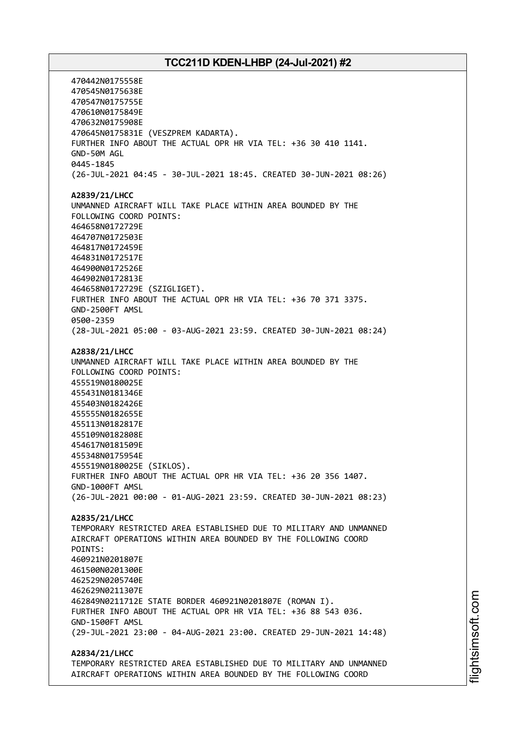470442N0175558E 470545N0175638E 470547N0175755E 470610N0175849E 470632N0175908E 470645N0175831E (VESZPREM KADARTA). FURTHER INFO ABOUT THE ACTUAL OPR HR VIA TEL: +36 30 410 1141. GND-50M AGL 0445-1845 (26-JUL-2021 04:45 - 30-JUL-2021 18:45. CREATED 30-JUN-2021 08:26) **A2839/21/LHCC** UNMANNED AIRCRAFT WILL TAKE PLACE WITHIN AREA BOUNDED BY THE FOLLOWING COORD POINTS: 464658N0172729E 464707N0172503E 464817N0172459E 464831N0172517E 464900N0172526E 464902N0172813E 464658N0172729E (SZIGLIGET). FURTHER INFO ABOUT THE ACTUAL OPR HR VIA TEL: +36 70 371 3375. GND-2500FT AMSL 0500-2359 (28-JUL-2021 05:00 - 03-AUG-2021 23:59. CREATED 30-JUN-2021 08:24) **A2838/21/LHCC** UNMANNED AIRCRAFT WILL TAKE PLACE WITHIN AREA BOUNDED BY THE FOLLOWING COORD POINTS: 455519N0180025E 455431N0181346E 455403N0182426E 455555N0182655E 455113N0182817E 455109N0182808E 454617N0181509E 455348N0175954E 455519N0180025E (SIKLOS). FURTHER INFO ABOUT THE ACTUAL OPR HR VIA TEL: +36 20 356 1407. GND-1000FT AMSL (26-JUL-2021 00:00 - 01-AUG-2021 23:59. CREATED 30-JUN-2021 08:23) **A2835/21/LHCC** TEMPORARY RESTRICTED AREA ESTABLISHED DUE TO MILITARY AND UNMANNED AIRCRAFT OPERATIONS WITHIN AREA BOUNDED BY THE FOLLOWING COORD POINTS: 460921N0201807E 461500N0201300E 462529N0205740E 462629N0211307E 462849N0211712E STATE BORDER 460921N0201807E (ROMAN I). FURTHER INFO ABOUT THE ACTUAL OPR HR VIA TEL: +36 88 543 036. GND-1500FT AMSL (29-JUL-2021 23:00 - 04-AUG-2021 23:00. CREATED 29-JUN-2021 14:48) **A2834/21/LHCC**

TEMPORARY RESTRICTED AREA ESTABLISHED DUE TO MILITARY AND UNMANNED AIRCRAFT OPERATIONS WITHIN AREA BOUNDED BY THE FOLLOWING COORD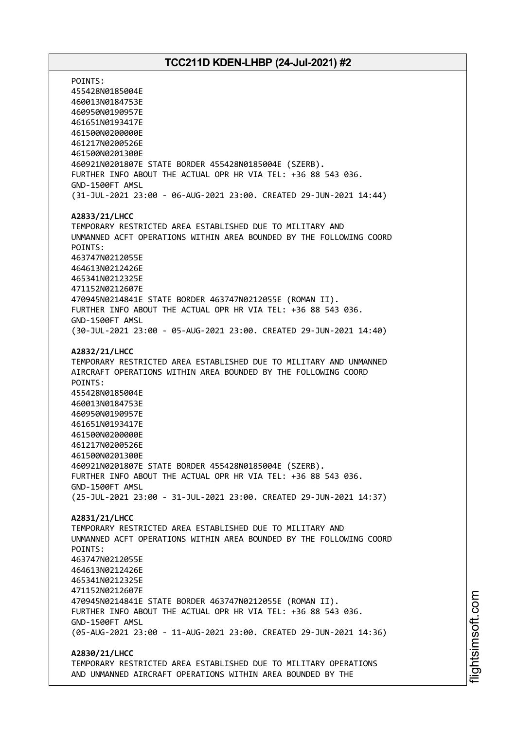POINTS: 455428N0185004E 460013N0184753E 460950N0190957E 461651N0193417E 461500N0200000E 461217N0200526E 461500N0201300E 460921N0201807E STATE BORDER 455428N0185004E (SZERB). FURTHER INFO ABOUT THE ACTUAL OPR HR VIA TEL: +36 88 543 036. GND-1500FT AMSL (31-JUL-2021 23:00 - 06-AUG-2021 23:00. CREATED 29-JUN-2021 14:44) **A2833/21/LHCC** TEMPORARY RESTRICTED AREA ESTABLISHED DUE TO MILITARY AND UNMANNED ACFT OPERATIONS WITHIN AREA BOUNDED BY THE FOLLOWING COORD POINTS: 463747N0212055E 464613N0212426E 465341N0212325E 471152N0212607E 470945N0214841E STATE BORDER 463747N0212055E (ROMAN II). FURTHER INFO ABOUT THE ACTUAL OPR HR VIA TEL: +36 88 543 036. GND-1500FT AMSL (30-JUL-2021 23:00 - 05-AUG-2021 23:00. CREATED 29-JUN-2021 14:40) **A2832/21/LHCC** TEMPORARY RESTRICTED AREA ESTABLISHED DUE TO MILITARY AND UNMANNED AIRCRAFT OPERATIONS WITHIN AREA BOUNDED BY THE FOLLOWING COORD POINTS: 455428N0185004E 460013N0184753E 460950N0190957E 461651N0193417E 461500N0200000E 461217N0200526E 461500N0201300E 460921N0201807E STATE BORDER 455428N0185004E (SZERB). FURTHER INFO ABOUT THE ACTUAL OPR HR VIA TEL: +36 88 543 036. GND-1500FT AMSL (25-JUL-2021 23:00 - 31-JUL-2021 23:00. CREATED 29-JUN-2021 14:37) **A2831/21/LHCC** TEMPORARY RESTRICTED AREA ESTABLISHED DUE TO MILITARY AND UNMANNED ACFT OPERATIONS WITHIN AREA BOUNDED BY THE FOLLOWING COORD POINTS: 463747N0212055E 464613N0212426E 465341N0212325E 471152N0212607E 470945N0214841E STATE BORDER 463747N0212055E (ROMAN II). FURTHER INFO ABOUT THE ACTUAL OPR HR VIA TEL: +36 88 543 036. GND-1500FT AMSL (05-AUG-2021 23:00 - 11-AUG-2021 23:00. CREATED 29-JUN-2021 14:36) **A2830/21/LHCC** TEMPORARY RESTRICTED AREA ESTABLISHED DUE TO MILITARY OPERATIONS

AND UNMANNED AIRCRAFT OPERATIONS WITHIN AREA BOUNDED BY THE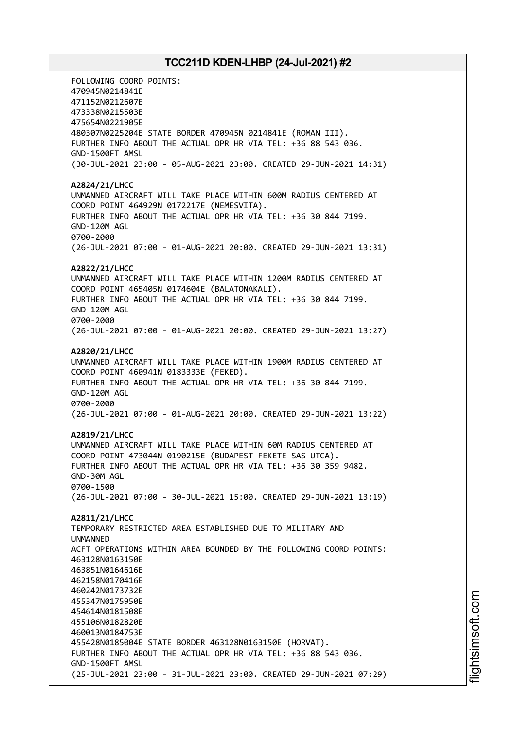FOLLOWING COORD POINTS: 470945N0214841E 471152N0212607E 473338N0215503E 475654N0221905E 480307N0225204E STATE BORDER 470945N 0214841E (ROMAN III). FURTHER INFO ABOUT THE ACTUAL OPR HR VIA TEL: +36 88 543 036. GND-1500FT AMSL (30-JUL-2021 23:00 - 05-AUG-2021 23:00. CREATED 29-JUN-2021 14:31) **A2824/21/LHCC** UNMANNED AIRCRAFT WILL TAKE PLACE WITHIN 600M RADIUS CENTERED AT COORD POINT 464929N 0172217E (NEMESVITA). FURTHER INFO ABOUT THE ACTUAL OPR HR VIA TEL: +36 30 844 7199. GND-120M AGL 0700-2000 (26-JUL-2021 07:00 - 01-AUG-2021 20:00. CREATED 29-JUN-2021 13:31) **A2822/21/LHCC** UNMANNED AIRCRAFT WILL TAKE PLACE WITHIN 1200M RADIUS CENTERED AT COORD POINT 465405N 0174604E (BALATONAKALI). FURTHER INFO ABOUT THE ACTUAL OPR HR VIA TEL: +36 30 844 7199. GND-120M AGL 0700-2000 (26-JUL-2021 07:00 - 01-AUG-2021 20:00. CREATED 29-JUN-2021 13:27) **A2820/21/LHCC** UNMANNED AIRCRAFT WILL TAKE PLACE WITHIN 1900M RADIUS CENTERED AT COORD POINT 460941N 0183333E (FEKED). FURTHER INFO ABOUT THE ACTUAL OPR HR VIA TEL: +36 30 844 7199. GND-120M AGL 0700-2000 (26-JUL-2021 07:00 - 01-AUG-2021 20:00. CREATED 29-JUN-2021 13:22) **A2819/21/LHCC** UNMANNED AIRCRAFT WILL TAKE PLACE WITHIN 60M RADIUS CENTERED AT COORD POINT 473044N 0190215E (BUDAPEST FEKETE SAS UTCA). FURTHER INFO ABOUT THE ACTUAL OPR HR VIA TEL: +36 30 359 9482. GND-30M AGL 0700-1500 (26-JUL-2021 07:00 - 30-JUL-2021 15:00. CREATED 29-JUN-2021 13:19) **A2811/21/LHCC** TEMPORARY RESTRICTED AREA ESTABLISHED DUE TO MILITARY AND UNMANNED ACFT OPERATIONS WITHIN AREA BOUNDED BY THE FOLLOWING COORD POINTS: 463128N0163150E 463851N0164616E 462158N0170416E 460242N0173732E 455347N0175950E 454614N0181508E 455106N0182820E 460013N0184753E 455428N0185004E STATE BORDER 463128N0163150E (HORVAT). FURTHER INFO ABOUT THE ACTUAL OPR HR VIA TEL: +36 88 543 036. GND-1500FT AMSL (25-JUL-2021 23:00 - 31-JUL-2021 23:00. CREATED 29-JUN-2021 07:29)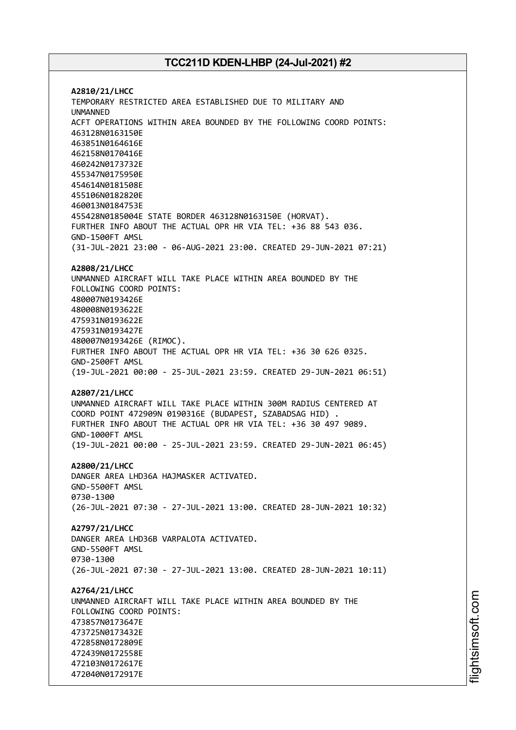**A2810/21/LHCC** TEMPORARY RESTRICTED AREA ESTABLISHED DUE TO MILITARY AND UNMANNED ACFT OPERATIONS WITHIN AREA BOUNDED BY THE FOLLOWING COORD POINTS: 463128N0163150E 463851N0164616E 462158N0170416E 460242N0173732E 455347N0175950E 454614N0181508E 455106N0182820E 460013N0184753E 455428N0185004E STATE BORDER 463128N0163150E (HORVAT). FURTHER INFO ABOUT THE ACTUAL OPR HR VIA TEL: +36 88 543 036. GND-1500FT AMSL (31-JUL-2021 23:00 - 06-AUG-2021 23:00. CREATED 29-JUN-2021 07:21) **A2808/21/LHCC** UNMANNED AIRCRAFT WILL TAKE PLACE WITHIN AREA BOUNDED BY THE FOLLOWING COORD POINTS: 480007N0193426E 480008N0193622E 475931N0193622E 475931N0193427E 480007N0193426E (RIMOC). FURTHER INFO ABOUT THE ACTUAL OPR HR VIA TEL: +36 30 626 0325. GND-2500FT AMSL (19-JUL-2021 00:00 - 25-JUL-2021 23:59. CREATED 29-JUN-2021 06:51) **A2807/21/LHCC** UNMANNED AIRCRAFT WILL TAKE PLACE WITHIN 300M RADIUS CENTERED AT COORD POINT 472909N 0190316E (BUDAPEST, SZABADSAG HID) . FURTHER INFO ABOUT THE ACTUAL OPR HR VIA TEL: +36 30 497 9089. GND-1000FT AMSL (19-JUL-2021 00:00 - 25-JUL-2021 23:59. CREATED 29-JUN-2021 06:45) **A2800/21/LHCC** DANGER AREA LHD36A HAJMASKER ACTIVATED. GND-5500FT AMSL 0730-1300 (26-JUL-2021 07:30 - 27-JUL-2021 13:00. CREATED 28-JUN-2021 10:32) **A2797/21/LHCC** DANGER AREA LHD36B VARPALOTA ACTIVATED. GND-5500FT AMSL 0730-1300 (26-JUL-2021 07:30 - 27-JUL-2021 13:00. CREATED 28-JUN-2021 10:11) **A2764/21/LHCC** UNMANNED AIRCRAFT WILL TAKE PLACE WITHIN AREA BOUNDED BY THE FOLLOWING COORD POINTS: 473857N0173647E 473725N0173432E 472858N0172809E 472439N0172558E 472103N0172617E 472040N0172917E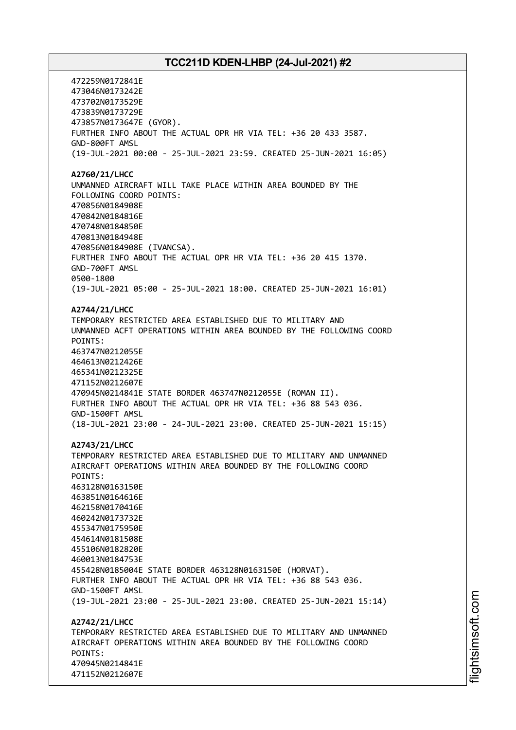472259N0172841E 473046N0173242E 473702N0173529E 473839N0173729E 473857N0173647E (GYOR). FURTHER INFO ABOUT THE ACTUAL OPR HR VIA TEL: +36 20 433 3587. GND-800FT AMSL (19-JUL-2021 00:00 - 25-JUL-2021 23:59. CREATED 25-JUN-2021 16:05) **A2760/21/LHCC** UNMANNED AIRCRAFT WILL TAKE PLACE WITHIN AREA BOUNDED BY THE FOLLOWING COORD POINTS: 470856N0184908E 470842N0184816E 470748N0184850E 470813N0184948E 470856N0184908E (IVANCSA). FURTHER INFO ABOUT THE ACTUAL OPR HR VIA TEL: +36 20 415 1370. GND-700FT AMSL 0500-1800 (19-JUL-2021 05:00 - 25-JUL-2021 18:00. CREATED 25-JUN-2021 16:01) **A2744/21/LHCC** TEMPORARY RESTRICTED AREA ESTABLISHED DUE TO MILITARY AND UNMANNED ACFT OPERATIONS WITHIN AREA BOUNDED BY THE FOLLOWING COORD POINTS: 463747N0212055E 464613N0212426E 465341N0212325E 471152N0212607E 470945N0214841E STATE BORDER 463747N0212055E (ROMAN II). FURTHER INFO ABOUT THE ACTUAL OPR HR VIA TEL: +36 88 543 036. GND-1500FT AMSL (18-JUL-2021 23:00 - 24-JUL-2021 23:00. CREATED 25-JUN-2021 15:15) **A2743/21/LHCC** TEMPORARY RESTRICTED AREA ESTABLISHED DUE TO MILITARY AND UNMANNED AIRCRAFT OPERATIONS WITHIN AREA BOUNDED BY THE FOLLOWING COORD POINTS: 463128N0163150E 463851N0164616E 462158N0170416E 460242N0173732E 455347N0175950E 454614N0181508E 455106N0182820E 460013N0184753E 455428N0185004E STATE BORDER 463128N0163150E (HORVAT). FURTHER INFO ABOUT THE ACTUAL OPR HR VIA TEL: +36 88 543 036. GND-1500FT AMSL (19-JUL-2021 23:00 - 25-JUL-2021 23:00. CREATED 25-JUN-2021 15:14) **A2742/21/LHCC** TEMPORARY RESTRICTED AREA ESTABLISHED DUE TO MILITARY AND UNMANNED AIRCRAFT OPERATIONS WITHIN AREA BOUNDED BY THE FOLLOWING COORD POINTS: 470945N0214841E 471152N0212607E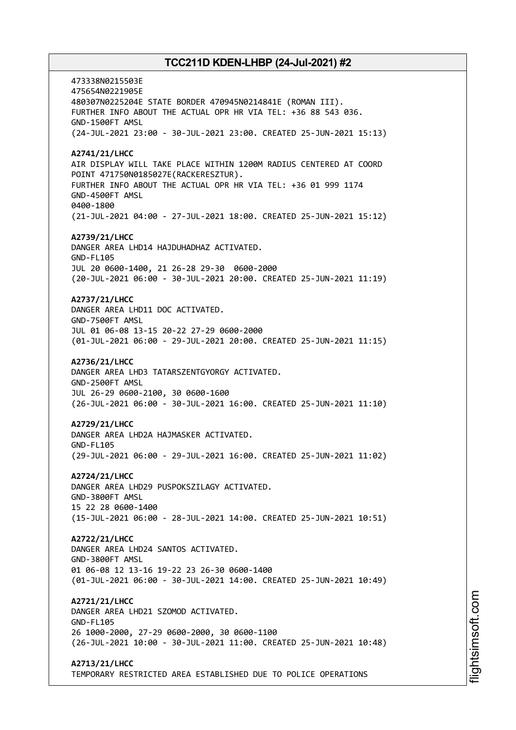473338N0215503E 475654N0221905E 480307N0225204E STATE BORDER 470945N0214841E (ROMAN III). FURTHER INFO ABOUT THE ACTUAL OPR HR VIA TEL: +36 88 543 036. GND-1500FT AMSL (24-JUL-2021 23:00 - 30-JUL-2021 23:00. CREATED 25-JUN-2021 15:13) **A2741/21/LHCC** AIR DISPLAY WILL TAKE PLACE WITHIN 1200M RADIUS CENTERED AT COORD POINT 471750N0185027E(RACKERESZTUR). FURTHER INFO ABOUT THE ACTUAL OPR HR VIA TEL: +36 01 999 1174 GND-4500FT AMSL 0400-1800 (21-JUL-2021 04:00 - 27-JUL-2021 18:00. CREATED 25-JUN-2021 15:12) **A2739/21/LHCC** DANGER AREA LHD14 HAJDUHADHAZ ACTIVATED. GND-FL105 JUL 20 0600-1400, 21 26-28 29-30 0600-2000 (20-JUL-2021 06:00 - 30-JUL-2021 20:00. CREATED 25-JUN-2021 11:19) **A2737/21/LHCC** DANGER AREA LHD11 DOC ACTIVATED. GND-7500FT AMSL JUL 01 06-08 13-15 20-22 27-29 0600-2000 (01-JUL-2021 06:00 - 29-JUL-2021 20:00. CREATED 25-JUN-2021 11:15) **A2736/21/LHCC** DANGER AREA LHD3 TATARSZENTGYORGY ACTIVATED. GND-2500FT AMSL JUL 26-29 0600-2100, 30 0600-1600 (26-JUL-2021 06:00 - 30-JUL-2021 16:00. CREATED 25-JUN-2021 11:10) **A2729/21/LHCC** DANGER AREA LHD2A HAJMASKER ACTIVATED. GND-FL105 (29-JUL-2021 06:00 - 29-JUL-2021 16:00. CREATED 25-JUN-2021 11:02) **A2724/21/LHCC** DANGER AREA LHD29 PUSPOKSZILAGY ACTIVATED. GND-3800FT AMSL 15 22 28 0600-1400 (15-JUL-2021 06:00 - 28-JUL-2021 14:00. CREATED 25-JUN-2021 10:51) **A2722/21/LHCC** DANGER AREA LHD24 SANTOS ACTIVATED. GND-3800FT AMSL 01 06-08 12 13-16 19-22 23 26-30 0600-1400 (01-JUL-2021 06:00 - 30-JUL-2021 14:00. CREATED 25-JUN-2021 10:49) **A2721/21/LHCC** DANGER AREA LHD21 SZOMOD ACTIVATED. GND-FL105 26 1000-2000, 27-29 0600-2000, 30 0600-1100 (26-JUL-2021 10:00 - 30-JUL-2021 11:00. CREATED 25-JUN-2021 10:48) **A2713/21/LHCC**

TEMPORARY RESTRICTED AREA ESTABLISHED DUE TO POLICE OPERATIONS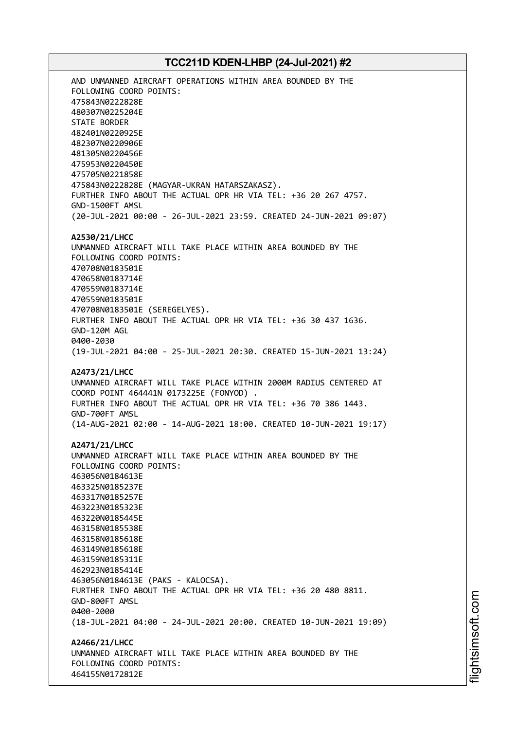AND UNMANNED AIRCRAFT OPERATIONS WITHIN AREA BOUNDED BY THE FOLLOWING COORD POINTS: 475843N0222828E 480307N0225204E STATE BORDER 482401N0220925E 482307N0220906E 481305N0220456E 475953N0220450E 475705N0221858E 475843N0222828E (MAGYAR-UKRAN HATARSZAKASZ). FURTHER INFO ABOUT THE ACTUAL OPR HR VIA TEL: +36 20 267 4757. GND-1500FT AMSL (20-JUL-2021 00:00 - 26-JUL-2021 23:59. CREATED 24-JUN-2021 09:07) **A2530/21/LHCC** UNMANNED AIRCRAFT WILL TAKE PLACE WITHIN AREA BOUNDED BY THE FOLLOWING COORD POINTS: 470708N0183501E 470658N0183714E 470559N0183714E 470559N0183501E 470708N0183501E (SEREGELYES). FURTHER INFO ABOUT THE ACTUAL OPR HR VIA TEL: +36 30 437 1636. GND-120M AGL 0400-2030 (19-JUL-2021 04:00 - 25-JUL-2021 20:30. CREATED 15-JUN-2021 13:24) **A2473/21/LHCC** UNMANNED AIRCRAFT WILL TAKE PLACE WITHIN 2000M RADIUS CENTERED AT COORD POINT 464441N 0173225E (FONYOD) . FURTHER INFO ABOUT THE ACTUAL OPR HR VIA TEL: +36 70 386 1443. GND-700FT AMSL (14-AUG-2021 02:00 - 14-AUG-2021 18:00. CREATED 10-JUN-2021 19:17) **A2471/21/LHCC** UNMANNED AIRCRAFT WILL TAKE PLACE WITHIN AREA BOUNDED BY THE FOLLOWING COORD POINTS: 463056N0184613E 463325N0185237E 463317N0185257E 463223N0185323E 463220N0185445E 463158N0185538E 463158N0185618E 463149N0185618E 463159N0185311E 462923N0185414E 463056N0184613E (PAKS - KALOCSA). FURTHER INFO ABOUT THE ACTUAL OPR HR VIA TEL: +36 20 480 8811. GND-800FT AMSL 0400-2000 (18-JUL-2021 04:00 - 24-JUL-2021 20:00. CREATED 10-JUN-2021 19:09) **A2466/21/LHCC** UNMANNED AIRCRAFT WILL TAKE PLACE WITHIN AREA BOUNDED BY THE FOLLOWING COORD POINTS: 464155N0172812E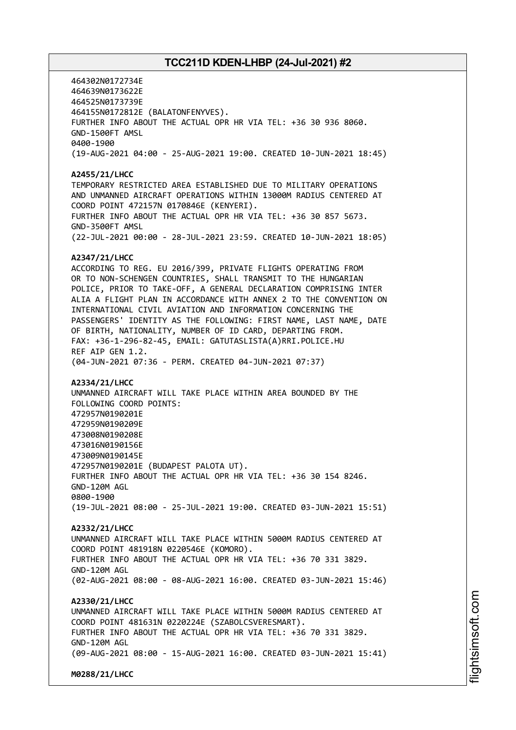464302N0172734E 464639N0173622E 464525N0173739E 464155N0172812E (BALATONFENYVES). FURTHER INFO ABOUT THE ACTUAL OPR HR VIA TEL: +36 30 936 8060. GND-1500FT AMSL 0400-1900 (19-AUG-2021 04:00 - 25-AUG-2021 19:00. CREATED 10-JUN-2021 18:45) **A2455/21/LHCC** TEMPORARY RESTRICTED AREA ESTABLISHED DUE TO MILITARY OPERATIONS AND UNMANNED AIRCRAFT OPERATIONS WITHIN 13000M RADIUS CENTERED AT COORD POINT 472157N 0170846E (KENYERI). FURTHER INFO ABOUT THE ACTUAL OPR HR VIA TEL: +36 30 857 5673. GND-3500FT AMSL (22-JUL-2021 00:00 - 28-JUL-2021 23:59. CREATED 10-JUN-2021 18:05) **A2347/21/LHCC** ACCORDING TO REG. EU 2016/399, PRIVATE FLIGHTS OPERATING FROM OR TO NON-SCHENGEN COUNTRIES, SHALL TRANSMIT TO THE HUNGARIAN POLICE, PRIOR TO TAKE-OFF, A GENERAL DECLARATION COMPRISING INTER ALIA A FLIGHT PLAN IN ACCORDANCE WITH ANNEX 2 TO THE CONVENTION ON INTERNATIONAL CIVIL AVIATION AND INFORMATION CONCERNING THE PASSENGERS' IDENTITY AS THE FOLLOWING: FIRST NAME, LAST NAME, DATE OF BIRTH, NATIONALITY, NUMBER OF ID CARD, DEPARTING FROM. FAX: +36-1-296-82-45, EMAIL: GATUTASLISTA(A)RRI.POLICE.HU REF AIP GEN 1.2. (04-JUN-2021 07:36 - PERM. CREATED 04-JUN-2021 07:37) **A2334/21/LHCC** UNMANNED AIRCRAFT WILL TAKE PLACE WITHIN AREA BOUNDED BY THE FOLLOWING COORD POINTS: 472957N0190201E 472959N0190209E 473008N0190208E 473016N0190156E 473009N0190145E 472957N0190201E (BUDAPEST PALOTA UT). FURTHER INFO ABOUT THE ACTUAL OPR HR VIA TEL: +36 30 154 8246. GND-120M AGL 0800-1900 (19-JUL-2021 08:00 - 25-JUL-2021 19:00. CREATED 03-JUN-2021 15:51) **A2332/21/LHCC** UNMANNED AIRCRAFT WILL TAKE PLACE WITHIN 5000M RADIUS CENTERED AT COORD POINT 481918N 0220546E (KOMORO). FURTHER INFO ABOUT THE ACTUAL OPR HR VIA TEL: +36 70 331 3829. GND-120M AGL (02-AUG-2021 08:00 - 08-AUG-2021 16:00. CREATED 03-JUN-2021 15:46) **A2330/21/LHCC** UNMANNED AIRCRAFT WILL TAKE PLACE WITHIN 5000M RADIUS CENTERED AT COORD POINT 481631N 0220224E (SZABOLCSVERESMART). FURTHER INFO ABOUT THE ACTUAL OPR HR VIA TEL: +36 70 331 3829. GND-120M AGL (09-AUG-2021 08:00 - 15-AUG-2021 16:00. CREATED 03-JUN-2021 15:41) **M0288/21/LHCC**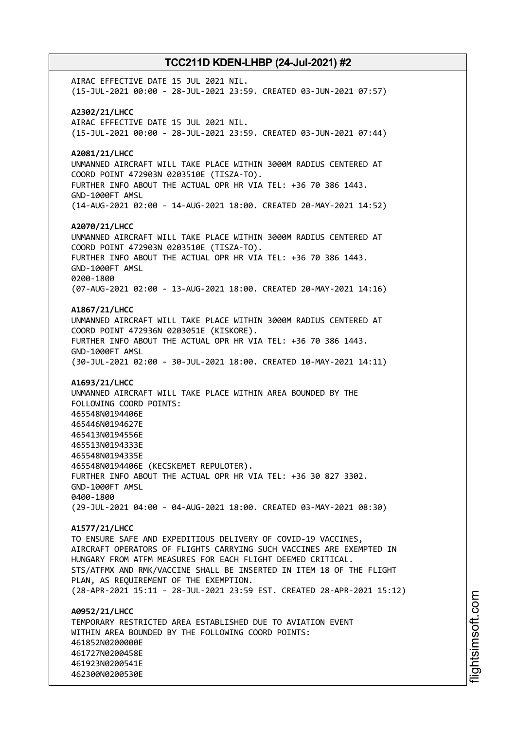AIRAC EFFECTIVE DATE 15 JUL 2021 NIL. (15-JUL-2021 00:00 - 28-JUL-2021 23:59. CREATED 03-JUN-2021 07:57) **A2302/21/LHCC** AIRAC EFFECTIVE DATE 15 JUL 2021 NIL. (15-JUL-2021 00:00 - 28-JUL-2021 23:59. CREATED 03-JUN-2021 07:44) **A2081/21/LHCC** UNMANNED AIRCRAFT WILL TAKE PLACE WITHIN 3000M RADIUS CENTERED AT COORD POINT 472903N 0203510E (TISZA-TO). FURTHER INFO ABOUT THE ACTUAL OPR HR VIA TEL: +36 70 386 1443. GND-1000FT AMSL (14-AUG-2021 02:00 - 14-AUG-2021 18:00. CREATED 20-MAY-2021 14:52) **A2070/21/LHCC** UNMANNED AIRCRAFT WILL TAKE PLACE WITHIN 3000M RADIUS CENTERED AT COORD POINT 472903N 0203510E (TISZA-TO). FURTHER INFO ABOUT THE ACTUAL OPR HR VIA TEL: +36 70 386 1443. GND-1000FT AMSL 0200-1800 (07-AUG-2021 02:00 - 13-AUG-2021 18:00. CREATED 20-MAY-2021 14:16) **A1867/21/LHCC** UNMANNED AIRCRAFT WILL TAKE PLACE WITHIN 3000M RADIUS CENTERED AT COORD POINT 472936N 0203051E (KISKORE). FURTHER INFO ABOUT THE ACTUAL OPR HR VIA TEL: +36 70 386 1443. GND-1000FT AMSL (30-JUL-2021 02:00 - 30-JUL-2021 18:00. CREATED 10-MAY-2021 14:11) **A1693/21/LHCC** UNMANNED AIRCRAFT WILL TAKE PLACE WITHIN AREA BOUNDED BY THE FOLLOWING COORD POINTS: 465548N0194406E 465446N0194627E 465413N0194556E 465513N0194333E 465548N0194335E 465548N0194406E (KECSKEMET REPULOTER). FURTHER INFO ABOUT THE ACTUAL OPR HR VIA TEL: +36 30 827 3302. GND-1000FT AMSL 0400-1800 (29-JUL-2021 04:00 - 04-AUG-2021 18:00. CREATED 03-MAY-2021 08:30) **A1577/21/LHCC** TO ENSURE SAFE AND EXPEDITIOUS DELIVERY OF COVID-19 VACCINES, AIRCRAFT OPERATORS OF FLIGHTS CARRYING SUCH VACCINES ARE EXEMPTED IN HUNGARY FROM ATFM MEASURES FOR EACH FLIGHT DEEMED CRITICAL. STS/ATFMX AND RMK/VACCINE SHALL BE INSERTED IN ITEM 18 OF THE FLIGHT PLAN, AS REQUIREMENT OF THE EXEMPTION. (28-APR-2021 15:11 - 28-JUL-2021 23:59 EST. CREATED 28-APR-2021 15:12) **A0952/21/LHCC** TEMPORARY RESTRICTED AREA ESTABLISHED DUE TO AVIATION EVENT WITHIN AREA BOUNDED BY THE FOLLOWING COORD POINTS: 461852N0200000E 461727N0200458E 461923N0200541E 462300N0200530E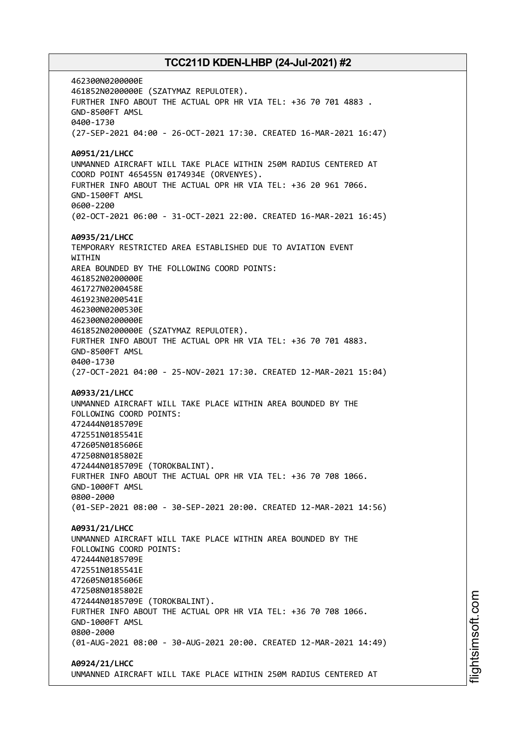462300N0200000E 461852N0200000E (SZATYMAZ REPULOTER). FURTHER INFO ABOUT THE ACTUAL OPR HR VIA TEL: +36 70 701 4883 . GND-8500FT AMSL 0400-1730 (27-SEP-2021 04:00 - 26-OCT-2021 17:30. CREATED 16-MAR-2021 16:47) **A0951/21/LHCC** UNMANNED AIRCRAFT WILL TAKE PLACE WITHIN 250M RADIUS CENTERED AT COORD POINT 465455N 0174934E (ORVENYES). FURTHER INFO ABOUT THE ACTUAL OPR HR VIA TEL: +36 20 961 7066. GND-1500FT AMSL 0600-2200 (02-OCT-2021 06:00 - 31-OCT-2021 22:00. CREATED 16-MAR-2021 16:45) **A0935/21/LHCC** TEMPORARY RESTRICTED AREA ESTABLISHED DUE TO AVIATION EVENT **WITHTN** AREA BOUNDED BY THE FOLLOWING COORD POINTS: 461852N0200000E 461727N0200458E 461923N0200541E 462300N0200530E 462300N0200000E 461852N0200000E (SZATYMAZ REPULOTER). FURTHER INFO ABOUT THE ACTUAL OPR HR VIA TEL: +36 70 701 4883. GND-8500FT AMSL 0400-1730 (27-OCT-2021 04:00 - 25-NOV-2021 17:30. CREATED 12-MAR-2021 15:04) **A0933/21/LHCC** UNMANNED AIRCRAFT WILL TAKE PLACE WITHIN AREA BOUNDED BY THE FOLLOWING COORD POINTS: 472444N0185709E 472551N0185541E 472605N0185606E 472508N0185802E 472444N0185709E (TOROKBALINT). FURTHER INFO ABOUT THE ACTUAL OPR HR VIA TEL: +36 70 708 1066. GND-1000FT AMSL 0800-2000 (01-SEP-2021 08:00 - 30-SEP-2021 20:00. CREATED 12-MAR-2021 14:56) **A0931/21/LHCC** UNMANNED AIRCRAFT WILL TAKE PLACE WITHIN AREA BOUNDED BY THE FOLLOWING COORD POINTS: 472444N0185709E 472551N0185541E 472605N0185606E 472508N0185802E 472444N0185709E (TOROKBALINT). FURTHER INFO ABOUT THE ACTUAL OPR HR VIA TEL: +36 70 708 1066. GND-1000FT AMSL 0800-2000 (01-AUG-2021 08:00 - 30-AUG-2021 20:00. CREATED 12-MAR-2021 14:49) **A0924/21/LHCC** UNMANNED AIRCRAFT WILL TAKE PLACE WITHIN 250M RADIUS CENTERED AT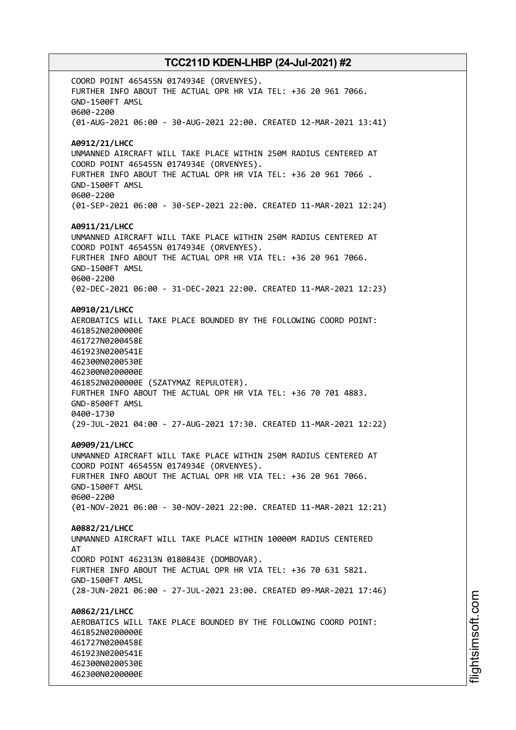COORD POINT 465455N 0174934E (ORVENYES). FURTHER INFO ABOUT THE ACTUAL OPR HR VIA TEL: +36 20 961 7066. GND-1500FT AMSL 0600-2200 (01-AUG-2021 06:00 - 30-AUG-2021 22:00. CREATED 12-MAR-2021 13:41) **A0912/21/LHCC** UNMANNED AIRCRAFT WILL TAKE PLACE WITHIN 250M RADIUS CENTERED AT COORD POINT 465455N 0174934E (ORVENYES). FURTHER INFO ABOUT THE ACTUAL OPR HR VIA TEL: +36 20 961 7066 . GND-1500FT AMSL 0600-2200 (01-SEP-2021 06:00 - 30-SEP-2021 22:00. CREATED 11-MAR-2021 12:24) **A0911/21/LHCC** UNMANNED AIRCRAFT WILL TAKE PLACE WITHIN 250M RADIUS CENTERED AT COORD POINT 465455N 0174934E (ORVENYES). FURTHER INFO ABOUT THE ACTUAL OPR HR VIA TEL: +36 20 961 7066. GND-1500FT AMSL 0600-2200 (02-DEC-2021 06:00 - 31-DEC-2021 22:00. CREATED 11-MAR-2021 12:23) **A0910/21/LHCC** AEROBATICS WILL TAKE PLACE BOUNDED BY THE FOLLOWING COORD POINT: 461852N0200000E 461727N0200458E 461923N0200541E 462300N0200530E 462300N0200000E 461852N0200000E (SZATYMAZ REPULOTER). FURTHER INFO ABOUT THE ACTUAL OPR HR VIA TEL: +36 70 701 4883. GND-8500FT AMSL 0400-1730 (29-JUL-2021 04:00 - 27-AUG-2021 17:30. CREATED 11-MAR-2021 12:22) **A0909/21/LHCC** UNMANNED AIRCRAFT WILL TAKE PLACE WITHIN 250M RADIUS CENTERED AT COORD POINT 465455N 0174934E (ORVENYES). FURTHER INFO ABOUT THE ACTUAL OPR HR VIA TEL: +36 20 961 7066. GND-1500FT AMSL 0600-2200 (01-NOV-2021 06:00 - 30-NOV-2021 22:00. CREATED 11-MAR-2021 12:21) **A0882/21/LHCC** UNMANNED AIRCRAFT WILL TAKE PLACE WITHIN 10000M RADIUS CENTERED AT COORD POINT 462313N 0180843E (DOMBOVAR). FURTHER INFO ABOUT THE ACTUAL OPR HR VIA TEL: +36 70 631 5821. GND-1500FT AMSL (28-JUN-2021 06:00 - 27-JUL-2021 23:00. CREATED 09-MAR-2021 17:46) **A0862/21/LHCC** AEROBATICS WILL TAKE PLACE BOUNDED BY THE FOLLOWING COORD POINT: 461852N0200000E 461727N0200458E 461923N0200541E 462300N0200530E 462300N0200000E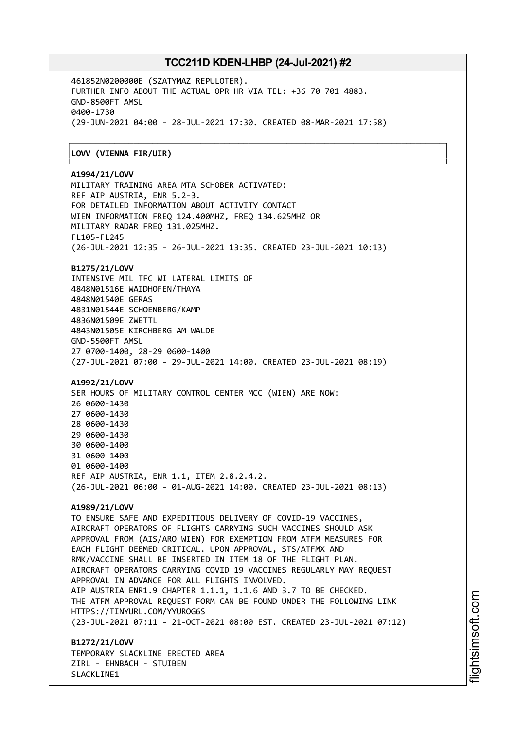┌──────────────────────────────────────────────────────────────────────────────┐

461852N0200000E (SZATYMAZ REPULOTER). FURTHER INFO ABOUT THE ACTUAL OPR HR VIA TEL: +36 70 701 4883. GND-8500FT AMSL 0400-1730 (29-JUN-2021 04:00 - 28-JUL-2021 17:30. CREATED 08-MAR-2021 17:58)

#### │**LOVV (VIENNA FIR/UIR)** │

#### └──────────────────────────────────────────────────────────────────────────────┘ **A1994/21/LOVV**

MILITARY TRAINING AREA MTA SCHOBER ACTIVATED: REF AIP AUSTRIA, ENR 5.2-3. FOR DETAILED INFORMATION ABOUT ACTIVITY CONTACT WIEN INFORMATION FREQ 124.400MHZ, FREQ 134.625MHZ OR MILITARY RADAR FREQ 131.025MHZ. FL105-FL245 (26-JUL-2021 12:35 - 26-JUL-2021 13:35. CREATED 23-JUL-2021 10:13)

#### **B1275/21/LOVV**

INTENSIVE MIL TFC WI LATERAL LIMITS OF 4848N01516E WAIDHOFEN/THAYA 4848N01540E GERAS 4831N01544E SCHOENBERG/KAMP 4836N01509E ZWETTL 4843N01505E KIRCHBERG AM WALDE GND-5500FT AMSL 27 0700-1400, 28-29 0600-1400 (27-JUL-2021 07:00 - 29-JUL-2021 14:00. CREATED 23-JUL-2021 08:19)

#### **A1992/21/LOVV**

SER HOURS OF MILITARY CONTROL CENTER MCC (WIEN) ARE NOW: 0600-1430 0600-1430 0600-1430 0600-1430 0600-1400 0600-1400 0600-1400 REF AIP AUSTRIA, ENR 1.1, ITEM 2.8.2.4.2. (26-JUL-2021 06:00 - 01-AUG-2021 14:00. CREATED 23-JUL-2021 08:13)

#### **A1989/21/LOVV**

TO ENSURE SAFE AND EXPEDITIOUS DELIVERY OF COVID-19 VACCINES, AIRCRAFT OPERATORS OF FLIGHTS CARRYING SUCH VACCINES SHOULD ASK APPROVAL FROM (AIS/ARO WIEN) FOR EXEMPTION FROM ATFM MEASURES FOR EACH FLIGHT DEEMED CRITICAL. UPON APPROVAL, STS/ATFMX AND RMK/VACCINE SHALL BE INSERTED IN ITEM 18 OF THE FLIGHT PLAN. AIRCRAFT OPERATORS CARRYING COVID 19 VACCINES REGULARLY MAY REQUEST APPROVAL IN ADVANCE FOR ALL FLIGHTS INVOLVED. AIP AUSTRIA ENR1.9 CHAPTER 1.1.1, 1.1.6 AND 3.7 TO BE CHECKED. THE ATFM APPROVAL REQUEST FORM CAN BE FOUND UNDER THE FOLLOWING LINK HTTPS://TINYURL.COM/YYUROG6S (23-JUL-2021 07:11 - 21-OCT-2021 08:00 EST. CREATED 23-JUL-2021 07:12)

**B1272/21/LOVV** TEMPORARY SLACKLINE ERECTED AREA ZIRL - EHNBACH - STUIBEN SLACKLINE1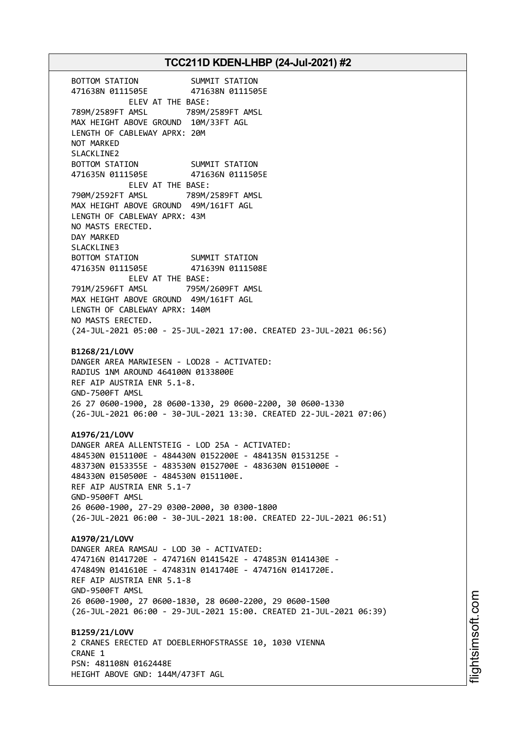BOTTOM STATION SUMMIT STATION 471638N 0111505E 471638N 0111505E ELEV AT THE BASE: 789M/2589FT AMSL 789M/2589FT AMSL MAX HEIGHT ABOVE GROUND 10M/33FT AGL LENGTH OF CABLEWAY APRX: 20M NOT MARKED SLACKLINE2 BOTTOM STATION SUMMIT STATION 471635N 0111505E 471636N 0111505E ELEV AT THE BASE: 790M/2592FT AMSL 789M/2589FT AMSL MAX HEIGHT ABOVE GROUND 49M/161FT AGL LENGTH OF CABLEWAY APRX: 43M NO MASTS ERECTED. DAY MARKED SLACKLINE3 BOTTOM STATION SUMMIT STATION 471635N 0111505E 471639N 0111508E ELEV AT THE BASE: 791M/2596FT AMSL 795M/2609FT AMSL MAX HEIGHT ABOVE GROUND 49M/161FT AGL LENGTH OF CABLEWAY APRX: 140M NO MASTS ERECTED. (24-JUL-2021 05:00 - 25-JUL-2021 17:00. CREATED 23-JUL-2021 06:56) **B1268/21/LOVV** DANGER AREA MARWIESEN - LOD28 - ACTIVATED: RADIUS 1NM AROUND 464100N 0133800E REF AIP AUSTRIA ENR 5.1-8. GND-7500FT AMSL 26 27 0600-1900, 28 0600-1330, 29 0600-2200, 30 0600-1330 (26-JUL-2021 06:00 - 30-JUL-2021 13:30. CREATED 22-JUL-2021 07:06) **A1976/21/LOVV** DANGER AREA ALLENTSTEIG - LOD 25A - ACTIVATED: 484530N 0151100E - 484430N 0152200E - 484135N 0153125E - 483730N 0153355E - 483530N 0152700E - 483630N 0151000E - 484330N 0150500E - 484530N 0151100E. REF AIP AUSTRIA ENR 5.1-7 GND-9500FT AMSL 26 0600-1900, 27-29 0300-2000, 30 0300-1800 (26-JUL-2021 06:00 - 30-JUL-2021 18:00. CREATED 22-JUL-2021 06:51) **A1970/21/LOVV** DANGER AREA RAMSAU - LOD 30 - ACTIVATED: 474716N 0141720E - 474716N 0141542E - 474853N 0141430E - 474849N 0141610E - 474831N 0141740E - 474716N 0141720E. REF AIP AUSTRIA ENR 5.1-8 GND-9500FT AMSL 26 0600-1900, 27 0600-1830, 28 0600-2200, 29 0600-1500 (26-JUL-2021 06:00 - 29-JUL-2021 15:00. CREATED 21-JUL-2021 06:39) **B1259/21/LOVV** 2 CRANES ERECTED AT DOEBLERHOFSTRASSE 10, 1030 VIENNA CRANE 1 PSN: 481108N 0162448E HEIGHT ABOVE GND: 144M/473FT AGL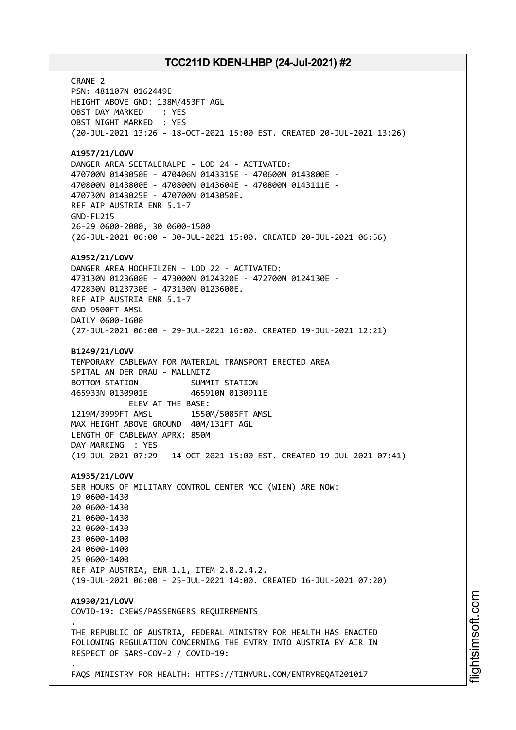CRANE 2 PSN: 481107N 0162449E HEIGHT ABOVE GND: 138M/453FT AGL OBST DAY MARKED : YES OBST NIGHT MARKED : YES (20-JUL-2021 13:26 - 18-OCT-2021 15:00 EST. CREATED 20-JUL-2021 13:26) **A1957/21/LOVV** DANGER AREA SEETALERALPE - LOD 24 - ACTIVATED: 470700N 0143050E - 470406N 0143315E - 470600N 0143800E - 470800N 0143800E - 470800N 0143604E - 470800N 0143111E - 470730N 0143025E - 470700N 0143050E. REF AIP AUSTRIA ENR 5.1-7 GND-FL215 26-29 0600-2000, 30 0600-1500 (26-JUL-2021 06:00 - 30-JUL-2021 15:00. CREATED 20-JUL-2021 06:56) **A1952/21/LOVV** DANGER AREA HOCHFILZEN - LOD 22 - ACTIVATED: 473130N 0123600E - 473000N 0124320E - 472700N 0124130E - 472830N 0123730E - 473130N 0123600E. REF AIP AUSTRIA ENR 5.1-7 GND-9500FT AMSL DAILY 0600-1600 (27-JUL-2021 06:00 - 29-JUL-2021 16:00. CREATED 19-JUL-2021 12:21) **B1249/21/LOVV** TEMPORARY CABLEWAY FOR MATERIAL TRANSPORT ERECTED AREA SPITAL AN DER DRAU - MALLNITZ BOTTOM STATION SUMMIT STATION 465933N 0130901E 465910N 0130911E ELEV AT THE BASE: 1219M/3999FT AMSL 1550M/5085FT AMSL MAX HEIGHT ABOVE GROUND 40M/131FT AGL LENGTH OF CABLEWAY APRX: 850M DAY MARKING : YES (19-JUL-2021 07:29 - 14-OCT-2021 15:00 EST. CREATED 19-JUL-2021 07:41) **A1935/21/LOVV** SER HOURS OF MILITARY CONTROL CENTER MCC (WIEN) ARE NOW: 19 0600-1430 20 0600-1430 21 0600-1430 22 0600-1430 23 0600-1400 24 0600-1400 25 0600-1400 REF AIP AUSTRIA, ENR 1.1, ITEM 2.8.2.4.2. (19-JUL-2021 06:00 - 25-JUL-2021 14:00. CREATED 16-JUL-2021 07:20) **A1930/21/LOVV** COVID-19: CREWS/PASSENGERS REQUIREMENTS . THE REPUBLIC OF AUSTRIA, FEDERAL MINISTRY FOR HEALTH HAS ENACTED FOLLOWING REGULATION CONCERNING THE ENTRY INTO AUSTRIA BY AIR IN RESPECT OF SARS-COV-2 / COVID-19: .

FAQS MINISTRY FOR HEALTH: HTTPS://TINYURL.COM/ENTRYREQAT201017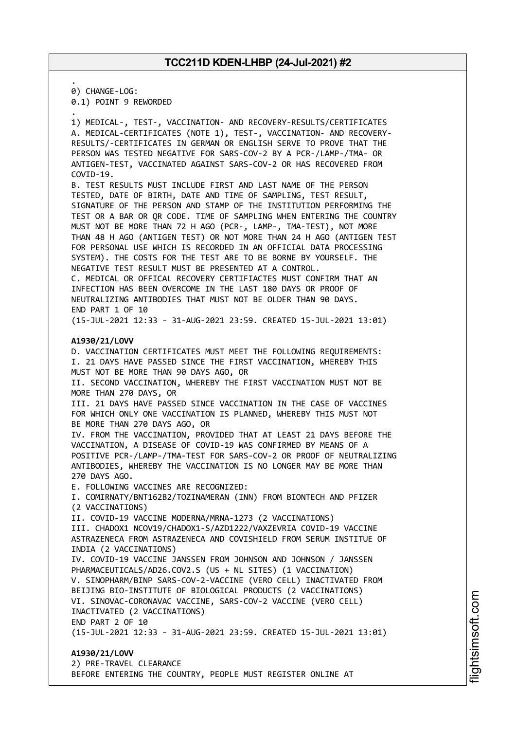. 0) CHANGE-LOG:

0.1) POINT 9 REWORDED

. 1) MEDICAL-, TEST-, VACCINATION- AND RECOVERY-RESULTS/CERTIFICATES A. MEDICAL-CERTIFICATES (NOTE 1), TEST-, VACCINATION- AND RECOVERY-RESULTS/-CERTIFICATES IN GERMAN OR ENGLISH SERVE TO PROVE THAT THE PERSON WAS TESTED NEGATIVE FOR SARS-COV-2 BY A PCR-/LAMP-/TMA- OR ANTIGEN-TEST, VACCINATED AGAINST SARS-COV-2 OR HAS RECOVERED FROM COVID-19.

B. TEST RESULTS MUST INCLUDE FIRST AND LAST NAME OF THE PERSON TESTED, DATE OF BIRTH, DATE AND TIME OF SAMPLING, TEST RESULT, SIGNATURE OF THE PERSON AND STAMP OF THE INSTITUTION PERFORMING THE TEST OR A BAR OR QR CODE. TIME OF SAMPLING WHEN ENTERING THE COUNTRY MUST NOT BE MORE THAN 72 H AGO (PCR-, LAMP-, TMA-TEST), NOT MORE THAN 48 H AGO (ANTIGEN TEST) OR NOT MORE THAN 24 H AGO (ANTIGEN TEST FOR PERSONAL USE WHICH IS RECORDED IN AN OFFICIAL DATA PROCESSING SYSTEM). THE COSTS FOR THE TEST ARE TO BE BORNE BY YOURSELF. THE NEGATIVE TEST RESULT MUST BE PRESENTED AT A CONTROL. C. MEDICAL OR OFFICAL RECOVERY CERTIFIACTES MUST CONFIRM THAT AN INFECTION HAS BEEN OVERCOME IN THE LAST 180 DAYS OR PROOF OF NEUTRALIZING ANTIBODIES THAT MUST NOT BE OLDER THAN 90 DAYS. END PART 1 OF 10

(15-JUL-2021 12:33 - 31-AUG-2021 23:59. CREATED 15-JUL-2021 13:01)

#### **A1930/21/LOVV**

D. VACCINATION CERTIFICATES MUST MEET THE FOLLOWING REQUIREMENTS: I. 21 DAYS HAVE PASSED SINCE THE FIRST VACCINATION, WHEREBY THIS MUST NOT BE MORE THAN 90 DAYS AGO, OR II. SECOND VACCINATION, WHEREBY THE FIRST VACCINATION MUST NOT BE MORE THAN 270 DAYS, OR III. 21 DAYS HAVE PASSED SINCE VACCINATION IN THE CASE OF VACCINES FOR WHICH ONLY ONE VACCINATION IS PLANNED, WHEREBY THIS MUST NOT BE MORE THAN 270 DAYS AGO, OR IV. FROM THE VACCINATION, PROVIDED THAT AT LEAST 21 DAYS BEFORE THE VACCINATION, A DISEASE OF COVID-19 WAS CONFIRMED BY MEANS OF A POSITIVE PCR-/LAMP-/TMA-TEST FOR SARS-COV-2 OR PROOF OF NEUTRALIZING ANTIBODIES, WHEREBY THE VACCINATION IS NO LONGER MAY BE MORE THAN 270 DAYS AGO. E. FOLLOWING VACCINES ARE RECOGNIZED: I. COMIRNATY/BNT162B2/TOZINAMERAN (INN) FROM BIONTECH AND PFIZER (2 VACCINATIONS) II. COVID-19 VACCINE MODERNA/MRNA-1273 (2 VACCINATIONS) III. CHADOX1 NCOV19/CHADOX1-S/AZD1222/VAXZEVRIA COVID-19 VACCINE ASTRAZENECA FROM ASTRAZENECA AND COVISHIELD FROM SERUM INSTITUE OF INDIA (2 VACCINATIONS) IV. COVID-19 VACCINE JANSSEN FROM JOHNSON AND JOHNSON / JANSSEN PHARMACEUTICALS/AD26.COV2.S (US + NL SITES) (1 VACCINATION) V. SINOPHARM/BINP SARS-COV-2-VACCINE (VERO CELL) INACTIVATED FROM BEIJING BIO-INSTITUTE OF BIOLOGICAL PRODUCTS (2 VACCINATIONS) VI. SINOVAC-CORONAVAC VACCINE, SARS-COV-2 VACCINE (VERO CELL) INACTIVATED (2 VACCINATIONS) END PART 2 OF 10 (15-JUL-2021 12:33 - 31-AUG-2021 23:59. CREATED 15-JUL-2021 13:01) **A1930/21/LOVV**

2) PRE-TRAVEL CLEARANCE BEFORE ENTERING THE COUNTRY, PEOPLE MUST REGISTER ONLINE AT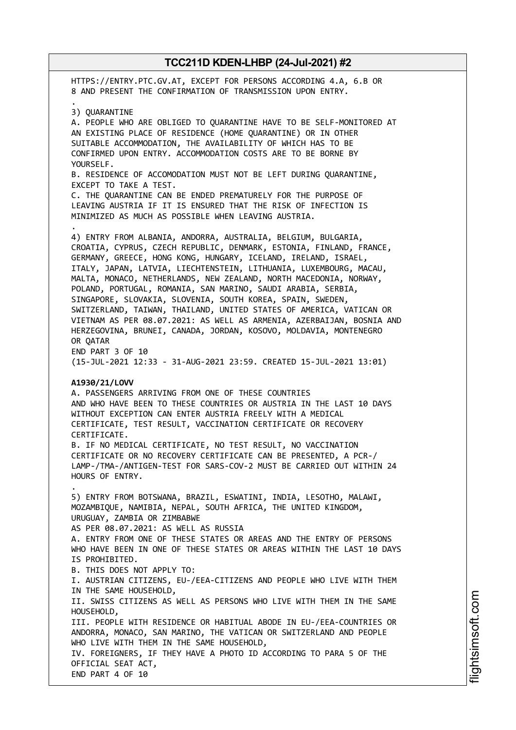HTTPS://ENTRY.PTC.GV.AT, EXCEPT FOR PERSONS ACCORDING 4.A, 6.B OR 8 AND PRESENT THE CONFIRMATION OF TRANSMISSION UPON ENTRY. . 3) QUARANTINE A. PEOPLE WHO ARE OBLIGED TO QUARANTINE HAVE TO BE SELF-MONITORED AT AN EXISTING PLACE OF RESIDENCE (HOME QUARANTINE) OR IN OTHER SUITABLE ACCOMMODATION, THE AVAILABILITY OF WHICH HAS TO BE CONFIRMED UPON ENTRY. ACCOMMODATION COSTS ARE TO BE BORNE BY YOURSELF. B. RESIDENCE OF ACCOMODATION MUST NOT BE LEFT DURING QUARANTINE, EXCEPT TO TAKE A TEST. C. THE QUARANTINE CAN BE ENDED PREMATURELY FOR THE PURPOSE OF LEAVING AUSTRIA IF IT IS ENSURED THAT THE RISK OF INFECTION IS MINIMIZED AS MUCH AS POSSIBLE WHEN LEAVING AUSTRIA. . 4) ENTRY FROM ALBANIA, ANDORRA, AUSTRALIA, BELGIUM, BULGARIA, CROATIA, CYPRUS, CZECH REPUBLIC, DENMARK, ESTONIA, FINLAND, FRANCE, GERMANY, GREECE, HONG KONG, HUNGARY, ICELAND, IRELAND, ISRAEL, ITALY, JAPAN, LATVIA, LIECHTENSTEIN, LITHUANIA, LUXEMBOURG, MACAU, MALTA, MONACO, NETHERLANDS, NEW ZEALAND, NORTH MACEDONIA, NORWAY, POLAND, PORTUGAL, ROMANIA, SAN MARINO, SAUDI ARABIA, SERBIA, SINGAPORE, SLOVAKIA, SLOVENIA, SOUTH KOREA, SPAIN, SWEDEN, SWITZERLAND, TAIWAN, THAILAND, UNITED STATES OF AMERICA, VATICAN OR VIETNAM AS PER 08.07.2021: AS WELL AS ARMENIA, AZERBAIJAN, BOSNIA AND HERZEGOVINA, BRUNEI, CANADA, JORDAN, KOSOVO, MOLDAVIA, MONTENEGRO OR QATAR END PART 3 OF 10 (15-JUL-2021 12:33 - 31-AUG-2021 23:59. CREATED 15-JUL-2021 13:01) **A1930/21/LOVV** A. PASSENGERS ARRIVING FROM ONE OF THESE COUNTRIES AND WHO HAVE BEEN TO THESE COUNTRIES OR AUSTRIA IN THE LAST 10 DAYS WITHOUT EXCEPTION CAN ENTER AUSTRIA FREELY WITH A MEDICAL CERTIFICATE, TEST RESULT, VACCINATION CERTIFICATE OR RECOVERY CERTIFICATE. B. IF NO MEDICAL CERTIFICATE, NO TEST RESULT, NO VACCINATION CERTIFICATE OR NO RECOVERY CERTIFICATE CAN BE PRESENTED, A PCR-/ LAMP-/TMA-/ANTIGEN-TEST FOR SARS-COV-2 MUST BE CARRIED OUT WITHIN 24 HOURS OF ENTRY. . 5) ENTRY FROM BOTSWANA, BRAZIL, ESWATINI, INDIA, LESOTHO, MALAWI, MOZAMBIQUE, NAMIBIA, NEPAL, SOUTH AFRICA, THE UNITED KINGDOM, URUGUAY, ZAMBIA OR ZIMBABWE AS PER 08.07.2021: AS WELL AS RUSSIA A. ENTRY FROM ONE OF THESE STATES OR AREAS AND THE ENTRY OF PERSONS WHO HAVE BEEN IN ONE OF THESE STATES OR AREAS WITHIN THE LAST 10 DAYS IS PROHIBITED. B. THIS DOES NOT APPLY TO: I. AUSTRIAN CITIZENS, EU-/EEA-CITIZENS AND PEOPLE WHO LIVE WITH THEM IN THE SAME HOUSEHOLD, II. SWISS CITIZENS AS WELL AS PERSONS WHO LIVE WITH THEM IN THE SAME HOUSEHOLD, III. PEOPLE WITH RESIDENCE OR HABITUAL ABODE IN EU-/EEA-COUNTRIES OR ANDORRA, MONACO, SAN MARINO, THE VATICAN OR SWITZERLAND AND PEOPLE WHO LIVE WITH THEM IN THE SAME HOUSEHOLD, IV. FOREIGNERS, IF THEY HAVE A PHOTO ID ACCORDING TO PARA 5 OF THE OFFICIAL SEAT ACT, END PART 4 OF 10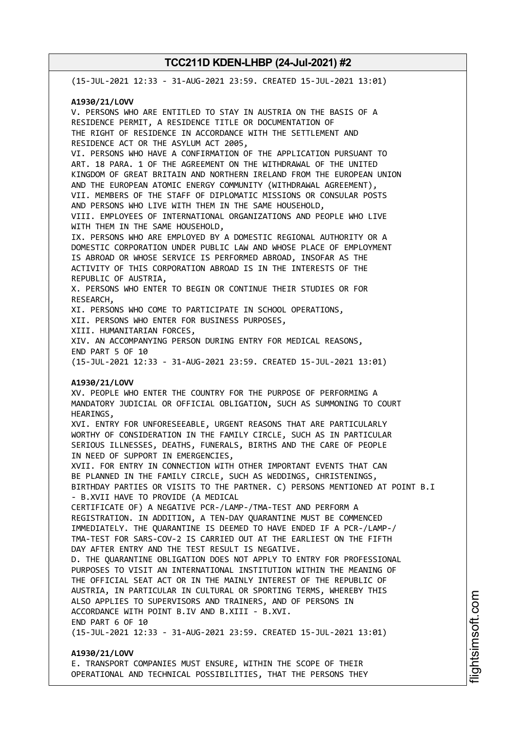(15-JUL-2021 12:33 - 31-AUG-2021 23:59. CREATED 15-JUL-2021 13:01) **A1930/21/LOVV** V. PERSONS WHO ARE ENTITLED TO STAY IN AUSTRIA ON THE BASIS OF A RESIDENCE PERMIT, A RESIDENCE TITLE OR DOCUMENTATION OF THE RIGHT OF RESIDENCE IN ACCORDANCE WITH THE SETTLEMENT AND RESIDENCE ACT OR THE ASYLUM ACT 2005, VI. PERSONS WHO HAVE A CONFIRMATION OF THE APPLICATION PURSUANT TO ART. 18 PARA. 1 OF THE AGREEMENT ON THE WITHDRAWAL OF THE UNITED KINGDOM OF GREAT BRITAIN AND NORTHERN IRELAND FROM THE EUROPEAN UNION AND THE EUROPEAN ATOMIC ENERGY COMMUNITY (WITHDRAWAL AGREEMENT), VII. MEMBERS OF THE STAFF OF DIPLOMATIC MISSIONS OR CONSULAR POSTS AND PERSONS WHO LIVE WITH THEM IN THE SAME HOUSEHOLD, VIII. EMPLOYEES OF INTERNATIONAL ORGANIZATIONS AND PEOPLE WHO LIVE WITH THEM IN THE SAME HOUSEHOLD, IX. PERSONS WHO ARE EMPLOYED BY A DOMESTIC REGIONAL AUTHORITY OR A DOMESTIC CORPORATION UNDER PUBLIC LAW AND WHOSE PLACE OF EMPLOYMENT IS ABROAD OR WHOSE SERVICE IS PERFORMED ABROAD, INSOFAR AS THE ACTIVITY OF THIS CORPORATION ABROAD IS IN THE INTERESTS OF THE REPUBLIC OF AUSTRIA, X. PERSONS WHO ENTER TO BEGIN OR CONTINUE THEIR STUDIES OR FOR RESEARCH, XI. PERSONS WHO COME TO PARTICIPATE IN SCHOOL OPERATIONS, XII. PERSONS WHO ENTER FOR BUSINESS PURPOSES, XIII. HUMANITARIAN FORCES, XIV. AN ACCOMPANYING PERSON DURING ENTRY FOR MEDICAL REASONS, END PART 5 OF 10 (15-JUL-2021 12:33 - 31-AUG-2021 23:59. CREATED 15-JUL-2021 13:01) **A1930/21/LOVV** XV. PEOPLE WHO ENTER THE COUNTRY FOR THE PURPOSE OF PERFORMING A MANDATORY JUDICIAL OR OFFICIAL OBLIGATION, SUCH AS SUMMONING TO COURT HEARINGS, XVI. ENTRY FOR UNFORESEEABLE, URGENT REASONS THAT ARE PARTICULARLY WORTHY OF CONSIDERATION IN THE FAMILY CIRCLE, SUCH AS IN PARTICULAR SERIOUS ILLNESSES, DEATHS, FUNERALS, BIRTHS AND THE CARE OF PEOPLE IN NEED OF SUPPORT IN EMERGENCIES, XVII. FOR ENTRY IN CONNECTION WITH OTHER IMPORTANT EVENTS THAT CAN BE PLANNED IN THE FAMILY CIRCLE, SUCH AS WEDDINGS, CHRISTENINGS, BIRTHDAY PARTIES OR VISITS TO THE PARTNER. C) PERSONS MENTIONED AT POINT B.I - B.XVII HAVE TO PROVIDE (A MEDICAL CERTIFICATE OF) A NEGATIVE PCR-/LAMP-/TMA-TEST AND PERFORM A REGISTRATION. IN ADDITION, A TEN-DAY QUARANTINE MUST BE COMMENCED IMMEDIATELY. THE QUARANTINE IS DEEMED TO HAVE ENDED IF A PCR-/LAMP-/ TMA-TEST FOR SARS-COV-2 IS CARRIED OUT AT THE EARLIEST ON THE FIFTH DAY AFTER ENTRY AND THE TEST RESULT IS NEGATIVE. D. THE QUARANTINE OBLIGATION DOES NOT APPLY TO ENTRY FOR PROFESSIONAL PURPOSES TO VISIT AN INTERNATIONAL INSTITUTION WITHIN THE MEANING OF THE OFFICIAL SEAT ACT OR IN THE MAINLY INTEREST OF THE REPUBLIC OF AUSTRIA, IN PARTICULAR IN CULTURAL OR SPORTING TERMS, WHEREBY THIS ALSO APPLIES TO SUPERVISORS AND TRAINERS, AND OF PERSONS IN ACCORDANCE WITH POINT B.IV AND B.XIII - B.XVI. END PART 6 OF 10 (15-JUL-2021 12:33 - 31-AUG-2021 23:59. CREATED 15-JUL-2021 13:01) **A1930/21/LOVV** E. TRANSPORT COMPANIES MUST ENSURE, WITHIN THE SCOPE OF THEIR

OPERATIONAL AND TECHNICAL POSSIBILITIES, THAT THE PERSONS THEY

m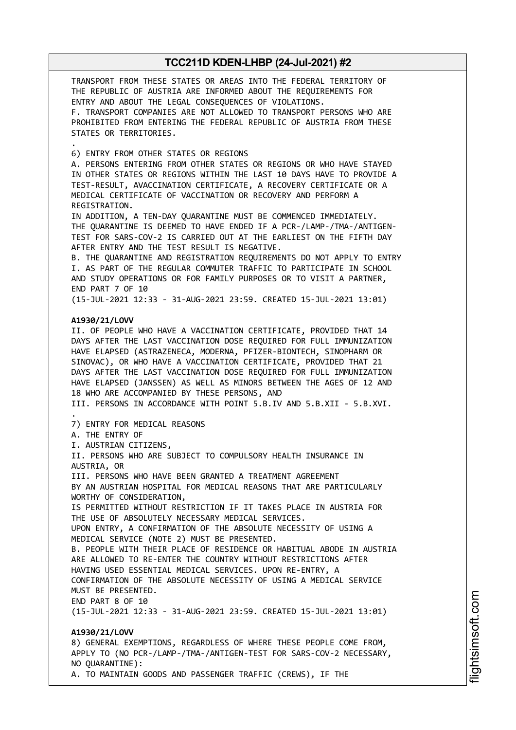TRANSPORT FROM THESE STATES OR AREAS INTO THE FEDERAL TERRITORY OF THE REPUBLIC OF AUSTRIA ARE INFORMED ABOUT THE REQUIREMENTS FOR ENTRY AND ABOUT THE LEGAL CONSEQUENCES OF VIOLATIONS. F. TRANSPORT COMPANIES ARE NOT ALLOWED TO TRANSPORT PERSONS WHO ARE PROHIBITED FROM ENTERING THE FEDERAL REPUBLIC OF AUSTRIA FROM THESE STATES OR TERRITORIES. . 6) ENTRY FROM OTHER STATES OR REGIONS A. PERSONS ENTERING FROM OTHER STATES OR REGIONS OR WHO HAVE STAYED IN OTHER STATES OR REGIONS WITHIN THE LAST 10 DAYS HAVE TO PROVIDE A TEST-RESULT, AVACCINATION CERTIFICATE, A RECOVERY CERTIFICATE OR A MEDICAL CERTIFICATE OF VACCINATION OR RECOVERY AND PERFORM A REGISTRATION. IN ADDITION, A TEN-DAY QUARANTINE MUST BE COMMENCED IMMEDIATELY. THE QUARANTINE IS DEEMED TO HAVE ENDED IF A PCR-/LAMP-/TMA-/ANTIGEN-TEST FOR SARS-COV-2 IS CARRIED OUT AT THE EARLIEST ON THE FIFTH DAY AFTER ENTRY AND THE TEST RESULT IS NEGATIVE. B. THE QUARANTINE AND REGISTRATION REQUIREMENTS DO NOT APPLY TO ENTRY I. AS PART OF THE REGULAR COMMUTER TRAFFIC TO PARTICIPATE IN SCHOOL AND STUDY OPERATIONS OR FOR FAMILY PURPOSES OR TO VISIT A PARTNER, END PART 7 OF 10 (15-JUL-2021 12:33 - 31-AUG-2021 23:59. CREATED 15-JUL-2021 13:01) **A1930/21/LOVV** II. OF PEOPLE WHO HAVE A VACCINATION CERTIFICATE, PROVIDED THAT 14 DAYS AFTER THE LAST VACCINATION DOSE REQUIRED FOR FULL IMMUNIZATION HAVE ELAPSED (ASTRAZENECA, MODERNA, PFIZER-BIONTECH, SINOPHARM OR SINOVAC), OR WHO HAVE A VACCINATION CERTIFICATE, PROVIDED THAT 21 DAYS AFTER THE LAST VACCINATION DOSE REQUIRED FOR FULL IMMUNIZATION HAVE ELAPSED (JANSSEN) AS WELL AS MINORS BETWEEN THE AGES OF 12 AND 18 WHO ARE ACCOMPANIED BY THESE PERSONS, AND III. PERSONS IN ACCORDANCE WITH POINT 5.B.IV AND 5.B.XII - 5.B.XVI. . 7) ENTRY FOR MEDICAL REASONS A. THE ENTRY OF I. AUSTRIAN CITIZENS, II. PERSONS WHO ARE SUBJECT TO COMPULSORY HEALTH INSURANCE IN AUSTRIA, OR III. PERSONS WHO HAVE BEEN GRANTED A TREATMENT AGREEMENT BY AN AUSTRIAN HOSPITAL FOR MEDICAL REASONS THAT ARE PARTICULARLY WORTHY OF CONSIDERATION, IS PERMITTED WITHOUT RESTRICTION IF IT TAKES PLACE IN AUSTRIA FOR THE USE OF ABSOLUTELY NECESSARY MEDICAL SERVICES. UPON ENTRY, A CONFIRMATION OF THE ABSOLUTE NECESSITY OF USING A MEDICAL SERVICE (NOTE 2) MUST BE PRESENTED. B. PEOPLE WITH THEIR PLACE OF RESIDENCE OR HABITUAL ABODE IN AUSTRIA ARE ALLOWED TO RE-ENTER THE COUNTRY WITHOUT RESTRICTIONS AFTER HAVING USED ESSENTIAL MEDICAL SERVICES. UPON RE-ENTRY, A CONFIRMATION OF THE ABSOLUTE NECESSITY OF USING A MEDICAL SERVICE MUST BE PRESENTED. END PART 8 OF 10 (15-JUL-2021 12:33 - 31-AUG-2021 23:59. CREATED 15-JUL-2021 13:01) **A1930/21/LOVV** 8) GENERAL EXEMPTIONS, REGARDLESS OF WHERE THESE PEOPLE COME FROM, APPLY TO (NO PCR-/LAMP-/TMA-/ANTIGEN-TEST FOR SARS-COV-2 NECESSARY, NO QUARANTINE):

A. TO MAINTAIN GOODS AND PASSENGER TRAFFIC (CREWS), IF THE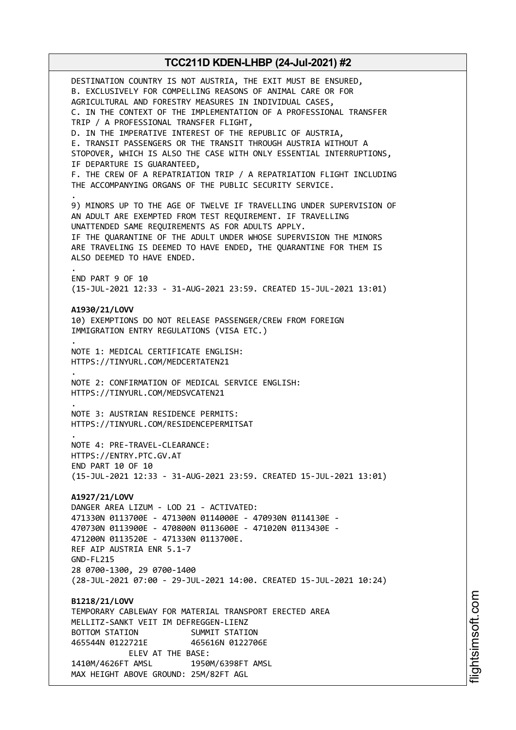DESTINATION COUNTRY IS NOT AUSTRIA, THE EXIT MUST BE ENSURED, B. EXCLUSIVELY FOR COMPELLING REASONS OF ANIMAL CARE OR FOR AGRICULTURAL AND FORESTRY MEASURES IN INDIVIDUAL CASES, C. IN THE CONTEXT OF THE IMPLEMENTATION OF A PROFESSIONAL TRANSFER TRIP / A PROFESSIONAL TRANSFER FLIGHT, D. IN THE IMPERATIVE INTEREST OF THE REPUBLIC OF AUSTRIA, E. TRANSIT PASSENGERS OR THE TRANSIT THROUGH AUSTRIA WITHOUT A STOPOVER, WHICH IS ALSO THE CASE WITH ONLY ESSENTIAL INTERRUPTIONS, IF DEPARTURE IS GUARANTEED, F. THE CREW OF A REPATRIATION TRIP / A REPATRIATION FLIGHT INCLUDING THE ACCOMPANYING ORGANS OF THE PUBLIC SECURITY SERVICE. . 9) MINORS UP TO THE AGE OF TWELVE IF TRAVELLING UNDER SUPERVISION OF AN ADULT ARE EXEMPTED FROM TEST REQUIREMENT. IF TRAVELLING UNATTENDED SAME REQUIREMENTS AS FOR ADULTS APPLY. IF THE QUARANTINE OF THE ADULT UNDER WHOSE SUPERVISION THE MINORS ARE TRAVELING IS DEEMED TO HAVE ENDED, THE QUARANTINE FOR THEM IS ALSO DEEMED TO HAVE ENDED. . END PART 9 OF 10 (15-JUL-2021 12:33 - 31-AUG-2021 23:59. CREATED 15-JUL-2021 13:01) **A1930/21/LOVV** 10) EXEMPTIONS DO NOT RELEASE PASSENGER/CREW FROM FOREIGN IMMIGRATION ENTRY REGULATIONS (VISA ETC.) . NOTE 1: MEDICAL CERTIFICATE ENGLISH: HTTPS://TINYURL.COM/MEDCERTATEN21 . NOTE 2: CONFIRMATION OF MEDICAL SERVICE ENGLISH: HTTPS://TINYURL.COM/MEDSVCATEN21 . NOTE 3: AUSTRIAN RESIDENCE PERMITS: HTTPS://TINYURL.COM/RESIDENCEPERMITSAT . NOTE 4: PRE-TRAVEL-CLEARANCE: HTTPS://ENTRY.PTC.GV.AT END PART 10 OF 10 (15-JUL-2021 12:33 - 31-AUG-2021 23:59. CREATED 15-JUL-2021 13:01) **A1927/21/LOVV** DANGER AREA LIZUM - LOD 21 - ACTIVATED: 471330N 0113700E - 471300N 0114000E - 470930N 0114130E - 470730N 0113900E - 470800N 0113600E - 471020N 0113430E - 471200N 0113520E - 471330N 0113700E. REF AIP AUSTRIA ENR 5.1-7 GND-FL215 28 0700-1300, 29 0700-1400 (28-JUL-2021 07:00 - 29-JUL-2021 14:00. CREATED 15-JUL-2021 10:24) **B1218/21/LOVV** TEMPORARY CABLEWAY FOR MATERIAL TRANSPORT ERECTED AREA MELLITZ-SANKT VEIT IM DEFREGGEN-LIENZ BOTTOM STATION SUMMIT STATION 465544N 0122721E 465616N 0122706E ELEV AT THE BASE: 1410M/4626FT AMSL 1950M/6398FT AMSL MAX HEIGHT ABOVE GROUND: 25M/82FT AGL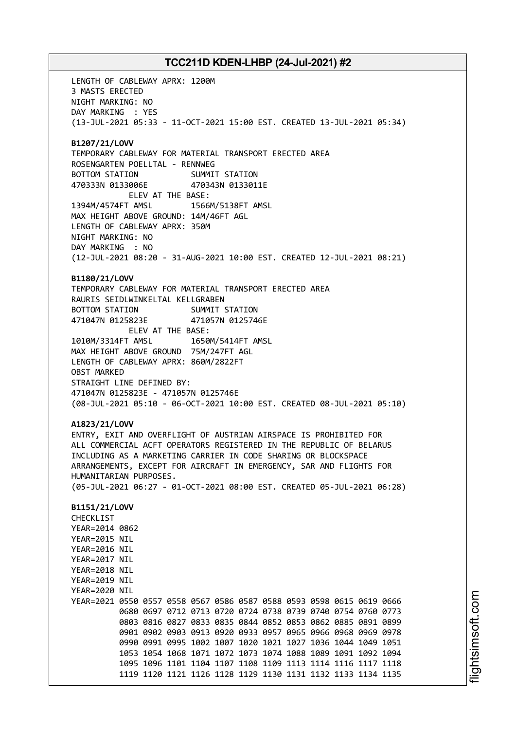LENGTH OF CABLEWAY APRX: 1200M 3 MASTS ERECTED NIGHT MARKING: NO DAY MARKING : YES (13-JUL-2021 05:33 - 11-OCT-2021 15:00 EST. CREATED 13-JUL-2021 05:34) **B1207/21/LOVV** TEMPORARY CABLEWAY FOR MATERIAL TRANSPORT ERECTED AREA ROSENGARTEN POELLTAL - RENNWEG BOTTOM STATION SUMMIT STATION 470333N 0133006E 470343N 0133011E ELEV AT THE BASE: 1394M/4574FT AMSL 1566M/5138FT AMSL MAX HEIGHT ABOVE GROUND: 14M/46FT AGL LENGTH OF CABLEWAY APRX: 350M NIGHT MARKING: NO DAY MARKING : NO (12-JUL-2021 08:20 - 31-AUG-2021 10:00 EST. CREATED 12-JUL-2021 08:21) **B1180/21/LOVV** TEMPORARY CABLEWAY FOR MATERIAL TRANSPORT ERECTED AREA RAURIS SEIDLWINKELTAL KELLGRABEN BOTTOM STATION SUMMIT STATION 471047N 0125823E 471057N 0125746E ELEV AT THE BASE: 1010M/3314FT AMSL 1650M/5414FT AMSL MAX HEIGHT ABOVE GROUND 75M/247FT AGL LENGTH OF CABLEWAY APRX: 860M/2822FT OBST MARKED STRAIGHT LINE DEFINED BY: 471047N 0125823E - 471057N 0125746E (08-JUL-2021 05:10 - 06-OCT-2021 10:00 EST. CREATED 08-JUL-2021 05:10) **A1823/21/LOVV** ENTRY, EXIT AND OVERFLIGHT OF AUSTRIAN AIRSPACE IS PROHIBITED FOR ALL COMMERCIAL ACFT OPERATORS REGISTERED IN THE REPUBLIC OF BELARUS INCLUDING AS A MARKETING CARRIER IN CODE SHARING OR BLOCKSPACE ARRANGEMENTS, EXCEPT FOR AIRCRAFT IN EMERGENCY, SAR AND FLIGHTS FOR HUMANITARIAN PURPOSES. (05-JUL-2021 06:27 - 01-OCT-2021 08:00 EST. CREATED 05-JUL-2021 06:28) **B1151/21/LOVV** CHECKLIST YEAR=2014 0862 YEAR=2015 NIL YEAR=2016 NIL YEAR=2017 NIL YEAR=2018 NIL YEAR=2019 NIL YEAR=2020 NIL YEAR=2021 0550 0557 0558 0567 0586 0587 0588 0593 0598 0615 0619 0666 0680 0697 0712 0713 0720 0724 0738 0739 0740 0754 0760 0773 0803 0816 0827 0833 0835 0844 0852 0853 0862 0885 0891 0899 0901 0902 0903 0913 0920 0933 0957 0965 0966 0968 0969 0978 0990 0991 0995 1002 1007 1020 1021 1027 1036 1044 1049 1051 1053 1054 1068 1071 1072 1073 1074 1088 1089 1091 1092 1094 1095 1096 1101 1104 1107 1108 1109 1113 1114 1116 1117 1118 1119 1120 1121 1126 1128 1129 1130 1131 1132 1133 1134 1135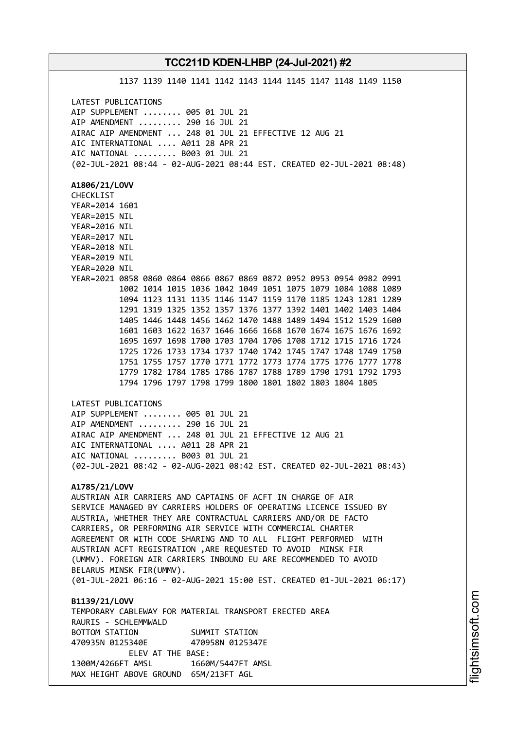1137 1139 1140 1141 1142 1143 1144 1145 1147 1148 1149 1150 LATEST PUBLICATIONS AIP SUPPLEMENT ........ 005 01 JUL 21 AIP AMENDMENT ......... 290 16 JUL 21 AIRAC AIP AMENDMENT ... 248 01 JUL 21 EFFECTIVE 12 AUG 21 AIC INTERNATIONAL .... A011 28 APR 21 AIC NATIONAL ......... B003 01 JUL 21 (02-JUL-2021 08:44 - 02-AUG-2021 08:44 EST. CREATED 02-JUL-2021 08:48) **A1806/21/LOVV** CHECKLIST YEAR=2014 1601 YEAR=2015 NIL YEAR=2016 NIL YEAR=2017 NIL YEAR=2018 NIL YEAR=2019 NIL YEAR=2020 NIL YEAR=2021 0858 0860 0864 0866 0867 0869 0872 0952 0953 0954 0982 0991 1002 1014 1015 1036 1042 1049 1051 1075 1079 1084 1088 1089 1094 1123 1131 1135 1146 1147 1159 1170 1185 1243 1281 1289 1291 1319 1325 1352 1357 1376 1377 1392 1401 1402 1403 1404 1405 1446 1448 1456 1462 1470 1488 1489 1494 1512 1529 1600 1601 1603 1622 1637 1646 1666 1668 1670 1674 1675 1676 1692 1695 1697 1698 1700 1703 1704 1706 1708 1712 1715 1716 1724 1725 1726 1733 1734 1737 1740 1742 1745 1747 1748 1749 1750 1751 1755 1757 1770 1771 1772 1773 1774 1775 1776 1777 1778 1779 1782 1784 1785 1786 1787 1788 1789 1790 1791 1792 1793 1794 1796 1797 1798 1799 1800 1801 1802 1803 1804 1805 LATEST PUBLICATIONS AIP SUPPLEMENT ........ 005 01 JUL 21 AIP AMENDMENT ......... 290 16 JUL 21 AIRAC AIP AMENDMENT ... 248 01 JUL 21 EFFECTIVE 12 AUG 21 AIC INTERNATIONAL .... A011 28 APR 21 AIC NATIONAL ......... B003 01 JUL 21 (02-JUL-2021 08:42 - 02-AUG-2021 08:42 EST. CREATED 02-JUL-2021 08:43) **A1785/21/LOVV** AUSTRIAN AIR CARRIERS AND CAPTAINS OF ACFT IN CHARGE OF AIR SERVICE MANAGED BY CARRIERS HOLDERS OF OPERATING LICENCE ISSUED BY AUSTRIA, WHETHER THEY ARE CONTRACTUAL CARRIERS AND/OR DE FACTO CARRIERS, OR PERFORMING AIR SERVICE WITH COMMERCIAL CHARTER AGREEMENT OR WITH CODE SHARING AND TO ALL FLIGHT PERFORMED WITH AUSTRIAN ACFT REGISTRATION ,ARE REQUESTED TO AVOID MINSK FIR (UMMV). FOREIGN AIR CARRIERS INBOUND EU ARE RECOMMENDED TO AVOID BELARUS MINSK FIR(UMMV). (01-JUL-2021 06:16 - 02-AUG-2021 15:00 EST. CREATED 01-JUL-2021 06:17) **B1139/21/LOVV** TEMPORARY CABLEWAY FOR MATERIAL TRANSPORT ERECTED AREA RAURIS - SCHLEMMWALD BOTTOM STATION SUMMIT STATION 470935N 0125340E 470958N 0125347E ELEV AT THE BASE: 1300M/4266FT AMSL 1660M/5447FT AMSL

MAX HEIGHT ABOVE GROUND 65M/213FT AGL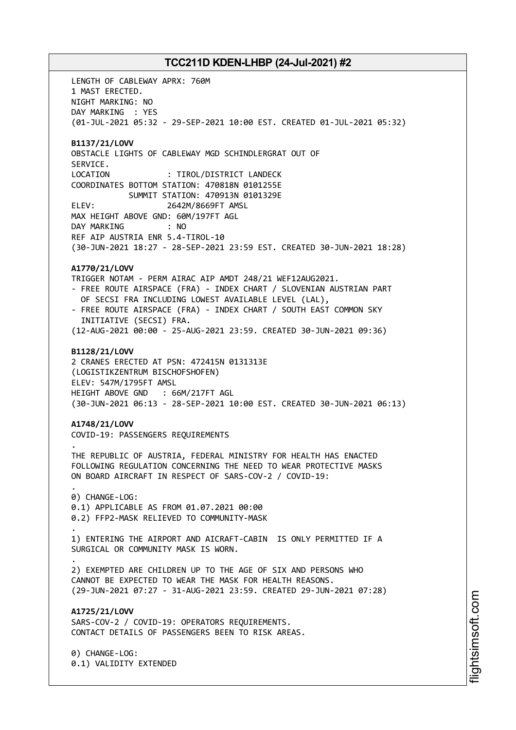LENGTH OF CABLEWAY APRX: 760M 1 MAST ERECTED. NIGHT MARKING: NO DAY MARKING : YES (01-JUL-2021 05:32 - 29-SEP-2021 10:00 EST. CREATED 01-JUL-2021 05:32) **B1137/21/LOVV** OBSTACLE LIGHTS OF CABLEWAY MGD SCHINDLERGRAT OUT OF SERVICE. LOCATION : TIROL/DISTRICT LANDECK COORDINATES BOTTOM STATION: 470818N 0101255E SUMMIT STATION: 470913N 0101329E ELEV: 2642M/8669FT AMSL MAX HEIGHT ABOVE GND: 60M/197FT AGL DAY MARKING : NO REF AIP AUSTRIA ENR 5.4-TIROL-10 (30-JUN-2021 18:27 - 28-SEP-2021 23:59 EST. CREATED 30-JUN-2021 18:28) **A1770/21/LOVV** TRIGGER NOTAM - PERM AIRAC AIP AMDT 248/21 WEF12AUG2021. - FREE ROUTE AIRSPACE (FRA) - INDEX CHART / SLOVENIAN AUSTRIAN PART OF SECSI FRA INCLUDING LOWEST AVAILABLE LEVEL (LAL), - FREE ROUTE AIRSPACE (FRA) - INDEX CHART / SOUTH EAST COMMON SKY INITIATIVE (SECSI) FRA. (12-AUG-2021 00:00 - 25-AUG-2021 23:59. CREATED 30-JUN-2021 09:36) **B1128/21/LOVV** 2 CRANES ERECTED AT PSN: 472415N 0131313E (LOGISTIKZENTRUM BISCHOFSHOFEN) ELEV: 547M/1795FT AMSL HEIGHT ABOVE GND : 66M/217FT AGL (30-JUN-2021 06:13 - 28-SEP-2021 10:00 EST. CREATED 30-JUN-2021 06:13) **A1748/21/LOVV** COVID-19: PASSENGERS REQUIREMENTS . THE REPUBLIC OF AUSTRIA, FEDERAL MINISTRY FOR HEALTH HAS ENACTED FOLLOWING REGULATION CONCERNING THE NEED TO WEAR PROTECTIVE MASKS ON BOARD AIRCRAFT IN RESPECT OF SARS-COV-2 / COVID-19: . 0) CHANGE-LOG: 0.1) APPLICABLE AS FROM 01.07.2021 00:00 0.2) FFP2-MASK RELIEVED TO COMMUNITY-MASK . 1) ENTERING THE AIRPORT AND AICRAFT-CABIN IS ONLY PERMITTED IF A SURGICAL OR COMMUNITY MASK IS WORN. . 2) EXEMPTED ARE CHILDREN UP TO THE AGE OF SIX AND PERSONS WHO CANNOT BE EXPECTED TO WEAR THE MASK FOR HEALTH REASONS. (29-JUN-2021 07:27 - 31-AUG-2021 23:59. CREATED 29-JUN-2021 07:28) **A1725/21/LOVV** SARS-COV-2 / COVID-19: OPERATORS REQUIREMENTS. CONTACT DETAILS OF PASSENGERS BEEN TO RISK AREAS. 0) CHANGE-LOG: 0.1) VALIDITY EXTENDED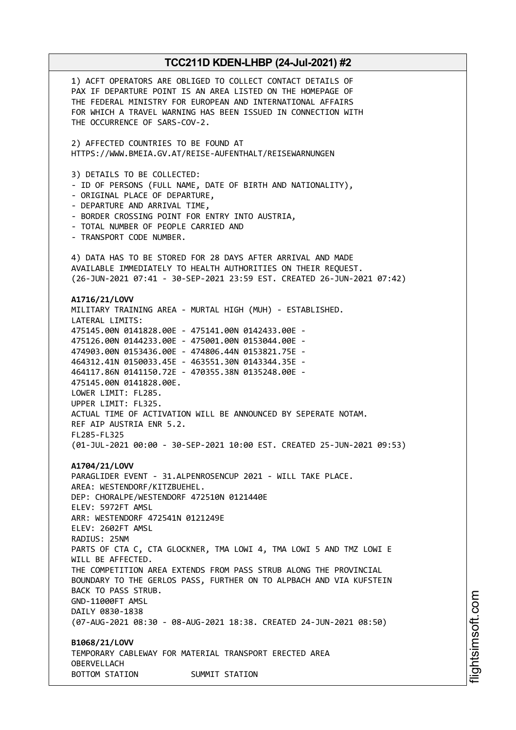1) ACFT OPERATORS ARE OBLIGED TO COLLECT CONTACT DETAILS OF PAX IF DEPARTURE POINT IS AN AREA LISTED ON THE HOMEPAGE OF THE FEDERAL MINISTRY FOR EUROPEAN AND INTERNATIONAL AFFAIRS FOR WHICH A TRAVEL WARNING HAS BEEN ISSUED IN CONNECTION WITH THE OCCURRENCE OF SARS-COV-2. 2) AFFECTED COUNTRIES TO BE FOUND AT HTTPS://WWW.BMEIA.GV.AT/REISE-AUFENTHALT/REISEWARNUNGEN 3) DETAILS TO BE COLLECTED: - ID OF PERSONS (FULL NAME, DATE OF BIRTH AND NATIONALITY), - ORIGINAL PLACE OF DEPARTURE, - DEPARTURE AND ARRIVAL TIME, - BORDER CROSSING POINT FOR ENTRY INTO AUSTRIA, - TOTAL NUMBER OF PEOPLE CARRIED AND - TRANSPORT CODE NUMBER. 4) DATA HAS TO BE STORED FOR 28 DAYS AFTER ARRIVAL AND MADE AVAILABLE IMMEDIATELY TO HEALTH AUTHORITIES ON THEIR REQUEST. (26-JUN-2021 07:41 - 30-SEP-2021 23:59 EST. CREATED 26-JUN-2021 07:42) **A1716/21/LOVV** MILITARY TRAINING AREA - MURTAL HIGH (MUH) - ESTABLISHED. LATERAL LIMITS: 475145.00N 0141828.00E - 475141.00N 0142433.00E - 475126.00N 0144233.00E - 475001.00N 0153044.00E - 474903.00N 0153436.00E - 474806.44N 0153821.75E - 464312.41N 0150033.45E - 463551.30N 0143344.35E - 464117.86N 0141150.72E - 470355.38N 0135248.00E - 475145.00N 0141828.00E. LOWER LIMIT: FL285. UPPER LIMIT: FL325. ACTUAL TIME OF ACTIVATION WILL BE ANNOUNCED BY SEPERATE NOTAM. REF AIP AUSTRIA ENR 5.2. FL285-FL325 (01-JUL-2021 00:00 - 30-SEP-2021 10:00 EST. CREATED 25-JUN-2021 09:53) **A1704/21/LOVV** PARAGLIDER EVENT - 31.ALPENROSENCUP 2021 - WILL TAKE PLACE. AREA: WESTENDORF/KITZBUEHEL. DEP: CHORALPE/WESTENDORF 472510N 0121440E ELEV: 5972FT AMSL ARR: WESTENDORF 472541N 0121249E ELEV: 2602FT AMSL RADIUS: 25NM PARTS OF CTA C, CTA GLOCKNER, TMA LOWI 4, TMA LOWI 5 AND TMZ LOWI E WILL BE AFFECTED. THE COMPETITION AREA EXTENDS FROM PASS STRUB ALONG THE PROVINCIAL BOUNDARY TO THE GERLOS PASS, FURTHER ON TO ALPBACH AND VIA KUFSTEIN BACK TO PASS STRUB. GND-11000FT AMSL DAILY 0830-1838 (07-AUG-2021 08:30 - 08-AUG-2021 18:38. CREATED 24-JUN-2021 08:50) **B1068/21/LOVV** TEMPORARY CABLEWAY FOR MATERIAL TRANSPORT ERECTED AREA OBERVELLACH BOTTOM STATION SUMMIT STATION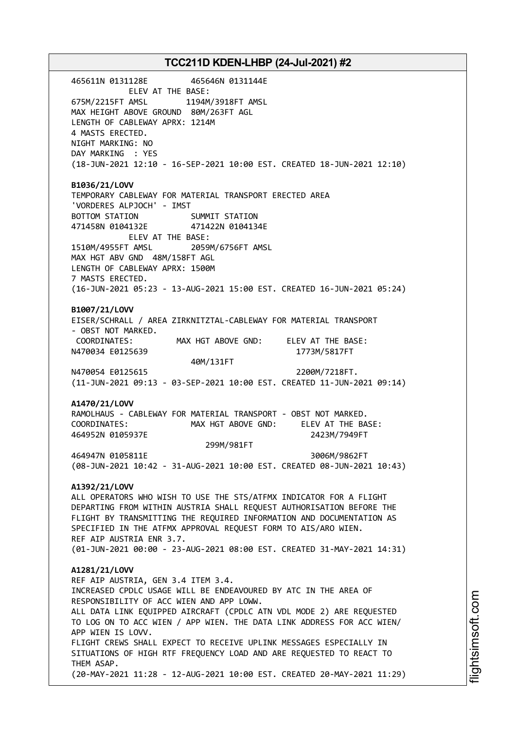465611N 0131128E 465646N 0131144E ELEV AT THE BASE: 675M/2215FT AMSL 1194M/3918FT AMSL MAX HEIGHT ABOVE GROUND 80M/263FT AGL LENGTH OF CABLEWAY APRX: 1214M 4 MASTS ERECTED. NIGHT MARKING: NO DAY MARKING : YES (18-JUN-2021 12:10 - 16-SEP-2021 10:00 EST. CREATED 18-JUN-2021 12:10) **B1036/21/LOVV** TEMPORARY CABLEWAY FOR MATERIAL TRANSPORT ERECTED AREA 'VORDERES ALPJOCH' - IMST BOTTOM STATION SUMMIT STATION 471458N 0104132E 471422N 0104134E ELEV AT THE BASE: 1510M/4955FT AMSL 2059M/6756FT AMSL MAX HGT ABV GND 48M/158FT AGL LENGTH OF CABLEWAY APRX: 1500M 7 MASTS ERECTED. (16-JUN-2021 05:23 - 13-AUG-2021 15:00 EST. CREATED 16-JUN-2021 05:24) **B1007/21/LOVV** EISER/SCHRALL / AREA ZIRKNITZTAL-CABLEWAY FOR MATERIAL TRANSPORT - OBST NOT MARKED. COORDINATES: MAX HGT ABOVE GND: ELEV AT THE BASE: N470034 E0125639 1773M/5817FT 40M/131FT N470054 E0125615 2200M/7218FT. (11-JUN-2021 09:13 - 03-SEP-2021 10:00 EST. CREATED 11-JUN-2021 09:14) **A1470/21/LOVV** RAMOLHAUS - CABLEWAY FOR MATERIAL TRANSPORT - OBST NOT MARKED. COORDINATES: MAX HGT ABOVE GND: ELEV AT THE BASE: 464952N 0105937E 2423M/7949FT 299M/981FT 464947N 0105811E 3006M/9862FT (08-JUN-2021 10:42 - 31-AUG-2021 10:00 EST. CREATED 08-JUN-2021 10:43) **A1392/21/LOVV** ALL OPERATORS WHO WISH TO USE THE STS/ATFMX INDICATOR FOR A FLIGHT DEPARTING FROM WITHIN AUSTRIA SHALL REQUEST AUTHORISATION BEFORE THE FLIGHT BY TRANSMITTING THE REQUIRED INFORMATION AND DOCUMENTATION AS SPECIFIED IN THE ATFMX APPROVAL REQUEST FORM TO AIS/ARO WIEN. REF AIP AUSTRIA ENR 3.7. (01-JUN-2021 00:00 - 23-AUG-2021 08:00 EST. CREATED 31-MAY-2021 14:31) **A1281/21/LOVV** REF AIP AUSTRIA, GEN 3.4 ITEM 3.4. INCREASED CPDLC USAGE WILL BE ENDEAVOURED BY ATC IN THE AREA OF RESPONSIBILITY OF ACC WIEN AND APP LOWW. ALL DATA LINK EQUIPPED AIRCRAFT (CPDLC ATN VDL MODE 2) ARE REQUESTED TO LOG ON TO ACC WIEN / APP WIEN. THE DATA LINK ADDRESS FOR ACC WIEN/ APP WIEN IS LOVV. FLIGHT CREWS SHALL EXPECT TO RECEIVE UPLINK MESSAGES ESPECIALLY IN SITUATIONS OF HIGH RTF FREQUENCY LOAD AND ARE REQUESTED TO REACT TO THEM ASAP. (20-MAY-2021 11:28 - 12-AUG-2021 10:00 EST. CREATED 20-MAY-2021 11:29)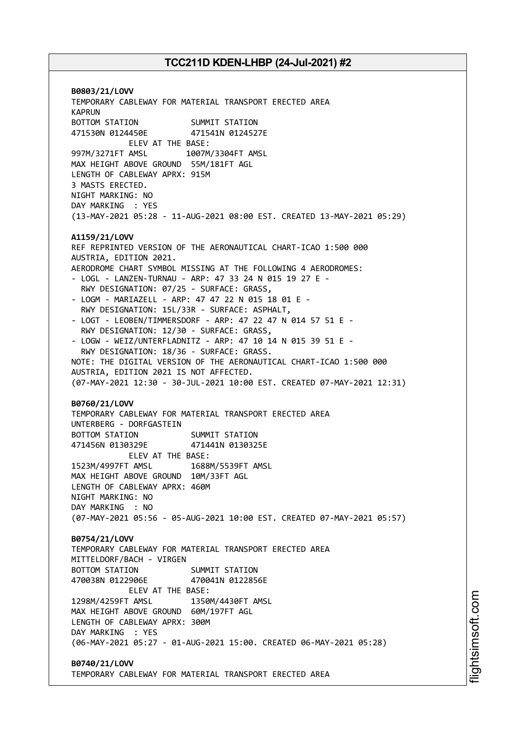**B0803/21/LOVV** TEMPORARY CABLEWAY FOR MATERIAL TRANSPORT ERECTED AREA KAPRUN BOTTOM STATION SUMMIT STATION 471530N 0124450E 471541N 0124527E ELEV AT THE BASE: 997M/3271FT AMSL 1007M/3304FT AMSL MAX HEIGHT ABOVE GROUND 55M/181FT AGL LENGTH OF CABLEWAY APRX: 915M 3 MASTS ERECTED. NIGHT MARKING: NO DAY MARKING : YES (13-MAY-2021 05:28 - 11-AUG-2021 08:00 EST. CREATED 13-MAY-2021 05:29) **A1159/21/LOVV** REF REPRINTED VERSION OF THE AERONAUTICAL CHART-ICAO 1:500 000 AUSTRIA, EDITION 2021. AERODROME CHART SYMBOL MISSING AT THE FOLLOWING 4 AERODROMES: - LOGL - LANZEN-TURNAU - ARP: 47 33 24 N 015 19 27 E - RWY DESIGNATION: 07/25 - SURFACE: GRASS, - LOGM - MARIAZELL - ARP: 47 47 22 N 015 18 01 E - RWY DESIGNATION: 15L/33R - SURFACE: ASPHALT, - LOGT - LEOBEN/TIMMERSDORF - ARP: 47 22 47 N 014 57 51 E - RWY DESIGNATION: 12/30 - SURFACE: GRASS, - LOGW - WEIZ/UNTERFLADNITZ - ARP: 47 10 14 N 015 39 51 E - RWY DESIGNATION: 18/36 - SURFACE: GRASS. NOTE: THE DIGITAL VERSION OF THE AERONAUTICAL CHART-ICAO 1:500 000 AUSTRIA, EDITION 2021 IS NOT AFFECTED. (07-MAY-2021 12:30 - 30-JUL-2021 10:00 EST. CREATED 07-MAY-2021 12:31) **B0760/21/LOVV** TEMPORARY CABLEWAY FOR MATERIAL TRANSPORT ERECTED AREA UNTERBERG - DORFGASTEIN BOTTOM STATION SUMMIT STATION 471456N 0130329E 471441N 0130325E ELEV AT THE BASE: 1523M/4997FT AMSL 1688M/5539FT AMSL MAX HEIGHT ABOVE GROUND 10M/33FT AGL LENGTH OF CABLEWAY APRX: 460M NIGHT MARKING: NO DAY MARKING : NO (07-MAY-2021 05:56 - 05-AUG-2021 10:00 EST. CREATED 07-MAY-2021 05:57) **B0754/21/LOVV** TEMPORARY CABLEWAY FOR MATERIAL TRANSPORT ERECTED AREA MITTELDORF/BACH - VIRGEN BOTTOM STATION SUMMIT STATION 470038N 0122906E 470041N 0122856E ELEV AT THE BASE: 1298M/4259FT AMSL 1350M/4430FT AMSL MAX HEIGHT ABOVE GROUND 60M/197FT AGL LENGTH OF CABLEWAY APRX: 300M DAY MARKING : YES (06-MAY-2021 05:27 - 01-AUG-2021 15:00. CREATED 06-MAY-2021 05:28) **B0740/21/LOVV**

TEMPORARY CABLEWAY FOR MATERIAL TRANSPORT ERECTED AREA